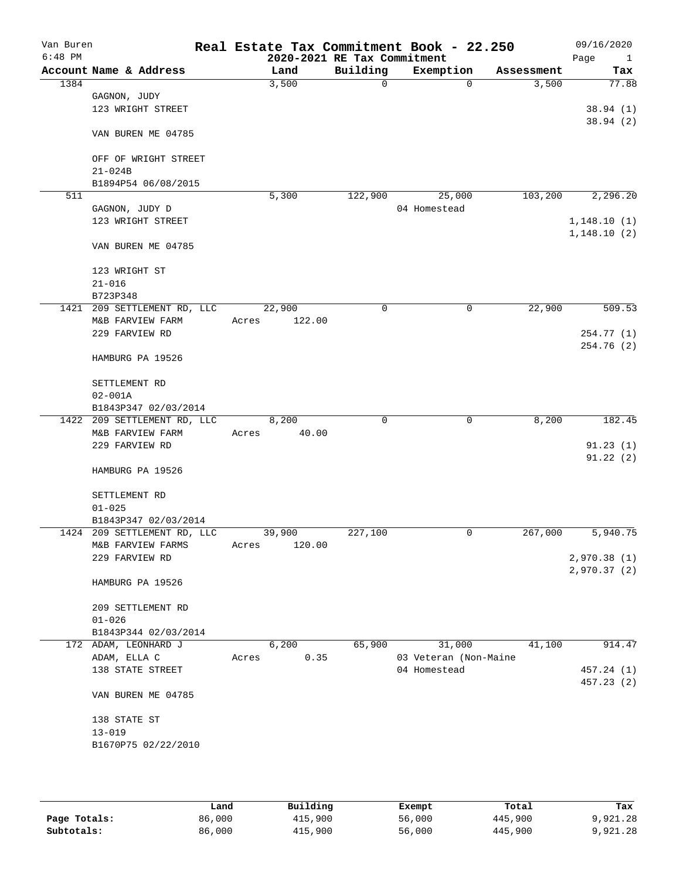| Van Buren<br>$6:48$ PM |                                     |       | Real Estate Tax Commitment Book - 22.250<br>2020-2021 RE Tax Commitment |          |                       |           |            | 09/16/2020<br>Page<br>$\mathbf{1}$ |
|------------------------|-------------------------------------|-------|-------------------------------------------------------------------------|----------|-----------------------|-----------|------------|------------------------------------|
|                        | Account Name & Address              |       | Land                                                                    | Building |                       | Exemption | Assessment | Tax                                |
| 1384                   |                                     |       | 3,500                                                                   | 0        |                       | $\Omega$  | 3,500      | 77.88                              |
|                        | GAGNON, JUDY                        |       |                                                                         |          |                       |           |            |                                    |
|                        | 123 WRIGHT STREET                   |       |                                                                         |          |                       |           |            | 38.94(1)                           |
|                        | VAN BUREN ME 04785                  |       |                                                                         |          |                       |           |            | 38.94(2)                           |
|                        | OFF OF WRIGHT STREET                |       |                                                                         |          |                       |           |            |                                    |
|                        | $21 - 024B$                         |       |                                                                         |          |                       |           |            |                                    |
|                        | B1894P54 06/08/2015                 |       |                                                                         |          |                       |           |            |                                    |
| 511                    |                                     |       | 5,300                                                                   | 122,900  |                       | 25,000    | 103,200    | 2,296.20                           |
|                        | GAGNON, JUDY D                      |       |                                                                         |          | 04 Homestead          |           |            |                                    |
|                        | 123 WRIGHT STREET                   |       |                                                                         |          |                       |           |            | 1,148.10(1)                        |
|                        | VAN BUREN ME 04785                  |       |                                                                         |          |                       |           |            | 1,148.10(2)                        |
|                        | 123 WRIGHT ST                       |       |                                                                         |          |                       |           |            |                                    |
|                        | $21 - 016$                          |       |                                                                         |          |                       |           |            |                                    |
|                        | B723P348                            |       |                                                                         |          |                       |           |            |                                    |
|                        | 1421 209 SETTLEMENT RD, LLC         |       | 22,900                                                                  | 0        |                       | 0         | 22,900     | 509.53                             |
|                        | M&B FARVIEW FARM                    | Acres | 122.00                                                                  |          |                       |           |            |                                    |
|                        | 229 FARVIEW RD                      |       |                                                                         |          |                       |           |            | 254.77 (1)                         |
|                        | HAMBURG PA 19526                    |       |                                                                         |          |                       |           |            | 254.76(2)                          |
|                        | SETTLEMENT RD                       |       |                                                                         |          |                       |           |            |                                    |
|                        | $02 - 001A$<br>B1843P347 02/03/2014 |       |                                                                         |          |                       |           |            |                                    |
|                        | 1422 209 SETTLEMENT RD, LLC         |       | 8,200                                                                   | 0        |                       | 0         | 8,200      | 182.45                             |
|                        | M&B FARVIEW FARM                    | Acres | 40.00                                                                   |          |                       |           |            |                                    |
|                        | 229 FARVIEW RD                      |       |                                                                         |          |                       |           |            | 91.23(1)                           |
|                        |                                     |       |                                                                         |          |                       |           |            | 91.22(2)                           |
|                        | HAMBURG PA 19526                    |       |                                                                         |          |                       |           |            |                                    |
|                        | SETTLEMENT RD                       |       |                                                                         |          |                       |           |            |                                    |
|                        | $01 - 025$                          |       |                                                                         |          |                       |           |            |                                    |
|                        | B1843P347 02/03/2014                |       |                                                                         |          |                       |           |            |                                    |
|                        | 1424 209 SETTLEMENT RD, LLC         |       | 39,900                                                                  | 227,100  |                       | 0         | 267,000    | 5,940.75                           |
|                        | M&B FARVIEW FARMS<br>229 FARVIEW RD | Acres | 120.00                                                                  |          |                       |           |            | 2,970.38 (1)                       |
|                        |                                     |       |                                                                         |          |                       |           |            | 2,970.37 (2)                       |
|                        | HAMBURG PA 19526                    |       |                                                                         |          |                       |           |            |                                    |
|                        | 209 SETTLEMENT RD                   |       |                                                                         |          |                       |           |            |                                    |
|                        | $01 - 026$                          |       |                                                                         |          |                       |           |            |                                    |
|                        | B1843P344 02/03/2014                |       |                                                                         |          |                       |           |            |                                    |
|                        | 172 ADAM, LEONHARD J                |       | 6,200                                                                   | 65,900   |                       | 31,000    | 41,100     | 914.47                             |
|                        | ADAM, ELLA C                        | Acres | 0.35                                                                    |          | 03 Veteran (Non-Maine |           |            |                                    |
|                        | 138 STATE STREET                    |       |                                                                         |          | 04 Homestead          |           |            | 457.24 (1)                         |
|                        | VAN BUREN ME 04785                  |       |                                                                         |          |                       |           |            | 457.23(2)                          |
|                        |                                     |       |                                                                         |          |                       |           |            |                                    |
|                        | 138 STATE ST                        |       |                                                                         |          |                       |           |            |                                    |
|                        | $13 - 019$                          |       |                                                                         |          |                       |           |            |                                    |
|                        | B1670P75 02/22/2010                 |       |                                                                         |          |                       |           |            |                                    |
|                        |                                     |       |                                                                         |          |                       |           |            |                                    |
|                        |                                     |       |                                                                         |          |                       |           |            |                                    |

|              | Land   | Building | Exempt | Total   | Tax      |
|--------------|--------|----------|--------|---------|----------|
| Page Totals: | 86,000 | 415,900  | 56,000 | 445,900 | 9,921.28 |
| Subtotals:   | 86,000 | 415,900  | 56,000 | 445,900 | 9,921.28 |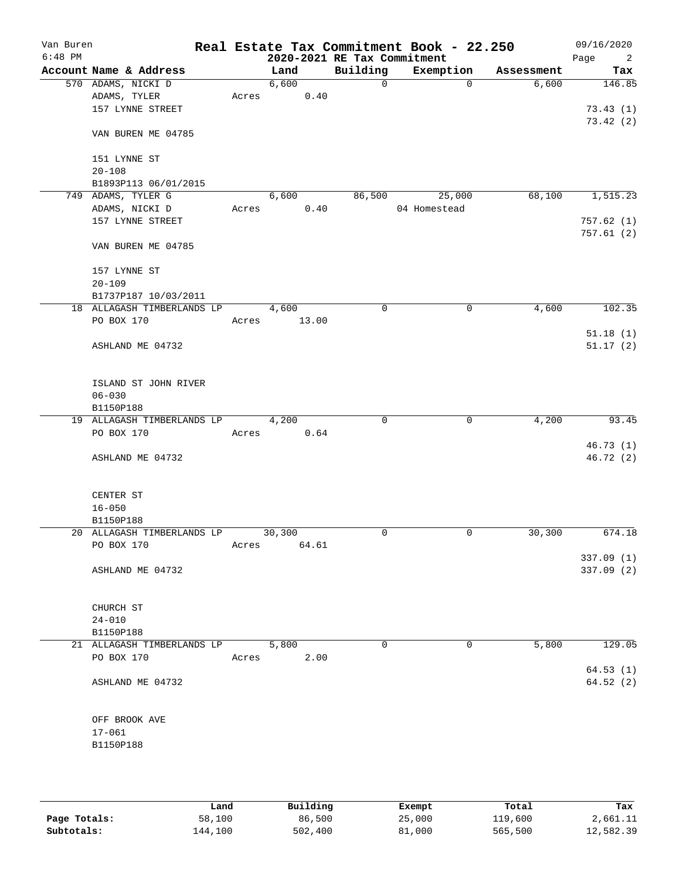| Van Buren<br>$6:48$ PM |                                         |       |        | 2020-2021 RE Tax Commitment | Real Estate Tax Commitment Book - 22.250 |            | 09/16/2020<br>Page<br>2 |
|------------------------|-----------------------------------------|-------|--------|-----------------------------|------------------------------------------|------------|-------------------------|
|                        | Account Name & Address                  |       | Land   | Building                    | Exemption                                | Assessment | Tax                     |
|                        | 570 ADAMS, NICKI D                      |       | 6,600  | $\mathbf 0$                 | $\mathbf 0$                              | 6,600      | 146.85                  |
|                        | ADAMS, TYLER                            | Acres | 0.40   |                             |                                          |            |                         |
|                        | 157 LYNNE STREET                        |       |        |                             |                                          |            | 73.43(1)                |
|                        | VAN BUREN ME 04785                      |       |        |                             |                                          |            | 73.42(2)                |
|                        | 151 LYNNE ST                            |       |        |                             |                                          |            |                         |
|                        | $20 - 108$                              |       |        |                             |                                          |            |                         |
|                        | B1893P113 06/01/2015                    |       |        |                             |                                          |            |                         |
|                        | 749 ADAMS, TYLER G                      |       | 6,600  | 86,500                      | 25,000                                   | 68,100     | 1,515.23                |
|                        | ADAMS, NICKI D                          | Acres | 0.40   |                             | 04 Homestead                             |            |                         |
|                        | 157 LYNNE STREET                        |       |        |                             |                                          |            | 757.62(1)               |
|                        | VAN BUREN ME 04785                      |       |        |                             |                                          |            | 757.61(2)               |
|                        | 157 LYNNE ST                            |       |        |                             |                                          |            |                         |
|                        | $20 - 109$                              |       |        |                             |                                          |            |                         |
|                        | B1737P187 10/03/2011                    |       |        |                             |                                          |            |                         |
|                        | 18 ALLAGASH TIMBERLANDS LP              |       | 4,600  | 0                           | 0                                        | 4,600      | 102.35                  |
|                        | PO BOX 170                              | Acres | 13.00  |                             |                                          |            |                         |
|                        | ASHLAND ME 04732                        |       |        |                             |                                          |            | 51.18(1)<br>51.17(2)    |
|                        | ISLAND ST JOHN RIVER<br>$06 - 030$      |       |        |                             |                                          |            |                         |
|                        | B1150P188                               |       |        |                             |                                          |            |                         |
|                        | 19 ALLAGASH TIMBERLANDS LP              |       | 4,200  | 0                           | $\mathbf 0$                              | 4,200      | 93.45                   |
|                        | PO BOX 170                              | Acres | 0.64   |                             |                                          |            |                         |
|                        |                                         |       |        |                             |                                          |            | 46.73(1)                |
|                        | ASHLAND ME 04732                        |       |        |                             |                                          |            | 46.72(2)                |
|                        | CENTER ST                               |       |        |                             |                                          |            |                         |
|                        | $16 - 050$                              |       |        |                             |                                          |            |                         |
|                        | B1150P188                               |       |        |                             |                                          |            |                         |
|                        | 20 ALLAGASH TIMBERLANDS LP              |       | 30,300 | 0                           | 0                                        | 30,300     | 674.18                  |
|                        | PO BOX 170                              | Acres | 64.61  |                             |                                          |            |                         |
|                        | ASHLAND ME 04732                        |       |        |                             |                                          |            | 337.09(1)<br>337.09 (2) |
|                        |                                         |       |        |                             |                                          |            |                         |
|                        | CHURCH ST                               |       |        |                             |                                          |            |                         |
|                        | $24 - 010$                              |       |        |                             |                                          |            |                         |
|                        | B1150P188<br>21 ALLAGASH TIMBERLANDS LP |       | 5,800  | $\mathbf 0$                 | 0                                        | 5,800      | 129.05                  |
|                        | PO BOX 170                              | Acres | 2.00   |                             |                                          |            |                         |
|                        | ASHLAND ME 04732                        |       |        |                             |                                          |            | 64.53(1)<br>64.52(2)    |
|                        | OFF BROOK AVE                           |       |        |                             |                                          |            |                         |
|                        | $17 - 061$                              |       |        |                             |                                          |            |                         |
|                        | B1150P188                               |       |        |                             |                                          |            |                         |
|                        |                                         |       |        |                             |                                          |            |                         |
|                        |                                         |       |        |                             |                                          |            |                         |

|              | Land    | Building | Exempt | Total   | Tax       |
|--------------|---------|----------|--------|---------|-----------|
| Page Totals: | 58,100  | 86,500   | 25,000 | 119,600 | 2,661.11  |
| Subtotals:   | 144,100 | 502,400  | 81,000 | 565,500 | 12,582.39 |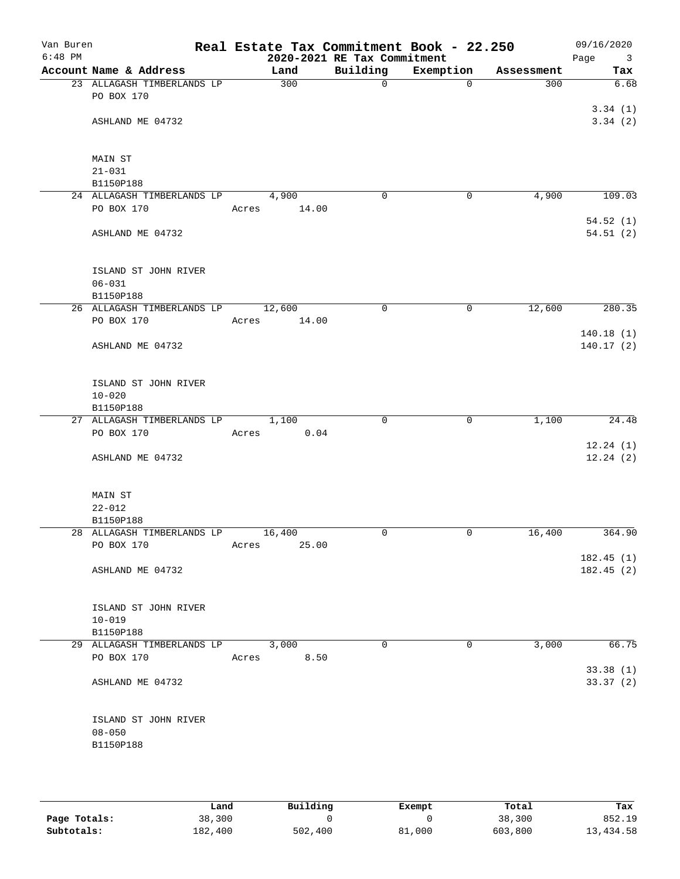| Van Buren<br>$6:48$ PM |                                         | Real Estate Tax Commitment Book - 22.250 | 2020-2021 RE Tax Commitment |           |            | 09/16/2020<br>Page<br>$\overline{\mathbf{3}}$ |
|------------------------|-----------------------------------------|------------------------------------------|-----------------------------|-----------|------------|-----------------------------------------------|
|                        | Account Name & Address                  | Land                                     | Building                    | Exemption | Assessment | Tax                                           |
|                        | 23 ALLAGASH TIMBERLANDS LP              | 300                                      | $\mathbf 0$                 | $\Omega$  | 300        | 6.68                                          |
|                        | PO BOX 170                              |                                          |                             |           |            |                                               |
|                        | ASHLAND ME 04732                        |                                          |                             |           |            | 3.34(1)<br>3.34(2)                            |
|                        |                                         |                                          |                             |           |            |                                               |
|                        |                                         |                                          |                             |           |            |                                               |
|                        | MAIN ST                                 |                                          |                             |           |            |                                               |
|                        | $21 - 031$                              |                                          |                             |           |            |                                               |
|                        | B1150P188<br>24 ALLAGASH TIMBERLANDS LP | 4,900                                    | $\mathbf 0$                 | 0         | 4,900      | 109.03                                        |
|                        | PO BOX 170                              | 14.00<br>Acres                           |                             |           |            |                                               |
|                        |                                         |                                          |                             |           |            | 54.52(1)                                      |
|                        | ASHLAND ME 04732                        |                                          |                             |           |            | 54.51(2)                                      |
|                        |                                         |                                          |                             |           |            |                                               |
|                        | ISLAND ST JOHN RIVER                    |                                          |                             |           |            |                                               |
|                        | $06 - 031$                              |                                          |                             |           |            |                                               |
|                        | B1150P188                               |                                          |                             |           |            |                                               |
|                        | 26 ALLAGASH TIMBERLANDS LP              | 12,600                                   | $\mathbf 0$                 | 0         | 12,600     | 280.35                                        |
|                        | PO BOX 170                              | 14.00<br>Acres                           |                             |           |            | 140.18(1)                                     |
|                        | ASHLAND ME 04732                        |                                          |                             |           |            | 140.17(2)                                     |
|                        |                                         |                                          |                             |           |            |                                               |
|                        |                                         |                                          |                             |           |            |                                               |
|                        | ISLAND ST JOHN RIVER<br>$10 - 020$      |                                          |                             |           |            |                                               |
|                        | B1150P188                               |                                          |                             |           |            |                                               |
|                        | 27 ALLAGASH TIMBERLANDS LP              | 1,100                                    | 0                           | 0         | 1,100      | 24.48                                         |
|                        | PO BOX 170                              | 0.04<br>Acres                            |                             |           |            |                                               |
|                        |                                         |                                          |                             |           |            | 12.24(1)                                      |
|                        | ASHLAND ME 04732                        |                                          |                             |           |            | 12.24(2)                                      |
|                        |                                         |                                          |                             |           |            |                                               |
|                        | MAIN ST                                 |                                          |                             |           |            |                                               |
|                        | $22 - 012$                              |                                          |                             |           |            |                                               |
|                        | B1150P188<br>28 ALLAGASH TIMBERLANDS LP | 16,400                                   | 0                           | 0         | 16,400     | 364.90                                        |
|                        | PO BOX 170                              | 25.00<br>Acres                           |                             |           |            |                                               |
|                        |                                         |                                          |                             |           |            | 182.45(1)                                     |
|                        | ASHLAND ME 04732                        |                                          |                             |           |            | 182.45(2)                                     |
|                        |                                         |                                          |                             |           |            |                                               |
|                        | ISLAND ST JOHN RIVER                    |                                          |                             |           |            |                                               |
|                        | $10 - 019$                              |                                          |                             |           |            |                                               |
|                        | B1150P188                               |                                          |                             |           |            |                                               |
|                        | 29 ALLAGASH TIMBERLANDS LP              | 3,000                                    | 0                           | 0         | 3,000      | 66.75                                         |
|                        | PO BOX 170                              | 8.50<br>Acres                            |                             |           |            |                                               |
|                        | ASHLAND ME 04732                        |                                          |                             |           |            | 33.38(1)<br>33.37(2)                          |
|                        |                                         |                                          |                             |           |            |                                               |
|                        |                                         |                                          |                             |           |            |                                               |
|                        | ISLAND ST JOHN RIVER                    |                                          |                             |           |            |                                               |
|                        | $08 - 050$                              |                                          |                             |           |            |                                               |
|                        | B1150P188                               |                                          |                             |           |            |                                               |
|                        |                                         |                                          |                             |           |            |                                               |

|              | Land    | Building | Exempt | Total   | Tax       |
|--------------|---------|----------|--------|---------|-----------|
| Page Totals: | 38,300  |          |        | 38,300  | 852.19    |
| Subtotals:   | 182,400 | 502,400  | 81,000 | 603,800 | 13,434.58 |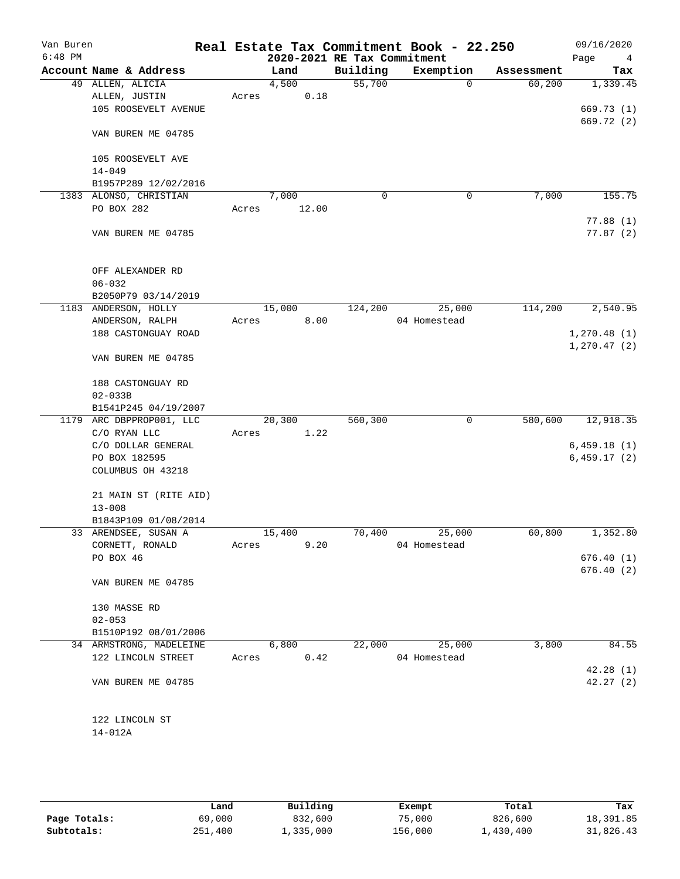| Van Buren<br>$6:48$ PM |                                         |       |                | 2020-2021 RE Tax Commitment | Real Estate Tax Commitment Book - 22.250 |            | 09/16/2020<br>Page<br>4      |
|------------------------|-----------------------------------------|-------|----------------|-----------------------------|------------------------------------------|------------|------------------------------|
|                        | Account Name & Address                  |       | Land           | Building                    | Exemption                                | Assessment | Tax                          |
|                        | 49 ALLEN, ALICIA                        |       | 4,500          | 55,700                      | 0                                        | 60,200     | 1,339.45                     |
|                        | ALLEN, JUSTIN                           | Acres | 0.18           |                             |                                          |            |                              |
|                        | 105 ROOSEVELT AVENUE                    |       |                |                             |                                          |            | 669.73 (1)                   |
|                        |                                         |       |                |                             |                                          |            | 669.72 (2)                   |
|                        | VAN BUREN ME 04785                      |       |                |                             |                                          |            |                              |
|                        |                                         |       |                |                             |                                          |            |                              |
|                        | 105 ROOSEVELT AVE<br>$14 - 049$         |       |                |                             |                                          |            |                              |
|                        | B1957P289 12/02/2016                    |       |                |                             |                                          |            |                              |
|                        | 1383 ALONSO, CHRISTIAN                  |       | 7,000          | 0                           | 0                                        | 7,000      | 155.75                       |
|                        | PO BOX 282                              | Acres | 12.00          |                             |                                          |            |                              |
|                        |                                         |       |                |                             |                                          |            | 77.88(1)                     |
|                        | VAN BUREN ME 04785                      |       |                |                             |                                          |            | 77.87(2)                     |
|                        |                                         |       |                |                             |                                          |            |                              |
|                        |                                         |       |                |                             |                                          |            |                              |
|                        | OFF ALEXANDER RD                        |       |                |                             |                                          |            |                              |
|                        | $06 - 032$                              |       |                |                             |                                          |            |                              |
|                        | B2050P79 03/14/2019                     |       |                |                             |                                          |            |                              |
|                        | 1183 ANDERSON, HOLLY                    |       | 15,000         | 124,200                     | 25,000                                   | 114,200    | 2,540.95                     |
|                        | ANDERSON, RALPH                         | Acres | 8.00           |                             | 04 Homestead                             |            |                              |
|                        | 188 CASTONGUAY ROAD                     |       |                |                             |                                          |            | 1, 270.48(1)<br>1, 270.47(2) |
|                        | VAN BUREN ME 04785                      |       |                |                             |                                          |            |                              |
|                        |                                         |       |                |                             |                                          |            |                              |
|                        | 188 CASTONGUAY RD                       |       |                |                             |                                          |            |                              |
|                        | $02 - 033B$                             |       |                |                             |                                          |            |                              |
|                        | B1541P245 04/19/2007                    |       |                |                             |                                          |            |                              |
|                        | 1179 ARC DBPPROP001, LLC                |       | 20,300         | 560,300                     | 0                                        | 580,600    | 12,918.35                    |
|                        | C/O RYAN LLC                            | Acres | 1.22           |                             |                                          |            |                              |
|                        | C/O DOLLAR GENERAL                      |       |                |                             |                                          |            | 6,459.18(1)                  |
|                        | PO BOX 182595                           |       |                |                             |                                          |            | 6,459.17(2)                  |
|                        | COLUMBUS OH 43218                       |       |                |                             |                                          |            |                              |
|                        |                                         |       |                |                             |                                          |            |                              |
|                        | 21 MAIN ST (RITE AID)                   |       |                |                             |                                          |            |                              |
|                        | $13 - 008$                              |       |                |                             |                                          |            |                              |
|                        | B1843P109 01/08/2014                    |       |                | 70,400                      |                                          | 60,800     | 1,352.80                     |
|                        | 33 ARENDSEE, SUSAN A<br>CORNETT, RONALD | Acres | 15,400<br>9.20 |                             | 25,000<br>04 Homestead                   |            |                              |
|                        | PO BOX 46                               |       |                |                             |                                          |            | 676.40(1)                    |
|                        |                                         |       |                |                             |                                          |            | 676.40(2)                    |
|                        | VAN BUREN ME 04785                      |       |                |                             |                                          |            |                              |
|                        |                                         |       |                |                             |                                          |            |                              |
|                        | 130 MASSE RD                            |       |                |                             |                                          |            |                              |
|                        | $02 - 053$                              |       |                |                             |                                          |            |                              |
|                        | B1510P192 08/01/2006                    |       |                |                             |                                          |            |                              |
|                        | 34 ARMSTRONG, MADELEINE                 |       | 6,800          | 22,000                      | 25,000                                   | 3,800      | 84.55                        |
|                        | 122 LINCOLN STREET                      | Acres | 0.42           |                             | 04 Homestead                             |            |                              |
|                        |                                         |       |                |                             |                                          |            | 42.28(1)                     |
|                        | VAN BUREN ME 04785                      |       |                |                             |                                          |            | 42.27(2)                     |
|                        |                                         |       |                |                             |                                          |            |                              |
|                        |                                         |       |                |                             |                                          |            |                              |
|                        | 122 LINCOLN ST<br>$14 - 012A$           |       |                |                             |                                          |            |                              |
|                        |                                         |       |                |                             |                                          |            |                              |
|                        |                                         |       |                |                             |                                          |            |                              |

|              | Land    | Building  | Exempt  | Total     | Tax       |
|--------------|---------|-----------|---------|-----------|-----------|
| Page Totals: | 69,000  | 832,600   | 75,000  | 826,600   | 18,391.85 |
| Subtotals:   | 251,400 | 1,335,000 | 156,000 | 1,430,400 | 31,826.43 |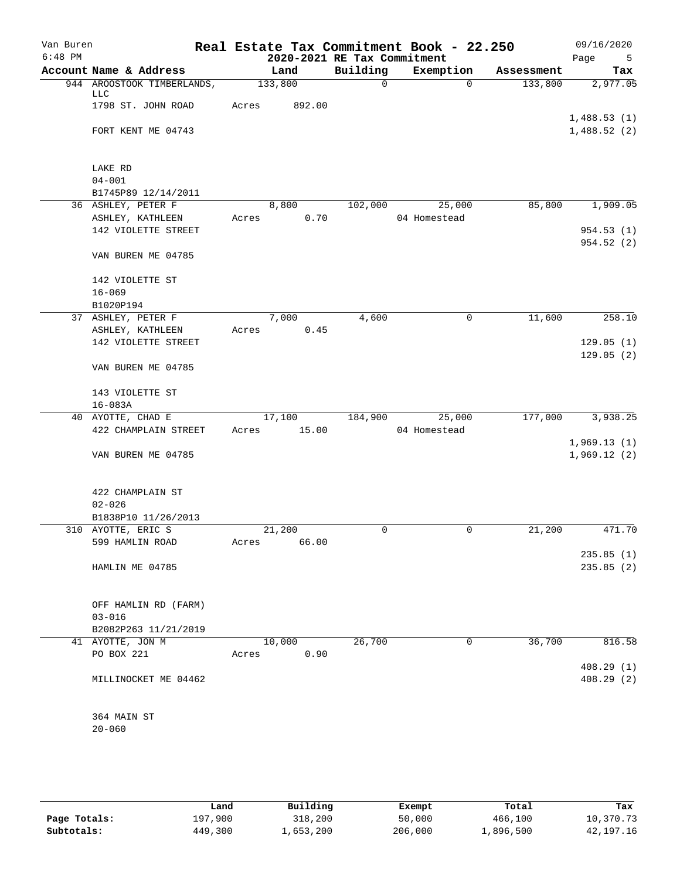| Van Buren<br>$6:48$ PM |                                   | Real Estate Tax Commitment Book - 22.250 | 2020-2021 RE Tax Commitment |              |            | 09/16/2020<br>Page<br>5    |
|------------------------|-----------------------------------|------------------------------------------|-----------------------------|--------------|------------|----------------------------|
|                        | Account Name & Address            | Land                                     | Building                    | Exemption    | Assessment | Tax                        |
|                        | 944 AROOSTOOK TIMBERLANDS,<br>LLC | 133,800                                  | $\mathbf 0$                 | 0            | 133,800    | 2,977.05                   |
|                        | 1798 ST. JOHN ROAD                | Acres<br>892.00                          |                             |              |            |                            |
|                        | FORT KENT ME 04743                |                                          |                             |              |            | 1,488.53(1)<br>1,488.52(2) |
|                        | LAKE RD                           |                                          |                             |              |            |                            |
|                        | $04 - 001$                        |                                          |                             |              |            |                            |
|                        | B1745P89 12/14/2011               |                                          |                             |              |            |                            |
|                        | 36 ASHLEY, PETER F                | 8,800                                    | 102,000                     | 25,000       | 85,800     | 1,909.05                   |
|                        | ASHLEY, KATHLEEN                  | 0.70<br>Acres                            |                             | 04 Homestead |            |                            |
|                        | 142 VIOLETTE STREET               |                                          |                             |              |            | 954.53(1)<br>954.52(2)     |
|                        | VAN BUREN ME 04785                |                                          |                             |              |            |                            |
|                        | 142 VIOLETTE ST                   |                                          |                             |              |            |                            |
|                        | $16 - 069$                        |                                          |                             |              |            |                            |
|                        | B1020P194                         |                                          |                             |              |            |                            |
|                        | 37 ASHLEY, PETER F                | 7,000                                    | 4,600                       | 0            | 11,600     | 258.10                     |
|                        | ASHLEY, KATHLEEN                  | 0.45<br>Acres                            |                             |              |            |                            |
|                        | 142 VIOLETTE STREET               |                                          |                             |              |            | 129.05(1)<br>129.05(2)     |
|                        | VAN BUREN ME 04785                |                                          |                             |              |            |                            |
|                        | 143 VIOLETTE ST                   |                                          |                             |              |            |                            |
|                        | $16 - 083A$                       |                                          |                             |              |            |                            |
|                        | 40 AYOTTE, CHAD E                 | 17,100                                   | 184,900                     | 25,000       | 177,000    | 3,938.25                   |
|                        | 422 CHAMPLAIN STREET              | 15.00<br>Acres                           |                             | 04 Homestead |            |                            |
|                        | VAN BUREN ME 04785                |                                          |                             |              |            | 1,969.13(1)<br>1,969.12(2) |
|                        | 422 CHAMPLAIN ST                  |                                          |                             |              |            |                            |
|                        | $02 - 026$                        |                                          |                             |              |            |                            |
|                        | B1838P10 11/26/2013               |                                          |                             |              |            |                            |
|                        | 310 AYOTTE, ERIC S                | 21,200                                   | 0                           | 0            | 21,200     | 471.70                     |
|                        | 599 HAMLIN ROAD                   | 66.00<br>Acres                           |                             |              |            |                            |
|                        |                                   |                                          |                             |              |            | 235.85(1)                  |
|                        | HAMLIN ME 04785                   |                                          |                             |              |            | 235.85(2)                  |
|                        | OFF HAMLIN RD (FARM)              |                                          |                             |              |            |                            |
|                        | $03 - 016$                        |                                          |                             |              |            |                            |
|                        | B2082P263 11/21/2019              |                                          |                             |              |            |                            |
|                        | 41 AYOTTE, JON M                  | 10,000                                   | 26,700                      | 0            | 36,700     | 816.58                     |
|                        | PO BOX 221                        | 0.90<br>Acres                            |                             |              |            |                            |
|                        | MILLINOCKET ME 04462              |                                          |                             |              |            | 408.29(1)<br>408.29 (2)    |
|                        |                                   |                                          |                             |              |            |                            |
|                        | 364 MAIN ST                       |                                          |                             |              |            |                            |
|                        | $20 - 060$                        |                                          |                             |              |            |                            |

|              | Land    | Building  | Exempt  | Total     | Tax         |
|--------------|---------|-----------|---------|-----------|-------------|
| Page Totals: | 197,900 | 318,200   | 50,000  | 466,100   | 10,370.73   |
| Subtotals:   | 449,300 | 1,653,200 | 206,000 | ⊥,896,500 | 42, 197. 16 |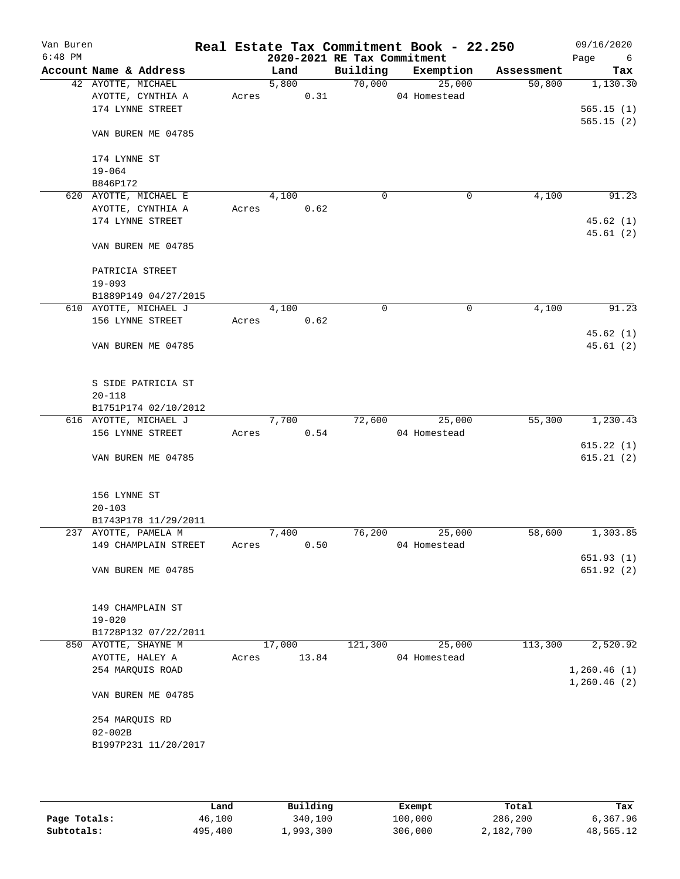| Van Buren<br>$6:48$ PM |                               |                        |       |        |       | 2020-2021 RE Tax Commitment | Real Estate Tax Commitment Book - 22.250 |            | 09/16/2020<br>Page<br>6 |
|------------------------|-------------------------------|------------------------|-------|--------|-------|-----------------------------|------------------------------------------|------------|-------------------------|
|                        |                               | Account Name & Address |       | Land   |       | Building                    | Exemption                                | Assessment | Tax                     |
|                        | 42 AYOTTE, MICHAEL            |                        |       | 5,800  |       | 70,000                      | 25,000                                   | 50,800     | 1,130.30                |
|                        |                               | AYOTTE, CYNTHIA A      | Acres |        | 0.31  |                             | 04 Homestead                             |            |                         |
|                        |                               | 174 LYNNE STREET       |       |        |       |                             |                                          |            | 565.15(1)               |
|                        |                               | VAN BUREN ME 04785     |       |        |       |                             |                                          |            | 565.15(2)               |
|                        | 174 LYNNE ST                  |                        |       |        |       |                             |                                          |            |                         |
|                        | $19 - 064$                    |                        |       |        |       |                             |                                          |            |                         |
|                        | B846P172                      |                        |       |        |       |                             |                                          |            |                         |
|                        |                               | 620 AYOTTE, MICHAEL E  |       | 4,100  |       | 0                           |                                          | 4,100<br>0 | 91.23                   |
|                        |                               | AYOTTE, CYNTHIA A      | Acres |        | 0.62  |                             |                                          |            |                         |
|                        |                               | 174 LYNNE STREET       |       |        |       |                             |                                          |            | 45.62(1)                |
|                        |                               |                        |       |        |       |                             |                                          |            | 45.61(2)                |
|                        |                               | VAN BUREN ME 04785     |       |        |       |                             |                                          |            |                         |
|                        |                               | PATRICIA STREET        |       |        |       |                             |                                          |            |                         |
|                        | $19 - 093$                    |                        |       |        |       |                             |                                          |            |                         |
|                        |                               | B1889P149 04/27/2015   |       |        |       |                             |                                          |            |                         |
|                        |                               | 610 AYOTTE, MICHAEL J  |       | 4,100  |       | 0                           | 0                                        | 4,100      | 91.23                   |
|                        |                               | 156 LYNNE STREET       | Acres |        | 0.62  |                             |                                          |            |                         |
|                        |                               |                        |       |        |       |                             |                                          |            | 45.62(1)                |
|                        |                               | VAN BUREN ME 04785     |       |        |       |                             |                                          |            | 45.61(2)                |
|                        |                               | S SIDE PATRICIA ST     |       |        |       |                             |                                          |            |                         |
|                        | $20 - 118$                    |                        |       |        |       |                             |                                          |            |                         |
|                        |                               | B1751P174 02/10/2012   |       |        |       |                             |                                          |            |                         |
|                        |                               | 616 AYOTTE, MICHAEL J  |       | 7,700  |       | 72,600                      | 25,000                                   | 55,300     | 1,230.43                |
|                        |                               | 156 LYNNE STREET       | Acres |        | 0.54  |                             | 04 Homestead                             |            |                         |
|                        |                               |                        |       |        |       |                             |                                          |            | 615.22(1)               |
|                        |                               | VAN BUREN ME 04785     |       |        |       |                             |                                          |            | 615.21(2)               |
|                        | 156 LYNNE ST                  |                        |       |        |       |                             |                                          |            |                         |
|                        | $20 - 103$                    |                        |       |        |       |                             |                                          |            |                         |
|                        |                               | B1743P178 11/29/2011   |       |        |       |                             |                                          |            |                         |
|                        |                               | 237 AYOTTE, PAMELA M   |       | 7,400  |       | 76,200                      | 25,000                                   | 58,600     | 1,303.85                |
|                        |                               | 149 CHAMPLAIN STREET   | Acres |        | 0.50  |                             | 04 Homestead                             |            |                         |
|                        |                               |                        |       |        |       |                             |                                          |            | 651.93(1)               |
|                        |                               | VAN BUREN ME 04785     |       |        |       |                             |                                          |            | 651.92 (2)              |
|                        |                               | 149 CHAMPLAIN ST       |       |        |       |                             |                                          |            |                         |
|                        | $19 - 020$                    |                        |       |        |       |                             |                                          |            |                         |
|                        |                               | B1728P132 07/22/2011   |       |        |       |                             |                                          |            |                         |
|                        |                               | 850 AYOTTE, SHAYNE M   |       | 17,000 |       | 121,300                     | 25,000                                   | 113,300    | 2,520.92                |
|                        |                               | AYOTTE, HALEY A        | Acres |        | 13.84 |                             | 04 Homestead                             |            |                         |
|                        |                               | 254 MARQUIS ROAD       |       |        |       |                             |                                          |            | 1,260.46(1)             |
|                        |                               |                        |       |        |       |                             |                                          |            | 1,260.46(2)             |
|                        |                               | VAN BUREN ME 04785     |       |        |       |                             |                                          |            |                         |
|                        | 254 MARQUIS RD<br>$02 - 002B$ |                        |       |        |       |                             |                                          |            |                         |
|                        |                               | B1997P231 11/20/2017   |       |        |       |                             |                                          |            |                         |
|                        |                               |                        |       |        |       |                             |                                          |            |                         |
|                        |                               |                        |       |        |       |                             |                                          |            |                         |

|              | Land    | Building  | Exempt  | Total     | Tax       |
|--------------|---------|-----------|---------|-----------|-----------|
| Page Totals: | 46,100  | 340,100   | 100,000 | 286,200   | 6,367.96  |
| Subtotals:   | 495,400 | 1,993,300 | 306,000 | 2,182,700 | 48,565.12 |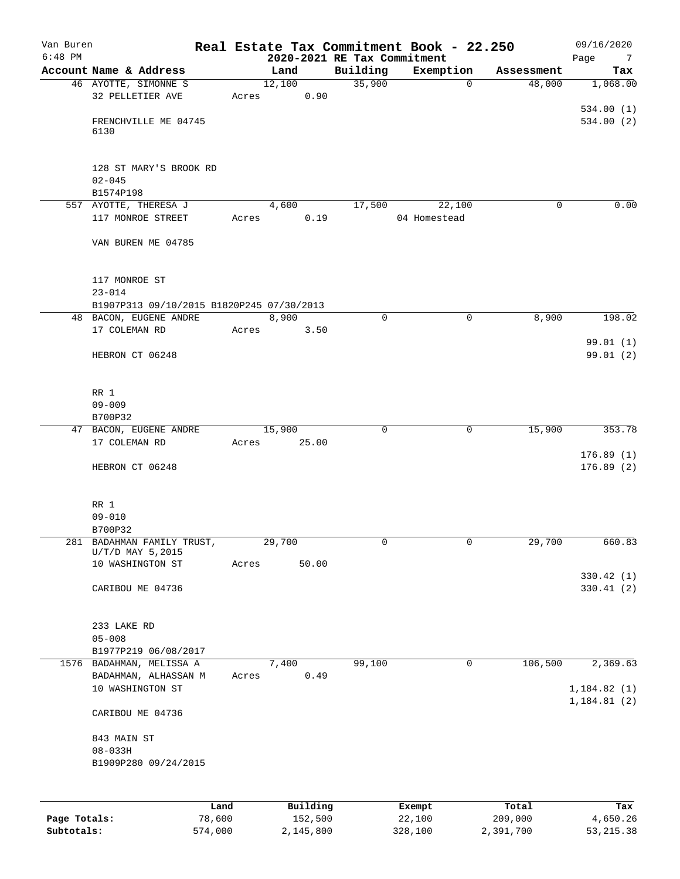| Van Buren    |                                                  |        |                             |             | Real Estate Tax Commitment Book - 22.250 |            | 09/16/2020             |
|--------------|--------------------------------------------------|--------|-----------------------------|-------------|------------------------------------------|------------|------------------------|
| $6:48$ PM    |                                                  |        | 2020-2021 RE Tax Commitment |             |                                          |            | Page<br>$\overline{7}$ |
|              | Account Name & Address                           |        | Land                        | Building    | Exemption                                | Assessment | Tax                    |
|              | 46 AYOTTE, SIMONNE S                             |        | 12,100                      | 35,900      | $\mathbf 0$                              | 48,000     | 1,068.00               |
|              | 32 PELLETIER AVE                                 | Acres  | 0.90                        |             |                                          |            |                        |
|              | FRENCHVILLE ME 04745                             |        |                             |             |                                          |            | 534.00(1)<br>534.00(2) |
|              | 6130                                             |        |                             |             |                                          |            |                        |
|              |                                                  |        |                             |             |                                          |            |                        |
|              |                                                  |        |                             |             |                                          |            |                        |
|              | 128 ST MARY'S BROOK RD                           |        |                             |             |                                          |            |                        |
|              | $02 - 045$                                       |        |                             |             |                                          |            |                        |
|              | B1574P198                                        |        |                             |             |                                          |            |                        |
|              | 557 AYOTTE, THERESA J                            |        | 4,600                       | 17,500      | 22,100                                   | 0          | 0.00                   |
|              | 117 MONROE STREET                                | Acres  | 0.19                        |             | 04 Homestead                             |            |                        |
|              | VAN BUREN ME 04785                               |        |                             |             |                                          |            |                        |
|              |                                                  |        |                             |             |                                          |            |                        |
|              |                                                  |        |                             |             |                                          |            |                        |
|              | 117 MONROE ST                                    |        |                             |             |                                          |            |                        |
|              | $23 - 014$                                       |        |                             |             |                                          |            |                        |
|              | B1907P313 09/10/2015 B1820P245 07/30/2013        |        |                             |             |                                          |            |                        |
|              | 48 BACON, EUGENE ANDRE                           |        | 8,900                       | $\mathbf 0$ | 0                                        | 8,900      | 198.02                 |
|              | 17 COLEMAN RD                                    | Acres  | 3.50                        |             |                                          |            |                        |
|              |                                                  |        |                             |             |                                          |            | 99.01(1)               |
|              | HEBRON CT 06248                                  |        |                             |             |                                          |            | 99.01 (2)              |
|              |                                                  |        |                             |             |                                          |            |                        |
|              |                                                  |        |                             |             |                                          |            |                        |
|              | RR 1<br>$09 - 009$                               |        |                             |             |                                          |            |                        |
|              | B700P32                                          |        |                             |             |                                          |            |                        |
|              | 47 BACON, EUGENE ANDRE                           |        | 15,900                      | 0           | 0                                        | 15,900     | 353.78                 |
|              | 17 COLEMAN RD                                    | Acres  | 25.00                       |             |                                          |            |                        |
|              |                                                  |        |                             |             |                                          |            | 176.89(1)              |
|              | HEBRON CT 06248                                  |        |                             |             |                                          |            | 176.89(2)              |
|              |                                                  |        |                             |             |                                          |            |                        |
|              |                                                  |        |                             |             |                                          |            |                        |
|              | RR 1                                             |        |                             |             |                                          |            |                        |
|              | $09 - 010$                                       |        |                             |             |                                          |            |                        |
|              | B700P32                                          |        |                             |             |                                          |            |                        |
|              | 281 BADAHMAN FAMILY TRUST,<br>$U/T/D$ MAY 5,2015 |        | 29,700                      | 0           | 0                                        | 29,700     | 660.83                 |
|              | 10 WASHINGTON ST                                 | Acres  | 50.00                       |             |                                          |            |                        |
|              |                                                  |        |                             |             |                                          |            | 330.42 (1)             |
|              | CARIBOU ME 04736                                 |        |                             |             |                                          |            | 330.41(2)              |
|              |                                                  |        |                             |             |                                          |            |                        |
|              |                                                  |        |                             |             |                                          |            |                        |
|              | 233 LAKE RD                                      |        |                             |             |                                          |            |                        |
|              | $05 - 008$                                       |        |                             |             |                                          |            |                        |
|              | B1977P219 06/08/2017<br>1576 BADAHMAN, MELISSA A |        |                             |             | 0                                        |            |                        |
|              | BADAHMAN, ALHASSAN M                             | Acres  | 7,400<br>0.49               | 99,100      |                                          | 106,500    | 2,369.63               |
|              | 10 WASHINGTON ST                                 |        |                             |             |                                          |            | 1, 184.82(1)           |
|              |                                                  |        |                             |             |                                          |            | 1, 184.81(2)           |
|              | CARIBOU ME 04736                                 |        |                             |             |                                          |            |                        |
|              |                                                  |        |                             |             |                                          |            |                        |
|              | 843 MAIN ST                                      |        |                             |             |                                          |            |                        |
|              | $08 - 033H$                                      |        |                             |             |                                          |            |                        |
|              | B1909P280 09/24/2015                             |        |                             |             |                                          |            |                        |
|              |                                                  |        |                             |             |                                          |            |                        |
|              |                                                  |        |                             |             |                                          |            |                        |
|              |                                                  | Land   | Building                    |             | Exempt                                   | Total      | Tax                    |
| Page Totals: |                                                  | 78,600 | 152,500                     |             | 22,100                                   | 209,000    | 4,650.26               |

**Subtotals:** 574,000 2,145,800 328,100 2,391,700 53,215.38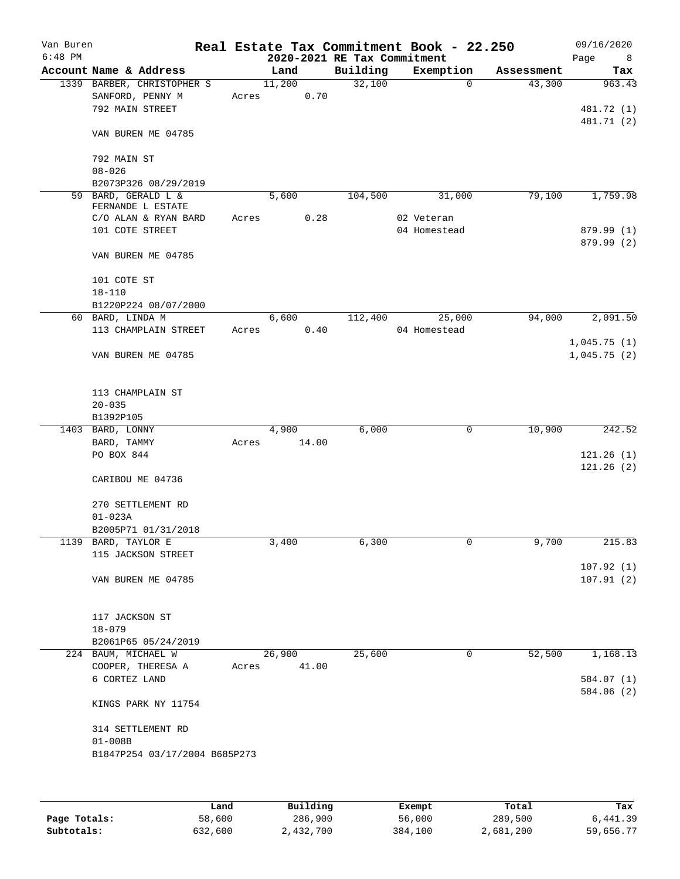| Van Buren<br>$6:48$ PM |                                 |                               |       |        |       | Real Estate Tax Commitment Book - 22.250<br>2020-2021 RE Tax Commitment |              |             |            | 09/16/2020<br>Page<br>8 |
|------------------------|---------------------------------|-------------------------------|-------|--------|-------|-------------------------------------------------------------------------|--------------|-------------|------------|-------------------------|
|                        |                                 | Account Name & Address        |       | Land   |       | Building                                                                | Exemption    |             | Assessment | Tax                     |
|                        |                                 | 1339 BARBER, CHRISTOPHER S    |       | 11,200 |       | 32,100                                                                  |              | $\Omega$    | 43,300     | 963.43                  |
|                        |                                 | SANFORD, PENNY M              | Acres |        | 0.70  |                                                                         |              |             |            |                         |
|                        | 792 MAIN STREET                 |                               |       |        |       |                                                                         |              |             |            | 481.72 (1)              |
|                        |                                 | VAN BUREN ME 04785            |       |        |       |                                                                         |              |             |            | 481.71 (2)              |
|                        | 792 MAIN ST<br>$08 - 026$       |                               |       |        |       |                                                                         |              |             |            |                         |
|                        |                                 | B2073P326 08/29/2019          |       |        |       |                                                                         |              |             |            |                         |
|                        |                                 | 59 BARD, GERALD L &           |       | 5,600  |       | 104,500                                                                 |              | 31,000      | 79,100     | 1,759.98                |
|                        |                                 | FERNANDE L ESTATE             |       |        |       |                                                                         |              |             |            |                         |
|                        |                                 | C/O ALAN & RYAN BARD          | Acres |        | 0.28  |                                                                         | 02 Veteran   |             |            |                         |
|                        | 101 COTE STREET                 |                               |       |        |       |                                                                         | 04 Homestead |             |            | 879.99 (1)              |
|                        |                                 | VAN BUREN ME 04785            |       |        |       |                                                                         |              |             |            | 879.99 (2)              |
|                        | 101 COTE ST<br>$18 - 110$       |                               |       |        |       |                                                                         |              |             |            |                         |
|                        |                                 | B1220P224 08/07/2000          |       |        |       |                                                                         |              |             |            |                         |
|                        | 60 BARD, LINDA M                |                               |       | 6,600  |       | 112,400                                                                 |              | 25,000      | 94,000     | 2,091.50                |
|                        |                                 | 113 CHAMPLAIN STREET          | Acres |        | 0.40  |                                                                         | 04 Homestead |             |            |                         |
|                        |                                 |                               |       |        |       |                                                                         |              |             |            | 1,045.75(1)             |
|                        |                                 | VAN BUREN ME 04785            |       |        |       |                                                                         |              |             |            | 1,045.75(2)             |
|                        |                                 | 113 CHAMPLAIN ST              |       |        |       |                                                                         |              |             |            |                         |
|                        | $20 - 035$                      |                               |       |        |       |                                                                         |              |             |            |                         |
|                        | B1392P105                       |                               |       |        |       | 6,000                                                                   |              | $\mathbf 0$ | 10,900     | 242.52                  |
|                        | 1403 BARD, LONNY<br>BARD, TAMMY |                               | Acres | 4,900  | 14.00 |                                                                         |              |             |            |                         |
|                        | PO BOX 844                      |                               |       |        |       |                                                                         |              |             |            | 121.26(1)               |
|                        |                                 |                               |       |        |       |                                                                         |              |             |            | 121.26(2)               |
|                        |                                 | CARIBOU ME 04736              |       |        |       |                                                                         |              |             |            |                         |
|                        |                                 | 270 SETTLEMENT RD             |       |        |       |                                                                         |              |             |            |                         |
|                        | $01 - 023A$                     |                               |       |        |       |                                                                         |              |             |            |                         |
|                        |                                 | B2005P71 01/31/2018           |       |        |       |                                                                         |              |             |            |                         |
|                        | 1139 BARD, TAYLOR E             |                               |       | 3,400  |       | 6,300                                                                   |              | 0           | 9,700      | 215.83                  |
|                        |                                 | 115 JACKSON STREET            |       |        |       |                                                                         |              |             |            |                         |
|                        |                                 | VAN BUREN ME 04785            |       |        |       |                                                                         |              |             |            | 107.92(1)<br>107.91(2)  |
|                        |                                 |                               |       |        |       |                                                                         |              |             |            |                         |
|                        | 117 JACKSON ST                  |                               |       |        |       |                                                                         |              |             |            |                         |
|                        | $18 - 079$                      |                               |       |        |       |                                                                         |              |             |            |                         |
|                        |                                 | B2061P65 05/24/2019           |       |        |       |                                                                         |              |             |            |                         |
|                        | 224 BAUM, MICHAEL W             |                               |       | 26,900 |       | 25,600                                                                  |              | 0           | 52,500     | 1,168.13                |
|                        |                                 | COOPER, THERESA A             | Acres |        | 41.00 |                                                                         |              |             |            |                         |
|                        | 6 CORTEZ LAND                   |                               |       |        |       |                                                                         |              |             |            | 584.07 (1)              |
|                        |                                 | KINGS PARK NY 11754           |       |        |       |                                                                         |              |             |            | 584.06 (2)              |
|                        |                                 | 314 SETTLEMENT RD             |       |        |       |                                                                         |              |             |            |                         |
|                        | $01 - 008B$                     |                               |       |        |       |                                                                         |              |             |            |                         |
|                        |                                 | B1847P254 03/17/2004 B685P273 |       |        |       |                                                                         |              |             |            |                         |
|                        |                                 |                               |       |        |       |                                                                         |              |             |            |                         |
|                        |                                 |                               |       |        |       |                                                                         |              |             |            |                         |

|              | Land    | Building  | Exempt  | Total     | Tax       |
|--------------|---------|-----------|---------|-----------|-----------|
| Page Totals: | 58,600  | 286,900   | 56,000  | 289,500   | 6,441.39  |
| Subtotals:   | 632,600 | 2,432,700 | 384,100 | 2,681,200 | 59,656.77 |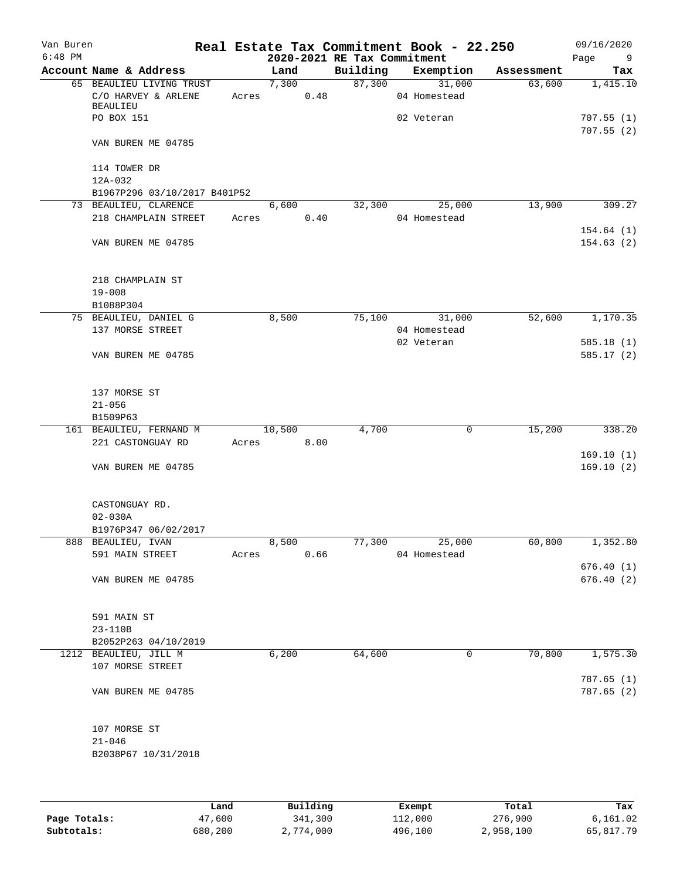| Van Buren |                                                                    |       |                |      |                             | Real Estate Tax Commitment Book - 22.250 |            | 09/16/2020               |
|-----------|--------------------------------------------------------------------|-------|----------------|------|-----------------------------|------------------------------------------|------------|--------------------------|
| $6:48$ PM |                                                                    |       |                |      | 2020-2021 RE Tax Commitment |                                          |            | Page<br>9                |
|           | Account Name & Address                                             |       | Land           |      | Building                    | Exemption                                | Assessment | Tax                      |
|           | 65 BEAULIEU LIVING TRUST<br>C/O HARVEY & ARLENE<br><b>BEAULIEU</b> |       | 7,300<br>Acres | 0.48 | 87,300                      | 31,000<br>04 Homestead                   | 63,600     | 1,415.10                 |
|           | PO BOX 151                                                         |       |                |      |                             | 02 Veteran                               |            | 707.55(1)<br>707.55(2)   |
|           | VAN BUREN ME 04785                                                 |       |                |      |                             |                                          |            |                          |
|           | 114 TOWER DR<br>12A-032                                            |       |                |      |                             |                                          |            |                          |
|           | B1967P296 03/10/2017 B401P52                                       |       |                |      |                             |                                          |            |                          |
|           | 73 BEAULIEU, CLARENCE<br>218 CHAMPLAIN STREET                      |       | 6,600<br>Acres | 0.40 | 32,300                      | 25,000<br>04 Homestead                   | 13,900     | 309.27                   |
|           | VAN BUREN ME 04785                                                 |       |                |      |                             |                                          |            | 154.64(1)<br>154.63(2)   |
|           | 218 CHAMPLAIN ST<br>$19 - 008$                                     |       |                |      |                             |                                          |            |                          |
|           | B1088P304                                                          |       |                |      |                             |                                          |            |                          |
|           | 75 BEAULIEU, DANIEL G<br>137 MORSE STREET                          |       | 8,500          |      | 75,100                      | 31,000<br>04 Homestead                   | 52,600     | 1,170.35                 |
|           | VAN BUREN ME 04785                                                 |       |                |      |                             | 02 Veteran                               |            | 585.18(1)<br>585.17(2)   |
|           | 137 MORSE ST<br>$21 - 056$                                         |       |                |      |                             |                                          |            |                          |
|           | B1509P63                                                           |       |                |      |                             |                                          |            |                          |
|           | 161 BEAULIEU, FERNAND M                                            |       | 10,500         |      | 4,700                       | $\mathbf 0$                              | 15,200     | 338.20                   |
|           | 221 CASTONGUAY RD                                                  | Acres |                | 8.00 |                             |                                          |            | 169.10(1)                |
|           | VAN BUREN ME 04785                                                 |       |                |      |                             |                                          |            | 169.10(2)                |
|           | CASTONGUAY RD.<br>$02 - 030A$                                      |       |                |      |                             |                                          |            |                          |
|           | B1976P347 06/02/2017                                               |       |                |      |                             |                                          |            |                          |
|           | 888 BEAULIEU, IVAN<br>591 MAIN STREET                              | Acres | 8,500          | 0.66 | 77,300                      | 25,000<br>04 Homestead                   | 60,800     | 1,352.80                 |
|           |                                                                    |       |                |      |                             |                                          |            | 676.40(1)                |
|           | VAN BUREN ME 04785                                                 |       |                |      |                             |                                          |            | 676.40(2)                |
|           | 591 MAIN ST                                                        |       |                |      |                             |                                          |            |                          |
|           | 23-110B                                                            |       |                |      |                             |                                          |            |                          |
|           | B2052P263 04/10/2019                                               |       |                |      | 64,600                      | 0                                        | 70,800     | 1,575.30                 |
|           | 1212 BEAULIEU, JILL M<br>107 MORSE STREET                          |       | 6,200          |      |                             |                                          |            |                          |
|           | VAN BUREN ME 04785                                                 |       |                |      |                             |                                          |            | 787.65 (1)<br>787.65 (2) |
|           | 107 MORSE ST<br>$21 - 046$                                         |       |                |      |                             |                                          |            |                          |
|           | B2038P67 10/31/2018                                                |       |                |      |                             |                                          |            |                          |
|           |                                                                    |       |                |      |                             |                                          |            |                          |
|           |                                                                    |       |                |      |                             |                                          |            |                          |

|              | Land    | Building  | Exempt  | Total     | Tax       |
|--------------|---------|-----------|---------|-----------|-----------|
| Page Totals: | 47,600  | 341,300   | 112,000 | 276,900   | 6.161.02  |
| Subtotals:   | 680,200 | 2,774,000 | 496,100 | 2,958,100 | 65,817.79 |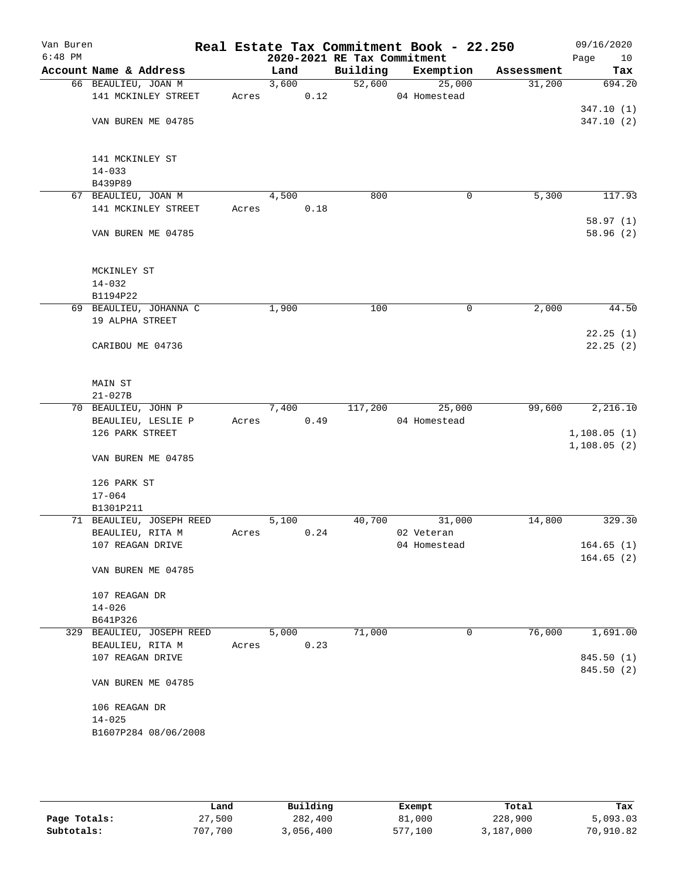| Van Buren<br>$6:48$ PM |                                      |       |       |      | 2020-2021 RE Tax Commitment | Real Estate Tax Commitment Book - 22.250 |            | 09/16/2020<br>Page<br>10 |
|------------------------|--------------------------------------|-------|-------|------|-----------------------------|------------------------------------------|------------|--------------------------|
|                        | Account Name & Address               |       | Land  |      | Building                    | Exemption                                | Assessment | Tax                      |
|                        | 66 BEAULIEU, JOAN M                  |       | 3,600 |      | 52,600                      | 25,000                                   | 31,200     | 694.20                   |
|                        | 141 MCKINLEY STREET                  | Acres |       | 0.12 |                             | 04 Homestead                             |            |                          |
|                        |                                      |       |       |      |                             |                                          |            | 347.10(1)                |
|                        | VAN BUREN ME 04785                   |       |       |      |                             |                                          |            | 347.10(2)                |
|                        |                                      |       |       |      |                             |                                          |            |                          |
|                        | 141 MCKINLEY ST                      |       |       |      |                             |                                          |            |                          |
|                        | $14 - 033$<br>B439P89                |       |       |      |                             |                                          |            |                          |
|                        | 67 BEAULIEU, JOAN M                  |       | 4,500 |      | 800                         | 0                                        | 5,300      | 117.93                   |
|                        | 141 MCKINLEY STREET                  | Acres |       | 0.18 |                             |                                          |            |                          |
|                        |                                      |       |       |      |                             |                                          |            | 58.97(1)                 |
|                        | VAN BUREN ME 04785                   |       |       |      |                             |                                          |            | 58.96(2)                 |
|                        |                                      |       |       |      |                             |                                          |            |                          |
|                        | MCKINLEY ST                          |       |       |      |                             |                                          |            |                          |
|                        | $14 - 032$                           |       |       |      |                             |                                          |            |                          |
|                        | B1194P22                             |       |       |      |                             |                                          |            |                          |
|                        | 69 BEAULIEU, JOHANNA C               |       | 1,900 |      | 100                         | 0                                        | 2,000      | 44.50                    |
|                        | 19 ALPHA STREET                      |       |       |      |                             |                                          |            |                          |
|                        |                                      |       |       |      |                             |                                          |            | 22.25(1)                 |
|                        | CARIBOU ME 04736                     |       |       |      |                             |                                          |            | 22.25(2)                 |
|                        | MAIN ST                              |       |       |      |                             |                                          |            |                          |
|                        | $21 - 027B$                          |       |       |      |                             |                                          |            |                          |
|                        | 70 BEAULIEU, JOHN P                  |       | 7,400 |      | 117,200                     | 25,000                                   | 99,600     | 2,216.10                 |
|                        | BEAULIEU, LESLIE P                   | Acres |       | 0.49 |                             | 04 Homestead                             |            |                          |
|                        | 126 PARK STREET                      |       |       |      |                             |                                          |            | 1,108.05(1)              |
|                        |                                      |       |       |      |                             |                                          |            | 1,108.05(2)              |
|                        | VAN BUREN ME 04785                   |       |       |      |                             |                                          |            |                          |
|                        | 126 PARK ST                          |       |       |      |                             |                                          |            |                          |
|                        | $17 - 064$                           |       |       |      |                             |                                          |            |                          |
|                        | B1301P211                            |       |       |      |                             |                                          |            |                          |
|                        | 71 BEAULIEU, JOSEPH REED             |       | 5,100 | 0.24 | 40,700                      | 31,000                                   | 14,800     | 329.30                   |
|                        | BEAULIEU, RITA M<br>107 REAGAN DRIVE | Acres |       |      |                             | 02 Veteran<br>04 Homestead               |            | 164.65(1)                |
|                        |                                      |       |       |      |                             |                                          |            | 164.65(2)                |
|                        | VAN BUREN ME 04785                   |       |       |      |                             |                                          |            |                          |
|                        | 107 REAGAN DR                        |       |       |      |                             |                                          |            |                          |
|                        | $14 - 026$                           |       |       |      |                             |                                          |            |                          |
|                        | B641P326                             |       |       |      |                             |                                          |            |                          |
|                        | 329 BEAULIEU, JOSEPH REED            |       | 5,000 |      | 71,000                      | 0                                        | 76,000     | 1,691.00                 |
|                        | BEAULIEU, RITA M                     | Acres |       | 0.23 |                             |                                          |            |                          |
|                        | 107 REAGAN DRIVE                     |       |       |      |                             |                                          |            | 845.50 (1)               |
|                        | VAN BUREN ME 04785                   |       |       |      |                             |                                          |            | 845.50 (2)               |
|                        |                                      |       |       |      |                             |                                          |            |                          |
|                        | 106 REAGAN DR                        |       |       |      |                             |                                          |            |                          |
|                        | $14 - 025$                           |       |       |      |                             |                                          |            |                          |
|                        | B1607P284 08/06/2008                 |       |       |      |                             |                                          |            |                          |
|                        |                                      |       |       |      |                             |                                          |            |                          |

|              | Land    | Building  | Exempt  | Total     | Tax       |
|--------------|---------|-----------|---------|-----------|-----------|
| Page Totals: | 27,500  | 282,400   | 81,000  | 228,900   | 5,093.03  |
| Subtotals:   | 707,700 | 3,056,400 | 577,100 | 3,187,000 | 70,910.82 |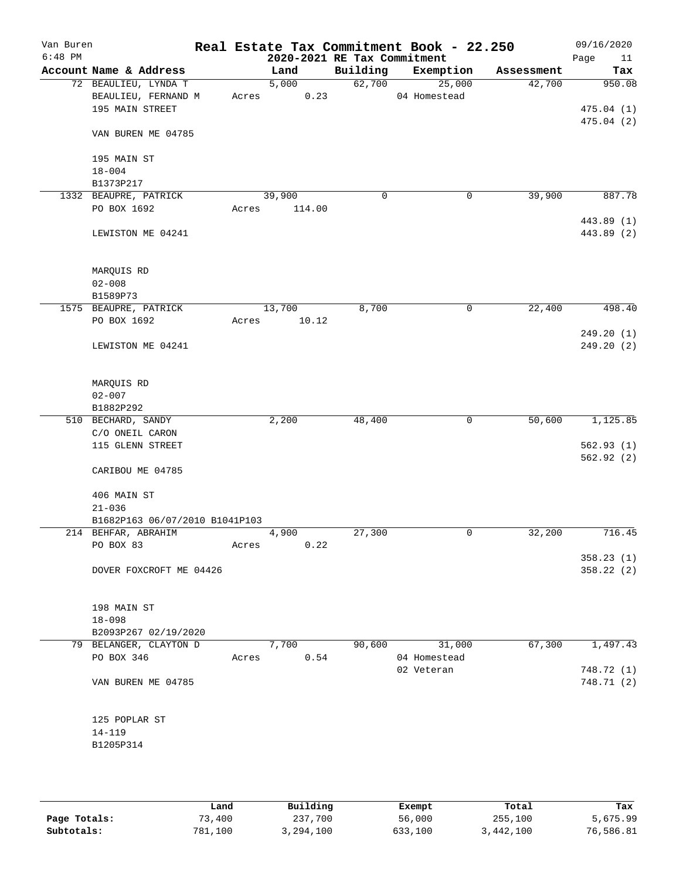| Van Buren<br>$6:48$ PM |                                |       |        | 2020-2021 RE Tax Commitment | Real Estate Tax Commitment Book - 22.250 |            | 09/16/2020<br>Page<br>11 |
|------------------------|--------------------------------|-------|--------|-----------------------------|------------------------------------------|------------|--------------------------|
|                        | Account Name & Address         |       | Land   | Building                    | Exemption                                | Assessment | Tax                      |
|                        | 72 BEAULIEU, LYNDA T           |       | 5,000  | 62,700                      | 25,000                                   | 42,700     | 950.08                   |
|                        | BEAULIEU, FERNAND M            | Acres | 0.23   |                             | 04 Homestead                             |            |                          |
|                        | 195 MAIN STREET                |       |        |                             |                                          |            | 475.04(1)                |
|                        |                                |       |        |                             |                                          |            | 475.04(2)                |
|                        | VAN BUREN ME 04785             |       |        |                             |                                          |            |                          |
|                        | 195 MAIN ST                    |       |        |                             |                                          |            |                          |
|                        | $18 - 004$                     |       |        |                             |                                          |            |                          |
|                        | B1373P217                      |       |        |                             |                                          |            |                          |
|                        | 1332 BEAUPRE, PATRICK          |       | 39,900 | 0                           | 0                                        | 39,900     | 887.78                   |
|                        | PO BOX 1692                    | Acres | 114.00 |                             |                                          |            |                          |
|                        | LEWISTON ME 04241              |       |        |                             |                                          |            | 443.89 (1)<br>443.89 (2) |
|                        |                                |       |        |                             |                                          |            |                          |
|                        | MARQUIS RD                     |       |        |                             |                                          |            |                          |
|                        | $02 - 008$                     |       |        |                             |                                          |            |                          |
|                        | B1589P73                       |       |        |                             |                                          |            |                          |
|                        | 1575 BEAUPRE, PATRICK          |       | 13,700 | 8,700                       | 0                                        | 22,400     | 498.40                   |
|                        | PO BOX 1692                    | Acres | 10.12  |                             |                                          |            |                          |
|                        |                                |       |        |                             |                                          |            | 249.20(1)                |
|                        | LEWISTON ME 04241              |       |        |                             |                                          |            | 249.20(2)                |
|                        | MARQUIS RD                     |       |        |                             |                                          |            |                          |
|                        | $02 - 007$                     |       |        |                             |                                          |            |                          |
|                        | B1882P292                      |       |        |                             |                                          |            |                          |
|                        | 510 BECHARD, SANDY             |       | 2,200  | 48,400                      | 0                                        | 50,600     | 1,125.85                 |
|                        | C/O ONEIL CARON                |       |        |                             |                                          |            |                          |
|                        | 115 GLENN STREET               |       |        |                             |                                          |            | 562.93(1)                |
|                        |                                |       |        |                             |                                          |            | 562.92(2)                |
|                        | CARIBOU ME 04785               |       |        |                             |                                          |            |                          |
|                        | 406 MAIN ST                    |       |        |                             |                                          |            |                          |
|                        | $21 - 036$                     |       |        |                             |                                          |            |                          |
|                        | B1682P163 06/07/2010 B1041P103 |       |        |                             |                                          |            |                          |
|                        | 214 BEHFAR, ABRAHIM            |       | 4,900  | 27,300                      | 0                                        | 32,200     | 716.45                   |
|                        | PO BOX 83                      | Acres | 0.22   |                             |                                          |            |                          |
|                        |                                |       |        |                             |                                          |            | 358.23(1)                |
|                        | DOVER FOXCROFT ME 04426        |       |        |                             |                                          |            | 358.22 (2)               |
|                        | 198 MAIN ST                    |       |        |                             |                                          |            |                          |
|                        | $18 - 098$                     |       |        |                             |                                          |            |                          |
|                        | B2093P267 02/19/2020           |       |        |                             |                                          |            |                          |
|                        | 79 BELANGER, CLAYTON D         |       | 7,700  | 90,600                      | 31,000                                   | 67,300     | 1,497.43                 |
|                        | PO BOX 346                     | Acres | 0.54   |                             | 04 Homestead                             |            |                          |
|                        |                                |       |        |                             | 02 Veteran                               |            | 748.72 (1)               |
|                        | VAN BUREN ME 04785             |       |        |                             |                                          |            | 748.71 (2)               |
|                        | 125 POPLAR ST                  |       |        |                             |                                          |            |                          |
|                        | 14-119                         |       |        |                             |                                          |            |                          |
|                        | B1205P314                      |       |        |                             |                                          |            |                          |
|                        |                                |       |        |                             |                                          |            |                          |
|                        |                                |       |        |                             |                                          |            |                          |
|                        |                                |       |        |                             |                                          |            |                          |

|              | Land    | Building  | Exempt  | Total     | Tax       |
|--------------|---------|-----------|---------|-----------|-----------|
| Page Totals: | 73,400  | 237,700   | 56,000  | 255,100   | 5,675.99  |
| Subtotals:   | 781,100 | 3,294,100 | 633,100 | 3,442,100 | 76,586.81 |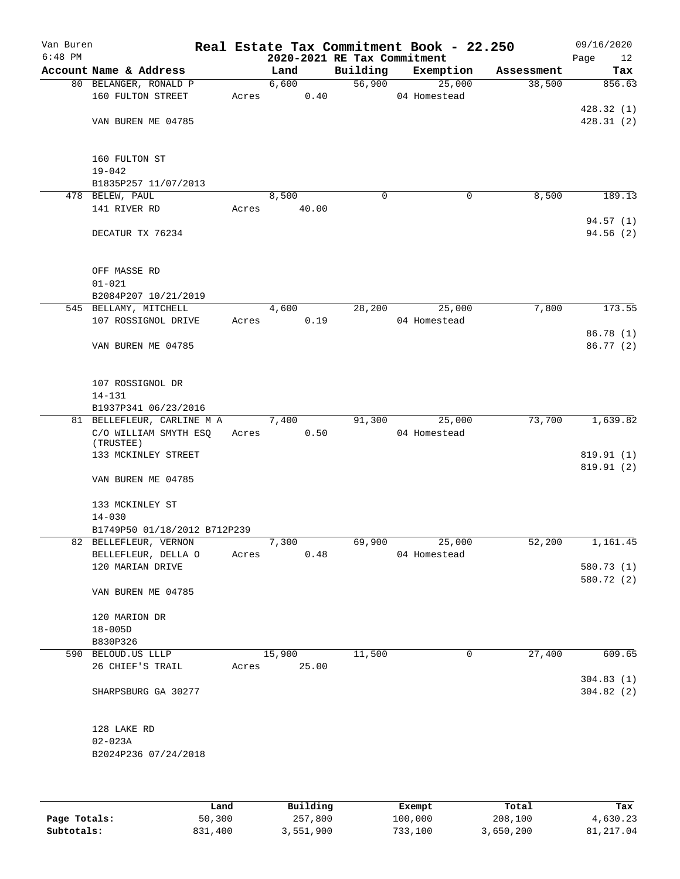| Van Buren<br>$6:48$ PM |                                |       | 2020-2021 RE Tax Commitment |          | Real Estate Tax Commitment Book - 22.250 |            | 09/16/2020        |
|------------------------|--------------------------------|-------|-----------------------------|----------|------------------------------------------|------------|-------------------|
|                        | Account Name & Address         |       | Land                        | Building | Exemption                                | Assessment | Page<br>12<br>Tax |
|                        | 80 BELANGER, RONALD P          |       | 6,600                       | 56,900   | 25,000                                   | 38,500     | 856.63            |
|                        | 160 FULTON STREET              | Acres | 0.40                        |          | 04 Homestead                             |            |                   |
|                        |                                |       |                             |          |                                          |            | 428.32(1)         |
|                        | VAN BUREN ME 04785             |       |                             |          |                                          |            | 428.31(2)         |
|                        |                                |       |                             |          |                                          |            |                   |
|                        | 160 FULTON ST                  |       |                             |          |                                          |            |                   |
|                        | $19 - 042$                     |       |                             |          |                                          |            |                   |
|                        | B1835P257 11/07/2013           |       |                             |          |                                          |            |                   |
|                        | 478 BELEW, PAUL                |       | 8,500                       | $\Omega$ | 0                                        | 8,500      | 189.13            |
|                        | 141 RIVER RD                   | Acres | 40.00                       |          |                                          |            |                   |
|                        |                                |       |                             |          |                                          |            | 94.57(1)          |
|                        | DECATUR TX 76234               |       |                             |          |                                          |            | 94.56(2)          |
|                        | OFF MASSE RD                   |       |                             |          |                                          |            |                   |
|                        | $01 - 021$                     |       |                             |          |                                          |            |                   |
|                        | B2084P207 10/21/2019           |       |                             |          |                                          |            |                   |
|                        | 545 BELLAMY, MITCHELL          |       | 4,600                       | 28,200   | 25,000                                   | 7,800      | 173.55            |
|                        | 107 ROSSIGNOL DRIVE            | Acres | 0.19                        |          | 04 Homestead                             |            |                   |
|                        |                                |       |                             |          |                                          |            | 86.78 (1)         |
|                        | VAN BUREN ME 04785             |       |                             |          |                                          |            | 86.77 (2)         |
|                        |                                |       |                             |          |                                          |            |                   |
|                        | 107 ROSSIGNOL DR               |       |                             |          |                                          |            |                   |
|                        | $14 - 131$                     |       |                             |          |                                          |            |                   |
|                        | B1937P341 06/23/2016           |       |                             |          |                                          |            |                   |
|                        | 81 BELLEFLEUR, CARLINE M A     |       | 7,400                       | 91,300   | 25,000                                   | 73,700     | 1,639.82          |
|                        | C/O WILLIAM SMYTH ESQ          |       | 0.50<br>Acres               |          | 04 Homestead                             |            |                   |
|                        | (TRUSTEE)                      |       |                             |          |                                          |            |                   |
|                        | 133 MCKINLEY STREET            |       |                             |          |                                          |            | 819.91 (1)        |
|                        | VAN BUREN ME 04785             |       |                             |          |                                          |            | 819.91 (2)        |
|                        |                                |       |                             |          |                                          |            |                   |
|                        | 133 MCKINLEY ST                |       |                             |          |                                          |            |                   |
|                        | $14 - 030$                     |       |                             |          |                                          |            |                   |
|                        | B1749P50 01/18/2012 B712P239   |       |                             |          |                                          |            |                   |
|                        | 82 BELLEFLEUR, VERNON          |       | 7,300                       | 69,900   | 25,000                                   | 52,200     | 1,161.45          |
|                        | BELLEFLEUR, DELLA O            | Acres | 0.48                        |          | 04 Homestead                             |            |                   |
|                        | 120 MARIAN DRIVE               |       |                             |          |                                          |            | 580.73 (1)        |
|                        | VAN BUREN ME 04785             |       |                             |          |                                          |            | 580.72 (2)        |
|                        |                                |       |                             |          |                                          |            |                   |
|                        | 120 MARION DR                  |       |                             |          |                                          |            |                   |
|                        | $18 - 005D$                    |       |                             |          |                                          |            |                   |
|                        | B830P326<br>590 BELOUD.US LLLP |       | 15,900                      | 11,500   | 0                                        | 27,400     | 609.65            |
|                        |                                | Acres | 25.00                       |          |                                          |            |                   |
|                        | 26 CHIEF'S TRAIL               |       |                             |          |                                          |            |                   |
|                        |                                |       |                             |          |                                          |            | 304.83(1)         |
|                        | SHARPSBURG GA 30277            |       |                             |          |                                          |            | 304.82(2)         |
|                        | 128 LAKE RD                    |       |                             |          |                                          |            |                   |
|                        | $02 - 023A$                    |       |                             |          |                                          |            |                   |
|                        | B2024P236 07/24/2018           |       |                             |          |                                          |            |                   |
|                        |                                |       |                             |          |                                          |            |                   |
|                        |                                |       |                             |          |                                          |            |                   |
|                        |                                |       |                             |          |                                          |            |                   |
|                        |                                |       |                             |          |                                          |            |                   |

|              | Land    | Building  | Exempt  | Total     | Tax       |
|--------------|---------|-----------|---------|-----------|-----------|
| Page Totals: | 50,300  | 257,800   | 100,000 | 208,100   | 4,630.23  |
| Subtotals:   | 831,400 | 3,551,900 | 733,100 | 3,650,200 | 81,217.04 |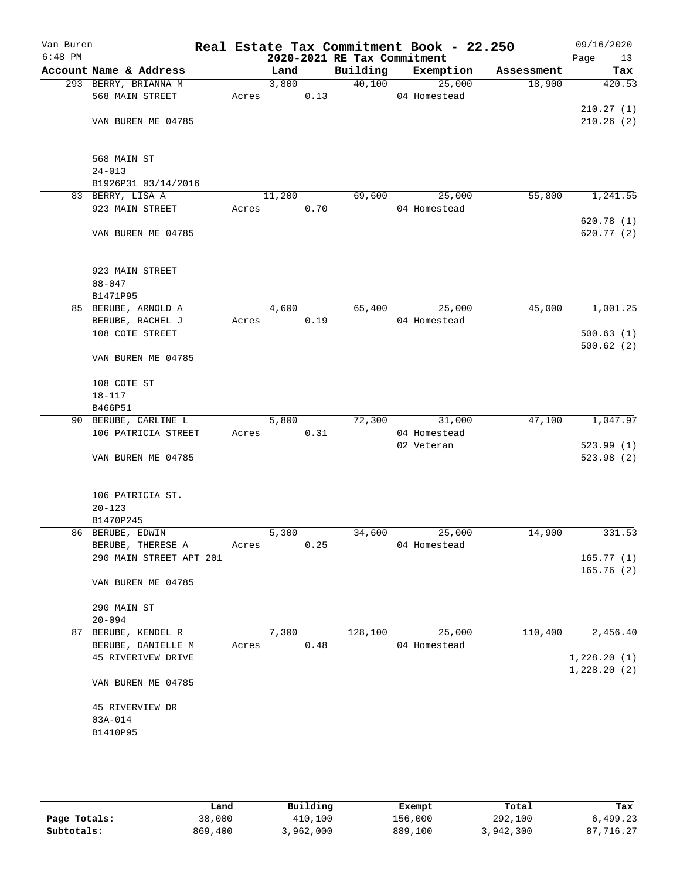| Van Buren<br>$6:48$ PM |                                |       |        |      | 2020-2021 RE Tax Commitment | Real Estate Tax Commitment Book - 22.250 |            | 09/16/2020<br>Page<br>13   |
|------------------------|--------------------------------|-------|--------|------|-----------------------------|------------------------------------------|------------|----------------------------|
|                        | Account Name & Address         |       | Land   |      | Building                    | Exemption                                | Assessment | Tax                        |
|                        | 293 BERRY, BRIANNA M           |       | 3,800  |      | 40,100                      | 25,000                                   | 18,900     | 420.53                     |
|                        | 568 MAIN STREET                | Acres |        | 0.13 |                             | 04 Homestead                             |            |                            |
|                        |                                |       |        |      |                             |                                          |            | 210.27(1)                  |
|                        | VAN BUREN ME 04785             |       |        |      |                             |                                          |            | 210.26(2)                  |
|                        | 568 MAIN ST                    |       |        |      |                             |                                          |            |                            |
|                        | $24 - 013$                     |       |        |      |                             |                                          |            |                            |
|                        | B1926P31 03/14/2016            |       |        |      |                             |                                          |            |                            |
|                        | 83 BERRY, LISA A               |       | 11,200 |      | 69,600                      | 25,000                                   | 55,800     | 1,241.55                   |
|                        | 923 MAIN STREET                | Acres |        | 0.70 |                             | 04 Homestead                             |            | 620.78(1)                  |
|                        | VAN BUREN ME 04785             |       |        |      |                             |                                          |            | 620.77 (2)                 |
|                        | 923 MAIN STREET                |       |        |      |                             |                                          |            |                            |
|                        | $08 - 047$                     |       |        |      |                             |                                          |            |                            |
|                        | B1471P95                       |       |        |      |                             |                                          |            |                            |
|                        | 85 BERUBE, ARNOLD A            |       | 4,600  |      | 65,400                      | 25,000                                   | 45,000     | 1,001.25                   |
|                        | BERUBE, RACHEL J               | Acres |        | 0.19 |                             | 04 Homestead                             |            |                            |
|                        | 108 COTE STREET                |       |        |      |                             |                                          |            | 500.63(1)<br>500.62(2)     |
|                        | VAN BUREN ME 04785             |       |        |      |                             |                                          |            |                            |
|                        | 108 COTE ST                    |       |        |      |                             |                                          |            |                            |
|                        | $18 - 117$                     |       |        |      |                             |                                          |            |                            |
|                        | B466P51                        |       |        |      |                             |                                          |            |                            |
|                        | 90 BERUBE, CARLINE L           |       | 5,800  |      |                             | 72,300 31,000                            | 47,100     | 1,047.97                   |
|                        | 106 PATRICIA STREET            | Acres |        | 0.31 |                             | 04 Homestead                             |            |                            |
|                        | VAN BUREN ME 04785             |       |        |      |                             | 02 Veteran                               |            | 523.99(1)<br>523.98 (2)    |
|                        | 106 PATRICIA ST.<br>$20 - 123$ |       |        |      |                             |                                          |            |                            |
|                        | B1470P245                      |       |        |      |                             |                                          |            |                            |
|                        | 86 BERUBE, EDWIN               |       | 5,300  |      | 34,600                      | 25,000                                   | 14,900     | 331.53                     |
|                        | BERUBE, THERESE A              | Acres |        | 0.25 |                             | 04 Homestead                             |            |                            |
|                        | 290 MAIN STREET APT 201        |       |        |      |                             |                                          |            | 165.77(1)                  |
|                        |                                |       |        |      |                             |                                          |            | 165.76(2)                  |
|                        | VAN BUREN ME 04785             |       |        |      |                             |                                          |            |                            |
|                        | 290 MAIN ST                    |       |        |      |                             |                                          |            |                            |
|                        | $20 - 094$                     |       |        |      |                             |                                          |            |                            |
|                        | 87 BERUBE, KENDEL R            |       | 7,300  |      | 128,100                     | 25,000                                   | 110,400    | 2,456.40                   |
|                        | BERUBE, DANIELLE M             | Acres |        | 0.48 |                             | 04 Homestead                             |            |                            |
|                        | 45 RIVERIVEW DRIVE             |       |        |      |                             |                                          |            | 1,228.20(1)<br>1,228.20(2) |
|                        | VAN BUREN ME 04785             |       |        |      |                             |                                          |            |                            |
|                        | 45 RIVERVIEW DR                |       |        |      |                             |                                          |            |                            |
|                        | 03A-014                        |       |        |      |                             |                                          |            |                            |
|                        | B1410P95                       |       |        |      |                             |                                          |            |                            |
|                        |                                |       |        |      |                             |                                          |            |                            |
|                        |                                |       |        |      |                             |                                          |            |                            |

|              | Land    | Building  | Exempt  | Total     | Tax       |
|--------------|---------|-----------|---------|-----------|-----------|
| Page Totals: | 38,000  | 410,100   | 156,000 | 292,100   | 6,499.23  |
| Subtotals:   | 869,400 | 3,962,000 | 889,100 | 3,942,300 | 87,716.27 |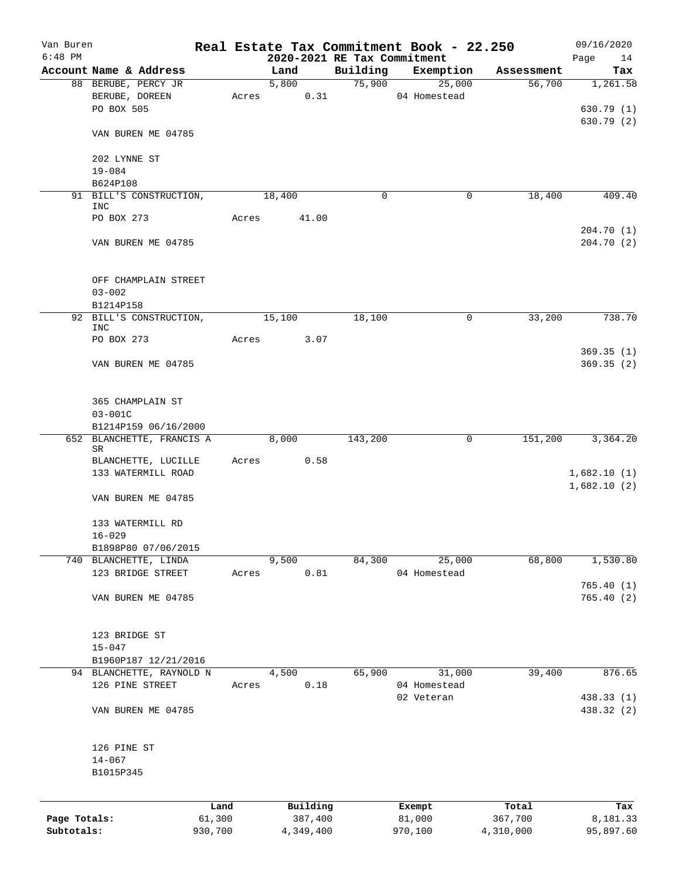| Van Buren                  |                                       |                   |       |        |                      |                                         | Real Estate Tax Commitment Book - 22.250 |        |                      | 09/16/2020               |
|----------------------------|---------------------------------------|-------------------|-------|--------|----------------------|-----------------------------------------|------------------------------------------|--------|----------------------|--------------------------|
| $6:48$ PM                  | Account Name & Address                |                   |       | Land   |                      | 2020-2021 RE Tax Commitment<br>Building | Exemption                                |        |                      | Page<br>14<br>Tax        |
|                            | 88 BERUBE, PERCY JR                   |                   |       | 5,800  |                      |                                         | 75,900                                   | 25,000 | Assessment<br>56,700 | 1,261.58                 |
|                            | BERUBE, DOREEN                        |                   | Acres |        | 0.31                 |                                         | 04 Homestead                             |        |                      |                          |
|                            | PO BOX 505                            |                   |       |        |                      |                                         |                                          |        |                      | 630.79(1)                |
|                            |                                       |                   |       |        |                      |                                         |                                          |        |                      | 630.79 (2)               |
|                            | VAN BUREN ME 04785                    |                   |       |        |                      |                                         |                                          |        |                      |                          |
|                            | 202 LYNNE ST                          |                   |       |        |                      |                                         |                                          |        |                      |                          |
|                            | $19 - 084$                            |                   |       |        |                      |                                         |                                          |        |                      |                          |
|                            | B624P108                              |                   |       |        |                      |                                         |                                          |        |                      |                          |
|                            | 91 BILL'S CONSTRUCTION,<br><b>INC</b> |                   |       | 18,400 |                      | 0                                       |                                          | 0      | 18,400               | 409.40                   |
|                            | PO BOX 273                            |                   | Acres |        | 41.00                |                                         |                                          |        |                      |                          |
|                            |                                       |                   |       |        |                      |                                         |                                          |        |                      | 204.70 (1)               |
|                            | VAN BUREN ME 04785                    |                   |       |        |                      |                                         |                                          |        |                      | 204.70(2)                |
|                            | OFF CHAMPLAIN STREET                  |                   |       |        |                      |                                         |                                          |        |                      |                          |
|                            | $03 - 002$                            |                   |       |        |                      |                                         |                                          |        |                      |                          |
|                            | B1214P158                             |                   |       |        |                      |                                         |                                          |        |                      |                          |
|                            | 92 BILL'S CONSTRUCTION,               |                   |       | 15,100 |                      | 18,100                                  |                                          | 0      | 33,200               | 738.70                   |
|                            | INC<br>PO BOX 273                     |                   | Acres |        | 3.07                 |                                         |                                          |        |                      |                          |
|                            |                                       |                   |       |        |                      |                                         |                                          |        |                      | 369.35(1)                |
|                            | VAN BUREN ME 04785                    |                   |       |        |                      |                                         |                                          |        |                      | 369.35(2)                |
|                            | 365 CHAMPLAIN ST                      |                   |       |        |                      |                                         |                                          |        |                      |                          |
|                            | $03 - 001C$                           |                   |       |        |                      |                                         |                                          |        |                      |                          |
|                            | B1214P159 06/16/2000                  |                   |       |        |                      |                                         |                                          |        |                      |                          |
|                            | 652 BLANCHETTE, FRANCIS A             |                   |       | 8,000  |                      | 143,200                                 |                                          | 0      | 151,200              | 3,364.20                 |
|                            | SR<br>BLANCHETTE, LUCILLE             |                   | Acres |        | 0.58                 |                                         |                                          |        |                      |                          |
|                            | 133 WATERMILL ROAD                    |                   |       |        |                      |                                         |                                          |        |                      | 1,682.10(1)              |
|                            |                                       |                   |       |        |                      |                                         |                                          |        |                      | 1,682.10(2)              |
|                            | VAN BUREN ME 04785                    |                   |       |        |                      |                                         |                                          |        |                      |                          |
|                            | 133 WATERMILL RD                      |                   |       |        |                      |                                         |                                          |        |                      |                          |
|                            | $16 - 029$                            |                   |       |        |                      |                                         |                                          |        |                      |                          |
|                            | B1898P80 07/06/2015                   |                   |       |        |                      |                                         |                                          |        |                      |                          |
|                            | 740 BLANCHETTE, LINDA                 |                   |       | 9,500  |                      | 84,300                                  |                                          | 25,000 | 68,800               | 1,530.80                 |
|                            | 123 BRIDGE STREET                     |                   | Acres |        | 0.81                 |                                         | 04 Homestead                             |        |                      |                          |
|                            |                                       |                   |       |        |                      |                                         |                                          |        |                      | 765.40(1)                |
|                            | VAN BUREN ME 04785                    |                   |       |        |                      |                                         |                                          |        |                      | 765.40(2)                |
|                            | 123 BRIDGE ST                         |                   |       |        |                      |                                         |                                          |        |                      |                          |
|                            | $15 - 047$                            |                   |       |        |                      |                                         |                                          |        |                      |                          |
|                            | B1960P187 12/21/2016                  |                   |       |        |                      |                                         |                                          |        |                      |                          |
|                            | 94 BLANCHETTE, RAYNOLD N              |                   |       | 4,500  |                      | 65,900                                  |                                          | 31,000 | 39,400               | 876.65                   |
|                            | 126 PINE STREET                       |                   | Acres |        | 0.18                 |                                         | 04 Homestead                             |        |                      |                          |
|                            | VAN BUREN ME 04785                    |                   |       |        |                      |                                         | 02 Veteran                               |        |                      | 438.33 (1)<br>438.32 (2) |
|                            |                                       |                   |       |        |                      |                                         |                                          |        |                      |                          |
|                            | 126 PINE ST                           |                   |       |        |                      |                                         |                                          |        |                      |                          |
|                            | $14 - 067$                            |                   |       |        |                      |                                         |                                          |        |                      |                          |
|                            | B1015P345                             |                   |       |        |                      |                                         |                                          |        |                      |                          |
|                            |                                       |                   |       |        |                      |                                         |                                          |        |                      |                          |
|                            |                                       | Land              |       |        | Building             |                                         | Exempt                                   |        | Total                | Tax                      |
| Page Totals:<br>Subtotals: |                                       | 61,300<br>930,700 |       |        | 387,400<br>4,349,400 |                                         | 81,000<br>970,100                        |        | 367,700<br>4,310,000 | 8,181.33<br>95,897.60    |
|                            |                                       |                   |       |        |                      |                                         |                                          |        |                      |                          |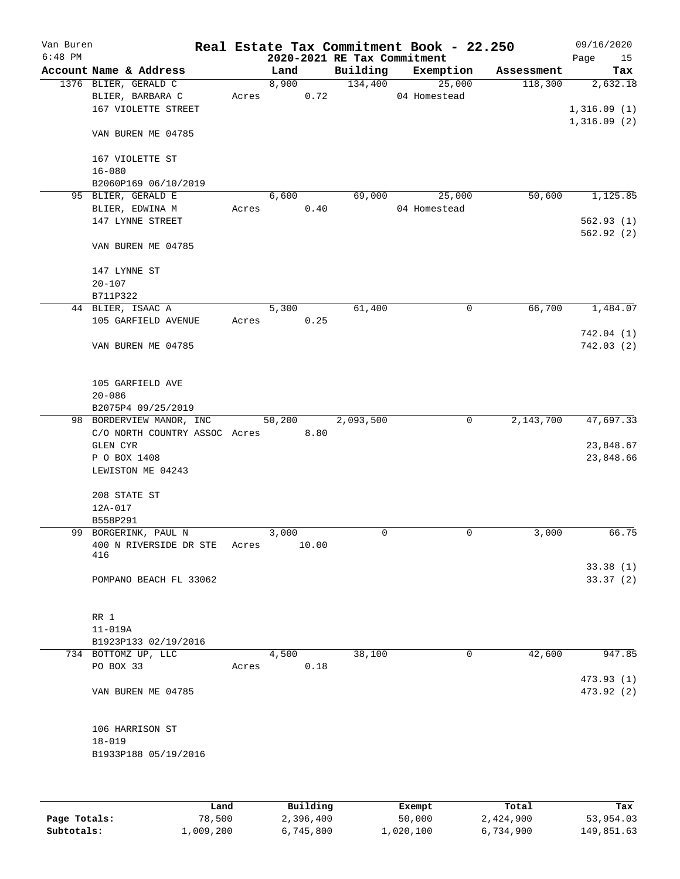| Van Buren<br>$6:48$ PM |                                    |       |        |       | 2020-2021 RE Tax Commitment | Real Estate Tax Commitment Book - 22.250 |            | 09/16/2020             |
|------------------------|------------------------------------|-------|--------|-------|-----------------------------|------------------------------------------|------------|------------------------|
|                        | Account Name & Address             |       |        |       |                             |                                          |            | Page<br>15             |
|                        |                                    |       | Land   |       | Building                    | Exemption                                | Assessment | Tax                    |
|                        | 1376 BLIER, GERALD C               |       | 8,900  |       | 134,400                     | 25,000                                   | 118,300    | 2,632.18               |
|                        | BLIER, BARBARA C                   |       | Acres  | 0.72  |                             | 04 Homestead                             |            |                        |
|                        | 167 VIOLETTE STREET                |       |        |       |                             |                                          |            | 1,316.09(1)            |
|                        | VAN BUREN ME 04785                 |       |        |       |                             |                                          |            | 1,316.09(2)            |
|                        | 167 VIOLETTE ST                    |       |        |       |                             |                                          |            |                        |
|                        | $16 - 080$                         |       |        |       |                             |                                          |            |                        |
|                        | B2060P169 06/10/2019               |       |        |       |                             |                                          |            |                        |
|                        | 95 BLIER, GERALD E                 |       | 6,600  |       | 69,000                      | 25,000                                   | 50,600     | 1,125.85               |
|                        |                                    |       |        | 0.40  |                             | 04 Homestead                             |            |                        |
|                        | BLIER, EDWINA M                    | Acres |        |       |                             |                                          |            |                        |
|                        | 147 LYNNE STREET                   |       |        |       |                             |                                          |            | 562.93(1)<br>562.92(2) |
|                        | VAN BUREN ME 04785                 |       |        |       |                             |                                          |            |                        |
|                        | 147 LYNNE ST                       |       |        |       |                             |                                          |            |                        |
|                        | $20 - 107$                         |       |        |       |                             |                                          |            |                        |
|                        | B711P322                           |       |        |       |                             |                                          |            |                        |
|                        | 44 BLIER, ISAAC A                  |       | 5,300  |       | 61,400                      | 0                                        | 66,700     | 1,484.07               |
|                        | 105 GARFIELD AVENUE                | Acres |        | 0.25  |                             |                                          |            |                        |
|                        |                                    |       |        |       |                             |                                          |            | 742.04(1)              |
|                        |                                    |       |        |       |                             |                                          |            |                        |
|                        | VAN BUREN ME 04785                 |       |        |       |                             |                                          |            | 742.03(2)              |
|                        | 105 GARFIELD AVE                   |       |        |       |                             |                                          |            |                        |
|                        | $20 - 086$                         |       |        |       |                             |                                          |            |                        |
|                        | B2075P4 09/25/2019                 |       |        |       |                             |                                          |            |                        |
|                        | 98 BORDERVIEW MANOR, INC           |       | 50,200 |       | 2,093,500                   | 0                                        | 2,143,700  | 47,697.33              |
|                        | C/O NORTH COUNTRY ASSOC Acres 8.80 |       |        |       |                             |                                          |            |                        |
|                        | GLEN CYR                           |       |        |       |                             |                                          |            | 23,848.67              |
|                        | P O BOX 1408                       |       |        |       |                             |                                          |            | 23,848.66              |
|                        | LEWISTON ME 04243                  |       |        |       |                             |                                          |            |                        |
|                        |                                    |       |        |       |                             |                                          |            |                        |
|                        | 208 STATE ST                       |       |        |       |                             |                                          |            |                        |
|                        | 12A-017                            |       |        |       |                             |                                          |            |                        |
|                        | B558P291                           |       |        |       |                             |                                          |            |                        |
|                        | 99 BORGERINK, PAUL N               |       | 3,000  |       | 0                           | 0                                        | 3,000      | 66.75                  |
|                        | 400 N RIVERSIDE DR STE             | Acres |        | 10.00 |                             |                                          |            |                        |
|                        | 416                                |       |        |       |                             |                                          |            |                        |
|                        |                                    |       |        |       |                             |                                          |            | 33.38(1)               |
|                        | POMPANO BEACH FL 33062             |       |        |       |                             |                                          |            | 33.37(2)               |
|                        |                                    |       |        |       |                             |                                          |            |                        |
|                        |                                    |       |        |       |                             |                                          |            |                        |
|                        | RR 1                               |       |        |       |                             |                                          |            |                        |
|                        | 11-019A                            |       |        |       |                             |                                          |            |                        |
|                        | B1923P133 02/19/2016               |       |        |       |                             |                                          |            |                        |
|                        | 734 BOTTOMZ UP, LLC                |       | 4,500  |       | 38,100                      | 0                                        | 42,600     | 947.85                 |
|                        | PO BOX 33                          | Acres |        | 0.18  |                             |                                          |            |                        |
|                        |                                    |       |        |       |                             |                                          |            | 473.93 (1)             |
|                        | VAN BUREN ME 04785                 |       |        |       |                             |                                          |            | 473.92 (2)             |
|                        | 106 HARRISON ST                    |       |        |       |                             |                                          |            |                        |
|                        | $18 - 019$                         |       |        |       |                             |                                          |            |                        |
|                        | B1933P188 05/19/2016               |       |        |       |                             |                                          |            |                        |
|                        |                                    |       |        |       |                             |                                          |            |                        |
|                        |                                    |       |        |       |                             |                                          |            |                        |
|                        |                                    |       |        |       |                             |                                          |            |                        |
|                        |                                    |       |        |       |                             |                                          |            |                        |

|              | Land      | Building  | Exempt    | Total     | Tax        |
|--------------|-----------|-----------|-----------|-----------|------------|
| Page Totals: | 78,500    | 2,396,400 | 50,000    | 2,424,900 | 53,954.03  |
| Subtotals:   | 1,009,200 | 6,745,800 | 1,020,100 | 6,734,900 | 149,851.63 |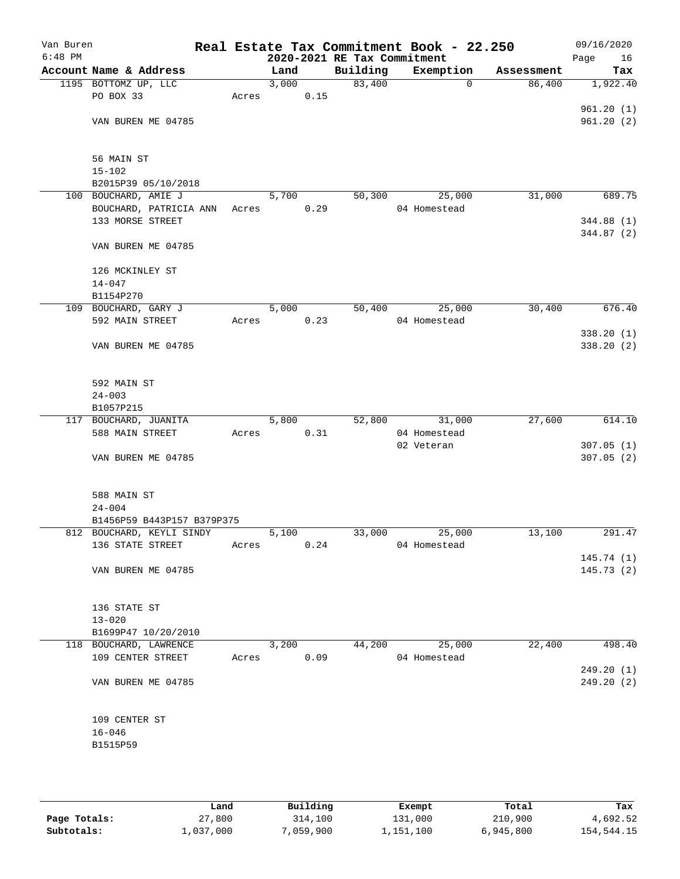| Van Buren<br>$6:48$ PM |                                               |       |       |      | 2020-2021 RE Tax Commitment | Real Estate Tax Commitment Book - 22.250 |            | 09/16/2020<br>Page<br>16 |
|------------------------|-----------------------------------------------|-------|-------|------|-----------------------------|------------------------------------------|------------|--------------------------|
|                        | Account Name & Address                        |       | Land  |      | Building                    | Exemption                                | Assessment | Tax                      |
|                        | 1195 BOTTOMZ UP, LLC                          |       | 3,000 |      | 83,400                      | $\mathbf 0$                              | 86,400     | 1,922.40                 |
|                        | PO BOX 33                                     | Acres |       | 0.15 |                             |                                          |            |                          |
|                        |                                               |       |       |      |                             |                                          |            | 961.20(1)                |
|                        | VAN BUREN ME 04785                            |       |       |      |                             |                                          |            | 961.20(2)                |
|                        |                                               |       |       |      |                             |                                          |            |                          |
|                        |                                               |       |       |      |                             |                                          |            |                          |
|                        | 56 MAIN ST<br>$15 - 102$                      |       |       |      |                             |                                          |            |                          |
|                        | B2015P39 05/10/2018                           |       |       |      |                             |                                          |            |                          |
|                        | 100 BOUCHARD, AMIE J                          |       | 5,700 |      | 50,300                      | 25,000                                   | 31,000     | 689.75                   |
|                        | BOUCHARD, PATRICIA ANN Acres                  |       |       | 0.29 |                             | 04 Homestead                             |            |                          |
|                        | 133 MORSE STREET                              |       |       |      |                             |                                          |            | 344.88 (1)               |
|                        |                                               |       |       |      |                             |                                          |            | 344.87 (2)               |
|                        | VAN BUREN ME 04785                            |       |       |      |                             |                                          |            |                          |
|                        |                                               |       |       |      |                             |                                          |            |                          |
|                        | 126 MCKINLEY ST                               |       |       |      |                             |                                          |            |                          |
|                        | $14 - 047$                                    |       |       |      |                             |                                          |            |                          |
|                        | B1154P270                                     |       |       |      |                             |                                          |            |                          |
|                        | 109 BOUCHARD, GARY J                          |       | 5,000 |      | 50,400                      | 25,000                                   | 30,400     | 676.40                   |
|                        | 592 MAIN STREET                               | Acres |       | 0.23 |                             | 04 Homestead                             |            |                          |
|                        | VAN BUREN ME 04785                            |       |       |      |                             |                                          |            | 338.20 (1)<br>338.20(2)  |
|                        |                                               |       |       |      |                             |                                          |            |                          |
|                        |                                               |       |       |      |                             |                                          |            |                          |
|                        | 592 MAIN ST                                   |       |       |      |                             |                                          |            |                          |
|                        | $24 - 003$                                    |       |       |      |                             |                                          |            |                          |
|                        | B1057P215                                     |       |       |      |                             |                                          |            |                          |
|                        | 117 BOUCHARD, JUANITA                         |       | 5,800 |      | 52,800                      | 31,000                                   | 27,600     | 614.10                   |
|                        | 588 MAIN STREET                               | Acres |       | 0.31 |                             | 04 Homestead                             |            |                          |
|                        |                                               |       |       |      |                             | 02 Veteran                               |            | 307.05(1)                |
|                        | VAN BUREN ME 04785                            |       |       |      |                             |                                          |            | 307.05(2)                |
|                        |                                               |       |       |      |                             |                                          |            |                          |
|                        | 588 MAIN ST                                   |       |       |      |                             |                                          |            |                          |
|                        | $24 - 004$                                    |       |       |      |                             |                                          |            |                          |
|                        | B1456P59 B443P157 B379P375                    |       |       |      |                             |                                          |            |                          |
|                        | 812 BOUCHARD, KEYLI SINDY                     |       | 5,100 |      | 33,000                      | 25,000                                   | 13,100     | 291.47                   |
|                        | 136 STATE STREET                              | Acres |       | 0.24 |                             | 04 Homestead                             |            |                          |
|                        |                                               |       |       |      |                             |                                          |            | 145.74(1)                |
|                        | VAN BUREN ME 04785                            |       |       |      |                             |                                          |            | 145.73(2)                |
|                        |                                               |       |       |      |                             |                                          |            |                          |
|                        |                                               |       |       |      |                             |                                          |            |                          |
|                        | 136 STATE ST                                  |       |       |      |                             |                                          |            |                          |
|                        | $13 - 020$                                    |       |       |      |                             |                                          |            |                          |
|                        | B1699P47 10/20/2010<br>118 BOUCHARD, LAWRENCE |       | 3,200 |      | 44,200                      | 25,000                                   | 22,400     | 498.40                   |
|                        | 109 CENTER STREET                             | Acres |       | 0.09 |                             | 04 Homestead                             |            |                          |
|                        |                                               |       |       |      |                             |                                          |            | 249.20(1)                |
|                        | VAN BUREN ME 04785                            |       |       |      |                             |                                          |            | 249.20(2)                |
|                        |                                               |       |       |      |                             |                                          |            |                          |
|                        |                                               |       |       |      |                             |                                          |            |                          |
|                        | 109 CENTER ST                                 |       |       |      |                             |                                          |            |                          |
|                        | $16 - 046$                                    |       |       |      |                             |                                          |            |                          |
|                        | B1515P59                                      |       |       |      |                             |                                          |            |                          |
|                        |                                               |       |       |      |                             |                                          |            |                          |
|                        |                                               |       |       |      |                             |                                          |            |                          |

|              | Land      | Building  | Exempt    | Total     | Tax        |
|--------------|-----------|-----------|-----------|-----------|------------|
| Page Totals: | 27,800    | 314,100   | 131,000   | 210,900   | 4,692.52   |
| Subtotals:   | 1,037,000 | 7,059,900 | 1,151,100 | 6,945,800 | 154,544.15 |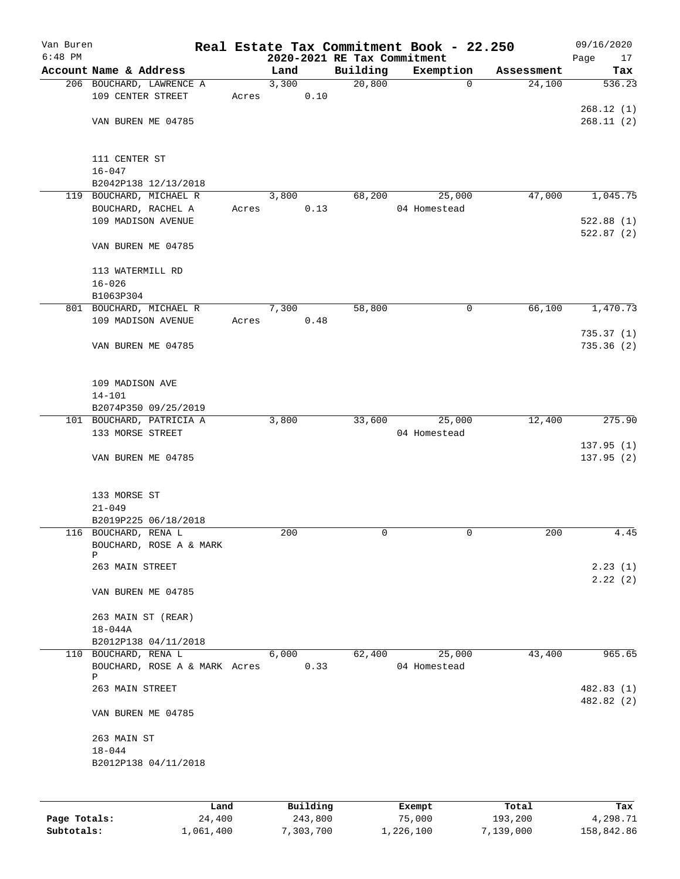| Van Buren<br>$6:48$ PM |                                              |       | 2020-2021 RE Tax Commitment |          | Real Estate Tax Commitment Book - 22.250 |            | 09/16/2020               |
|------------------------|----------------------------------------------|-------|-----------------------------|----------|------------------------------------------|------------|--------------------------|
|                        | Account Name & Address                       |       | Land                        | Building | Exemption                                | Assessment | Page<br>17<br>Tax        |
|                        | 206 BOUCHARD, LAWRENCE A                     |       | 3,300                       | 20,800   | $\Omega$                                 | 24,100     | 536.23                   |
|                        | 109 CENTER STREET                            | Acres | 0.10                        |          |                                          |            |                          |
|                        |                                              |       |                             |          |                                          |            | 268.12(1)                |
|                        | VAN BUREN ME 04785                           |       |                             |          |                                          |            | 268.11(2)                |
|                        | 111 CENTER ST                                |       |                             |          |                                          |            |                          |
|                        | $16 - 047$                                   |       |                             |          |                                          |            |                          |
|                        | B2042P138 12/13/2018                         |       |                             |          |                                          |            |                          |
|                        | 119 BOUCHARD, MICHAEL R                      |       | 3,800                       | 68,200   | 25,000                                   | 47,000     | 1,045.75                 |
|                        | BOUCHARD, RACHEL A                           | Acres | 0.13                        |          | 04 Homestead                             |            |                          |
|                        | 109 MADISON AVENUE                           |       |                             |          |                                          |            | 522.88(1)<br>522.87(2)   |
|                        | VAN BUREN ME 04785                           |       |                             |          |                                          |            |                          |
|                        | 113 WATERMILL RD                             |       |                             |          |                                          |            |                          |
|                        | $16 - 026$                                   |       |                             |          |                                          |            |                          |
|                        | B1063P304                                    |       |                             |          |                                          |            |                          |
|                        | 801 BOUCHARD, MICHAEL R                      |       | 7,300                       | 58,800   | 0                                        | 66,100     | 1,470.73                 |
|                        | 109 MADISON AVENUE                           | Acres | 0.48                        |          |                                          |            |                          |
|                        | VAN BUREN ME 04785                           |       |                             |          |                                          |            | 735.37(1)<br>735.36(2)   |
|                        |                                              |       |                             |          |                                          |            |                          |
|                        | 109 MADISON AVE                              |       |                             |          |                                          |            |                          |
|                        | $14 - 101$                                   |       |                             |          |                                          |            |                          |
|                        | B2074P350 09/25/2019                         |       |                             |          |                                          |            |                          |
|                        | 101 BOUCHARD, PATRICIA A                     |       | 3,800                       | 33,600   | 25,000                                   | 12,400     | 275.90                   |
|                        | 133 MORSE STREET                             |       |                             |          | 04 Homestead                             |            |                          |
|                        |                                              |       |                             |          |                                          |            | 137.95(1)                |
|                        | VAN BUREN ME 04785                           |       |                             |          |                                          |            | 137.95(2)                |
|                        | 133 MORSE ST                                 |       |                             |          |                                          |            |                          |
|                        | $21 - 049$                                   |       |                             |          |                                          |            |                          |
|                        | B2019P225 06/18/2018                         |       |                             |          |                                          |            |                          |
|                        | 116 BOUCHARD, RENA L                         |       | 200                         | 0        | 0                                        | 200        | 4.45                     |
|                        | BOUCHARD, ROSE A & MARK<br>Ρ                 |       |                             |          |                                          |            |                          |
|                        | 263 MAIN STREET                              |       |                             |          |                                          |            | 2.23(1)                  |
|                        |                                              |       |                             |          |                                          |            | 2.22(2)                  |
|                        | VAN BUREN ME 04785                           |       |                             |          |                                          |            |                          |
|                        | 263 MAIN ST (REAR)                           |       |                             |          |                                          |            |                          |
|                        | $18 - 044A$                                  |       |                             |          |                                          |            |                          |
|                        | B2012P138 04/11/2018<br>110 BOUCHARD, RENA L |       | 6,000                       | 62,400   | 25,000                                   | 43,400     | 965.65                   |
|                        | BOUCHARD, ROSE A & MARK Acres                |       | 0.33                        |          | 04 Homestead                             |            |                          |
|                        | Ρ                                            |       |                             |          |                                          |            |                          |
|                        | 263 MAIN STREET                              |       |                             |          |                                          |            | 482.83 (1)<br>482.82 (2) |
|                        | VAN BUREN ME 04785                           |       |                             |          |                                          |            |                          |
|                        | 263 MAIN ST                                  |       |                             |          |                                          |            |                          |
|                        | $18 - 044$                                   |       |                             |          |                                          |            |                          |
|                        | B2012P138 04/11/2018                         |       |                             |          |                                          |            |                          |
|                        |                                              |       |                             |          |                                          |            |                          |
|                        | Land                                         |       | Building                    |          | Exempt                                   | Total      | Tax                      |

|              | Land      | Building  | Exempt    | Total     | Tax        |
|--------------|-----------|-----------|-----------|-----------|------------|
| Page Totals: | 24,400    | 243,800   | 75,000    | 193,200   | 4,298.71   |
| Subtotals:   | 1,061,400 | 7,303,700 | 1,226,100 | 7,139,000 | 158,842.86 |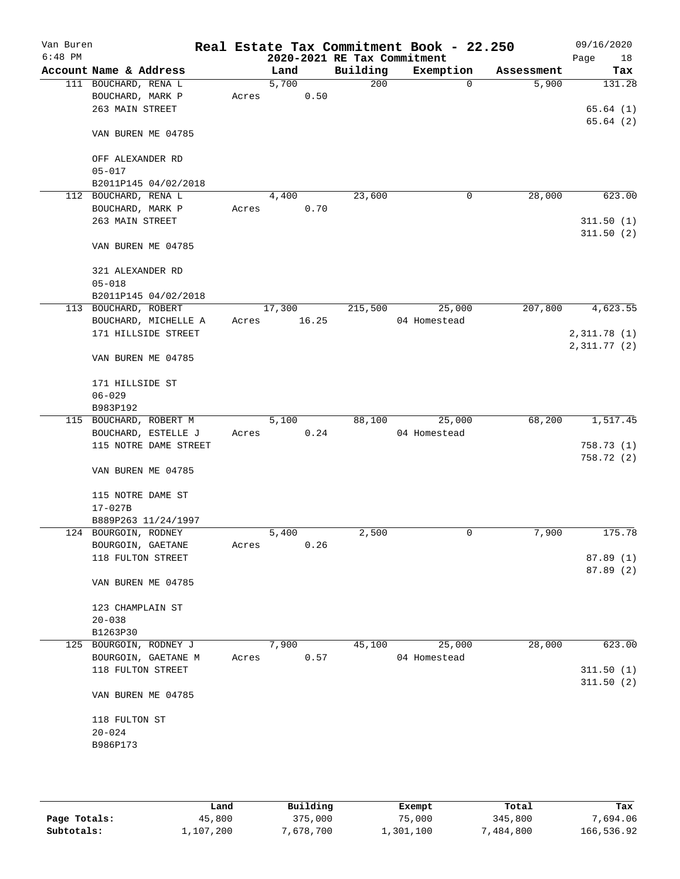| Van Buren<br>$6:48$ PM |                        |       |        |      | 2020-2021 RE Tax Commitment | Real Estate Tax Commitment Book - 22.250 |            | 09/16/2020<br>Page<br>18 |
|------------------------|------------------------|-------|--------|------|-----------------------------|------------------------------------------|------------|--------------------------|
|                        | Account Name & Address |       | Land   |      | Building                    | Exemption                                | Assessment | Tax                      |
|                        | 111 BOUCHARD, RENA L   |       | 5,700  |      | 200                         | $\mathbf 0$                              | 5,900      | 131.28                   |
|                        | BOUCHARD, MARK P       | Acres |        | 0.50 |                             |                                          |            |                          |
|                        | 263 MAIN STREET        |       |        |      |                             |                                          |            | 65.64(1)                 |
|                        |                        |       |        |      |                             |                                          |            | 65.64(2)                 |
|                        | VAN BUREN ME 04785     |       |        |      |                             |                                          |            |                          |
|                        | OFF ALEXANDER RD       |       |        |      |                             |                                          |            |                          |
|                        | $05 - 017$             |       |        |      |                             |                                          |            |                          |
|                        | B2011P145 04/02/2018   |       |        |      |                             |                                          |            |                          |
| 112                    | BOUCHARD, RENA L       |       | 4,400  |      | 23,600                      | 0                                        | 28,000     | 623.00                   |
|                        | BOUCHARD, MARK P       | Acres |        | 0.70 |                             |                                          |            |                          |
|                        | 263 MAIN STREET        |       |        |      |                             |                                          |            | 311.50(1)                |
|                        | VAN BUREN ME 04785     |       |        |      |                             |                                          |            | 311.50(2)                |
|                        | 321 ALEXANDER RD       |       |        |      |                             |                                          |            |                          |
|                        | $05 - 018$             |       |        |      |                             |                                          |            |                          |
|                        | B2011P145 04/02/2018   |       |        |      |                             |                                          |            |                          |
|                        | 113 BOUCHARD, ROBERT   |       | 17,300 |      | 215,500                     | 25,000                                   | 207,800    | 4,623.55                 |
|                        | BOUCHARD, MICHELLE A   | Acres | 16.25  |      |                             | 04 Homestead                             |            |                          |
|                        | 171 HILLSIDE STREET    |       |        |      |                             |                                          |            | 2,311.78 (1)             |
|                        |                        |       |        |      |                             |                                          |            | 2,311.77(2)              |
|                        | VAN BUREN ME 04785     |       |        |      |                             |                                          |            |                          |
|                        | 171 HILLSIDE ST        |       |        |      |                             |                                          |            |                          |
|                        | $06 - 029$             |       |        |      |                             |                                          |            |                          |
|                        | B983P192               |       |        |      |                             |                                          |            |                          |
|                        | 115 BOUCHARD, ROBERT M |       | 5,100  |      | 88,100                      | 25,000                                   | 68,200     | 1,517.45                 |
|                        | BOUCHARD, ESTELLE J    |       |        | 0.24 |                             | 04 Homestead                             |            |                          |
|                        |                        | Acres |        |      |                             |                                          |            |                          |
|                        | 115 NOTRE DAME STREET  |       |        |      |                             |                                          |            | 758.73(1)                |
|                        | VAN BUREN ME 04785     |       |        |      |                             |                                          |            | 758.72 (2)               |
|                        | 115 NOTRE DAME ST      |       |        |      |                             |                                          |            |                          |
|                        | $17 - 027B$            |       |        |      |                             |                                          |            |                          |
|                        | B889P263 11/24/1997    |       |        |      |                             |                                          |            |                          |
|                        | 124 BOURGOIN, RODNEY   |       | 5,400  |      | 2,500                       | 0                                        | 7,900      | 175.78                   |
|                        | BOURGOIN, GAETANE      | Acres |        | 0.26 |                             |                                          |            |                          |
|                        | 118 FULTON STREET      |       |        |      |                             |                                          |            | 87.89(1)                 |
|                        | VAN BUREN ME 04785     |       |        |      |                             |                                          |            | 87.89 (2)                |
|                        | 123 CHAMPLAIN ST       |       |        |      |                             |                                          |            |                          |
|                        | $20 - 038$             |       |        |      |                             |                                          |            |                          |
|                        | B1263P30               |       |        |      |                             |                                          |            |                          |
|                        | 125 BOURGOIN, RODNEY J |       | 7,900  |      | 45,100                      | 25,000                                   | 28,000     | 623.00                   |
|                        |                        | Acres |        | 0.57 |                             | 04 Homestead                             |            |                          |
|                        | BOURGOIN, GAETANE M    |       |        |      |                             |                                          |            |                          |
|                        | 118 FULTON STREET      |       |        |      |                             |                                          |            | 311.50(1)                |
|                        | VAN BUREN ME 04785     |       |        |      |                             |                                          |            | 311.50(2)                |
|                        |                        |       |        |      |                             |                                          |            |                          |
|                        | 118 FULTON ST          |       |        |      |                             |                                          |            |                          |
|                        | $20 - 024$             |       |        |      |                             |                                          |            |                          |
|                        | B986P173               |       |        |      |                             |                                          |            |                          |
|                        |                        |       |        |      |                             |                                          |            |                          |
|                        |                        |       |        |      |                             |                                          |            |                          |

|              | Land      | Building  | Exempt    | Total     | Tax        |
|--------------|-----------|-----------|-----------|-----------|------------|
| Page Totals: | 45,800    | 375,000   | 75,000    | 345,800   | 7,694.06   |
| Subtotals:   | 1,107,200 | 7,678,700 | ⊥,301,100 | 7,484,800 | 166,536.92 |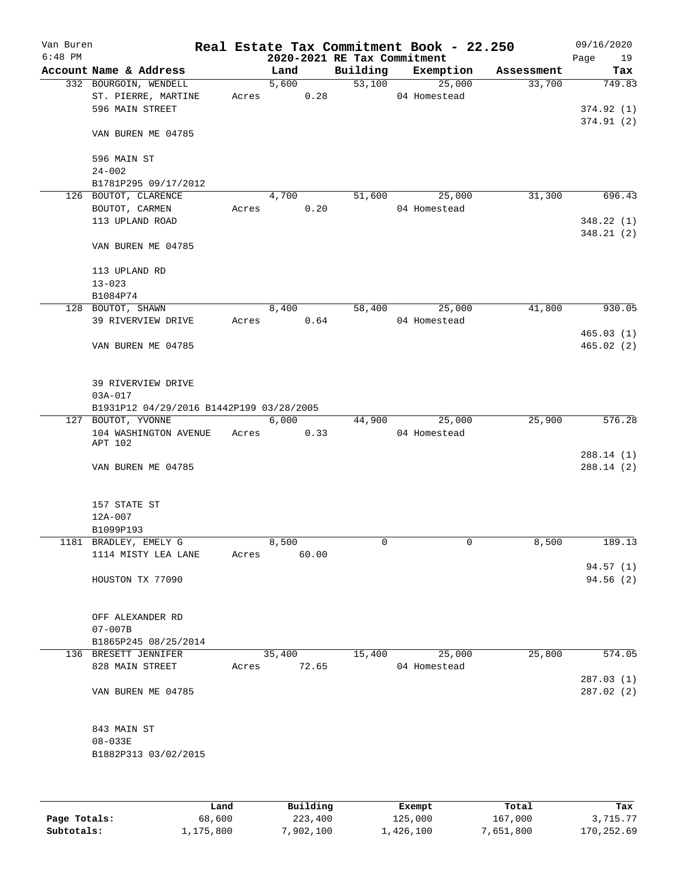| Van Buren<br>$6:48$ PM |                                          |       |               | 2020-2021 RE Tax Commitment | Real Estate Tax Commitment Book - 22.250 |            | 09/16/2020<br>Page<br>19 |
|------------------------|------------------------------------------|-------|---------------|-----------------------------|------------------------------------------|------------|--------------------------|
|                        | Account Name & Address                   |       | Land          | Building                    | Exemption                                | Assessment | Tax                      |
|                        | 332 BOURGOIN, WENDELL                    |       | 5,600         | 53,100                      | 25,000                                   | 33,700     | 749.83                   |
|                        | ST. PIERRE, MARTINE                      | Acres | 0.28          |                             | 04 Homestead                             |            |                          |
|                        | 596 MAIN STREET                          |       |               |                             |                                          |            | 374.92(1)                |
|                        | VAN BUREN ME 04785                       |       |               |                             |                                          |            | 374.91(2)                |
|                        | 596 MAIN ST                              |       |               |                             |                                          |            |                          |
|                        | $24 - 002$                               |       |               |                             |                                          |            |                          |
|                        | B1781P295 09/17/2012                     |       |               |                             |                                          |            |                          |
|                        | 126 BOUTOT, CLARENCE<br>BOUTOT, CARMEN   | Acres | 4,700<br>0.20 | 51,600                      | 25,000<br>04 Homestead                   | 31,300     | 696.43                   |
|                        | 113 UPLAND ROAD                          |       |               |                             |                                          |            | 348.22(1)                |
|                        |                                          |       |               |                             |                                          |            | 348.21(2)                |
|                        | VAN BUREN ME 04785                       |       |               |                             |                                          |            |                          |
|                        | 113 UPLAND RD                            |       |               |                             |                                          |            |                          |
|                        | $13 - 023$                               |       |               |                             |                                          |            |                          |
|                        | B1084P74                                 |       |               |                             |                                          |            |                          |
|                        | 128 BOUTOT, SHAWN                        |       | 8,400         | 58,400                      | 25,000                                   | 41,800     | 930.05                   |
|                        | 39 RIVERVIEW DRIVE                       | Acres | 0.64          |                             | 04 Homestead                             |            |                          |
|                        |                                          |       |               |                             |                                          |            | 465.03(1)                |
|                        | VAN BUREN ME 04785                       |       |               |                             |                                          |            | 465.02(2)                |
|                        | 39 RIVERVIEW DRIVE                       |       |               |                             |                                          |            |                          |
|                        | $03A - 017$                              |       |               |                             |                                          |            |                          |
|                        | B1931P12 04/29/2016 B1442P199 03/28/2005 |       |               |                             |                                          |            |                          |
|                        | 127 BOUTOT, YVONNE                       |       | 6,000         | 44,900                      | 25,000                                   | 25,900     | 576.28                   |
|                        | 104 WASHINGTON AVENUE<br>APT 102         | Acres | 0.33          |                             | 04 Homestead                             |            |                          |
|                        |                                          |       |               |                             |                                          |            | 288.14(1)                |
|                        | VAN BUREN ME 04785                       |       |               |                             |                                          |            | 288.14 (2)               |
|                        | 157 STATE ST                             |       |               |                             |                                          |            |                          |
|                        | 12A-007                                  |       |               |                             |                                          |            |                          |
|                        | B1099P193                                |       |               |                             |                                          |            |                          |
|                        | 1181 BRADLEY, EMELY G                    |       | 8,500         | 0                           | 0                                        | 8,500      | 189.13                   |
|                        | 1114 MISTY LEA LANE                      | Acres | 60.00         |                             |                                          |            |                          |
|                        | HOUSTON TX 77090                         |       |               |                             |                                          |            | 94.57(1)<br>94.56(2)     |
|                        |                                          |       |               |                             |                                          |            |                          |
|                        | OFF ALEXANDER RD                         |       |               |                             |                                          |            |                          |
|                        | $07 - 007B$                              |       |               |                             |                                          |            |                          |
|                        | B1865P245 08/25/2014                     |       |               |                             |                                          |            |                          |
|                        | 136 BRESETT JENNIFER                     |       | 35,400        | 15,400                      | 25,000                                   | 25,800     | 574.05                   |
|                        | 828 MAIN STREET                          | Acres | 72.65         |                             | 04 Homestead                             |            |                          |
|                        |                                          |       |               |                             |                                          |            | 287.03 (1)               |
|                        | VAN BUREN ME 04785                       |       |               |                             |                                          |            | 287.02(2)                |
|                        | 843 MAIN ST                              |       |               |                             |                                          |            |                          |
|                        | $08 - 033E$                              |       |               |                             |                                          |            |                          |
|                        | B1882P313 03/02/2015                     |       |               |                             |                                          |            |                          |
|                        |                                          |       |               |                             |                                          |            |                          |
|                        |                                          |       |               |                             |                                          |            |                          |
|                        |                                          |       |               |                             |                                          |            |                          |

|              | Land      | Building  | Exempt    | Total     | Tax        |
|--------------|-----------|-----------|-----------|-----------|------------|
| Page Totals: | 68,600    | 223,400   | 125,000   | 167,000   | 3,715.77   |
| Subtotals:   | 1,175,800 | 7,902,100 | 1,426,100 | 7,651,800 | 170,252.69 |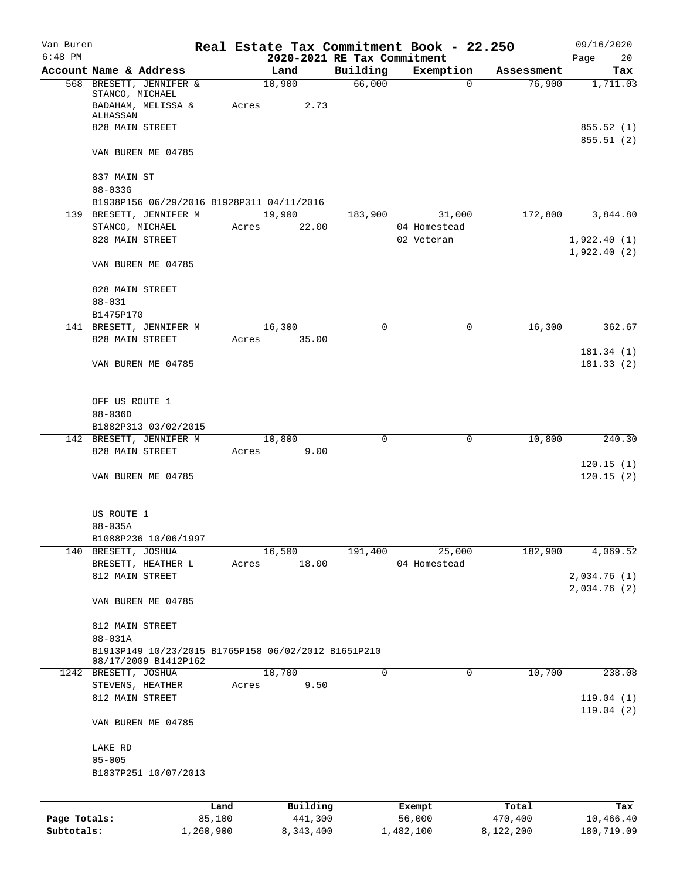| Van Buren    |                                                                             |        |                             |                    | Real Estate Tax Commitment Book - 22.250 |                      | 09/16/2020                  |
|--------------|-----------------------------------------------------------------------------|--------|-----------------------------|--------------------|------------------------------------------|----------------------|-----------------------------|
| $6:48$ PM    | Account Name & Address                                                      |        | 2020-2021 RE Tax Commitment |                    |                                          |                      | 20<br>Page                  |
|              | 568 BRESETT, JENNIFER &                                                     |        | Land<br>10,900              | Building<br>66,000 | Exemption<br>0                           | Assessment<br>76,900 | Tax<br>1,711.03             |
|              | STANCO, MICHAEL<br>BADAHAM, MELISSA &<br>ALHASSAN                           | Acres  | 2.73                        |                    |                                          |                      |                             |
|              | 828 MAIN STREET                                                             |        |                             |                    |                                          |                      | 855.52 (1)<br>855.51(2)     |
|              | VAN BUREN ME 04785                                                          |        |                             |                    |                                          |                      |                             |
|              | 837 MAIN ST<br>$08 - 033G$                                                  |        |                             |                    |                                          |                      |                             |
|              | B1938P156 06/29/2016 B1928P311 04/11/2016                                   |        |                             |                    |                                          |                      |                             |
|              | 139 BRESETT, JENNIFER M                                                     |        | 19,900                      | 183,900            | 31,000                                   | 172,800              | 3,844.80                    |
|              | STANCO, MICHAEL                                                             | Acres  | 22.00                       |                    | 04 Homestead                             |                      |                             |
|              | 828 MAIN STREET                                                             |        |                             |                    | 02 Veteran                               |                      | 1,922.40(1)                 |
|              | VAN BUREN ME 04785                                                          |        |                             |                    |                                          |                      | 1,922.40(2)                 |
|              | 828 MAIN STREET                                                             |        |                             |                    |                                          |                      |                             |
|              | $08 - 031$                                                                  |        |                             |                    |                                          |                      |                             |
|              | B1475P170                                                                   |        |                             |                    |                                          |                      |                             |
|              | 141 BRESETT, JENNIFER M                                                     |        | 16,300                      | $\Omega$           | 0                                        | 16,300               | 362.67                      |
|              | 828 MAIN STREET                                                             | Acres  | 35.00                       |                    |                                          |                      |                             |
|              |                                                                             |        |                             |                    |                                          |                      | 181.34(1)<br>181.33(2)      |
|              | VAN BUREN ME 04785                                                          |        |                             |                    |                                          |                      |                             |
|              | OFF US ROUTE 1                                                              |        |                             |                    |                                          |                      |                             |
|              | $08 - 036D$                                                                 |        |                             |                    |                                          |                      |                             |
|              | B1882P313 03/02/2015                                                        |        |                             |                    |                                          |                      |                             |
|              | 142 BRESETT, JENNIFER M                                                     |        | 10,800                      | 0                  | 0                                        | 10,800               | 240.30                      |
|              | 828 MAIN STREET                                                             | Acres  | 9.00                        |                    |                                          |                      | 120.15(1)                   |
|              | VAN BUREN ME 04785                                                          |        |                             |                    |                                          |                      | 120.15(2)                   |
|              | US ROUTE 1                                                                  |        |                             |                    |                                          |                      |                             |
|              | $08 - 035A$                                                                 |        |                             |                    |                                          |                      |                             |
|              | B1088P236 10/06/1997                                                        |        |                             |                    |                                          |                      |                             |
|              | 140 BRESETT, JOSHUA                                                         |        | 16,500                      | 191,400            | 25,000                                   | 182,900              | 4,069.52                    |
|              | BRESETT, HEATHER L                                                          | Acres  | 18.00                       |                    | 04 Homestead                             |                      |                             |
|              | 812 MAIN STREET                                                             |        |                             |                    |                                          |                      | 2,034.76(1)<br>2,034.76 (2) |
|              | VAN BUREN ME 04785                                                          |        |                             |                    |                                          |                      |                             |
|              | 812 MAIN STREET                                                             |        |                             |                    |                                          |                      |                             |
|              | $08 - 031A$                                                                 |        |                             |                    |                                          |                      |                             |
|              | B1913P149 10/23/2015 B1765P158 06/02/2012 B1651P210<br>08/17/2009 B1412P162 |        |                             |                    |                                          |                      |                             |
|              | 1242 BRESETT, JOSHUA                                                        |        | 10,700                      | 0                  | 0                                        | 10,700               | 238.08                      |
|              | STEVENS, HEATHER                                                            | Acres  | 9.50                        |                    |                                          |                      |                             |
|              | 812 MAIN STREET                                                             |        |                             |                    |                                          |                      | 119.04(1)                   |
|              | VAN BUREN ME 04785                                                          |        |                             |                    |                                          |                      | 119.04(2)                   |
|              | LAKE RD                                                                     |        |                             |                    |                                          |                      |                             |
|              | $05 - 005$<br>B1837P251 10/07/2013                                          |        |                             |                    |                                          |                      |                             |
|              |                                                                             |        |                             |                    |                                          |                      |                             |
|              |                                                                             | Land   | Building                    |                    | Exempt                                   | Total                | Tax                         |
| Page Totals: |                                                                             | 85,100 | 441,300                     |                    | 56,000                                   | 470,400              | 10,466.40                   |

**Subtotals:** 1,260,900 8,343,400 1,482,100 8,122,200 180,719.09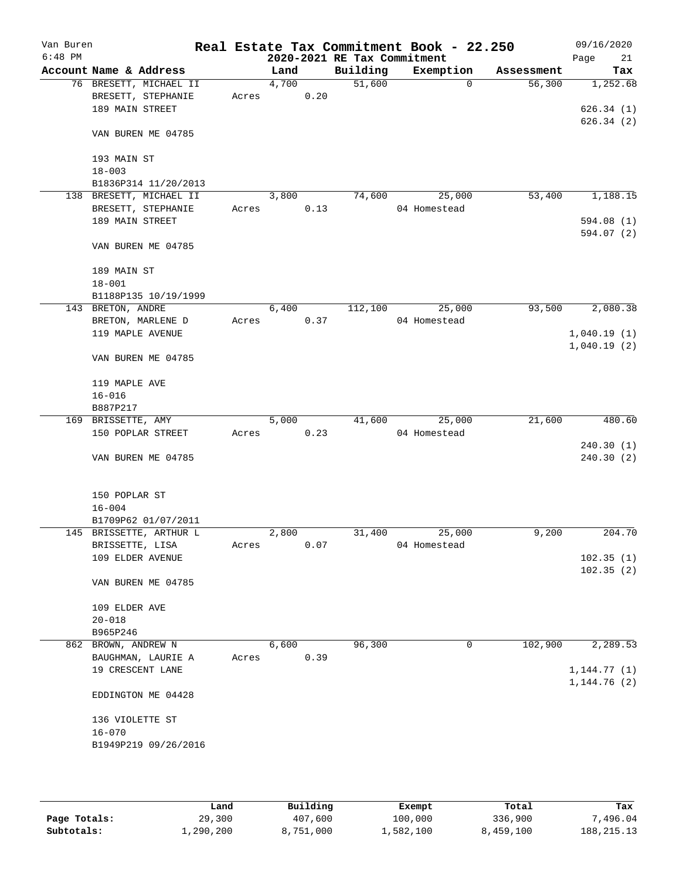| Van Buren<br>$6:48$ PM |                               |                         |       |       |                        | Real Estate Tax Commitment Book - 22.250<br>2020-2021 RE Tax Commitment |              |          |            | 09/16/2020<br>21<br>Page |
|------------------------|-------------------------------|-------------------------|-------|-------|------------------------|-------------------------------------------------------------------------|--------------|----------|------------|--------------------------|
|                        |                               | Account Name & Address  |       | Land  |                        | Building                                                                | Exemption    |          | Assessment | Tax                      |
|                        |                               | 76 BRESETT, MICHAEL II  |       | 4,700 |                        | 51,600                                                                  |              | $\Omega$ | 56,300     | 1,252.68                 |
|                        |                               | BRESETT, STEPHANIE      | Acres |       | ${\tt 0}$ . ${\tt 20}$ |                                                                         |              |          |            |                          |
|                        | 189 MAIN STREET               |                         |       |       |                        |                                                                         |              |          |            | 626.34(1)                |
|                        |                               |                         |       |       |                        |                                                                         |              |          |            | 626.34(2)                |
|                        |                               | VAN BUREN ME 04785      |       |       |                        |                                                                         |              |          |            |                          |
|                        |                               |                         |       |       |                        |                                                                         |              |          |            |                          |
|                        | 193 MAIN ST                   |                         |       |       |                        |                                                                         |              |          |            |                          |
|                        | $18 - 003$                    |                         |       |       |                        |                                                                         |              |          |            |                          |
|                        |                               | B1836P314 11/20/2013    |       |       |                        |                                                                         |              |          |            |                          |
|                        |                               | 138 BRESETT, MICHAEL II |       | 3,800 |                        | 74,600                                                                  |              | 25,000   | 53,400     | 1,188.15                 |
|                        | 189 MAIN STREET               | BRESETT, STEPHANIE      | Acres |       | 0.13                   |                                                                         | 04 Homestead |          |            | 594.08(1)                |
|                        |                               |                         |       |       |                        |                                                                         |              |          |            | 594.07 (2)               |
|                        |                               | VAN BUREN ME 04785      |       |       |                        |                                                                         |              |          |            |                          |
|                        |                               |                         |       |       |                        |                                                                         |              |          |            |                          |
|                        | 189 MAIN ST                   |                         |       |       |                        |                                                                         |              |          |            |                          |
|                        | $18 - 001$                    |                         |       |       |                        |                                                                         |              |          |            |                          |
|                        |                               | B1188P135 10/19/1999    |       |       |                        |                                                                         |              |          |            |                          |
|                        | 143 BRETON, ANDRE             |                         |       | 6,400 |                        | 112,100                                                                 |              | 25,000   | 93,500     | 2,080.38                 |
|                        |                               | BRETON, MARLENE D       | Acres |       | 0.37                   |                                                                         | 04 Homestead |          |            |                          |
|                        |                               | 119 MAPLE AVENUE        |       |       |                        |                                                                         |              |          |            | 1,040.19(1)              |
|                        |                               |                         |       |       |                        |                                                                         |              |          |            | 1,040.19(2)              |
|                        |                               | VAN BUREN ME 04785      |       |       |                        |                                                                         |              |          |            |                          |
|                        |                               |                         |       |       |                        |                                                                         |              |          |            |                          |
|                        | 119 MAPLE AVE                 |                         |       |       |                        |                                                                         |              |          |            |                          |
|                        | $16 - 016$                    |                         |       |       |                        |                                                                         |              |          |            |                          |
|                        | B887P217                      |                         |       |       |                        |                                                                         |              |          |            |                          |
|                        | 169 BRISSETTE, AMY            |                         |       | 5,000 |                        | 41,600                                                                  |              | 25,000   | 21,600     | 480.60                   |
|                        |                               | 150 POPLAR STREET       | Acres |       | 0.23                   |                                                                         | 04 Homestead |          |            |                          |
|                        |                               |                         |       |       |                        |                                                                         |              |          |            | 240.30(1)                |
|                        |                               | VAN BUREN ME 04785      |       |       |                        |                                                                         |              |          |            | 240.30(2)                |
|                        |                               |                         |       |       |                        |                                                                         |              |          |            |                          |
|                        | 150 POPLAR ST                 |                         |       |       |                        |                                                                         |              |          |            |                          |
|                        | $16 - 004$                    |                         |       |       |                        |                                                                         |              |          |            |                          |
|                        |                               | B1709P62 01/07/2011     |       |       |                        |                                                                         |              |          |            |                          |
|                        |                               | 145 BRISSETTE, ARTHUR L |       | 2,800 |                        | 31,400                                                                  |              | 25,000   | 9,200      | 204.70                   |
|                        | BRISSETTE, LISA               |                         | Acres |       | 0.07                   |                                                                         | 04 Homestead |          |            |                          |
|                        |                               | 109 ELDER AVENUE        |       |       |                        |                                                                         |              |          |            | 102.35(1)                |
|                        |                               |                         |       |       |                        |                                                                         |              |          |            | 102.35(2)                |
|                        |                               | VAN BUREN ME 04785      |       |       |                        |                                                                         |              |          |            |                          |
|                        |                               |                         |       |       |                        |                                                                         |              |          |            |                          |
|                        | 109 ELDER AVE                 |                         |       |       |                        |                                                                         |              |          |            |                          |
|                        | $20 - 018$                    |                         |       |       |                        |                                                                         |              |          |            |                          |
|                        | B965P246                      |                         |       |       |                        |                                                                         |              |          |            |                          |
|                        | 862 BROWN, ANDREW N           |                         |       | 6,600 |                        | 96,300                                                                  |              | 0        | 102,900    | 2,289.53                 |
|                        |                               | BAUGHMAN, LAURIE A      | Acres |       | 0.39                   |                                                                         |              |          |            |                          |
|                        |                               | 19 CRESCENT LANE        |       |       |                        |                                                                         |              |          |            | 1, 144.77(1)             |
|                        |                               |                         |       |       |                        |                                                                         |              |          |            | 1, 144.76(2)             |
|                        |                               | EDDINGTON ME 04428      |       |       |                        |                                                                         |              |          |            |                          |
|                        |                               |                         |       |       |                        |                                                                         |              |          |            |                          |
|                        | 136 VIOLETTE ST<br>$16 - 070$ |                         |       |       |                        |                                                                         |              |          |            |                          |
|                        |                               | B1949P219 09/26/2016    |       |       |                        |                                                                         |              |          |            |                          |
|                        |                               |                         |       |       |                        |                                                                         |              |          |            |                          |
|                        |                               |                         |       |       |                        |                                                                         |              |          |            |                          |
|                        |                               |                         |       |       |                        |                                                                         |              |          |            |                          |

|              | Land      | Building  | Exempt    | Total     | Tax          |
|--------------|-----------|-----------|-----------|-----------|--------------|
| Page Totals: | 29,300    | 407,600   | 100,000   | 336,900   | 7,496.04     |
| Subtotals:   | 1,290,200 | 8,751,000 | 1,582,100 | 8,459,100 | 188, 215. 13 |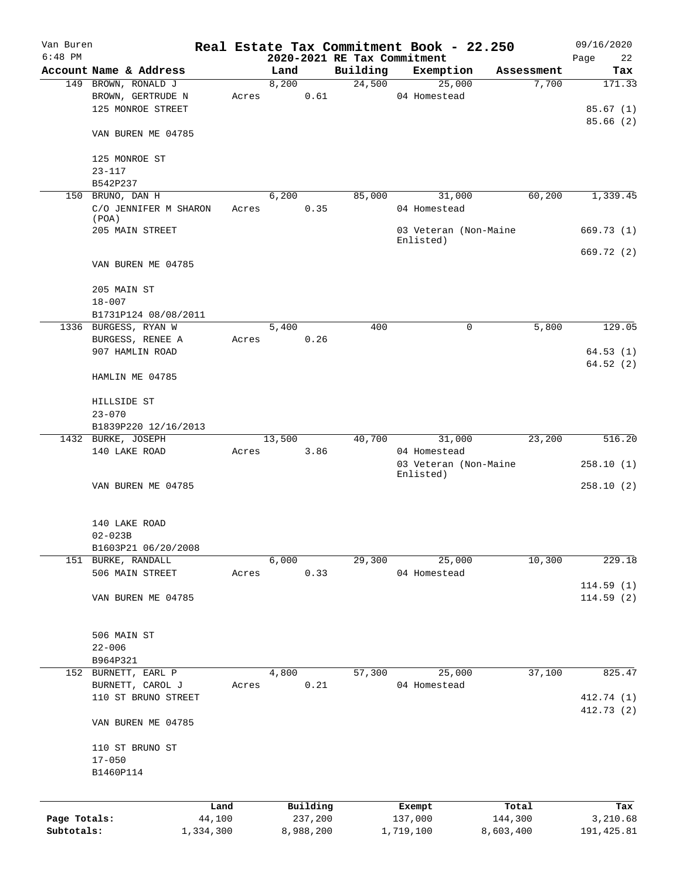| Van Buren<br>$6:48$ PM |                                     |       |        |           | 2020-2021 RE Tax Commitment | Real Estate Tax Commitment Book - 22.250 |            | 09/16/2020        |
|------------------------|-------------------------------------|-------|--------|-----------|-----------------------------|------------------------------------------|------------|-------------------|
|                        | Account Name & Address              |       | Land   |           | Building                    | Exemption                                | Assessment | Page<br>22<br>Tax |
|                        | 149 BROWN, RONALD J                 |       | 8,200  |           | 24,500                      | 25,000                                   | 7,700      | 171.33            |
|                        | BROWN, GERTRUDE N                   | Acres |        | 0.61      |                             | 04 Homestead                             |            |                   |
|                        | 125 MONROE STREET                   |       |        |           |                             |                                          |            | 85.67(1)          |
|                        |                                     |       |        |           |                             |                                          |            | 85.66(2)          |
|                        | VAN BUREN ME 04785                  |       |        |           |                             |                                          |            |                   |
|                        |                                     |       |        |           |                             |                                          |            |                   |
|                        | 125 MONROE ST                       |       |        |           |                             |                                          |            |                   |
|                        | $23 - 117$                          |       |        |           |                             |                                          |            |                   |
|                        | B542P237                            |       |        |           |                             |                                          |            |                   |
|                        | 150 BRUNO, DAN H                    |       | 6,200  |           | 85,000                      | 31,000                                   | 60,200     | 1,339.45          |
|                        | C/O JENNIFER M SHARON<br>(POA)      | Acres |        | 0.35      |                             | 04 Homestead                             |            |                   |
|                        | 205 MAIN STREET                     |       |        |           |                             | 03 Veteran (Non-Maine                    |            | 669.73(1)         |
|                        |                                     |       |        |           |                             | Enlisted)                                |            |                   |
|                        |                                     |       |        |           |                             |                                          |            | 669.72(2)         |
|                        | VAN BUREN ME 04785                  |       |        |           |                             |                                          |            |                   |
|                        | 205 MAIN ST                         |       |        |           |                             |                                          |            |                   |
|                        | $18 - 007$                          |       |        |           |                             |                                          |            |                   |
|                        |                                     |       |        |           |                             |                                          |            |                   |
|                        | B1731P124 08/08/2011                |       | 5,400  |           | 400                         | 0                                        |            | 129.05            |
|                        | 1336 BURGESS, RYAN W                |       |        | 0.26      |                             |                                          | 5,800      |                   |
|                        | BURGESS, RENEE A<br>907 HAMLIN ROAD | Acres |        |           |                             |                                          |            |                   |
|                        |                                     |       |        |           |                             |                                          |            | 64.53(1)          |
|                        | HAMLIN ME 04785                     |       |        |           |                             |                                          |            | 64.52(2)          |
|                        |                                     |       |        |           |                             |                                          |            |                   |
|                        | HILLSIDE ST                         |       |        |           |                             |                                          |            |                   |
|                        | $23 - 070$                          |       |        |           |                             |                                          |            |                   |
|                        | B1839P220 12/16/2013                |       |        |           |                             |                                          |            |                   |
|                        | 1432 BURKE, JOSEPH                  |       | 13,500 |           | 40,700                      | 31,000                                   | 23,200     | 516.20            |
|                        | 140 LAKE ROAD                       | Acres |        | 3.86      |                             | 04 Homestead                             |            |                   |
|                        |                                     |       |        |           |                             | 03 Veteran (Non-Maine                    |            | 258.10(1)         |
|                        |                                     |       |        |           |                             | Enlisted)                                |            |                   |
|                        | VAN BUREN ME 04785                  |       |        |           |                             |                                          |            | 258.10(2)         |
|                        |                                     |       |        |           |                             |                                          |            |                   |
|                        | 140 LAKE ROAD                       |       |        |           |                             |                                          |            |                   |
|                        | $02 - 023B$                         |       |        |           |                             |                                          |            |                   |
|                        | B1603P21 06/20/2008                 |       | 6,000  |           |                             | 25,000                                   | 10,300     | 229.18            |
|                        | 151 BURKE, RANDALL                  | Acres |        |           | 29,300                      | 04 Homestead                             |            |                   |
|                        | 506 MAIN STREET                     |       |        | 0.33      |                             |                                          |            | 114.59(1)         |
|                        | VAN BUREN ME 04785                  |       |        |           |                             |                                          |            | 114.59(2)         |
|                        |                                     |       |        |           |                             |                                          |            |                   |
|                        | 506 MAIN ST                         |       |        |           |                             |                                          |            |                   |
|                        | $22 - 006$                          |       |        |           |                             |                                          |            |                   |
|                        | B964P321                            |       |        |           |                             |                                          |            |                   |
|                        | 152 BURNETT, EARL P                 |       | 4,800  |           | 57,300                      | 25,000                                   | 37,100     | 825.47            |
|                        | BURNETT, CAROL J                    | Acres |        | 0.21      |                             | 04 Homestead                             |            |                   |
|                        | 110 ST BRUNO STREET                 |       |        |           |                             |                                          |            | 412.74 (1)        |
|                        |                                     |       |        |           |                             |                                          |            | 412.73 (2)        |
|                        | VAN BUREN ME 04785                  |       |        |           |                             |                                          |            |                   |
|                        | 110 ST BRUNO ST                     |       |        |           |                             |                                          |            |                   |
|                        | $17 - 050$                          |       |        |           |                             |                                          |            |                   |
|                        | B1460P114                           |       |        |           |                             |                                          |            |                   |
|                        |                                     |       |        |           |                             |                                          |            |                   |
|                        |                                     | Land  |        | Building  |                             | Exempt                                   | Total      | Tax               |
| Page Totals:           | 44,100                              |       |        | 237,200   |                             | 137,000                                  | 144,300    | 3,210.68          |
| Subtotals:             | 1,334,300                           |       |        | 8,988,200 |                             | 1,719,100                                | 8,603,400  | 191, 425.81       |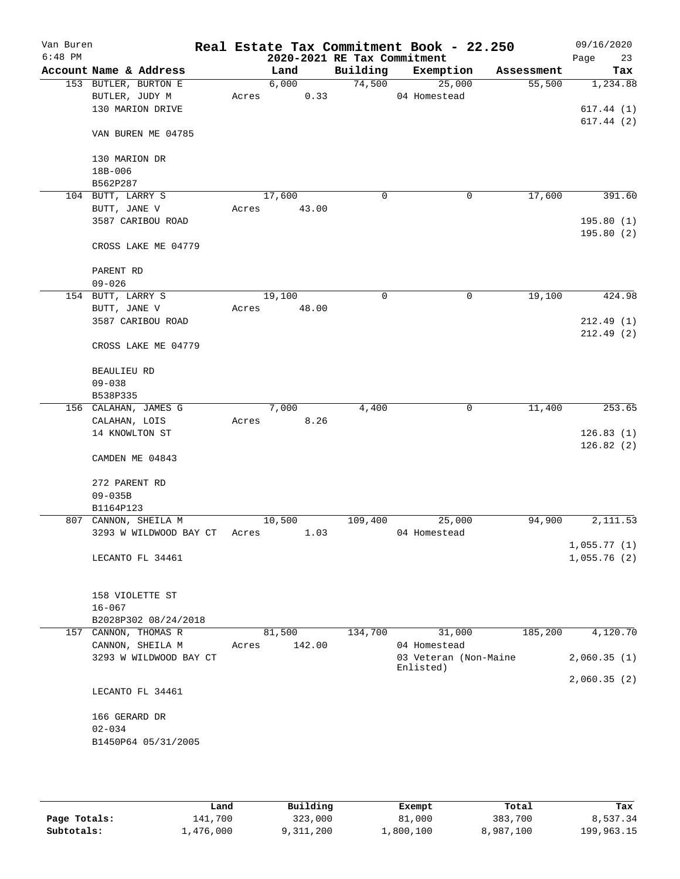| Van Buren<br>$6:48$ PM |                        |       | 2020-2021 RE Tax Commitment |          | Real Estate Tax Commitment Book - 22.250 |            | 09/16/2020<br>Page<br>23 |
|------------------------|------------------------|-------|-----------------------------|----------|------------------------------------------|------------|--------------------------|
|                        | Account Name & Address |       | Land                        | Building | Exemption                                | Assessment | Tax                      |
|                        | 153 BUTLER, BURTON E   |       | 6,000                       |          | 74,500<br>25,000                         | 55,500     | 1,234.88                 |
|                        | BUTLER, JUDY M         | Acres | 0.33                        |          | 04 Homestead                             |            |                          |
|                        | 130 MARION DRIVE       |       |                             |          |                                          |            | 617.44(1)                |
|                        |                        |       |                             |          |                                          |            | 617.44(2)                |
|                        | VAN BUREN ME 04785     |       |                             |          |                                          |            |                          |
|                        | 130 MARION DR          |       |                             |          |                                          |            |                          |
|                        | 18B-006                |       |                             |          |                                          |            |                          |
|                        | B562P287               |       |                             |          |                                          |            |                          |
|                        | 104 BUTT, LARRY S      |       | 17,600                      | 0        | 0                                        | 17,600     | 391.60                   |
|                        | BUTT, JANE V           | Acres | 43.00                       |          |                                          |            |                          |
|                        | 3587 CARIBOU ROAD      |       |                             |          |                                          |            | 195.80(1)                |
|                        | CROSS LAKE ME 04779    |       |                             |          |                                          |            | 195.80(2)                |
|                        |                        |       |                             |          |                                          |            |                          |
|                        | PARENT RD              |       |                             |          |                                          |            |                          |
|                        | $09 - 026$             |       |                             |          |                                          |            |                          |
|                        | 154 BUTT, LARRY S      |       | 19,100                      | 0        | 0                                        | 19,100     | 424.98                   |
|                        | BUTT, JANE V           | Acres | 48.00                       |          |                                          |            |                          |
|                        | 3587 CARIBOU ROAD      |       |                             |          |                                          |            | 212.49(1)                |
|                        | CROSS LAKE ME 04779    |       |                             |          |                                          |            | 212.49(2)                |
|                        | <b>BEAULIEU RD</b>     |       |                             |          |                                          |            |                          |
|                        | $09 - 038$             |       |                             |          |                                          |            |                          |
|                        | B538P335               |       |                             |          |                                          |            |                          |
|                        | 156 CALAHAN, JAMES G   |       | 7,000                       | 4,400    | 0                                        | 11,400     | 253.65                   |
|                        | CALAHAN, LOIS          | Acres | 8.26                        |          |                                          |            |                          |
|                        | 14 KNOWLTON ST         |       |                             |          |                                          |            | 126.83(1)                |
|                        |                        |       |                             |          |                                          |            | 126.82(2)                |
|                        | CAMDEN ME 04843        |       |                             |          |                                          |            |                          |
|                        | 272 PARENT RD          |       |                             |          |                                          |            |                          |
|                        | $09 - 035B$            |       |                             |          |                                          |            |                          |
|                        | B1164P123              |       |                             |          |                                          |            |                          |
|                        | 807 CANNON, SHEILA M   |       | 10,500                      | 109,400  | 25,000                                   | 94,900     | 2,111.53                 |
|                        | 3293 W WILDWOOD BAY CT | Acres | 1.03                        |          | 04 Homestead                             |            |                          |
|                        |                        |       |                             |          |                                          |            | 1,055.77(1)              |
|                        | LECANTO FL 34461       |       |                             |          |                                          |            | 1,055.76(2)              |
|                        |                        |       |                             |          |                                          |            |                          |
|                        | 158 VIOLETTE ST        |       |                             |          |                                          |            |                          |
|                        | $16 - 067$             |       |                             |          |                                          |            |                          |
|                        | B2028P302 08/24/2018   |       |                             |          |                                          |            |                          |
|                        | 157 CANNON, THOMAS R   |       | 81,500                      | 134,700  | 31,000                                   | 185,200    | 4,120.70                 |
|                        | CANNON, SHEILA M       | Acres | 142.00                      |          | 04 Homestead                             |            |                          |
|                        | 3293 W WILDWOOD BAY CT |       |                             |          | 03 Veteran (Non-Maine<br>Enlisted)       |            | 2,060.35(1)              |
|                        |                        |       |                             |          |                                          |            | 2,060.35(2)              |
|                        | LECANTO FL 34461       |       |                             |          |                                          |            |                          |
|                        | 166 GERARD DR          |       |                             |          |                                          |            |                          |
|                        | $02 - 034$             |       |                             |          |                                          |            |                          |
|                        | B1450P64 05/31/2005    |       |                             |          |                                          |            |                          |
|                        |                        |       |                             |          |                                          |            |                          |
|                        |                        |       |                             |          |                                          |            |                          |
|                        |                        |       |                             |          |                                          |            |                          |

|              | Land      | Building  | Exempt    | Total     | Tax        |
|--------------|-----------|-----------|-----------|-----------|------------|
| Page Totals: | 141,700   | 323,000   | 81,000    | 383,700   | 8,537.34   |
| Subtotals:   | 1,476,000 | 9,311,200 | ⊥,800,100 | 8,987,100 | 199,963.15 |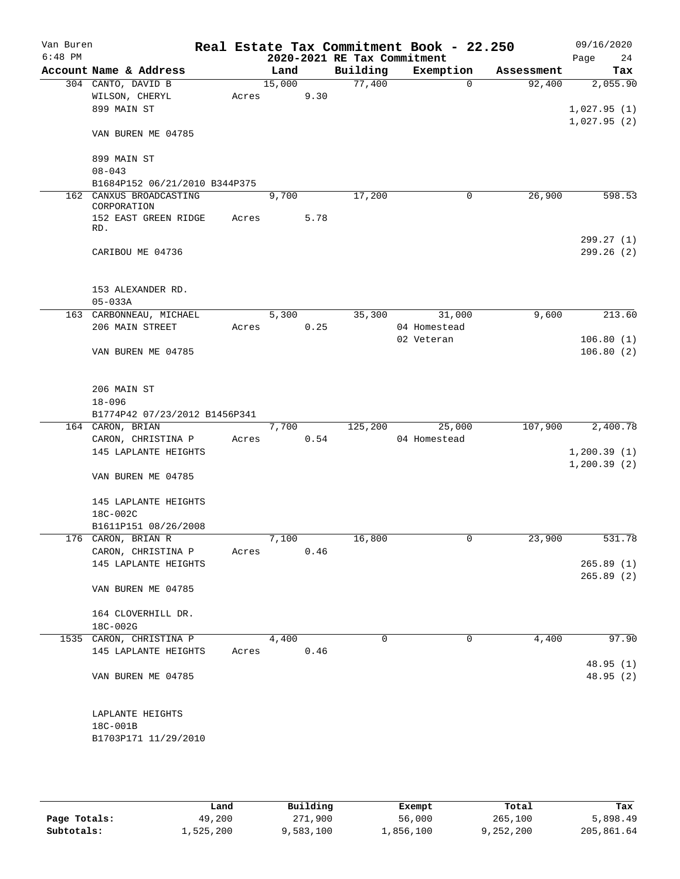| Van Buren<br>$6:48$ PM |                                            |       |        |      |                                         | Real Estate Tax Commitment Book - 22.250 |            | 09/16/2020        |
|------------------------|--------------------------------------------|-------|--------|------|-----------------------------------------|------------------------------------------|------------|-------------------|
|                        | Account Name & Address                     |       | Land   |      | 2020-2021 RE Tax Commitment<br>Building | Exemption                                | Assessment | 24<br>Page<br>Tax |
|                        | 304 CANTO, DAVID B                         |       | 15,000 |      | 77,400                                  | $\overline{0}$                           | 92,400     | 2,055.90          |
|                        | WILSON, CHERYL                             | Acres |        | 9.30 |                                         |                                          |            |                   |
|                        | 899 MAIN ST                                |       |        |      |                                         |                                          |            | 1,027.95(1)       |
|                        |                                            |       |        |      |                                         |                                          |            | 1,027.95(2)       |
|                        | VAN BUREN ME 04785                         |       |        |      |                                         |                                          |            |                   |
|                        |                                            |       |        |      |                                         |                                          |            |                   |
|                        | 899 MAIN ST                                |       |        |      |                                         |                                          |            |                   |
|                        | $08 - 043$                                 |       |        |      |                                         |                                          |            |                   |
|                        | B1684P152 06/21/2010 B344P375              |       |        |      |                                         |                                          |            |                   |
|                        | 162 CANXUS BROADCASTING<br>CORPORATION     |       | 9,700  |      | 17,200                                  | 0                                        | 26,900     | 598.53            |
|                        | 152 EAST GREEN RIDGE                       | Acres |        | 5.78 |                                         |                                          |            |                   |
|                        | RD.                                        |       |        |      |                                         |                                          |            |                   |
|                        |                                            |       |        |      |                                         |                                          |            | 299.27(1)         |
|                        | CARIBOU ME 04736                           |       |        |      |                                         |                                          |            | 299.26(2)         |
|                        |                                            |       |        |      |                                         |                                          |            |                   |
|                        |                                            |       |        |      |                                         |                                          |            |                   |
|                        | 153 ALEXANDER RD.                          |       |        |      |                                         |                                          |            |                   |
|                        | $05 - 033A$                                |       |        |      |                                         |                                          |            |                   |
|                        | 163 CARBONNEAU, MICHAEL                    |       | 5,300  |      | 35,300                                  | 31,000                                   | 9,600      | 213.60            |
|                        | 206 MAIN STREET                            | Acres |        | 0.25 |                                         | 04 Homestead                             |            |                   |
|                        |                                            |       |        |      |                                         | 02 Veteran                               |            | 106.80(1)         |
|                        | VAN BUREN ME 04785                         |       |        |      |                                         |                                          |            | 106.80(2)         |
|                        |                                            |       |        |      |                                         |                                          |            |                   |
|                        |                                            |       |        |      |                                         |                                          |            |                   |
|                        | 206 MAIN ST                                |       |        |      |                                         |                                          |            |                   |
|                        | $18 - 096$                                 |       |        |      |                                         |                                          |            |                   |
|                        | B1774P42 07/23/2012 B1456P341              |       | 7,700  |      |                                         | 25,000                                   | 107,900    | 2,400.78          |
|                        | 164 CARON, BRIAN                           |       |        | 0.54 | 125,200                                 | 04 Homestead                             |            |                   |
|                        | CARON, CHRISTINA P<br>145 LAPLANTE HEIGHTS | Acres |        |      |                                         |                                          |            | 1, 200.39(1)      |
|                        |                                            |       |        |      |                                         |                                          |            | 1, 200.39(2)      |
|                        | VAN BUREN ME 04785                         |       |        |      |                                         |                                          |            |                   |
|                        |                                            |       |        |      |                                         |                                          |            |                   |
|                        | 145 LAPLANTE HEIGHTS                       |       |        |      |                                         |                                          |            |                   |
|                        | 18C-002C                                   |       |        |      |                                         |                                          |            |                   |
|                        | B1611P151 08/26/2008                       |       |        |      |                                         |                                          |            |                   |
|                        | 176 CARON, BRIAN R                         |       | 7,100  |      | 16,800                                  |                                          | 23,900     | 531.78            |
|                        | CARON, CHRISTINA P                         | Acres |        | 0.46 |                                         |                                          |            |                   |
|                        | 145 LAPLANTE HEIGHTS                       |       |        |      |                                         |                                          |            | 265.89(1)         |
|                        |                                            |       |        |      |                                         |                                          |            | 265.89(2)         |
|                        | VAN BUREN ME 04785                         |       |        |      |                                         |                                          |            |                   |
|                        |                                            |       |        |      |                                         |                                          |            |                   |
|                        | 164 CLOVERHILL DR.                         |       |        |      |                                         |                                          |            |                   |
|                        | 18C-002G                                   |       |        |      |                                         |                                          |            |                   |
|                        | 1535 CARON, CHRISTINA P                    |       | 4,400  |      | $\Omega$                                | $\mathbf 0$                              | 4,400      | 97.90             |
|                        | 145 LAPLANTE HEIGHTS                       |       | Acres  | 0.46 |                                         |                                          |            |                   |
|                        |                                            |       |        |      |                                         |                                          |            | 48.95 (1)         |
|                        | VAN BUREN ME 04785                         |       |        |      |                                         |                                          |            | 48.95(2)          |
|                        |                                            |       |        |      |                                         |                                          |            |                   |
|                        |                                            |       |        |      |                                         |                                          |            |                   |
|                        | LAPLANTE HEIGHTS                           |       |        |      |                                         |                                          |            |                   |
|                        | 18C-001B                                   |       |        |      |                                         |                                          |            |                   |
|                        | B1703P171 11/29/2010                       |       |        |      |                                         |                                          |            |                   |
|                        |                                            |       |        |      |                                         |                                          |            |                   |

|              | Land      | Building  | Exempt    | Total     | Tax        |
|--------------|-----------|-----------|-----------|-----------|------------|
| Page Totals: | 49,200    | 271,900   | 56,000    | 265,100   | 5,898.49   |
| Subtotals:   | 1,525,200 | 9,583,100 | 1,856,100 | 9,252,200 | 205,861.64 |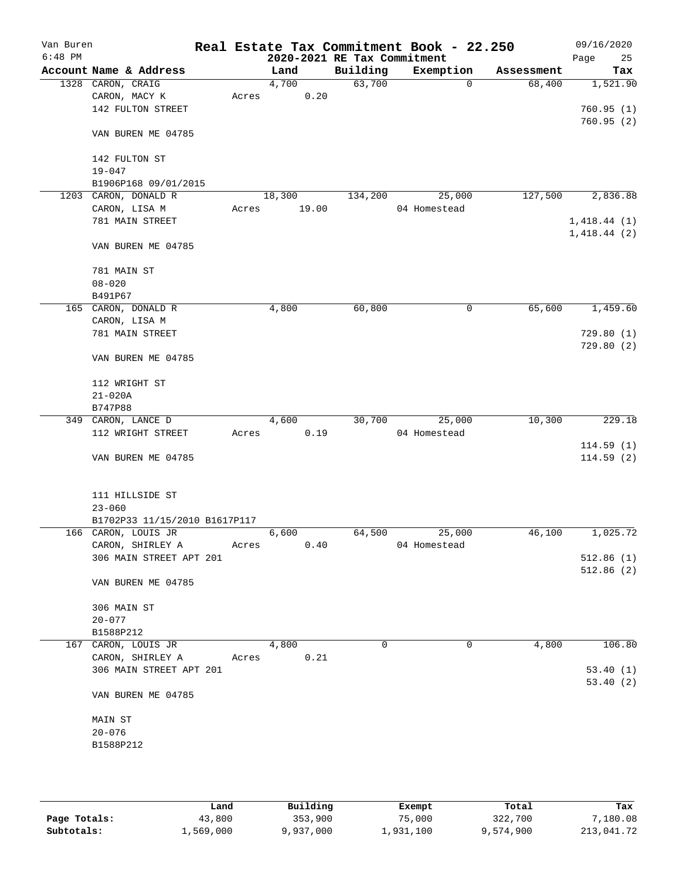| Van Buren<br>$6:48$ PM |                               |       |                             |          | Real Estate Tax Commitment Book - 22.250 |            | 09/16/2020  |
|------------------------|-------------------------------|-------|-----------------------------|----------|------------------------------------------|------------|-------------|
|                        |                               |       | 2020-2021 RE Tax Commitment |          |                                          |            | Page<br>25  |
|                        | Account Name & Address        |       | Land                        | Building | Exemption                                | Assessment | Tax         |
|                        | 1328 CARON, CRAIG             |       | 4,700                       | 63,700   | 0                                        | 68,400     | 1,521.90    |
|                        | CARON, MACY K                 | Acres | 0.20                        |          |                                          |            |             |
|                        | 142 FULTON STREET             |       |                             |          |                                          |            | 760.95(1)   |
|                        |                               |       |                             |          |                                          |            | 760.95(2)   |
|                        | VAN BUREN ME 04785            |       |                             |          |                                          |            |             |
|                        |                               |       |                             |          |                                          |            |             |
|                        | 142 FULTON ST                 |       |                             |          |                                          |            |             |
|                        | $19 - 047$                    |       |                             |          |                                          |            |             |
|                        | B1906P168 09/01/2015          |       |                             |          |                                          |            |             |
|                        | 1203 CARON, DONALD R          |       | 18,300                      | 134,200  | 25,000                                   | 127,500    | 2,836.88    |
|                        | CARON, LISA M                 | Acres | 19.00                       |          | 04 Homestead                             |            |             |
|                        | 781 MAIN STREET               |       |                             |          |                                          |            | 1,418.44(1) |
|                        |                               |       |                             |          |                                          |            | 1,418.44(2) |
|                        | VAN BUREN ME 04785            |       |                             |          |                                          |            |             |
|                        |                               |       |                             |          |                                          |            |             |
|                        | 781 MAIN ST                   |       |                             |          |                                          |            |             |
|                        | $08 - 020$                    |       |                             |          |                                          |            |             |
|                        | B491P67                       |       |                             |          |                                          |            |             |
|                        | 165 CARON, DONALD R           |       | 4,800                       | 60,800   | 0                                        | 65,600     | 1,459.60    |
|                        | CARON, LISA M                 |       |                             |          |                                          |            |             |
|                        | 781 MAIN STREET               |       |                             |          |                                          |            | 729.80(1)   |
|                        |                               |       |                             |          |                                          |            | 729.80(2)   |
|                        | VAN BUREN ME 04785            |       |                             |          |                                          |            |             |
|                        |                               |       |                             |          |                                          |            |             |
|                        | 112 WRIGHT ST                 |       |                             |          |                                          |            |             |
|                        | $21 - 020A$                   |       |                             |          |                                          |            |             |
|                        | B747P88                       |       |                             |          |                                          |            |             |
|                        |                               |       |                             | 30,700   | 25,000                                   | 10,300     | 229.18      |
|                        | 349 CARON, LANCE D            |       | 4,600                       |          |                                          |            |             |
|                        | 112 WRIGHT STREET             | Acres | 0.19                        |          | 04 Homestead                             |            |             |
|                        |                               |       |                             |          |                                          |            | 114.59(1)   |
|                        | VAN BUREN ME 04785            |       |                             |          |                                          |            | 114.59(2)   |
|                        |                               |       |                             |          |                                          |            |             |
|                        |                               |       |                             |          |                                          |            |             |
|                        | 111 HILLSIDE ST               |       |                             |          |                                          |            |             |
|                        | $23 - 060$                    |       |                             |          |                                          |            |             |
|                        | B1702P33 11/15/2010 B1617P117 |       |                             |          |                                          |            |             |
|                        | 166 CARON, LOUIS JR           |       | 6,600                       | 64,500   | 25,000                                   | 46,100     | 1,025.72    |
|                        | CARON, SHIRLEY A              | Acres | 0.40                        |          | 04 Homestead                             |            |             |
|                        | 306 MAIN STREET APT 201       |       |                             |          |                                          |            | 512.86(1)   |
|                        |                               |       |                             |          |                                          |            | 512.86(2)   |
|                        | VAN BUREN ME 04785            |       |                             |          |                                          |            |             |
|                        |                               |       |                             |          |                                          |            |             |
|                        | 306 MAIN ST                   |       |                             |          |                                          |            |             |
|                        | $20 - 077$                    |       |                             |          |                                          |            |             |
|                        | B1588P212                     |       |                             |          |                                          |            |             |
|                        | 167 CARON, LOUIS JR           |       | 4,800                       | 0        | 0                                        | 4,800      | 106.80      |
|                        | CARON, SHIRLEY A              | Acres | 0.21                        |          |                                          |            |             |
|                        | 306 MAIN STREET APT 201       |       |                             |          |                                          |            | 53.40(1)    |
|                        |                               |       |                             |          |                                          |            | 53.40(2)    |
|                        | VAN BUREN ME 04785            |       |                             |          |                                          |            |             |
|                        |                               |       |                             |          |                                          |            |             |
|                        | MAIN ST                       |       |                             |          |                                          |            |             |
|                        | $20 - 076$                    |       |                             |          |                                          |            |             |
|                        | B1588P212                     |       |                             |          |                                          |            |             |
|                        |                               |       |                             |          |                                          |            |             |
|                        |                               |       |                             |          |                                          |            |             |
|                        |                               |       |                             |          |                                          |            |             |

|              | Land      | Building  | Exempt    | Total     | Tax        |
|--------------|-----------|-----------|-----------|-----------|------------|
| Page Totals: | 43,800    | 353,900   | 75,000    | 322,700   | 7,180.08   |
| Subtotals:   | 1,569,000 | 9,937,000 | 1,931,100 | 9,574,900 | 213,041.72 |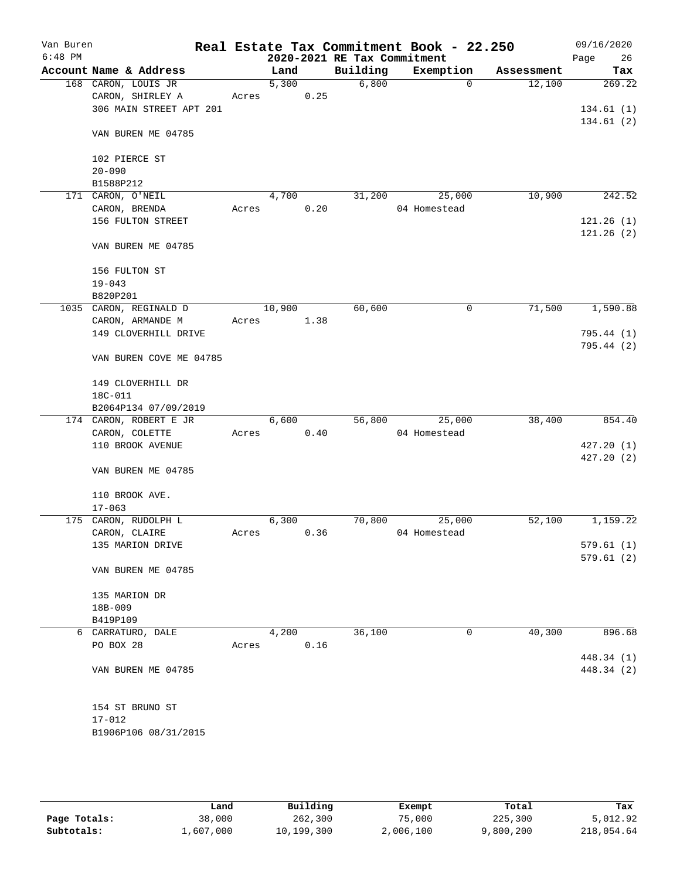| Van Buren<br>$6:48$ PM |                             |       |        |      | 2020-2021 RE Tax Commitment | Real Estate Tax Commitment Book - 22.250 |            | 09/16/2020<br>Page<br>26 |
|------------------------|-----------------------------|-------|--------|------|-----------------------------|------------------------------------------|------------|--------------------------|
|                        | Account Name & Address      |       | Land   |      | Building                    | Exemption                                | Assessment | Tax                      |
|                        | 168 CARON, LOUIS JR         |       | 5,300  |      | 6,800                       | $\mathbf 0$                              | 12,100     | 269.22                   |
|                        | CARON, SHIRLEY A            | Acres |        | 0.25 |                             |                                          |            |                          |
|                        | 306 MAIN STREET APT 201     |       |        |      |                             |                                          |            | 134.61(1)                |
|                        | VAN BUREN ME 04785          |       |        |      |                             |                                          |            | 134.61(2)                |
|                        |                             |       |        |      |                             |                                          |            |                          |
|                        | 102 PIERCE ST<br>$20 - 090$ |       |        |      |                             |                                          |            |                          |
|                        | B1588P212                   |       |        |      |                             |                                          |            |                          |
|                        | 171 CARON, O'NEIL           |       | 4,700  |      | 31,200                      | 25,000                                   | 10,900     | 242.52                   |
|                        | CARON, BRENDA               | Acres |        | 0.20 |                             | 04 Homestead                             |            |                          |
|                        | 156 FULTON STREET           |       |        |      |                             |                                          |            | 121.26(1)                |
|                        |                             |       |        |      |                             |                                          |            | 121.26(2)                |
|                        | VAN BUREN ME 04785          |       |        |      |                             |                                          |            |                          |
|                        | 156 FULTON ST               |       |        |      |                             |                                          |            |                          |
|                        | $19 - 043$                  |       |        |      |                             |                                          |            |                          |
|                        | B820P201                    |       |        |      |                             |                                          |            |                          |
|                        | 1035 CARON, REGINALD D      |       | 10,900 |      | 60,600                      | 0                                        | 71,500     | 1,590.88                 |
|                        | CARON, ARMANDE M            | Acres |        | 1.38 |                             |                                          |            |                          |
|                        | 149 CLOVERHILL DRIVE        |       |        |      |                             |                                          |            | 795.44(1)                |
|                        | VAN BUREN COVE ME 04785     |       |        |      |                             |                                          |            | 795.44 (2)               |
|                        | 149 CLOVERHILL DR           |       |        |      |                             |                                          |            |                          |
|                        | 18C-011                     |       |        |      |                             |                                          |            |                          |
|                        | B2064P134 07/09/2019        |       |        |      |                             |                                          |            |                          |
|                        | 174 CARON, ROBERT E JR      |       | 6,600  |      | 56,800                      | 25,000                                   | 38,400     | 854.40                   |
|                        | CARON, COLETTE              | Acres |        | 0.40 |                             | 04 Homestead                             |            |                          |
|                        | 110 BROOK AVENUE            |       |        |      |                             |                                          |            | 427.20(1)                |
|                        |                             |       |        |      |                             |                                          |            | 427.20(2)                |
|                        | VAN BUREN ME 04785          |       |        |      |                             |                                          |            |                          |
|                        | 110 BROOK AVE.              |       |        |      |                             |                                          |            |                          |
|                        | $17 - 063$                  |       |        |      |                             |                                          |            |                          |
|                        | 175 CARON, RUDOLPH L        |       | 6,300  |      | 70,800                      | 25,000                                   | 52,100     | 1,159.22                 |
|                        | CARON, CLAIRE               | Acres |        | 0.36 |                             | 04 Homestead                             |            |                          |
|                        | 135 MARION DRIVE            |       |        |      |                             |                                          |            | 579.61 (1)               |
|                        |                             |       |        |      |                             |                                          |            | 579.61(2)                |
|                        | VAN BUREN ME 04785          |       |        |      |                             |                                          |            |                          |
|                        | 135 MARION DR               |       |        |      |                             |                                          |            |                          |
|                        | 18B-009                     |       |        |      |                             |                                          |            |                          |
|                        | B419P109                    |       |        |      |                             |                                          |            |                          |
|                        | 6 CARRATURO, DALE           |       | 4,200  |      | 36,100                      | 0                                        | 40,300     | 896.68                   |
|                        | PO BOX 28                   | Acres |        | 0.16 |                             |                                          |            |                          |
|                        |                             |       |        |      |                             |                                          |            | 448.34 (1)               |
|                        | VAN BUREN ME 04785          |       |        |      |                             |                                          |            | 448.34 (2)               |
|                        | 154 ST BRUNO ST             |       |        |      |                             |                                          |            |                          |
|                        | $17 - 012$                  |       |        |      |                             |                                          |            |                          |
|                        | B1906P106 08/31/2015        |       |        |      |                             |                                          |            |                          |
|                        |                             |       |        |      |                             |                                          |            |                          |
|                        |                             |       |        |      |                             |                                          |            |                          |

|              | Land      | Building   | Exempt    | Total     | Tax        |
|--------------|-----------|------------|-----------|-----------|------------|
| Page Totals: | 38,000    | 262,300    | 75,000    | 225,300   | 5,012.92   |
| Subtotals:   | 1,607,000 | 10,199,300 | 2,006,100 | 9,800,200 | 218,054.64 |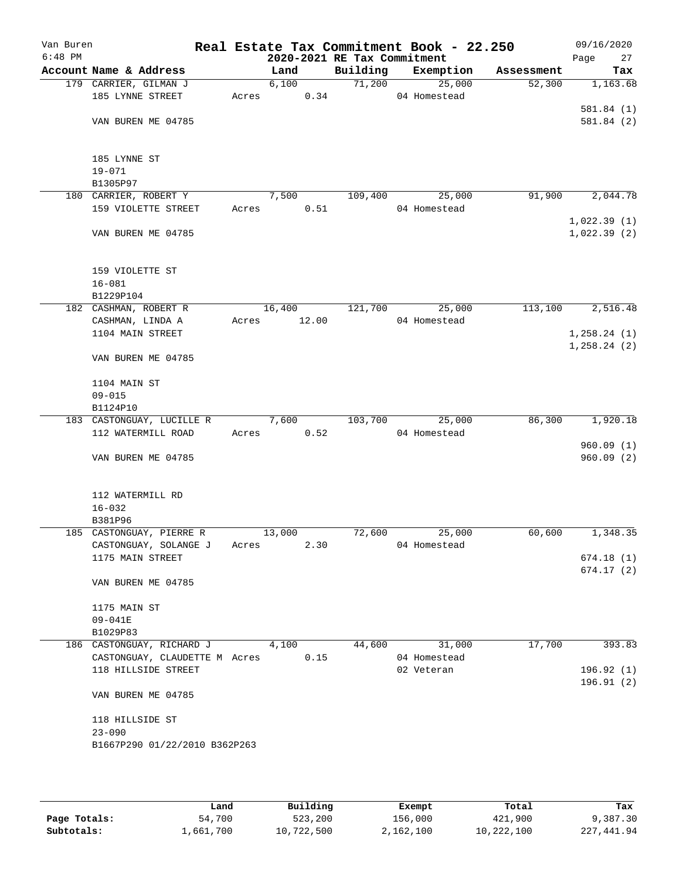| Van Buren<br>$6:48$ PM |                                                           |       | 2020-2021 RE Tax Commitment |          | Real Estate Tax Commitment Book - 22.250 |            | 09/16/2020<br>27<br>Page   |
|------------------------|-----------------------------------------------------------|-------|-----------------------------|----------|------------------------------------------|------------|----------------------------|
|                        | Account Name & Address                                    |       | Land                        | Building | Exemption                                | Assessment | Tax                        |
|                        | 179 CARRIER, GILMAN J                                     |       | 6,100                       | 71,200   | 25,000                                   | 52,300     | 1,163.68                   |
|                        | 185 LYNNE STREET                                          | Acres | 0.34                        |          | 04 Homestead                             |            |                            |
|                        |                                                           |       |                             |          |                                          |            | 581.84(1)                  |
|                        | VAN BUREN ME 04785                                        |       |                             |          |                                          |            | 581.84 (2)                 |
|                        | 185 LYNNE ST                                              |       |                             |          |                                          |            |                            |
|                        | $19 - 071$                                                |       |                             |          |                                          |            |                            |
|                        | B1305P97                                                  |       |                             |          |                                          |            |                            |
|                        | 180 CARRIER, ROBERT Y                                     |       | 7,500                       | 109,400  | 25,000                                   | 91,900     | 2,044.78                   |
|                        | 159 VIOLETTE STREET                                       | Acres | 0.51                        |          | 04 Homestead                             |            |                            |
|                        | VAN BUREN ME 04785                                        |       |                             |          |                                          |            | 1,022.39(1)<br>1,022.39(2) |
|                        |                                                           |       |                             |          |                                          |            |                            |
|                        | 159 VIOLETTE ST                                           |       |                             |          |                                          |            |                            |
|                        | $16 - 081$<br>B1229P104                                   |       |                             |          |                                          |            |                            |
|                        | 182 CASHMAN, ROBERT R                                     |       | 16,400                      | 121,700  | 25,000                                   | 113,100    | 2,516.48                   |
|                        | CASHMAN, LINDA A                                          | Acres | 12.00                       |          | 04 Homestead                             |            |                            |
|                        | 1104 MAIN STREET                                          |       |                             |          |                                          |            | 1,258.24(1)                |
|                        |                                                           |       |                             |          |                                          |            | 1,258.24(2)                |
|                        | VAN BUREN ME 04785                                        |       |                             |          |                                          |            |                            |
|                        | 1104 MAIN ST                                              |       |                             |          |                                          |            |                            |
|                        | $09 - 015$                                                |       |                             |          |                                          |            |                            |
|                        | B1124P10                                                  |       |                             |          |                                          |            |                            |
|                        | 183 CASTONGUAY, LUCILLE R                                 |       | 7,600                       | 103,700  | 25,000                                   | 86,300     | 1,920.18                   |
|                        | 112 WATERMILL ROAD                                        | Acres | 0.52                        |          | 04 Homestead                             |            |                            |
|                        | VAN BUREN ME 04785                                        |       |                             |          |                                          |            | 960.09(1)<br>960.09(2)     |
|                        |                                                           |       |                             |          |                                          |            |                            |
|                        | 112 WATERMILL RD                                          |       |                             |          |                                          |            |                            |
|                        | $16 - 032$                                                |       |                             |          |                                          |            |                            |
|                        | B381P96                                                   |       |                             |          |                                          |            |                            |
|                        | 185 CASTONGUAY, PIERRE R                                  |       | 13,000                      | 72,600   | 25,000                                   | 60,600     | 1,348.35                   |
|                        | CASTONGUAY, SOLANGE J Acres<br>1175 MAIN STREET           |       | 2.30                        |          | 04 Homestead                             |            | 674.18(1)                  |
|                        |                                                           |       |                             |          |                                          |            | 674.17(2)                  |
|                        | VAN BUREN ME 04785                                        |       |                             |          |                                          |            |                            |
|                        | 1175 MAIN ST                                              |       |                             |          |                                          |            |                            |
|                        | $09 - 041E$                                               |       |                             |          |                                          |            |                            |
|                        | B1029P83                                                  |       |                             |          |                                          |            |                            |
|                        | 186 CASTONGUAY, RICHARD J                                 |       | 4,100                       | 44,600   | 31,000                                   | 17,700     | 393.83                     |
|                        | CASTONGUAY, CLAUDETTE M Acres 0.15<br>118 HILLSIDE STREET |       |                             |          | 04 Homestead<br>02 Veteran               |            | 196.92(1)                  |
|                        |                                                           |       |                             |          |                                          |            | 196.91(2)                  |
|                        | VAN BUREN ME 04785                                        |       |                             |          |                                          |            |                            |
|                        | 118 HILLSIDE ST                                           |       |                             |          |                                          |            |                            |
|                        | $23 - 090$                                                |       |                             |          |                                          |            |                            |
|                        | B1667P290 01/22/2010 B362P263                             |       |                             |          |                                          |            |                            |
|                        |                                                           |       |                             |          |                                          |            |                            |
|                        |                                                           |       |                             |          |                                          |            |                            |

|              | Land      | Building   | Exempt    | Total      | Tax          |
|--------------|-----------|------------|-----------|------------|--------------|
| Page Totals: | 54,700    | 523,200    | 156,000   | 421,900    | 9,387.30     |
| Subtotals:   | 1,661,700 | 10,722,500 | 2,162,100 | 10,222,100 | 227, 441, 94 |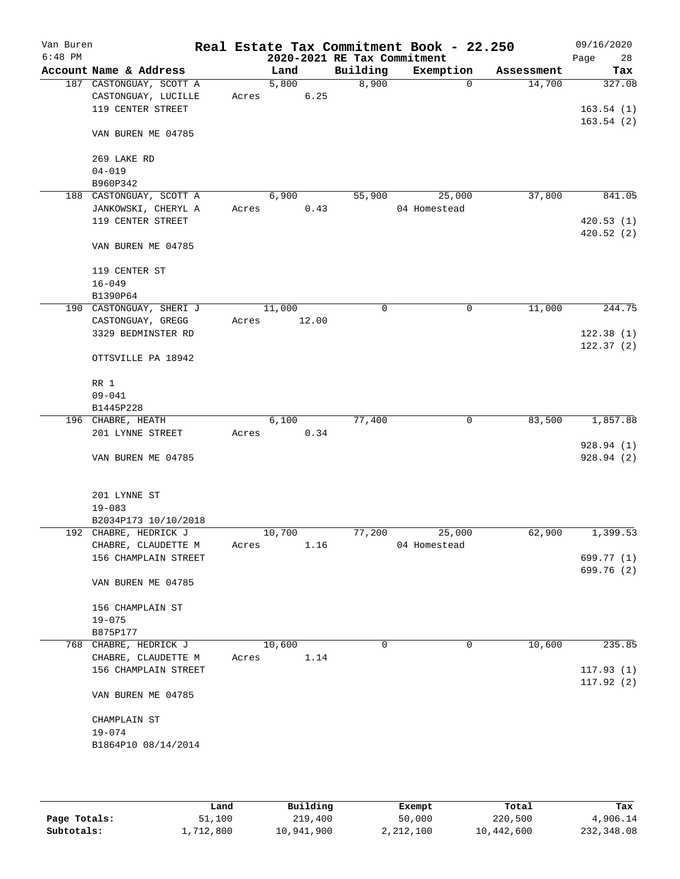| Van Buren<br>$6:48$ PM |                                          |       |        |       | 2020-2021 RE Tax Commitment | Real Estate Tax Commitment Book - 22.250 |            | 09/16/2020<br>28<br>Page |
|------------------------|------------------------------------------|-------|--------|-------|-----------------------------|------------------------------------------|------------|--------------------------|
|                        | Account Name & Address                   |       | Land   |       | Building                    | Exemption                                | Assessment | Tax                      |
|                        | 187 CASTONGUAY, SCOTT A                  |       | 5,800  |       | 8,900                       | $\Omega$                                 | 14,700     | 327.08                   |
|                        | CASTONGUAY, LUCILLE                      | Acres |        | 6.25  |                             |                                          |            |                          |
|                        | 119 CENTER STREET                        |       |        |       |                             |                                          |            | 163.54(1)                |
|                        |                                          |       |        |       |                             |                                          |            | 163.54(2)                |
|                        | VAN BUREN ME 04785                       |       |        |       |                             |                                          |            |                          |
|                        |                                          |       |        |       |                             |                                          |            |                          |
|                        | 269 LAKE RD                              |       |        |       |                             |                                          |            |                          |
|                        | $04 - 019$                               |       |        |       |                             |                                          |            |                          |
|                        | B960P342                                 |       |        |       |                             |                                          |            |                          |
|                        | 188 CASTONGUAY, SCOTT A                  |       | 6,900  |       | 55,900                      | 25,000                                   | 37,800     | 841.05                   |
|                        | JANKOWSKI, CHERYL A<br>119 CENTER STREET | Acres |        | 0.43  |                             | 04 Homestead                             |            |                          |
|                        |                                          |       |        |       |                             |                                          |            | 420.53(1)<br>420.52(2)   |
|                        | VAN BUREN ME 04785                       |       |        |       |                             |                                          |            |                          |
|                        |                                          |       |        |       |                             |                                          |            |                          |
|                        | 119 CENTER ST                            |       |        |       |                             |                                          |            |                          |
|                        | $16 - 049$                               |       |        |       |                             |                                          |            |                          |
|                        | B1390P64                                 |       |        |       |                             |                                          |            |                          |
|                        | 190 CASTONGUAY, SHERI J                  |       | 11,000 |       | $\mathbf 0$                 | 0                                        | 11,000     | 244.75                   |
|                        | CASTONGUAY, GREGG                        | Acres |        | 12.00 |                             |                                          |            |                          |
|                        | 3329 BEDMINSTER RD                       |       |        |       |                             |                                          |            | 122.38(1)                |
|                        |                                          |       |        |       |                             |                                          |            | 122.37(2)                |
|                        | OTTSVILLE PA 18942                       |       |        |       |                             |                                          |            |                          |
|                        |                                          |       |        |       |                             |                                          |            |                          |
|                        | RR 1                                     |       |        |       |                             |                                          |            |                          |
|                        | $09 - 041$                               |       |        |       |                             |                                          |            |                          |
|                        | B1445P228                                |       |        |       |                             |                                          |            |                          |
|                        | 196 CHABRE, HEATH                        |       | 6,100  |       | 77,400                      | 0                                        | 83,500     | 1,857.88                 |
|                        | 201 LYNNE STREET                         | Acres |        | 0.34  |                             |                                          |            |                          |
|                        |                                          |       |        |       |                             |                                          |            | 928.94 (1)               |
|                        | VAN BUREN ME 04785                       |       |        |       |                             |                                          |            | 928.94 (2)               |
|                        |                                          |       |        |       |                             |                                          |            |                          |
|                        |                                          |       |        |       |                             |                                          |            |                          |
|                        | 201 LYNNE ST<br>$19 - 083$               |       |        |       |                             |                                          |            |                          |
|                        | B2034P173 10/10/2018                     |       |        |       |                             |                                          |            |                          |
|                        | 192 CHABRE, HEDRICK J                    |       | 10,700 |       | 77,200                      | 25,000                                   | 62,900     | 1,399.53                 |
|                        | CHABRE, CLAUDETTE M                      | Acres |        | 1.16  |                             | 04 Homestead                             |            |                          |
|                        | 156 CHAMPLAIN STREET                     |       |        |       |                             |                                          |            | 699.77 (1)               |
|                        |                                          |       |        |       |                             |                                          |            | 699.76 (2)               |
|                        | VAN BUREN ME 04785                       |       |        |       |                             |                                          |            |                          |
|                        |                                          |       |        |       |                             |                                          |            |                          |
|                        | 156 CHAMPLAIN ST                         |       |        |       |                             |                                          |            |                          |
|                        | $19 - 075$                               |       |        |       |                             |                                          |            |                          |
|                        | B875P177                                 |       |        |       |                             |                                          |            |                          |
|                        | 768 CHABRE, HEDRICK J                    |       | 10,600 |       | 0                           | 0                                        | 10,600     | 235.85                   |
|                        | CHABRE, CLAUDETTE M                      | Acres |        | 1.14  |                             |                                          |            |                          |
|                        | 156 CHAMPLAIN STREET                     |       |        |       |                             |                                          |            | 117.93(1)                |
|                        |                                          |       |        |       |                             |                                          |            | 117.92(2)                |
|                        | VAN BUREN ME 04785                       |       |        |       |                             |                                          |            |                          |
|                        |                                          |       |        |       |                             |                                          |            |                          |
|                        | CHAMPLAIN ST                             |       |        |       |                             |                                          |            |                          |
|                        | $19 - 074$                               |       |        |       |                             |                                          |            |                          |
|                        | B1864P10 08/14/2014                      |       |        |       |                             |                                          |            |                          |
|                        |                                          |       |        |       |                             |                                          |            |                          |
|                        |                                          |       |        |       |                             |                                          |            |                          |
|                        |                                          |       |        |       |                             |                                          |            |                          |

|              | ⊥and      | Building   | Exempt    | Total      | Tax        |
|--------------|-----------|------------|-----------|------------|------------|
| Page Totals: | 51,100    | 219,400    | 50,000    | 220,500    | 4,906.14   |
| Subtotals:   | 1,712,800 | 10,941,900 | 2,212,100 | 10,442,600 | 232,348.08 |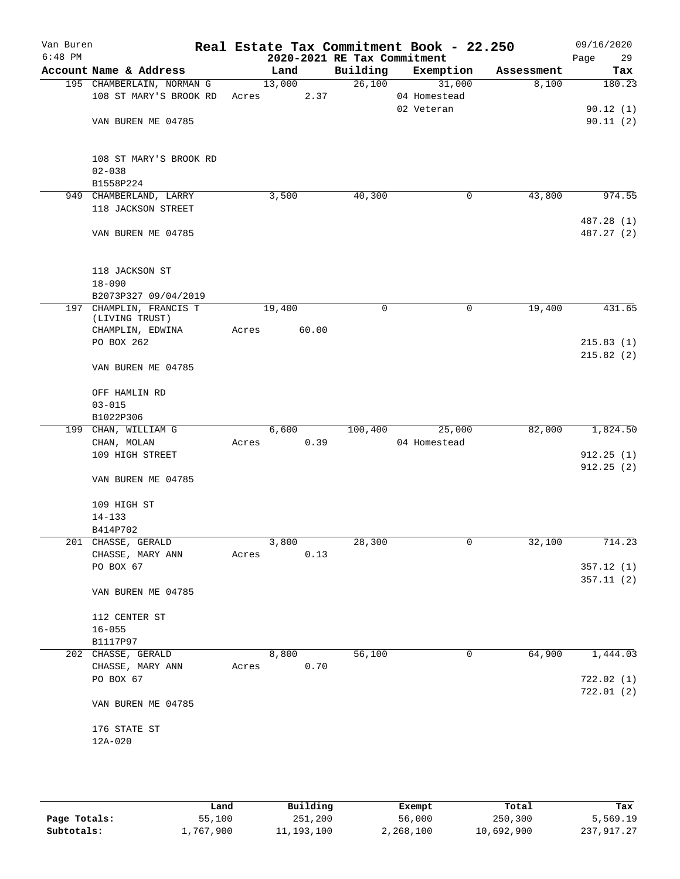| Van Buren<br>$6:48$ PM |                           |       |        | 2020-2021 RE Tax Commitment | Real Estate Tax Commitment Book - 22.250 |            | 09/16/2020<br>29<br>Page |
|------------------------|---------------------------|-------|--------|-----------------------------|------------------------------------------|------------|--------------------------|
|                        | Account Name & Address    |       | Land   | Building                    | Exemption                                | Assessment | Tax                      |
|                        | 195 CHAMBERLAIN, NORMAN G |       | 13,000 | 26,100                      | 31,000                                   | 8,100      | 180.23                   |
|                        | 108 ST MARY'S BROOK RD    | Acres | 2.37   |                             | 04 Homestead                             |            |                          |
|                        |                           |       |        |                             | 02 Veteran                               |            | 90.12(1)                 |
|                        | VAN BUREN ME 04785        |       |        |                             |                                          |            | 90.11(2)                 |
|                        | 108 ST MARY'S BROOK RD    |       |        |                             |                                          |            |                          |
|                        | $02 - 038$                |       |        |                             |                                          |            |                          |
|                        | B1558P224                 |       |        |                             |                                          |            |                          |
|                        | 949 CHAMBERLAND, LARRY    |       | 3,500  | 40,300                      | 0                                        | 43,800     | 974.55                   |
|                        | 118 JACKSON STREET        |       |        |                             |                                          |            |                          |
|                        |                           |       |        |                             |                                          |            | 487.28 (1)               |
|                        | VAN BUREN ME 04785        |       |        |                             |                                          |            | 487.27 (2)               |
|                        | 118 JACKSON ST            |       |        |                             |                                          |            |                          |
|                        | $18 - 090$                |       |        |                             |                                          |            |                          |
|                        | B2073P327 09/04/2019      |       |        |                             |                                          |            |                          |
|                        | 197 CHAMPLIN, FRANCIS T   |       | 19,400 | 0                           | 0                                        | 19,400     | 431.65                   |
|                        | (LIVING TRUST)            |       |        |                             |                                          |            |                          |
|                        | CHAMPLIN, EDWINA          | Acres | 60.00  |                             |                                          |            |                          |
|                        | PO BOX 262                |       |        |                             |                                          |            | 215.83(1)                |
|                        | VAN BUREN ME 04785        |       |        |                             |                                          |            | 215.82(2)                |
|                        | OFF HAMLIN RD             |       |        |                             |                                          |            |                          |
|                        | $03 - 015$                |       |        |                             |                                          |            |                          |
|                        | B1022P306                 |       |        |                             |                                          |            |                          |
|                        | 199 CHAN, WILLIAM G       |       | 6,600  | 100,400                     | 25,000                                   | 82,000     | 1,824.50                 |
|                        | CHAN, MOLAN               | Acres | 0.39   |                             | 04 Homestead                             |            |                          |
|                        | 109 HIGH STREET           |       |        |                             |                                          |            | 912.25(1)<br>912.25(2)   |
|                        | VAN BUREN ME 04785        |       |        |                             |                                          |            |                          |
|                        | 109 HIGH ST               |       |        |                             |                                          |            |                          |
|                        | $14 - 133$                |       |        |                             |                                          |            |                          |
|                        | B414P702                  |       |        |                             |                                          |            |                          |
|                        | 201 CHASSE, GERALD        |       | 3,800  | 28,300                      | 0                                        | 32,100     | 714.23                   |
|                        | CHASSE, MARY ANN          | Acres | 0.13   |                             |                                          |            |                          |
|                        | PO BOX 67                 |       |        |                             |                                          |            | 357.12(1)                |
|                        | VAN BUREN ME 04785        |       |        |                             |                                          |            | 357.11(2)                |
|                        | 112 CENTER ST             |       |        |                             |                                          |            |                          |
|                        | $16 - 055$                |       |        |                             |                                          |            |                          |
|                        | B1117P97                  |       |        |                             |                                          |            |                          |
|                        | 202 CHASSE, GERALD        |       | 8,800  | 56,100                      | 0                                        | 64,900     | 1,444.03                 |
|                        | CHASSE, MARY ANN          | Acres | 0.70   |                             |                                          |            |                          |
|                        | PO BOX 67                 |       |        |                             |                                          |            | 722.02 (1)               |
|                        | VAN BUREN ME 04785        |       |        |                             |                                          |            | 722.01 (2)               |
|                        |                           |       |        |                             |                                          |            |                          |
|                        | 176 STATE ST              |       |        |                             |                                          |            |                          |
|                        | 12A-020                   |       |        |                             |                                          |            |                          |
|                        |                           |       |        |                             |                                          |            |                          |

|              | Land      | Building   | Exempt    | Total      | Tax          |
|--------------|-----------|------------|-----------|------------|--------------|
| Page Totals: | 55,100    | 251,200    | 56,000    | 250,300    | 5,569.19     |
| Subtotals:   | 1,767,900 | 11,193,100 | 2,268,100 | 10,692,900 | 237, 917, 27 |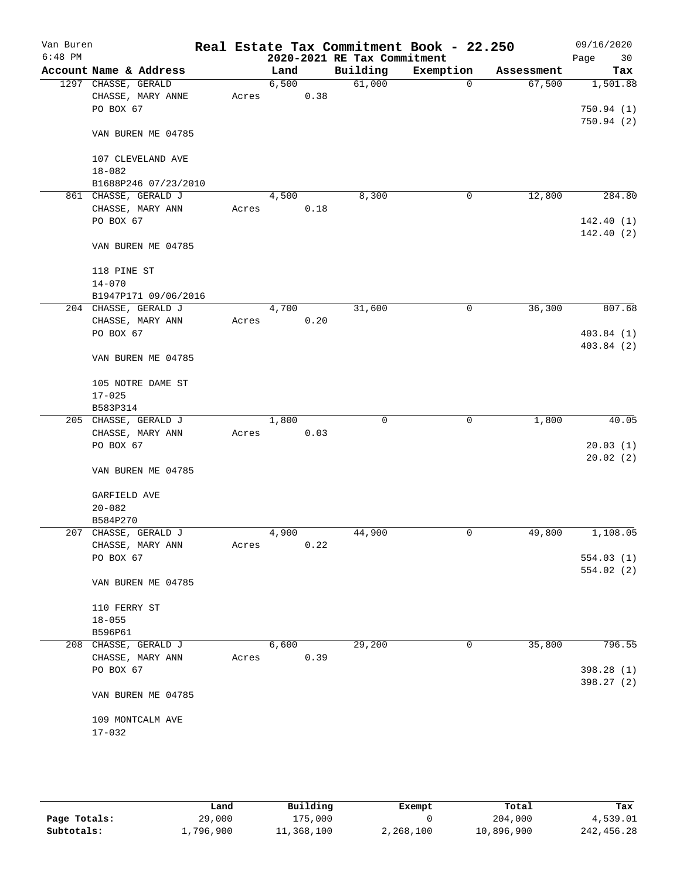| Van Buren<br>$6:48$ PM |                        |       |       |      | 2020-2021 RE Tax Commitment | Real Estate Tax Commitment Book - 22.250 |            | 09/16/2020<br>Page<br>30 |
|------------------------|------------------------|-------|-------|------|-----------------------------|------------------------------------------|------------|--------------------------|
|                        | Account Name & Address |       | Land  |      | Building                    | Exemption                                | Assessment | Tax                      |
|                        | 1297 CHASSE, GERALD    |       | 6,500 |      | 61,000                      | $\mathbf 0$                              | 67,500     | 1,501.88                 |
|                        | CHASSE, MARY ANNE      | Acres |       | 0.38 |                             |                                          |            |                          |
|                        | PO BOX 67              |       |       |      |                             |                                          |            | 750.94(1)                |
|                        |                        |       |       |      |                             |                                          |            | 750.94 (2)               |
|                        | VAN BUREN ME 04785     |       |       |      |                             |                                          |            |                          |
|                        | 107 CLEVELAND AVE      |       |       |      |                             |                                          |            |                          |
|                        | $18 - 082$             |       |       |      |                             |                                          |            |                          |
|                        | B1688P246 07/23/2010   |       |       |      |                             |                                          |            |                          |
|                        | 861 CHASSE, GERALD J   |       | 4,500 |      | 8,300                       | 0                                        | 12,800     | 284.80                   |
|                        | CHASSE, MARY ANN       | Acres |       | 0.18 |                             |                                          |            |                          |
|                        | PO BOX 67              |       |       |      |                             |                                          |            | 142.40(1)                |
|                        |                        |       |       |      |                             |                                          |            | 142.40(2)                |
|                        | VAN BUREN ME 04785     |       |       |      |                             |                                          |            |                          |
|                        | 118 PINE ST            |       |       |      |                             |                                          |            |                          |
|                        | $14 - 070$             |       |       |      |                             |                                          |            |                          |
|                        | B1947P171 09/06/2016   |       |       |      |                             |                                          |            |                          |
|                        | 204 CHASSE, GERALD J   |       | 4,700 |      | 31,600                      | 0                                        | 36,300     | 807.68                   |
|                        | CHASSE, MARY ANN       | Acres |       | 0.20 |                             |                                          |            |                          |
|                        | PO BOX 67              |       |       |      |                             |                                          |            | 403.84(1)                |
|                        |                        |       |       |      |                             |                                          |            | 403.84(2)                |
|                        | VAN BUREN ME 04785     |       |       |      |                             |                                          |            |                          |
|                        | 105 NOTRE DAME ST      |       |       |      |                             |                                          |            |                          |
|                        | $17 - 025$             |       |       |      |                             |                                          |            |                          |
|                        | B583P314               |       |       |      |                             |                                          |            |                          |
|                        | 205 CHASSE, GERALD J   |       | 1,800 |      | $\mathbf 0$                 | $\mathbf 0$                              | 1,800      | 40.05                    |
|                        | CHASSE, MARY ANN       | Acres |       | 0.03 |                             |                                          |            |                          |
|                        | PO BOX 67              |       |       |      |                             |                                          |            | 20.03(1)                 |
|                        |                        |       |       |      |                             |                                          |            | 20.02(2)                 |
|                        | VAN BUREN ME 04785     |       |       |      |                             |                                          |            |                          |
|                        |                        |       |       |      |                             |                                          |            |                          |
|                        | GARFIELD AVE           |       |       |      |                             |                                          |            |                          |
|                        | $20 - 082$             |       |       |      |                             |                                          |            |                          |
|                        | B584P270               |       |       |      |                             |                                          |            |                          |
|                        | 207 CHASSE, GERALD J   |       | 4,900 |      | 44,900                      | 0                                        | 49,800     | 1,108.05                 |
|                        | CHASSE, MARY ANN       | Acres |       | 0.22 |                             |                                          |            |                          |
|                        | PO BOX 67              |       |       |      |                             |                                          |            | 554.03(1)                |
|                        | VAN BUREN ME 04785     |       |       |      |                             |                                          |            | 554.02(2)                |
|                        |                        |       |       |      |                             |                                          |            |                          |
|                        | 110 FERRY ST           |       |       |      |                             |                                          |            |                          |
|                        | $18 - 055$             |       |       |      |                             |                                          |            |                          |
|                        | B596P61                |       |       |      |                             |                                          |            |                          |
|                        | 208 CHASSE, GERALD J   |       | 6,600 |      | 29,200                      | 0                                        | 35,800     | 796.55                   |
|                        | CHASSE, MARY ANN       | Acres |       | 0.39 |                             |                                          |            |                          |
|                        | PO BOX 67              |       |       |      |                             |                                          |            | 398.28 (1)               |
|                        | VAN BUREN ME 04785     |       |       |      |                             |                                          |            | 398.27 (2)               |
|                        |                        |       |       |      |                             |                                          |            |                          |
|                        | 109 MONTCALM AVE       |       |       |      |                             |                                          |            |                          |
|                        | $17 - 032$             |       |       |      |                             |                                          |            |                          |
|                        |                        |       |       |      |                             |                                          |            |                          |

|              | Land      | Building   | Exempt    | Total      | Tax         |
|--------------|-----------|------------|-----------|------------|-------------|
| Page Totals: | 29,000    | 175,000    |           | 204,000    | 4,539.01    |
| Subtotals:   | l,796,900 | 11,368,100 | 2,268,100 | 10,896,900 | 242, 456.28 |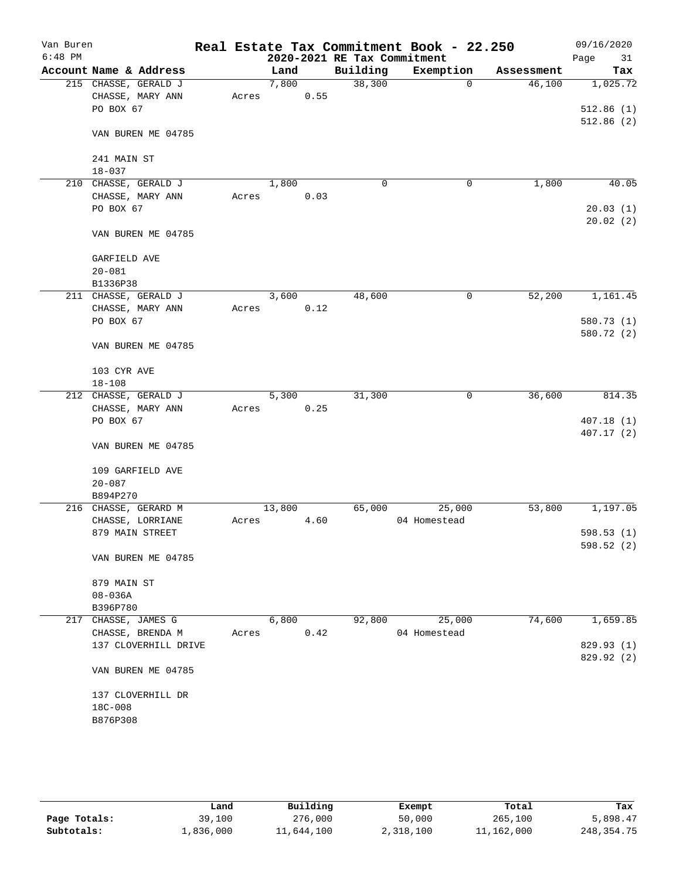| Van Buren<br>$6:48$ PM |                                      |       |        |      | 2020-2021 RE Tax Commitment | Real Estate Tax Commitment Book - 22.250 |            | 09/16/2020<br>Page<br>31 |
|------------------------|--------------------------------------|-------|--------|------|-----------------------------|------------------------------------------|------------|--------------------------|
|                        | Account Name & Address               |       | Land   |      | Building                    | Exemption                                | Assessment | Tax                      |
|                        | 215 CHASSE, GERALD J                 |       | 7,800  |      | 38,300                      | $\mathbf 0$                              | 46,100     | 1,025.72                 |
|                        | CHASSE, MARY ANN                     | Acres |        | 0.55 |                             |                                          |            |                          |
|                        | PO BOX 67                            |       |        |      |                             |                                          |            | 512.86(1)                |
|                        |                                      |       |        |      |                             |                                          |            | 512.86(2)                |
|                        | VAN BUREN ME 04785                   |       |        |      |                             |                                          |            |                          |
|                        |                                      |       |        |      |                             |                                          |            |                          |
|                        | 241 MAIN ST                          |       |        |      |                             |                                          |            |                          |
|                        | $18 - 037$                           |       | 1,800  |      | $\mathbf 0$                 |                                          | 1,800      | 40.05                    |
| 210                    | CHASSE, GERALD J<br>CHASSE, MARY ANN | Acres |        | 0.03 |                             | 0                                        |            |                          |
|                        | PO BOX 67                            |       |        |      |                             |                                          |            | 20.03(1)                 |
|                        |                                      |       |        |      |                             |                                          |            | 20.02(2)                 |
|                        | VAN BUREN ME 04785                   |       |        |      |                             |                                          |            |                          |
|                        |                                      |       |        |      |                             |                                          |            |                          |
|                        | <b>GARFIELD AVE</b>                  |       |        |      |                             |                                          |            |                          |
|                        | $20 - 081$                           |       |        |      |                             |                                          |            |                          |
|                        | B1336P38                             |       |        |      |                             |                                          |            |                          |
|                        | 211 CHASSE, GERALD J                 |       | 3,600  |      | 48,600                      | 0                                        | 52,200     | 1,161.45                 |
|                        | CHASSE, MARY ANN                     | Acres |        | 0.12 |                             |                                          |            |                          |
|                        | PO BOX 67                            |       |        |      |                             |                                          |            | 580.73 (1)               |
|                        |                                      |       |        |      |                             |                                          |            | 580.72 (2)               |
|                        | VAN BUREN ME 04785                   |       |        |      |                             |                                          |            |                          |
|                        |                                      |       |        |      |                             |                                          |            |                          |
|                        | 103 CYR AVE                          |       |        |      |                             |                                          |            |                          |
|                        | $18 - 108$                           |       |        |      |                             |                                          |            |                          |
|                        | 212 CHASSE, GERALD J                 |       | 5,300  |      | 31,300                      | 0                                        | 36,600     | 814.35                   |
|                        | CHASSE, MARY ANN                     | Acres |        | 0.25 |                             |                                          |            |                          |
|                        | PO BOX 67                            |       |        |      |                             |                                          |            | 407.18(1)                |
|                        |                                      |       |        |      |                             |                                          |            | 407.17 (2)               |
|                        | VAN BUREN ME 04785                   |       |        |      |                             |                                          |            |                          |
|                        |                                      |       |        |      |                             |                                          |            |                          |
|                        | 109 GARFIELD AVE                     |       |        |      |                             |                                          |            |                          |
|                        | $20 - 087$<br>B894P270               |       |        |      |                             |                                          |            |                          |
|                        | 216 CHASSE, GERARD M                 |       | 13,800 |      | 65,000                      | 25,000                                   | 53,800     | 1,197.05                 |
|                        | CHASSE, LORRIANE                     | Acres |        | 4.60 |                             | 04 Homestead                             |            |                          |
|                        | 879 MAIN STREET                      |       |        |      |                             |                                          |            | 598.53(1)                |
|                        |                                      |       |        |      |                             |                                          |            | 598.52 (2)               |
|                        | VAN BUREN ME 04785                   |       |        |      |                             |                                          |            |                          |
|                        |                                      |       |        |      |                             |                                          |            |                          |
|                        | 879 MAIN ST                          |       |        |      |                             |                                          |            |                          |
|                        | $08 - 036A$                          |       |        |      |                             |                                          |            |                          |
|                        | B396P780                             |       |        |      |                             |                                          |            |                          |
|                        | 217 CHASSE, JAMES G                  |       | 6,800  |      | 92,800                      | 25,000                                   | 74,600     | 1,659.85                 |
|                        | CHASSE, BRENDA M                     | Acres |        | 0.42 |                             | 04 Homestead                             |            |                          |
|                        | 137 CLOVERHILL DRIVE                 |       |        |      |                             |                                          |            | 829.93 (1)               |
|                        |                                      |       |        |      |                             |                                          |            | 829.92 (2)               |
|                        | VAN BUREN ME 04785                   |       |        |      |                             |                                          |            |                          |
|                        |                                      |       |        |      |                             |                                          |            |                          |
|                        | 137 CLOVERHILL DR                    |       |        |      |                             |                                          |            |                          |
|                        | 18C-008                              |       |        |      |                             |                                          |            |                          |
|                        | B876P308                             |       |        |      |                             |                                          |            |                          |
|                        |                                      |       |        |      |                             |                                          |            |                          |
|                        |                                      |       |        |      |                             |                                          |            |                          |
|                        |                                      |       |        |      |                             |                                          |            |                          |

|              | Land      | Building   | Exempt    | Total      | Tax          |
|--------------|-----------|------------|-----------|------------|--------------|
| Page Totals: | 39,100    | 276,000    | 50,000    | 265,100    | 5,898.47     |
| Subtotals:   | 1,836,000 | 11,644,100 | 2,318,100 | 11,162,000 | 248, 354. 75 |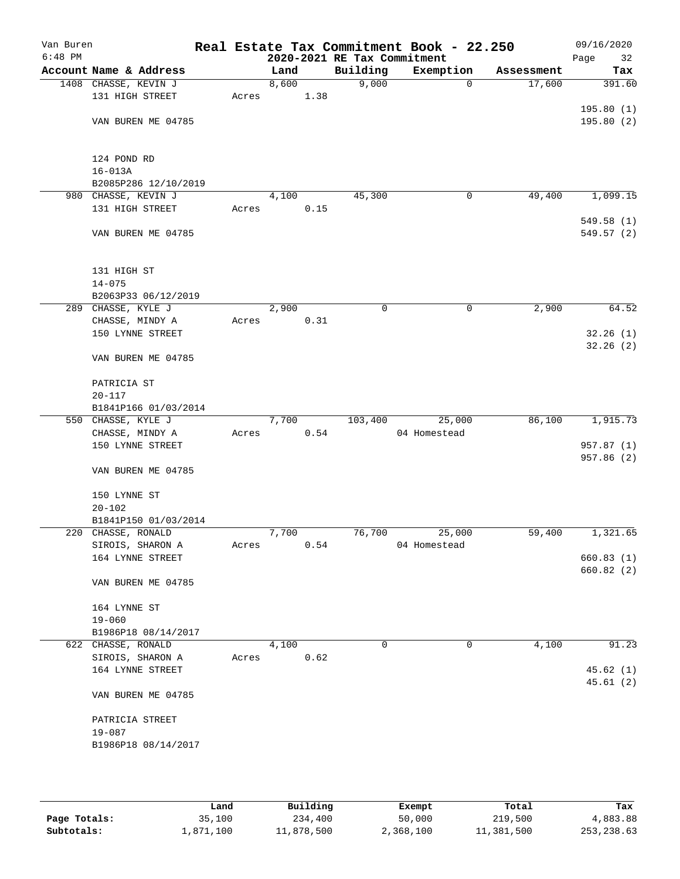| Van Buren<br>$6:48$ PM |                                     |       |       |      | 2020-2021 RE Tax Commitment | Real Estate Tax Commitment Book - 22.250 |            | 09/16/2020<br>Page<br>32 |
|------------------------|-------------------------------------|-------|-------|------|-----------------------------|------------------------------------------|------------|--------------------------|
|                        | Account Name & Address              |       | Land  |      | Building                    | Exemption                                | Assessment | Tax                      |
|                        | 1408 CHASSE, KEVIN J                |       | 8,600 |      | 9,000                       | $\mathbf 0$                              | 17,600     | 391.60                   |
|                        | 131 HIGH STREET                     | Acres |       | 1.38 |                             |                                          |            |                          |
|                        |                                     |       |       |      |                             |                                          |            | 195.80(1)                |
|                        | VAN BUREN ME 04785                  |       |       |      |                             |                                          |            | 195.80(2)                |
|                        |                                     |       |       |      |                             |                                          |            |                          |
|                        |                                     |       |       |      |                             |                                          |            |                          |
|                        | 124 POND RD                         |       |       |      |                             |                                          |            |                          |
|                        | $16 - 013A$                         |       |       |      |                             |                                          |            |                          |
|                        | B2085P286 12/10/2019                |       |       |      |                             |                                          |            |                          |
|                        | 980 CHASSE, KEVIN J                 |       | 4,100 |      | 45,300                      | 0                                        | 49,400     | 1,099.15                 |
|                        | 131 HIGH STREET                     | Acres |       | 0.15 |                             |                                          |            |                          |
|                        | VAN BUREN ME 04785                  |       |       |      |                             |                                          |            | 549.58(1)<br>549.57 (2)  |
|                        |                                     |       |       |      |                             |                                          |            |                          |
|                        |                                     |       |       |      |                             |                                          |            |                          |
|                        | 131 HIGH ST                         |       |       |      |                             |                                          |            |                          |
|                        | $14 - 075$                          |       |       |      |                             |                                          |            |                          |
|                        | B2063P33 06/12/2019                 |       |       |      |                             |                                          |            |                          |
|                        | 289 CHASSE, KYLE J                  |       | 2,900 |      | $\mathbf 0$                 | $\mathsf{O}$                             | 2,900      | 64.52                    |
|                        | CHASSE, MINDY A                     | Acres |       | 0.31 |                             |                                          |            |                          |
|                        | 150 LYNNE STREET                    |       |       |      |                             |                                          |            | 32.26(1)                 |
|                        |                                     |       |       |      |                             |                                          |            | 32.26(2)                 |
|                        | VAN BUREN ME 04785                  |       |       |      |                             |                                          |            |                          |
|                        |                                     |       |       |      |                             |                                          |            |                          |
|                        | PATRICIA ST                         |       |       |      |                             |                                          |            |                          |
|                        | $20 - 117$                          |       |       |      |                             |                                          |            |                          |
|                        | B1841P166 01/03/2014                |       |       |      |                             |                                          |            |                          |
|                        | 550 CHASSE, KYLE J                  |       | 7,700 |      | 103,400                     | 25,000                                   | 86,100     | 1,915.73                 |
|                        | CHASSE, MINDY A<br>150 LYNNE STREET | Acres |       | 0.54 |                             | 04 Homestead                             |            | 957.87 (1)               |
|                        |                                     |       |       |      |                             |                                          |            | 957.86 (2)               |
|                        | VAN BUREN ME 04785                  |       |       |      |                             |                                          |            |                          |
|                        |                                     |       |       |      |                             |                                          |            |                          |
|                        | 150 LYNNE ST                        |       |       |      |                             |                                          |            |                          |
|                        | $20 - 102$                          |       |       |      |                             |                                          |            |                          |
|                        | B1841P150 01/03/2014                |       |       |      |                             |                                          |            |                          |
|                        | 220 CHASSE, RONALD                  |       | 7,700 |      | 76,700                      | 25,000                                   | 59,400     | 1,321.65                 |
|                        | SIROIS, SHARON A                    | Acres |       | 0.54 |                             | 04 Homestead                             |            |                          |
|                        | 164 LYNNE STREET                    |       |       |      |                             |                                          |            | 660.83(1)                |
|                        |                                     |       |       |      |                             |                                          |            | 660.82(2)                |
|                        | VAN BUREN ME 04785                  |       |       |      |                             |                                          |            |                          |
|                        |                                     |       |       |      |                             |                                          |            |                          |
|                        | 164 LYNNE ST                        |       |       |      |                             |                                          |            |                          |
|                        | $19 - 060$<br>B1986P18 08/14/2017   |       |       |      |                             |                                          |            |                          |
|                        | 622 CHASSE, RONALD                  |       | 4,100 |      | $\mathbf 0$                 | 0                                        | 4,100      | 91.23                    |
|                        | SIROIS, SHARON A                    | Acres |       | 0.62 |                             |                                          |            |                          |
|                        | 164 LYNNE STREET                    |       |       |      |                             |                                          |            | 45.62(1)                 |
|                        |                                     |       |       |      |                             |                                          |            | 45.61(2)                 |
|                        | VAN BUREN ME 04785                  |       |       |      |                             |                                          |            |                          |
|                        |                                     |       |       |      |                             |                                          |            |                          |
|                        | PATRICIA STREET                     |       |       |      |                             |                                          |            |                          |
|                        | $19 - 087$                          |       |       |      |                             |                                          |            |                          |
|                        | B1986P18 08/14/2017                 |       |       |      |                             |                                          |            |                          |
|                        |                                     |       |       |      |                             |                                          |            |                          |
|                        |                                     |       |       |      |                             |                                          |            |                          |

|              | Land      | Building   | Exempt    | Total      | Tax          |
|--------------|-----------|------------|-----------|------------|--------------|
| Page Totals: | 35,100    | 234,400    | 50,000    | 219,500    | 4,883.88     |
| Subtotals:   | 1,871,100 | 11,878,500 | 2,368,100 | 11,381,500 | 253, 238, 63 |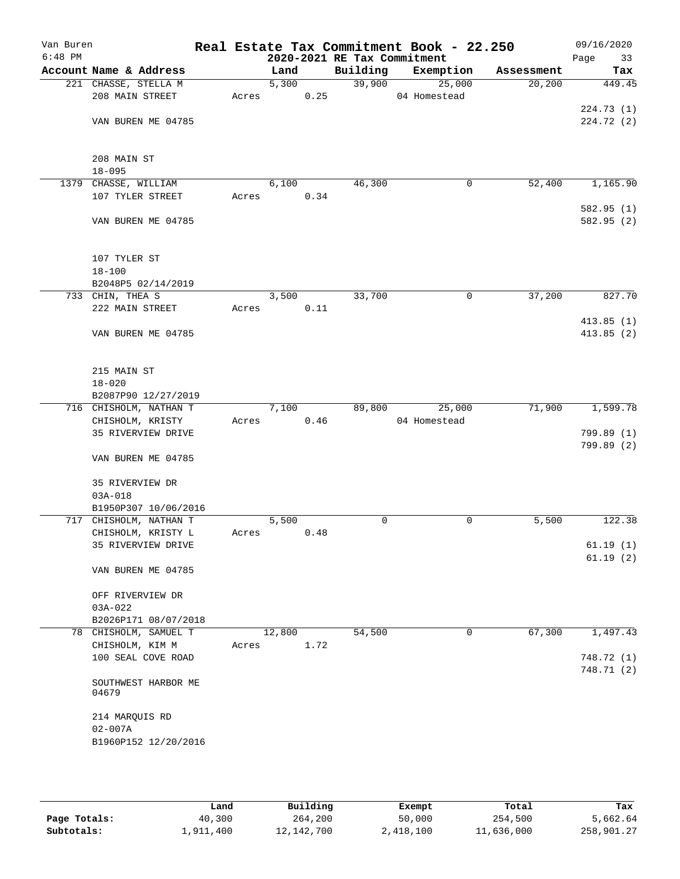| Van Buren<br>$6:48$ PM |                                     |       |        |      | 2020-2021 RE Tax Commitment | Real Estate Tax Commitment Book - 22.250 |            | 09/16/2020<br>Page<br>33 |
|------------------------|-------------------------------------|-------|--------|------|-----------------------------|------------------------------------------|------------|--------------------------|
|                        | Account Name & Address              |       | Land   |      | Building                    | Exemption                                | Assessment | Tax                      |
|                        | 221 CHASSE, STELLA M                |       | 5,300  |      | 39,900                      | 25,000                                   | 20, 200    | 449.45                   |
|                        | 208 MAIN STREET                     | Acres |        | 0.25 |                             | 04 Homestead                             |            |                          |
|                        |                                     |       |        |      |                             |                                          |            | 224.73(1)                |
|                        | VAN BUREN ME 04785                  |       |        |      |                             |                                          |            | 224.72(2)                |
|                        |                                     |       |        |      |                             |                                          |            |                          |
|                        |                                     |       |        |      |                             |                                          |            |                          |
|                        | 208 MAIN ST<br>$18 - 095$           |       |        |      |                             |                                          |            |                          |
|                        | 1379 CHASSE, WILLIAM                |       | 6,100  |      | 46,300                      | 0                                        | 52,400     | 1,165.90                 |
|                        | 107 TYLER STREET                    | Acres |        | 0.34 |                             |                                          |            |                          |
|                        |                                     |       |        |      |                             |                                          |            | 582.95 (1)               |
|                        | VAN BUREN ME 04785                  |       |        |      |                             |                                          |            | 582.95 (2)               |
|                        |                                     |       |        |      |                             |                                          |            |                          |
|                        |                                     |       |        |      |                             |                                          |            |                          |
|                        | 107 TYLER ST                        |       |        |      |                             |                                          |            |                          |
|                        | $18 - 100$                          |       |        |      |                             |                                          |            |                          |
|                        | B2048P5 02/14/2019                  |       |        |      |                             |                                          |            |                          |
|                        | 733 CHIN, THEA S                    |       | 3,500  |      | 33,700                      | 0                                        | 37,200     | 827.70                   |
|                        | 222 MAIN STREET                     | Acres |        | 0.11 |                             |                                          |            |                          |
|                        |                                     |       |        |      |                             |                                          |            | 413.85(1)                |
|                        | VAN BUREN ME 04785                  |       |        |      |                             |                                          |            | 413.85(2)                |
|                        |                                     |       |        |      |                             |                                          |            |                          |
|                        | 215 MAIN ST                         |       |        |      |                             |                                          |            |                          |
|                        | $18 - 020$                          |       |        |      |                             |                                          |            |                          |
|                        | B2087P90 12/27/2019                 |       |        |      |                             |                                          |            |                          |
|                        | 716 CHISHOLM, NATHAN T              |       | 7,100  |      | 89,800                      | 25,000                                   | 71,900     | 1,599.78                 |
|                        | CHISHOLM, KRISTY                    | Acres |        | 0.46 |                             | 04 Homestead                             |            |                          |
|                        | 35 RIVERVIEW DRIVE                  |       |        |      |                             |                                          |            | 799.89 (1)               |
|                        |                                     |       |        |      |                             |                                          |            | 799.89 (2)               |
|                        | VAN BUREN ME 04785                  |       |        |      |                             |                                          |            |                          |
|                        |                                     |       |        |      |                             |                                          |            |                          |
|                        | 35 RIVERVIEW DR                     |       |        |      |                             |                                          |            |                          |
|                        | $03A - 018$<br>B1950P307 10/06/2016 |       |        |      |                             |                                          |            |                          |
|                        | 717 CHISHOLM, NATHAN T              |       | 5,500  |      | $\mathbf 0$                 | 0                                        | 5,500      | 122.38                   |
|                        | CHISHOLM, KRISTY L                  | Acres |        | 0.48 |                             |                                          |            |                          |
|                        | 35 RIVERVIEW DRIVE                  |       |        |      |                             |                                          |            | 61.19(1)                 |
|                        |                                     |       |        |      |                             |                                          |            | 61.19(2)                 |
|                        | VAN BUREN ME 04785                  |       |        |      |                             |                                          |            |                          |
|                        |                                     |       |        |      |                             |                                          |            |                          |
|                        | OFF RIVERVIEW DR                    |       |        |      |                             |                                          |            |                          |
|                        | $03A-022$                           |       |        |      |                             |                                          |            |                          |
|                        | B2026P171 08/07/2018                |       |        |      |                             |                                          |            |                          |
|                        | 78 CHISHOLM, SAMUEL T               |       | 12,800 |      | 54,500                      | 0                                        | 67,300     | 1,497.43                 |
|                        | CHISHOLM, KIM M                     | Acres |        | 1.72 |                             |                                          |            |                          |
|                        | 100 SEAL COVE ROAD                  |       |        |      |                             |                                          |            | 748.72 (1)               |
|                        | SOUTHWEST HARBOR ME                 |       |        |      |                             |                                          |            | 748.71 (2)               |
|                        | 04679                               |       |        |      |                             |                                          |            |                          |
|                        |                                     |       |        |      |                             |                                          |            |                          |
|                        | 214 MARQUIS RD                      |       |        |      |                             |                                          |            |                          |
|                        | $02 - 007A$                         |       |        |      |                             |                                          |            |                          |
|                        | B1960P152 12/20/2016                |       |        |      |                             |                                          |            |                          |
|                        |                                     |       |        |      |                             |                                          |            |                          |
|                        |                                     |       |        |      |                             |                                          |            |                          |

|              | Land      | Building   | Exempt    | Total      | Tax        |
|--------------|-----------|------------|-----------|------------|------------|
| Page Totals: | 40,300    | 264,200    | 50,000    | 254,500    | 5,662.64   |
| Subtotals:   | 1,911,400 | 12,142,700 | 2,418,100 | 11,636,000 | 258,901.27 |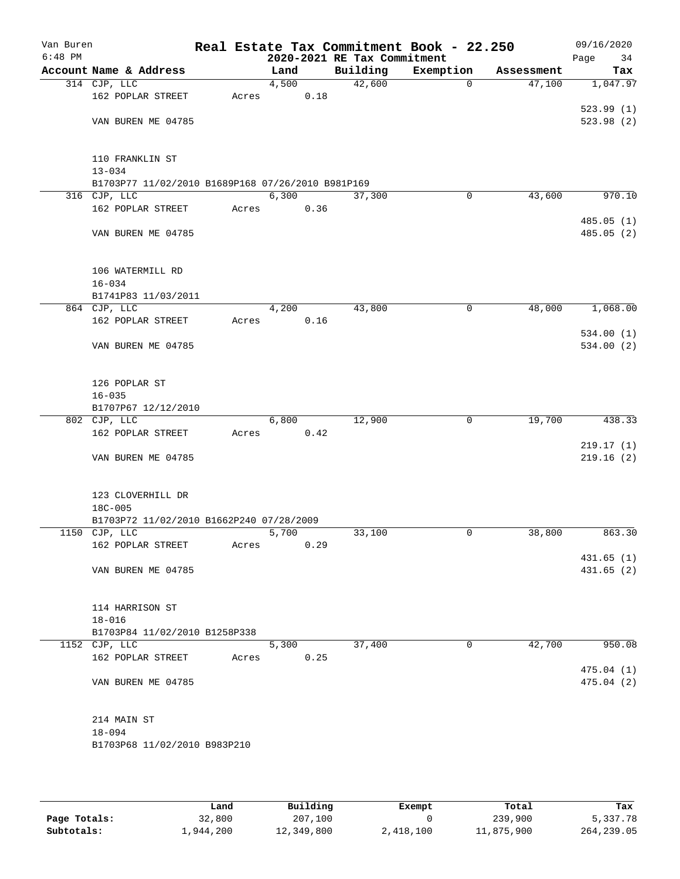| Van Buren<br>$6:48$ PM |                                                                   |       |                    | 2020-2021 RE Tax Commitment | Real Estate Tax Commitment Book - 22.250 |            | 09/16/2020<br>Page<br>34 |
|------------------------|-------------------------------------------------------------------|-------|--------------------|-----------------------------|------------------------------------------|------------|--------------------------|
|                        | Account Name & Address                                            |       | Land               | Building                    | Exemption                                | Assessment | Tax                      |
|                        | 314 CJP, LLC                                                      |       | 4,500              | 42,600                      | $\mathbf 0$                              | 47,100     | 1,047.97                 |
|                        | 162 POPLAR STREET                                                 | Acres | 0.18               |                             |                                          |            |                          |
|                        |                                                                   |       |                    |                             |                                          |            | 523.99(1)                |
|                        | VAN BUREN ME 04785                                                |       |                    |                             |                                          |            | 523.98(2)                |
|                        |                                                                   |       |                    |                             |                                          |            |                          |
|                        | 110 FRANKLIN ST                                                   |       |                    |                             |                                          |            |                          |
|                        | $13 - 034$                                                        |       |                    |                             |                                          |            |                          |
|                        | B1703P77 11/02/2010 B1689P168 07/26/2010 B981P169<br>316 CJP, LLC |       | 6,300              | 37,300                      | 0                                        | 43,600     | 970.10                   |
|                        | 162 POPLAR STREET                                                 | Acres | 0.36               |                             |                                          |            |                          |
|                        |                                                                   |       |                    |                             |                                          |            | 485.05(1)                |
|                        | VAN BUREN ME 04785                                                |       |                    |                             |                                          |            | 485.05 (2)               |
|                        |                                                                   |       |                    |                             |                                          |            |                          |
|                        | 106 WATERMILL RD                                                  |       |                    |                             |                                          |            |                          |
|                        | $16 - 034$<br>B1741P83 11/03/2011                                 |       |                    |                             |                                          |            |                          |
|                        | 864 CJP, LLC                                                      |       | 4,200              | 43,800                      | 0                                        | 48,000     | 1,068.00                 |
|                        | 162 POPLAR STREET                                                 | Acres | 0.16               |                             |                                          |            |                          |
|                        |                                                                   |       |                    |                             |                                          |            | 534.00(1)                |
|                        | VAN BUREN ME 04785                                                |       |                    |                             |                                          |            | 534.00(2)                |
|                        |                                                                   |       |                    |                             |                                          |            |                          |
|                        | 126 POPLAR ST<br>$16 - 035$                                       |       |                    |                             |                                          |            |                          |
|                        | B1707P67 12/12/2010                                               |       |                    |                             |                                          |            |                          |
|                        | 802 CJP, LLC                                                      |       | 6,800              | 12,900                      | 0                                        | 19,700     | 438.33                   |
|                        | 162 POPLAR STREET                                                 | Acres | 0.42               |                             |                                          |            |                          |
|                        |                                                                   |       |                    |                             |                                          |            | 219.17(1)                |
|                        | VAN BUREN ME 04785                                                |       |                    |                             |                                          |            | 219.16(2)                |
|                        | 123 CLOVERHILL DR                                                 |       |                    |                             |                                          |            |                          |
|                        | $18C - 005$                                                       |       |                    |                             |                                          |            |                          |
|                        | B1703P72 11/02/2010 B1662P240 07/28/2009                          |       |                    |                             |                                          |            |                          |
|                        | 1150 CJP, LLC                                                     |       | 5,700              | 33,100                      | 0                                        | 38,800     | 863.30                   |
|                        | 162 POPLAR STREET                                                 | Acres | 0.29               |                             |                                          |            |                          |
|                        |                                                                   |       |                    |                             |                                          |            | 431.65 (1)               |
|                        | VAN BUREN ME 04785                                                |       |                    |                             |                                          |            | 431.65(2)                |
|                        | 114 HARRISON ST                                                   |       |                    |                             |                                          |            |                          |
|                        | $18 - 016$                                                        |       |                    |                             |                                          |            |                          |
|                        | B1703P84 11/02/2010 B1258P338                                     |       |                    |                             |                                          |            |                          |
|                        | 1152 CJP, LLC                                                     |       | $\overline{5,300}$ | 37,400                      | 0                                        | 42,700     | 950.08                   |
|                        | 162 POPLAR STREET                                                 | Acres | 0.25               |                             |                                          |            |                          |
|                        | VAN BUREN ME 04785                                                |       |                    |                             |                                          |            | 475.04(1)<br>475.04(2)   |
|                        |                                                                   |       |                    |                             |                                          |            |                          |
|                        | 214 MAIN ST                                                       |       |                    |                             |                                          |            |                          |
|                        | $18 - 094$                                                        |       |                    |                             |                                          |            |                          |
|                        | B1703P68 11/02/2010 B983P210                                      |       |                    |                             |                                          |            |                          |
|                        |                                                                   |       |                    |                             |                                          |            |                          |

|              | Land      | Building   | Exempt    | Total      | Tax         |
|--------------|-----------|------------|-----------|------------|-------------|
| Page Totals: | 32,800    | 207,100    |           | 239,900    | 5,337.78    |
| Subtotals:   | 1,944,200 | 12,349,800 | 2,418,100 | 11,875,900 | 264, 239.05 |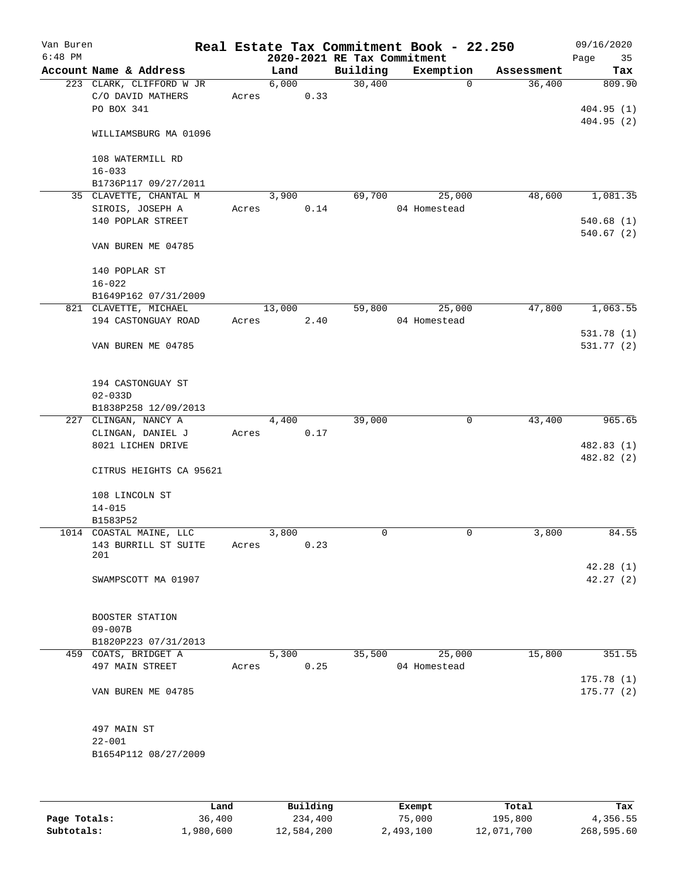| Van Buren<br>$6:48$ PM |                          |       |        |      | 2020-2021 RE Tax Commitment | Real Estate Tax Commitment Book - 22.250 |            | 09/16/2020<br>Page<br>35 |
|------------------------|--------------------------|-------|--------|------|-----------------------------|------------------------------------------|------------|--------------------------|
|                        | Account Name & Address   |       | Land   |      | Building                    | Exemption                                | Assessment | Tax                      |
|                        | 223 CLARK, CLIFFORD W JR |       | 6,000  |      | 30,400                      | 0                                        | 36,400     | 809.90                   |
|                        | C/O DAVID MATHERS        | Acres |        | 0.33 |                             |                                          |            |                          |
|                        | PO BOX 341               |       |        |      |                             |                                          |            | 404.95(1)                |
|                        |                          |       |        |      |                             |                                          |            | 404.95(2)                |
|                        | WILLIAMSBURG MA 01096    |       |        |      |                             |                                          |            |                          |
|                        |                          |       |        |      |                             |                                          |            |                          |
|                        | 108 WATERMILL RD         |       |        |      |                             |                                          |            |                          |
|                        | $16 - 033$               |       |        |      |                             |                                          |            |                          |
|                        | B1736P117 09/27/2011     |       |        |      |                             |                                          |            |                          |
|                        | 35 CLAVETTE, CHANTAL M   |       | 3,900  |      | 69,700                      | 25,000                                   | 48,600     | 1,081.35                 |
|                        | SIROIS, JOSEPH A         | Acres |        | 0.14 |                             | 04 Homestead                             |            |                          |
|                        | 140 POPLAR STREET        |       |        |      |                             |                                          |            | 540.68(1)                |
|                        |                          |       |        |      |                             |                                          |            | 540.67(2)                |
|                        | VAN BUREN ME 04785       |       |        |      |                             |                                          |            |                          |
|                        |                          |       |        |      |                             |                                          |            |                          |
|                        | 140 POPLAR ST            |       |        |      |                             |                                          |            |                          |
|                        | $16 - 022$               |       |        |      |                             |                                          |            |                          |
|                        |                          |       |        |      |                             |                                          |            |                          |
|                        | B1649P162 07/31/2009     |       |        |      |                             |                                          |            |                          |
|                        | 821 CLAVETTE, MICHAEL    |       | 13,000 |      | 59,800                      | 25,000                                   | 47,800     | 1,063.55                 |
|                        | 194 CASTONGUAY ROAD      | Acres |        | 2.40 |                             | 04 Homestead                             |            |                          |
|                        |                          |       |        |      |                             |                                          |            | 531.78 (1)               |
|                        | VAN BUREN ME 04785       |       |        |      |                             |                                          |            | 531.77(2)                |
|                        |                          |       |        |      |                             |                                          |            |                          |
|                        |                          |       |        |      |                             |                                          |            |                          |
|                        | 194 CASTONGUAY ST        |       |        |      |                             |                                          |            |                          |
|                        | $02 - 033D$              |       |        |      |                             |                                          |            |                          |
|                        | B1838P258 12/09/2013     |       |        |      |                             |                                          |            |                          |
|                        | 227 CLINGAN, NANCY A     |       | 4,400  |      | 39,000                      | $\mathbf 0$                              | 43,400     | 965.65                   |
|                        | CLINGAN, DANIEL J        | Acres |        | 0.17 |                             |                                          |            |                          |
|                        | 8021 LICHEN DRIVE        |       |        |      |                             |                                          |            | 482.83 (1)               |
|                        |                          |       |        |      |                             |                                          |            | 482.82 (2)               |
|                        | CITRUS HEIGHTS CA 95621  |       |        |      |                             |                                          |            |                          |
|                        |                          |       |        |      |                             |                                          |            |                          |
|                        | 108 LINCOLN ST           |       |        |      |                             |                                          |            |                          |
|                        | $14 - 015$               |       |        |      |                             |                                          |            |                          |
|                        | B1583P52                 |       |        |      |                             |                                          |            |                          |
|                        | 1014 COASTAL MAINE, LLC  |       | 3,800  |      | 0                           | 0                                        | 3,800      | 84.55                    |
|                        | 143 BURRILL ST SUITE     | Acres |        | 0.23 |                             |                                          |            |                          |
|                        | 201                      |       |        |      |                             |                                          |            |                          |
|                        |                          |       |        |      |                             |                                          |            | 42.28(1)                 |
|                        | SWAMPSCOTT MA 01907      |       |        |      |                             |                                          |            | 42.27(2)                 |
|                        |                          |       |        |      |                             |                                          |            |                          |
|                        |                          |       |        |      |                             |                                          |            |                          |
|                        | BOOSTER STATION          |       |        |      |                             |                                          |            |                          |
|                        | $09 - 007B$              |       |        |      |                             |                                          |            |                          |
|                        | B1820P223 07/31/2013     |       |        |      |                             |                                          |            |                          |
|                        | 459 COATS, BRIDGET A     |       | 5,300  |      | 35,500                      | 25,000                                   | 15,800     | 351.55                   |
|                        | 497 MAIN STREET          | Acres |        | 0.25 |                             | 04 Homestead                             |            |                          |
|                        |                          |       |        |      |                             |                                          |            | 175.78(1)                |
|                        | VAN BUREN ME 04785       |       |        |      |                             |                                          |            | 175.77(2)                |
|                        |                          |       |        |      |                             |                                          |            |                          |
|                        |                          |       |        |      |                             |                                          |            |                          |
|                        |                          |       |        |      |                             |                                          |            |                          |
|                        | 497 MAIN ST              |       |        |      |                             |                                          |            |                          |
|                        | $22 - 001$               |       |        |      |                             |                                          |            |                          |
|                        | B1654P112 08/27/2009     |       |        |      |                             |                                          |            |                          |
|                        |                          |       |        |      |                             |                                          |            |                          |
|                        |                          |       |        |      |                             |                                          |            |                          |
|                        |                          |       |        |      |                             |                                          |            |                          |

|              | Land      | Building   | Exempt    | Total      | Tax        |
|--------------|-----------|------------|-----------|------------|------------|
| Page Totals: | 36,400    | 234,400    | 75,000    | 195,800    | 4,356.55   |
| Subtotals:   | 1,980,600 | 12,584,200 | 2,493,100 | 12,071,700 | 268,595.60 |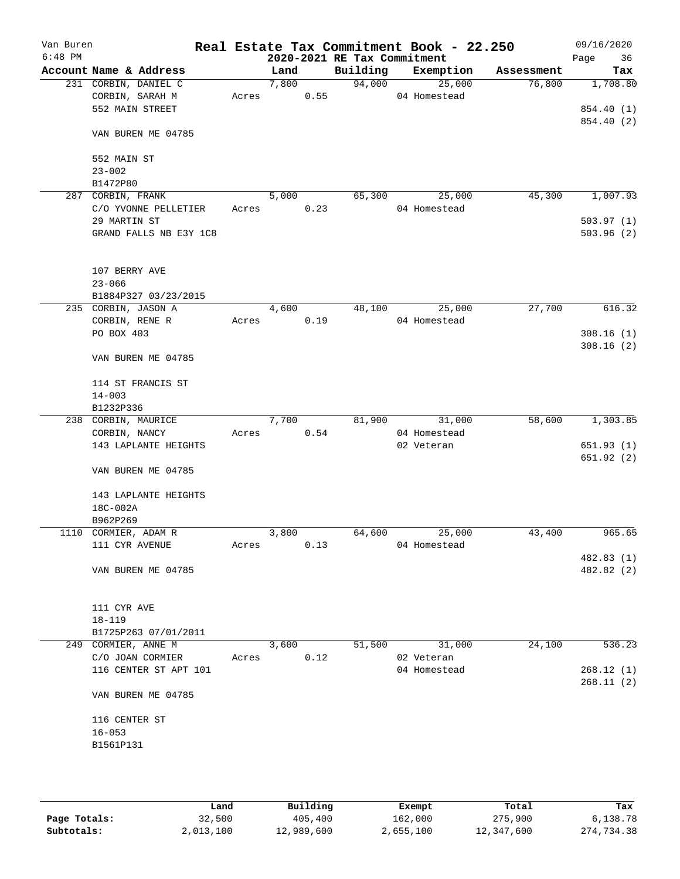| Van Buren<br>$6:48$ PM |                        |       |       |      |                             | Real Estate Tax Commitment Book - 22.250 |            | 09/16/2020 |
|------------------------|------------------------|-------|-------|------|-----------------------------|------------------------------------------|------------|------------|
|                        |                        |       |       |      | 2020-2021 RE Tax Commitment | Exemption                                |            | Page<br>36 |
|                        | Account Name & Address |       | Land  |      | Building                    |                                          | Assessment | Tax        |
|                        | 231 CORBIN, DANIEL C   |       | 7,800 |      | 94,000                      | 25,000                                   | 76,800     | 1,708.80   |
|                        | CORBIN, SARAH M        | Acres |       | 0.55 |                             | 04 Homestead                             |            |            |
|                        | 552 MAIN STREET        |       |       |      |                             |                                          |            | 854.40 (1) |
|                        | VAN BUREN ME 04785     |       |       |      |                             |                                          |            | 854.40 (2) |
|                        | 552 MAIN ST            |       |       |      |                             |                                          |            |            |
|                        | $23 - 002$             |       |       |      |                             |                                          |            |            |
|                        | B1472P80               |       |       |      |                             |                                          |            |            |
|                        | 287 CORBIN, FRANK      |       | 5,000 |      | 65,300                      | 25,000                                   | 45,300     | 1,007.93   |
|                        | C/O YVONNE PELLETIER   | Acres |       | 0.23 |                             | 04 Homestead                             |            |            |
|                        | 29 MARTIN ST           |       |       |      |                             |                                          |            | 503.97(1)  |
|                        | GRAND FALLS NB E3Y 1C8 |       |       |      |                             |                                          |            | 503.96(2)  |
|                        |                        |       |       |      |                             |                                          |            |            |
|                        | 107 BERRY AVE          |       |       |      |                             |                                          |            |            |
|                        | $23 - 066$             |       |       |      |                             |                                          |            |            |
|                        | B1884P327 03/23/2015   |       |       |      |                             |                                          |            |            |
|                        | 235 CORBIN, JASON A    |       | 4,600 |      | 48,100                      | 25,000                                   | 27,700     | 616.32     |
|                        | CORBIN, RENE R         | Acres |       | 0.19 |                             | 04 Homestead                             |            |            |
|                        | PO BOX 403             |       |       |      |                             |                                          |            | 308.16(1)  |
|                        |                        |       |       |      |                             |                                          |            | 308.16(2)  |
|                        | VAN BUREN ME 04785     |       |       |      |                             |                                          |            |            |
|                        | 114 ST FRANCIS ST      |       |       |      |                             |                                          |            |            |
|                        | $14 - 003$             |       |       |      |                             |                                          |            |            |
|                        | B1232P336              |       |       |      |                             |                                          |            |            |
|                        | 238 CORBIN, MAURICE    |       | 7,700 |      | 81,900                      | 31,000                                   | 58,600     | 1,303.85   |
|                        | CORBIN, NANCY          | Acres |       | 0.54 |                             | 04 Homestead                             |            |            |
|                        | 143 LAPLANTE HEIGHTS   |       |       |      |                             | 02 Veteran                               |            | 651.93(1)  |
|                        |                        |       |       |      |                             |                                          |            | 651.92(2)  |
|                        | VAN BUREN ME 04785     |       |       |      |                             |                                          |            |            |
|                        | 143 LAPLANTE HEIGHTS   |       |       |      |                             |                                          |            |            |
|                        | 18C-002A               |       |       |      |                             |                                          |            |            |
|                        | B962P269               |       |       |      |                             |                                          |            |            |
|                        | 1110 CORMIER, ADAM R   |       | 3,800 |      | 64,600                      | 25,000                                   | 43,400     | 965.65     |
|                        | 111 CYR AVENUE         | Acres |       | 0.13 |                             | 04 Homestead                             |            |            |
|                        |                        |       |       |      |                             |                                          |            | 482.83(1)  |
|                        | VAN BUREN ME 04785     |       |       |      |                             |                                          |            | 482.82 (2) |
|                        |                        |       |       |      |                             |                                          |            |            |
|                        | 111 CYR AVE            |       |       |      |                             |                                          |            |            |
|                        | $18 - 119$             |       |       |      |                             |                                          |            |            |
|                        | B1725P263 07/01/2011   |       |       |      |                             |                                          |            |            |
|                        | 249 CORMIER, ANNE M    |       | 3,600 |      | 51,500                      | 31,000                                   | 24,100     | 536.23     |
|                        | C/O JOAN CORMIER       | Acres |       | 0.12 |                             | 02 Veteran                               |            |            |
|                        | 116 CENTER ST APT 101  |       |       |      |                             | 04 Homestead                             |            | 268.12(1)  |
|                        |                        |       |       |      |                             |                                          |            | 268.11(2)  |
|                        | VAN BUREN ME 04785     |       |       |      |                             |                                          |            |            |
|                        | 116 CENTER ST          |       |       |      |                             |                                          |            |            |
|                        | $16 - 053$             |       |       |      |                             |                                          |            |            |
|                        | B1561P131              |       |       |      |                             |                                          |            |            |
|                        |                        |       |       |      |                             |                                          |            |            |
|                        |                        |       |       |      |                             |                                          |            |            |
|                        |                        |       |       |      |                             |                                          |            |            |

|              | Land      | Building   | Exempt    | Total      | Tax        |
|--------------|-----------|------------|-----------|------------|------------|
| Page Totals: | 32,500    | 405,400    | 162,000   | 275,900    | 6,138.78   |
| Subtotals:   | 2,013,100 | 12,989,600 | 2,655,100 | 12,347,600 | 274,734.38 |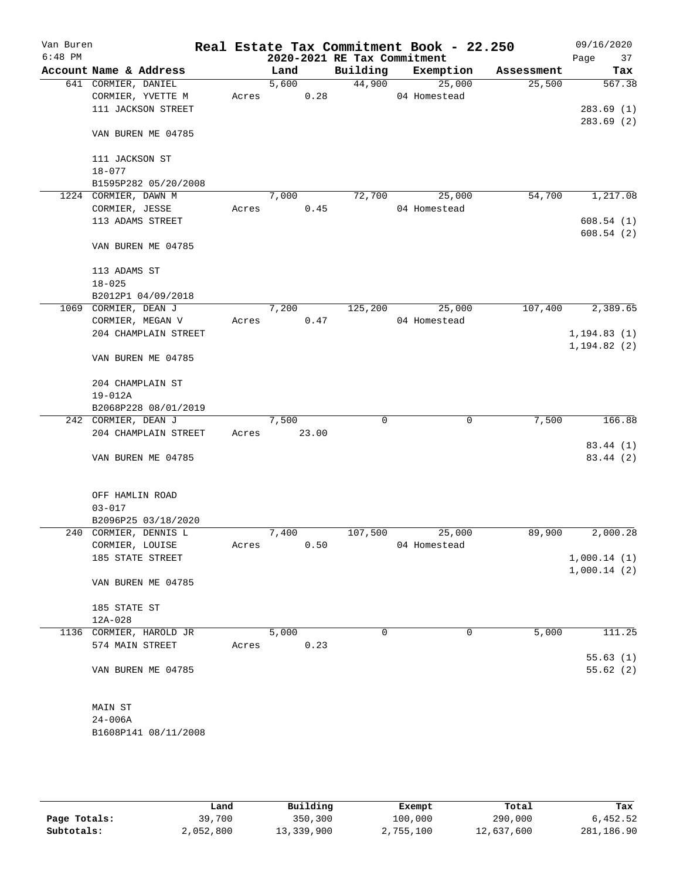| Van Buren<br>$6:48$ PM |                                          |       |       | 2020-2021 RE Tax Commitment | Real Estate Tax Commitment Book - 22.250 |            | 09/16/2020        |
|------------------------|------------------------------------------|-------|-------|-----------------------------|------------------------------------------|------------|-------------------|
|                        | Account Name & Address                   |       | Land  | Building                    | Exemption                                | Assessment | Page<br>37<br>Tax |
|                        | 641 CORMIER, DANIEL                      |       | 5,600 | 44,900                      | 25,000                                   | 25,500     | 567.38            |
|                        | CORMIER, YVETTE M                        | Acres | 0.28  |                             | 04 Homestead                             |            |                   |
|                        | 111 JACKSON STREET                       |       |       |                             |                                          |            | 283.69(1)         |
|                        |                                          |       |       |                             |                                          |            | 283.69(2)         |
|                        | VAN BUREN ME 04785                       |       |       |                             |                                          |            |                   |
|                        | 111 JACKSON ST                           |       |       |                             |                                          |            |                   |
|                        | $18 - 077$<br>B1595P282 05/20/2008       |       |       |                             |                                          |            |                   |
|                        | 1224 CORMIER, DAWN M                     |       | 7,000 | 72,700                      | 25,000                                   | 54,700     | 1,217.08          |
|                        | CORMIER, JESSE                           | Acres | 0.45  |                             | 04 Homestead                             |            |                   |
|                        | 113 ADAMS STREET                         |       |       |                             |                                          |            | 608.54(1)         |
|                        |                                          |       |       |                             |                                          |            | 608.54(2)         |
|                        | VAN BUREN ME 04785                       |       |       |                             |                                          |            |                   |
|                        | 113 ADAMS ST                             |       |       |                             |                                          |            |                   |
|                        | $18 - 025$                               |       |       |                             |                                          |            |                   |
|                        | B2012P1 04/09/2018                       |       |       |                             |                                          |            | 2,389.65          |
|                        | 1069 CORMIER, DEAN J                     |       | 7,200 | 125,200                     | 25,000<br>04 Homestead                   | 107,400    |                   |
|                        | CORMIER, MEGAN V<br>204 CHAMPLAIN STREET | Acres | 0.47  |                             |                                          |            | 1, 194.83(1)      |
|                        |                                          |       |       |                             |                                          |            | 1, 194.82(2)      |
|                        | VAN BUREN ME 04785                       |       |       |                             |                                          |            |                   |
|                        | 204 CHAMPLAIN ST                         |       |       |                             |                                          |            |                   |
|                        | $19 - 012A$                              |       |       |                             |                                          |            |                   |
|                        | B2068P228 08/01/2019                     |       |       |                             |                                          |            |                   |
|                        | 242 CORMIER, DEAN J                      |       | 7,500 | $\mathbf 0$                 | 0                                        | 7,500      | 166.88            |
|                        | 204 CHAMPLAIN STREET                     | Acres | 23.00 |                             |                                          |            |                   |
|                        |                                          |       |       |                             |                                          |            | 83.44 (1)         |
|                        | VAN BUREN ME 04785                       |       |       |                             |                                          |            | 83.44 (2)         |
|                        | OFF HAMLIN ROAD                          |       |       |                             |                                          |            |                   |
|                        | $03 - 017$                               |       |       |                             |                                          |            |                   |
|                        | B2096P25 03/18/2020                      |       |       |                             |                                          |            |                   |
|                        | 240 CORMIER, DENNIS L                    |       | 7,400 | 107,500                     | 25,000                                   | 89,900     | 2,000.28          |
|                        | CORMIER, LOUISE                          | Acres | 0.50  |                             | 04 Homestead                             |            |                   |
|                        | 185 STATE STREET                         |       |       |                             |                                          |            | 1,000.14(1)       |
|                        | VAN BUREN ME 04785                       |       |       |                             |                                          |            | 1,000.14(2)       |
|                        |                                          |       |       |                             |                                          |            |                   |
|                        | 185 STATE ST                             |       |       |                             |                                          |            |                   |
|                        | 12A-028                                  |       |       |                             |                                          |            |                   |
|                        | 1136 CORMIER, HAROLD JR                  |       | 5,000 | 0                           | 0                                        | 5,000      | 111.25            |
|                        | 574 MAIN STREET                          | Acres | 0.23  |                             |                                          |            |                   |
|                        |                                          |       |       |                             |                                          |            | 55.63(1)          |
|                        | VAN BUREN ME 04785                       |       |       |                             |                                          |            | 55.62(2)          |
|                        | MAIN ST                                  |       |       |                             |                                          |            |                   |
|                        | $24 - 006A$                              |       |       |                             |                                          |            |                   |
|                        | B1608P141 08/11/2008                     |       |       |                             |                                          |            |                   |
|                        |                                          |       |       |                             |                                          |            |                   |

|              | Land      | Building   | Exempt    | Total      | Tax        |
|--------------|-----------|------------|-----------|------------|------------|
| Page Totals: | 39,700    | 350,300    | 100,000   | 290,000    | 6,452.52   |
| Subtotals:   | 2,052,800 | 13,339,900 | 2,755,100 | 12,637,600 | 281,186.90 |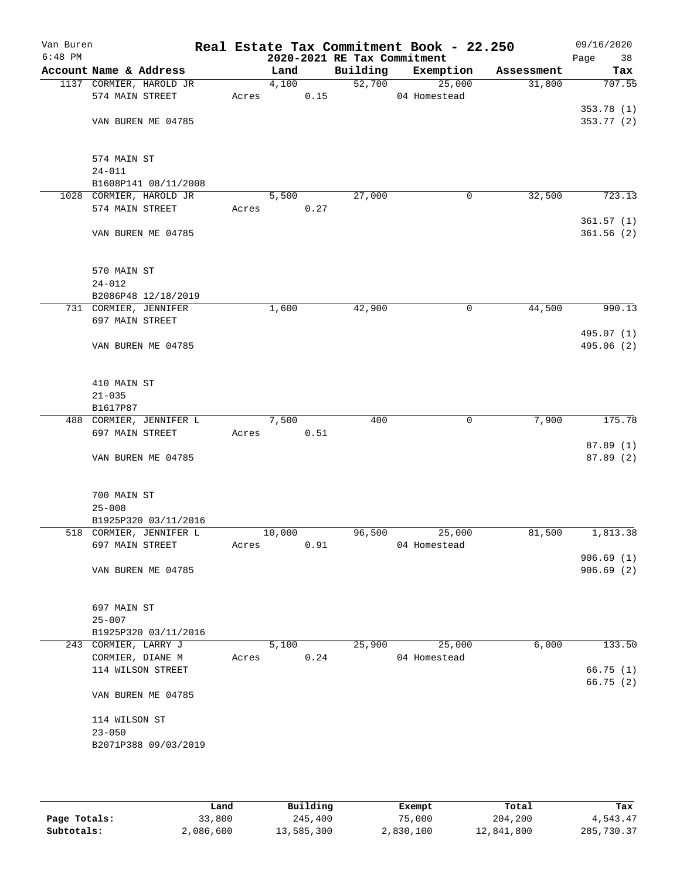| Van Buren<br>$6:48$ PM |                                            |       |        |      | 2020-2021 RE Tax Commitment | Real Estate Tax Commitment Book - 22.250 |            | 09/16/2020<br>Page<br>38 |
|------------------------|--------------------------------------------|-------|--------|------|-----------------------------|------------------------------------------|------------|--------------------------|
|                        | Account Name & Address                     |       | Land   |      | Building                    | Exemption                                | Assessment | Tax                      |
|                        | 1137 CORMIER, HAROLD JR                    |       | 4,100  |      | 52,700                      | 25,000                                   | 31,800     | 707.55                   |
|                        | 574 MAIN STREET                            | Acres |        | 0.15 |                             | 04 Homestead                             |            |                          |
|                        |                                            |       |        |      |                             |                                          |            | 353.78 (1)               |
|                        | VAN BUREN ME 04785                         |       |        |      |                             |                                          |            | 353.77(2)                |
|                        | 574 MAIN ST                                |       |        |      |                             |                                          |            |                          |
|                        | $24 - 011$                                 |       |        |      |                             |                                          |            |                          |
|                        | B1608P141 08/11/2008                       |       |        |      |                             |                                          |            |                          |
|                        | 1028 CORMIER, HAROLD JR                    |       | 5,500  |      | 27,000                      | 0                                        | 32,500     | 723.13                   |
|                        | 574 MAIN STREET                            | Acres |        | 0.27 |                             |                                          |            | 361.57(1)                |
|                        | VAN BUREN ME 04785                         |       |        |      |                             |                                          |            | 361.56(2)                |
|                        | 570 MAIN ST                                |       |        |      |                             |                                          |            |                          |
|                        | $24 - 012$                                 |       |        |      |                             |                                          |            |                          |
|                        | B2086P48 12/18/2019                        |       |        |      |                             |                                          |            |                          |
|                        | 731 CORMIER, JENNIFER                      |       | 1,600  |      | 42,900                      | 0                                        | 44,500     | 990.13                   |
|                        | 697 MAIN STREET                            |       |        |      |                             |                                          |            |                          |
|                        | VAN BUREN ME 04785                         |       |        |      |                             |                                          |            | 495.07 (1)<br>495.06 (2) |
|                        | 410 MAIN ST                                |       |        |      |                             |                                          |            |                          |
|                        | $21 - 035$                                 |       |        |      |                             |                                          |            |                          |
|                        | B1617P87                                   |       |        |      |                             |                                          |            |                          |
|                        | 488 CORMIER, JENNIFER L                    |       | 7,500  |      | 400                         | $\mathbf 0$                              | 7,900      | 175.78                   |
|                        | 697 MAIN STREET                            | Acres |        | 0.51 |                             |                                          |            |                          |
|                        |                                            |       |        |      |                             |                                          |            | 87.89(1)                 |
|                        | VAN BUREN ME 04785                         |       |        |      |                             |                                          |            | 87.89 (2)                |
|                        | 700 MAIN ST                                |       |        |      |                             |                                          |            |                          |
|                        | $25 - 008$                                 |       |        |      |                             |                                          |            |                          |
|                        | B1925P320 03/11/2016                       |       |        |      |                             |                                          |            |                          |
|                        | 518 CORMIER, JENNIFER L<br>697 MAIN STREET | Acres | 10,000 | 0.91 | 96,500                      | 25,000<br>04 Homestead                   | 81,500     | 1,813.38                 |
|                        |                                            |       |        |      |                             |                                          |            | 906.69(1)                |
|                        | VAN BUREN ME 04785                         |       |        |      |                             |                                          |            | 906.69(2)                |
|                        | 697 MAIN ST                                |       |        |      |                             |                                          |            |                          |
|                        | $25 - 007$                                 |       |        |      |                             |                                          |            |                          |
|                        | B1925P320 03/11/2016                       |       |        |      |                             |                                          |            |                          |
|                        | 243 CORMIER, LARRY J                       |       | 5,100  |      | 25,900                      | 25,000                                   | 6,000      | 133.50                   |
|                        | CORMIER, DIANE M                           | Acres |        | 0.24 |                             | 04 Homestead                             |            |                          |
|                        | 114 WILSON STREET                          |       |        |      |                             |                                          |            | 66.75(1)<br>66.75(2)     |
|                        | VAN BUREN ME 04785                         |       |        |      |                             |                                          |            |                          |
|                        | 114 WILSON ST                              |       |        |      |                             |                                          |            |                          |
|                        | $23 - 050$                                 |       |        |      |                             |                                          |            |                          |
|                        | B2071P388 09/03/2019                       |       |        |      |                             |                                          |            |                          |
|                        |                                            |       |        |      |                             |                                          |            |                          |
|                        |                                            |       |        |      |                             |                                          |            |                          |

|              | Land      | Building   | Exempt    | Total      | Tax        |
|--------------|-----------|------------|-----------|------------|------------|
| Page Totals: | 33,800    | 245,400    | 75,000    | 204,200    | 4,543.47   |
| Subtotals:   | 2,086,600 | 13,585,300 | 2,830,100 | 12,841,800 | 285,730.37 |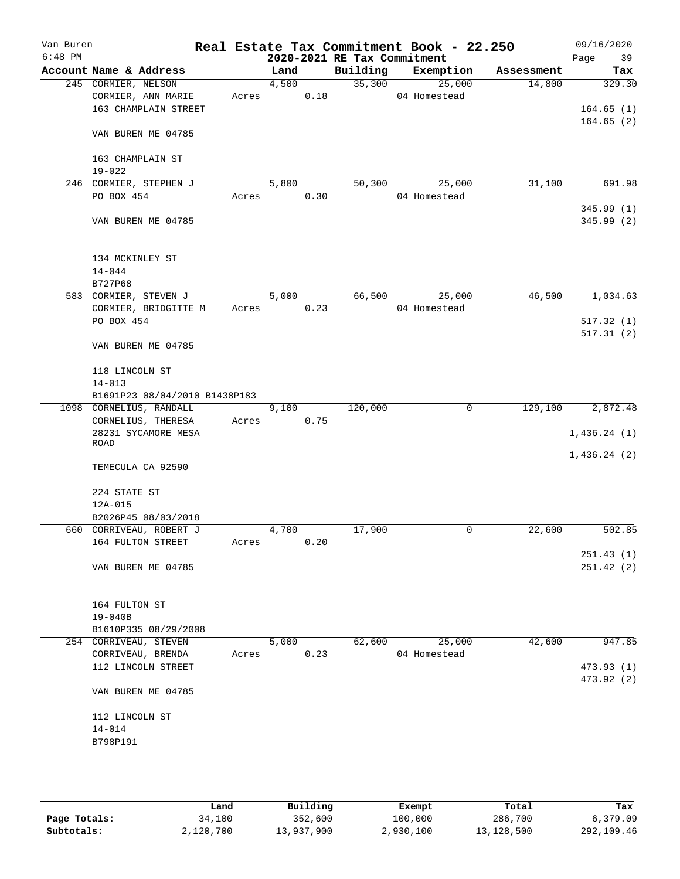| Van Buren<br>$6:48$ PM |                                |       |       |      | 2020-2021 RE Tax Commitment | Real Estate Tax Commitment Book - 22.250 |            | 09/16/2020<br>Page<br>39 |
|------------------------|--------------------------------|-------|-------|------|-----------------------------|------------------------------------------|------------|--------------------------|
|                        | Account Name & Address         |       | Land  |      | Building                    | Exemption                                | Assessment | Tax                      |
|                        | 245 CORMIER, NELSON            |       | 4,500 |      | 35,300                      | 25,000                                   | 14,800     | 329.30                   |
|                        | CORMIER, ANN MARIE             | Acres |       | 0.18 |                             | 04 Homestead                             |            |                          |
|                        | 163 CHAMPLAIN STREET           |       |       |      |                             |                                          |            | 164.65(1)                |
|                        |                                |       |       |      |                             |                                          |            | 164.65(2)                |
|                        | VAN BUREN ME 04785             |       |       |      |                             |                                          |            |                          |
|                        | 163 CHAMPLAIN ST<br>$19 - 022$ |       |       |      |                             |                                          |            |                          |
|                        | 246 CORMIER, STEPHEN J         |       | 5,800 |      | 50,300                      | 25,000                                   | 31,100     | 691.98                   |
|                        | PO BOX 454                     | Acres |       | 0.30 |                             | 04 Homestead                             |            |                          |
|                        |                                |       |       |      |                             |                                          |            | 345.99(1)                |
|                        | VAN BUREN ME 04785             |       |       |      |                             |                                          |            | 345.99(2)                |
|                        | 134 MCKINLEY ST                |       |       |      |                             |                                          |            |                          |
|                        | $14 - 044$                     |       |       |      |                             |                                          |            |                          |
|                        | B727P68                        |       |       |      |                             |                                          |            |                          |
|                        | 583 CORMIER, STEVEN J          |       | 5,000 |      | 66,500                      | 25,000                                   | 46,500     | 1,034.63                 |
|                        | CORMIER, BRIDGITTE M           | Acres |       | 0.23 |                             | 04 Homestead                             |            |                          |
|                        | PO BOX 454                     |       |       |      |                             |                                          |            | 517.32(1)                |
|                        |                                |       |       |      |                             |                                          |            | 517.31(2)                |
|                        | VAN BUREN ME 04785             |       |       |      |                             |                                          |            |                          |
|                        | 118 LINCOLN ST                 |       |       |      |                             |                                          |            |                          |
|                        | $14 - 013$                     |       |       |      |                             |                                          |            |                          |
|                        | B1691P23 08/04/2010 B1438P183  |       |       |      |                             |                                          |            |                          |
|                        | 1098 CORNELIUS, RANDALL        |       | 9,100 |      | 120,000                     | 0                                        | 129,100    | 2,872.48                 |
|                        | CORNELIUS, THERESA             | Acres |       | 0.75 |                             |                                          |            |                          |
|                        | 28231 SYCAMORE MESA<br>ROAD    |       |       |      |                             |                                          |            | 1,436.24(1)              |
|                        |                                |       |       |      |                             |                                          |            | 1,436.24(2)              |
|                        | TEMECULA CA 92590              |       |       |      |                             |                                          |            |                          |
|                        | 224 STATE ST                   |       |       |      |                             |                                          |            |                          |
|                        | $12A-015$                      |       |       |      |                             |                                          |            |                          |
|                        | B2026P45 08/03/2018            |       |       |      |                             |                                          |            |                          |
|                        | 660 CORRIVEAU, ROBERT J        |       | 4,700 |      | 17,900                      | 0                                        | 22,600     | 502.85                   |
|                        | 164 FULTON STREET              | Acres |       | 0.20 |                             |                                          |            |                          |
|                        |                                |       |       |      |                             |                                          |            | 251.43(1)                |
|                        | VAN BUREN ME 04785             |       |       |      |                             |                                          |            | 251.42(2)                |
|                        | 164 FULTON ST                  |       |       |      |                             |                                          |            |                          |
|                        | $19 - 040B$                    |       |       |      |                             |                                          |            |                          |
|                        | B1610P335 08/29/2008           |       |       |      |                             |                                          |            |                          |
|                        | 254 CORRIVEAU, STEVEN          |       | 5,000 |      | 62,600                      | 25,000                                   | 42,600     | 947.85                   |
|                        | CORRIVEAU, BRENDA              | Acres |       | 0.23 |                             | 04 Homestead                             |            |                          |
|                        | 112 LINCOLN STREET             |       |       |      |                             |                                          |            | 473.93 (1)               |
|                        | VAN BUREN ME 04785             |       |       |      |                             |                                          |            | 473.92 (2)               |
|                        | 112 LINCOLN ST                 |       |       |      |                             |                                          |            |                          |
|                        |                                |       |       |      |                             |                                          |            |                          |
|                        | $14 - 014$                     |       |       |      |                             |                                          |            |                          |
|                        | B798P191                       |       |       |      |                             |                                          |            |                          |
|                        |                                |       |       |      |                             |                                          |            |                          |
|                        |                                |       |       |      |                             |                                          |            |                          |

|              | Land      | Building   | Exempt    | Total      | Tax        |
|--------------|-----------|------------|-----------|------------|------------|
| Page Totals: | 34,100    | 352,600    | 100,000   | 286,700    | 6,379.09   |
| Subtotals:   | 2,120,700 | 13,937,900 | 2,930,100 | 13,128,500 | 292,109.46 |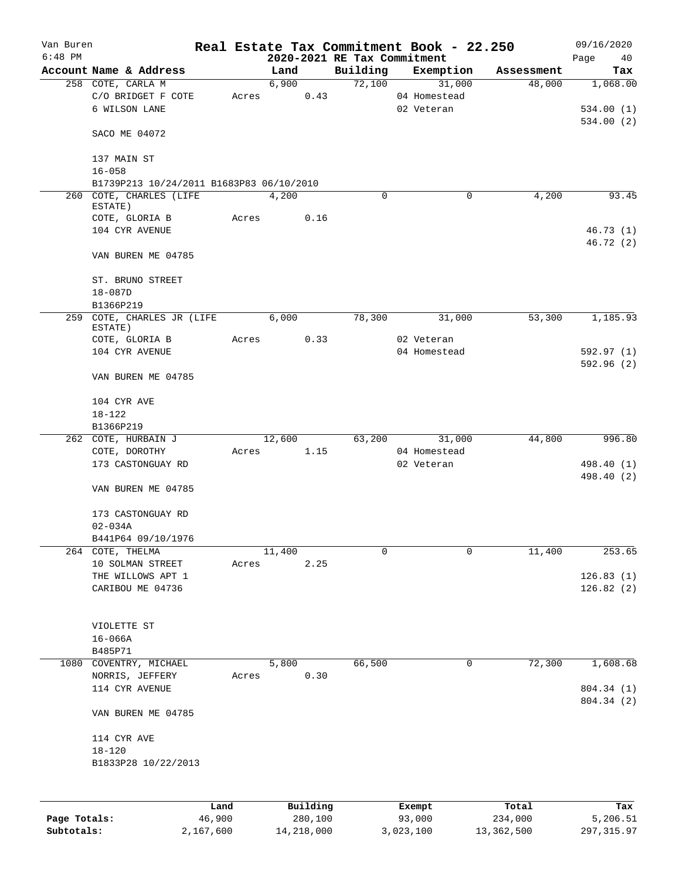| Van Buren    |                                          |        |          |                             | Real Estate Tax Commitment Book - 22.250 |            | 09/16/2020 |
|--------------|------------------------------------------|--------|----------|-----------------------------|------------------------------------------|------------|------------|
| $6:48$ PM    |                                          |        |          | 2020-2021 RE Tax Commitment |                                          |            | Page<br>40 |
|              | Account Name & Address                   |        | Land     | Building                    | Exemption                                | Assessment | Tax        |
|              | 258 COTE, CARLA M                        |        | 6,900    | 72,100                      | 31,000                                   | 48,000     | 1,068.00   |
|              | C/O BRIDGET F COTE                       | Acres  | 0.43     |                             | 04 Homestead                             |            |            |
|              | 6 WILSON LANE                            |        |          |                             | 02 Veteran                               |            | 534.00(1)  |
|              |                                          |        |          |                             |                                          |            | 534.00(2)  |
|              | SACO ME 04072                            |        |          |                             |                                          |            |            |
|              |                                          |        |          |                             |                                          |            |            |
|              | 137 MAIN ST                              |        |          |                             |                                          |            |            |
|              | $16 - 058$                               |        |          |                             |                                          |            |            |
|              | B1739P213 10/24/2011 B1683P83 06/10/2010 |        |          |                             |                                          |            |            |
|              | 260 COTE, CHARLES (LIFE                  |        | 4,200    | $\mathbf 0$                 | 0                                        | 4,200      | 93.45      |
|              | ESTATE)                                  |        |          |                             |                                          |            |            |
|              | COTE, GLORIA B                           | Acres  | 0.16     |                             |                                          |            |            |
|              | 104 CYR AVENUE                           |        |          |                             |                                          |            | 46.73(1)   |
|              |                                          |        |          |                             |                                          |            | 46.72 (2)  |
|              | VAN BUREN ME 04785                       |        |          |                             |                                          |            |            |
|              |                                          |        |          |                             |                                          |            |            |
|              | ST. BRUNO STREET                         |        |          |                             |                                          |            |            |
|              | $18 - 087D$                              |        |          |                             |                                          |            |            |
|              | B1366P219                                |        |          |                             |                                          |            |            |
| 259          | COTE, CHARLES JR (LIFE                   |        | 6,000    | 78,300                      | 31,000                                   | 53,300     | 1,185.93   |
|              | ESTATE)                                  |        |          |                             |                                          |            |            |
|              | COTE, GLORIA B                           | Acres  | 0.33     |                             | 02 Veteran                               |            |            |
|              | 104 CYR AVENUE                           |        |          |                             | 04 Homestead                             |            | 592.97 (1) |
|              |                                          |        |          |                             |                                          |            | 592.96 (2) |
|              | VAN BUREN ME 04785                       |        |          |                             |                                          |            |            |
|              |                                          |        |          |                             |                                          |            |            |
|              | 104 CYR AVE                              |        |          |                             |                                          |            |            |
|              |                                          |        |          |                             |                                          |            |            |
|              | $18 - 122$                               |        |          |                             |                                          |            |            |
|              | B1366P219                                |        |          |                             |                                          |            |            |
|              | 262 COTE, HURBAIN J                      |        | 12,600   | 63,200                      | 31,000                                   | 44,800     | 996.80     |
|              | COTE, DOROTHY                            | Acres  | 1.15     |                             | 04 Homestead                             |            |            |
|              | 173 CASTONGUAY RD                        |        |          |                             | 02 Veteran                               |            | 498.40 (1) |
|              |                                          |        |          |                             |                                          |            | 498.40 (2) |
|              | VAN BUREN ME 04785                       |        |          |                             |                                          |            |            |
|              |                                          |        |          |                             |                                          |            |            |
|              | 173 CASTONGUAY RD                        |        |          |                             |                                          |            |            |
|              | $02 - 034A$                              |        |          |                             |                                          |            |            |
|              | B441P64 09/10/1976                       |        |          |                             |                                          |            |            |
| 264          | COTE, THELMA                             |        | 11,400   | 0                           | 0                                        | 11,400     | 253.65     |
|              | 10 SOLMAN STREET                         | Acres  | 2.25     |                             |                                          |            |            |
|              | THE WILLOWS APT 1                        |        |          |                             |                                          |            | 126.83(1)  |
|              | CARIBOU ME 04736                         |        |          |                             |                                          |            | 126.82(2)  |
|              |                                          |        |          |                             |                                          |            |            |
|              |                                          |        |          |                             |                                          |            |            |
|              | VIOLETTE ST                              |        |          |                             |                                          |            |            |
|              | $16 - 066A$                              |        |          |                             |                                          |            |            |
|              | B485P71                                  |        |          |                             |                                          |            |            |
| 1080         | COVENTRY, MICHAEL                        |        | 5,800    | 66,500                      | 0                                        | 72,300     | 1,608.68   |
|              | NORRIS, JEFFERY                          | Acres  | 0.30     |                             |                                          |            |            |
|              | 114 CYR AVENUE                           |        |          |                             |                                          |            | 804.34 (1) |
|              |                                          |        |          |                             |                                          |            |            |
|              |                                          |        |          |                             |                                          |            | 804.34 (2) |
|              | VAN BUREN ME 04785                       |        |          |                             |                                          |            |            |
|              |                                          |        |          |                             |                                          |            |            |
|              | 114 CYR AVE                              |        |          |                             |                                          |            |            |
|              | $18 - 120$                               |        |          |                             |                                          |            |            |
|              | B1833P28 10/22/2013                      |        |          |                             |                                          |            |            |
|              |                                          |        |          |                             |                                          |            |            |
|              |                                          |        |          |                             |                                          |            |            |
|              |                                          | Land   | Building |                             | Exempt                                   | Total      | Tax        |
| Page Totals: |                                          | 46,900 | 280,100  |                             | 93,000                                   | 234,000    | 5,206.51   |
|              |                                          |        |          |                             |                                          |            |            |

**Subtotals:** 2,167,600 14,218,000 3,023,100 13,362,500 297,315.97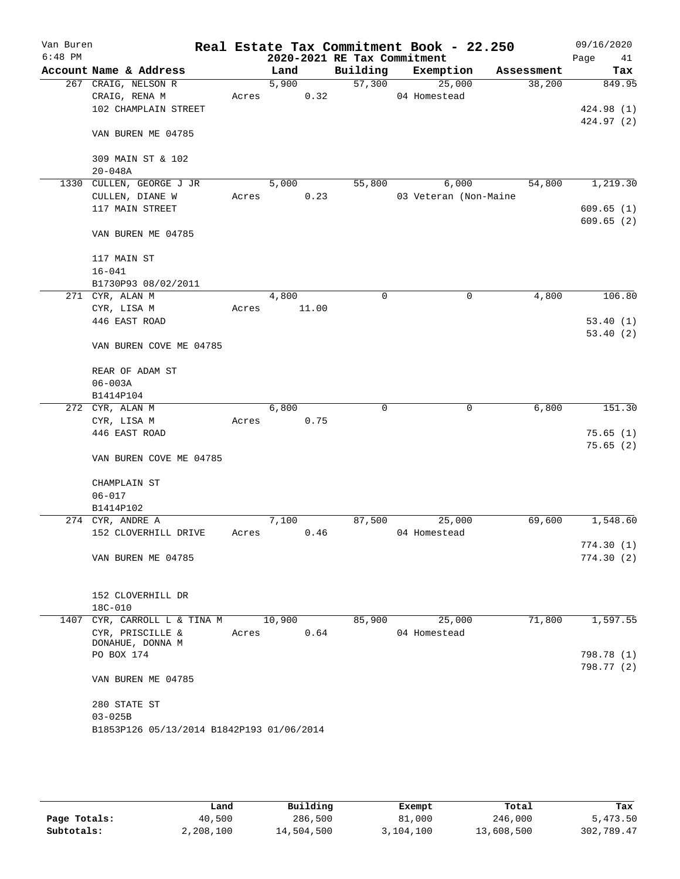| Van Buren<br>$6:48$ PM |                                           |       |        |      | 2020-2021 RE Tax Commitment | Real Estate Tax Commitment Book - 22.250 |            | 09/16/2020<br>Page<br>41 |
|------------------------|-------------------------------------------|-------|--------|------|-----------------------------|------------------------------------------|------------|--------------------------|
|                        | Account Name & Address                    |       | Land   |      | Building                    | Exemption                                | Assessment | Tax                      |
|                        | 267 CRAIG, NELSON R                       |       | 5,900  |      | 57,300                      | 25,000                                   | 38,200     | 849.95                   |
|                        | CRAIG, RENA M                             | Acres |        | 0.32 |                             | 04 Homestead                             |            |                          |
|                        | 102 CHAMPLAIN STREET                      |       |        |      |                             |                                          |            | 424.98 (1)               |
|                        |                                           |       |        |      |                             |                                          |            | 424.97 (2)               |
|                        | VAN BUREN ME 04785                        |       |        |      |                             |                                          |            |                          |
|                        |                                           |       |        |      |                             |                                          |            |                          |
|                        | 309 MAIN ST & 102                         |       |        |      |                             |                                          |            |                          |
|                        | $20 - 048A$                               |       |        |      |                             |                                          |            |                          |
|                        | 1330 CULLEN, GEORGE J JR                  |       | 5,000  |      | 55,800                      | 6,000                                    | 54,800     | 1,219.30                 |
|                        | CULLEN, DIANE W                           | Acres |        | 0.23 |                             | 03 Veteran (Non-Maine                    |            |                          |
|                        | 117 MAIN STREET                           |       |        |      |                             |                                          |            | 609.65(1)                |
|                        |                                           |       |        |      |                             |                                          |            | 609.65(2)                |
|                        | VAN BUREN ME 04785                        |       |        |      |                             |                                          |            |                          |
|                        | 117 MAIN ST                               |       |        |      |                             |                                          |            |                          |
|                        | $16 - 041$                                |       |        |      |                             |                                          |            |                          |
|                        | B1730P93 08/02/2011                       |       |        |      |                             |                                          |            |                          |
|                        | 271 CYR, ALAN M                           |       | 4,800  |      | 0                           | 0                                        | 4,800      | 106.80                   |
|                        | CYR, LISA M                               | Acres | 11.00  |      |                             |                                          |            |                          |
|                        | 446 EAST ROAD                             |       |        |      |                             |                                          |            | 53.40(1)                 |
|                        |                                           |       |        |      |                             |                                          |            | 53.40(2)                 |
|                        | VAN BUREN COVE ME 04785                   |       |        |      |                             |                                          |            |                          |
|                        |                                           |       |        |      |                             |                                          |            |                          |
|                        | REAR OF ADAM ST                           |       |        |      |                             |                                          |            |                          |
|                        | $06 - 003A$                               |       |        |      |                             |                                          |            |                          |
|                        | B1414P104                                 |       |        |      |                             |                                          |            |                          |
|                        | 272 CYR, ALAN M                           |       | 6,800  |      | $\Omega$                    | 0                                        | 6,800      | 151.30                   |
|                        | CYR, LISA M                               | Acres |        | 0.75 |                             |                                          |            |                          |
|                        | 446 EAST ROAD                             |       |        |      |                             |                                          |            | 75.65(1)                 |
|                        |                                           |       |        |      |                             |                                          |            | 75.65(2)                 |
|                        | VAN BUREN COVE ME 04785                   |       |        |      |                             |                                          |            |                          |
|                        | CHAMPLAIN ST                              |       |        |      |                             |                                          |            |                          |
|                        | $06 - 017$                                |       |        |      |                             |                                          |            |                          |
|                        | B1414P102                                 |       |        |      |                             |                                          |            |                          |
|                        | 274 CYR, ANDRE A                          |       | 7,100  |      | 87,500                      | 25,000                                   | 69,600     | 1,548.60                 |
|                        | 152 CLOVERHILL DRIVE                      | Acres |        | 0.46 |                             | 04 Homestead                             |            |                          |
|                        |                                           |       |        |      |                             |                                          |            | 774.30(1)                |
|                        | VAN BUREN ME 04785                        |       |        |      |                             |                                          |            | 774.30(2)                |
|                        |                                           |       |        |      |                             |                                          |            |                          |
|                        |                                           |       |        |      |                             |                                          |            |                          |
|                        | 152 CLOVERHILL DR                         |       |        |      |                             |                                          |            |                          |
|                        | 18C-010                                   |       |        |      |                             |                                          |            |                          |
|                        | 1407 CYR, CARROLL L & TINA M              |       | 10,900 |      | 85,900                      | 25,000                                   | 71,800     | 1,597.55                 |
|                        | CYR, PRISCILLE &<br>DONAHUE, DONNA M      | Acres |        | 0.64 |                             | 04 Homestead                             |            |                          |
|                        | PO BOX 174                                |       |        |      |                             |                                          |            | 798.78 (1)               |
|                        |                                           |       |        |      |                             |                                          |            | 798.77 (2)               |
|                        | VAN BUREN ME 04785                        |       |        |      |                             |                                          |            |                          |
|                        |                                           |       |        |      |                             |                                          |            |                          |
|                        | 280 STATE ST                              |       |        |      |                             |                                          |            |                          |
|                        | $03 - 025B$                               |       |        |      |                             |                                          |            |                          |
|                        | B1853P126 05/13/2014 B1842P193 01/06/2014 |       |        |      |                             |                                          |            |                          |
|                        |                                           |       |        |      |                             |                                          |            |                          |
|                        |                                           |       |        |      |                             |                                          |            |                          |

|              | Land      | Building   |           | Total      | Tax        |
|--------------|-----------|------------|-----------|------------|------------|
|              |           |            | Exempt    |            |            |
| Page Totals: | 40,500    | 286,500    | 81,000    | 246,000    | 5,473.50   |
| Subtotals:   | 2,208,100 | 14,504,500 | 3,104,100 | 13,608,500 | 302,789.47 |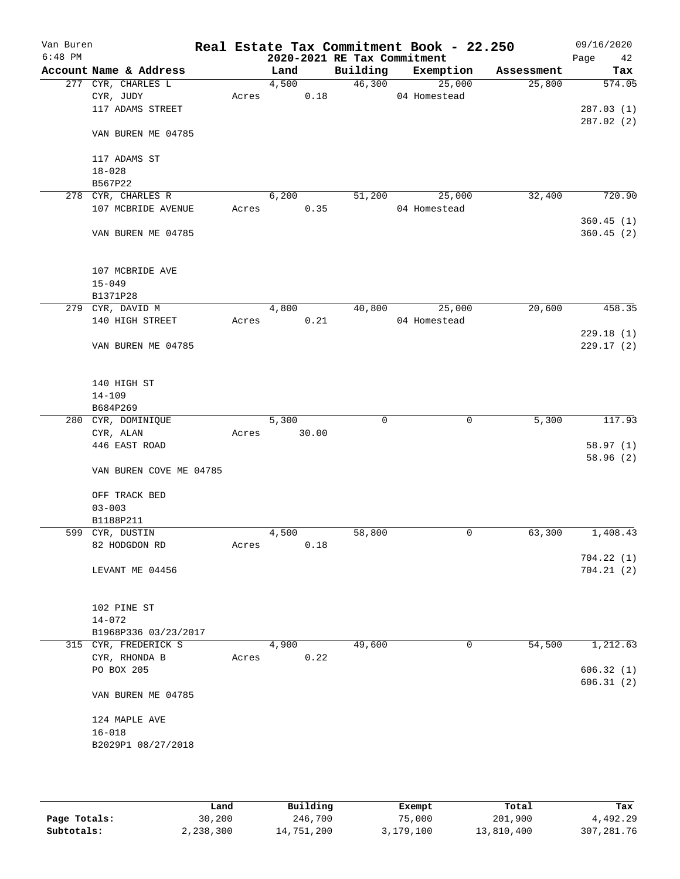| Van Buren<br>$6:48$ PM |                                     |       |       |       | 2020-2021 RE Tax Commitment | Real Estate Tax Commitment Book - 22.250 |            | 09/16/2020<br>Page<br>42 |
|------------------------|-------------------------------------|-------|-------|-------|-----------------------------|------------------------------------------|------------|--------------------------|
|                        | Account Name & Address              |       | Land  |       | Building                    | Exemption                                | Assessment | Tax                      |
|                        | 277 CYR, CHARLES L                  |       | 4,500 |       | 46,300                      | 25,000                                   | 25,800     | 574.05                   |
|                        | CYR, JUDY                           | Acres |       | 0.18  |                             | 04 Homestead                             |            |                          |
|                        | 117 ADAMS STREET                    |       |       |       |                             |                                          |            | 287.03(1)                |
|                        | VAN BUREN ME 04785                  |       |       |       |                             |                                          |            | 287.02(2)                |
|                        | 117 ADAMS ST                        |       |       |       |                             |                                          |            |                          |
|                        | $18 - 028$                          |       |       |       |                             |                                          |            |                          |
|                        | B567P22                             |       |       |       |                             |                                          |            |                          |
|                        | 278 CYR, CHARLES R                  |       | 6,200 |       | 51,200                      | 25,000                                   | 32,400     | 720.90                   |
|                        | 107 MCBRIDE AVENUE                  | Acres |       | 0.35  |                             | 04 Homestead                             |            |                          |
|                        | VAN BUREN ME 04785                  |       |       |       |                             |                                          |            | 360.45(1)<br>360.45(2)   |
|                        |                                     |       |       |       |                             |                                          |            |                          |
|                        | 107 MCBRIDE AVE                     |       |       |       |                             |                                          |            |                          |
|                        | $15 - 049$                          |       |       |       |                             |                                          |            |                          |
|                        | B1371P28                            |       |       |       | 40,800                      |                                          | 20,600     | 458.35                   |
|                        | 279 CYR, DAVID M<br>140 HIGH STREET | Acres | 4,800 | 0.21  |                             | 25,000<br>04 Homestead                   |            |                          |
|                        |                                     |       |       |       |                             |                                          |            | 229.18(1)                |
|                        | VAN BUREN ME 04785                  |       |       |       |                             |                                          |            | 229.17(2)                |
|                        | 140 HIGH ST                         |       |       |       |                             |                                          |            |                          |
|                        | $14 - 109$                          |       |       |       |                             |                                          |            |                          |
|                        | B684P269                            |       |       |       |                             |                                          |            |                          |
|                        | 280 CYR, DOMINIQUE                  |       | 5,300 |       | 0                           | $\mathbf 0$                              | 5,300      | 117.93                   |
|                        | CYR, ALAN                           | Acres |       | 30.00 |                             |                                          |            |                          |
|                        | 446 EAST ROAD                       |       |       |       |                             |                                          |            | 58.97(1)                 |
|                        | VAN BUREN COVE ME 04785             |       |       |       |                             |                                          |            | 58.96(2)                 |
|                        | OFF TRACK BED                       |       |       |       |                             |                                          |            |                          |
|                        | $03 - 003$                          |       |       |       |                             |                                          |            |                          |
|                        | B1188P211                           |       |       |       |                             |                                          |            |                          |
|                        | 599 CYR, DUSTIN                     |       | 4,500 |       | 58,800                      | 0                                        | 63,300     | 1,408.43                 |
|                        | 82 HODGDON RD                       | Acres |       | 0.18  |                             |                                          |            |                          |
|                        |                                     |       |       |       |                             |                                          |            | 704.22(1)                |
|                        | LEVANT ME 04456                     |       |       |       |                             |                                          |            | 704.21(2)                |
|                        | 102 PINE ST                         |       |       |       |                             |                                          |            |                          |
|                        | $14 - 072$                          |       |       |       |                             |                                          |            |                          |
|                        | B1968P336 03/23/2017                |       |       |       |                             |                                          |            |                          |
|                        | 315 CYR, FREDERICK S                |       | 4,900 |       | 49,600                      | 0                                        | 54,500     | 1,212.63                 |
|                        | CYR, RHONDA B                       | Acres |       | 0.22  |                             |                                          |            |                          |
|                        | PO BOX 205                          |       |       |       |                             |                                          |            | 606.32(1)                |
|                        | VAN BUREN ME 04785                  |       |       |       |                             |                                          |            | 606.31(2)                |
|                        |                                     |       |       |       |                             |                                          |            |                          |
|                        | 124 MAPLE AVE                       |       |       |       |                             |                                          |            |                          |
|                        | $16 - 018$                          |       |       |       |                             |                                          |            |                          |
|                        | B2029P1 08/27/2018                  |       |       |       |                             |                                          |            |                          |
|                        |                                     |       |       |       |                             |                                          |            |                          |

|              | Land      | Building   | Exempt    | Total      | Tax          |
|--------------|-----------|------------|-----------|------------|--------------|
| Page Totals: | 30,200    | 246,700    | 75,000    | 201,900    | 4,492.29     |
| Subtotals:   | 2,238,300 | 14,751,200 | 3,179,100 | 13,810,400 | 307, 281, 76 |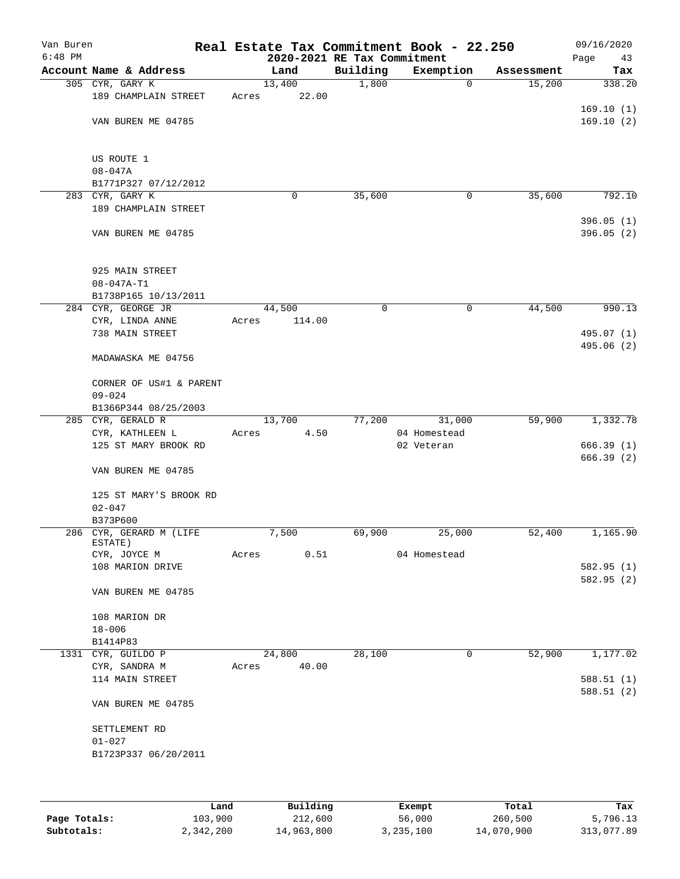| Van Buren<br>$6:48$ PM |                                |       | 2020-2021 RE Tax Commitment |             | Real Estate Tax Commitment Book - 22.250 |            | 09/16/2020<br>Page<br>43 |
|------------------------|--------------------------------|-------|-----------------------------|-------------|------------------------------------------|------------|--------------------------|
|                        | Account Name & Address         |       | Land                        | Building    | Exemption                                | Assessment | Tax                      |
|                        | 305 CYR, GARY K                |       | 13,400                      | 1,800       | $\mathbf 0$                              | 15,200     | 338.20                   |
|                        | 189 CHAMPLAIN STREET           | Acres | 22.00                       |             |                                          |            |                          |
|                        |                                |       |                             |             |                                          |            | 169.10(1)                |
|                        | VAN BUREN ME 04785             |       |                             |             |                                          |            | 169.10(2)                |
|                        |                                |       |                             |             |                                          |            |                          |
|                        | US ROUTE 1                     |       |                             |             |                                          |            |                          |
|                        | $08 - 047A$                    |       |                             |             |                                          |            |                          |
|                        | B1771P327 07/12/2012           |       |                             |             |                                          |            |                          |
|                        | 283 CYR, GARY K                |       | 0                           | 35,600      | 0                                        | 35,600     | 792.10                   |
|                        | 189 CHAMPLAIN STREET           |       |                             |             |                                          |            |                          |
|                        |                                |       |                             |             |                                          |            | 396.05(1)                |
|                        | VAN BUREN ME 04785             |       |                             |             |                                          |            | 396.05 (2)               |
|                        |                                |       |                             |             |                                          |            |                          |
|                        | 925 MAIN STREET                |       |                             |             |                                          |            |                          |
|                        | $08 - 047A - T1$               |       |                             |             |                                          |            |                          |
|                        | B1738P165 10/13/2011           |       |                             |             |                                          |            |                          |
|                        | 284 CYR, GEORGE JR             |       | 44,500                      | $\mathbf 0$ | $\mathsf{O}$                             | 44,500     | 990.13                   |
|                        | CYR, LINDA ANNE                | Acres | 114.00                      |             |                                          |            |                          |
|                        | 738 MAIN STREET                |       |                             |             |                                          |            | 495.07 (1)               |
|                        |                                |       |                             |             |                                          |            | 495.06 (2)               |
|                        | MADAWASKA ME 04756             |       |                             |             |                                          |            |                          |
|                        | CORNER OF US#1 & PARENT        |       |                             |             |                                          |            |                          |
|                        | $09 - 024$                     |       |                             |             |                                          |            |                          |
|                        | B1366P344 08/25/2003           |       |                             |             |                                          |            |                          |
|                        | 285 CYR, GERALD R              |       | 13,700                      | 77,200      | 31,000                                   | 59,900     | 1,332.78                 |
|                        | CYR, KATHLEEN L                | Acres | 4.50                        |             | 04 Homestead                             |            |                          |
|                        | 125 ST MARY BROOK RD           |       |                             |             | 02 Veteran                               |            | 666.39(1)                |
|                        | VAN BUREN ME 04785             |       |                             |             |                                          |            | 666.39(2)                |
|                        |                                |       |                             |             |                                          |            |                          |
|                        | 125 ST MARY'S BROOK RD         |       |                             |             |                                          |            |                          |
|                        | $02 - 047$                     |       |                             |             |                                          |            |                          |
|                        | B373P600                       |       |                             |             |                                          |            |                          |
|                        | 286 CYR, GERARD M (LIFE        |       | 7,500                       | 69,900      | 25,000                                   | 52,400     | 1,165.90                 |
|                        | ESTATE)<br>CYR, JOYCE M        | Acres | 0.51                        |             | 04 Homestead                             |            |                          |
|                        | 108 MARION DRIVE               |       |                             |             |                                          |            | 582.95(1)                |
|                        |                                |       |                             |             |                                          |            | 582.95 (2)               |
|                        | VAN BUREN ME 04785             |       |                             |             |                                          |            |                          |
|                        |                                |       |                             |             |                                          |            |                          |
|                        | 108 MARION DR                  |       |                             |             |                                          |            |                          |
|                        | $18 - 006$                     |       |                             |             |                                          |            |                          |
|                        | B1414P83<br>1331 CYR, GUILDO P |       | 24,800                      | 28,100      | 0                                        | 52,900     | 1,177.02                 |
|                        | CYR, SANDRA M                  | Acres | 40.00                       |             |                                          |            |                          |
|                        | 114 MAIN STREET                |       |                             |             |                                          |            | 588.51(1)                |
|                        |                                |       |                             |             |                                          |            | 588.51(2)                |
|                        | VAN BUREN ME 04785             |       |                             |             |                                          |            |                          |
|                        |                                |       |                             |             |                                          |            |                          |
|                        | SETTLEMENT RD<br>$01 - 027$    |       |                             |             |                                          |            |                          |
|                        | B1723P337 06/20/2011           |       |                             |             |                                          |            |                          |
|                        |                                |       |                             |             |                                          |            |                          |
|                        |                                |       |                             |             |                                          |            |                          |
|                        |                                |       |                             |             |                                          |            |                          |

|              | Land      | Building   | Exempt    | Total      | Tax        |
|--------------|-----------|------------|-----------|------------|------------|
| Page Totals: | 103,900   | 212,600    | 56,000    | 260,500    | 5,796.13   |
| Subtotals:   | 2,342,200 | 14,963,800 | 3,235,100 | 14,070,900 | 313,077.89 |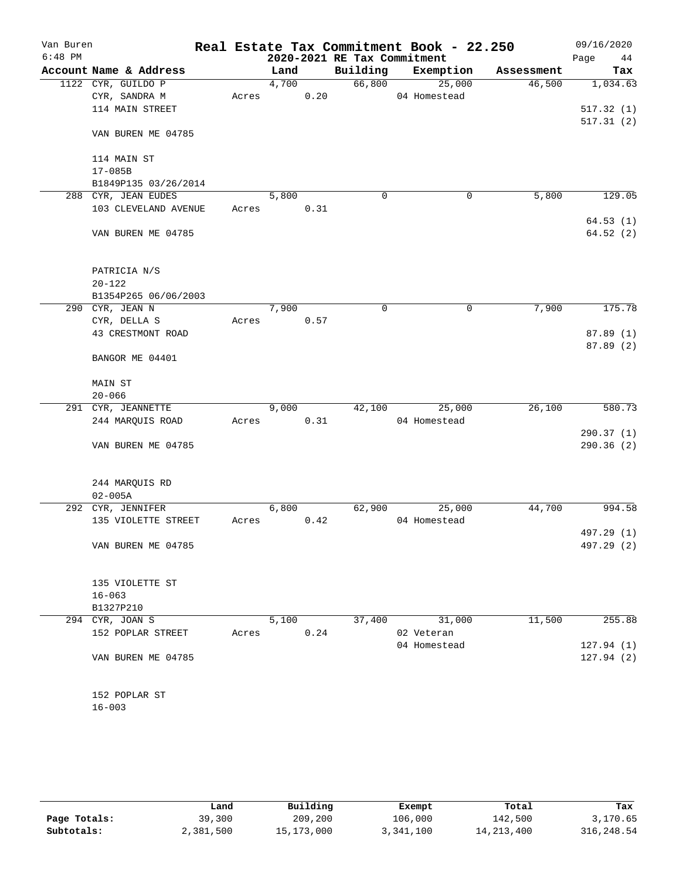| Van Buren<br>$6:48$ PM |                        |       |       |      | 2020-2021 RE Tax Commitment | Real Estate Tax Commitment Book - 22.250 |            | 09/16/2020<br>Page<br>44 |
|------------------------|------------------------|-------|-------|------|-----------------------------|------------------------------------------|------------|--------------------------|
|                        | Account Name & Address |       | Land  |      | Building                    | Exemption                                | Assessment | Tax                      |
|                        | 1122 CYR, GUILDO P     |       | 4,700 |      | 66,800                      | 25,000                                   | 46,500     | 1,034.63                 |
|                        | CYR, SANDRA M          | Acres |       | 0.20 |                             | 04 Homestead                             |            |                          |
|                        | 114 MAIN STREET        |       |       |      |                             |                                          |            | 517.32(1)                |
|                        |                        |       |       |      |                             |                                          |            | 517.31(2)                |
|                        | VAN BUREN ME 04785     |       |       |      |                             |                                          |            |                          |
|                        | 114 MAIN ST            |       |       |      |                             |                                          |            |                          |
|                        | $17 - 085B$            |       |       |      |                             |                                          |            |                          |
|                        | B1849P135 03/26/2014   |       |       |      |                             |                                          |            |                          |
|                        | 288 CYR, JEAN EUDES    |       | 5,800 |      | $\mathbf 0$                 | $\mathbf 0$                              | 5,800      | 129.05                   |
|                        | 103 CLEVELAND AVENUE   | Acres |       | 0.31 |                             |                                          |            |                          |
|                        |                        |       |       |      |                             |                                          |            | 64.53(1)                 |
|                        | VAN BUREN ME 04785     |       |       |      |                             |                                          |            | 64.52 (2)                |
|                        | PATRICIA N/S           |       |       |      |                             |                                          |            |                          |
|                        | $20 - 122$             |       |       |      |                             |                                          |            |                          |
|                        | B1354P265 06/06/2003   |       |       |      |                             |                                          |            |                          |
|                        | 290 CYR, JEAN N        |       | 7,900 |      | 0                           | 0                                        | 7,900      | 175.78                   |
|                        | CYR, DELLA S           | Acres |       | 0.57 |                             |                                          |            |                          |
|                        | 43 CRESTMONT ROAD      |       |       |      |                             |                                          |            | 87.89 (1)                |
|                        |                        |       |       |      |                             |                                          |            | 87.89(2)                 |
|                        | BANGOR ME 04401        |       |       |      |                             |                                          |            |                          |
|                        |                        |       |       |      |                             |                                          |            |                          |
|                        | MAIN ST                |       |       |      |                             |                                          |            |                          |
|                        | $20 - 066$             |       |       |      |                             |                                          |            |                          |
|                        | 291 CYR, JEANNETTE     |       | 9,000 |      | 42,100                      | 25,000                                   | 26,100     | 580.73                   |
|                        | 244 MARQUIS ROAD       | Acres |       | 0.31 |                             | 04 Homestead                             |            |                          |
|                        |                        |       |       |      |                             |                                          |            | 290.37(1)                |
|                        | VAN BUREN ME 04785     |       |       |      |                             |                                          |            | 290.36(2)                |
|                        | 244 MARQUIS RD         |       |       |      |                             |                                          |            |                          |
|                        | $02 - 005A$            |       |       |      |                             |                                          |            |                          |
|                        | 292 CYR, JENNIFER      |       | 6,800 |      | 62,900                      | 25,000                                   | 44,700     | 994.58                   |
|                        | 135 VIOLETTE STREET    | Acres |       | 0.42 |                             | 04 Homestead                             |            |                          |
|                        |                        |       |       |      |                             |                                          |            | 497.29 (1)               |
|                        | VAN BUREN ME 04785     |       |       |      |                             |                                          |            | 497.29 (2)               |
|                        |                        |       |       |      |                             |                                          |            |                          |
|                        | 135 VIOLETTE ST        |       |       |      |                             |                                          |            |                          |
|                        | $16 - 063$             |       |       |      |                             |                                          |            |                          |
|                        | B1327P210              |       |       |      |                             |                                          |            | 255.88                   |
|                        | 294 CYR, JOAN S        |       | 5,100 |      | 37,400                      | 31,000                                   | 11,500     |                          |
|                        | 152 POPLAR STREET      | Acres |       | 0.24 |                             | 02 Veteran                               |            |                          |
|                        | VAN BUREN ME 04785     |       |       |      |                             | 04 Homestead                             |            | 127.94 (1)               |
|                        |                        |       |       |      |                             |                                          |            | 127.94(2)                |
|                        |                        |       |       |      |                             |                                          |            |                          |
|                        | 152 POPLAR ST          |       |       |      |                             |                                          |            |                          |

|              | Land      | Building   | Exempt    | Total        | Tax         |
|--------------|-----------|------------|-----------|--------------|-------------|
| Page Totals: | 39,300    | 209,200    | 106,000   | 142,500      | 3,170.65    |
| Subtotals:   | 2,381,500 | 15,173,000 | 3,341,100 | 14, 213, 400 | 316, 248.54 |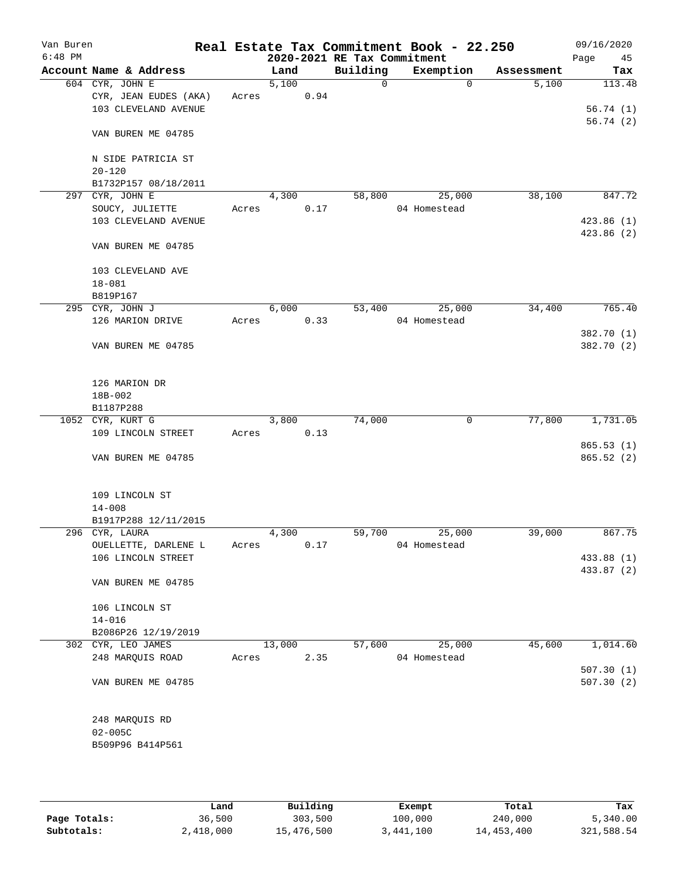| Van Buren<br>$6:48$ PM |                        |       |        |      | 2020-2021 RE Tax Commitment | Real Estate Tax Commitment Book - 22.250 |            | 09/16/2020<br>Page<br>45 |
|------------------------|------------------------|-------|--------|------|-----------------------------|------------------------------------------|------------|--------------------------|
|                        | Account Name & Address |       | Land   |      | Building                    | Exemption                                | Assessment | Tax                      |
|                        | 604 CYR, JOHN E        |       | 5,100  |      | $\mathbf 0$                 | $\mathbf 0$                              | 5,100      | 113.48                   |
|                        | CYR, JEAN EUDES (AKA)  | Acres |        | 0.94 |                             |                                          |            |                          |
|                        | 103 CLEVELAND AVENUE   |       |        |      |                             |                                          |            | 56.74(1)                 |
|                        |                        |       |        |      |                             |                                          |            | 56.74(2)                 |
|                        | VAN BUREN ME 04785     |       |        |      |                             |                                          |            |                          |
|                        |                        |       |        |      |                             |                                          |            |                          |
|                        | N SIDE PATRICIA ST     |       |        |      |                             |                                          |            |                          |
|                        | $20 - 120$             |       |        |      |                             |                                          |            |                          |
|                        | B1732P157 08/18/2011   |       |        |      |                             |                                          |            |                          |
|                        | 297 CYR, JOHN E        |       | 4,300  |      | 58,800                      | 25,000                                   | 38,100     | 847.72                   |
|                        | SOUCY, JULIETTE        | Acres |        | 0.17 |                             | 04 Homestead                             |            |                          |
|                        | 103 CLEVELAND AVENUE   |       |        |      |                             |                                          |            | 423.86(1)                |
|                        |                        |       |        |      |                             |                                          |            | 423.86 (2)               |
|                        | VAN BUREN ME 04785     |       |        |      |                             |                                          |            |                          |
|                        |                        |       |        |      |                             |                                          |            |                          |
|                        | 103 CLEVELAND AVE      |       |        |      |                             |                                          |            |                          |
|                        | $18 - 081$             |       |        |      |                             |                                          |            |                          |
|                        | B819P167               |       |        |      |                             |                                          |            |                          |
|                        | 295 CYR, JOHN J        |       | 6,000  |      | 53,400                      | 25,000                                   | 34,400     | 765.40                   |
|                        | 126 MARION DRIVE       | Acres |        | 0.33 |                             | 04 Homestead                             |            |                          |
|                        |                        |       |        |      |                             |                                          |            | 382.70 (1)               |
|                        | VAN BUREN ME 04785     |       |        |      |                             |                                          |            | 382.70 (2)               |
|                        |                        |       |        |      |                             |                                          |            |                          |
|                        |                        |       |        |      |                             |                                          |            |                          |
|                        | 126 MARION DR          |       |        |      |                             |                                          |            |                          |
|                        |                        |       |        |      |                             |                                          |            |                          |
|                        | 18B-002                |       |        |      |                             |                                          |            |                          |
|                        | B1187P288              |       |        |      |                             |                                          |            |                          |
|                        | 1052 CYR, KURT G       |       | 3,800  |      | 74,000                      | 0                                        | 77,800     | 1,731.05                 |
|                        | 109 LINCOLN STREET     | Acres |        | 0.13 |                             |                                          |            |                          |
|                        |                        |       |        |      |                             |                                          |            | 865.53(1)                |
|                        | VAN BUREN ME 04785     |       |        |      |                             |                                          |            | 865.52(2)                |
|                        |                        |       |        |      |                             |                                          |            |                          |
|                        |                        |       |        |      |                             |                                          |            |                          |
|                        | 109 LINCOLN ST         |       |        |      |                             |                                          |            |                          |
|                        | $14 - 008$             |       |        |      |                             |                                          |            |                          |
|                        | B1917P288 12/11/2015   |       |        |      |                             |                                          |            |                          |
|                        | 296 CYR, LAURA         |       | 4,300  |      | 59,700                      | 25,000                                   | 39,000     | 867.75                   |
|                        | OUELLETTE, DARLENE L   | Acres |        | 0.17 |                             | 04 Homestead                             |            |                          |
|                        | 106 LINCOLN STREET     |       |        |      |                             |                                          |            | 433.88 (1)               |
|                        |                        |       |        |      |                             |                                          |            | 433.87 (2)               |
|                        | VAN BUREN ME 04785     |       |        |      |                             |                                          |            |                          |
|                        |                        |       |        |      |                             |                                          |            |                          |
|                        | 106 LINCOLN ST         |       |        |      |                             |                                          |            |                          |
|                        | $14 - 016$             |       |        |      |                             |                                          |            |                          |
|                        | B2086P26 12/19/2019    |       |        |      |                             |                                          |            |                          |
|                        | 302 CYR, LEO JAMES     |       | 13,000 |      | 57,600                      | 25,000                                   | 45,600     | 1,014.60                 |
|                        | 248 MARQUIS ROAD       | Acres |        | 2.35 |                             | 04 Homestead                             |            |                          |
|                        |                        |       |        |      |                             |                                          |            | 507.30(1)                |
|                        | VAN BUREN ME 04785     |       |        |      |                             |                                          |            | 507.30(2)                |
|                        |                        |       |        |      |                             |                                          |            |                          |
|                        |                        |       |        |      |                             |                                          |            |                          |
|                        | 248 MARQUIS RD         |       |        |      |                             |                                          |            |                          |
|                        | $02 - 005C$            |       |        |      |                             |                                          |            |                          |
|                        | B509P96 B414P561       |       |        |      |                             |                                          |            |                          |
|                        |                        |       |        |      |                             |                                          |            |                          |
|                        |                        |       |        |      |                             |                                          |            |                          |
|                        |                        |       |        |      |                             |                                          |            |                          |

|              | Land      | Building   | Exempt    | Total      | Tax        |
|--------------|-----------|------------|-----------|------------|------------|
| Page Totals: | 36,500    | 303,500    | 100,000   | 240,000    | 5,340.00   |
| Subtotals:   | 2,418,000 | 15,476,500 | 3,441,100 | 14,453,400 | 321,588.54 |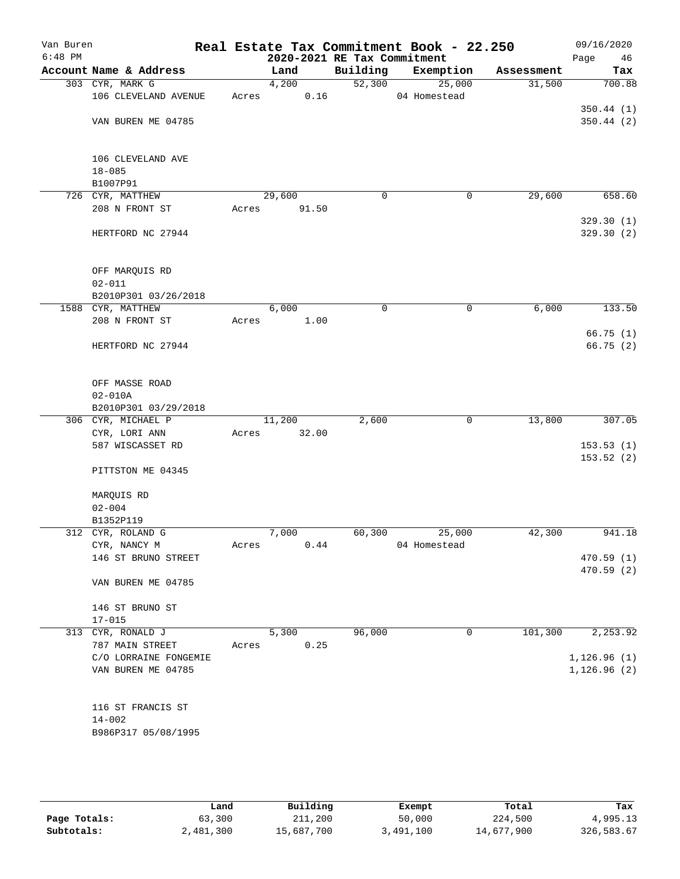| Van Buren<br>$6:48$ PM |                                             |       |                 | 2020-2021 RE Tax Commitment | Real Estate Tax Commitment Book - 22.250 |            | 09/16/2020             |
|------------------------|---------------------------------------------|-------|-----------------|-----------------------------|------------------------------------------|------------|------------------------|
|                        | Account Name & Address                      |       | Land            | Building                    | Exemption                                | Assessment | Page<br>46<br>Tax      |
|                        | 303 CYR, MARK G                             |       | 4,200           | 52,300                      | 25,000                                   | 31,500     | 700.88                 |
|                        | 106 CLEVELAND AVENUE                        | Acres | 0.16            |                             | 04 Homestead                             |            |                        |
|                        |                                             |       |                 |                             |                                          |            | 350.44(1)              |
|                        | VAN BUREN ME 04785                          |       |                 |                             |                                          |            | 350.44(2)              |
|                        |                                             |       |                 |                             |                                          |            |                        |
|                        |                                             |       |                 |                             |                                          |            |                        |
|                        | 106 CLEVELAND AVE                           |       |                 |                             |                                          |            |                        |
|                        | $18 - 085$                                  |       |                 |                             |                                          |            |                        |
|                        | B1007P91                                    |       |                 |                             |                                          |            |                        |
|                        | 726 CYR, MATTHEW<br>208 N FRONT ST          |       | 29,600<br>91.50 | 0                           | 0                                        | 29,600     | 658.60                 |
|                        |                                             | Acres |                 |                             |                                          |            | 329.30(1)              |
|                        | HERTFORD NC 27944                           |       |                 |                             |                                          |            | 329.30 (2)             |
|                        |                                             |       |                 |                             |                                          |            |                        |
|                        |                                             |       |                 |                             |                                          |            |                        |
|                        | OFF MARQUIS RD                              |       |                 |                             |                                          |            |                        |
|                        | $02 - 011$                                  |       |                 |                             |                                          |            |                        |
|                        | B2010P301 03/26/2018                        |       |                 |                             |                                          |            |                        |
|                        | 1588 CYR, MATTHEW                           |       | 6,000           | $\mathbf 0$                 | $\mathsf{O}$                             | 6,000      | 133.50                 |
|                        | 208 N FRONT ST                              | Acres | 1.00            |                             |                                          |            | 66.75(1)               |
|                        | HERTFORD NC 27944                           |       |                 |                             |                                          |            | 66.75(2)               |
|                        |                                             |       |                 |                             |                                          |            |                        |
|                        |                                             |       |                 |                             |                                          |            |                        |
|                        | OFF MASSE ROAD                              |       |                 |                             |                                          |            |                        |
|                        | $02 - 010A$                                 |       |                 |                             |                                          |            |                        |
|                        | B2010P301 03/29/2018                        |       |                 |                             |                                          |            |                        |
|                        | 306 CYR, MICHAEL P                          |       | 11,200          | 2,600                       | 0                                        | 13,800     | 307.05                 |
|                        | CYR, LORI ANN                               | Acres | 32.00           |                             |                                          |            |                        |
|                        | 587 WISCASSET RD                            |       |                 |                             |                                          |            | 153.53(1)<br>153.52(2) |
|                        | PITTSTON ME 04345                           |       |                 |                             |                                          |            |                        |
|                        |                                             |       |                 |                             |                                          |            |                        |
|                        | MARQUIS RD                                  |       |                 |                             |                                          |            |                        |
|                        | $02 - 004$                                  |       |                 |                             |                                          |            |                        |
|                        | B1352P119                                   |       |                 |                             |                                          |            |                        |
|                        | 312 CYR, ROLAND G                           |       | 7,000           | 60,300                      | 25,000                                   | 42,300     | 941.18                 |
|                        | CYR, NANCY M<br>146 ST BRUNO STREET         | Acres | 0.44            |                             | 04 Homestead                             |            | 470.59(1)              |
|                        |                                             |       |                 |                             |                                          |            | 470.59 (2)             |
|                        | VAN BUREN ME 04785                          |       |                 |                             |                                          |            |                        |
|                        |                                             |       |                 |                             |                                          |            |                        |
|                        | 146 ST BRUNO ST                             |       |                 |                             |                                          |            |                        |
|                        | $17 - 015$                                  |       |                 |                             |                                          |            |                        |
|                        | 313 CYR, RONALD J                           |       | 5,300           | 96,000                      | 0                                        | 101,300    | 2,253.92               |
|                        | 787 MAIN STREET                             | Acres | 0.25            |                             |                                          |            |                        |
|                        | C/O LORRAINE FONGEMIE<br>VAN BUREN ME 04785 |       |                 |                             |                                          |            | 1, 126.96(1)           |
|                        |                                             |       |                 |                             |                                          |            | 1, 126.96(2)           |
|                        |                                             |       |                 |                             |                                          |            |                        |
|                        | 116 ST FRANCIS ST                           |       |                 |                             |                                          |            |                        |
|                        | $14 - 002$                                  |       |                 |                             |                                          |            |                        |
|                        | B986P317 05/08/1995                         |       |                 |                             |                                          |            |                        |
|                        |                                             |       |                 |                             |                                          |            |                        |

|              | Land      | Building   | Exempt    | Total      | Tax        |
|--------------|-----------|------------|-----------|------------|------------|
| Page Totals: | 63,300    | 211,200    | 50,000    | 224,500    | 4,995.13   |
| Subtotals:   | 2,481,300 | 15,687,700 | 3,491,100 | 14,677,900 | 326,583.67 |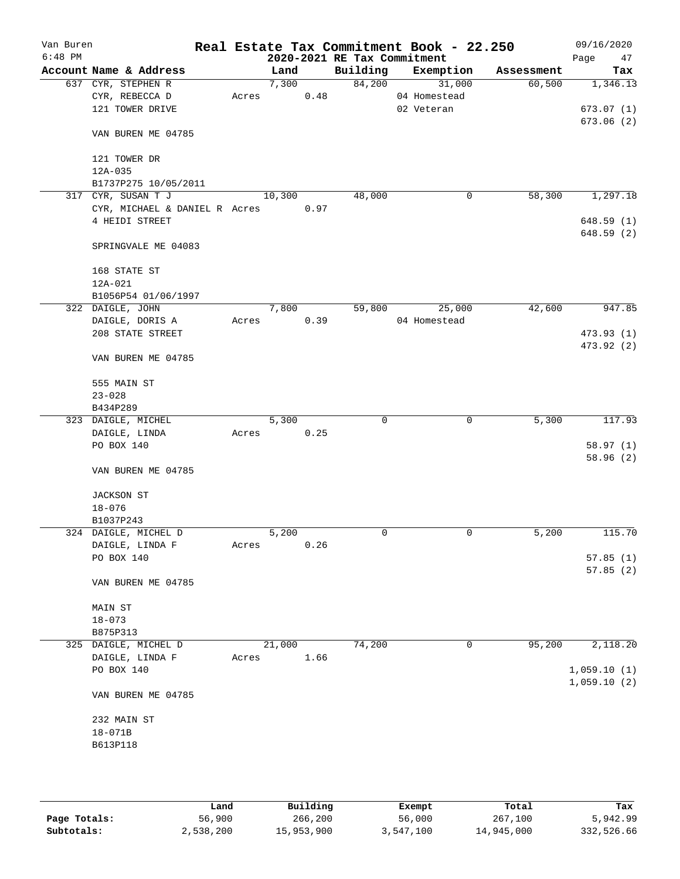| Van Buren<br>$6:48$ PM |                               |       |        |      | 2020-2021 RE Tax Commitment | Real Estate Tax Commitment Book - 22.250 |            | 09/16/2020<br>Page<br>47 |
|------------------------|-------------------------------|-------|--------|------|-----------------------------|------------------------------------------|------------|--------------------------|
|                        | Account Name & Address        |       | Land   |      | Building                    | Exemption                                | Assessment | Tax                      |
|                        | 637 CYR, STEPHEN R            |       | 7,300  |      | 84,200                      | 31,000                                   | 60,500     | 1,346.13                 |
|                        | CYR, REBECCA D                | Acres |        | 0.48 |                             | 04 Homestead                             |            |                          |
|                        | 121 TOWER DRIVE               |       |        |      |                             | 02 Veteran                               |            | 673.07(1)                |
|                        |                               |       |        |      |                             |                                          |            | 673.06(2)                |
|                        | VAN BUREN ME 04785            |       |        |      |                             |                                          |            |                          |
|                        | 121 TOWER DR                  |       |        |      |                             |                                          |            |                          |
|                        | $12A - 035$                   |       |        |      |                             |                                          |            |                          |
|                        | B1737P275 10/05/2011          |       |        |      |                             |                                          |            |                          |
|                        | 317 CYR, SUSAN T J            |       | 10,300 |      | 48,000                      | 0                                        | 58,300     | 1,297.18                 |
|                        | CYR, MICHAEL & DANIEL R Acres |       |        | 0.97 |                             |                                          |            |                          |
|                        | 4 HEIDI STREET                |       |        |      |                             |                                          |            | 648.59(1)                |
|                        | SPRINGVALE ME 04083           |       |        |      |                             |                                          |            | 648.59(2)                |
|                        | 168 STATE ST                  |       |        |      |                             |                                          |            |                          |
|                        | 12A-021                       |       |        |      |                             |                                          |            |                          |
|                        | B1056P54 01/06/1997           |       |        |      |                             |                                          |            |                          |
|                        | 322 DAIGLE, JOHN              |       | 7,800  |      | 59,800                      | 25,000                                   | 42,600     | 947.85                   |
|                        | DAIGLE, DORIS A               | Acres |        | 0.39 |                             | 04 Homestead                             |            |                          |
|                        | 208 STATE STREET              |       |        |      |                             |                                          |            | 473.93 (1)               |
|                        | VAN BUREN ME 04785            |       |        |      |                             |                                          |            | 473.92 (2)               |
|                        |                               |       |        |      |                             |                                          |            |                          |
|                        | 555 MAIN ST                   |       |        |      |                             |                                          |            |                          |
|                        | $23 - 028$                    |       |        |      |                             |                                          |            |                          |
|                        | B434P289                      |       |        |      |                             |                                          |            |                          |
|                        | 323 DAIGLE, MICHEL            |       | 5,300  |      | $\mathbf 0$                 | $\mathbf 0$                              | 5,300      | 117.93                   |
|                        | DAIGLE, LINDA                 | Acres |        | 0.25 |                             |                                          |            |                          |
|                        | PO BOX 140                    |       |        |      |                             |                                          |            | 58.97(1)                 |
|                        | VAN BUREN ME 04785            |       |        |      |                             |                                          |            | 58.96(2)                 |
|                        | <b>JACKSON ST</b>             |       |        |      |                             |                                          |            |                          |
|                        | $18 - 076$                    |       |        |      |                             |                                          |            |                          |
|                        | B1037P243                     |       |        |      |                             |                                          |            |                          |
|                        | 324 DAIGLE, MICHEL D          |       | 5,200  |      | $\mathbf 0$                 | $\mathbf 0$                              | 5,200      | 115.70                   |
|                        | DAIGLE, LINDA F               | Acres |        | 0.26 |                             |                                          |            |                          |
|                        | PO BOX 140                    |       |        |      |                             |                                          |            | 57.85(1)                 |
|                        | VAN BUREN ME 04785            |       |        |      |                             |                                          |            | 57.85(2)                 |
|                        |                               |       |        |      |                             |                                          |            |                          |
|                        | MAIN ST                       |       |        |      |                             |                                          |            |                          |
|                        | $18 - 073$                    |       |        |      |                             |                                          |            |                          |
|                        | B875P313                      |       |        |      |                             |                                          |            |                          |
|                        | 325 DAIGLE, MICHEL D          |       | 21,000 |      | 74,200                      | 0                                        | 95,200     | 2,118.20                 |
|                        | DAIGLE, LINDA F               | Acres |        | 1.66 |                             |                                          |            |                          |
|                        | PO BOX 140                    |       |        |      |                             |                                          |            | 1,059.10(1)              |
|                        | VAN BUREN ME 04785            |       |        |      |                             |                                          |            | 1,059.10(2)              |
|                        | 232 MAIN ST                   |       |        |      |                             |                                          |            |                          |
|                        | 18-071B                       |       |        |      |                             |                                          |            |                          |
|                        | B613P118                      |       |        |      |                             |                                          |            |                          |
|                        |                               |       |        |      |                             |                                          |            |                          |
|                        |                               |       |        |      |                             |                                          |            |                          |
|                        |                               |       |        |      |                             |                                          |            |                          |

|              | Land      | Building   | Exempt    | Total      | Tax        |
|--------------|-----------|------------|-----------|------------|------------|
| Page Totals: | 56,900    | 266,200    | 56,000    | 267,100    | 5,942.99   |
| Subtotals:   | 2,538,200 | 15,953,900 | 3,547,100 | 14,945,000 | 332,526.66 |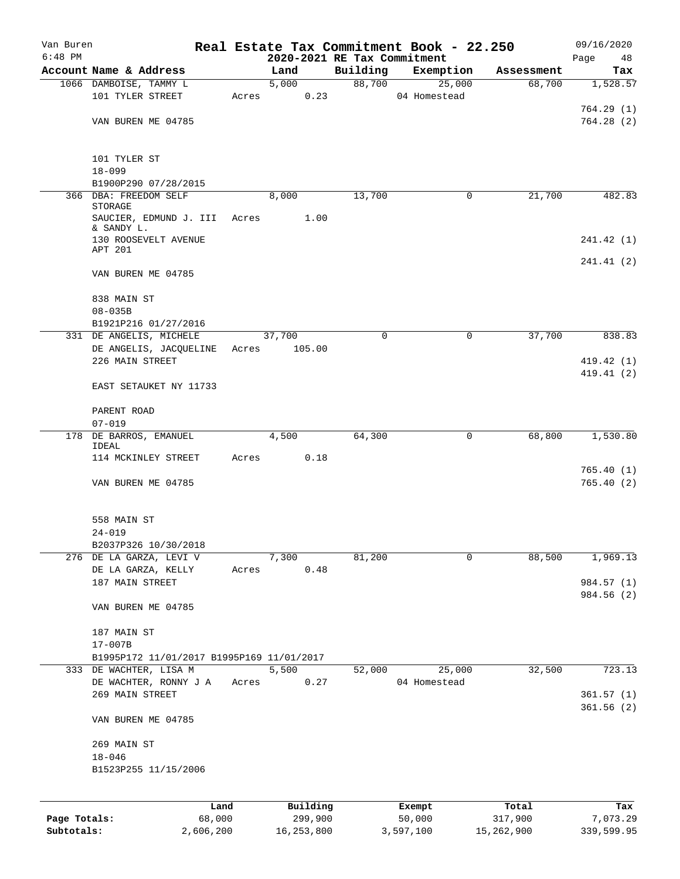| Van Buren    |                                           |       |                             |          | Real Estate Tax Commitment Book - 22.250 |            | 09/16/2020 |
|--------------|-------------------------------------------|-------|-----------------------------|----------|------------------------------------------|------------|------------|
| $6:48$ PM    |                                           |       | 2020-2021 RE Tax Commitment |          |                                          |            | Page<br>48 |
|              | Account Name & Address                    |       | Land                        | Building | Exemption                                | Assessment | Tax        |
|              | 1066 DAMBOISE, TAMMY L                    |       | 5,000                       | 88,700   | 25,000                                   | 68,700     | 1,528.57   |
|              | 101 TYLER STREET                          | Acres | 0.23                        |          | 04 Homestead                             |            |            |
|              |                                           |       |                             |          |                                          |            | 764.29(1)  |
|              | VAN BUREN ME 04785                        |       |                             |          |                                          |            | 764.28(2)  |
|              |                                           |       |                             |          |                                          |            |            |
|              | 101 TYLER ST                              |       |                             |          |                                          |            |            |
|              | $18 - 099$                                |       |                             |          |                                          |            |            |
|              | B1900P290 07/28/2015                      |       |                             |          |                                          |            |            |
|              | 366 DBA: FREEDOM SELF                     |       | 8,000                       | 13,700   | 0                                        | 21,700     | 482.83     |
|              | STORAGE                                   |       |                             |          |                                          |            |            |
|              | SAUCIER, EDMUND J. III<br>& SANDY L.      | Acres | 1.00                        |          |                                          |            |            |
|              | 130 ROOSEVELT AVENUE                      |       |                             |          |                                          |            | 241.42 (1) |
|              | APT 201                                   |       |                             |          |                                          |            |            |
|              |                                           |       |                             |          |                                          |            | 241.41 (2) |
|              | VAN BUREN ME 04785                        |       |                             |          |                                          |            |            |
|              | 838 MAIN ST                               |       |                             |          |                                          |            |            |
|              | $08 - 035B$                               |       |                             |          |                                          |            |            |
|              | B1921P216 01/27/2016                      |       |                             |          |                                          |            |            |
|              | 331 DE ANGELIS, MICHELE                   |       | 37,700                      | 0        | 0                                        | 37,700     | 838.83     |
|              | DE ANGELIS, JACQUELINE                    | Acres | 105.00                      |          |                                          |            |            |
|              | 226 MAIN STREET                           |       |                             |          |                                          |            | 419.42(1)  |
|              |                                           |       |                             |          |                                          |            | 419.41 (2) |
|              | EAST SETAUKET NY 11733                    |       |                             |          |                                          |            |            |
|              | PARENT ROAD                               |       |                             |          |                                          |            |            |
|              | $07 - 019$                                |       |                             |          |                                          |            |            |
|              | 178 DE BARROS, EMANUEL                    |       | 4,500                       | 64,300   | 0                                        | 68,800     | 1,530.80   |
|              | IDEAL                                     |       |                             |          |                                          |            |            |
|              | 114 MCKINLEY STREET                       | Acres | 0.18                        |          |                                          |            |            |
|              |                                           |       |                             |          |                                          |            | 765.40(1)  |
|              | VAN BUREN ME 04785                        |       |                             |          |                                          |            | 765.40(2)  |
|              |                                           |       |                             |          |                                          |            |            |
|              |                                           |       |                             |          |                                          |            |            |
|              | 558 MAIN ST                               |       |                             |          |                                          |            |            |
|              | $24 - 019$                                |       |                             |          |                                          |            |            |
|              | B2037P326 10/30/2018                      |       |                             |          |                                          |            |            |
|              | 276 DE LA GARZA, LEVI V                   |       | 7,300                       | 81,200   | 0                                        | 88,500     | 1,969.13   |
|              | DE LA GARZA, KELLY                        | Acres | 0.48                        |          |                                          |            |            |
|              | 187 MAIN STREET                           |       |                             |          |                                          |            | 984.57 (1) |
|              |                                           |       |                             |          |                                          |            | 984.56 (2) |
|              | VAN BUREN ME 04785                        |       |                             |          |                                          |            |            |
|              | 187 MAIN ST                               |       |                             |          |                                          |            |            |
|              | $17 - 007B$                               |       |                             |          |                                          |            |            |
|              | B1995P172 11/01/2017 B1995P169 11/01/2017 |       |                             |          |                                          |            |            |
|              | 333 DE WACHTER, LISA M                    |       | 5,500                       | 52,000   | 25,000                                   | 32,500     | 723.13     |
|              | DE WACHTER, RONNY J A                     | Acres | 0.27                        |          | 04 Homestead                             |            |            |
|              | 269 MAIN STREET                           |       |                             |          |                                          |            | 361.57(1)  |
|              |                                           |       |                             |          |                                          |            | 361.56(2)  |
|              | VAN BUREN ME 04785                        |       |                             |          |                                          |            |            |
|              | 269 MAIN ST                               |       |                             |          |                                          |            |            |
|              | $18 - 046$                                |       |                             |          |                                          |            |            |
|              | B1523P255 11/15/2006                      |       |                             |          |                                          |            |            |
|              |                                           |       |                             |          |                                          |            |            |
|              |                                           | Land  | Building                    |          | Exempt                                   | Total      | Tax        |
| Page Totals: | 68,000                                    |       | 299,900                     |          | 50,000                                   | 317,900    | 7,073.29   |

**Subtotals:** 2,606,200 16,253,800 3,597,100 15,262,900 339,599.95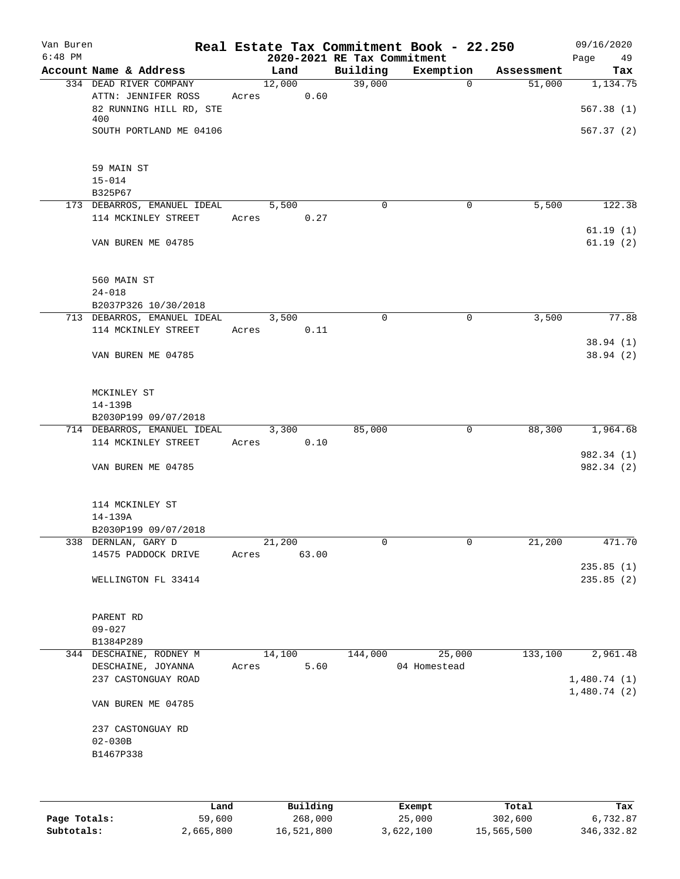| Van Buren<br>$6:48$ PM |                                      |       |        |       | 2020-2021 RE Tax Commitment | Real Estate Tax Commitment Book - 22.250 |            | 09/16/2020<br>Page<br>49 |
|------------------------|--------------------------------------|-------|--------|-------|-----------------------------|------------------------------------------|------------|--------------------------|
|                        | Account Name & Address               |       | Land   |       | Building                    | Exemption                                | Assessment | Tax                      |
|                        | 334 DEAD RIVER COMPANY               |       | 12,000 |       | 39,000                      | 0                                        | 51,000     | 1,134.75                 |
|                        | ATTN: JENNIFER ROSS                  | Acres |        | 0.60  |                             |                                          |            |                          |
|                        | 82 RUNNING HILL RD, STE              |       |        |       |                             |                                          |            | 567.38(1)                |
|                        | 400                                  |       |        |       |                             |                                          |            |                          |
|                        | SOUTH PORTLAND ME 04106              |       |        |       |                             |                                          |            | 567.37(2)                |
|                        | 59 MAIN ST                           |       |        |       |                             |                                          |            |                          |
|                        | $15 - 014$                           |       |        |       |                             |                                          |            |                          |
|                        | B325P67                              |       |        |       |                             |                                          |            |                          |
|                        | 173 DEBARROS, EMANUEL IDEAL          |       | 5,500  |       | $\Omega$                    | $\mathbf 0$                              | 5,500      | 122.38                   |
|                        | 114 MCKINLEY STREET                  |       | Acres  | 0.27  |                             |                                          |            |                          |
|                        |                                      |       |        |       |                             |                                          |            | 61.19(1)                 |
|                        | VAN BUREN ME 04785                   |       |        |       |                             |                                          |            | 61.19(2)                 |
|                        | 560 MAIN ST                          |       |        |       |                             |                                          |            |                          |
|                        | $24 - 018$                           |       |        |       |                             |                                          |            |                          |
|                        | B2037P326 10/30/2018                 |       |        |       |                             |                                          |            |                          |
|                        | 713 DEBARROS, EMANUEL IDEAL          |       | 3,500  |       | $\mathbf 0$                 | 0                                        | 3,500      | 77.88                    |
|                        | 114 MCKINLEY STREET                  | Acres |        | 0.11  |                             |                                          |            |                          |
|                        |                                      |       |        |       |                             |                                          |            | 38.94(1)                 |
|                        | VAN BUREN ME 04785                   |       |        |       |                             |                                          |            | 38.94(2)                 |
|                        | MCKINLEY ST                          |       |        |       |                             |                                          |            |                          |
|                        | 14-139B                              |       |        |       |                             |                                          |            |                          |
|                        | B2030P199 09/07/2018                 |       |        |       |                             |                                          |            |                          |
|                        | 714 DEBARROS, EMANUEL IDEAL          |       | 3,300  |       | 85,000                      | 0                                        | 88,300     | 1,964.68                 |
|                        | 114 MCKINLEY STREET                  | Acres |        | 0.10  |                             |                                          |            |                          |
|                        | VAN BUREN ME 04785                   |       |        |       |                             |                                          |            | 982.34 (1)<br>982.34 (2) |
|                        |                                      |       |        |       |                             |                                          |            |                          |
|                        | 114 MCKINLEY ST                      |       |        |       |                             |                                          |            |                          |
|                        | 14-139A                              |       |        |       |                             |                                          |            |                          |
|                        | B2030P199 09/07/2018                 |       |        |       |                             |                                          |            |                          |
|                        | 338 DERNLAN, GARY D                  |       | 21,200 |       | 0                           | 0                                        | 21,200     | 471.70                   |
|                        | 14575 PADDOCK DRIVE                  | Acres |        | 63.00 |                             |                                          |            | 235.85(1)                |
|                        | WELLINGTON FL 33414                  |       |        |       |                             |                                          |            | 235.85(2)                |
|                        |                                      |       |        |       |                             |                                          |            |                          |
|                        | PARENT RD                            |       |        |       |                             |                                          |            |                          |
|                        | $09 - 027$                           |       |        |       |                             |                                          |            |                          |
|                        | B1384P289<br>344 DESCHAINE, RODNEY M |       | 14,100 |       | 144,000                     | 25,000                                   | 133,100    | 2,961.48                 |
|                        | DESCHAINE, JOYANNA                   | Acres |        | 5.60  |                             | 04 Homestead                             |            |                          |
|                        | 237 CASTONGUAY ROAD                  |       |        |       |                             |                                          |            | 1,480.74(1)              |
|                        |                                      |       |        |       |                             |                                          |            | 1,480.74(2)              |
|                        | VAN BUREN ME 04785                   |       |        |       |                             |                                          |            |                          |
|                        | 237 CASTONGUAY RD                    |       |        |       |                             |                                          |            |                          |
|                        | $02 - 030B$                          |       |        |       |                             |                                          |            |                          |
|                        | B1467P338                            |       |        |       |                             |                                          |            |                          |
|                        |                                      |       |        |       |                             |                                          |            |                          |
|                        |                                      |       |        |       |                             |                                          |            |                          |
|                        |                                      |       |        |       |                             |                                          |            |                          |

|              | Land      | Building   | Exempt    | Total      | Tax         |
|--------------|-----------|------------|-----------|------------|-------------|
| Page Totals: | 59,600    | 268,000    | 25,000    | 302,600    | 6,732.87    |
| Subtotals:   | 2,665,800 | 16,521,800 | 3,622,100 | 15,565,500 | 346, 332.82 |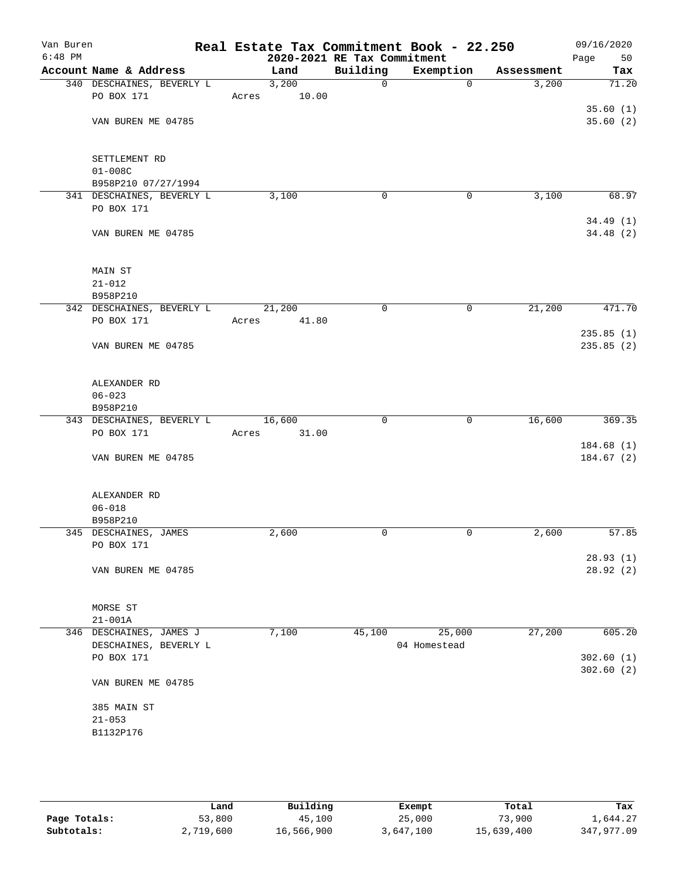| Van Buren<br>$6:48$ PM |                                         |                 | Real Estate Tax Commitment Book - 22.250<br>2020-2021 RE Tax Commitment |                |            | 09/16/2020<br>Page<br>50 |
|------------------------|-----------------------------------------|-----------------|-------------------------------------------------------------------------|----------------|------------|--------------------------|
|                        | Account Name & Address                  | Land            | Building                                                                | Exemption      | Assessment | Tax                      |
|                        | 340 DESCHAINES, BEVERLY L               | 3,200           | $\mathsf{O}$                                                            | $\overline{0}$ | 3,200      | 71.20                    |
|                        | PO BOX 171                              | Acres           | 10.00                                                                   |                |            |                          |
|                        |                                         |                 |                                                                         |                |            | 35.60(1)                 |
|                        | VAN BUREN ME 04785                      |                 |                                                                         |                |            | 35.60(2)                 |
|                        |                                         |                 |                                                                         |                |            |                          |
|                        |                                         |                 |                                                                         |                |            |                          |
|                        | SETTLEMENT RD                           |                 |                                                                         |                |            |                          |
|                        | $01 - 008C$                             |                 |                                                                         |                |            |                          |
|                        | B958P210 07/27/1994                     |                 |                                                                         |                |            |                          |
|                        | 341 DESCHAINES, BEVERLY L               | 3,100           | 0                                                                       | 0              | 3,100      | 68.97                    |
|                        | PO BOX 171                              |                 |                                                                         |                |            |                          |
|                        |                                         |                 |                                                                         |                |            | 34.49(1)                 |
|                        | VAN BUREN ME 04785                      |                 |                                                                         |                |            | 34.48(2)                 |
|                        |                                         |                 |                                                                         |                |            |                          |
|                        | MAIN ST                                 |                 |                                                                         |                |            |                          |
|                        | $21 - 012$                              |                 |                                                                         |                |            |                          |
|                        | B958P210                                |                 |                                                                         |                |            |                          |
|                        | 342 DESCHAINES, BEVERLY L               | 21,200          | 0                                                                       | 0              | 21,200     | 471.70                   |
|                        | PO BOX 171                              | Acres           | 41.80                                                                   |                |            |                          |
|                        |                                         |                 |                                                                         |                |            | 235.85(1)                |
|                        | VAN BUREN ME 04785                      |                 |                                                                         |                |            | 235.85 (2)               |
|                        |                                         |                 |                                                                         |                |            |                          |
|                        |                                         |                 |                                                                         |                |            |                          |
|                        | ALEXANDER RD                            |                 |                                                                         |                |            |                          |
|                        | $06 - 023$                              |                 |                                                                         |                |            |                          |
|                        | B958P210                                |                 | $\mathbf 0$                                                             | 0              | 16,600     | 369.35                   |
|                        | 343 DESCHAINES, BEVERLY L<br>PO BOX 171 | 16,600<br>Acres | 31.00                                                                   |                |            |                          |
|                        |                                         |                 |                                                                         |                |            | 184.68(1)                |
|                        | VAN BUREN ME 04785                      |                 |                                                                         |                |            | 184.67(2)                |
|                        |                                         |                 |                                                                         |                |            |                          |
|                        |                                         |                 |                                                                         |                |            |                          |
|                        | ALEXANDER RD                            |                 |                                                                         |                |            |                          |
|                        | $06 - 018$                              |                 |                                                                         |                |            |                          |
|                        | B958P210                                |                 |                                                                         |                |            |                          |
|                        | 345 DESCHAINES, JAMES                   | 2,600           | $\mathbf 0$                                                             | 0              | 2,600      | 57.85                    |
|                        | PO BOX 171                              |                 |                                                                         |                |            |                          |
|                        |                                         |                 |                                                                         |                |            | 28.93(1)                 |
|                        | VAN BUREN ME 04785                      |                 |                                                                         |                |            | 28.92(2)                 |
|                        |                                         |                 |                                                                         |                |            |                          |
|                        |                                         |                 |                                                                         |                |            |                          |
|                        | MORSE ST<br>$21 - 001A$                 |                 |                                                                         |                |            |                          |
|                        | 346 DESCHAINES, JAMES J                 | 7,100           | 45,100                                                                  | 25,000         | 27,200     | 605.20                   |
|                        | DESCHAINES, BEVERLY L                   |                 |                                                                         | 04 Homestead   |            |                          |
|                        | PO BOX 171                              |                 |                                                                         |                |            | 302.60(1)                |
|                        |                                         |                 |                                                                         |                |            | 302.60(2)                |
|                        | VAN BUREN ME 04785                      |                 |                                                                         |                |            |                          |
|                        |                                         |                 |                                                                         |                |            |                          |
|                        | 385 MAIN ST                             |                 |                                                                         |                |            |                          |
|                        | $21 - 053$                              |                 |                                                                         |                |            |                          |
|                        | B1132P176                               |                 |                                                                         |                |            |                          |
|                        |                                         |                 |                                                                         |                |            |                          |
|                        |                                         |                 |                                                                         |                |            |                          |
|                        |                                         |                 |                                                                         |                |            |                          |

|              | Land      | Building   | Exempt    | Total      | Tax        |
|--------------|-----------|------------|-----------|------------|------------|
| Page Totals: | 53,800    | 45,100     | 25,000    | 73,900     | 1,644.27   |
| Subtotals:   | 2,719,600 | 16,566,900 | 3,647,100 | 15,639,400 | 347,977.09 |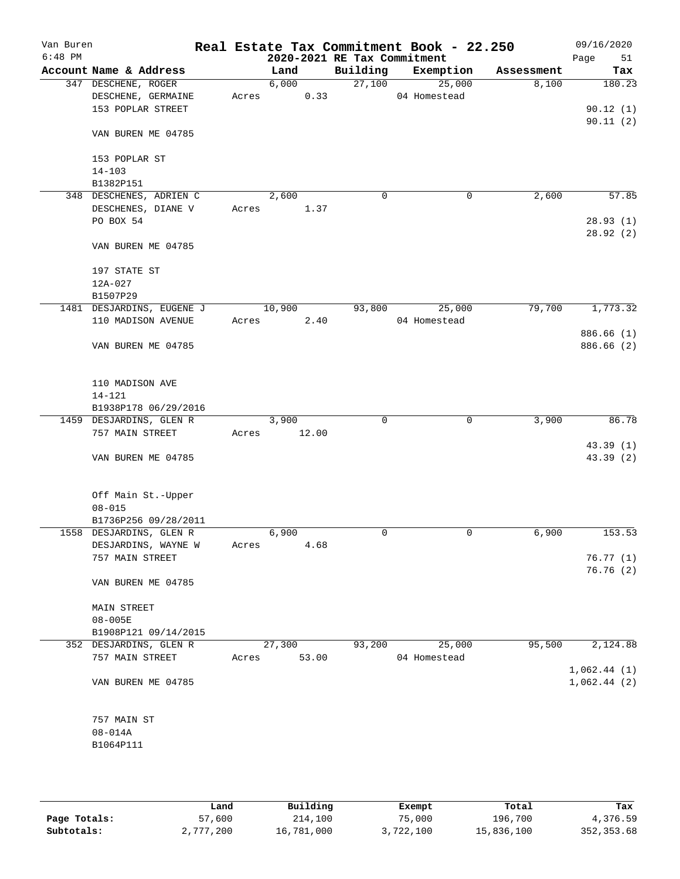| Van Buren<br>$6:48$ PM |                           |       |        |       | 2020-2021 RE Tax Commitment | Real Estate Tax Commitment Book - 22.250 |            | 09/16/2020<br>Page<br>51 |
|------------------------|---------------------------|-------|--------|-------|-----------------------------|------------------------------------------|------------|--------------------------|
|                        | Account Name & Address    |       | Land   |       | Building                    | Exemption                                | Assessment | Tax                      |
|                        | 347 DESCHENE, ROGER       |       | 6,000  |       |                             | 27,100<br>25,000                         | 8,100      | 180.23                   |
|                        | DESCHENE, GERMAINE        | Acres |        | 0.33  |                             | 04 Homestead                             |            |                          |
|                        | 153 POPLAR STREET         |       |        |       |                             |                                          |            | 90.12(1)                 |
|                        |                           |       |        |       |                             |                                          |            | 90.11(2)                 |
|                        | VAN BUREN ME 04785        |       |        |       |                             |                                          |            |                          |
|                        |                           |       |        |       |                             |                                          |            |                          |
|                        | 153 POPLAR ST             |       |        |       |                             |                                          |            |                          |
|                        | $14 - 103$                |       |        |       |                             |                                          |            |                          |
|                        | B1382P151                 |       |        |       |                             |                                          |            |                          |
|                        | 348 DESCHENES, ADRIEN C   |       | 2,600  |       | 0                           | 0                                        | 2,600      | 57.85                    |
|                        | DESCHENES, DIANE V        | Acres |        | 1.37  |                             |                                          |            |                          |
|                        | PO BOX 54                 |       |        |       |                             |                                          |            | 28.93(1)                 |
|                        |                           |       |        |       |                             |                                          |            | 28.92(2)                 |
|                        | VAN BUREN ME 04785        |       |        |       |                             |                                          |            |                          |
|                        |                           |       |        |       |                             |                                          |            |                          |
|                        | 197 STATE ST              |       |        |       |                             |                                          |            |                          |
|                        | 12A-027                   |       |        |       |                             |                                          |            |                          |
|                        | B1507P29                  |       |        |       |                             |                                          |            |                          |
|                        | 1481 DESJARDINS, EUGENE J |       | 10,900 |       | 93,800                      | 25,000                                   | 79,700     | 1,773.32                 |
|                        | 110 MADISON AVENUE        | Acres |        | 2.40  |                             | 04 Homestead                             |            |                          |
|                        |                           |       |        |       |                             |                                          |            | 886.66 (1)               |
|                        | VAN BUREN ME 04785        |       |        |       |                             |                                          |            | 886.66 (2)               |
|                        |                           |       |        |       |                             |                                          |            |                          |
|                        |                           |       |        |       |                             |                                          |            |                          |
|                        | 110 MADISON AVE           |       |        |       |                             |                                          |            |                          |
|                        | $14 - 121$                |       |        |       |                             |                                          |            |                          |
|                        | B1938P178 06/29/2016      |       |        |       |                             |                                          |            |                          |
|                        | 1459 DESJARDINS, GLEN R   |       | 3,900  |       | $\mathbf 0$                 | $\mathbf 0$                              | 3,900      | 86.78                    |
|                        | 757 MAIN STREET           | Acres |        | 12.00 |                             |                                          |            |                          |
|                        |                           |       |        |       |                             |                                          |            | 43.39 (1)                |
|                        | VAN BUREN ME 04785        |       |        |       |                             |                                          |            | 43.39 (2)                |
|                        |                           |       |        |       |                             |                                          |            |                          |
|                        |                           |       |        |       |                             |                                          |            |                          |
|                        | Off Main St.-Upper        |       |        |       |                             |                                          |            |                          |
|                        | $08 - 015$                |       |        |       |                             |                                          |            |                          |
|                        | B1736P256 09/28/2011      |       |        |       |                             |                                          |            |                          |
|                        | 1558 DESJARDINS, GLEN R   |       | 6,900  |       | 0                           | $\mathbf 0$                              | 6,900      | 153.53                   |
|                        | DESJARDINS, WAYNE W       | Acres |        | 4.68  |                             |                                          |            |                          |
|                        | 757 MAIN STREET           |       |        |       |                             |                                          |            | 76.77(1)                 |
|                        |                           |       |        |       |                             |                                          |            | 76.76(2)                 |
|                        | VAN BUREN ME 04785        |       |        |       |                             |                                          |            |                          |
|                        |                           |       |        |       |                             |                                          |            |                          |
|                        | MAIN STREET               |       |        |       |                             |                                          |            |                          |
|                        | $08 - 005E$               |       |        |       |                             |                                          |            |                          |
|                        | B1908P121 09/14/2015      |       |        |       |                             |                                          |            |                          |
|                        | 352 DESJARDINS, GLEN R    |       | 27,300 |       | 93,200                      | 25,000                                   | 95,500     | 2,124.88                 |
|                        | 757 MAIN STREET           | Acres |        | 53.00 |                             | 04 Homestead                             |            |                          |
|                        |                           |       |        |       |                             |                                          |            | 1,062.44(1)              |
|                        | VAN BUREN ME 04785        |       |        |       |                             |                                          |            | 1,062.44(2)              |
|                        |                           |       |        |       |                             |                                          |            |                          |
|                        |                           |       |        |       |                             |                                          |            |                          |
|                        | 757 MAIN ST               |       |        |       |                             |                                          |            |                          |
|                        | $08 - 014A$               |       |        |       |                             |                                          |            |                          |
|                        | B1064P111                 |       |        |       |                             |                                          |            |                          |
|                        |                           |       |        |       |                             |                                          |            |                          |
|                        |                           |       |        |       |                             |                                          |            |                          |

|              | Land      | Building   | Exempt    | Total      | Tax         |
|--------------|-----------|------------|-----------|------------|-------------|
| Page Totals: | 57,600    | 214,100    | 75,000    | 196,700    | 4,376.59    |
| Subtotals:   | 2,777,200 | 16,781,000 | 3,722,100 | 15,836,100 | 352, 353.68 |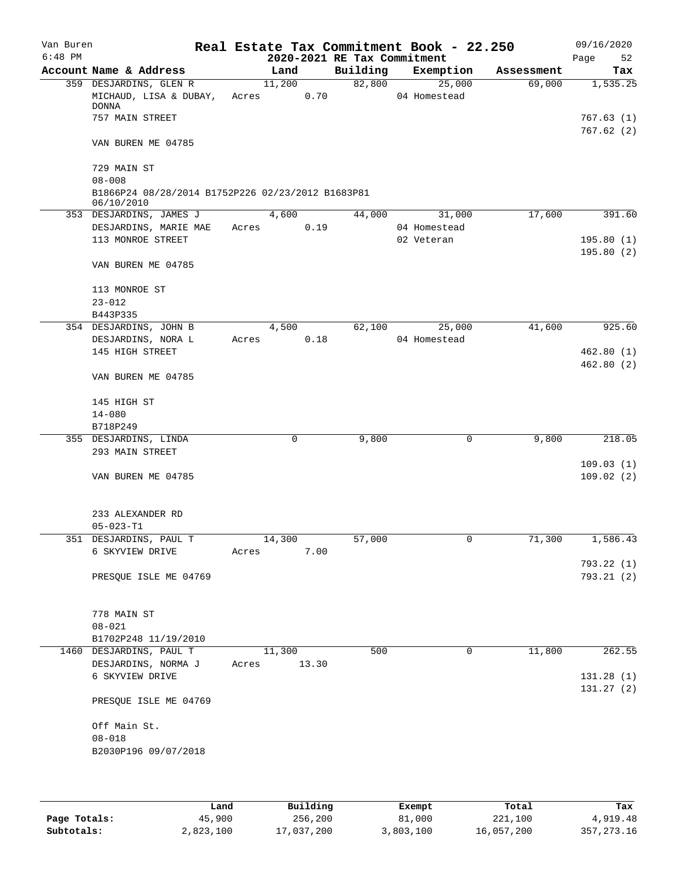| Van Buren<br>$6:48$ PM |                                                                               |       |                    |       | 2020-2021 RE Tax Commitment | Real Estate Tax Commitment Book - 22.250 |            | 09/16/2020<br>Page<br>52 |
|------------------------|-------------------------------------------------------------------------------|-------|--------------------|-------|-----------------------------|------------------------------------------|------------|--------------------------|
|                        | Account Name & Address                                                        |       | Land               |       | Building                    | Exemption                                | Assessment | Tax                      |
|                        | 359 DESJARDINS, GLEN R                                                        |       | 11,200             | 0.70  | 82,800                      | 25,000                                   | 69,000     | 1,535.25                 |
|                        | MICHAUD, LISA & DUBAY,<br><b>DONNA</b><br>757 MAIN STREET                     |       | Acres              |       |                             | 04 Homestead                             |            | 767.63(1)                |
|                        | VAN BUREN ME 04785                                                            |       |                    |       |                             |                                          |            | 767.62(2)                |
|                        |                                                                               |       |                    |       |                             |                                          |            |                          |
|                        | 729 MAIN ST                                                                   |       |                    |       |                             |                                          |            |                          |
|                        | $08 - 008$<br>B1866P24 08/28/2014 B1752P226 02/23/2012 B1683P81<br>06/10/2010 |       |                    |       |                             |                                          |            |                          |
|                        | 353 DESJARDINS, JAMES J                                                       |       | 4,600              |       | 44,000                      | 31,000                                   | 17,600     | 391.60                   |
|                        | DESJARDINS, MARIE MAE                                                         | Acres |                    | 0.19  |                             | 04 Homestead                             |            |                          |
|                        | 113 MONROE STREET                                                             |       |                    |       |                             | 02 Veteran                               |            | 195.80(1)<br>195.80(2)   |
|                        | VAN BUREN ME 04785                                                            |       |                    |       |                             |                                          |            |                          |
|                        | 113 MONROE ST                                                                 |       |                    |       |                             |                                          |            |                          |
|                        | $23 - 012$<br>B443P335                                                        |       |                    |       |                             |                                          |            |                          |
|                        | 354 DESJARDINS, JOHN B                                                        |       | $\overline{4,500}$ |       | 62,100                      | 25,000                                   | 41,600     | 925.60                   |
|                        | DESJARDINS, NORA L                                                            | Acres |                    | 0.18  |                             | 04 Homestead                             |            |                          |
|                        | 145 HIGH STREET                                                               |       |                    |       |                             |                                          |            | 462.80(1)                |
|                        | VAN BUREN ME 04785                                                            |       |                    |       |                             |                                          |            | 462.80(2)                |
|                        | 145 HIGH ST                                                                   |       |                    |       |                             |                                          |            |                          |
|                        | $14 - 080$                                                                    |       |                    |       |                             |                                          |            |                          |
|                        | B718P249                                                                      |       |                    |       |                             |                                          |            |                          |
|                        | 355 DESJARDINS, LINDA                                                         |       | 0                  |       | 9,800                       | 0                                        | 9,800      | 218.05                   |
|                        | 293 MAIN STREET                                                               |       |                    |       |                             |                                          |            |                          |
|                        | VAN BUREN ME 04785                                                            |       |                    |       |                             |                                          |            | 109.03(1)<br>109.02(2)   |
|                        | 233 ALEXANDER RD                                                              |       |                    |       |                             |                                          |            |                          |
|                        | $05 - 023 - T1$                                                               |       |                    |       |                             |                                          |            |                          |
|                        | 351 DESJARDINS, PAUL T                                                        |       | 14,300             |       | 57,000                      | 0                                        | 71,300     | 1,586.43                 |
|                        | 6 SKYVIEW DRIVE                                                               | Acres |                    | 7.00  |                             |                                          |            | 793.22(1)                |
|                        | PRESQUE ISLE ME 04769                                                         |       |                    |       |                             |                                          |            | 793.21 (2)               |
|                        | 778 MAIN ST                                                                   |       |                    |       |                             |                                          |            |                          |
|                        | $08 - 021$                                                                    |       |                    |       |                             |                                          |            |                          |
|                        | B1702P248 11/19/2010                                                          |       |                    |       |                             |                                          |            |                          |
|                        | 1460 DESJARDINS, PAUL T                                                       |       | 11,300             |       | 500                         | 0                                        | 11,800     | 262.55                   |
|                        | DESJARDINS, NORMA J                                                           | Acres |                    | 13.30 |                             |                                          |            |                          |
|                        | 6 SKYVIEW DRIVE                                                               |       |                    |       |                             |                                          |            | 131.28 (1)<br>131.27(2)  |
|                        | PRESQUE ISLE ME 04769                                                         |       |                    |       |                             |                                          |            |                          |
|                        |                                                                               |       |                    |       |                             |                                          |            |                          |
|                        | Off Main St.<br>$08 - 018$                                                    |       |                    |       |                             |                                          |            |                          |

|              | Land      | Building   | Exempt    | Total      | Tax          |
|--------------|-----------|------------|-----------|------------|--------------|
| Page Totals: | 45,900    | 256,200    | 81,000    | 221,100    | 4,919.48     |
| Subtotals:   | 2,823,100 | 17,037,200 | 3,803,100 | 16,057,200 | 357, 273, 16 |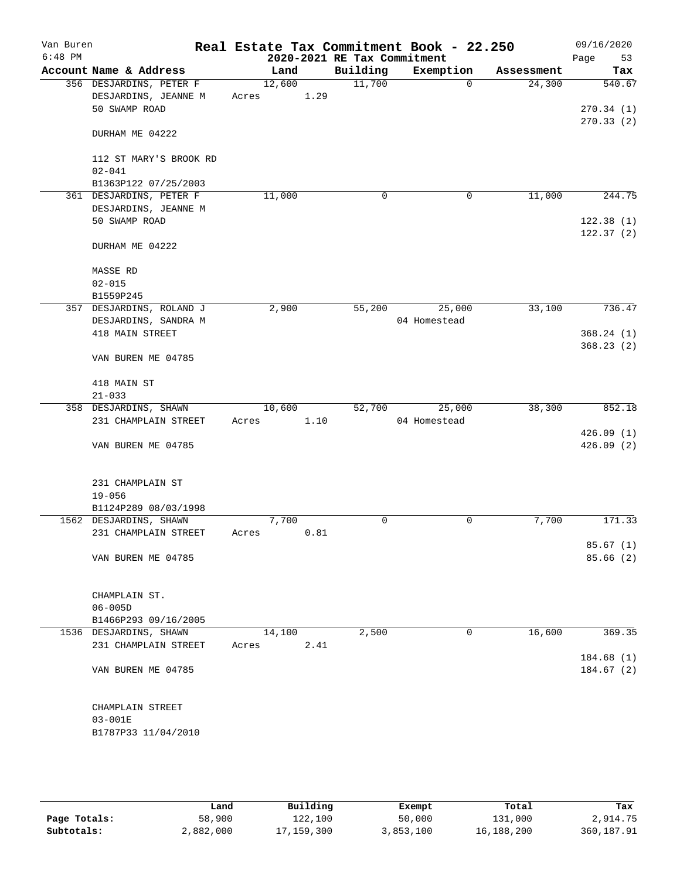| Van Buren<br>$6:48$ PM |                          |        |      | 2020-2021 RE Tax Commitment | Real Estate Tax Commitment Book - 22.250 |            | 09/16/2020<br>53<br>Page |
|------------------------|--------------------------|--------|------|-----------------------------|------------------------------------------|------------|--------------------------|
|                        | Account Name & Address   | Land   |      | Building                    | Exemption                                | Assessment | Tax                      |
|                        | 356 DESJARDINS, PETER F  | 12,600 |      | 11,700                      | $\Omega$                                 | 24,300     | 540.67                   |
|                        | DESJARDINS, JEANNE M     | Acres  | 1.29 |                             |                                          |            |                          |
|                        | 50 SWAMP ROAD            |        |      |                             |                                          |            | 270.34(1)                |
|                        |                          |        |      |                             |                                          |            | 270.33(2)                |
|                        | DURHAM ME 04222          |        |      |                             |                                          |            |                          |
|                        |                          |        |      |                             |                                          |            |                          |
|                        | 112 ST MARY'S BROOK RD   |        |      |                             |                                          |            |                          |
|                        | $02 - 041$               |        |      |                             |                                          |            |                          |
|                        | B1363P122 07/25/2003     |        |      |                             |                                          |            |                          |
|                        | 361 DESJARDINS, PETER F  | 11,000 |      | 0                           | 0                                        | 11,000     | 244.75                   |
|                        | DESJARDINS, JEANNE M     |        |      |                             |                                          |            |                          |
|                        | 50 SWAMP ROAD            |        |      |                             |                                          |            | 122.38(1)                |
|                        |                          |        |      |                             |                                          |            | 122.37(2)                |
|                        | DURHAM ME 04222          |        |      |                             |                                          |            |                          |
|                        |                          |        |      |                             |                                          |            |                          |
|                        | MASSE RD                 |        |      |                             |                                          |            |                          |
|                        | $02 - 015$               |        |      |                             |                                          |            |                          |
|                        | B1559P245                |        |      |                             |                                          |            |                          |
|                        | 357 DESJARDINS, ROLAND J | 2,900  |      | 55,200                      | 25,000                                   | 33,100     | 736.47                   |
|                        | DESJARDINS, SANDRA M     |        |      |                             | 04 Homestead                             |            |                          |
|                        | 418 MAIN STREET          |        |      |                             |                                          |            | 368.24(1)                |
|                        |                          |        |      |                             |                                          |            | 368.23(2)                |
|                        | VAN BUREN ME 04785       |        |      |                             |                                          |            |                          |
|                        |                          |        |      |                             |                                          |            |                          |
|                        | 418 MAIN ST              |        |      |                             |                                          |            |                          |
|                        | $21 - 033$               |        |      |                             |                                          |            |                          |
|                        | 358 DESJARDINS, SHAWN    | 10,600 |      | 52,700                      | 25,000                                   | 38,300     | 852.18                   |
|                        | 231 CHAMPLAIN STREET     | Acres  | 1.10 |                             | 04 Homestead                             |            |                          |
|                        |                          |        |      |                             |                                          |            | 426.09(1)                |
|                        | VAN BUREN ME 04785       |        |      |                             |                                          |            | 426.09(2)                |
|                        |                          |        |      |                             |                                          |            |                          |
|                        |                          |        |      |                             |                                          |            |                          |
|                        | 231 CHAMPLAIN ST         |        |      |                             |                                          |            |                          |
|                        | $19 - 056$               |        |      |                             |                                          |            |                          |
|                        | B1124P289 08/03/1998     |        |      |                             |                                          |            |                          |
|                        | 1562 DESJARDINS, SHAWN   | 7,700  |      | 0                           | 0                                        | 7,700      | 171.33                   |
|                        | 231 CHAMPLAIN STREET     | Acres  | 0.81 |                             |                                          |            |                          |
|                        |                          |        |      |                             |                                          |            | 85.67 (1)                |
|                        | VAN BUREN ME 04785       |        |      |                             |                                          |            | 85.66(2)                 |
|                        |                          |        |      |                             |                                          |            |                          |
|                        |                          |        |      |                             |                                          |            |                          |
|                        | CHAMPLAIN ST.            |        |      |                             |                                          |            |                          |
|                        | $06 - 005D$              |        |      |                             |                                          |            |                          |
|                        | B1466P293 09/16/2005     |        |      |                             |                                          |            |                          |
|                        | 1536 DESJARDINS, SHAWN   | 14,100 |      | 2,500                       | 0                                        | 16,600     | 369.35                   |
|                        | 231 CHAMPLAIN STREET     | Acres  | 2.41 |                             |                                          |            |                          |
|                        |                          |        |      |                             |                                          |            | 184.68(1)                |
|                        | VAN BUREN ME 04785       |        |      |                             |                                          |            | 184.67(2)                |
|                        |                          |        |      |                             |                                          |            |                          |
|                        |                          |        |      |                             |                                          |            |                          |
|                        | CHAMPLAIN STREET         |        |      |                             |                                          |            |                          |
|                        | 03-001E                  |        |      |                             |                                          |            |                          |
|                        | B1787P33 11/04/2010      |        |      |                             |                                          |            |                          |
|                        |                          |        |      |                             |                                          |            |                          |

|              | Land      | Building   | Exempt    | Total      | Tax        |
|--------------|-----------|------------|-----------|------------|------------|
| Page Totals: | 58,900    | 122,100    | 50,000    | 131,000    | 2,914.75   |
| Subtotals:   | 2,882,000 | 17,159,300 | 3,853,100 | 16,188,200 | 360,187.91 |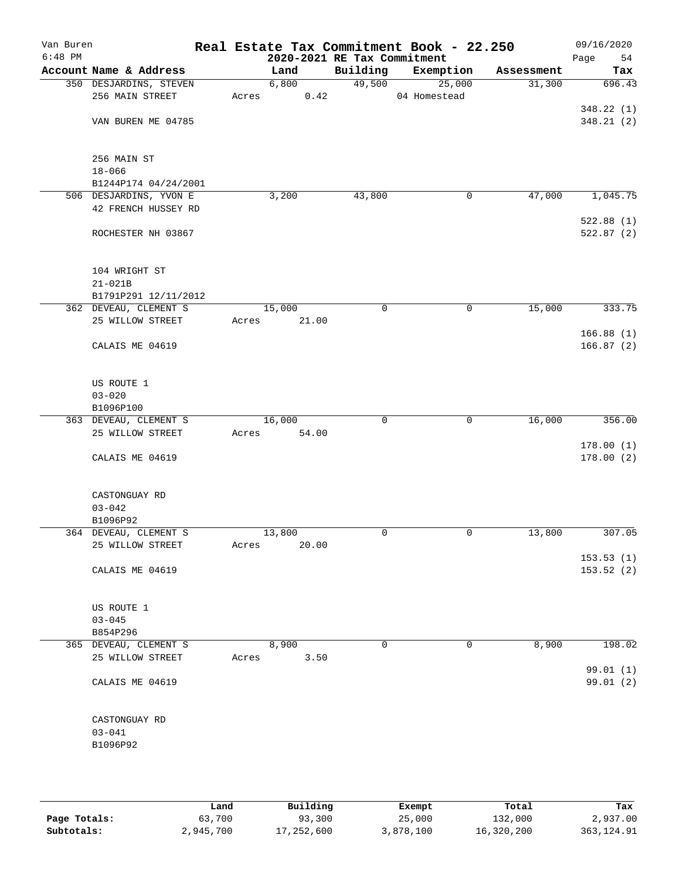| Van Buren<br>$6:48$ PM |                          |       | 2020-2021 RE Tax Commitment |             | Real Estate Tax Commitment Book - 22.250 |            | 09/16/2020<br>Page<br>54 |
|------------------------|--------------------------|-------|-----------------------------|-------------|------------------------------------------|------------|--------------------------|
|                        | Account Name & Address   |       | Land                        | Building    | Exemption                                | Assessment | Tax                      |
|                        | 350 DESJARDINS, STEVEN   |       | 6,800                       | 49,500      | 25,000                                   | 31,300     | 696.43                   |
|                        | 256 MAIN STREET          | Acres | 0.42                        |             | 04 Homestead                             |            |                          |
|                        |                          |       |                             |             |                                          |            | 348.22 (1)               |
|                        | VAN BUREN ME 04785       |       |                             |             |                                          |            | 348.21(2)                |
|                        | 256 MAIN ST              |       |                             |             |                                          |            |                          |
|                        | $18 - 066$               |       |                             |             |                                          |            |                          |
|                        | B1244P174 04/24/2001     |       |                             |             |                                          |            |                          |
|                        | 506 DESJARDINS, YVON E   |       | 3,200                       | 43,800      | 0                                        | 47,000     | 1,045.75                 |
|                        | 42 FRENCH HUSSEY RD      |       |                             |             |                                          |            |                          |
|                        |                          |       |                             |             |                                          |            | 522.88(1)                |
|                        | ROCHESTER NH 03867       |       |                             |             |                                          |            | 522.87(2)                |
|                        | 104 WRIGHT ST            |       |                             |             |                                          |            |                          |
|                        | $21 - 021B$              |       |                             |             |                                          |            |                          |
|                        | B1791P291 12/11/2012     |       |                             |             |                                          |            |                          |
|                        | 362 DEVEAU, CLEMENT S    |       | 15,000                      | $\mathbf 0$ | 0                                        | 15,000     | 333.75                   |
|                        | 25 WILLOW STREET         | Acres | 21.00                       |             |                                          |            |                          |
|                        | CALAIS ME 04619          |       |                             |             |                                          |            | 166.88(1)<br>166.87(2)   |
|                        | US ROUTE 1               |       |                             |             |                                          |            |                          |
|                        | $03 - 020$               |       |                             |             |                                          |            |                          |
|                        | B1096P100                |       |                             |             |                                          |            |                          |
|                        | 363 DEVEAU, CLEMENT S    |       | 16,000                      | $\mathbf 0$ | $\mathbf 0$                              | 16,000     | 356.00                   |
|                        | 25 WILLOW STREET         | Acres | 54.00                       |             |                                          |            |                          |
|                        |                          |       |                             |             |                                          |            | 178.00(1)                |
|                        | CALAIS ME 04619          |       |                             |             |                                          |            | 178.00(2)                |
|                        | CASTONGUAY RD            |       |                             |             |                                          |            |                          |
|                        | $03 - 042$               |       |                             |             |                                          |            |                          |
|                        | B1096P92                 |       |                             |             |                                          |            |                          |
|                        | 364 DEVEAU, CLEMENT S    |       | 13,800                      | 0           | 0                                        | 13,800     | 307.05                   |
|                        | 25 WILLOW STREET         | Acres | 20.00                       |             |                                          |            | 153.53(1)                |
|                        | CALAIS ME 04619          |       |                             |             |                                          |            | 153.52(2)                |
|                        |                          |       |                             |             |                                          |            |                          |
|                        | US ROUTE 1<br>$03 - 045$ |       |                             |             |                                          |            |                          |
|                        | B854P296                 |       |                             |             |                                          |            |                          |
|                        | 365 DEVEAU, CLEMENT S    |       | 8,900                       | $\mathbf 0$ | 0                                        | 8,900      | 198.02                   |
|                        | 25 WILLOW STREET         | Acres | 3.50                        |             |                                          |            | 99.01(1)                 |
|                        | CALAIS ME 04619          |       |                             |             |                                          |            | 99.01(2)                 |
|                        | CASTONGUAY RD            |       |                             |             |                                          |            |                          |
|                        | $03 - 041$               |       |                             |             |                                          |            |                          |
|                        | B1096P92                 |       |                             |             |                                          |            |                          |
|                        |                          |       |                             |             |                                          |            |                          |
|                        |                          |       |                             |             |                                          |            |                          |
|                        |                          |       |                             |             |                                          |            |                          |

|              | Land      | Building   | Exempt    | Total      | Tax         |
|--------------|-----------|------------|-----------|------------|-------------|
| Page Totals: | 63,700    | 93,300     | 25,000    | 132,000    | 2,937.00    |
| Subtotals:   | 2,945,700 | 17,252,600 | 3,878,100 | 16,320,200 | 363, 124.91 |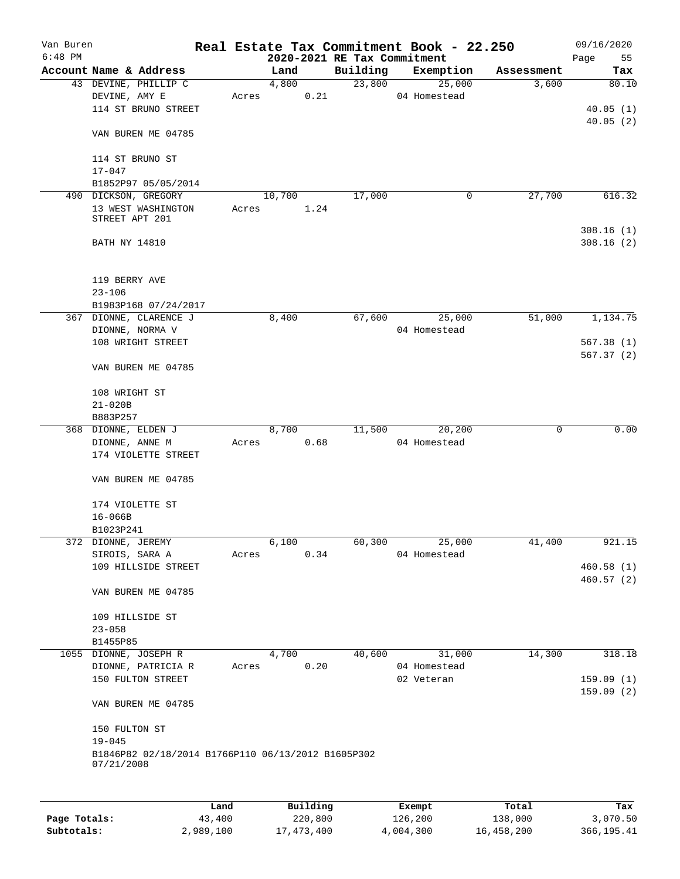| Van Buren |                                                                  |       |        |      |                                         | Real Estate Tax Commitment Book - 22.250 |            | 09/16/2020        |
|-----------|------------------------------------------------------------------|-------|--------|------|-----------------------------------------|------------------------------------------|------------|-------------------|
| $6:48$ PM | Account Name & Address                                           |       | Land   |      | 2020-2021 RE Tax Commitment<br>Building |                                          | Assessment | Page<br>55<br>Tax |
|           | 43 DEVINE, PHILLIP C                                             |       | 4,800  |      | 23,800                                  | Exemption<br>25,000                      | 3,600      | 80.10             |
|           | DEVINE, AMY E                                                    | Acres |        | 0.21 |                                         | 04 Homestead                             |            |                   |
|           | 114 ST BRUNO STREET                                              |       |        |      |                                         |                                          |            | 40.05(1)          |
|           |                                                                  |       |        |      |                                         |                                          |            | 40.05(2)          |
|           | VAN BUREN ME 04785                                               |       |        |      |                                         |                                          |            |                   |
|           | 114 ST BRUNO ST                                                  |       |        |      |                                         |                                          |            |                   |
|           | $17 - 047$                                                       |       |        |      |                                         |                                          |            |                   |
|           | B1852P97 05/05/2014                                              |       |        |      |                                         |                                          |            |                   |
|           | 490 DICKSON, GREGORY                                             |       | 10,700 |      | 17,000                                  | 0                                        | 27,700     | 616.32            |
|           | 13 WEST WASHINGTON                                               | Acres |        | 1.24 |                                         |                                          |            |                   |
|           | STREET APT 201                                                   |       |        |      |                                         |                                          |            |                   |
|           |                                                                  |       |        |      |                                         |                                          |            | 308.16(1)         |
|           | <b>BATH NY 14810</b>                                             |       |        |      |                                         |                                          |            | 308.16(2)         |
|           |                                                                  |       |        |      |                                         |                                          |            |                   |
|           | 119 BERRY AVE                                                    |       |        |      |                                         |                                          |            |                   |
|           | $23 - 106$                                                       |       |        |      |                                         |                                          |            |                   |
|           | B1983P168 07/24/2017                                             |       |        |      |                                         |                                          |            |                   |
|           | 367 DIONNE, CLARENCE J                                           |       | 8,400  |      | 67,600                                  | 25,000                                   | 51,000     | 1,134.75          |
|           | DIONNE, NORMA V                                                  |       |        |      |                                         | 04 Homestead                             |            |                   |
|           | 108 WRIGHT STREET                                                |       |        |      |                                         |                                          |            | 567.38(1)         |
|           |                                                                  |       |        |      |                                         |                                          |            | 567.37(2)         |
|           | VAN BUREN ME 04785                                               |       |        |      |                                         |                                          |            |                   |
|           | 108 WRIGHT ST                                                    |       |        |      |                                         |                                          |            |                   |
|           | $21 - 020B$                                                      |       |        |      |                                         |                                          |            |                   |
|           | B883P257                                                         |       |        |      |                                         |                                          |            |                   |
|           | 368 DIONNE, ELDEN J                                              |       | 8,700  |      | 11,500                                  | 20,200                                   | 0          | 0.00              |
|           | DIONNE, ANNE M                                                   | Acres |        | 0.68 |                                         | 04 Homestead                             |            |                   |
|           | 174 VIOLETTE STREET                                              |       |        |      |                                         |                                          |            |                   |
|           |                                                                  |       |        |      |                                         |                                          |            |                   |
|           | VAN BUREN ME 04785                                               |       |        |      |                                         |                                          |            |                   |
|           |                                                                  |       |        |      |                                         |                                          |            |                   |
|           | 174 VIOLETTE ST<br>$16 - 066B$                                   |       |        |      |                                         |                                          |            |                   |
|           | B1023P241                                                        |       |        |      |                                         |                                          |            |                   |
|           | 372 DIONNE, JEREMY                                               |       | 6,100  |      | 60,300                                  | 25,000                                   | 41,400     | 921.15            |
|           | SIROIS, SARA A                                                   | Acres |        | 0.34 |                                         | 04 Homestead                             |            |                   |
|           | 109 HILLSIDE STREET                                              |       |        |      |                                         |                                          |            | 460.58(1)         |
|           |                                                                  |       |        |      |                                         |                                          |            | 460.57(2)         |
|           | VAN BUREN ME 04785                                               |       |        |      |                                         |                                          |            |                   |
|           |                                                                  |       |        |      |                                         |                                          |            |                   |
|           | 109 HILLSIDE ST<br>$23 - 058$                                    |       |        |      |                                         |                                          |            |                   |
|           | B1455P85                                                         |       |        |      |                                         |                                          |            |                   |
|           | 1055 DIONNE, JOSEPH R                                            |       | 4,700  |      | 40,600                                  | 31,000                                   | 14,300     | 318.18            |
|           | DIONNE, PATRICIA R                                               | Acres |        | 0.20 |                                         | 04 Homestead                             |            |                   |
|           | 150 FULTON STREET                                                |       |        |      |                                         | 02 Veteran                               |            | 159.09(1)         |
|           |                                                                  |       |        |      |                                         |                                          |            | 159.09(2)         |
|           | VAN BUREN ME 04785                                               |       |        |      |                                         |                                          |            |                   |
|           | 150 FULTON ST                                                    |       |        |      |                                         |                                          |            |                   |
|           | $19 - 045$                                                       |       |        |      |                                         |                                          |            |                   |
|           | B1846P82 02/18/2014 B1766P110 06/13/2012 B1605P302<br>07/21/2008 |       |        |      |                                         |                                          |            |                   |
|           |                                                                  |       |        |      |                                         |                                          |            |                   |
|           |                                                                  |       |        |      |                                         |                                          |            |                   |
|           |                                                                  |       |        |      |                                         |                                          |            |                   |

|              | Land      | Building     | Exempt    | Total      | Tax         |
|--------------|-----------|--------------|-----------|------------|-------------|
| Page Totals: | 43,400    | 220,800      | 126,200   | 138,000    | 3,070.50    |
| Subtotals:   | 2,989,100 | 17, 473, 400 | 4,004,300 | 16,458,200 | 366, 195.41 |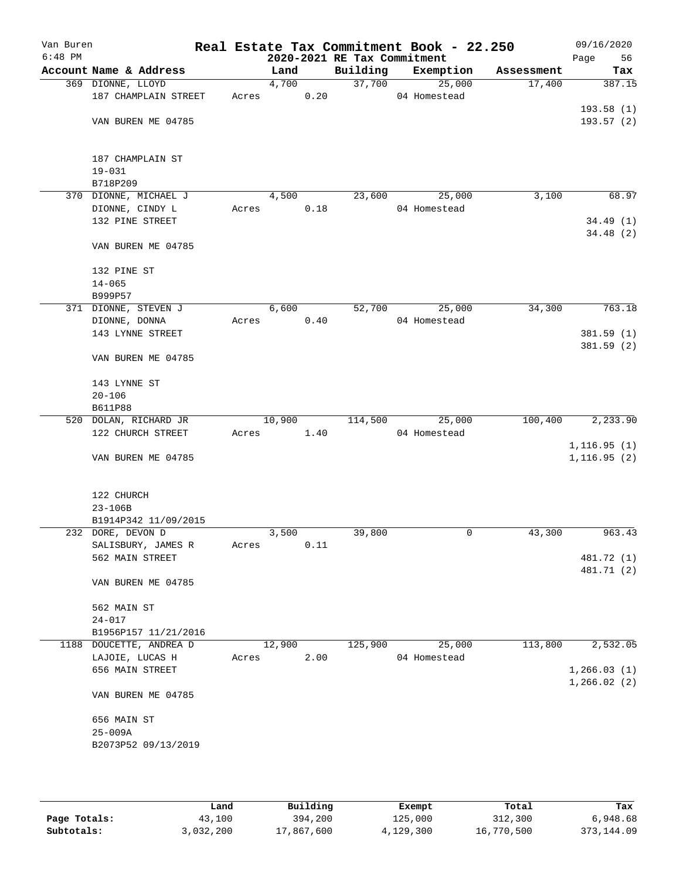| Van Buren<br>$6:48$ PM |                         |       |        |      | 2020-2021 RE Tax Commitment | Real Estate Tax Commitment Book - 22.250 |            | 09/16/2020<br>Page<br>56     |
|------------------------|-------------------------|-------|--------|------|-----------------------------|------------------------------------------|------------|------------------------------|
|                        | Account Name & Address  |       |        |      |                             |                                          |            |                              |
|                        |                         |       | Land   |      | Building                    | Exemption                                | Assessment | Tax                          |
|                        | 369 DIONNE, LLOYD       |       | 4,700  |      | 37,700                      | 25,000                                   | 17,400     | 387.15                       |
|                        | 187 CHAMPLAIN STREET    | Acres |        | 0.20 |                             | 04 Homestead                             |            |                              |
|                        |                         |       |        |      |                             |                                          |            | 193.58(1)                    |
|                        | VAN BUREN ME 04785      |       |        |      |                             |                                          |            | 193.57(2)                    |
|                        |                         |       |        |      |                             |                                          |            |                              |
|                        |                         |       |        |      |                             |                                          |            |                              |
|                        | 187 CHAMPLAIN ST        |       |        |      |                             |                                          |            |                              |
|                        | $19 - 031$              |       |        |      |                             |                                          |            |                              |
|                        | B718P209                |       |        |      |                             |                                          |            |                              |
|                        | 370 DIONNE, MICHAEL J   |       | 4,500  |      | 23,600                      | 25,000                                   | 3,100      | 68.97                        |
|                        | DIONNE, CINDY L         | Acres |        | 0.18 |                             | 04 Homestead                             |            |                              |
|                        | 132 PINE STREET         |       |        |      |                             |                                          |            | 34.49(1)                     |
|                        |                         |       |        |      |                             |                                          |            | 34.48(2)                     |
|                        | VAN BUREN ME 04785      |       |        |      |                             |                                          |            |                              |
|                        |                         |       |        |      |                             |                                          |            |                              |
|                        | 132 PINE ST             |       |        |      |                             |                                          |            |                              |
|                        | $14 - 065$              |       |        |      |                             |                                          |            |                              |
|                        | B999P57                 |       |        |      |                             |                                          |            |                              |
|                        | 371 DIONNE, STEVEN J    |       | 6,600  |      | 52,700                      | 25,000                                   | 34,300     | 763.18                       |
|                        | DIONNE, DONNA           | Acres |        | 0.40 |                             | 04 Homestead                             |            |                              |
|                        | 143 LYNNE STREET        |       |        |      |                             |                                          |            | 381.59(1)                    |
|                        |                         |       |        |      |                             |                                          |            | 381.59(2)                    |
|                        | VAN BUREN ME 04785      |       |        |      |                             |                                          |            |                              |
|                        |                         |       |        |      |                             |                                          |            |                              |
|                        | 143 LYNNE ST            |       |        |      |                             |                                          |            |                              |
|                        | $20 - 106$              |       |        |      |                             |                                          |            |                              |
|                        | <b>B611P88</b>          |       |        |      |                             |                                          |            |                              |
|                        | 520 DOLAN, RICHARD JR   |       | 10,900 |      |                             | 114,500 25,000                           | 100,400    | 2,233.90                     |
|                        | 122 CHURCH STREET       | Acres |        | 1.40 |                             | 04 Homestead                             |            |                              |
|                        |                         |       |        |      |                             |                                          |            | 1, 116.95(1)                 |
|                        | VAN BUREN ME 04785      |       |        |      |                             |                                          |            | 1, 116.95(2)                 |
|                        |                         |       |        |      |                             |                                          |            |                              |
|                        |                         |       |        |      |                             |                                          |            |                              |
|                        | 122 CHURCH              |       |        |      |                             |                                          |            |                              |
|                        | $23 - 106B$             |       |        |      |                             |                                          |            |                              |
|                        | B1914P342 11/09/2015    |       |        |      |                             |                                          |            |                              |
|                        | 232 DORE, DEVON D       |       | 3,500  |      | 39,800                      | 0                                        | 43,300     | 963.43                       |
|                        | SALISBURY, JAMES R      | Acres |        | 0.11 |                             |                                          |            |                              |
|                        | 562 MAIN STREET         |       |        |      |                             |                                          |            | 481.72 (1)                   |
|                        |                         |       |        |      |                             |                                          |            | 481.71 (2)                   |
|                        | VAN BUREN ME 04785      |       |        |      |                             |                                          |            |                              |
|                        |                         |       |        |      |                             |                                          |            |                              |
|                        | 562 MAIN ST             |       |        |      |                             |                                          |            |                              |
|                        | $24 - 017$              |       |        |      |                             |                                          |            |                              |
|                        | B1956P157 11/21/2016    |       |        |      |                             |                                          |            |                              |
|                        | 1188 DOUCETTE, ANDREA D |       | 12,900 |      | 125,900                     | 25,000                                   | 113,800    | 2,532.05                     |
|                        | LAJOIE, LUCAS H         | Acres |        | 2.00 |                             | 04 Homestead                             |            |                              |
|                        |                         |       |        |      |                             |                                          |            |                              |
|                        | 656 MAIN STREET         |       |        |      |                             |                                          |            | 1, 266.03(1)<br>1, 266.02(2) |
|                        |                         |       |        |      |                             |                                          |            |                              |
|                        | VAN BUREN ME 04785      |       |        |      |                             |                                          |            |                              |
|                        |                         |       |        |      |                             |                                          |            |                              |
|                        | 656 MAIN ST             |       |        |      |                             |                                          |            |                              |
|                        | $25 - 009A$             |       |        |      |                             |                                          |            |                              |
|                        | B2073P52 09/13/2019     |       |        |      |                             |                                          |            |                              |
|                        |                         |       |        |      |                             |                                          |            |                              |
|                        |                         |       |        |      |                             |                                          |            |                              |

|              | Land      | Building   | Exempt    | Total      | Tax          |
|--------------|-----------|------------|-----------|------------|--------------|
| Page Totals: | 43,100    | 394,200    | 125,000   | 312,300    | 6,948.68     |
| Subtotals:   | 3,032,200 | 17,867,600 | 4,129,300 | 16,770,500 | 373, 144, 09 |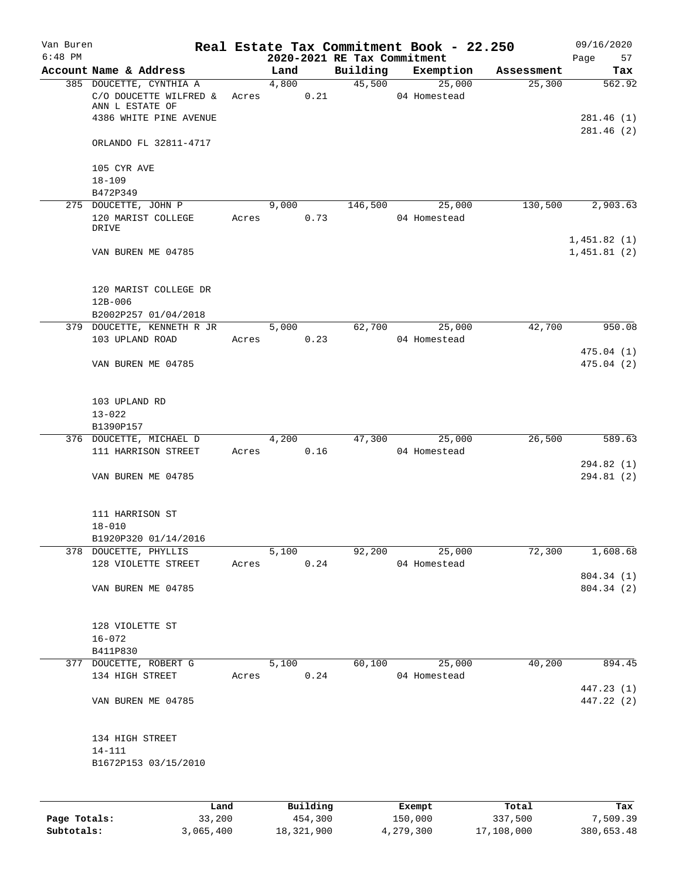| Van Buren<br>$6:48$ PM |                                                    |       | 2020-2021 RE Tax Commitment                                                                                                                                                                                                     |         | Real Estate Tax Commitment Book - 22.250 |            | 09/16/2020<br>Page<br>57   |
|------------------------|----------------------------------------------------|-------|---------------------------------------------------------------------------------------------------------------------------------------------------------------------------------------------------------------------------------|---------|------------------------------------------|------------|----------------------------|
|                        | Account Name & Address                             |       | Land                                                                                                                                                                                                                            |         | Building Exemption                       | Assessment | Tax                        |
|                        | 385 DOUCETTE, CYNTHIA A<br>C/O DOUCETTE WILFRED &  |       | 4.800<br>0.21<br>Acres                                                                                                                                                                                                          |         | 45,500<br>25,000<br>04 Homestead         | 25,300     | 562.92                     |
|                        | ANN L ESTATE OF<br>4386 WHITE PINE AVENUE          |       |                                                                                                                                                                                                                                 |         |                                          |            | 281.46(1)                  |
|                        | ORLANDO FL 32811-4717                              |       |                                                                                                                                                                                                                                 |         |                                          |            | 281.46(2)                  |
|                        | 105 CYR AVE<br>$18 - 109$                          |       |                                                                                                                                                                                                                                 |         |                                          |            |                            |
|                        | B472P349                                           |       |                                                                                                                                                                                                                                 |         |                                          |            |                            |
|                        | 275 DOUCETTE, JOHN P                               |       | 9,000                                                                                                                                                                                                                           | 146,500 | 25,000                                   | 130,500    | 2,903.63                   |
|                        | 120 MARIST COLLEGE<br>DRIVE                        | Acres | 0.73                                                                                                                                                                                                                            |         | 04 Homestead                             |            |                            |
|                        | VAN BUREN ME 04785                                 |       |                                                                                                                                                                                                                                 |         |                                          |            | 1,451.82(1)<br>1,451.81(2) |
|                        | 120 MARIST COLLEGE DR                              |       |                                                                                                                                                                                                                                 |         |                                          |            |                            |
|                        | $12B - 006$                                        |       |                                                                                                                                                                                                                                 |         |                                          |            |                            |
|                        | B2002P257 01/04/2018<br>379 DOUCETTE, KENNETH R JR |       | 5,000 5,000 5,000 5,000 5,000 5,000 5,000 5,000 5,000 5,000 5,000 5,000 5,000 5,000 5,000 5,000 5,000 5,000 5,000 5,000 5,000 5,000 5,000 5,000 5,000 5,000 5,000 5,000 5,000 5,000 5,000 5,000 5,000 5,000 5,000 5,000 5,000 5 |         | 62,700 25,000                            | 42,700     | 950.08                     |
|                        | 103 UPLAND ROAD                                    |       | 0.23<br>Acres                                                                                                                                                                                                                   |         | 04 Homestead                             |            | 475.04(1)                  |
|                        | VAN BUREN ME 04785                                 |       |                                                                                                                                                                                                                                 |         |                                          |            | 475.04(2)                  |
|                        | 103 UPLAND RD<br>$13 - 022$                        |       |                                                                                                                                                                                                                                 |         |                                          |            |                            |
|                        | B1390P157                                          |       |                                                                                                                                                                                                                                 |         |                                          |            |                            |
|                        | 376 DOUCETTE, MICHAEL D<br>111 HARRISON STREET     |       | 4,200<br>Acres 0.16                                                                                                                                                                                                             |         | 47,300<br>25,000<br>04 Homestead         | 26,500     | 589.63                     |
|                        | VAN BUREN ME 04785                                 |       |                                                                                                                                                                                                                                 |         |                                          |            | 294.82 (1)<br>294.81 (2)   |
|                        | 111 HARRISON ST<br>$18 - 010$                      |       |                                                                                                                                                                                                                                 |         |                                          |            |                            |
|                        | B1920P320 01/14/2016                               |       |                                                                                                                                                                                                                                 |         |                                          |            |                            |
|                        | 378 DOUCETTE, PHYLLIS                              |       | 5,100                                                                                                                                                                                                                           | 92,200  | 25,000                                   | 72,300     | 1,608.68                   |
|                        | 128 VIOLETTE STREET                                |       | 0.24<br>Acres                                                                                                                                                                                                                   |         | 04 Homestead                             |            |                            |
|                        | VAN BUREN ME 04785                                 |       |                                                                                                                                                                                                                                 |         |                                          |            | 804.34 (1)<br>804.34 (2)   |
|                        | 128 VIOLETTE ST                                    |       |                                                                                                                                                                                                                                 |         |                                          |            |                            |
|                        | $16 - 072$                                         |       |                                                                                                                                                                                                                                 |         |                                          |            |                            |
|                        | B411P830<br>377 DOUCETTE, ROBERT G                 |       | 5,100                                                                                                                                                                                                                           |         | 60,100 25,000                            | 40,200     | 894.45                     |
|                        | 134 HIGH STREET                                    |       | 0.24<br>Acres                                                                                                                                                                                                                   |         | 04 Homestead                             |            |                            |
|                        |                                                    |       |                                                                                                                                                                                                                                 |         |                                          |            | 447.23 (1)                 |
|                        | VAN BUREN ME 04785                                 |       |                                                                                                                                                                                                                                 |         |                                          |            | 447.22 (2)                 |
|                        | 134 HIGH STREET                                    |       |                                                                                                                                                                                                                                 |         |                                          |            |                            |
|                        | 14-111<br>B1672P153 03/15/2010                     |       |                                                                                                                                                                                                                                 |         |                                          |            |                            |
|                        |                                                    |       |                                                                                                                                                                                                                                 |         |                                          |            |                            |
|                        | Land                                               |       | Building                                                                                                                                                                                                                        |         | <b>Exempt</b>                            | Total      | Tax                        |

|              | Land      | Building   | Exempt    | Total      | Tax        |
|--------------|-----------|------------|-----------|------------|------------|
| Page Totals: | 33,200    | 454,300    | 150,000   | 337,500    | 7,509.39   |
| Subtotals:   | 3,065,400 | 18,321,900 | 4,279,300 | 17,108,000 | 380,653.48 |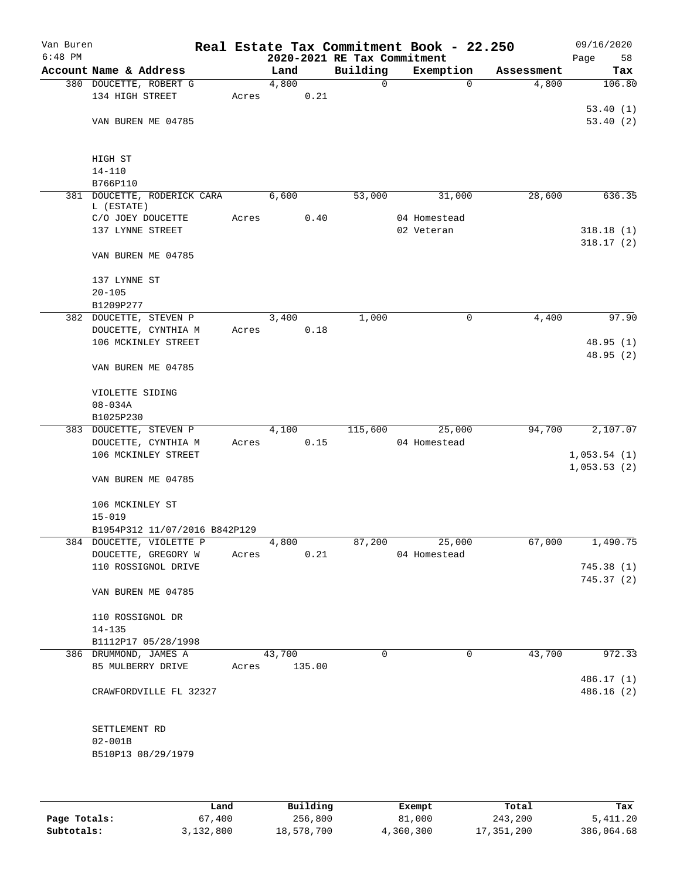| Van Buren<br>$6:48$ PM |                               |       | 2020-2021 RE Tax Commitment |          | Real Estate Tax Commitment Book - 22.250 |            | 09/16/2020<br>Page<br>58 |
|------------------------|-------------------------------|-------|-----------------------------|----------|------------------------------------------|------------|--------------------------|
|                        | Account Name & Address        |       | Land                        | Building | Exemption                                | Assessment | Tax                      |
|                        |                               |       |                             |          |                                          |            |                          |
|                        | 380 DOUCETTE, ROBERT G        |       | 4,800                       | 0        | $\mathbf 0$                              | 4,800      | 106.80                   |
|                        | 134 HIGH STREET               | Acres | 0.21                        |          |                                          |            |                          |
|                        |                               |       |                             |          |                                          |            | 53.40(1)                 |
|                        | VAN BUREN ME 04785            |       |                             |          |                                          |            | 53.40(2)                 |
|                        | HIGH ST                       |       |                             |          |                                          |            |                          |
|                        | $14 - 110$                    |       |                             |          |                                          |            |                          |
|                        | B766P110                      |       |                             |          |                                          |            |                          |
|                        | 381 DOUCETTE, RODERICK CARA   |       | 6,600                       | 53,000   | 31,000                                   | 28,600     | 636.35                   |
|                        | L (ESTATE)                    |       |                             |          |                                          |            |                          |
|                        | C/O JOEY DOUCETTE             | Acres | 0.40                        |          | 04 Homestead                             |            |                          |
|                        | 137 LYNNE STREET              |       |                             |          | 02 Veteran                               |            | 318.18(1)                |
|                        |                               |       |                             |          |                                          |            | 318.17(2)                |
|                        | VAN BUREN ME 04785            |       |                             |          |                                          |            |                          |
|                        | 137 LYNNE ST                  |       |                             |          |                                          |            |                          |
|                        | $20 - 105$                    |       |                             |          |                                          |            |                          |
|                        | B1209P277                     |       |                             |          |                                          |            |                          |
|                        | 382 DOUCETTE, STEVEN P        |       | 3,400                       | 1,000    | 0                                        | 4,400      | 97.90                    |
|                        | DOUCETTE, CYNTHIA M           | Acres | 0.18                        |          |                                          |            |                          |
|                        | 106 MCKINLEY STREET           |       |                             |          |                                          |            | 48.95(1)                 |
|                        |                               |       |                             |          |                                          |            |                          |
|                        | VAN BUREN ME 04785            |       |                             |          |                                          |            | 48.95 (2)                |
|                        | VIOLETTE SIDING               |       |                             |          |                                          |            |                          |
|                        | $08 - 034A$                   |       |                             |          |                                          |            |                          |
|                        | B1025P230                     |       |                             |          |                                          |            |                          |
|                        | 383 DOUCETTE, STEVEN P        |       | 4,100                       | 115,600  | 25,000                                   | 94,700     | 2,107.07                 |
|                        |                               |       |                             |          |                                          |            |                          |
|                        | DOUCETTE, CYNTHIA M           | Acres | 0.15                        |          | 04 Homestead                             |            |                          |
|                        | 106 MCKINLEY STREET           |       |                             |          |                                          |            | 1,053.54(1)              |
|                        | VAN BUREN ME 04785            |       |                             |          |                                          |            | 1,053.53(2)              |
|                        |                               |       |                             |          |                                          |            |                          |
|                        | 106 MCKINLEY ST               |       |                             |          |                                          |            |                          |
|                        | $15 - 019$                    |       |                             |          |                                          |            |                          |
|                        | B1954P312 11/07/2016 B842P129 |       |                             |          |                                          |            |                          |
|                        | 384 DOUCETTE, VIOLETTE P      |       | 4,800                       | 87,200   | 25,000                                   | 67,000     | 1,490.75                 |
|                        | DOUCETTE, GREGORY W           | Acres | 0.21                        |          | 04 Homestead                             |            |                          |
|                        | 110 ROSSIGNOL DRIVE           |       |                             |          |                                          |            | 745.38 (1)               |
|                        |                               |       |                             |          |                                          |            | 745.37(2)                |
|                        | VAN BUREN ME 04785            |       |                             |          |                                          |            |                          |
|                        | 110 ROSSIGNOL DR              |       |                             |          |                                          |            |                          |
|                        | $14 - 135$                    |       |                             |          |                                          |            |                          |
|                        | B1112P17 05/28/1998           |       |                             |          |                                          |            |                          |
|                        | 386 DRUMMOND, JAMES A         |       | 43,700                      | 0        | $\mathbf 0$                              | 43,700     | 972.33                   |
|                        | 85 MULBERRY DRIVE             | Acres | 135.00                      |          |                                          |            |                          |
|                        |                               |       |                             |          |                                          |            | 486.17 (1)               |
|                        | CRAWFORDVILLE FL 32327        |       |                             |          |                                          |            | 486.16 (2)               |
|                        | SETTLEMENT RD                 |       |                             |          |                                          |            |                          |
|                        | $02 - 001B$                   |       |                             |          |                                          |            |                          |
|                        | B510P13 08/29/1979            |       |                             |          |                                          |            |                          |
|                        |                               |       |                             |          |                                          |            |                          |
|                        |                               |       |                             |          |                                          |            |                          |
|                        |                               |       |                             |          |                                          |            |                          |
|                        |                               |       |                             |          |                                          |            |                          |

|              | Land      | Building   | Exempt    | Total      | Tax        |
|--------------|-----------|------------|-----------|------------|------------|
| Page Totals: | 67,400    | 256,800    | 81,000    | 243,200    | 5,411.20   |
| Subtotals:   | 3,132,800 | 18,578,700 | 4,360,300 | 17,351,200 | 386,064.68 |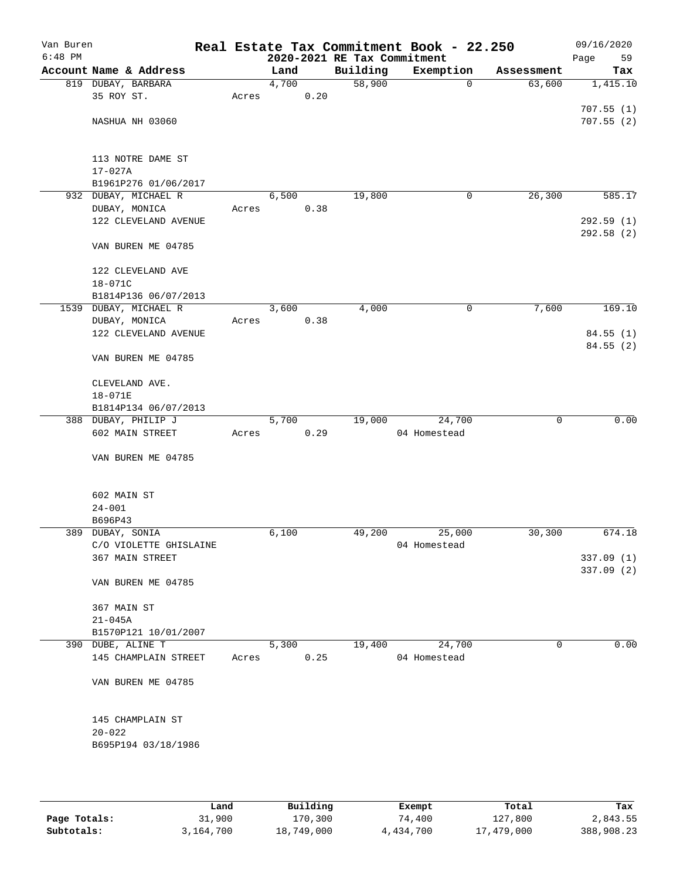| Van Buren<br>$6:48$ PM |                                           |       |       |      | 2020-2021 RE Tax Commitment | Real Estate Tax Commitment Book - 22.250 |             | 09/16/2020<br>Page<br>59 |
|------------------------|-------------------------------------------|-------|-------|------|-----------------------------|------------------------------------------|-------------|--------------------------|
|                        | Account Name & Address                    |       | Land  |      | Building                    | Exemption                                | Assessment  | Tax                      |
|                        | 819 DUBAY, BARBARA                        |       | 4,700 |      | 58,900                      | $\mathbf 0$                              | 63,600      | 1,415.10                 |
|                        | 35 ROY ST.                                | Acres |       | 0.20 |                             |                                          |             |                          |
|                        |                                           |       |       |      |                             |                                          |             | 707.55(1)                |
|                        | NASHUA NH 03060                           |       |       |      |                             |                                          |             | 707.55(2)                |
|                        |                                           |       |       |      |                             |                                          |             |                          |
|                        |                                           |       |       |      |                             |                                          |             |                          |
|                        | 113 NOTRE DAME ST                         |       |       |      |                             |                                          |             |                          |
|                        | $17 - 027A$                               |       |       |      |                             |                                          |             |                          |
|                        | B1961P276 01/06/2017                      |       |       |      |                             |                                          |             |                          |
|                        | 932 DUBAY, MICHAEL R                      |       | 6,500 |      | 19,800                      | 0                                        | 26,300      | 585.17                   |
|                        | DUBAY, MONICA                             | Acres |       | 0.38 |                             |                                          |             |                          |
|                        | 122 CLEVELAND AVENUE                      |       |       |      |                             |                                          |             | 292.59(1)                |
|                        |                                           |       |       |      |                             |                                          |             | 292.58(2)                |
|                        | VAN BUREN ME 04785                        |       |       |      |                             |                                          |             |                          |
|                        |                                           |       |       |      |                             |                                          |             |                          |
|                        | 122 CLEVELAND AVE                         |       |       |      |                             |                                          |             |                          |
|                        | 18-071C                                   |       |       |      |                             |                                          |             |                          |
|                        | B1814P136 06/07/2013                      |       |       |      |                             |                                          |             |                          |
|                        | 1539 DUBAY, MICHAEL R                     |       | 3,600 |      | 4,000                       | 0                                        | 7,600       | 169.10                   |
|                        | DUBAY, MONICA                             | Acres |       | 0.38 |                             |                                          |             |                          |
|                        | 122 CLEVELAND AVENUE                      |       |       |      |                             |                                          |             | 84.55 (1)                |
|                        | VAN BUREN ME 04785                        |       |       |      |                             |                                          |             | 84.55(2)                 |
|                        |                                           |       |       |      |                             |                                          |             |                          |
|                        | CLEVELAND AVE.                            |       |       |      |                             |                                          |             |                          |
|                        | 18-071E                                   |       |       |      |                             |                                          |             |                          |
|                        | B1814P134 06/07/2013                      |       |       |      |                             |                                          |             |                          |
|                        | 388 DUBAY, PHILIP J                       |       | 5,700 |      | 19,000                      | 24,700                                   | $\mathbf 0$ | 0.00                     |
|                        | 602 MAIN STREET                           | Acres |       | 0.29 |                             | 04 Homestead                             |             |                          |
|                        |                                           |       |       |      |                             |                                          |             |                          |
|                        | VAN BUREN ME 04785                        |       |       |      |                             |                                          |             |                          |
|                        |                                           |       |       |      |                             |                                          |             |                          |
|                        |                                           |       |       |      |                             |                                          |             |                          |
|                        | 602 MAIN ST                               |       |       |      |                             |                                          |             |                          |
|                        | $24 - 001$                                |       |       |      |                             |                                          |             |                          |
|                        | B696P43                                   |       |       |      |                             |                                          |             |                          |
|                        | 389 DUBAY, SONIA                          |       | 6,100 |      | 49,200                      | 25,000                                   | 30,300      | 674.18                   |
|                        | C/O VIOLETTE GHISLAINE                    |       |       |      |                             | 04 Homestead                             |             |                          |
|                        | 367 MAIN STREET                           |       |       |      |                             |                                          |             | 337.09(1)                |
|                        |                                           |       |       |      |                             |                                          |             | 337.09 (2)               |
|                        | VAN BUREN ME 04785                        |       |       |      |                             |                                          |             |                          |
|                        |                                           |       |       |      |                             |                                          |             |                          |
|                        | 367 MAIN ST                               |       |       |      |                             |                                          |             |                          |
|                        | $21 - 045A$                               |       |       |      |                             |                                          |             |                          |
|                        | B1570P121 10/01/2007<br>390 DUBE, ALINE T |       | 5,300 |      | 19,400                      | 24,700                                   | 0           | 0.00                     |
|                        | 145 CHAMPLAIN STREET                      | Acres |       | 0.25 |                             | 04 Homestead                             |             |                          |
|                        |                                           |       |       |      |                             |                                          |             |                          |
|                        | VAN BUREN ME 04785                        |       |       |      |                             |                                          |             |                          |
|                        |                                           |       |       |      |                             |                                          |             |                          |
|                        |                                           |       |       |      |                             |                                          |             |                          |
|                        | 145 CHAMPLAIN ST                          |       |       |      |                             |                                          |             |                          |
|                        | $20 - 022$                                |       |       |      |                             |                                          |             |                          |
|                        | B695P194 03/18/1986                       |       |       |      |                             |                                          |             |                          |
|                        |                                           |       |       |      |                             |                                          |             |                          |
|                        |                                           |       |       |      |                             |                                          |             |                          |
|                        |                                           |       |       |      |                             |                                          |             |                          |

|              | Land      | Building   | Exempt    | Total      | Tax        |
|--------------|-----------|------------|-----------|------------|------------|
| Page Totals: | 31,900    | 170,300    | 74,400    | 127,800    | 2,843.55   |
| Subtotals:   | 3,164,700 | 18,749,000 | 4,434,700 | 17,479,000 | 388,908.23 |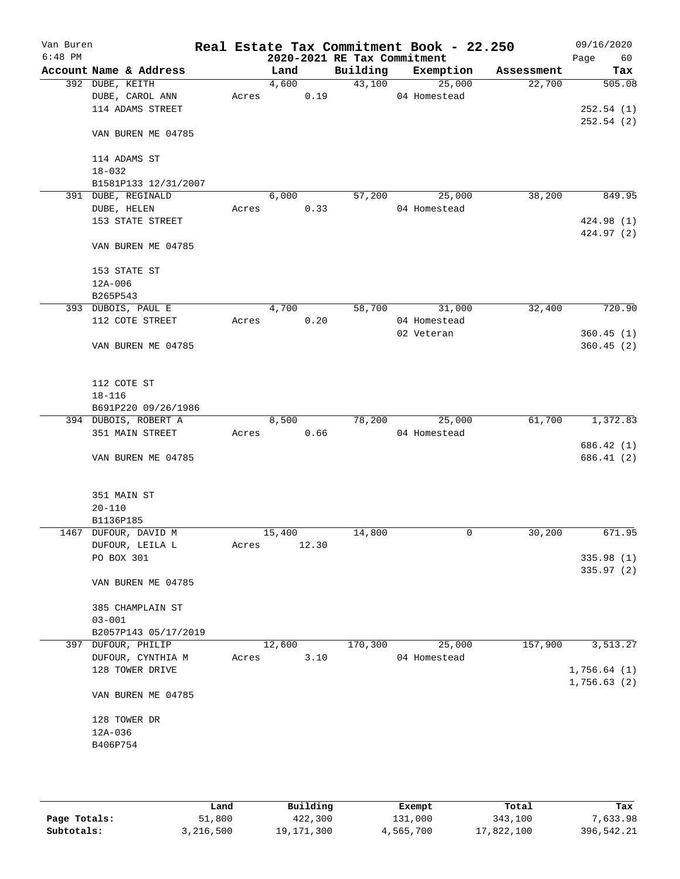| Van Buren<br>$6:48$ PM |                        |       |        |       | 2020-2021 RE Tax Commitment | Real Estate Tax Commitment Book - 22.250 |            | 09/16/2020<br>60<br>Page |
|------------------------|------------------------|-------|--------|-------|-----------------------------|------------------------------------------|------------|--------------------------|
|                        | Account Name & Address |       | Land   |       | Building                    | Exemption                                | Assessment | Tax                      |
|                        | 392 DUBE, KEITH        |       | 4,600  |       | 43,100                      | 25,000                                   | 22,700     | 505.08                   |
|                        | DUBE, CAROL ANN        | Acres |        | 0.19  |                             | 04 Homestead                             |            |                          |
|                        | 114 ADAMS STREET       |       |        |       |                             |                                          |            | 252.54(1)                |
|                        | VAN BUREN ME 04785     |       |        |       |                             |                                          |            | 252.54(2)                |
|                        |                        |       |        |       |                             |                                          |            |                          |
|                        | 114 ADAMS ST           |       |        |       |                             |                                          |            |                          |
|                        | $18 - 032$             |       |        |       |                             |                                          |            |                          |
|                        | B1581P133 12/31/2007   |       |        |       |                             |                                          |            |                          |
|                        | 391 DUBE, REGINALD     |       | 6,000  |       | 57,200                      | 25,000                                   | 38,200     | 849.95                   |
|                        | DUBE, HELEN            | Acres |        | 0.33  |                             | 04 Homestead                             |            |                          |
|                        | 153 STATE STREET       |       |        |       |                             |                                          |            | 424.98 (1)               |
|                        | VAN BUREN ME 04785     |       |        |       |                             |                                          |            | 424.97 (2)               |
|                        | 153 STATE ST           |       |        |       |                             |                                          |            |                          |
|                        | $12A - 006$            |       |        |       |                             |                                          |            |                          |
|                        | B265P543               |       |        |       |                             |                                          |            |                          |
|                        | 393 DUBOIS, PAUL E     |       | 4,700  |       | 58,700                      | 31,000                                   | 32,400     | 720.90                   |
|                        | 112 COTE STREET        | Acres |        | 0.20  |                             | 04 Homestead                             |            |                          |
|                        |                        |       |        |       |                             | 02 Veteran                               |            | 360.45(1)                |
|                        | VAN BUREN ME 04785     |       |        |       |                             |                                          |            | 360.45(2)                |
|                        | 112 COTE ST            |       |        |       |                             |                                          |            |                          |
|                        | $18 - 116$             |       |        |       |                             |                                          |            |                          |
|                        | B691P220 09/26/1986    |       |        |       |                             |                                          |            |                          |
|                        | 394 DUBOIS, ROBERT A   |       | 8,500  |       | 78,200                      | 25,000                                   | 61,700     | 1,372.83                 |
|                        | 351 MAIN STREET        | Acres |        | 0.66  |                             | 04 Homestead                             |            |                          |
|                        |                        |       |        |       |                             |                                          |            | 686.42 (1)               |
|                        | VAN BUREN ME 04785     |       |        |       |                             |                                          |            | 686.41(2)                |
|                        | 351 MAIN ST            |       |        |       |                             |                                          |            |                          |
|                        | $20 - 110$             |       |        |       |                             |                                          |            |                          |
|                        | B1136P185              |       |        |       |                             |                                          |            |                          |
|                        | 1467 DUFOUR, DAVID M   |       | 15,400 |       | 14,800                      | 0                                        | 30,200     | 671.95                   |
|                        | DUFOUR, LEILA L        | Acres |        | 12.30 |                             |                                          |            |                          |
|                        | PO BOX 301             |       |        |       |                             |                                          |            | 335.98(1)                |
|                        | VAN BUREN ME 04785     |       |        |       |                             |                                          |            | 335.97 (2)               |
|                        | 385 CHAMPLAIN ST       |       |        |       |                             |                                          |            |                          |
|                        | $03 - 001$             |       |        |       |                             |                                          |            |                          |
|                        | B2057P143 05/17/2019   |       |        |       |                             |                                          |            |                          |
|                        | 397 DUFOUR, PHILIP     |       | 12,600 |       | 170,300                     | 25,000                                   | 157,900    | 3,513.27                 |
|                        | DUFOUR, CYNTHIA M      | Acres |        | 3.10  |                             | 04 Homestead                             |            |                          |
|                        | 128 TOWER DRIVE        |       |        |       |                             |                                          |            | 1,756.64(1)              |
|                        | VAN BUREN ME 04785     |       |        |       |                             |                                          |            | 1,756.63(2)              |
|                        |                        |       |        |       |                             |                                          |            |                          |
|                        | 128 TOWER DR           |       |        |       |                             |                                          |            |                          |
|                        | $12A-036$<br>B406P754  |       |        |       |                             |                                          |            |                          |
|                        |                        |       |        |       |                             |                                          |            |                          |
|                        |                        |       |        |       |                             |                                          |            |                          |
|                        |                        |       |        |       |                             |                                          |            |                          |

|              | Land      | Building   | Exempt    | Total      | Tax        |
|--------------|-----------|------------|-----------|------------|------------|
| Page Totals: | 51,800    | 422,300    | 131,000   | 343,100    | 7,633.98   |
| Subtotals:   | 3,216,500 | 19,171,300 | 4,565,700 | 17,822,100 | 396,542.21 |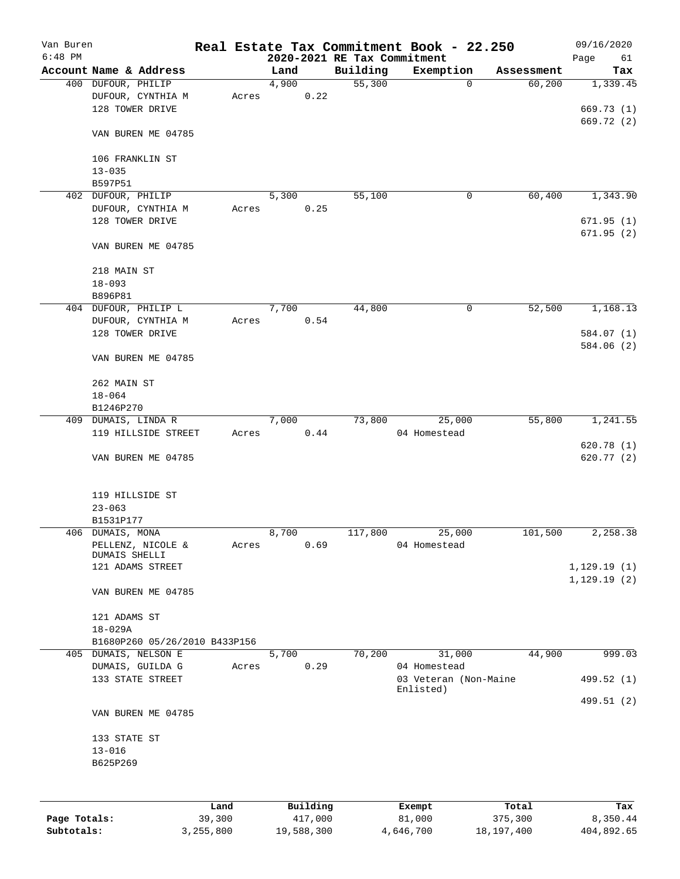| Van Buren    |                                              |        |                             |          | Real Estate Tax Commitment Book - 22.250 |            | 09/16/2020   |
|--------------|----------------------------------------------|--------|-----------------------------|----------|------------------------------------------|------------|--------------|
| $6:48$ PM    |                                              |        | 2020-2021 RE Tax Commitment |          |                                          |            | Page<br>61   |
|              | Account Name & Address                       |        | Land                        | Building | Exemption                                | Assessment | Tax          |
|              | 400 DUFOUR, PHILIP                           |        | 4,900                       | 55,300   | 0                                        | 60,200     | 1,339.45     |
|              | DUFOUR, CYNTHIA M                            | Acres  | 0.22                        |          |                                          |            |              |
|              | 128 TOWER DRIVE                              |        |                             |          |                                          |            | 669.73 (1)   |
|              |                                              |        |                             |          |                                          |            | 669.72 (2)   |
|              | VAN BUREN ME 04785                           |        |                             |          |                                          |            |              |
|              |                                              |        |                             |          |                                          |            |              |
|              | 106 FRANKLIN ST                              |        |                             |          |                                          |            |              |
|              | $13 - 035$                                   |        |                             |          |                                          |            |              |
|              | B597P51                                      |        |                             |          |                                          |            |              |
|              | 402 DUFOUR, PHILIP                           |        | 5,300                       | 55,100   | $\mathbf 0$                              | 60,400     | 1,343.90     |
|              | DUFOUR, CYNTHIA M                            | Acres  | 0.25                        |          |                                          |            |              |
|              | 128 TOWER DRIVE                              |        |                             |          |                                          |            | 671.95(1)    |
|              |                                              |        |                             |          |                                          |            | 671.95(2)    |
|              | VAN BUREN ME 04785                           |        |                             |          |                                          |            |              |
|              |                                              |        |                             |          |                                          |            |              |
|              | 218 MAIN ST                                  |        |                             |          |                                          |            |              |
|              | $18 - 093$                                   |        |                             |          |                                          |            |              |
|              | B896P81                                      |        |                             |          |                                          |            |              |
|              | 404 DUFOUR, PHILIP L                         |        | 7,700                       | 44,800   | 0                                        | 52,500     | 1,168.13     |
|              | DUFOUR, CYNTHIA M                            | Acres  | 0.54                        |          |                                          |            |              |
|              | 128 TOWER DRIVE                              |        |                             |          |                                          |            | 584.07 (1)   |
|              |                                              |        |                             |          |                                          |            | 584.06 (2)   |
|              | VAN BUREN ME 04785                           |        |                             |          |                                          |            |              |
|              |                                              |        |                             |          |                                          |            |              |
|              |                                              |        |                             |          |                                          |            |              |
|              | 262 MAIN ST                                  |        |                             |          |                                          |            |              |
|              | $18 - 064$                                   |        |                             |          |                                          |            |              |
|              | B1246P270                                    |        |                             |          |                                          |            |              |
|              | 409 DUMAIS, LINDA R                          |        | 7,000                       | 73,800   | 25,000                                   | 55,800     | 1,241.55     |
|              | 119 HILLSIDE STREET                          | Acres  | 0.44                        |          | 04 Homestead                             |            |              |
|              |                                              |        |                             |          |                                          |            | 620.78 (1)   |
|              | VAN BUREN ME 04785                           |        |                             |          |                                          |            | 620.77 (2)   |
|              |                                              |        |                             |          |                                          |            |              |
|              | 119 HILLSIDE ST                              |        |                             |          |                                          |            |              |
|              | $23 - 063$                                   |        |                             |          |                                          |            |              |
|              |                                              |        |                             |          |                                          |            |              |
|              | B1531P177                                    |        |                             |          |                                          |            | 2,258.38     |
|              | 406 DUMAIS, MONA                             |        | 8,700                       | 117,800  | 25,000                                   | 101,500    |              |
|              | PELLENZ, NICOLE &<br>DUMAIS SHELLI           | Acres  | 0.69                        |          | 04 Homestead                             |            |              |
|              | 121 ADAMS STREET                             |        |                             |          |                                          |            | 1,129.19(1)  |
|              |                                              |        |                             |          |                                          |            | 1, 129.19(2) |
|              | VAN BUREN ME 04785                           |        |                             |          |                                          |            |              |
|              |                                              |        |                             |          |                                          |            |              |
|              |                                              |        |                             |          |                                          |            |              |
|              | 121 ADAMS ST                                 |        |                             |          |                                          |            |              |
|              | $18 - 029A$<br>B1680P260 05/26/2010 B433P156 |        |                             |          |                                          |            |              |
|              | 405 DUMAIS, NELSON E                         |        |                             |          |                                          |            |              |
|              |                                              |        | 5,700                       | 70,200   | 31,000                                   | 44,900     | 999.03       |
|              | DUMAIS, GUILDA G                             | Acres  | 0.29                        |          | 04 Homestead                             |            |              |
|              | 133 STATE STREET                             |        |                             |          | 03 Veteran (Non-Maine<br>Enlisted)       |            | 499.52 (1)   |
|              |                                              |        |                             |          |                                          |            | 499.51 (2)   |
|              | VAN BUREN ME 04785                           |        |                             |          |                                          |            |              |
|              |                                              |        |                             |          |                                          |            |              |
|              |                                              |        |                             |          |                                          |            |              |
|              | 133 STATE ST                                 |        |                             |          |                                          |            |              |
|              | $13 - 016$                                   |        |                             |          |                                          |            |              |
|              | B625P269                                     |        |                             |          |                                          |            |              |
|              |                                              |        |                             |          |                                          |            |              |
|              |                                              |        |                             |          |                                          |            |              |
|              |                                              | Land   | Building                    |          | Exempt                                   | Total      | Tax          |
| Page Totals: |                                              | 39,300 | 417,000                     |          | 81,000                                   | 375,300    | 8,350.44     |

**Subtotals:** 3,255,800 19,588,300 4,646,700 18,197,400 404,892.65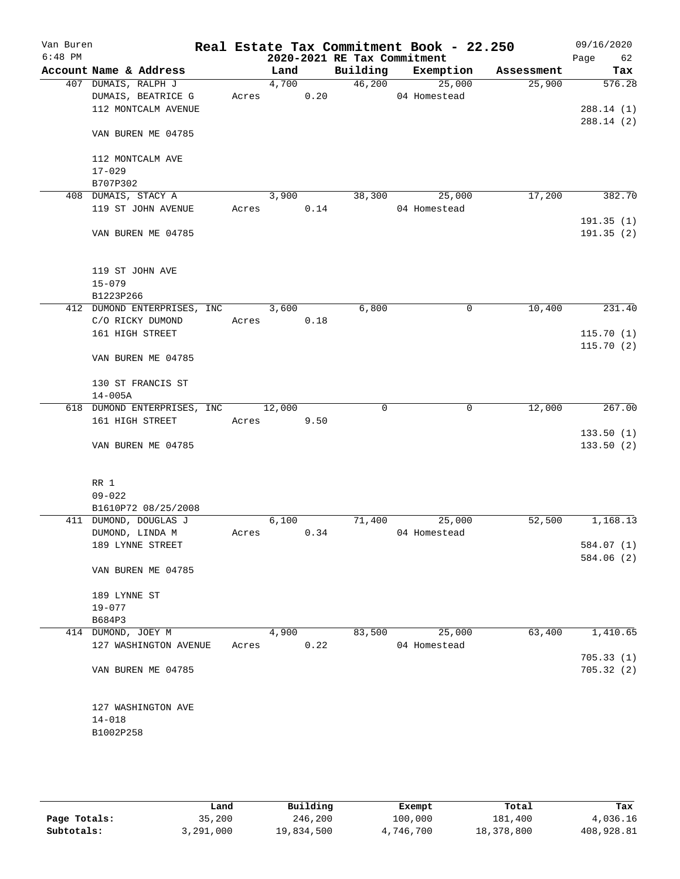| Van Buren<br>$6:48$ PM |                     |                                     |       |        |      | 2020-2021 RE Tax Commitment | Real Estate Tax Commitment Book - 22.250 |            | 09/16/2020<br>Page<br>62 |
|------------------------|---------------------|-------------------------------------|-------|--------|------|-----------------------------|------------------------------------------|------------|--------------------------|
|                        |                     | Account Name & Address              |       | Land   |      | Building                    | Exemption                                | Assessment | Tax                      |
|                        | 407 DUMAIS, RALPH J |                                     |       | 4,700  |      | 46,200                      | 25,000                                   | 25,900     | 576.28                   |
|                        |                     | DUMAIS, BEATRICE G                  | Acres |        | 0.20 |                             | 04 Homestead                             |            |                          |
|                        |                     | 112 MONTCALM AVENUE                 |       |        |      |                             |                                          |            | 288.14(1)                |
|                        |                     | VAN BUREN ME 04785                  |       |        |      |                             |                                          |            | 288.14(2)                |
|                        |                     | 112 MONTCALM AVE                    |       |        |      |                             |                                          |            |                          |
|                        | $17 - 029$          |                                     |       |        |      |                             |                                          |            |                          |
|                        | B707P302            |                                     |       |        |      |                             |                                          |            |                          |
|                        | 408 DUMAIS, STACY A |                                     |       | 3,900  |      | 38,300                      | 25,000                                   | 17,200     | 382.70                   |
|                        |                     | 119 ST JOHN AVENUE                  | Acres |        | 0.14 |                             | 04 Homestead                             |            |                          |
|                        |                     |                                     |       |        |      |                             |                                          |            | 191.35(1)                |
|                        |                     | VAN BUREN ME 04785                  |       |        |      |                             |                                          |            | 191.35 (2)               |
|                        | 119 ST JOHN AVE     |                                     |       |        |      |                             |                                          |            |                          |
|                        | $15 - 079$          |                                     |       |        |      |                             |                                          |            |                          |
|                        | B1223P266           |                                     |       |        |      |                             |                                          |            |                          |
|                        |                     | 412 DUMOND ENTERPRISES, INC         |       | 3,600  |      | 6,800                       | 0                                        | 10,400     | 231.40                   |
|                        |                     | C/O RICKY DUMOND                    | Acres |        | 0.18 |                             |                                          |            |                          |
|                        |                     | 161 HIGH STREET                     |       |        |      |                             |                                          |            | 115.70(1)                |
|                        |                     | VAN BUREN ME 04785                  |       |        |      |                             |                                          |            | 115.70(2)                |
|                        |                     | 130 ST FRANCIS ST                   |       |        |      |                             |                                          |            |                          |
|                        | $14 - 005A$         |                                     |       |        |      |                             |                                          |            |                          |
|                        |                     | 618 DUMOND ENTERPRISES, INC         |       | 12,000 |      | 0                           | 0                                        | 12,000     | 267.00                   |
|                        |                     | 161 HIGH STREET                     | Acres |        | 9.50 |                             |                                          |            |                          |
|                        |                     | VAN BUREN ME 04785                  |       |        |      |                             |                                          |            | 133.50(1)<br>133.50(2)   |
|                        |                     |                                     |       |        |      |                             |                                          |            |                          |
|                        | RR 1                |                                     |       |        |      |                             |                                          |            |                          |
|                        | $09 - 022$          |                                     |       |        |      |                             |                                          |            |                          |
|                        |                     | B1610P72 08/25/2008                 |       |        |      |                             |                                          |            |                          |
|                        |                     | 411 DUMOND, DOUGLAS J               |       | 6,100  |      | 71,400                      | 25,000                                   | 52,500     | 1,168.13                 |
|                        |                     | DUMOND, LINDA M<br>189 LYNNE STREET | Acres |        | 0.34 |                             | 04 Homestead                             |            |                          |
|                        |                     |                                     |       |        |      |                             |                                          |            | 584.07 (1)<br>584.06 (2) |
|                        |                     | VAN BUREN ME 04785                  |       |        |      |                             |                                          |            |                          |
|                        | 189 LYNNE ST        |                                     |       |        |      |                             |                                          |            |                          |
|                        | $19 - 077$          |                                     |       |        |      |                             |                                          |            |                          |
|                        | B684P3              |                                     |       |        |      |                             |                                          |            |                          |
|                        | 414 DUMOND, JOEY M  |                                     |       | 4,900  |      | 83,500                      | 25,000                                   | 63,400     | 1,410.65                 |
|                        |                     | 127 WASHINGTON AVENUE               | Acres |        | 0.22 |                             | 04 Homestead                             |            | 705.33(1)                |
|                        |                     | VAN BUREN ME 04785                  |       |        |      |                             |                                          |            | 705.32(2)                |
|                        |                     | 127 WASHINGTON AVE                  |       |        |      |                             |                                          |            |                          |
|                        | $14 - 018$          |                                     |       |        |      |                             |                                          |            |                          |
|                        | B1002P258           |                                     |       |        |      |                             |                                          |            |                          |
|                        |                     |                                     |       |        |      |                             |                                          |            |                          |
|                        |                     |                                     |       |        |      |                             |                                          |            |                          |
|                        |                     |                                     |       |        |      |                             |                                          |            |                          |

|              | Land      | Building   | Exempt    | Total      | Tax        |
|--------------|-----------|------------|-----------|------------|------------|
| Page Totals: | 35,200    | 246,200    | 100,000   | 181,400    | 4,036.16   |
| Subtotals:   | 3,291,000 | 19,834,500 | 4,746,700 | 18,378,800 | 408,928.81 |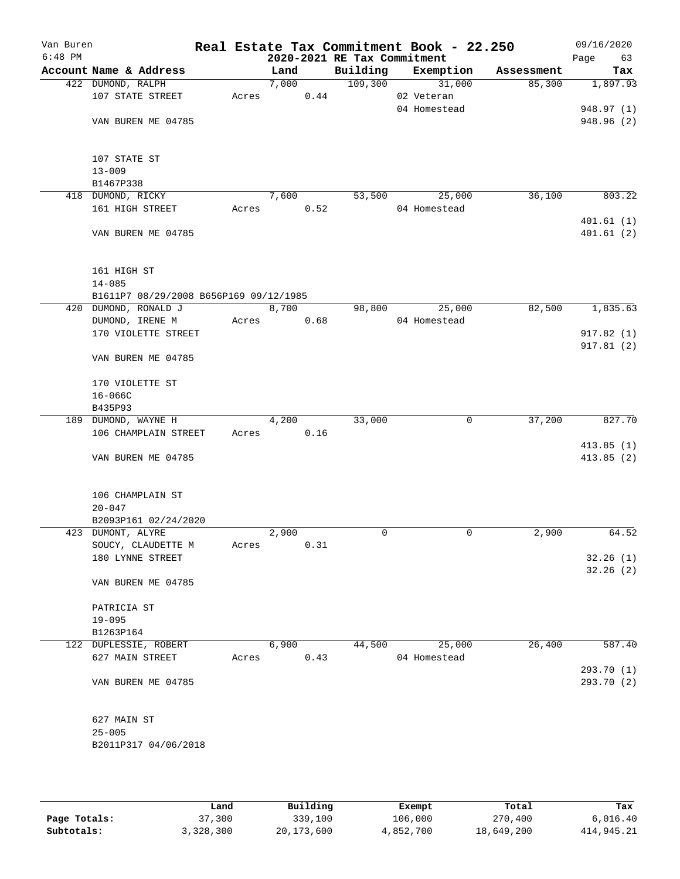| Van Buren<br>$6:48$ PM |                                        |       |                    |      | 2020-2021 RE Tax Commitment | Real Estate Tax Commitment Book - 22.250 |            | 09/16/2020<br>Page<br>63 |
|------------------------|----------------------------------------|-------|--------------------|------|-----------------------------|------------------------------------------|------------|--------------------------|
|                        | Account Name & Address                 |       | Land               |      | Building                    | Exemption                                | Assessment | Tax                      |
|                        | 422 DUMOND, RALPH                      |       | 7,000              |      | 109,300                     | 31,000                                   | 85,300     | 1,897.93                 |
|                        | 107 STATE STREET                       | Acres |                    | 0.44 |                             | 02 Veteran                               |            |                          |
|                        |                                        |       |                    |      |                             | 04 Homestead                             |            | 948.97 (1)               |
|                        | VAN BUREN ME 04785                     |       |                    |      |                             |                                          |            | 948.96 (2)               |
|                        |                                        |       |                    |      |                             |                                          |            |                          |
|                        |                                        |       |                    |      |                             |                                          |            |                          |
|                        | 107 STATE ST                           |       |                    |      |                             |                                          |            |                          |
|                        | $13 - 009$                             |       |                    |      |                             |                                          |            |                          |
|                        | B1467P338                              |       |                    |      |                             |                                          |            |                          |
|                        | 418 DUMOND, RICKY                      |       | 7,600              |      | 53,500                      | 25,000                                   | 36,100     | 803.22                   |
|                        | 161 HIGH STREET                        | Acres |                    | 0.52 |                             | 04 Homestead                             |            | 401.61(1)                |
|                        | VAN BUREN ME 04785                     |       |                    |      |                             |                                          |            | 401.61(2)                |
|                        |                                        |       |                    |      |                             |                                          |            |                          |
|                        |                                        |       |                    |      |                             |                                          |            |                          |
|                        | 161 HIGH ST                            |       |                    |      |                             |                                          |            |                          |
|                        | $14 - 085$                             |       |                    |      |                             |                                          |            |                          |
|                        | B1611P7 08/29/2008 B656P169 09/12/1985 |       |                    |      |                             |                                          |            |                          |
|                        | 420 DUMOND, RONALD J                   |       | 8,700              |      | 98,800                      | 25,000                                   | 82,500     | 1,835.63                 |
|                        | DUMOND, IRENE M                        | Acres |                    | 0.68 |                             | 04 Homestead                             |            |                          |
|                        | 170 VIOLETTE STREET                    |       |                    |      |                             |                                          |            | 917.82(1)                |
|                        |                                        |       |                    |      |                             |                                          |            | 917.81(2)                |
|                        | VAN BUREN ME 04785                     |       |                    |      |                             |                                          |            |                          |
|                        |                                        |       |                    |      |                             |                                          |            |                          |
|                        | 170 VIOLETTE ST                        |       |                    |      |                             |                                          |            |                          |
|                        | $16 - 066C$                            |       |                    |      |                             |                                          |            |                          |
|                        | B435P93                                |       |                    |      |                             |                                          |            |                          |
|                        | 189 DUMOND, WAYNE H                    |       | $\overline{4,200}$ |      | 33,000                      | 0                                        | 37,200     | 827.70                   |
|                        | 106 CHAMPLAIN STREET                   | Acres |                    | 0.16 |                             |                                          |            | 413.85(1)                |
|                        | VAN BUREN ME 04785                     |       |                    |      |                             |                                          |            | 413.85(2)                |
|                        |                                        |       |                    |      |                             |                                          |            |                          |
|                        |                                        |       |                    |      |                             |                                          |            |                          |
|                        | 106 CHAMPLAIN ST                       |       |                    |      |                             |                                          |            |                          |
|                        | $20 - 047$                             |       |                    |      |                             |                                          |            |                          |
|                        | B2093P161 02/24/2020                   |       |                    |      |                             |                                          |            |                          |
|                        | 423 DUMONT, ALYRE                      |       | 2,900              |      | $\Omega$                    | $\mathbf 0$                              | 2,900      | 64.52                    |
|                        | SOUCY, CLAUDETTE M                     | Acres |                    | 0.31 |                             |                                          |            |                          |
|                        | 180 LYNNE STREET                       |       |                    |      |                             |                                          |            | 32.26(1)                 |
|                        |                                        |       |                    |      |                             |                                          |            | 32.26(2)                 |
|                        | VAN BUREN ME 04785                     |       |                    |      |                             |                                          |            |                          |
|                        |                                        |       |                    |      |                             |                                          |            |                          |
|                        | PATRICIA ST                            |       |                    |      |                             |                                          |            |                          |
|                        | $19 - 095$<br>B1263P164                |       |                    |      |                             |                                          |            |                          |
|                        | 122 DUPLESSIE, ROBERT                  |       | 6,900              |      | 44,500                      | 25,000                                   | 26,400     | 587.40                   |
|                        | 627 MAIN STREET                        | Acres |                    | 0.43 |                             | 04 Homestead                             |            |                          |
|                        |                                        |       |                    |      |                             |                                          |            | 293.70 (1)               |
|                        | VAN BUREN ME 04785                     |       |                    |      |                             |                                          |            | 293.70 (2)               |
|                        |                                        |       |                    |      |                             |                                          |            |                          |
|                        |                                        |       |                    |      |                             |                                          |            |                          |
|                        | 627 MAIN ST                            |       |                    |      |                             |                                          |            |                          |
|                        | $25 - 005$                             |       |                    |      |                             |                                          |            |                          |
|                        | B2011P317 04/06/2018                   |       |                    |      |                             |                                          |            |                          |
|                        |                                        |       |                    |      |                             |                                          |            |                          |
|                        |                                        |       |                    |      |                             |                                          |            |                          |

|              | Land      | Building   | Exempt    | Total      | Tax        |
|--------------|-----------|------------|-----------|------------|------------|
| Page Totals: | 37,300    | 339,100    | 106,000   | 270,400    | 6.016.40   |
| Subtotals:   | 3,328,300 | 20,173,600 | 4,852,700 | 18,649,200 | 414,945.21 |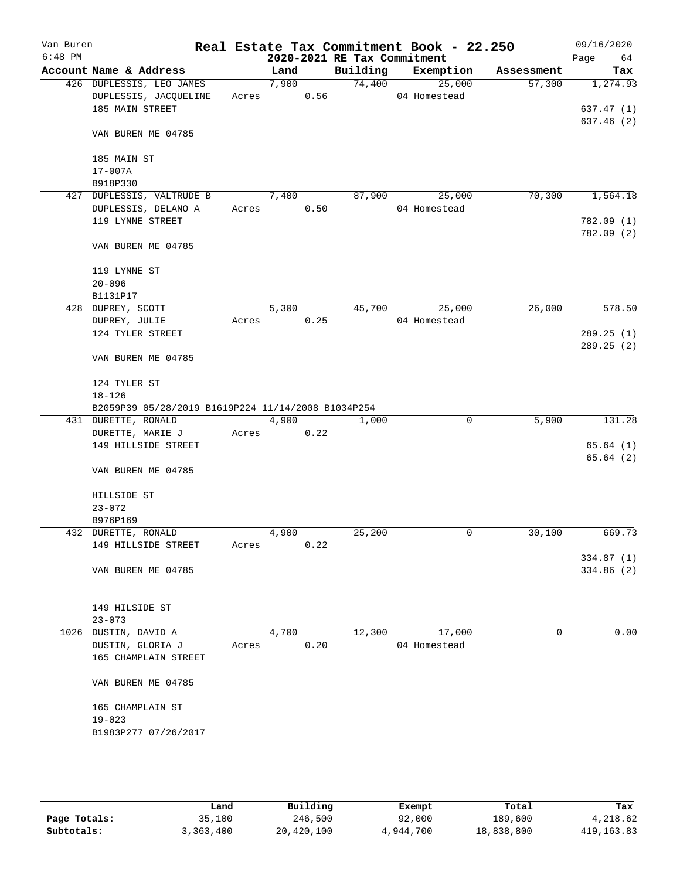| Van Buren<br>$6:48$ PM |                                                    |       |       |      | 2020-2021 RE Tax Commitment | Real Estate Tax Commitment Book - 22.250 |            | 09/16/2020<br>Page<br>64 |
|------------------------|----------------------------------------------------|-------|-------|------|-----------------------------|------------------------------------------|------------|--------------------------|
|                        | Account Name & Address                             |       | Land  |      |                             | Building Exemption                       | Assessment | Tax                      |
|                        | 426 DUPLESSIS, LEO JAMES                           |       | 7,900 |      | 74,400                      | 25,000                                   | 57,300     | 1,274.93                 |
|                        | DUPLESSIS, JACQUELINE                              |       | Acres | 0.56 |                             | 04 Homestead                             |            |                          |
|                        | 185 MAIN STREET                                    |       |       |      |                             |                                          |            | 637.47 (1)               |
|                        | VAN BUREN ME 04785                                 |       |       |      |                             |                                          |            | 637.46 (2)               |
|                        | 185 MAIN ST                                        |       |       |      |                             |                                          |            |                          |
|                        | $17 - 007A$                                        |       |       |      |                             |                                          |            |                          |
|                        | B918P330                                           |       |       |      |                             |                                          |            |                          |
|                        | 427 DUPLESSIS, VALTRUDE B<br>DUPLESSIS, DELANO A   |       | 7,400 | 0.50 | 87,900                      | 25,000<br>04 Homestead                   | 70,300     | 1,564.18                 |
|                        | 119 LYNNE STREET                                   |       | Acres |      |                             |                                          |            | 782.09 (1)               |
|                        |                                                    |       |       |      |                             |                                          |            | 782.09 (2)               |
|                        | VAN BUREN ME 04785                                 |       |       |      |                             |                                          |            |                          |
|                        | 119 LYNNE ST                                       |       |       |      |                             |                                          |            |                          |
|                        | $20 - 096$<br>B1131P17                             |       |       |      |                             |                                          |            |                          |
|                        | 428 DUPREY, SCOTT                                  |       | 5,300 |      | 45,700                      | 25,000                                   | 26,000     | 578.50                   |
|                        | DUPREY, JULIE                                      | Acres |       | 0.25 |                             | 04 Homestead                             |            |                          |
|                        | 124 TYLER STREET                                   |       |       |      |                             |                                          |            | 289.25(1)                |
|                        |                                                    |       |       |      |                             |                                          |            | 289.25(2)                |
|                        | VAN BUREN ME 04785                                 |       |       |      |                             |                                          |            |                          |
|                        | 124 TYLER ST                                       |       |       |      |                             |                                          |            |                          |
|                        | $18 - 126$                                         |       |       |      |                             |                                          |            |                          |
|                        | B2059P39 05/28/2019 B1619P224 11/14/2008 B1034P254 |       |       |      |                             |                                          |            |                          |
|                        | 431 DURETTE, RONALD                                |       | 4,900 |      | $\overline{1}$ ,000         | 0                                        | 5,900      | 131.28                   |
|                        | DURETTE, MARIE J                                   |       | Acres | 0.22 |                             |                                          |            |                          |
|                        | 149 HILLSIDE STREET                                |       |       |      |                             |                                          |            | 65.64(1)                 |
|                        | VAN BUREN ME 04785                                 |       |       |      |                             |                                          |            | 65.64(2)                 |
|                        |                                                    |       |       |      |                             |                                          |            |                          |
|                        | HILLSIDE ST                                        |       |       |      |                             |                                          |            |                          |
|                        | $23 - 072$                                         |       |       |      |                             |                                          |            |                          |
|                        | B976P169<br>432 DURETTE, RONALD                    |       | 4,900 |      | 25,200                      | 0                                        | 30,100     | 669.73                   |
|                        | 149 HILLSIDE STREET                                | Acres |       | 0.22 |                             |                                          |            |                          |
|                        |                                                    |       |       |      |                             |                                          |            | 334.87 (1)               |
|                        | VAN BUREN ME 04785                                 |       |       |      |                             |                                          |            | 334.86 (2)               |
|                        |                                                    |       |       |      |                             |                                          |            |                          |
|                        | 149 HILSIDE ST                                     |       |       |      |                             |                                          |            |                          |
|                        | $23 - 073$                                         |       |       |      |                             |                                          |            |                          |
|                        | 1026 DUSTIN, DAVID A                               |       | 4,700 |      | 12,300                      | 17,000                                   | 0          | 0.00                     |
|                        | DUSTIN, GLORIA J                                   | Acres |       | 0.20 |                             | 04 Homestead                             |            |                          |
|                        | 165 CHAMPLAIN STREET                               |       |       |      |                             |                                          |            |                          |
|                        | VAN BUREN ME 04785                                 |       |       |      |                             |                                          |            |                          |
|                        |                                                    |       |       |      |                             |                                          |            |                          |
|                        | 165 CHAMPLAIN ST<br>$19 - 023$                     |       |       |      |                             |                                          |            |                          |
|                        | B1983P277 07/26/2017                               |       |       |      |                             |                                          |            |                          |
|                        |                                                    |       |       |      |                             |                                          |            |                          |
|                        |                                                    |       |       |      |                             |                                          |            |                          |
|                        |                                                    |       |       |      |                             |                                          |            |                          |

|              | Land      | Building   |           |            |             |
|--------------|-----------|------------|-----------|------------|-------------|
|              |           |            | Exempt    | Total      | Tax         |
| Page Totals: | 35,100    | 246,500    | 92,000    | 189,600    | 4,218.62    |
| Subtotals:   | 3,363,400 | 20,420,100 | 4,944,700 | 18,838,800 | 419, 163.83 |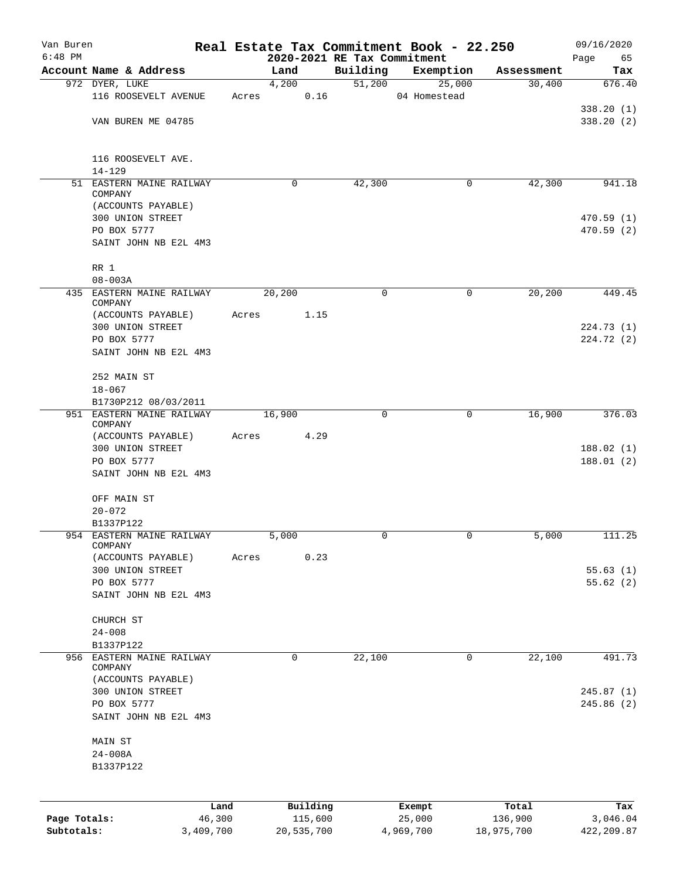| Van Buren    |                                      |       |                     |                             | Real Estate Tax Commitment Book - 22.250 |                      | 09/16/2020      |
|--------------|--------------------------------------|-------|---------------------|-----------------------------|------------------------------------------|----------------------|-----------------|
| $6:48$ PM    | Account Name & Address               |       |                     | 2020-2021 RE Tax Commitment |                                          |                      | Page<br>65      |
|              | 972 DYER, LUKE                       |       | Land<br>4,200       | Building<br>51,200          | Exemption<br>25,000                      | Assessment<br>30,400 | Tax<br>676.40   |
|              | 116 ROOSEVELT AVENUE                 | Acres | 0.16                |                             | 04 Homestead                             |                      |                 |
|              |                                      |       |                     |                             |                                          |                      | 338.20(1)       |
|              | VAN BUREN ME 04785                   |       |                     |                             |                                          |                      | 338.20(2)       |
|              | 116 ROOSEVELT AVE.<br>$14 - 129$     |       |                     |                             |                                          |                      |                 |
|              | 51 EASTERN MAINE RAILWAY             |       | 0                   | 42,300                      | 0                                        | 42,300               | 941.18          |
|              | COMPANY<br>(ACCOUNTS PAYABLE)        |       |                     |                             |                                          |                      |                 |
|              | 300 UNION STREET                     |       |                     |                             |                                          |                      | 470.59(1)       |
|              | PO BOX 5777                          |       |                     |                             |                                          |                      | 470.59(2)       |
|              | SAINT JOHN NB E2L 4M3                |       |                     |                             |                                          |                      |                 |
|              | RR 1<br>$08 - 003A$                  |       |                     |                             |                                          |                      |                 |
|              | 435 EASTERN MAINE RAILWAY<br>COMPANY |       | 20,200              | 0                           | 0                                        | 20,200               | 449.45          |
|              | (ACCOUNTS PAYABLE)                   | Acres | 1.15                |                             |                                          |                      |                 |
|              | 300 UNION STREET                     |       |                     |                             |                                          |                      | 224.73(1)       |
|              | PO BOX 5777                          |       |                     |                             |                                          |                      | 224.72 (2)      |
|              | SAINT JOHN NB E2L 4M3                |       |                     |                             |                                          |                      |                 |
|              | 252 MAIN ST                          |       |                     |                             |                                          |                      |                 |
|              | $18 - 067$                           |       |                     |                             |                                          |                      |                 |
|              | B1730P212 08/03/2011                 |       |                     |                             |                                          |                      |                 |
|              | 951 EASTERN MAINE RAILWAY<br>COMPANY |       | 16,900              | 0                           | 0                                        | 16,900               | 376.03          |
|              | (ACCOUNTS PAYABLE)                   | Acres | 4.29                |                             |                                          |                      |                 |
|              | 300 UNION STREET                     |       |                     |                             |                                          |                      | 188.02(1)       |
|              | PO BOX 5777<br>SAINT JOHN NB E2L 4M3 |       |                     |                             |                                          |                      | 188.01(2)       |
|              | OFF MAIN ST                          |       |                     |                             |                                          |                      |                 |
|              | $20 - 072$                           |       |                     |                             |                                          |                      |                 |
|              | B1337P122                            |       |                     |                             |                                          |                      |                 |
| 954          | EASTERN MAINE RAILWAY<br>COMPANY     |       | 5,000               | 0                           | 0                                        | 5,000                | 111.25          |
|              | (ACCOUNTS PAYABLE)                   | Acres | 0.23                |                             |                                          |                      |                 |
|              | 300 UNION STREET                     |       |                     |                             |                                          |                      | 55.63(1)        |
|              | PO BOX 5777                          |       |                     |                             |                                          |                      | 55.62(2)        |
|              | SAINT JOHN NB E2L 4M3                |       |                     |                             |                                          |                      |                 |
|              | CHURCH ST                            |       |                     |                             |                                          |                      |                 |
|              | $24 - 008$                           |       |                     |                             |                                          |                      |                 |
| 956          | B1337P122<br>EASTERN MAINE RAILWAY   |       | 0                   | 22,100                      | 0                                        | 22,100               | 491.73          |
|              | COMPANY<br>(ACCOUNTS PAYABLE)        |       |                     |                             |                                          |                      |                 |
|              | 300 UNION STREET                     |       |                     |                             |                                          |                      | 245.87(1)       |
|              | PO BOX 5777                          |       |                     |                             |                                          |                      | 245.86(2)       |
|              | SAINT JOHN NB E2L 4M3                |       |                     |                             |                                          |                      |                 |
|              | MAIN ST                              |       |                     |                             |                                          |                      |                 |
|              | $24 - 008A$                          |       |                     |                             |                                          |                      |                 |
|              | B1337P122                            |       |                     |                             |                                          |                      |                 |
|              |                                      |       |                     |                             |                                          |                      |                 |
| Page Totals: | 46,300                               | Land  | Building<br>115,600 |                             | Exempt<br>25,000                         | Total<br>136,900     | Tax<br>3,046.04 |
| Subtotals:   | 3,409,700                            |       | 20,535,700          |                             | 4,969,700                                | 18,975,700           | 422,209.87      |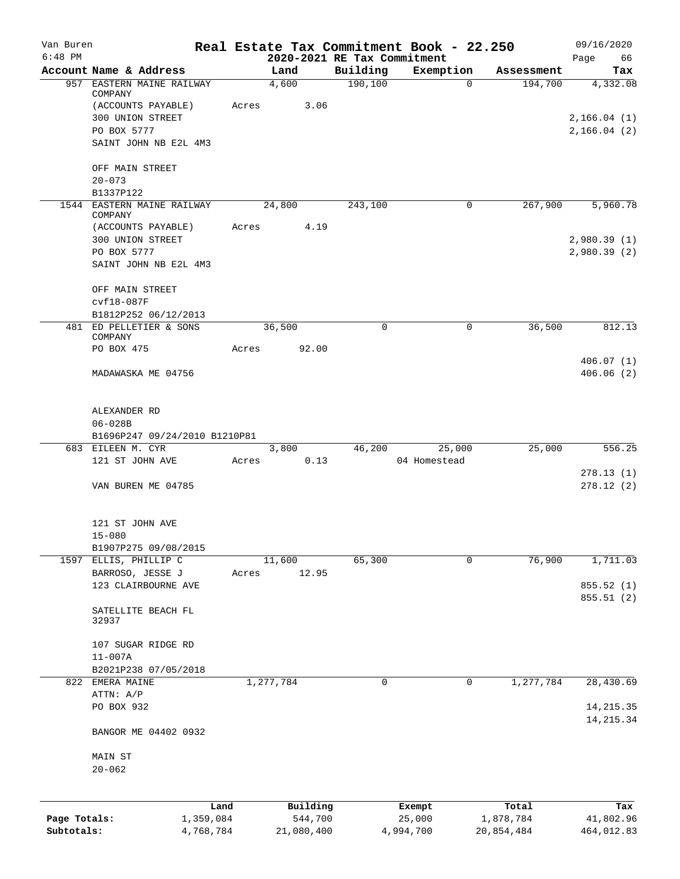| Van Buren<br>$6:48$ PM |                                                    |                   |           |                     | 2020-2021 RE Tax Commitment | Real Estate Tax Commitment Book - 22.250 |                    | 09/16/2020<br>66<br>Page    |
|------------------------|----------------------------------------------------|-------------------|-----------|---------------------|-----------------------------|------------------------------------------|--------------------|-----------------------------|
|                        | Account Name & Address                             |                   |           | Land                | Building                    | Exemption                                | Assessment         | Tax                         |
|                        | 957 EASTERN MAINE RAILWAY                          |                   |           | 4,600               | 190, 100                    | $\Omega$                                 | 194,700            | 4,332.08                    |
|                        | COMPANY                                            |                   |           |                     |                             |                                          |                    |                             |
|                        | (ACCOUNTS PAYABLE)                                 |                   | Acres     | 3.06                |                             |                                          |                    |                             |
|                        | 300 UNION STREET<br>PO BOX 5777                    |                   |           |                     |                             |                                          |                    | 2, 166.04(1)<br>2,166.04(2) |
|                        | SAINT JOHN NB E2L 4M3                              |                   |           |                     |                             |                                          |                    |                             |
|                        |                                                    |                   |           |                     |                             |                                          |                    |                             |
|                        | OFF MAIN STREET                                    |                   |           |                     |                             |                                          |                    |                             |
|                        | $20 - 073$                                         |                   |           |                     |                             |                                          |                    |                             |
|                        | B1337P122                                          |                   |           |                     |                             |                                          |                    |                             |
|                        | 1544 EASTERN MAINE RAILWAY                         |                   |           | 24,800              | 243,100                     | 0                                        | 267,900            | 5,960.78                    |
|                        | COMPANY<br>(ACCOUNTS PAYABLE)                      |                   | Acres     | 4.19                |                             |                                          |                    |                             |
|                        | 300 UNION STREET                                   |                   |           |                     |                             |                                          |                    | 2,980.39(1)                 |
|                        | PO BOX 5777                                        |                   |           |                     |                             |                                          |                    | 2,980.39(2)                 |
|                        | SAINT JOHN NB E2L 4M3                              |                   |           |                     |                             |                                          |                    |                             |
|                        |                                                    |                   |           |                     |                             |                                          |                    |                             |
|                        | OFF MAIN STREET                                    |                   |           |                     |                             |                                          |                    |                             |
|                        | $cvf18-087F$                                       |                   |           |                     |                             |                                          |                    |                             |
|                        | B1812P252 06/12/2013                               |                   |           |                     |                             |                                          |                    |                             |
|                        | 481 ED PELLETIER & SONS                            |                   |           | 36,500              | $\Omega$                    | 0                                        | 36,500             | 812.13                      |
|                        | COMPANY<br>PO BOX 475                              |                   | Acres     | 92.00               |                             |                                          |                    |                             |
|                        |                                                    |                   |           |                     |                             |                                          |                    | 406.07(1)                   |
|                        | MADAWASKA ME 04756                                 |                   |           |                     |                             |                                          |                    | 406.06(2)                   |
|                        |                                                    |                   |           |                     |                             |                                          |                    |                             |
|                        |                                                    |                   |           |                     |                             |                                          |                    |                             |
|                        | ALEXANDER RD                                       |                   |           |                     |                             |                                          |                    |                             |
|                        | $06 - 028B$                                        |                   |           |                     |                             |                                          |                    |                             |
|                        | B1696P247 09/24/2010 B1210P81<br>683 EILEEN M. CYR |                   |           | 3,800               | 46,200                      | 25,000                                   | 25,000             | 556.25                      |
|                        | 121 ST JOHN AVE                                    |                   | Acres     | 0.13                |                             | 04 Homestead                             |                    |                             |
|                        |                                                    |                   |           |                     |                             |                                          |                    | 278.13(1)                   |
|                        | VAN BUREN ME 04785                                 |                   |           |                     |                             |                                          |                    | 278.12(2)                   |
|                        |                                                    |                   |           |                     |                             |                                          |                    |                             |
|                        |                                                    |                   |           |                     |                             |                                          |                    |                             |
|                        | 121 ST JOHN AVE                                    |                   |           |                     |                             |                                          |                    |                             |
|                        | $15 - 080$<br>B1907P275 09/08/2015                 |                   |           |                     |                             |                                          |                    |                             |
|                        | 1597 ELLIS, PHILLIP C                              |                   |           | 11,600              | 65,300                      | 0                                        | 76,900             | 1,711.03                    |
|                        | BARROSO, JESSE J                                   |                   | Acres     | 12.95               |                             |                                          |                    |                             |
|                        | 123 CLAIRBOURNE AVE                                |                   |           |                     |                             |                                          |                    | 855.52 (1)                  |
|                        |                                                    |                   |           |                     |                             |                                          |                    | 855.51 (2)                  |
|                        | SATELLITE BEACH FL                                 |                   |           |                     |                             |                                          |                    |                             |
|                        | 32937                                              |                   |           |                     |                             |                                          |                    |                             |
|                        |                                                    |                   |           |                     |                             |                                          |                    |                             |
|                        | 107 SUGAR RIDGE RD                                 |                   |           |                     |                             |                                          |                    |                             |
|                        | $11 - 007A$<br>B2021P238 07/05/2018                |                   |           |                     |                             |                                          |                    |                             |
|                        | 822 EMERA MAINE                                    |                   | 1,277,784 |                     | 0                           | 0                                        | 1,277,784          | 28,430.69                   |
|                        | ATTN: A/P                                          |                   |           |                     |                             |                                          |                    |                             |
|                        | PO BOX 932                                         |                   |           |                     |                             |                                          |                    | 14, 215.35                  |
|                        |                                                    |                   |           |                     |                             |                                          |                    | 14, 215.34                  |
|                        | BANGOR ME 04402 0932                               |                   |           |                     |                             |                                          |                    |                             |
|                        | MAIN ST                                            |                   |           |                     |                             |                                          |                    |                             |
|                        | $20 - 062$                                         |                   |           |                     |                             |                                          |                    |                             |
|                        |                                                    |                   |           |                     |                             |                                          |                    |                             |
|                        |                                                    |                   |           |                     |                             |                                          |                    |                             |
| Page Totals:           |                                                    | Land<br>1,359,084 |           | Building<br>544,700 |                             | Exempt<br>25,000                         | Total<br>1,878,784 | Tax<br>41,802.96            |
| Subtotals:             |                                                    | 4,768,784         |           | 21,080,400          |                             | 4,994,700                                | 20,854,484         | 464,012.83                  |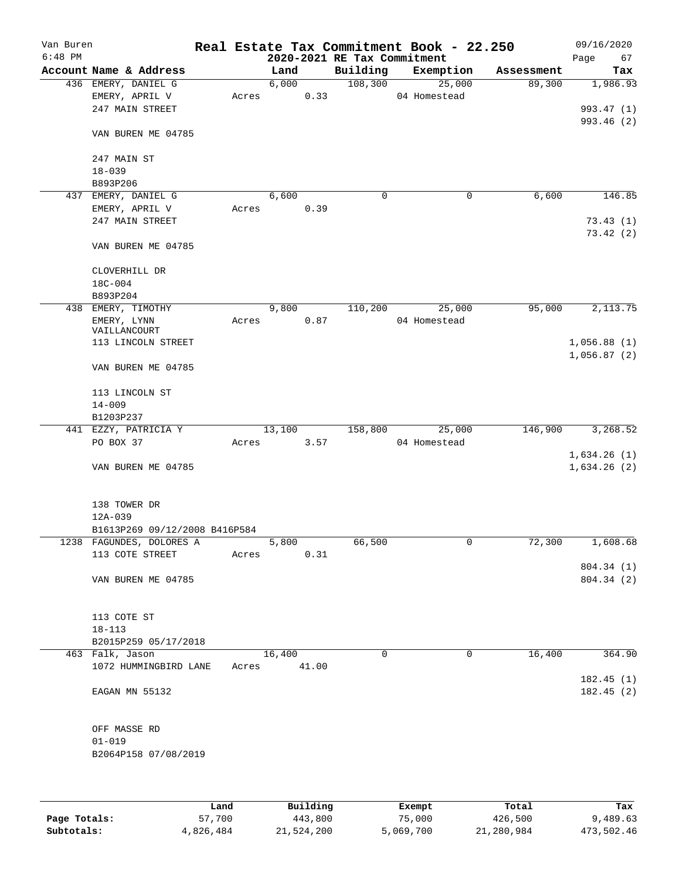| Van Buren    |                               |       |                             |          | Real Estate Tax Commitment Book - 22.250 |            | 09/16/2020  |
|--------------|-------------------------------|-------|-----------------------------|----------|------------------------------------------|------------|-------------|
| $6:48$ PM    |                               |       | 2020-2021 RE Tax Commitment |          |                                          |            | Page<br>67  |
|              | Account Name & Address        |       | Land                        | Building | Exemption                                | Assessment | Tax         |
|              | 436 EMERY, DANIEL G           |       | 6,000                       | 108,300  | 25,000                                   | 89,300     | 1,986.93    |
|              | EMERY, APRIL V                | Acres | 0.33                        |          | 04 Homestead                             |            |             |
|              | 247 MAIN STREET               |       |                             |          |                                          |            | 993.47 (1)  |
|              |                               |       |                             |          |                                          |            | 993.46 (2)  |
|              | VAN BUREN ME 04785            |       |                             |          |                                          |            |             |
|              |                               |       |                             |          |                                          |            |             |
|              | 247 MAIN ST                   |       |                             |          |                                          |            |             |
|              | $18 - 039$                    |       |                             |          |                                          |            |             |
|              | B893P206                      |       |                             |          |                                          |            |             |
|              | 437 EMERY, DANIEL G           |       | 6,600                       | 0        | $\mathbf 0$                              | 6,600      | 146.85      |
|              | EMERY, APRIL V                | Acres | 0.39                        |          |                                          |            |             |
|              | 247 MAIN STREET               |       |                             |          |                                          |            | 73.43(1)    |
|              |                               |       |                             |          |                                          |            | 73.42(2)    |
|              | VAN BUREN ME 04785            |       |                             |          |                                          |            |             |
|              |                               |       |                             |          |                                          |            |             |
|              | CLOVERHILL DR                 |       |                             |          |                                          |            |             |
|              | 18C-004                       |       |                             |          |                                          |            |             |
|              | B893P204                      |       |                             |          |                                          |            |             |
|              | 438 EMERY, TIMOTHY            |       | 9,800                       | 110,200  | 25,000                                   | 95,000     | 2,113.75    |
|              | EMERY, LYNN                   | Acres | 0.87                        |          | 04 Homestead                             |            |             |
|              | VAILLANCOURT                  |       |                             |          |                                          |            |             |
|              | 113 LINCOLN STREET            |       |                             |          |                                          |            | 1,056.88(1) |
|              |                               |       |                             |          |                                          |            | 1,056.87(2) |
|              | VAN BUREN ME 04785            |       |                             |          |                                          |            |             |
|              |                               |       |                             |          |                                          |            |             |
|              |                               |       |                             |          |                                          |            |             |
|              | 113 LINCOLN ST                |       |                             |          |                                          |            |             |
|              | $14 - 009$                    |       |                             |          |                                          |            |             |
|              | B1203P237                     |       |                             |          |                                          |            |             |
|              | 441 EZZY, PATRICIA Y          |       | 13,100                      | 158,800  | 25,000                                   | 146,900    | 3,268.52    |
|              | PO BOX 37                     | Acres | 3.57                        |          | 04 Homestead                             |            |             |
|              |                               |       |                             |          |                                          |            | 1,634.26(1) |
|              | VAN BUREN ME 04785            |       |                             |          |                                          |            | 1,634.26(2) |
|              |                               |       |                             |          |                                          |            |             |
|              |                               |       |                             |          |                                          |            |             |
|              | 138 TOWER DR                  |       |                             |          |                                          |            |             |
|              | 12A-039                       |       |                             |          |                                          |            |             |
|              | B1613P269 09/12/2008 B416P584 |       |                             |          |                                          |            |             |
|              | 1238 FAGUNDES, DOLORES A      |       | 5,800                       | 66,500   | 0                                        | 72,300     | 1,608.68    |
|              | 113 COTE STREET               | Acres | 0.31                        |          |                                          |            |             |
|              |                               |       |                             |          |                                          |            | 804.34 (1)  |
|              | VAN BUREN ME 04785            |       |                             |          |                                          |            | 804.34 (2)  |
|              |                               |       |                             |          |                                          |            |             |
|              |                               |       |                             |          |                                          |            |             |
|              | 113 COTE ST                   |       |                             |          |                                          |            |             |
|              | $18 - 113$                    |       |                             |          |                                          |            |             |
|              | B2015P259 05/17/2018          |       |                             |          |                                          |            |             |
|              |                               |       |                             |          |                                          |            |             |
|              | 463 Falk, Jason               |       | 16,400                      | 0        | 0                                        | 16,400     | 364.90      |
|              | 1072 HUMMINGBIRD LANE         | Acres | 41.00                       |          |                                          |            |             |
|              |                               |       |                             |          |                                          |            | 182.45(1)   |
|              | EAGAN MN 55132                |       |                             |          |                                          |            | 182.45(2)   |
|              |                               |       |                             |          |                                          |            |             |
|              |                               |       |                             |          |                                          |            |             |
|              | OFF MASSE RD                  |       |                             |          |                                          |            |             |
|              | $01 - 019$                    |       |                             |          |                                          |            |             |
|              | B2064P158 07/08/2019          |       |                             |          |                                          |            |             |
|              |                               |       |                             |          |                                          |            |             |
|              |                               |       |                             |          |                                          |            |             |
|              |                               |       |                             |          |                                          |            |             |
|              | Land                          |       | Building                    |          | Exempt                                   | Total      | Tax         |
| Page Totals: | 57,700                        |       | 443,800                     |          | 75,000                                   | 426,500    | 9,489.63    |
| Subtotals:   | 4,826,484                     |       | 21,524,200                  |          | 5,069,700                                | 21,280,984 | 473,502.46  |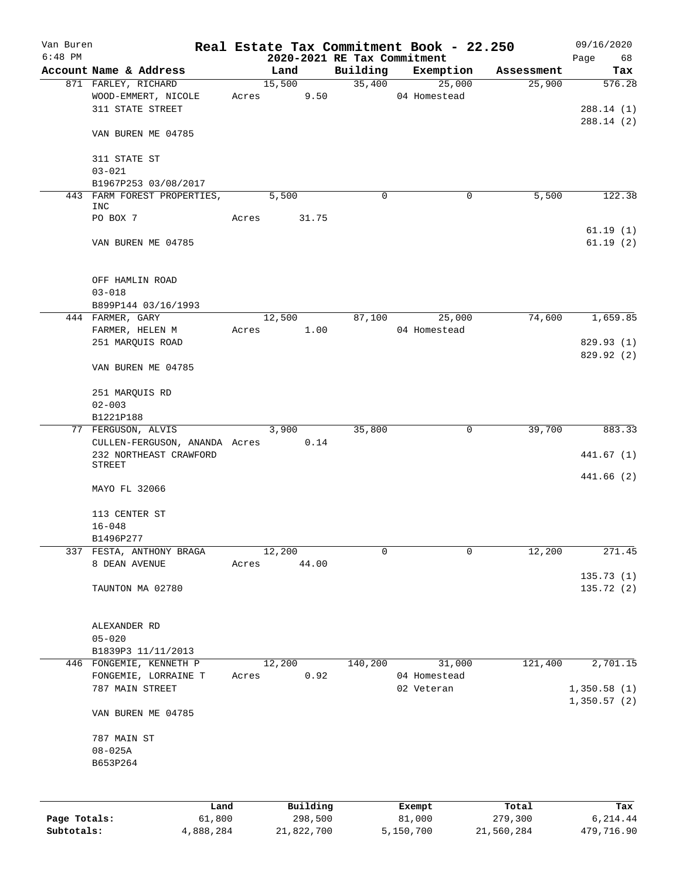| Van Buren    |                                    |       |                             |          | Real Estate Tax Commitment Book - 22.250 |            | 09/16/2020  |
|--------------|------------------------------------|-------|-----------------------------|----------|------------------------------------------|------------|-------------|
| $6:48$ PM    |                                    |       | 2020-2021 RE Tax Commitment |          |                                          |            | Page<br>68  |
|              | Account Name & Address             |       | Land                        | Building | Exemption                                | Assessment | Tax         |
|              | 871 FARLEY, RICHARD                |       | 15,500                      | 35,400   | 25,000                                   | 25,900     | 576.28      |
|              | WOOD-EMMERT, NICOLE                | Acres | 9.50                        |          | 04 Homestead                             |            |             |
|              | 311 STATE STREET                   |       |                             |          |                                          |            | 288.14(1)   |
|              |                                    |       |                             |          |                                          |            | 288.14 (2)  |
|              | VAN BUREN ME 04785                 |       |                             |          |                                          |            |             |
|              |                                    |       |                             |          |                                          |            |             |
|              | 311 STATE ST                       |       |                             |          |                                          |            |             |
|              | $03 - 021$                         |       |                             |          |                                          |            |             |
|              | B1967P253 03/08/2017               |       | 5,500                       | 0        | 0                                        | 5,500      | 122.38      |
|              | 443 FARM FOREST PROPERTIES,<br>INC |       |                             |          |                                          |            |             |
|              | PO BOX 7                           | Acres | 31.75                       |          |                                          |            |             |
|              |                                    |       |                             |          |                                          |            | 61.19(1)    |
|              | VAN BUREN ME 04785                 |       |                             |          |                                          |            | 61.19(2)    |
|              |                                    |       |                             |          |                                          |            |             |
|              |                                    |       |                             |          |                                          |            |             |
|              | OFF HAMLIN ROAD                    |       |                             |          |                                          |            |             |
|              | $03 - 018$                         |       |                             |          |                                          |            |             |
|              | B899P144 03/16/1993                |       |                             |          |                                          |            |             |
|              | 444 FARMER, GARY                   |       | 12,500                      | 87,100   | 25,000                                   | 74,600     | 1,659.85    |
|              | FARMER, HELEN M                    | Acres | 1.00                        |          | 04 Homestead                             |            |             |
|              | 251 MARQUIS ROAD                   |       |                             |          |                                          |            | 829.93(1)   |
|              |                                    |       |                             |          |                                          |            | 829.92 (2)  |
|              | VAN BUREN ME 04785                 |       |                             |          |                                          |            |             |
|              |                                    |       |                             |          |                                          |            |             |
|              | 251 MARQUIS RD                     |       |                             |          |                                          |            |             |
|              | $02 - 003$                         |       |                             |          |                                          |            |             |
|              | B1221P188                          |       |                             |          |                                          |            |             |
|              | 77 FERGUSON, ALVIS                 |       | 3,900                       | 35,800   | 0                                        | 39,700     | 883.33      |
|              | CULLEN-FERGUSON, ANANDA Acres      |       | 0.14                        |          |                                          |            |             |
|              | 232 NORTHEAST CRAWFORD             |       |                             |          |                                          |            | 441.67 (1)  |
|              | <b>STREET</b>                      |       |                             |          |                                          |            |             |
|              |                                    |       |                             |          |                                          |            | 441.66(2)   |
|              | MAYO FL 32066                      |       |                             |          |                                          |            |             |
|              |                                    |       |                             |          |                                          |            |             |
|              | 113 CENTER ST                      |       |                             |          |                                          |            |             |
|              | $16 - 048$                         |       |                             |          |                                          |            |             |
|              | B1496P277                          |       |                             |          |                                          |            |             |
| 337          | FESTA, ANTHONY BRAGA               |       | 12,200                      | 0        | $\mathbf 0$                              | 12,200     | 271.45      |
|              | 8 DEAN AVENUE                      | Acres | 44.00                       |          |                                          |            |             |
|              |                                    |       |                             |          |                                          |            | 135.73(1)   |
|              | TAUNTON MA 02780                   |       |                             |          |                                          |            | 135.72(2)   |
|              |                                    |       |                             |          |                                          |            |             |
|              |                                    |       |                             |          |                                          |            |             |
|              | ALEXANDER RD                       |       |                             |          |                                          |            |             |
|              | $05 - 020$                         |       |                             |          |                                          |            |             |
|              | B1839P3 11/11/2013                 |       |                             |          |                                          |            |             |
| 446          | FONGEMIE, KENNETH P                |       | 12,200                      | 140,200  | 31,000                                   | 121,400    | 2,701.15    |
|              | FONGEMIE, LORRAINE T               | Acres | 0.92                        |          | 04 Homestead                             |            |             |
|              | 787 MAIN STREET                    |       |                             |          | 02 Veteran                               |            | 1,350.58(1) |
|              |                                    |       |                             |          |                                          |            | 1,350.57(2) |
|              | VAN BUREN ME 04785                 |       |                             |          |                                          |            |             |
|              |                                    |       |                             |          |                                          |            |             |
|              | 787 MAIN ST                        |       |                             |          |                                          |            |             |
|              | $08 - 025A$                        |       |                             |          |                                          |            |             |
|              | B653P264                           |       |                             |          |                                          |            |             |
|              |                                    |       |                             |          |                                          |            |             |
|              |                                    |       |                             |          |                                          |            |             |
|              | Land                               |       | Building                    |          | Exempt                                   | Total      | Tax         |
| Page Totals: | 61,800                             |       | 298,500                     |          | 81,000                                   | 279,300    | 6,214.44    |
| Subtotals:   | 4,888,284                          |       | 21,822,700                  |          | 5,150,700                                | 21,560,284 | 479,716.90  |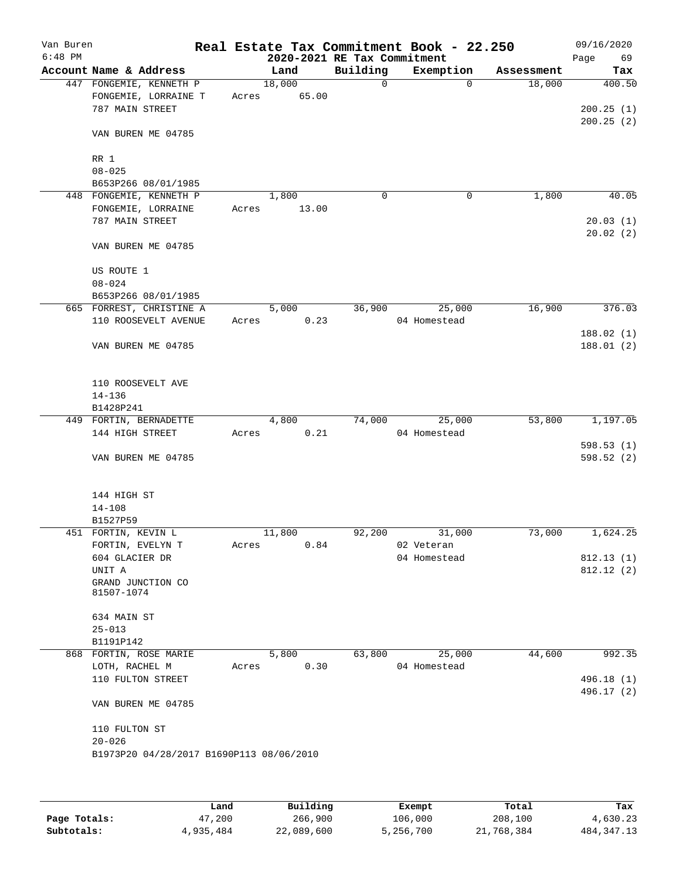| Van Buren<br>$6:48$ PM |                                          |       |        | 2020-2021 RE Tax Commitment | Real Estate Tax Commitment Book - 22.250 |            | 09/16/2020<br>Page<br>69 |
|------------------------|------------------------------------------|-------|--------|-----------------------------|------------------------------------------|------------|--------------------------|
|                        | Account Name & Address                   |       | Land   | Building                    | Exemption                                | Assessment | Tax                      |
|                        | 447 FONGEMIE, KENNETH P                  |       | 18,000 | 0                           | $\Omega$                                 | 18,000     | 400.50                   |
|                        | FONGEMIE, LORRAINE T                     | Acres | 65.00  |                             |                                          |            |                          |
|                        | 787 MAIN STREET                          |       |        |                             |                                          |            | 200.25(1)                |
|                        |                                          |       |        |                             |                                          |            | 200.25(2)                |
|                        | VAN BUREN ME 04785                       |       |        |                             |                                          |            |                          |
|                        | RR 1                                     |       |        |                             |                                          |            |                          |
|                        | $08 - 025$                               |       |        |                             |                                          |            |                          |
|                        | B653P266 08/01/1985                      |       |        |                             |                                          |            |                          |
|                        | 448 FONGEMIE, KENNETH P                  |       | 1,800  | 0                           | 0                                        | 1,800      | 40.05                    |
|                        | FONGEMIE, LORRAINE                       | Acres | 13.00  |                             |                                          |            |                          |
|                        | 787 MAIN STREET                          |       |        |                             |                                          |            | 20.03(1)                 |
|                        |                                          |       |        |                             |                                          |            | 20.02(2)                 |
|                        | VAN BUREN ME 04785                       |       |        |                             |                                          |            |                          |
|                        | US ROUTE 1                               |       |        |                             |                                          |            |                          |
|                        | $08 - 024$                               |       |        |                             |                                          |            |                          |
|                        |                                          |       |        |                             |                                          |            |                          |
|                        | B653P266 08/01/1985                      |       |        |                             |                                          | 16,900     |                          |
|                        | 665 FORREST, CHRISTINE A                 |       | 5,000  | 36,900                      | 25,000                                   |            | 376.03                   |
|                        | 110 ROOSEVELT AVENUE                     | Acres | 0.23   |                             | 04 Homestead                             |            |                          |
|                        | VAN BUREN ME 04785                       |       |        |                             |                                          |            | 188.02(1)<br>188.01(2)   |
|                        | 110 ROOSEVELT AVE                        |       |        |                             |                                          |            |                          |
|                        | $14 - 136$                               |       |        |                             |                                          |            |                          |
|                        | B1428P241                                |       |        |                             |                                          |            |                          |
|                        | 449 FORTIN, BERNADETTE                   |       | 4,800  | 74,000                      | 25,000                                   | 53,800     | 1,197.05                 |
|                        | 144 HIGH STREET                          | Acres | 0.21   |                             | 04 Homestead                             |            |                          |
|                        |                                          |       |        |                             |                                          |            | 598.53(1)                |
|                        | VAN BUREN ME 04785                       |       |        |                             |                                          |            | 598.52(2)                |
|                        |                                          |       |        |                             |                                          |            |                          |
|                        | 144 HIGH ST                              |       |        |                             |                                          |            |                          |
|                        | $14 - 108$                               |       |        |                             |                                          |            |                          |
|                        | B1527P59                                 |       |        |                             |                                          |            |                          |
|                        | 451 FORTIN, KEVIN L                      |       | 11,800 | 92,200                      | 31,000                                   | 73,000     | 1,624.25                 |
|                        | FORTIN, EVELYN T                         | Acres | 0.84   |                             | 02 Veteran                               |            |                          |
|                        | 604 GLACIER DR                           |       |        |                             | 04 Homestead                             |            | 812.13(1)                |
|                        | UNIT A                                   |       |        |                             |                                          |            | 812.12 (2)               |
|                        | GRAND JUNCTION CO<br>81507-1074          |       |        |                             |                                          |            |                          |
|                        | 634 MAIN ST                              |       |        |                             |                                          |            |                          |
|                        | $25 - 013$                               |       |        |                             |                                          |            |                          |
|                        | B1191P142                                |       |        |                             |                                          |            |                          |
|                        | 868 FORTIN, ROSE MARIE                   |       | 5,800  | 63,800                      | 25,000                                   | 44,600     | 992.35                   |
|                        | LOTH, RACHEL M                           | Acres | 0.30   |                             | 04 Homestead                             |            |                          |
|                        | 110 FULTON STREET                        |       |        |                             |                                          |            | 496.18 (1)               |
|                        | VAN BUREN ME 04785                       |       |        |                             |                                          |            | 496.17 (2)               |
|                        |                                          |       |        |                             |                                          |            |                          |
|                        | 110 FULTON ST                            |       |        |                             |                                          |            |                          |
|                        | $20 - 026$                               |       |        |                             |                                          |            |                          |
|                        | B1973P20 04/28/2017 B1690P113 08/06/2010 |       |        |                             |                                          |            |                          |
|                        |                                          |       |        |                             |                                          |            |                          |
|                        |                                          |       |        |                             |                                          |            |                          |
|                        |                                          |       |        |                             |                                          |            |                          |

|              | Land      | Building   | Exempt    | Total      | Tax          |
|--------------|-----------|------------|-----------|------------|--------------|
| Page Totals: | 47,200    | 266,900    | 106,000   | 208,100    | 4,630.23     |
| Subtotals:   | 4,935,484 | 22,089,600 | 5,256,700 | 21,768,384 | 484, 347. 13 |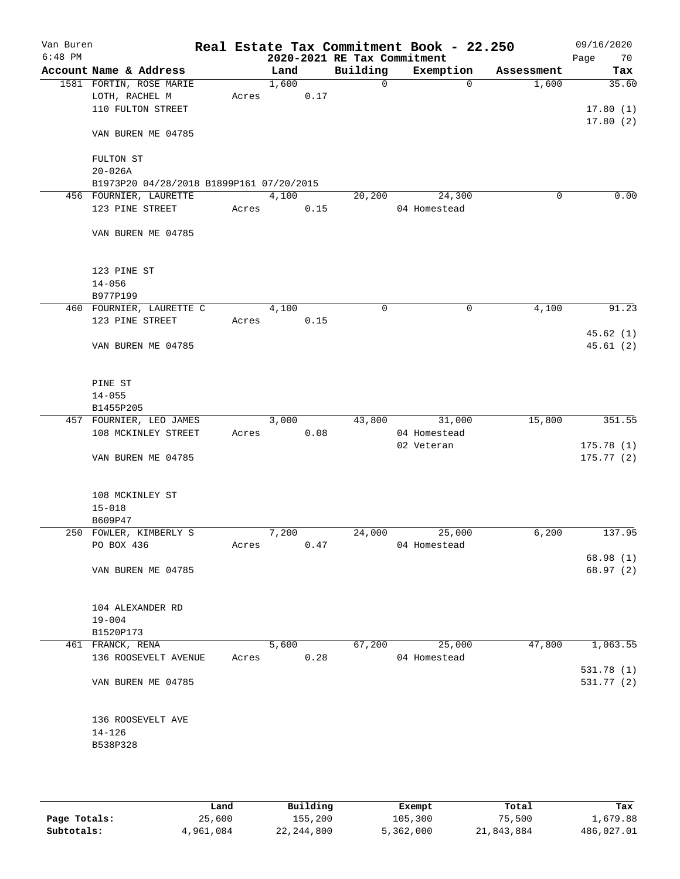| Van Buren<br>$6:48$ PM |                                             |       |       |      | 2020-2021 RE Tax Commitment | Real Estate Tax Commitment Book - 22.250 |            | 09/16/2020<br>70<br>Page |
|------------------------|---------------------------------------------|-------|-------|------|-----------------------------|------------------------------------------|------------|--------------------------|
|                        | Account Name & Address                      |       | Land  |      | Building                    | Exemption                                | Assessment | Tax                      |
|                        | 1581 FORTIN, ROSE MARIE                     |       | 1,600 |      | $\mathbf 0$                 | 0                                        | 1,600      | 35.60                    |
|                        | LOTH, RACHEL M                              | Acres |       | 0.17 |                             |                                          |            |                          |
|                        | 110 FULTON STREET                           |       |       |      |                             |                                          |            | 17.80(1)                 |
|                        | VAN BUREN ME 04785                          |       |       |      |                             |                                          |            | 17.80(2)                 |
|                        | FULTON ST                                   |       |       |      |                             |                                          |            |                          |
|                        | $20 - 026A$                                 |       |       |      |                             |                                          |            |                          |
|                        | B1973P20 04/28/2018 B1899P161 07/20/2015    |       |       |      |                             |                                          |            |                          |
|                        | 456 FOURNIER, LAURETTE                      |       | 4,100 |      | 20,200                      | 24,300                                   | 0          | 0.00                     |
|                        | 123 PINE STREET                             | Acres |       | 0.15 |                             | 04 Homestead                             |            |                          |
|                        | VAN BUREN ME 04785                          |       |       |      |                             |                                          |            |                          |
|                        | 123 PINE ST                                 |       |       |      |                             |                                          |            |                          |
|                        | $14 - 056$                                  |       |       |      |                             |                                          |            |                          |
|                        | B977P199                                    |       |       |      |                             |                                          |            |                          |
|                        | 460 FOURNIER, LAURETTE C                    |       | 4,100 |      | 0                           | 0                                        | 4,100      | 91.23                    |
|                        | 123 PINE STREET                             | Acres |       | 0.15 |                             |                                          |            |                          |
|                        | VAN BUREN ME 04785                          |       |       |      |                             |                                          |            | 45.62 (1)<br>45.61(2)    |
|                        | PINE ST                                     |       |       |      |                             |                                          |            |                          |
|                        | $14 - 055$                                  |       |       |      |                             |                                          |            |                          |
|                        | B1455P205                                   |       |       |      |                             |                                          |            |                          |
|                        | 457 FOURNIER, LEO JAMES                     |       | 3,000 |      | 43,800                      | 31,000                                   | 15,800     | 351.55                   |
|                        | 108 MCKINLEY STREET                         | Acres |       | 0.08 |                             | 04 Homestead<br>02 Veteran               |            | 175.78(1)                |
|                        | VAN BUREN ME 04785                          |       |       |      |                             |                                          |            | 175.77(2)                |
|                        | 108 MCKINLEY ST<br>$15 - 018$               |       |       |      |                             |                                          |            |                          |
|                        | B609P47                                     |       |       |      |                             |                                          |            |                          |
|                        | 250 FOWLER, KIMBERLY S                      |       | 7,200 |      | 24,000                      | 25,000                                   | 6,200      | 137.95                   |
|                        | PO BOX 436                                  | Acres |       | 0.47 |                             | 04 Homestead                             |            |                          |
|                        |                                             |       |       |      |                             |                                          |            | 68.98(1)                 |
|                        | VAN BUREN ME 04785                          |       |       |      |                             |                                          |            | 68.97 (2)                |
|                        | 104 ALEXANDER RD<br>$19 - 004$              |       |       |      |                             |                                          |            |                          |
|                        | B1520P173                                   |       |       |      |                             |                                          |            |                          |
|                        | 461 FRANCK, RENA                            |       | 5,600 |      | 67,200                      | 25,000                                   | 47,800     | 1,063.55                 |
|                        | 136 ROOSEVELT AVENUE                        | Acres |       | 0.28 |                             | 04 Homestead                             |            |                          |
|                        | VAN BUREN ME 04785                          |       |       |      |                             |                                          |            | 531.78 (1)<br>531.77 (2) |
|                        | 136 ROOSEVELT AVE<br>$14 - 126$<br>B538P328 |       |       |      |                             |                                          |            |                          |
|                        |                                             |       |       |      |                             |                                          |            |                          |

|              | Land      | Building   | Exempt    | Total      | Tax        |
|--------------|-----------|------------|-----------|------------|------------|
| Page Totals: | 25,600    | 155,200    | 105,300   | 75,500     | 1,679.88   |
| Subtotals:   | 4,961,084 | 22,244,800 | 5,362,000 | 21,843,884 | 486,027.01 |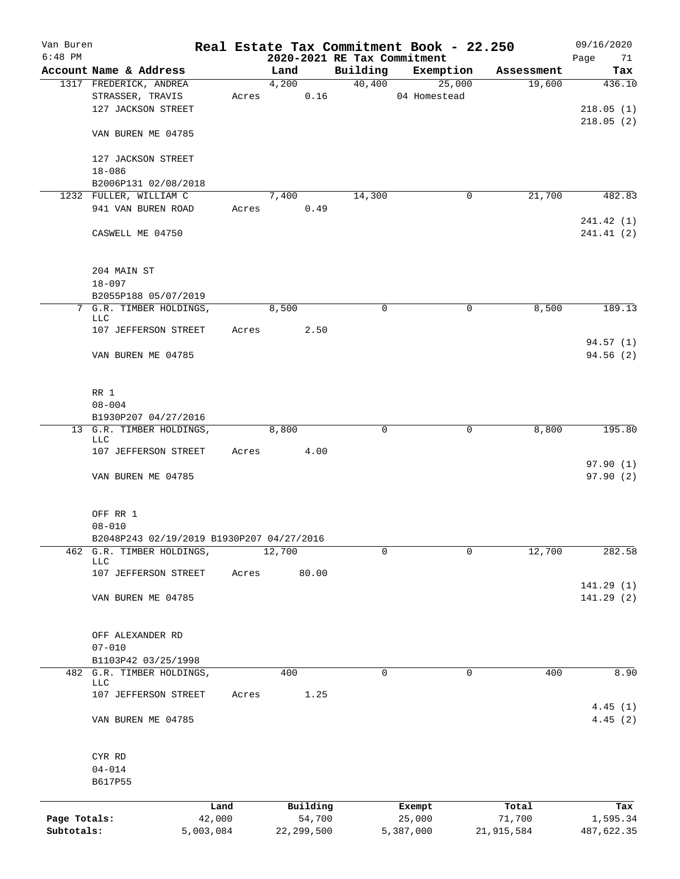| Van Buren    |                                                                 |       |                             |          | Real Estate Tax Commitment Book - 22.250 |                      | 09/16/2020               |
|--------------|-----------------------------------------------------------------|-------|-----------------------------|----------|------------------------------------------|----------------------|--------------------------|
| $6:48$ PM    | Account Name & Address                                          |       | 2020-2021 RE Tax Commitment | Building |                                          |                      | 71<br>Page<br>Tax        |
|              | 1317 FREDERICK, ANDREA                                          |       | Land<br>4,200               |          | Exemption<br>40,400<br>25,000            | Assessment<br>19,600 | 436.10                   |
|              | STRASSER, TRAVIS<br>127 JACKSON STREET                          |       | 0.16<br>Acres               |          | 04 Homestead                             |                      | 218.05(1)                |
|              | VAN BUREN ME 04785                                              |       |                             |          |                                          |                      | 218.05(2)                |
|              | 127 JACKSON STREET<br>$18 - 086$                                |       |                             |          |                                          |                      |                          |
|              | B2006P131 02/08/2018                                            |       |                             |          |                                          |                      |                          |
|              | 1232 FULLER, WILLIAM C                                          |       | 7,400                       | 14,300   | 0                                        | 21,700               | 482.83                   |
|              | 941 VAN BUREN ROAD<br>CASWELL ME 04750                          | Acres | 0.49                        |          |                                          |                      | 241.42 (1)<br>241.41 (2) |
|              |                                                                 |       |                             |          |                                          |                      |                          |
|              | 204 MAIN ST<br>$18 - 097$                                       |       |                             |          |                                          |                      |                          |
|              | B2055P188 05/07/2019                                            |       |                             |          |                                          |                      |                          |
|              | 7 G.R. TIMBER HOLDINGS,<br>LLC                                  |       | 8,500                       | 0        | 0                                        | 8,500                | 189.13                   |
|              | 107 JEFFERSON STREET                                            | Acres | 2.50                        |          |                                          |                      |                          |
|              | VAN BUREN ME 04785                                              |       |                             |          |                                          |                      | 94.57(1)<br>94.56 (2)    |
|              | RR 1<br>$08 - 004$                                              |       |                             |          |                                          |                      |                          |
|              | B1930P207 04/27/2016                                            |       |                             |          |                                          |                      |                          |
|              | 13 G.R. TIMBER HOLDINGS,<br>LLC                                 |       | 8,800                       | 0        | 0                                        | 8,800                | 195.80                   |
|              | 107 JEFFERSON STREET                                            | Acres | 4.00                        |          |                                          |                      |                          |
|              | VAN BUREN ME 04785                                              |       |                             |          |                                          |                      | 97.90(1)<br>97.90(2)     |
|              | OFF RR 1                                                        |       |                             |          |                                          |                      |                          |
|              | $08 - 010$                                                      |       |                             |          |                                          |                      |                          |
|              | B2048P243 02/19/2019 B1930P207 04/27/2016                       |       |                             |          |                                          |                      |                          |
|              | 462 G.R. TIMBER HOLDINGS,<br><b>LLC</b><br>107 JEFFERSON STREET | Acres | 12,700<br>80.00             | 0        | 0                                        | 12,700               | 282.58                   |
|              | VAN BUREN ME 04785                                              |       |                             |          |                                          |                      | 141.29 (1)<br>141.29 (2) |
|              |                                                                 |       |                             |          |                                          |                      |                          |
|              | OFF ALEXANDER RD<br>$07 - 010$                                  |       |                             |          |                                          |                      |                          |
|              | B1103P42 03/25/1998                                             |       |                             |          |                                          |                      |                          |
|              | 482 G.R. TIMBER HOLDINGS,<br><b>LLC</b>                         |       | 400                         | 0        | 0                                        | 400                  | 8.90                     |
|              | 107 JEFFERSON STREET                                            | Acres | 1.25                        |          |                                          |                      | 4.45(1)                  |
|              | VAN BUREN ME 04785                                              |       |                             |          |                                          |                      | 4.45(2)                  |
|              | CYR RD                                                          |       |                             |          |                                          |                      |                          |
|              | $04 - 014$<br>B617P55                                           |       |                             |          |                                          |                      |                          |
| Page Totals: | Land<br>42,000                                                  |       | Building<br>54,700          |          | Exempt                                   | Total<br>71,700      | Tax                      |
| Subtotals:   | 5,003,084                                                       |       | 22, 299, 500                |          | 25,000<br>5,387,000                      | 21,915,584           | 1,595.34<br>487,622.35   |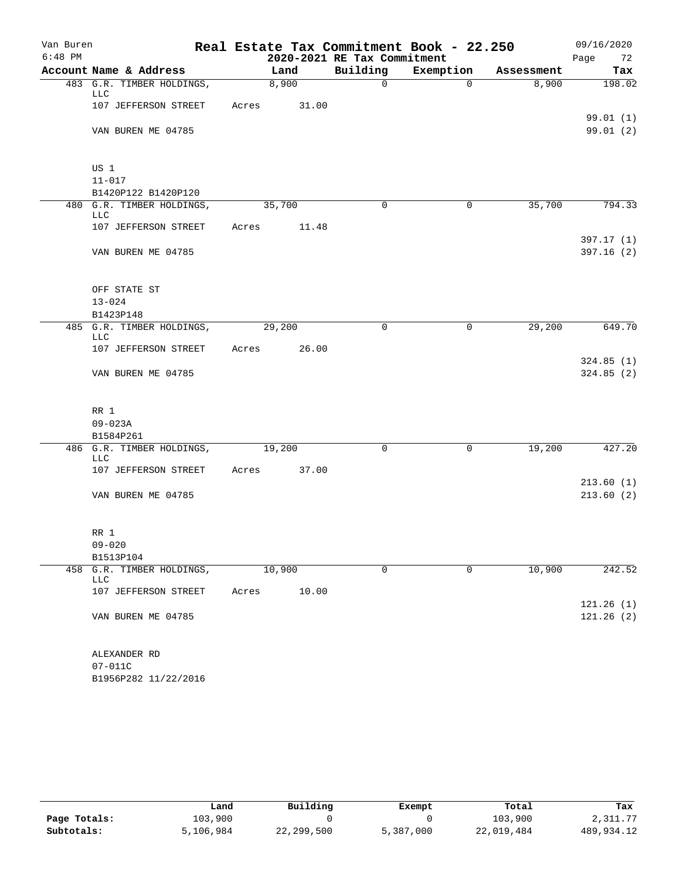| Van Buren |                                         | Real Estate Tax Commitment Book - 22.250 |        |       |                             | 09/16/2020  |            |      |           |
|-----------|-----------------------------------------|------------------------------------------|--------|-------|-----------------------------|-------------|------------|------|-----------|
| $6:48$ PM |                                         |                                          |        |       | 2020-2021 RE Tax Commitment |             |            | Page | 72        |
|           | Account Name & Address                  |                                          | Land   |       | Building                    | Exemption   | Assessment |      | Tax       |
|           | 483 G.R. TIMBER HOLDINGS,<br>LLC        |                                          | 8,900  |       | $\mathsf{O}$                | $\Omega$    | 8,900      |      | 198.02    |
|           | 107 JEFFERSON STREET                    | Acres                                    |        | 31.00 |                             |             |            |      | 99.01(1)  |
|           | VAN BUREN ME 04785                      |                                          |        |       |                             |             |            |      | 99.01 (2) |
|           | US 1                                    |                                          |        |       |                             |             |            |      |           |
|           | $11 - 017$                              |                                          |        |       |                             |             |            |      |           |
|           | B1420P122 B1420P120                     |                                          |        |       |                             |             |            |      |           |
|           | 480 G.R. TIMBER HOLDINGS,<br><b>LLC</b> |                                          | 35,700 |       | $\Omega$                    | $\mathbf 0$ | 35,700     |      | 794.33    |
|           | 107 JEFFERSON STREET                    | Acres                                    |        | 11.48 |                             |             |            |      | 397.17(1) |
|           | VAN BUREN ME 04785                      |                                          |        |       |                             |             |            |      | 397.16(2) |
|           | OFF STATE ST                            |                                          |        |       |                             |             |            |      |           |
|           | $13 - 024$                              |                                          |        |       |                             |             |            |      |           |
|           | B1423P148                               |                                          |        |       |                             |             |            |      |           |
|           | 485 G.R. TIMBER HOLDINGS,<br>LLC        |                                          | 29,200 |       | 0                           | 0           | 29,200     |      | 649.70    |
|           | 107 JEFFERSON STREET                    | Acres                                    |        | 26.00 |                             |             |            |      | 324.85(1) |
|           | VAN BUREN ME 04785                      |                                          |        |       |                             |             |            |      | 324.85(2) |
|           | RR 1                                    |                                          |        |       |                             |             |            |      |           |
|           | $09 - 023A$                             |                                          |        |       |                             |             |            |      |           |
|           | B1584P261                               |                                          |        |       |                             |             |            |      |           |
|           | 486 G.R. TIMBER HOLDINGS,<br><b>LLC</b> |                                          | 19,200 |       | $\mathbf 0$                 | $\mathbf 0$ | 19,200     |      | 427.20    |
|           | 107 JEFFERSON STREET                    | Acres                                    |        | 37.00 |                             |             |            |      | 213.60(1) |
|           | VAN BUREN ME 04785                      |                                          |        |       |                             |             |            |      | 213.60(2) |
|           | RR 1                                    |                                          |        |       |                             |             |            |      |           |
|           | $09 - 020$                              |                                          |        |       |                             |             |            |      |           |
|           | B1513P104                               |                                          |        |       |                             |             |            |      |           |
| 458       | G.R. TIMBER HOLDINGS,<br>LLC            |                                          | 10,900 |       | $\mathsf{O}$                | $\mathbf 0$ | 10,900     |      | 242.52    |
|           | 107 JEFFERSON STREET                    | Acres                                    |        | 10.00 |                             |             |            |      | 121.26(1) |
|           | VAN BUREN ME 04785                      |                                          |        |       |                             |             |            |      | 121.26(2) |
|           | ALEXANDER RD                            |                                          |        |       |                             |             |            |      |           |
|           | $07 - 011C$                             |                                          |        |       |                             |             |            |      |           |
|           | B1956P282 11/22/2016                    |                                          |        |       |                             |             |            |      |           |

|              | Land      | Building   | Exempt    | Total      | Tax        |
|--------------|-----------|------------|-----------|------------|------------|
| Page Totals: | 103,900   |            |           | 103,900    | 2,311.77   |
| Subtotals:   | 5,106,984 | 22,299,500 | 5,387,000 | 22,019,484 | 489,934.12 |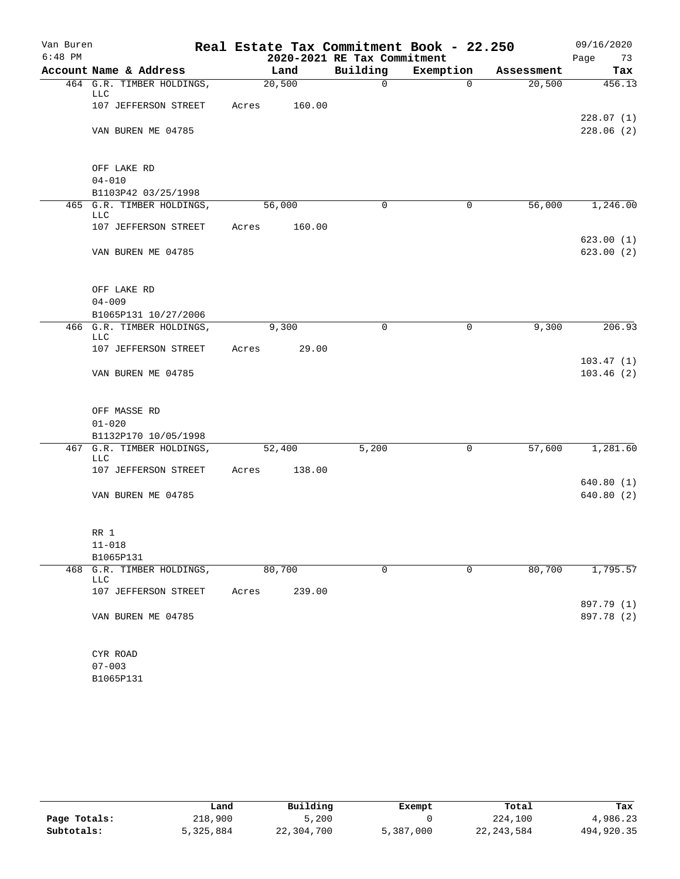| Van Buren |                                                   |       |        |                             | Real Estate Tax Commitment Book - 22.250 |            | 09/16/2020 |
|-----------|---------------------------------------------------|-------|--------|-----------------------------|------------------------------------------|------------|------------|
| $6:48$ PM |                                                   |       |        | 2020-2021 RE Tax Commitment |                                          |            | Page<br>73 |
|           | Account Name & Address                            |       | Land   | Building                    | Exemption                                | Assessment | Tax        |
|           | 464 G.R. TIMBER HOLDINGS,<br>LLC                  |       | 20,500 | $\mathsf{O}$                | $\mathbf 0$                              | 20,500     | 456.13     |
|           | 107 JEFFERSON STREET                              | Acres | 160.00 |                             |                                          |            |            |
|           |                                                   |       |        |                             |                                          |            | 228.07(1)  |
|           | VAN BUREN ME 04785                                |       |        |                             |                                          |            | 228.06(2)  |
|           |                                                   |       |        |                             |                                          |            |            |
|           |                                                   |       |        |                             |                                          |            |            |
|           | OFF LAKE RD<br>$04 - 010$                         |       |        |                             |                                          |            |            |
|           | B1103P42 03/25/1998                               |       |        |                             |                                          |            |            |
|           | 465 G.R. TIMBER HOLDINGS,                         |       | 56,000 | 0                           | 0                                        | 56,000     | 1,246.00   |
|           | LLC                                               |       |        |                             |                                          |            |            |
|           | 107 JEFFERSON STREET                              | Acres | 160.00 |                             |                                          |            |            |
|           |                                                   |       |        |                             |                                          |            | 623.00(1)  |
|           | VAN BUREN ME 04785                                |       |        |                             |                                          |            | 623.00(2)  |
|           |                                                   |       |        |                             |                                          |            |            |
|           | OFF LAKE RD                                       |       |        |                             |                                          |            |            |
|           | $04 - 009$                                        |       |        |                             |                                          |            |            |
|           | B1065P131 10/27/2006                              |       |        |                             |                                          |            |            |
|           | 466 G.R. TIMBER HOLDINGS,                         |       | 9,300  | 0                           | 0                                        | 9,300      | 206.93     |
|           | LLC<br>107 JEFFERSON STREET                       | Acres | 29.00  |                             |                                          |            |            |
|           |                                                   |       |        |                             |                                          |            | 103.47(1)  |
|           | VAN BUREN ME 04785                                |       |        |                             |                                          |            | 103.46(2)  |
|           |                                                   |       |        |                             |                                          |            |            |
|           |                                                   |       |        |                             |                                          |            |            |
|           | OFF MASSE RD                                      |       |        |                             |                                          |            |            |
|           | $01 - 020$                                        |       |        |                             |                                          |            |            |
|           | B1132P170 10/05/1998<br>467 G.R. TIMBER HOLDINGS, |       | 52,400 | 5,200                       | 0                                        | 57,600     | 1,281.60   |
|           | <b>LLC</b>                                        |       |        |                             |                                          |            |            |
|           | 107 JEFFERSON STREET                              | Acres | 138.00 |                             |                                          |            |            |
|           |                                                   |       |        |                             |                                          |            | 640.80(1)  |
|           | VAN BUREN ME 04785                                |       |        |                             |                                          |            | 640.80(2)  |
|           |                                                   |       |        |                             |                                          |            |            |
|           | RR 1                                              |       |        |                             |                                          |            |            |
|           | $11 - 018$                                        |       |        |                             |                                          |            |            |
|           | B1065P131                                         |       |        |                             |                                          |            |            |
| 468       | G.R. TIMBER HOLDINGS,                             |       | 80,700 | 0                           | 0                                        | 80,700     | 1,795.57   |
|           | LLC                                               |       |        |                             |                                          |            |            |
|           | 107 JEFFERSON STREET                              | Acres | 239.00 |                             |                                          |            | 897.79 (1) |
|           | VAN BUREN ME 04785                                |       |        |                             |                                          |            | 897.78 (2) |
|           |                                                   |       |        |                             |                                          |            |            |
|           |                                                   |       |        |                             |                                          |            |            |
|           | CYR ROAD                                          |       |        |                             |                                          |            |            |
|           | $07 - 003$                                        |       |        |                             |                                          |            |            |
|           | B1065P131                                         |       |        |                             |                                          |            |            |

|              | Land      | Building   | Exempt    | Total        | Tax        |
|--------------|-----------|------------|-----------|--------------|------------|
| Page Totals: | 218,900   | 5,200      |           | 224,100      | 4,986.23   |
| Subtotals:   | 5,325,884 | 22,304,700 | 5,387,000 | 22, 243, 584 | 494,920.35 |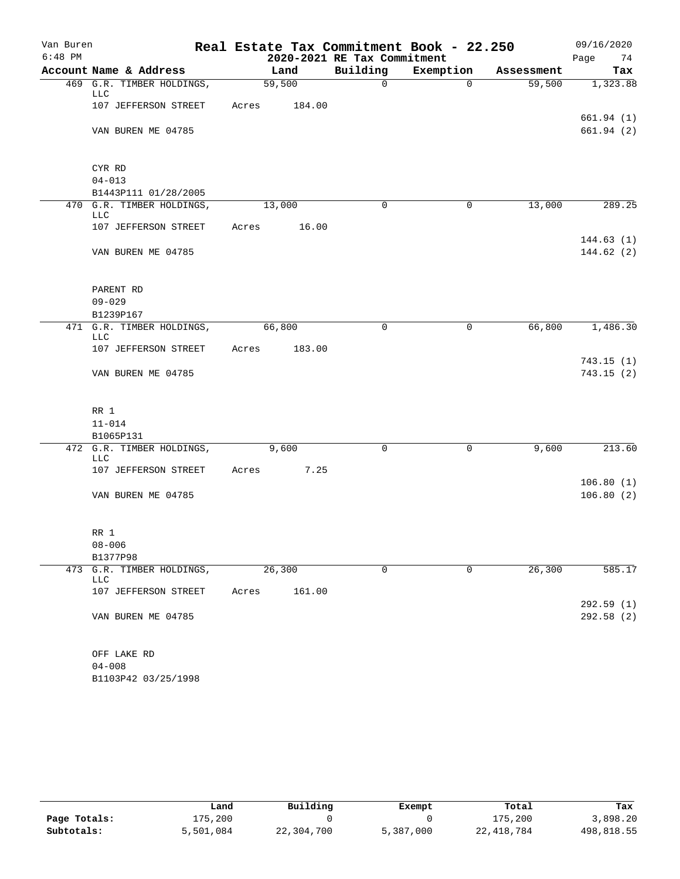| Van Buren |                                         |       |        |                             | Real Estate Tax Commitment Book - 22.250 |            | 09/16/2020             |
|-----------|-----------------------------------------|-------|--------|-----------------------------|------------------------------------------|------------|------------------------|
| $6:48$ PM |                                         |       |        | 2020-2021 RE Tax Commitment |                                          |            | Page<br>74             |
|           | Account Name & Address                  |       | Land   | Building                    | Exemption                                | Assessment | Tax                    |
|           | 469 G.R. TIMBER HOLDINGS,<br>LLC        |       | 59,500 | $\mathbf 0$                 | $\Omega$                                 | 59,500     | 1,323.88               |
|           | 107 JEFFERSON STREET                    | Acres | 184.00 |                             |                                          |            | 661.94(1)              |
|           | VAN BUREN ME 04785                      |       |        |                             |                                          |            | 661.94(2)              |
|           | CYR RD                                  |       |        |                             |                                          |            |                        |
|           | $04 - 013$                              |       |        |                             |                                          |            |                        |
|           | B1443P111 01/28/2005                    |       |        |                             |                                          |            |                        |
|           | 470 G.R. TIMBER HOLDINGS,<br><b>LLC</b> |       | 13,000 | $\Omega$                    | $\mathbf 0$                              | 13,000     | 289.25                 |
|           | 107 JEFFERSON STREET                    | Acres | 16.00  |                             |                                          |            | 144.63(1)              |
|           | VAN BUREN ME 04785                      |       |        |                             |                                          |            | 144.62(2)              |
|           | PARENT RD                               |       |        |                             |                                          |            |                        |
|           | $09 - 029$                              |       |        |                             |                                          |            |                        |
|           | B1239P167                               |       |        |                             |                                          |            |                        |
|           | 471 G.R. TIMBER HOLDINGS,<br><b>LLC</b> |       | 66,800 | 0                           | 0                                        | 66,800     | 1,486.30               |
|           | 107 JEFFERSON STREET                    | Acres | 183.00 |                             |                                          |            |                        |
|           | VAN BUREN ME 04785                      |       |        |                             |                                          |            | 743.15(1)<br>743.15(2) |
|           | RR 1                                    |       |        |                             |                                          |            |                        |
|           | $11 - 014$                              |       |        |                             |                                          |            |                        |
|           | B1065P131                               |       |        |                             |                                          |            |                        |
|           | 472 G.R. TIMBER HOLDINGS,<br><b>LLC</b> |       | 9,600  | 0                           | 0                                        | 9,600      | 213.60                 |
|           | 107 JEFFERSON STREET                    | Acres | 7.25   |                             |                                          |            |                        |
|           | VAN BUREN ME 04785                      |       |        |                             |                                          |            | 106.80(1)<br>106.80(2) |
|           | RR 1                                    |       |        |                             |                                          |            |                        |
|           | $08 - 006$                              |       |        |                             |                                          |            |                        |
|           | B1377P98                                |       |        |                             |                                          |            |                        |
|           | 473 G.R. TIMBER HOLDINGS,<br>LLC        |       | 26,300 | $\mathbf 0$                 | $\mathbf 0$                              | 26,300     | 585.17                 |
|           | 107 JEFFERSON STREET                    | Acres | 161.00 |                             |                                          |            | 292.59(1)              |
|           | VAN BUREN ME 04785                      |       |        |                             |                                          |            | 292.58 (2)             |
|           | OFF LAKE RD                             |       |        |                             |                                          |            |                        |
|           | $04 - 008$                              |       |        |                             |                                          |            |                        |
|           | B1103P42 03/25/1998                     |       |        |                             |                                          |            |                        |

|              | Land      | Building   | Exempt    | Total      | Tax        |
|--------------|-----------|------------|-----------|------------|------------|
| Page Totals: | 175,200   |            |           | 175,200    | 3,898.20   |
| Subtotals:   | 5,501,084 | 22,304,700 | 5,387,000 | 22,418,784 | 498,818.55 |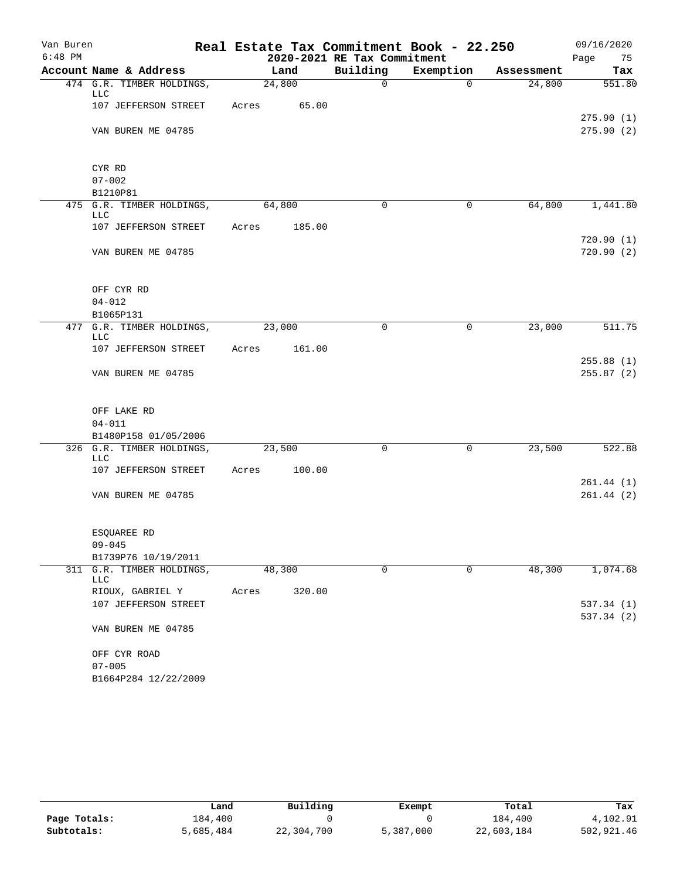| Van Buren |                                  |       |        |        |                             | Real Estate Tax Commitment Book - 22.250 |            | 09/16/2020             |
|-----------|----------------------------------|-------|--------|--------|-----------------------------|------------------------------------------|------------|------------------------|
| $6:48$ PM |                                  |       |        |        | 2020-2021 RE Tax Commitment |                                          |            | Page<br>75             |
|           | Account Name & Address           |       | Land   |        | Building                    | Exemption                                | Assessment | Tax                    |
|           | 474 G.R. TIMBER HOLDINGS,<br>LLC |       | 24,800 |        | $\mathsf{O}$                | $\Omega$                                 | 24,800     | 551.80                 |
|           | 107 JEFFERSON STREET             | Acres |        | 65.00  |                             |                                          |            |                        |
|           | VAN BUREN ME 04785               |       |        |        |                             |                                          |            | 275.90(1)<br>275.90(2) |
|           | CYR RD                           |       |        |        |                             |                                          |            |                        |
|           | $07 - 002$                       |       |        |        |                             |                                          |            |                        |
|           | B1210P81                         |       |        |        |                             |                                          |            |                        |
|           | 475 G.R. TIMBER HOLDINGS,        |       | 64,800 |        | $\Omega$                    | 0                                        | 64,800     | 1,441.80               |
|           | LLC                              |       |        |        |                             |                                          |            |                        |
|           | 107 JEFFERSON STREET             | Acres |        | 185.00 |                             |                                          |            | 720.90(1)              |
|           | VAN BUREN ME 04785               |       |        |        |                             |                                          |            | 720.90(2)              |
|           | OFF CYR RD                       |       |        |        |                             |                                          |            |                        |
|           | $04 - 012$                       |       |        |        |                             |                                          |            |                        |
|           | B1065P131                        |       |        |        |                             |                                          |            |                        |
|           | 477 G.R. TIMBER HOLDINGS,<br>LLC |       | 23,000 |        | $\Omega$                    | 0                                        | 23,000     | 511.75                 |
|           | 107 JEFFERSON STREET             | Acres |        | 161.00 |                             |                                          |            |                        |
|           | VAN BUREN ME 04785               |       |        |        |                             |                                          |            | 255.88(1)<br>255.87(2) |
|           |                                  |       |        |        |                             |                                          |            |                        |
|           | OFF LAKE RD                      |       |        |        |                             |                                          |            |                        |
|           | $04 - 011$                       |       |        |        |                             |                                          |            |                        |
|           | B1480P158 01/05/2006             |       |        |        |                             |                                          |            |                        |
|           | 326 G.R. TIMBER HOLDINGS,<br>LLC |       | 23,500 |        | $\mathbf 0$                 | $\mathbf 0$                              | 23,500     | 522.88                 |
|           | 107 JEFFERSON STREET             | Acres |        | 100.00 |                             |                                          |            |                        |
|           |                                  |       |        |        |                             |                                          |            | 261.44(1)              |
|           | VAN BUREN ME 04785               |       |        |        |                             |                                          |            | 261.44(2)              |
|           | ESOUAREE RD                      |       |        |        |                             |                                          |            |                        |
|           | $09 - 045$                       |       |        |        |                             |                                          |            |                        |
|           | B1739P76 10/19/2011              |       |        |        |                             |                                          |            |                        |
| 311       | G.R. TIMBER HOLDINGS,<br>LLC     |       | 48,300 |        | $\mathbf 0$                 | $\mathbf 0$                              | 48,300     | 1,074.68               |
|           | RIOUX, GABRIEL Y                 | Acres |        | 320.00 |                             |                                          |            |                        |
|           | 107 JEFFERSON STREET             |       |        |        |                             |                                          |            | 537.34 (1)             |
|           | VAN BUREN ME 04785               |       |        |        |                             |                                          |            | 537.34(2)              |
|           | OFF CYR ROAD                     |       |        |        |                             |                                          |            |                        |
|           | $07 - 005$                       |       |        |        |                             |                                          |            |                        |
|           | B1664P284 12/22/2009             |       |        |        |                             |                                          |            |                        |

|              | Land      | Building   | Exempt    | Total      | Tax        |
|--------------|-----------|------------|-----------|------------|------------|
| Page Totals: | 184,400   |            |           | 184,400    | 4,102.91   |
| Subtotals:   | 5,685,484 | 22,304,700 | 5,387,000 | 22,603,184 | 502,921.46 |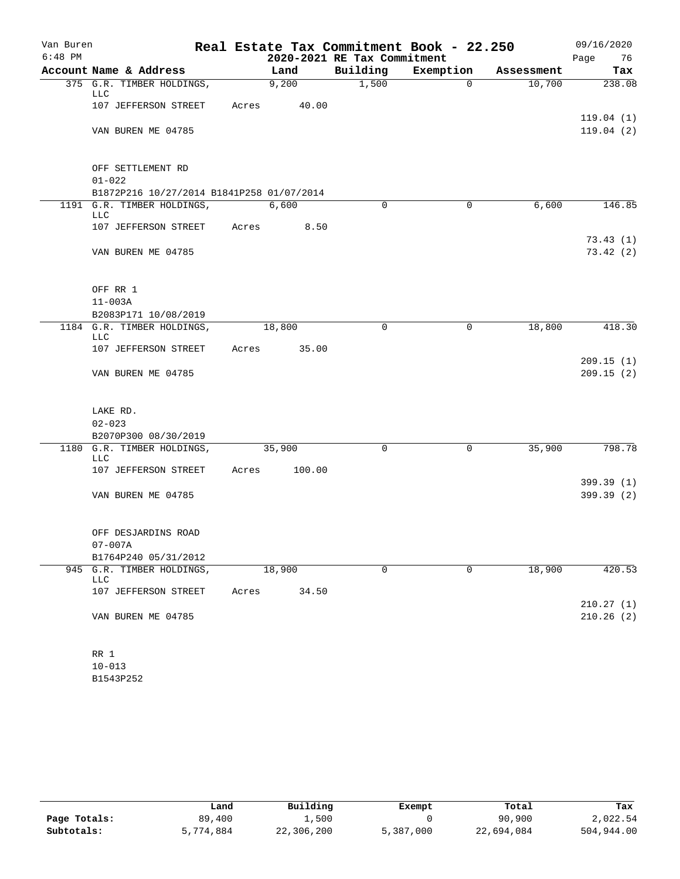| Van Buren |                                                    |       |        |                             | Real Estate Tax Commitment Book - 22.250 |            | 09/16/2020             |
|-----------|----------------------------------------------------|-------|--------|-----------------------------|------------------------------------------|------------|------------------------|
| $6:48$ PM |                                                    |       |        | 2020-2021 RE Tax Commitment |                                          |            | Page<br>76             |
|           | Account Name & Address                             |       | Land   | Building                    | Exemption                                | Assessment | Tax                    |
|           | 375 G.R. TIMBER HOLDINGS,<br>LLC                   |       | 9,200  | 1,500                       | 0                                        | 10,700     | 238.08                 |
|           | 107 JEFFERSON STREET                               | Acres | 40.00  |                             |                                          |            | 119.04(1)              |
|           | VAN BUREN ME 04785                                 |       |        |                             |                                          |            | 119.04(2)              |
|           | OFF SETTLEMENT RD                                  |       |        |                             |                                          |            |                        |
|           | $01 - 022$                                         |       |        |                             |                                          |            |                        |
|           | B1872P216 10/27/2014 B1841P258 01/07/2014          |       |        |                             |                                          |            |                        |
|           | 1191 G.R. TIMBER HOLDINGS,<br>LLC                  |       | 6,600  | 0                           | 0                                        | 6,600      | 146.85                 |
|           | 107 JEFFERSON STREET                               | Acres | 8.50   |                             |                                          |            |                        |
|           | VAN BUREN ME 04785                                 |       |        |                             |                                          |            | 73.43(1)<br>73.42(2)   |
|           | OFF RR 1                                           |       |        |                             |                                          |            |                        |
|           | $11 - 003A$                                        |       |        |                             |                                          |            |                        |
|           | B2083P171 10/08/2019<br>1184 G.R. TIMBER HOLDINGS, |       | 18,800 | 0                           | 0                                        | 18,800     | 418.30                 |
|           | <b>LLC</b>                                         |       |        |                             |                                          |            |                        |
|           | 107 JEFFERSON STREET                               | Acres | 35.00  |                             |                                          |            |                        |
|           | VAN BUREN ME 04785                                 |       |        |                             |                                          |            | 209.15(1)<br>209.15(2) |
|           | LAKE RD.                                           |       |        |                             |                                          |            |                        |
|           | $02 - 023$                                         |       |        |                             |                                          |            |                        |
|           | B2070P300 08/30/2019                               |       |        |                             |                                          |            |                        |
|           | 1180 G.R. TIMBER HOLDINGS,<br>LLC                  |       | 35,900 | 0                           | 0                                        | 35,900     | 798.78                 |
|           | 107 JEFFERSON STREET                               | Acres | 100.00 |                             |                                          |            |                        |
|           |                                                    |       |        |                             |                                          |            | 399.39 (1)             |
|           | VAN BUREN ME 04785                                 |       |        |                             |                                          |            | 399.39(2)              |
|           | OFF DESJARDINS ROAD                                |       |        |                             |                                          |            |                        |
|           | $07 - 007A$                                        |       |        |                             |                                          |            |                        |
|           | B1764P240 05/31/2012                               |       |        | 0                           | 0                                        | 18,900     |                        |
| 945       | G.R. TIMBER HOLDINGS,<br>LLC                       |       | 18,900 |                             |                                          |            | 420.53                 |
|           | 107 JEFFERSON STREET                               | Acres | 34.50  |                             |                                          |            | 210.27(1)              |
|           | VAN BUREN ME 04785                                 |       |        |                             |                                          |            | 210.26(2)              |
|           | RR 1                                               |       |        |                             |                                          |            |                        |
|           | $10 - 013$                                         |       |        |                             |                                          |            |                        |

B1543P252

|              | Land      | Building   | Exempt    | Total      | Tax        |
|--------------|-----------|------------|-----------|------------|------------|
| Page Totals: | 89,400    | 1,500      |           | 90,900     | 2,022.54   |
| Subtotals:   | 5,774,884 | 22,306,200 | 5,387,000 | 22,694,084 | 504,944.00 |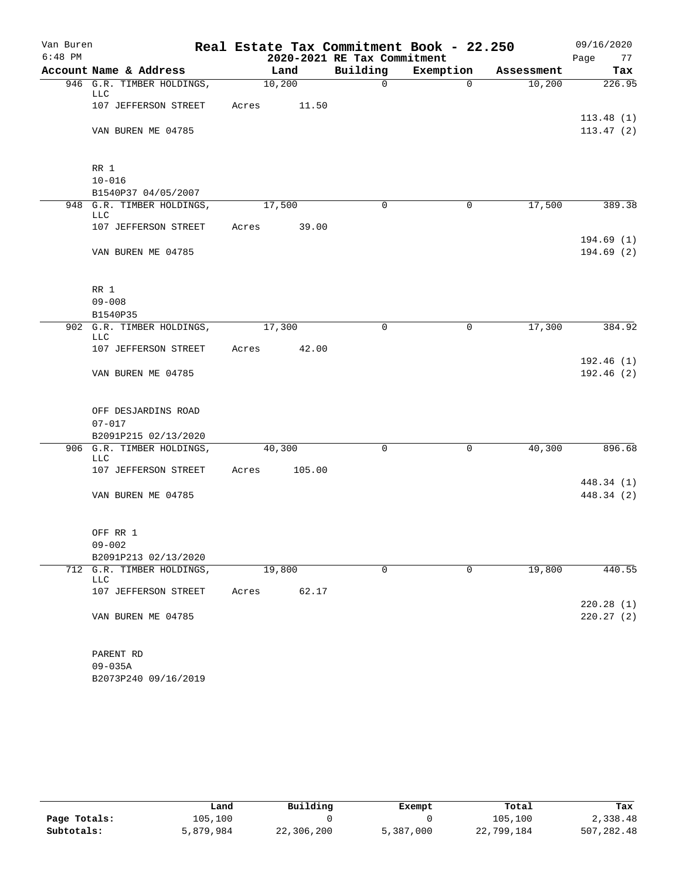| Van Buren |                                                  |       |        |        | Real Estate Tax Commitment Book - 22.250 |           |                |            |      | 09/16/2020               |
|-----------|--------------------------------------------------|-------|--------|--------|------------------------------------------|-----------|----------------|------------|------|--------------------------|
| $6:48$ PM |                                                  |       |        |        | 2020-2021 RE Tax Commitment              |           |                |            | Page | 77                       |
|           | Account Name & Address                           |       | Land   |        | Building                                 | Exemption |                | Assessment |      | Tax                      |
|           | 946 G.R. TIMBER HOLDINGS,<br>LLC                 |       | 10,200 |        | $\mathsf{O}$                             |           | $\overline{0}$ | 10,200     |      | 226.95                   |
|           | 107 JEFFERSON STREET                             | Acres |        | 11.50  |                                          |           |                |            |      |                          |
|           |                                                  |       |        |        |                                          |           |                |            |      | 113.48(1)                |
|           | VAN BUREN ME 04785                               |       |        |        |                                          |           |                |            |      | 113.47(2)                |
|           | RR 1                                             |       |        |        |                                          |           |                |            |      |                          |
|           | $10 - 016$                                       |       |        |        |                                          |           |                |            |      |                          |
|           | B1540P37 04/05/2007<br>948 G.R. TIMBER HOLDINGS, |       | 17,500 |        | $\Omega$                                 |           | 0              | 17,500     |      | 389.38                   |
|           | LLC                                              |       |        |        |                                          |           |                |            |      |                          |
|           | 107 JEFFERSON STREET                             | Acres |        | 39.00  |                                          |           |                |            |      |                          |
|           | VAN BUREN ME 04785                               |       |        |        |                                          |           |                |            |      | 194.69(1)<br>194.69(2)   |
|           | RR 1                                             |       |        |        |                                          |           |                |            |      |                          |
|           | $09 - 008$                                       |       |        |        |                                          |           |                |            |      |                          |
|           | B1540P35                                         |       |        |        |                                          |           |                |            |      |                          |
|           | 902 G.R. TIMBER HOLDINGS,<br><b>LLC</b>          |       | 17,300 |        | 0                                        |           | $\mathbf 0$    | 17,300     |      | 384.92                   |
|           | 107 JEFFERSON STREET                             | Acres |        | 42.00  |                                          |           |                |            |      |                          |
|           |                                                  |       |        |        |                                          |           |                |            |      | 192.46(1)                |
|           | VAN BUREN ME 04785                               |       |        |        |                                          |           |                |            |      | 192.46(2)                |
|           | OFF DESJARDINS ROAD                              |       |        |        |                                          |           |                |            |      |                          |
|           | $07 - 017$                                       |       |        |        |                                          |           |                |            |      |                          |
|           | B2091P215 02/13/2020                             |       |        |        |                                          |           |                |            |      |                          |
|           | 906 G.R. TIMBER HOLDINGS,<br><b>LLC</b>          |       | 40,300 |        | $\mathbf 0$                              |           | 0              | 40,300     |      | 896.68                   |
|           | 107 JEFFERSON STREET                             | Acres |        | 105.00 |                                          |           |                |            |      |                          |
|           | VAN BUREN ME 04785                               |       |        |        |                                          |           |                |            |      | 448.34 (1)<br>448.34 (2) |
|           |                                                  |       |        |        |                                          |           |                |            |      |                          |
|           | OFF RR 1                                         |       |        |        |                                          |           |                |            |      |                          |
|           | $09 - 002$                                       |       |        |        |                                          |           |                |            |      |                          |
|           | B2091P213 02/13/2020                             |       |        |        |                                          |           |                |            |      |                          |
| 712       | G.R. TIMBER HOLDINGS,<br>LLC                     |       | 19,800 |        | $\mathbf 0$                              |           | $\mathbf 0$    | 19,800     |      | 440.55                   |
|           | 107 JEFFERSON STREET                             | Acres |        | 62.17  |                                          |           |                |            |      |                          |
|           |                                                  |       |        |        |                                          |           |                |            |      | 220.28(1)                |
|           | VAN BUREN ME 04785                               |       |        |        |                                          |           |                |            |      | 220.27(2)                |
|           | PARENT RD                                        |       |        |        |                                          |           |                |            |      |                          |
|           | $09 - 035A$                                      |       |        |        |                                          |           |                |            |      |                          |

|              | Land      | Building   | Exempt    | Total      | Tax        |
|--------------|-----------|------------|-----------|------------|------------|
| Page Totals: | 105,100   |            |           | 105,100    | 2,338.48   |
| Subtotals:   | 5,879,984 | 22,306,200 | 5,387,000 | 22,799,184 | 507,282.48 |

B2073P240 09/16/2019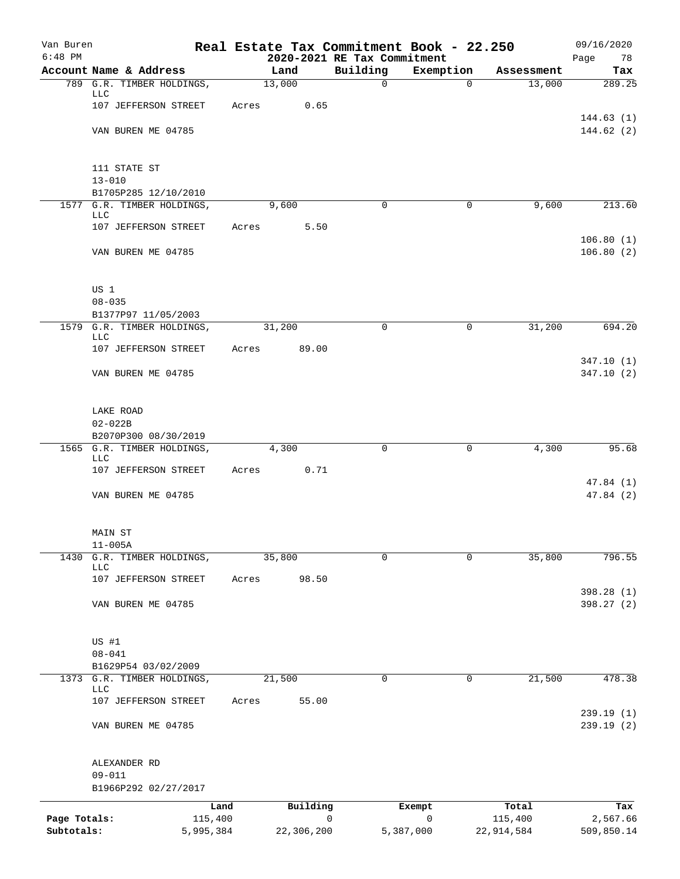| Van Buren    |                                                     |           |                |                             | Real Estate Tax Commitment Book - 22.250 |                      | 09/16/2020    |
|--------------|-----------------------------------------------------|-----------|----------------|-----------------------------|------------------------------------------|----------------------|---------------|
| $6:48$ PM    |                                                     |           |                | 2020-2021 RE Tax Commitment |                                          |                      | Page<br>78    |
|              | Account Name & Address<br>789 G.R. TIMBER HOLDINGS, |           | Land<br>13,000 | Building<br>$\mathbf 0$     | Exemption<br>0                           | Assessment<br>13,000 | Tax<br>289.25 |
|              | LLC                                                 |           |                |                             |                                          |                      |               |
|              | 107 JEFFERSON STREET                                | Acres     | 0.65           |                             |                                          |                      |               |
|              |                                                     |           |                |                             |                                          |                      | 144.63(1)     |
|              | VAN BUREN ME 04785                                  |           |                |                             |                                          |                      | 144.62(2)     |
|              | 111 STATE ST                                        |           |                |                             |                                          |                      |               |
|              | $13 - 010$                                          |           |                |                             |                                          |                      |               |
|              | B1705P285 12/10/2010                                |           |                |                             |                                          |                      |               |
|              | 1577 G.R. TIMBER HOLDINGS,                          |           | 9,600          | $\mathbf 0$                 | $\mathbf 0$                              | 9,600                | 213.60        |
|              | LLC<br>107 JEFFERSON STREET                         | Acres     | 5.50           |                             |                                          |                      |               |
|              |                                                     |           |                |                             |                                          |                      | 106.80(1)     |
|              | VAN BUREN ME 04785                                  |           |                |                             |                                          |                      | 106.80(2)     |
|              | US 1                                                |           |                |                             |                                          |                      |               |
|              | $08 - 035$                                          |           |                |                             |                                          |                      |               |
|              | B1377P97 11/05/2003                                 |           |                |                             |                                          |                      |               |
|              | 1579 G.R. TIMBER HOLDINGS,                          |           | 31,200         | $\Omega$                    | 0                                        | 31,200               | 694.20        |
|              | LLC                                                 |           |                |                             |                                          |                      |               |
|              | 107 JEFFERSON STREET                                | Acres     | 89.00          |                             |                                          |                      | 347.10(1)     |
|              | VAN BUREN ME 04785                                  |           |                |                             |                                          |                      | 347.10(2)     |
|              |                                                     |           |                |                             |                                          |                      |               |
|              | LAKE ROAD                                           |           |                |                             |                                          |                      |               |
|              | $02 - 022B$                                         |           |                |                             |                                          |                      |               |
|              | B2070P300 08/30/2019                                |           |                |                             |                                          |                      |               |
|              | 1565 G.R. TIMBER HOLDINGS,<br><b>LLC</b>            |           | 4,300          | 0                           | 0                                        | 4,300                | 95.68         |
|              | 107 JEFFERSON STREET                                | Acres     | 0.71           |                             |                                          |                      |               |
|              |                                                     |           |                |                             |                                          |                      | 47.84 (1)     |
|              | VAN BUREN ME 04785                                  |           |                |                             |                                          |                      | 47.84(2)      |
|              | MAIN ST                                             |           |                |                             |                                          |                      |               |
|              | $11 - 005A$                                         |           |                |                             |                                          |                      |               |
| 1430         | G.R. TIMBER HOLDINGS,                               |           | 35,800         | 0                           | $\mathbf 0$                              | 35,800               | 796.55        |
|              | <b>LLC</b><br>107 JEFFERSON STREET                  | Acres     | 98.50          |                             |                                          |                      |               |
|              |                                                     |           |                |                             |                                          |                      | 398.28 (1)    |
|              | VAN BUREN ME 04785                                  |           |                |                             |                                          |                      | 398.27(2)     |
|              |                                                     |           |                |                             |                                          |                      |               |
|              | US #1                                               |           |                |                             |                                          |                      |               |
|              | $08 - 041$                                          |           |                |                             |                                          |                      |               |
|              | B1629P54 03/02/2009                                 |           |                |                             |                                          |                      |               |
|              | 1373 G.R. TIMBER HOLDINGS,<br>LLC                   |           | 21,500         | 0                           | 0                                        | 21,500               | 478.38        |
|              | 107 JEFFERSON STREET                                | Acres     | 55.00          |                             |                                          |                      |               |
|              |                                                     |           |                |                             |                                          |                      | 239.19(1)     |
|              | VAN BUREN ME 04785                                  |           |                |                             |                                          |                      | 239.19(2)     |
|              | ALEXANDER RD                                        |           |                |                             |                                          |                      |               |
|              | $09 - 011$                                          |           |                |                             |                                          |                      |               |
|              | B1966P292 02/27/2017                                |           |                |                             |                                          |                      |               |
|              |                                                     | Land      | Building       |                             | Exempt                                   | Total                | Tax           |
| Page Totals: |                                                     | 115,400   |                | 0                           | $\mathbf 0$                              | 115,400              | 2,567.66      |
| Subtotals:   |                                                     | 5,995,384 | 22,306,200     |                             | 5,387,000                                | 22,914,584           | 509,850.14    |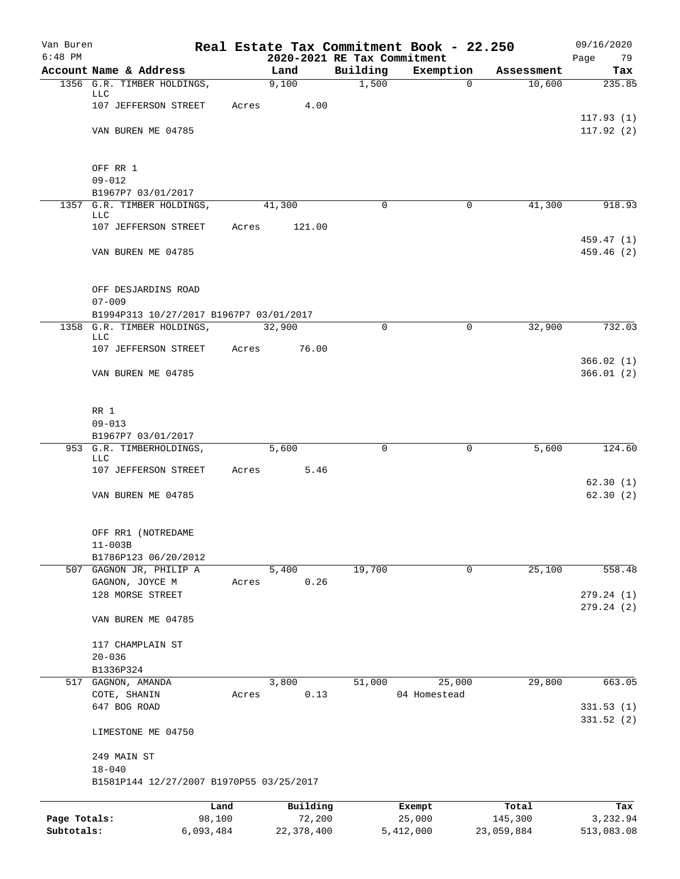| Van Buren    |                                                      |           |               |                             | Real Estate Tax Commitment Book - 22.250 |                      | 09/16/2020             |
|--------------|------------------------------------------------------|-----------|---------------|-----------------------------|------------------------------------------|----------------------|------------------------|
| $6:48$ PM    |                                                      |           |               | 2020-2021 RE Tax Commitment |                                          |                      | 79<br>Page             |
|              | Account Name & Address<br>1356 G.R. TIMBER HOLDINGS, |           | Land<br>9,100 | Building<br>1,500           | Exemption<br>$\Omega$                    | Assessment<br>10,600 | Tax<br>235.85          |
|              | LLC                                                  |           |               |                             |                                          |                      |                        |
|              | 107 JEFFERSON STREET                                 | Acres     | 4.00          |                             |                                          |                      |                        |
|              |                                                      |           |               |                             |                                          |                      | 117.93(1)              |
|              | VAN BUREN ME 04785                                   |           |               |                             |                                          |                      | 117.92(2)              |
|              | OFF RR 1                                             |           |               |                             |                                          |                      |                        |
|              | $09 - 012$                                           |           |               |                             |                                          |                      |                        |
|              | B1967P7 03/01/2017                                   |           |               |                             |                                          |                      |                        |
| 1357         | G.R. TIMBER HOLDINGS,                                |           | 41,300        | 0                           | $\mathbf 0$                              | 41,300               | 918.93                 |
|              | LLC<br>107 JEFFERSON STREET                          | Acres     | 121.00        |                             |                                          |                      |                        |
|              |                                                      |           |               |                             |                                          |                      | 459.47 (1)             |
|              | VAN BUREN ME 04785                                   |           |               |                             |                                          |                      | 459.46 (2)             |
|              | OFF DESJARDINS ROAD                                  |           |               |                             |                                          |                      |                        |
|              | $07 - 009$                                           |           |               |                             |                                          |                      |                        |
|              | B1994P313 10/27/2017 B1967P7 03/01/2017              |           |               |                             |                                          |                      |                        |
|              | 1358 G.R. TIMBER HOLDINGS,                           |           | 32,900        | $\Omega$                    | 0                                        | 32,900               | 732.03                 |
|              | LLC                                                  |           |               |                             |                                          |                      |                        |
|              | 107 JEFFERSON STREET                                 | Acres     | 76.00         |                             |                                          |                      | 366.02(1)              |
|              | VAN BUREN ME 04785                                   |           |               |                             |                                          |                      | 366.01(2)              |
|              |                                                      |           |               |                             |                                          |                      |                        |
|              | RR 1                                                 |           |               |                             |                                          |                      |                        |
|              | $09 - 013$                                           |           |               |                             |                                          |                      |                        |
|              | B1967P7 03/01/2017                                   |           |               |                             |                                          |                      |                        |
|              | 953 G.R. TIMBERHOLDINGS,                             |           | 5,600         | $\mathbf 0$                 | $\mathbf 0$                              | 5,600                | 124.60                 |
|              | LLC<br>107 JEFFERSON STREET                          | Acres     | 5.46          |                             |                                          |                      |                        |
|              |                                                      |           |               |                             |                                          |                      | 62.30(1)               |
|              | VAN BUREN ME 04785                                   |           |               |                             |                                          |                      | 62.30(2)               |
|              | OFF RR1 (NOTREDAME                                   |           |               |                             |                                          |                      |                        |
|              | $11 - 003B$                                          |           |               |                             |                                          |                      |                        |
|              | B1786P123 06/20/2012                                 |           |               |                             |                                          |                      |                        |
|              | 507 GAGNON JR, PHILIP A                              |           | 5,400         | 19,700                      | 0                                        | 25,100               | 558.48                 |
|              | GAGNON, JOYCE M                                      | Acres     | 0.26          |                             |                                          |                      |                        |
|              | 128 MORSE STREET                                     |           |               |                             |                                          |                      | 279.24(1)<br>279.24(2) |
|              | VAN BUREN ME 04785                                   |           |               |                             |                                          |                      |                        |
|              | 117 CHAMPLAIN ST                                     |           |               |                             |                                          |                      |                        |
|              | $20 - 036$                                           |           |               |                             |                                          |                      |                        |
|              | B1336P324                                            |           |               |                             |                                          |                      |                        |
|              | 517 GAGNON, AMANDA                                   |           | 3,800         | 51,000                      | 25,000                                   | 29,800               | 663.05                 |
|              | COTE, SHANIN                                         | Acres     | 0.13          |                             | 04 Homestead                             |                      |                        |
|              | 647 BOG ROAD                                         |           |               |                             |                                          |                      | 331.53(1)              |
|              | LIMESTONE ME 04750                                   |           |               |                             |                                          |                      | 331.52(2)              |
|              | 249 MAIN ST                                          |           |               |                             |                                          |                      |                        |
|              | $18 - 040$                                           |           |               |                             |                                          |                      |                        |
|              | B1581P144 12/27/2007 B1970P55 03/25/2017             |           |               |                             |                                          |                      |                        |
|              |                                                      | Land      | Building      |                             | Exempt                                   | Total                | Tax                    |
| Page Totals: |                                                      | 98,100    | 72,200        |                             | 25,000                                   | 145,300              | 3,232.94               |
| Subtotals:   |                                                      | 6,093,484 | 22, 378, 400  |                             | 5,412,000                                | 23,059,884           | 513,083.08             |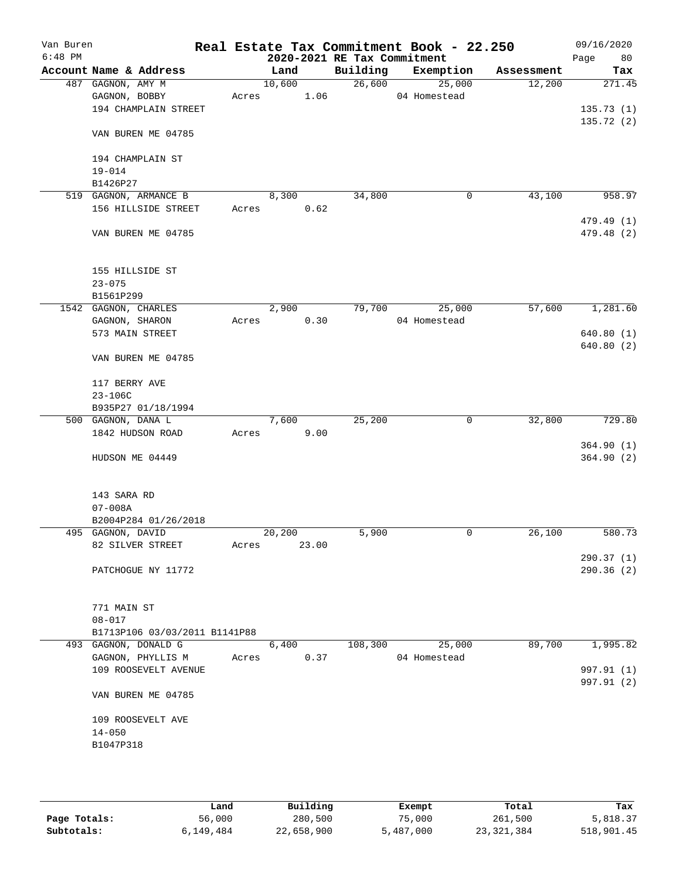| Van Buren<br>$6:48$ PM |                      |                               |       |        |       | 2020-2021 RE Tax Commitment | Real Estate Tax Commitment Book - 22.250 |            | 09/16/2020<br>80<br>Page |
|------------------------|----------------------|-------------------------------|-------|--------|-------|-----------------------------|------------------------------------------|------------|--------------------------|
|                        |                      | Account Name & Address        |       | Land   |       | Building                    | Exemption                                | Assessment | Tax                      |
|                        | 487 GAGNON, AMY M    |                               |       | 10,600 |       | 26,600                      | 25,000                                   | 12,200     | 271.45                   |
|                        | GAGNON, BOBBY        |                               | Acres |        | 1.06  |                             | 04 Homestead                             |            |                          |
|                        |                      | 194 CHAMPLAIN STREET          |       |        |       |                             |                                          |            | 135.73(1)                |
|                        |                      | VAN BUREN ME 04785            |       |        |       |                             |                                          |            | 135.72(2)                |
|                        |                      | 194 CHAMPLAIN ST              |       |        |       |                             |                                          |            |                          |
|                        | $19 - 014$           |                               |       |        |       |                             |                                          |            |                          |
|                        | B1426P27             |                               |       |        |       |                             |                                          |            |                          |
|                        |                      | 519 GAGNON, ARMANCE B         |       | 8,300  |       | 34,800                      | 0                                        | 43,100     | 958.97                   |
|                        |                      | 156 HILLSIDE STREET           | Acres |        | 0.62  |                             |                                          |            | 479.49 (1)               |
|                        |                      | VAN BUREN ME 04785            |       |        |       |                             |                                          |            | 479.48 (2)               |
|                        |                      | 155 HILLSIDE ST               |       |        |       |                             |                                          |            |                          |
|                        | $23 - 075$           |                               |       |        |       |                             |                                          |            |                          |
|                        | B1561P299            |                               |       |        |       |                             |                                          |            |                          |
|                        | 1542 GAGNON, CHARLES |                               |       | 2,900  | 0.30  | 79,700                      | 25,000                                   | 57,600     | 1,281.60                 |
|                        | GAGNON, SHARON       | 573 MAIN STREET               | Acres |        |       |                             | 04 Homestead                             |            | 640.80(1)                |
|                        |                      |                               |       |        |       |                             |                                          |            | 640.80(2)                |
|                        |                      | VAN BUREN ME 04785            |       |        |       |                             |                                          |            |                          |
|                        | 117 BERRY AVE        |                               |       |        |       |                             |                                          |            |                          |
|                        | $23 - 106C$          |                               |       |        |       |                             |                                          |            |                          |
|                        |                      | B935P27 01/18/1994            |       |        |       |                             |                                          |            |                          |
|                        | 500 GAGNON, DANA L   |                               |       | 7,600  |       | 25,200                      | 0                                        | 32,800     | 729.80                   |
|                        |                      | 1842 HUDSON ROAD              | Acres |        | 9.00  |                             |                                          |            |                          |
|                        |                      |                               |       |        |       |                             |                                          |            | 364.90(1)                |
|                        |                      | HUDSON ME 04449               |       |        |       |                             |                                          |            | 364.90(2)                |
|                        | 143 SARA RD          |                               |       |        |       |                             |                                          |            |                          |
|                        | $07 - 008A$          |                               |       |        |       |                             |                                          |            |                          |
|                        |                      | B2004P284 01/26/2018          |       |        |       |                             |                                          |            |                          |
|                        | 495 GAGNON, DAVID    |                               |       | 20,200 |       | 5,900                       | 0                                        | 26,100     | 580.73                   |
|                        |                      | 82 SILVER STREET              | Acres |        | 23.00 |                             |                                          |            |                          |
|                        |                      | PATCHOGUE NY 11772            |       |        |       |                             |                                          |            | 290.37(1)<br>290.36 (2)  |
|                        |                      |                               |       |        |       |                             |                                          |            |                          |
|                        | 771 MAIN ST          |                               |       |        |       |                             |                                          |            |                          |
|                        | $08 - 017$           | B1713P106 03/03/2011 B1141P88 |       |        |       |                             |                                          |            |                          |
|                        |                      | 493 GAGNON, DONALD G          |       | 6,400  |       | 108,300                     | 25,000                                   | 89,700     | 1,995.82                 |
|                        |                      | GAGNON, PHYLLIS M             | Acres |        | 0.37  |                             | 04 Homestead                             |            |                          |
|                        |                      | 109 ROOSEVELT AVENUE          |       |        |       |                             |                                          |            | 997.91 (1)               |
|                        |                      | VAN BUREN ME 04785            |       |        |       |                             |                                          |            | 997.91 (2)               |
|                        |                      |                               |       |        |       |                             |                                          |            |                          |
|                        | $14 - 050$           | 109 ROOSEVELT AVE             |       |        |       |                             |                                          |            |                          |
|                        | B1047P318            |                               |       |        |       |                             |                                          |            |                          |
|                        |                      |                               |       |        |       |                             |                                          |            |                          |
|                        |                      |                               |       |        |       |                             |                                          |            |                          |

|              | Land      | Building   | Exempt    | Total        | Tax        |
|--------------|-----------|------------|-----------|--------------|------------|
| Page Totals: | 56,000    | 280,500    | 75,000    | 261,500      | 5,818.37   |
| Subtotals:   | 6,149,484 | 22,658,900 | 5,487,000 | 23, 321, 384 | 518,901.45 |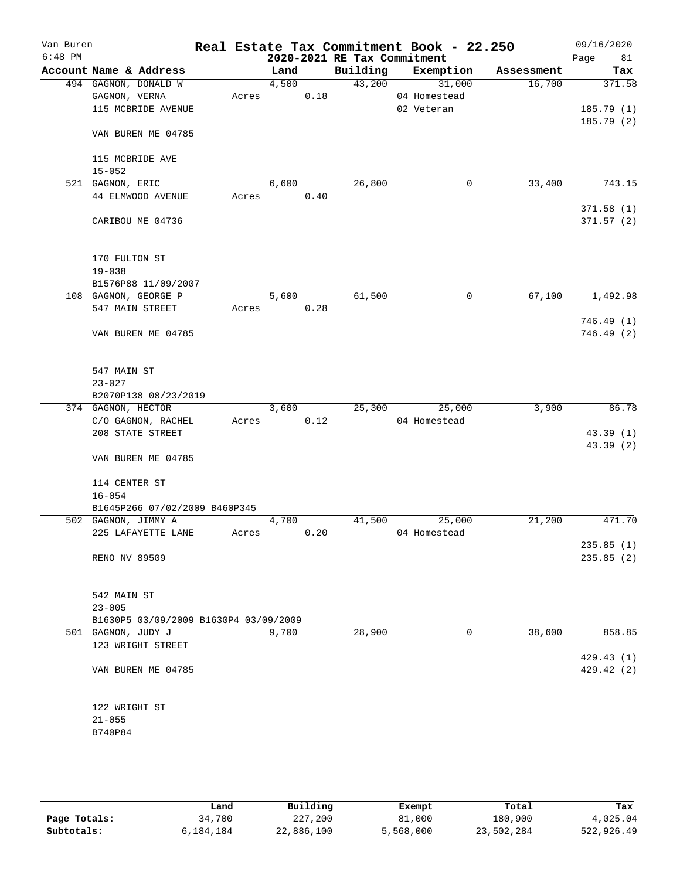| Van Buren<br>$6:48$ PM |                                       |       |       |      | 2020-2021 RE Tax Commitment | Real Estate Tax Commitment Book - 22.250 |            | 09/16/2020<br>Page<br>81 |
|------------------------|---------------------------------------|-------|-------|------|-----------------------------|------------------------------------------|------------|--------------------------|
|                        | Account Name & Address                |       | Land  |      | Building                    | Exemption                                | Assessment | Tax                      |
|                        | 494 GAGNON, DONALD W                  |       | 4,500 |      | 43,200                      | 31,000                                   | 16,700     | 371.58                   |
|                        | GAGNON, VERNA                         | Acres |       | 0.18 |                             | 04 Homestead                             |            |                          |
|                        | 115 MCBRIDE AVENUE                    |       |       |      |                             | 02 Veteran                               |            | 185.79(1)                |
|                        |                                       |       |       |      |                             |                                          |            | 185.79(2)                |
|                        | VAN BUREN ME 04785                    |       |       |      |                             |                                          |            |                          |
|                        | 115 MCBRIDE AVE                       |       |       |      |                             |                                          |            |                          |
|                        | $15 - 052$                            |       |       |      |                             |                                          |            |                          |
|                        | 521 GAGNON, ERIC                      |       | 6,600 |      | 26,800                      | 0                                        | 33,400     | 743.15                   |
|                        | 44 ELMWOOD AVENUE                     |       | Acres | 0.40 |                             |                                          |            |                          |
|                        |                                       |       |       |      |                             |                                          |            | 371.58(1)                |
|                        | CARIBOU ME 04736                      |       |       |      |                             |                                          |            | 371.57(2)                |
|                        | 170 FULTON ST                         |       |       |      |                             |                                          |            |                          |
|                        | $19 - 038$                            |       |       |      |                             |                                          |            |                          |
|                        | B1576P88 11/09/2007                   |       |       |      |                             |                                          |            |                          |
|                        | 108 GAGNON, GEORGE P                  |       | 5,600 |      | 61,500                      | 0                                        | 67,100     | 1,492.98                 |
|                        | 547 MAIN STREET                       | Acres |       | 0.28 |                             |                                          |            |                          |
|                        |                                       |       |       |      |                             |                                          |            | 746.49(1)                |
|                        | VAN BUREN ME 04785                    |       |       |      |                             |                                          |            | 746.49(2)                |
|                        | 547 MAIN ST                           |       |       |      |                             |                                          |            |                          |
|                        | $23 - 027$                            |       |       |      |                             |                                          |            |                          |
|                        | B2070P138 08/23/2019                  |       |       |      |                             |                                          |            |                          |
|                        | 374 GAGNON, HECTOR                    |       | 3,600 |      | 25,300                      | 25,000                                   | 3,900      | 86.78                    |
|                        | C/O GAGNON, RACHEL                    | Acres |       | 0.12 |                             | 04 Homestead                             |            |                          |
|                        | 208 STATE STREET                      |       |       |      |                             |                                          |            | 43.39 (1)                |
|                        |                                       |       |       |      |                             |                                          |            | 43.39 (2)                |
|                        | VAN BUREN ME 04785                    |       |       |      |                             |                                          |            |                          |
|                        | 114 CENTER ST                         |       |       |      |                             |                                          |            |                          |
|                        | $16 - 054$                            |       |       |      |                             |                                          |            |                          |
|                        | B1645P266 07/02/2009 B460P345         |       |       |      |                             |                                          |            |                          |
|                        | 502 GAGNON, JIMMY A                   |       | 4,700 |      | 41,500                      | 25,000                                   | 21,200     | 471.70                   |
|                        | 225 LAFAYETTE LANE                    | Acres |       | 0.20 |                             | 04 Homestead                             |            |                          |
|                        | RENO NV 89509                         |       |       |      |                             |                                          |            | 235.85(1)<br>235.85(2)   |
|                        |                                       |       |       |      |                             |                                          |            |                          |
|                        | 542 MAIN ST                           |       |       |      |                             |                                          |            |                          |
|                        | $23 - 005$                            |       |       |      |                             |                                          |            |                          |
|                        | B1630P5 03/09/2009 B1630P4 03/09/2009 |       |       |      |                             |                                          |            |                          |
|                        | 501 GAGNON, JUDY J                    |       | 9,700 |      | 28,900                      | 0                                        | 38,600     | 858.85                   |
|                        | 123 WRIGHT STREET                     |       |       |      |                             |                                          |            | 429.43(1)                |
|                        | VAN BUREN ME 04785                    |       |       |      |                             |                                          |            | 429.42 (2)               |
|                        | 122 WRIGHT ST                         |       |       |      |                             |                                          |            |                          |
|                        | $21 - 055$                            |       |       |      |                             |                                          |            |                          |
|                        | B740P84                               |       |       |      |                             |                                          |            |                          |
|                        |                                       |       |       |      |                             |                                          |            |                          |
|                        |                                       |       |       |      |                             |                                          |            |                          |

|              | Land      | Building   | Exempt    | Total      | Tax        |
|--------------|-----------|------------|-----------|------------|------------|
| Page Totals: | 34,700    | 227,200    | 81,000    | 180,900    | 4,025.04   |
| Subtotals:   | 6,184,184 | 22,886,100 | 5,568,000 | 23,502,284 | 522,926.49 |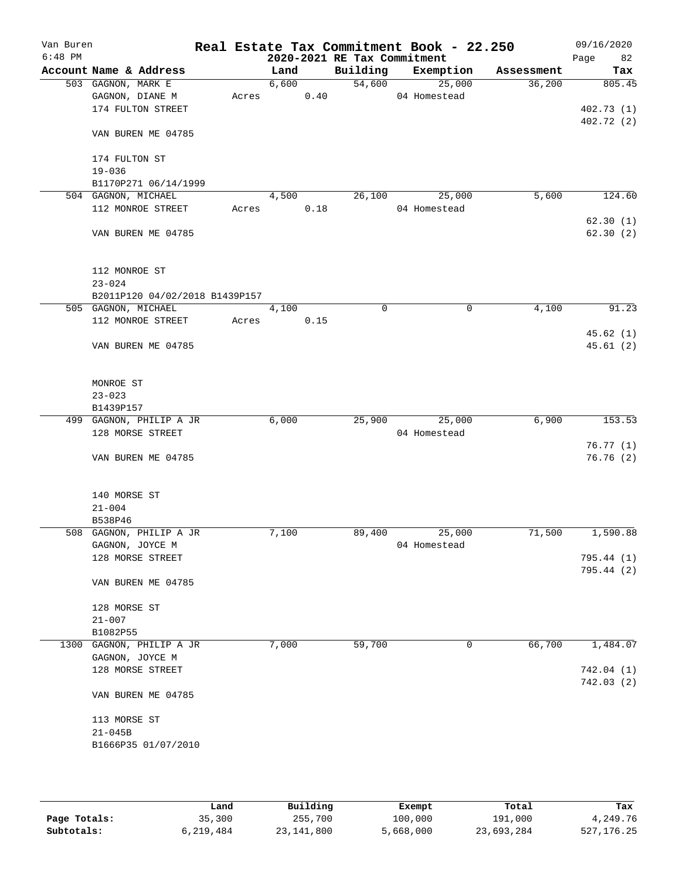| Van Buren<br>$6:48$ PM |                                             |       |       |      | 2020-2021 RE Tax Commitment | Real Estate Tax Commitment Book - 22.250 |            | 09/16/2020<br>82<br>Page |
|------------------------|---------------------------------------------|-------|-------|------|-----------------------------|------------------------------------------|------------|--------------------------|
|                        | Account Name & Address                      |       | Land  |      | Building                    | Exemption                                | Assessment | Tax                      |
|                        | 503 GAGNON, MARK E                          |       | 6,600 |      | 54,600                      | 25,000                                   | 36,200     | 805.45                   |
|                        | GAGNON, DIANE M                             | Acres |       | 0.40 |                             | 04 Homestead                             |            |                          |
|                        | 174 FULTON STREET                           |       |       |      |                             |                                          |            | 402.73(1)                |
|                        |                                             |       |       |      |                             |                                          |            | 402.72 (2)               |
|                        | VAN BUREN ME 04785                          |       |       |      |                             |                                          |            |                          |
|                        | 174 FULTON ST                               |       |       |      |                             |                                          |            |                          |
|                        | $19 - 036$                                  |       |       |      |                             |                                          |            |                          |
|                        | B1170P271 06/14/1999<br>504 GAGNON, MICHAEL |       | 4,500 |      | 26,100                      | 25,000                                   | 5,600      | 124.60                   |
|                        | 112 MONROE STREET                           | Acres |       | 0.18 |                             | 04 Homestead                             |            |                          |
|                        |                                             |       |       |      |                             |                                          |            | 62.30(1)                 |
|                        | VAN BUREN ME 04785                          |       |       |      |                             |                                          |            | 62.30(2)                 |
|                        | 112 MONROE ST                               |       |       |      |                             |                                          |            |                          |
|                        | $23 - 024$                                  |       |       |      |                             |                                          |            |                          |
|                        | B2011P120 04/02/2018 B1439P157              |       |       |      |                             |                                          |            |                          |
|                        | 505 GAGNON, MICHAEL                         |       | 4,100 |      | $\Omega$                    | $\mathbf 0$                              | 4,100      | 91.23                    |
|                        | 112 MONROE STREET                           | Acres |       | 0.15 |                             |                                          |            |                          |
|                        | VAN BUREN ME 04785                          |       |       |      |                             |                                          |            | 45.62(1)<br>45.61(2)     |
|                        | MONROE ST<br>$23 - 023$<br>B1439P157        |       |       |      |                             |                                          |            |                          |
|                        | 499 GAGNON, PHILIP A JR                     |       | 6,000 |      | 25,900                      | 25,000                                   | 6,900      | 153.53                   |
|                        | 128 MORSE STREET                            |       |       |      |                             | 04 Homestead                             |            |                          |
|                        |                                             |       |       |      |                             |                                          |            | 76.77(1)                 |
|                        | VAN BUREN ME 04785                          |       |       |      |                             |                                          |            | 76.76(2)                 |
|                        | 140 MORSE ST                                |       |       |      |                             |                                          |            |                          |
|                        | $21 - 004$                                  |       |       |      |                             |                                          |            |                          |
|                        | B538P46                                     |       |       |      |                             |                                          |            |                          |
|                        | 508 GAGNON, PHILIP A JR                     |       | 7,100 |      | 89,400                      | 25,000                                   | 71,500     | 1,590.88                 |
|                        | GAGNON, JOYCE M                             |       |       |      |                             | 04 Homestead                             |            |                          |
|                        | 128 MORSE STREET                            |       |       |      |                             |                                          |            | 795.44 (1)               |
|                        | VAN BUREN ME 04785                          |       |       |      |                             |                                          |            | 795.44 (2)               |
|                        | 128 MORSE ST                                |       |       |      |                             |                                          |            |                          |
|                        | $21 - 007$                                  |       |       |      |                             |                                          |            |                          |
|                        | B1082P55                                    |       |       |      |                             |                                          |            |                          |
|                        | 1300 GAGNON, PHILIP A JR                    |       | 7,000 |      | 59,700                      | 0                                        | 66,700     | 1,484.07                 |
|                        | GAGNON, JOYCE M                             |       |       |      |                             |                                          |            |                          |
|                        | 128 MORSE STREET                            |       |       |      |                             |                                          |            | 742.04(1)                |
|                        |                                             |       |       |      |                             |                                          |            | 742.03(2)                |
|                        | VAN BUREN ME 04785                          |       |       |      |                             |                                          |            |                          |
|                        | 113 MORSE ST                                |       |       |      |                             |                                          |            |                          |
|                        | $21 - 045B$<br>B1666P35 01/07/2010          |       |       |      |                             |                                          |            |                          |
|                        |                                             |       |       |      |                             |                                          |            |                          |

|              | Land      | Building   | Exempt    | Total      | Tax          |
|--------------|-----------|------------|-----------|------------|--------------|
| Page Totals: | 35,300    | 255,700    | 100,000   | 191,000    | 4,249.76     |
| Subtotals:   | 6,219,484 | 23,141,800 | 5,668,000 | 23,693,284 | 527, 176. 25 |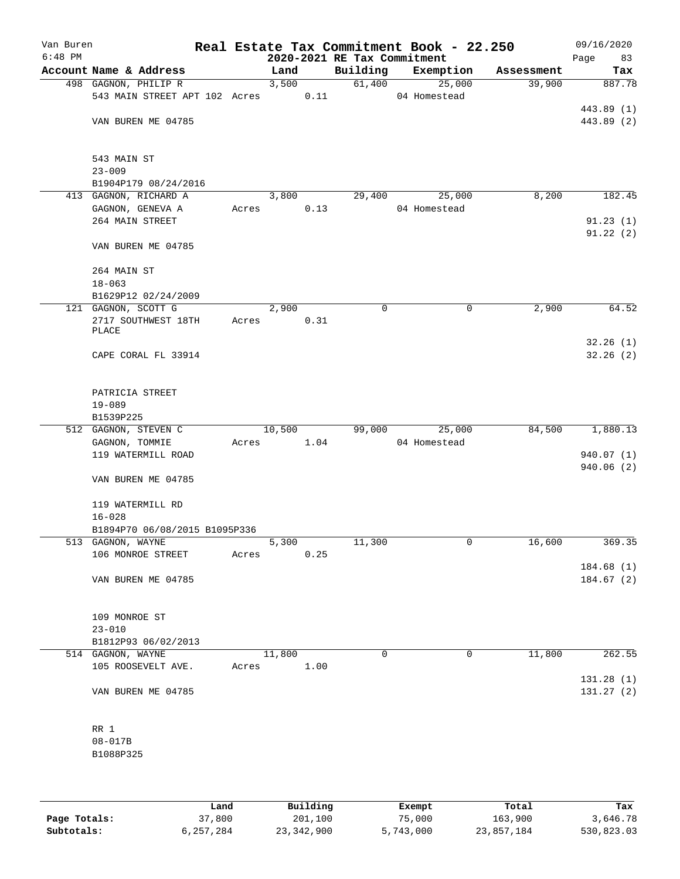| Van Buren<br>$6:48$ PM |                                    |       |        |      | 2020-2021 RE Tax Commitment | Real Estate Tax Commitment Book - 22.250 |            | 09/16/2020<br>Page<br>83 |
|------------------------|------------------------------------|-------|--------|------|-----------------------------|------------------------------------------|------------|--------------------------|
|                        | Account Name & Address             |       | Land   |      | Building                    | Exemption                                | Assessment | Tax                      |
|                        | 498 GAGNON, PHILIP R               |       | 3,500  |      | 61,400                      | 25,000                                   | 39,900     | 887.78                   |
|                        | 543 MAIN STREET APT 102 Acres      |       | 0.11   |      |                             | 04 Homestead                             |            |                          |
|                        |                                    |       |        |      |                             |                                          |            | 443.89 (1)               |
|                        | VAN BUREN ME 04785                 |       |        |      |                             |                                          |            | 443.89 (2)               |
|                        |                                    |       |        |      |                             |                                          |            |                          |
|                        |                                    |       |        |      |                             |                                          |            |                          |
|                        | 543 MAIN ST                        |       |        |      |                             |                                          |            |                          |
|                        | $23 - 009$<br>B1904P179 08/24/2016 |       |        |      |                             |                                          |            |                          |
|                        | 413 GAGNON, RICHARD A              |       | 3,800  |      | 29,400                      | 25,000                                   | 8,200      | 182.45                   |
|                        | GAGNON, GENEVA A                   | Acres |        | 0.13 |                             | 04 Homestead                             |            |                          |
|                        | 264 MAIN STREET                    |       |        |      |                             |                                          |            | 91.23(1)                 |
|                        |                                    |       |        |      |                             |                                          |            | 91.22(2)                 |
|                        | VAN BUREN ME 04785                 |       |        |      |                             |                                          |            |                          |
|                        |                                    |       |        |      |                             |                                          |            |                          |
|                        | 264 MAIN ST                        |       |        |      |                             |                                          |            |                          |
|                        | $18 - 063$                         |       |        |      |                             |                                          |            |                          |
|                        | B1629P12 02/24/2009                |       |        |      |                             |                                          |            |                          |
|                        | 121 GAGNON, SCOTT G                |       | 2,900  |      | $\mathbf 0$                 | 0                                        | 2,900      | 64.52                    |
|                        | 2717 SOUTHWEST 18TH                | Acres |        | 0.31 |                             |                                          |            |                          |
|                        | PLACE                              |       |        |      |                             |                                          |            |                          |
|                        | CAPE CORAL FL 33914                |       |        |      |                             |                                          |            | 32.26(1)<br>32.26(2)     |
|                        |                                    |       |        |      |                             |                                          |            |                          |
|                        |                                    |       |        |      |                             |                                          |            |                          |
|                        | PATRICIA STREET                    |       |        |      |                             |                                          |            |                          |
|                        | $19 - 089$                         |       |        |      |                             |                                          |            |                          |
|                        | B1539P225                          |       |        |      |                             |                                          |            |                          |
|                        | 512 GAGNON, STEVEN C               |       | 10,500 |      | 99,000                      | 25,000                                   | 84,500     | 1,880.13                 |
|                        | GAGNON, TOMMIE                     | Acres |        | 1.04 |                             | 04 Homestead                             |            |                          |
|                        | 119 WATERMILL ROAD                 |       |        |      |                             |                                          |            | 940.07 (1)               |
|                        |                                    |       |        |      |                             |                                          |            | 940.06 (2)               |
|                        | VAN BUREN ME 04785                 |       |        |      |                             |                                          |            |                          |
|                        |                                    |       |        |      |                             |                                          |            |                          |
|                        | 119 WATERMILL RD                   |       |        |      |                             |                                          |            |                          |
|                        | $16 - 028$                         |       |        |      |                             |                                          |            |                          |
|                        | B1894P70 06/08/2015 B1095P336      |       |        |      |                             |                                          |            |                          |
|                        | 513 GAGNON, WAYNE                  |       | 5,300  |      | 11,300                      | 0                                        | 16,600     | 369.35                   |
|                        | 106 MONROE STREET                  | Acres |        | 0.25 |                             |                                          |            | 184.68 (1)               |
|                        | VAN BUREN ME 04785                 |       |        |      |                             |                                          |            | 184.67(2)                |
|                        |                                    |       |        |      |                             |                                          |            |                          |
|                        |                                    |       |        |      |                             |                                          |            |                          |
|                        | 109 MONROE ST                      |       |        |      |                             |                                          |            |                          |
|                        | $23 - 010$                         |       |        |      |                             |                                          |            |                          |
|                        | B1812P93 06/02/2013                |       |        |      |                             |                                          |            |                          |
|                        | 514 GAGNON, WAYNE                  |       | 11,800 |      | $\mathbf 0$                 | 0                                        | 11,800     | 262.55                   |
|                        | 105 ROOSEVELT AVE.                 | Acres |        | 1.00 |                             |                                          |            |                          |
|                        |                                    |       |        |      |                             |                                          |            | 131.28 (1)               |
|                        | VAN BUREN ME 04785                 |       |        |      |                             |                                          |            | 131.27(2)                |
|                        |                                    |       |        |      |                             |                                          |            |                          |
|                        |                                    |       |        |      |                             |                                          |            |                          |
|                        | RR 1                               |       |        |      |                             |                                          |            |                          |
|                        | $08 - 017B$                        |       |        |      |                             |                                          |            |                          |
|                        | B1088P325                          |       |        |      |                             |                                          |            |                          |
|                        |                                    |       |        |      |                             |                                          |            |                          |
|                        |                                    |       |        |      |                             |                                          |            |                          |

|              | Land      | Building   | Exempt    | Total      | Tax        |
|--------------|-----------|------------|-----------|------------|------------|
| Page Totals: | 37,800    | 201,100    | 75,000    | 163,900    | 3,646.78   |
| Subtotals:   | 6,257,284 | 23,342,900 | 5,743,000 | 23,857,184 | 530,823.03 |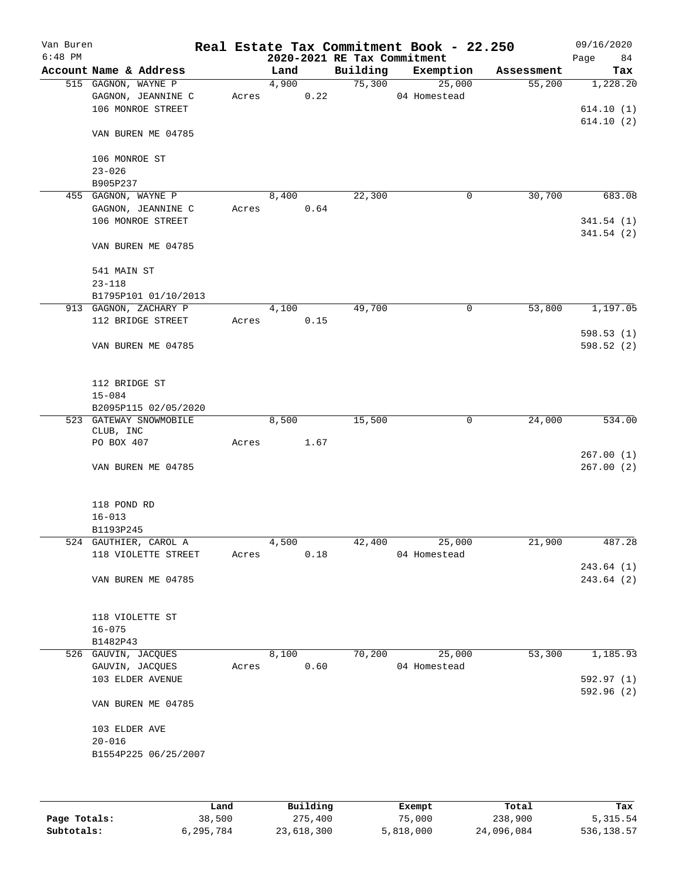| Van Buren |                        |       |       |      |                             | Real Estate Tax Commitment Book - 22.250 |            | 09/16/2020 |
|-----------|------------------------|-------|-------|------|-----------------------------|------------------------------------------|------------|------------|
| $6:48$ PM |                        |       |       |      | 2020-2021 RE Tax Commitment |                                          |            | 84<br>Page |
|           | Account Name & Address |       | Land  |      | Building                    | Exemption                                | Assessment | Tax        |
|           | 515 GAGNON, WAYNE P    |       | 4,900 |      | 75,300                      | 25,000                                   | 55,200     | 1,228.20   |
|           | GAGNON, JEANNINE C     | Acres |       | 0.22 |                             | 04 Homestead                             |            |            |
|           | 106 MONROE STREET      |       |       |      |                             |                                          |            | 614.10(1)  |
|           |                        |       |       |      |                             |                                          |            | 614.10(2)  |
|           | VAN BUREN ME 04785     |       |       |      |                             |                                          |            |            |
|           |                        |       |       |      |                             |                                          |            |            |
|           | 106 MONROE ST          |       |       |      |                             |                                          |            |            |
|           | $23 - 026$             |       |       |      |                             |                                          |            |            |
|           | B905P237               |       |       |      |                             |                                          |            |            |
|           | 455 GAGNON, WAYNE P    |       | 8,400 |      | 22,300                      | 0                                        | 30,700     | 683.08     |
|           | GAGNON, JEANNINE C     | Acres |       | 0.64 |                             |                                          |            |            |
|           | 106 MONROE STREET      |       |       |      |                             |                                          |            | 341.54(1)  |
|           |                        |       |       |      |                             |                                          |            | 341.54(2)  |
|           | VAN BUREN ME 04785     |       |       |      |                             |                                          |            |            |
|           |                        |       |       |      |                             |                                          |            |            |
|           | 541 MAIN ST            |       |       |      |                             |                                          |            |            |
|           | $23 - 118$             |       |       |      |                             |                                          |            |            |
|           | B1795P101 01/10/2013   |       |       |      |                             |                                          |            |            |
|           | 913 GAGNON, ZACHARY P  |       | 4,100 |      | 49,700                      | 0                                        | 53,800     | 1,197.05   |
|           | 112 BRIDGE STREET      | Acres |       | 0.15 |                             |                                          |            |            |
|           |                        |       |       |      |                             |                                          |            | 598.53(1)  |
|           |                        |       |       |      |                             |                                          |            | 598.52(2)  |
|           | VAN BUREN ME 04785     |       |       |      |                             |                                          |            |            |
|           |                        |       |       |      |                             |                                          |            |            |
|           |                        |       |       |      |                             |                                          |            |            |
|           | 112 BRIDGE ST          |       |       |      |                             |                                          |            |            |
|           | $15 - 084$             |       |       |      |                             |                                          |            |            |
|           | B2095P115 02/05/2020   |       |       |      |                             |                                          |            |            |
|           | 523 GATEWAY SNOWMOBILE |       | 8,500 |      | 15,500                      | 0                                        | 24,000     | 534.00     |
|           | CLUB, INC              |       |       |      |                             |                                          |            |            |
|           | PO BOX 407             | Acres |       | 1.67 |                             |                                          |            |            |
|           |                        |       |       |      |                             |                                          |            | 267.00(1)  |
|           | VAN BUREN ME 04785     |       |       |      |                             |                                          |            | 267.00(2)  |
|           |                        |       |       |      |                             |                                          |            |            |
|           |                        |       |       |      |                             |                                          |            |            |
|           | 118 POND RD            |       |       |      |                             |                                          |            |            |
|           | $16 - 013$             |       |       |      |                             |                                          |            |            |
|           | B1193P245              |       |       |      |                             |                                          |            |            |
|           | 524 GAUTHIER, CAROL A  |       | 4,500 |      | 42,400                      | 25,000                                   | 21,900     | 487.28     |
|           | 118 VIOLETTE STREET    | Acres |       | 0.18 |                             | 04 Homestead                             |            |            |
|           |                        |       |       |      |                             |                                          |            | 243.64(1)  |
|           | VAN BUREN ME 04785     |       |       |      |                             |                                          |            | 243.64 (2) |
|           |                        |       |       |      |                             |                                          |            |            |
|           |                        |       |       |      |                             |                                          |            |            |
|           | 118 VIOLETTE ST        |       |       |      |                             |                                          |            |            |
|           | $16 - 075$             |       |       |      |                             |                                          |            |            |
|           | B1482P43               |       |       |      |                             |                                          |            |            |
|           | 526 GAUVIN, JACQUES    |       | 8,100 |      | 70,200                      | 25,000                                   | 53,300     | 1,185.93   |
|           | GAUVIN, JACQUES        | Acres |       | 0.60 |                             | 04 Homestead                             |            |            |
|           | 103 ELDER AVENUE       |       |       |      |                             |                                          |            | 592.97(1)  |
|           |                        |       |       |      |                             |                                          |            | 592.96 (2) |
|           | VAN BUREN ME 04785     |       |       |      |                             |                                          |            |            |
|           |                        |       |       |      |                             |                                          |            |            |
|           | 103 ELDER AVE          |       |       |      |                             |                                          |            |            |
|           | $20 - 016$             |       |       |      |                             |                                          |            |            |
|           | B1554P225 06/25/2007   |       |       |      |                             |                                          |            |            |
|           |                        |       |       |      |                             |                                          |            |            |
|           |                        |       |       |      |                             |                                          |            |            |
|           |                        |       |       |      |                             |                                          |            |            |

|              | Land      | Building   | Exempt    | Total      | Tax        |
|--------------|-----------|------------|-----------|------------|------------|
| Page Totals: | 38,500    | 275,400    | 75,000    | 238,900    | 5,315.54   |
| Subtotals:   | 6,295,784 | 23,618,300 | 5,818,000 | 24,096,084 | 536,138.57 |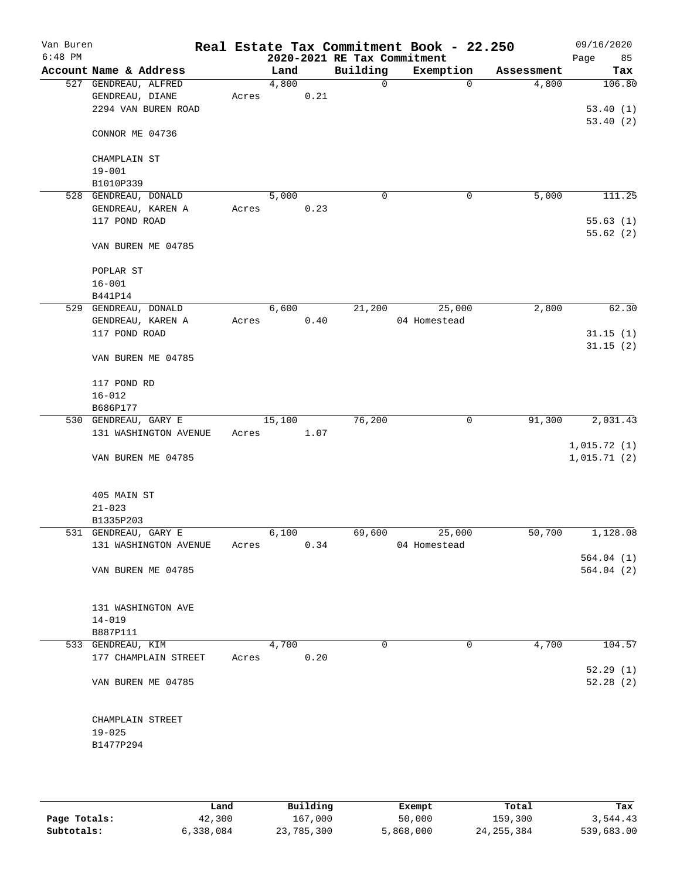| Van Buren<br>$6:48$ PM |                        |       |        |      | 2020-2021 RE Tax Commitment | Real Estate Tax Commitment Book - 22.250 |            | 09/16/2020<br>85<br>Page |
|------------------------|------------------------|-------|--------|------|-----------------------------|------------------------------------------|------------|--------------------------|
|                        | Account Name & Address |       | Land   |      | Building                    | Exemption                                | Assessment | Tax                      |
|                        | 527 GENDREAU, ALFRED   |       | 4,800  |      | $\mathbf 0$                 | $\mathbf 0$                              | 4,800      | 106.80                   |
|                        | GENDREAU, DIANE        | Acres |        | 0.21 |                             |                                          |            |                          |
|                        | 2294 VAN BUREN ROAD    |       |        |      |                             |                                          |            | 53.40(1)                 |
|                        |                        |       |        |      |                             |                                          |            | 53.40(2)                 |
|                        | CONNOR ME 04736        |       |        |      |                             |                                          |            |                          |
|                        |                        |       |        |      |                             |                                          |            |                          |
|                        | CHAMPLAIN ST           |       |        |      |                             |                                          |            |                          |
|                        | $19 - 001$             |       |        |      |                             |                                          |            |                          |
|                        | B1010P339              |       |        |      |                             |                                          |            |                          |
|                        | 528 GENDREAU, DONALD   |       | 5,000  |      | $\mathsf{O}$                | 0                                        | 5,000      | 111.25                   |
|                        | GENDREAU, KAREN A      | Acres |        | 0.23 |                             |                                          |            |                          |
|                        | 117 POND ROAD          |       |        |      |                             |                                          |            | 55.63(1)                 |
|                        |                        |       |        |      |                             |                                          |            | 55.62(2)                 |
|                        | VAN BUREN ME 04785     |       |        |      |                             |                                          |            |                          |
|                        |                        |       |        |      |                             |                                          |            |                          |
|                        | POPLAR ST              |       |        |      |                             |                                          |            |                          |
|                        | $16 - 001$             |       |        |      |                             |                                          |            |                          |
|                        |                        |       |        |      |                             |                                          |            |                          |
|                        | B441P14                |       | 6,600  |      | 21,200                      | 25,000                                   |            | 62.30                    |
|                        | 529 GENDREAU, DONALD   |       |        |      |                             |                                          | 2,800      |                          |
|                        | GENDREAU, KAREN A      | Acres |        | 0.40 |                             | 04 Homestead                             |            |                          |
|                        | 117 POND ROAD          |       |        |      |                             |                                          |            | 31.15(1)                 |
|                        |                        |       |        |      |                             |                                          |            | 31.15(2)                 |
|                        | VAN BUREN ME 04785     |       |        |      |                             |                                          |            |                          |
|                        |                        |       |        |      |                             |                                          |            |                          |
|                        | 117 POND RD            |       |        |      |                             |                                          |            |                          |
|                        | $16 - 012$             |       |        |      |                             |                                          |            |                          |
|                        | B686P177               |       |        |      |                             |                                          |            |                          |
|                        | 530 GENDREAU, GARY E   |       | 15,100 |      | 76,200                      | 0                                        | 91,300     | 2,031.43                 |
|                        | 131 WASHINGTON AVENUE  | Acres |        | 1.07 |                             |                                          |            |                          |
|                        |                        |       |        |      |                             |                                          |            | 1,015.72(1)              |
|                        | VAN BUREN ME 04785     |       |        |      |                             |                                          |            | 1,015.71(2)              |
|                        |                        |       |        |      |                             |                                          |            |                          |
|                        |                        |       |        |      |                             |                                          |            |                          |
|                        | 405 MAIN ST            |       |        |      |                             |                                          |            |                          |
|                        | $21 - 023$             |       |        |      |                             |                                          |            |                          |
|                        | B1335P203              |       |        |      |                             |                                          |            |                          |
|                        | 531 GENDREAU, GARY E   |       | 6,100  |      | 69,600                      | 25,000                                   | 50,700     | 1,128.08                 |
|                        | 131 WASHINGTON AVENUE  | Acres |        | 0.34 |                             | 04 Homestead                             |            |                          |
|                        |                        |       |        |      |                             |                                          |            | 564.04(1)                |
|                        | VAN BUREN ME 04785     |       |        |      |                             |                                          |            | 564.04(2)                |
|                        |                        |       |        |      |                             |                                          |            |                          |
|                        |                        |       |        |      |                             |                                          |            |                          |
|                        | 131 WASHINGTON AVE     |       |        |      |                             |                                          |            |                          |
|                        | $14 - 019$             |       |        |      |                             |                                          |            |                          |
|                        | B887P111               |       |        |      |                             |                                          |            |                          |
|                        | 533 GENDREAU, KIM      |       | 4,700  |      | $\Omega$                    | 0                                        | 4,700      | 104.57                   |
|                        | 177 CHAMPLAIN STREET   | Acres |        | 0.20 |                             |                                          |            |                          |
|                        |                        |       |        |      |                             |                                          |            | 52.29(1)                 |
|                        | VAN BUREN ME 04785     |       |        |      |                             |                                          |            | 52.28(2)                 |
|                        |                        |       |        |      |                             |                                          |            |                          |
|                        |                        |       |        |      |                             |                                          |            |                          |
|                        | CHAMPLAIN STREET       |       |        |      |                             |                                          |            |                          |
|                        | $19 - 025$             |       |        |      |                             |                                          |            |                          |
|                        | B1477P294              |       |        |      |                             |                                          |            |                          |
|                        |                        |       |        |      |                             |                                          |            |                          |
|                        |                        |       |        |      |                             |                                          |            |                          |
|                        |                        |       |        |      |                             |                                          |            |                          |

|              | Land      | Building   | Exempt    | Total        | Tax        |
|--------------|-----------|------------|-----------|--------------|------------|
| Page Totals: | 42,300    | 167,000    | 50,000    | 159,300      | 3,544.43   |
| Subtotals:   | 6,338,084 | 23,785,300 | 5,868,000 | 24, 255, 384 | 539,683.00 |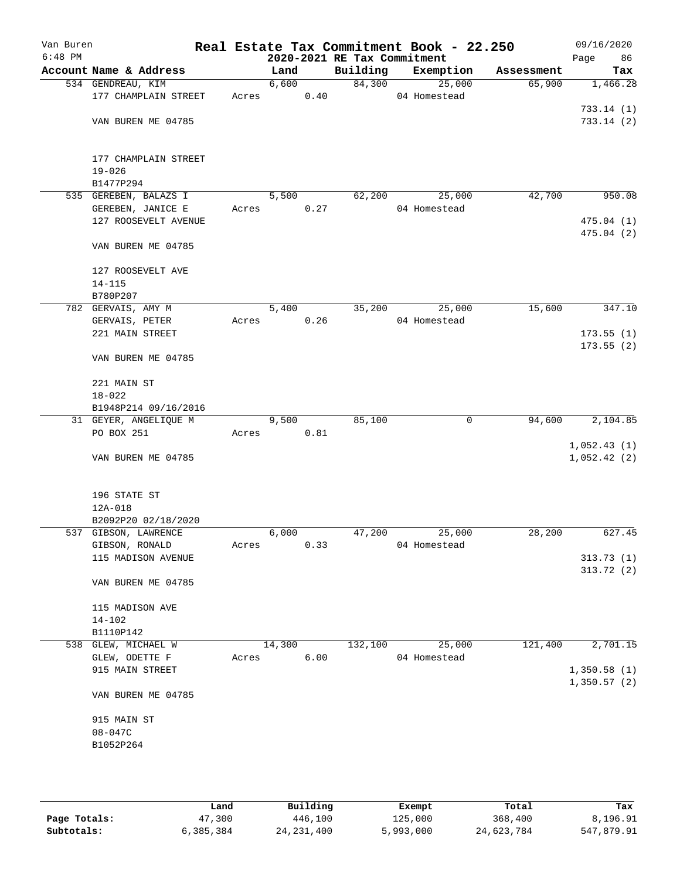| Van Buren<br>$6:48$ PM |                        |       |        |      | 2020-2021 RE Tax Commitment | Real Estate Tax Commitment Book - 22.250 |        |            | 09/16/2020<br>Page<br>86 |
|------------------------|------------------------|-------|--------|------|-----------------------------|------------------------------------------|--------|------------|--------------------------|
|                        | Account Name & Address |       | Land   |      | Building                    | Exemption                                |        | Assessment | Tax                      |
|                        | 534 GENDREAU, KIM      |       | 6,600  |      |                             | 84,300                                   | 25,000 | 65,900     | 1,466.28                 |
|                        | 177 CHAMPLAIN STREET   | Acres |        | 0.40 |                             | 04 Homestead                             |        |            |                          |
|                        |                        |       |        |      |                             |                                          |        |            | 733.14(1)                |
|                        | VAN BUREN ME 04785     |       |        |      |                             |                                          |        |            | 733.14(2)                |
|                        |                        |       |        |      |                             |                                          |        |            |                          |
|                        |                        |       |        |      |                             |                                          |        |            |                          |
|                        | 177 CHAMPLAIN STREET   |       |        |      |                             |                                          |        |            |                          |
|                        | $19 - 026$             |       |        |      |                             |                                          |        |            |                          |
|                        | B1477P294              |       |        |      |                             |                                          |        |            |                          |
|                        | 535 GEREBEN, BALAZS I  |       | 5,500  |      | 62,200                      |                                          | 25,000 | 42,700     | 950.08                   |
|                        | GEREBEN, JANICE E      | Acres |        | 0.27 |                             | 04 Homestead                             |        |            |                          |
|                        | 127 ROOSEVELT AVENUE   |       |        |      |                             |                                          |        |            | 475.04(1)                |
|                        |                        |       |        |      |                             |                                          |        |            | 475.04(2)                |
|                        | VAN BUREN ME 04785     |       |        |      |                             |                                          |        |            |                          |
|                        |                        |       |        |      |                             |                                          |        |            |                          |
|                        | 127 ROOSEVELT AVE      |       |        |      |                             |                                          |        |            |                          |
|                        | $14 - 115$             |       |        |      |                             |                                          |        |            |                          |
|                        | B780P207               |       |        |      |                             |                                          |        |            |                          |
|                        | 782 GERVAIS, AMY M     |       | 5,400  |      | 35,200                      |                                          | 25,000 | 15,600     | 347.10                   |
|                        | GERVAIS, PETER         | Acres |        | 0.26 |                             | 04 Homestead                             |        |            |                          |
|                        | 221 MAIN STREET        |       |        |      |                             |                                          |        |            | 173.55(1)                |
|                        | VAN BUREN ME 04785     |       |        |      |                             |                                          |        |            | 173.55(2)                |
|                        |                        |       |        |      |                             |                                          |        |            |                          |
|                        | 221 MAIN ST            |       |        |      |                             |                                          |        |            |                          |
|                        | $18 - 022$             |       |        |      |                             |                                          |        |            |                          |
|                        | B1948P214 09/16/2016   |       |        |      |                             |                                          |        |            |                          |
|                        | 31 GEYER, ANGELIQUE M  |       | 9,500  |      | 85,100                      |                                          | 0      | 94,600     | 2,104.85                 |
|                        | PO BOX 251             | Acres |        | 0.81 |                             |                                          |        |            |                          |
|                        |                        |       |        |      |                             |                                          |        |            | 1,052.43(1)              |
|                        | VAN BUREN ME 04785     |       |        |      |                             |                                          |        |            | 1,052.42(2)              |
|                        |                        |       |        |      |                             |                                          |        |            |                          |
|                        |                        |       |        |      |                             |                                          |        |            |                          |
|                        | 196 STATE ST           |       |        |      |                             |                                          |        |            |                          |
|                        | 12A-018                |       |        |      |                             |                                          |        |            |                          |
|                        | B2092P20 02/18/2020    |       |        |      |                             |                                          |        |            |                          |
|                        | 537 GIBSON, LAWRENCE   |       | 6,000  |      | 47,200                      |                                          | 25,000 | 28,200     | 627.45                   |
|                        | GIBSON, RONALD         | Acres |        | 0.33 |                             | 04 Homestead                             |        |            |                          |
|                        | 115 MADISON AVENUE     |       |        |      |                             |                                          |        |            | 313.73(1)                |
|                        |                        |       |        |      |                             |                                          |        |            | 313.72(2)                |
|                        | VAN BUREN ME 04785     |       |        |      |                             |                                          |        |            |                          |
|                        |                        |       |        |      |                             |                                          |        |            |                          |
|                        | 115 MADISON AVE        |       |        |      |                             |                                          |        |            |                          |
|                        | 14-102<br>B1110P142    |       |        |      |                             |                                          |        |            |                          |
| 538                    | GLEW, MICHAEL W        |       | 14,300 |      | 132,100                     |                                          | 25,000 | 121,400    | 2,701.15                 |
|                        | GLEW, ODETTE F         | Acres |        | 6.00 |                             | 04 Homestead                             |        |            |                          |
|                        | 915 MAIN STREET        |       |        |      |                             |                                          |        |            | 1,350.58(1)              |
|                        |                        |       |        |      |                             |                                          |        |            | 1,350.57(2)              |
|                        | VAN BUREN ME 04785     |       |        |      |                             |                                          |        |            |                          |
|                        |                        |       |        |      |                             |                                          |        |            |                          |
|                        | 915 MAIN ST            |       |        |      |                             |                                          |        |            |                          |
|                        | $08 - 047C$            |       |        |      |                             |                                          |        |            |                          |
|                        | B1052P264              |       |        |      |                             |                                          |        |            |                          |
|                        |                        |       |        |      |                             |                                          |        |            |                          |
|                        |                        |       |        |      |                             |                                          |        |            |                          |
|                        |                        |       |        |      |                             |                                          |        |            |                          |

|              | Land      | Building     | Exempt    | Total      | Tax        |
|--------------|-----------|--------------|-----------|------------|------------|
| Page Totals: | 47,300    | 446,100      | 125,000   | 368,400    | 8,196.91   |
| Subtotals:   | 6,385,384 | 24, 231, 400 | 5,993,000 | 24,623,784 | 547,879.91 |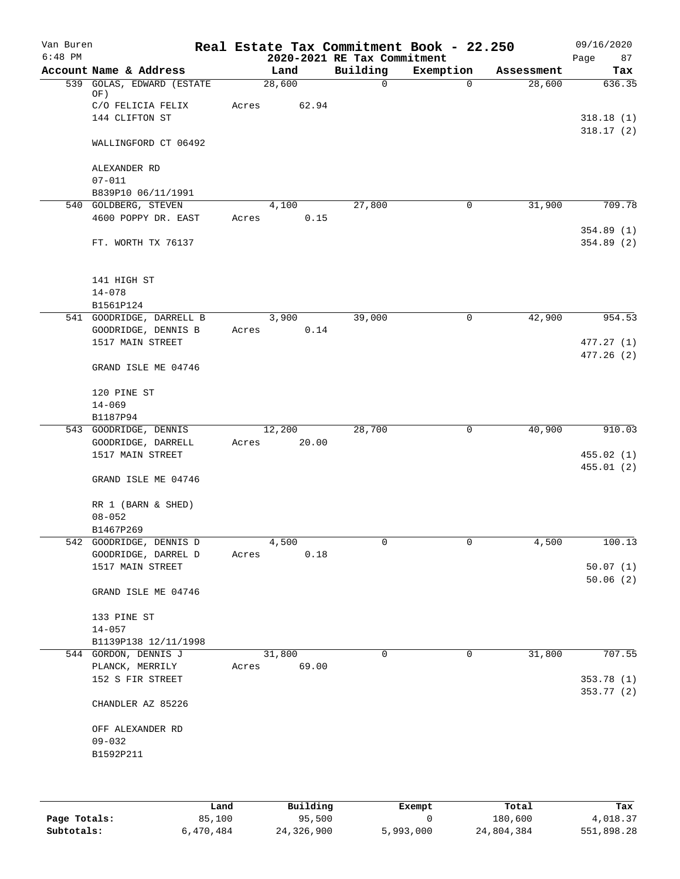| Van Buren<br>$6:48$ PM |                            |       |        | 2020-2021 RE Tax Commitment | Real Estate Tax Commitment Book - 22.250 |            | 09/16/2020<br>Page<br>87 |
|------------------------|----------------------------|-------|--------|-----------------------------|------------------------------------------|------------|--------------------------|
|                        | Account Name & Address     |       | Land   | Building                    | Exemption                                | Assessment | Tax                      |
|                        | 539 GOLAS, EDWARD (ESTATE  |       | 28,600 | $\mathsf{O}$                | 0                                        | 28,600     | 636.35                   |
|                        | OF)<br>C/O FELICIA FELIX   | Acres | 62.94  |                             |                                          |            |                          |
|                        | 144 CLIFTON ST             |       |        |                             |                                          |            | 318.18(1)                |
|                        |                            |       |        |                             |                                          |            | 318.17(2)                |
|                        | WALLINGFORD CT 06492       |       |        |                             |                                          |            |                          |
|                        | ALEXANDER RD<br>$07 - 011$ |       |        |                             |                                          |            |                          |
|                        | B839P10 06/11/1991         |       |        |                             |                                          |            |                          |
|                        | 540 GOLDBERG, STEVEN       |       | 4,100  | 27,800                      | 0                                        | 31,900     | 709.78                   |
|                        | 4600 POPPY DR. EAST        | Acres | 0.15   |                             |                                          |            |                          |
|                        |                            |       |        |                             |                                          |            | 354.89(1)                |
|                        | FT. WORTH TX 76137         |       |        |                             |                                          |            | 354.89(2)                |
|                        | 141 HIGH ST                |       |        |                             |                                          |            |                          |
|                        | $14 - 078$                 |       |        |                             |                                          |            |                          |
|                        | B1561P124                  |       |        |                             |                                          |            |                          |
|                        | 541 GOODRIDGE, DARRELL B   |       | 3,900  | 39,000                      | 0                                        | 42,900     | 954.53                   |
|                        | GOODRIDGE, DENNIS B        | Acres | 0.14   |                             |                                          |            |                          |
|                        | 1517 MAIN STREET           |       |        |                             |                                          |            | 477.27(1)                |
|                        |                            |       |        |                             |                                          |            | 477.26(2)                |
|                        | GRAND ISLE ME 04746        |       |        |                             |                                          |            |                          |
|                        | 120 PINE ST                |       |        |                             |                                          |            |                          |
|                        | $14 - 069$                 |       |        |                             |                                          |            |                          |
|                        | B1187P94                   |       |        |                             |                                          |            |                          |
|                        | 543 GOODRIDGE, DENNIS      |       | 12,200 | 28,700                      | 0                                        | 40,900     | 910.03                   |
|                        | GOODRIDGE, DARRELL         | Acres | 20.00  |                             |                                          |            |                          |
|                        | 1517 MAIN STREET           |       |        |                             |                                          |            | 455.02 (1)               |
|                        | GRAND ISLE ME 04746        |       |        |                             |                                          |            | 455.01(2)                |
|                        | RR 1 (BARN & SHED)         |       |        |                             |                                          |            |                          |
|                        | $08 - 052$                 |       |        |                             |                                          |            |                          |
|                        | B1467P269                  |       |        |                             |                                          |            |                          |
|                        | 542 GOODRIDGE, DENNIS D    |       | 4,500  | 0                           | 0                                        | 4,500      | 100.13                   |
|                        | GOODRIDGE, DARREL D        | Acres | 0.18   |                             |                                          |            |                          |
|                        | 1517 MAIN STREET           |       |        |                             |                                          |            | 50.07(1)                 |
|                        | GRAND ISLE ME 04746        |       |        |                             |                                          |            | 50.06(2)                 |
|                        | 133 PINE ST                |       |        |                             |                                          |            |                          |
|                        | $14 - 057$                 |       |        |                             |                                          |            |                          |
|                        | B1139P138 12/11/1998       |       |        |                             |                                          |            |                          |
|                        | 544 GORDON, DENNIS J       |       | 31,800 | 0                           | 0                                        | 31,800     | 707.55                   |
|                        | PLANCK, MERRILY            | Acres | 69.00  |                             |                                          |            |                          |
|                        | 152 S FIR STREET           |       |        |                             |                                          |            | 353.78 (1)               |
|                        | CHANDLER AZ 85226          |       |        |                             |                                          |            | 353.77 (2)               |
|                        | OFF ALEXANDER RD           |       |        |                             |                                          |            |                          |
|                        | $09 - 032$                 |       |        |                             |                                          |            |                          |
|                        | B1592P211                  |       |        |                             |                                          |            |                          |
|                        |                            |       |        |                             |                                          |            |                          |
|                        |                            |       |        |                             |                                          |            |                          |
|                        |                            |       |        |                             |                                          |            |                          |

|              | Land      | Building   | Exempt    | Total      | Tax        |
|--------------|-----------|------------|-----------|------------|------------|
| Page Totals: | 85,100    | 95,500     |           | 180,600    | 4,018.37   |
| Subtotals:   | 6,470,484 | 24,326,900 | 5,993,000 | 24,804,384 | 551,898.28 |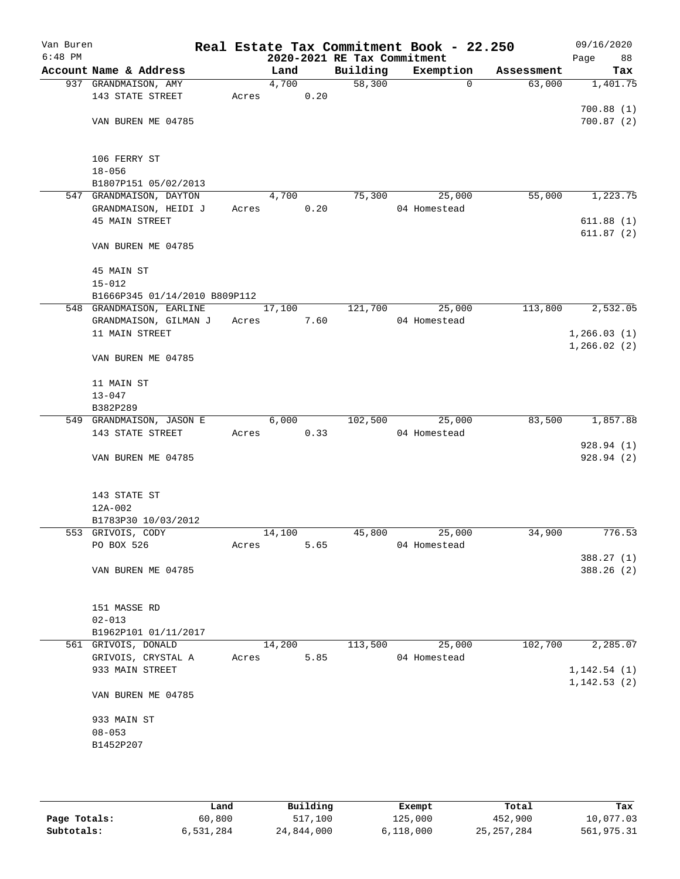| Van Buren |                                          |       |        |      | Real Estate Tax Commitment Book - 22.250 |              |          |            | 09/16/2020   |
|-----------|------------------------------------------|-------|--------|------|------------------------------------------|--------------|----------|------------|--------------|
| $6:48$ PM |                                          |       |        |      | 2020-2021 RE Tax Commitment              |              |          |            | Page<br>88   |
|           | Account Name & Address                   |       | Land   |      | Building                                 | Exemption    |          | Assessment | Tax          |
|           | 937 GRANDMAISON, AMY                     |       | 4,700  |      | 58,300                                   |              | $\Omega$ | 63,000     | 1,401.75     |
|           | 143 STATE STREET                         | Acres |        | 0.20 |                                          |              |          |            |              |
|           |                                          |       |        |      |                                          |              |          |            | 700.88(1)    |
|           | VAN BUREN ME 04785                       |       |        |      |                                          |              |          |            | 700.87(2)    |
|           |                                          |       |        |      |                                          |              |          |            |              |
|           |                                          |       |        |      |                                          |              |          |            |              |
|           | 106 FERRY ST                             |       |        |      |                                          |              |          |            |              |
|           | $18 - 056$                               |       |        |      |                                          |              |          |            |              |
|           | B1807P151 05/02/2013                     |       |        |      |                                          |              |          |            |              |
|           | 547 GRANDMAISON, DAYTON                  |       | 4,700  |      | 75,300                                   |              | 25,000   | 55,000     | 1,223.75     |
|           | GRANDMAISON, HEIDI J                     | Acres |        | 0.20 |                                          | 04 Homestead |          |            |              |
|           | <b>45 MAIN STREET</b>                    |       |        |      |                                          |              |          |            | 611.88(1)    |
|           |                                          |       |        |      |                                          |              |          |            | 611.87(2)    |
|           | VAN BUREN ME 04785                       |       |        |      |                                          |              |          |            |              |
|           |                                          |       |        |      |                                          |              |          |            |              |
|           | 45 MAIN ST                               |       |        |      |                                          |              |          |            |              |
|           | $15 - 012$                               |       |        |      |                                          |              |          |            |              |
|           | B1666P345 01/14/2010 B809P112            |       |        |      |                                          |              |          |            |              |
|           | 548 GRANDMAISON, EARLINE                 |       | 17,100 |      | 121,700                                  |              | 25,000   | 113,800    | 2,532.05     |
|           | GRANDMAISON, GILMAN J                    | Acres |        | 7.60 |                                          | 04 Homestead |          |            |              |
|           | 11 MAIN STREET                           |       |        |      |                                          |              |          |            | 1, 266.03(1) |
|           |                                          |       |        |      |                                          |              |          |            | 1,266.02(2)  |
|           | VAN BUREN ME 04785                       |       |        |      |                                          |              |          |            |              |
|           |                                          |       |        |      |                                          |              |          |            |              |
|           | 11 MAIN ST                               |       |        |      |                                          |              |          |            |              |
|           | $13 - 047$                               |       |        |      |                                          |              |          |            |              |
|           | B382P289                                 |       |        |      |                                          |              |          |            |              |
|           | 549 GRANDMAISON, JASON E                 |       | 6,000  |      | 102,500                                  |              | 25,000   | 83,500     | 1,857.88     |
|           | 143 STATE STREET                         | Acres |        | 0.33 |                                          | 04 Homestead |          |            |              |
|           |                                          |       |        |      |                                          |              |          |            | 928.94(1)    |
|           | VAN BUREN ME 04785                       |       |        |      |                                          |              |          |            | 928.94(2)    |
|           |                                          |       |        |      |                                          |              |          |            |              |
|           |                                          |       |        |      |                                          |              |          |            |              |
|           | 143 STATE ST                             |       |        |      |                                          |              |          |            |              |
|           | 12A-002                                  |       |        |      |                                          |              |          |            |              |
|           |                                          |       |        |      |                                          |              |          |            |              |
|           | B1783P30 10/03/2012<br>553 GRIVOIS, CODY |       | 14,100 |      | 45,800                                   |              | 25,000   | 34,900     | 776.53       |
|           |                                          |       |        |      |                                          |              |          |            |              |
|           | PO BOX 526                               | Acres |        | 5.65 |                                          | 04 Homestead |          |            |              |
|           |                                          |       |        |      |                                          |              |          |            | 388.27 (1)   |
|           | VAN BUREN ME 04785                       |       |        |      |                                          |              |          |            | 388.26 (2)   |
|           |                                          |       |        |      |                                          |              |          |            |              |
|           |                                          |       |        |      |                                          |              |          |            |              |
|           | 151 MASSE RD                             |       |        |      |                                          |              |          |            |              |
|           | $02 - 013$                               |       |        |      |                                          |              |          |            |              |
|           | B1962P101 01/11/2017                     |       |        |      |                                          |              |          |            |              |
|           | 561 GRIVOIS, DONALD                      |       | 14,200 |      | 113,500                                  |              | 25,000   | 102,700    | 2,285.07     |
|           | GRIVOIS, CRYSTAL A                       | Acres |        | 5.85 |                                          | 04 Homestead |          |            |              |
|           | 933 MAIN STREET                          |       |        |      |                                          |              |          |            | 1, 142.54(1) |
|           |                                          |       |        |      |                                          |              |          |            | 1, 142.53(2) |
|           | VAN BUREN ME 04785                       |       |        |      |                                          |              |          |            |              |
|           |                                          |       |        |      |                                          |              |          |            |              |
|           | 933 MAIN ST                              |       |        |      |                                          |              |          |            |              |
|           | $08 - 053$                               |       |        |      |                                          |              |          |            |              |
|           | B1452P207                                |       |        |      |                                          |              |          |            |              |
|           |                                          |       |        |      |                                          |              |          |            |              |
|           |                                          |       |        |      |                                          |              |          |            |              |
|           |                                          |       |        |      |                                          |              |          |            |              |

|              | Land      | Building   | Exempt    | Total        | Tax        |
|--------------|-----------|------------|-----------|--------------|------------|
| Page Totals: | 60,800    | 517,100    | 125,000   | 452,900      | 10,077.03  |
| Subtotals:   | 6,531,284 | 24,844,000 | 6.118.000 | 25, 257, 284 | 561,975.31 |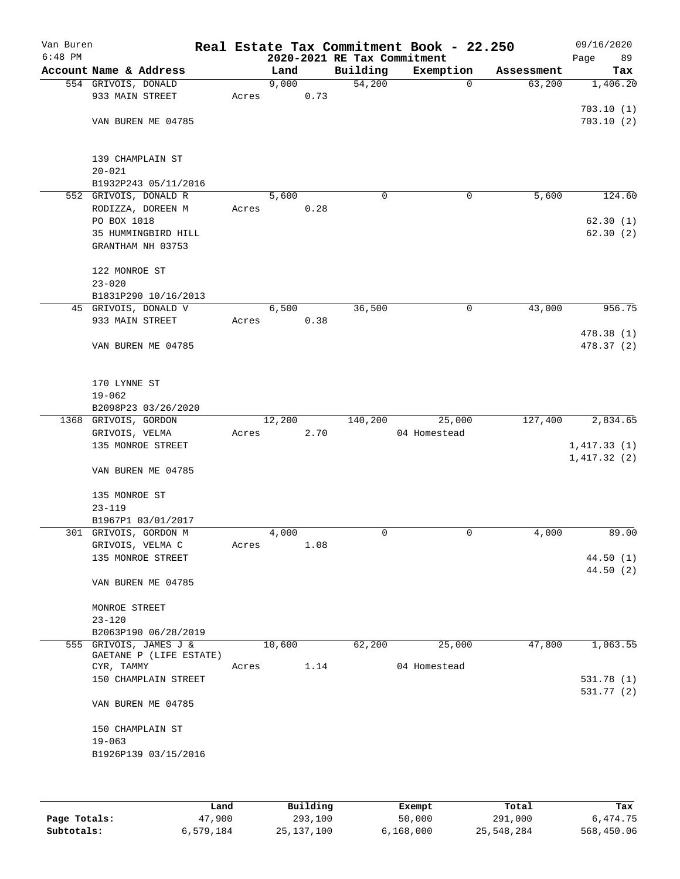| Van Buren<br>$6:48$ PM |                         |       |        |      | 2020-2021 RE Tax Commitment | Real Estate Tax Commitment Book - 22.250 |            | 09/16/2020<br>89<br>Page |
|------------------------|-------------------------|-------|--------|------|-----------------------------|------------------------------------------|------------|--------------------------|
|                        | Account Name & Address  |       | Land   |      | Building                    | Exemption                                | Assessment | Tax                      |
|                        | 554 GRIVOIS, DONALD     |       | 9,000  |      | 54,200                      | 0                                        | 63,200     | 1,406.20                 |
|                        | 933 MAIN STREET         | Acres |        | 0.73 |                             |                                          |            |                          |
|                        |                         |       |        |      |                             |                                          |            | 703.10(1)                |
|                        | VAN BUREN ME 04785      |       |        |      |                             |                                          |            | 703.10(2)                |
|                        |                         |       |        |      |                             |                                          |            |                          |
|                        |                         |       |        |      |                             |                                          |            |                          |
|                        | 139 CHAMPLAIN ST        |       |        |      |                             |                                          |            |                          |
|                        | $20 - 021$              |       |        |      |                             |                                          |            |                          |
|                        | B1932P243 05/11/2016    |       |        |      |                             |                                          |            |                          |
|                        | 552 GRIVOIS, DONALD R   |       | 5,600  |      | 0                           | 0                                        | 5,600      | 124.60                   |
|                        | RODIZZA, DOREEN M       | Acres |        | 0.28 |                             |                                          |            |                          |
|                        | PO BOX 1018             |       |        |      |                             |                                          |            | 62.30(1)                 |
|                        | 35 HUMMINGBIRD HILL     |       |        |      |                             |                                          |            | 62.30(2)                 |
|                        | GRANTHAM NH 03753       |       |        |      |                             |                                          |            |                          |
|                        |                         |       |        |      |                             |                                          |            |                          |
|                        | 122 MONROE ST           |       |        |      |                             |                                          |            |                          |
|                        | $23 - 020$              |       |        |      |                             |                                          |            |                          |
|                        | B1831P290 10/16/2013    |       |        |      |                             |                                          |            |                          |
|                        | 45 GRIVOIS, DONALD V    |       | 6,500  |      | 36,500                      | 0                                        | 43,000     | 956.75                   |
|                        | 933 MAIN STREET         | Acres |        | 0.38 |                             |                                          |            |                          |
|                        |                         |       |        |      |                             |                                          |            | 478.38 (1)               |
|                        | VAN BUREN ME 04785      |       |        |      |                             |                                          |            | 478.37 (2)               |
|                        |                         |       |        |      |                             |                                          |            |                          |
|                        |                         |       |        |      |                             |                                          |            |                          |
|                        | 170 LYNNE ST            |       |        |      |                             |                                          |            |                          |
|                        | $19 - 062$              |       |        |      |                             |                                          |            |                          |
|                        | B2098P23 03/26/2020     |       |        |      |                             |                                          |            |                          |
|                        | 1368 GRIVOIS, GORDON    |       | 12,200 |      | 140,200                     | 25,000                                   | 127,400    | 2,834.65                 |
|                        | GRIVOIS, VELMA          | Acres |        | 2.70 |                             | 04 Homestead                             |            |                          |
|                        | 135 MONROE STREET       |       |        |      |                             |                                          |            | 1,417.33(1)              |
|                        |                         |       |        |      |                             |                                          |            | 1,417.32(2)              |
|                        | VAN BUREN ME 04785      |       |        |      |                             |                                          |            |                          |
|                        |                         |       |        |      |                             |                                          |            |                          |
|                        | 135 MONROE ST           |       |        |      |                             |                                          |            |                          |
|                        | $23 - 119$              |       |        |      |                             |                                          |            |                          |
|                        | B1967P1 03/01/2017      |       |        |      |                             |                                          |            |                          |
|                        | 301 GRIVOIS, GORDON M   |       | 4,000  |      | 0                           | 0                                        | 4,000      | 89.00                    |
|                        | GRIVOIS, VELMA C        | Acres |        | 1.08 |                             |                                          |            |                          |
|                        | 135 MONROE STREET       |       |        |      |                             |                                          |            | 44.50(1)                 |
|                        |                         |       |        |      |                             |                                          |            | 44.50(2)                 |
|                        | VAN BUREN ME 04785      |       |        |      |                             |                                          |            |                          |
|                        |                         |       |        |      |                             |                                          |            |                          |
|                        | MONROE STREET           |       |        |      |                             |                                          |            |                          |
|                        | $23 - 120$              |       |        |      |                             |                                          |            |                          |
|                        | B2063P190 06/28/2019    |       |        |      |                             |                                          |            |                          |
|                        | 555 GRIVOIS, JAMES J &  |       | 10,600 |      | 62,200                      | 25,000                                   | 47,800     | 1,063.55                 |
|                        | GAETANE P (LIFE ESTATE) |       |        |      |                             |                                          |            |                          |
|                        | CYR, TAMMY              | Acres |        | 1.14 |                             | 04 Homestead                             |            |                          |
|                        | 150 CHAMPLAIN STREET    |       |        |      |                             |                                          |            | 531.78 (1)               |
|                        |                         |       |        |      |                             |                                          |            | 531.77 (2)               |
|                        | VAN BUREN ME 04785      |       |        |      |                             |                                          |            |                          |
|                        |                         |       |        |      |                             |                                          |            |                          |
|                        | 150 CHAMPLAIN ST        |       |        |      |                             |                                          |            |                          |
|                        | $19 - 063$              |       |        |      |                             |                                          |            |                          |
|                        | B1926P139 03/15/2016    |       |        |      |                             |                                          |            |                          |
|                        |                         |       |        |      |                             |                                          |            |                          |
|                        |                         |       |        |      |                             |                                          |            |                          |
|                        |                         |       |        |      |                             |                                          |            |                          |

|              | Land      | Building     | Exempt    | Total      | Tax        |
|--------------|-----------|--------------|-----------|------------|------------|
| Page Totals: | 47,900    | 293,100      | 50,000    | 291,000    | 6,474.75   |
| Subtotals:   | 6,579,184 | 25, 137, 100 | 6,168,000 | 25,548,284 | 568,450.06 |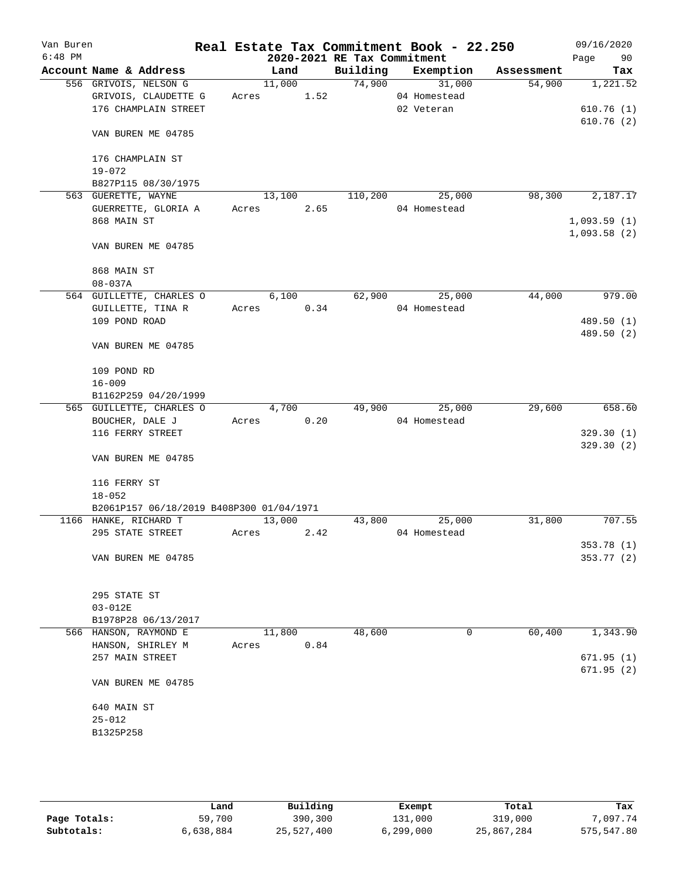| Van Buren |                                          |        |      |                             | Real Estate Tax Commitment Book - 22.250 |            | 09/16/2020             |
|-----------|------------------------------------------|--------|------|-----------------------------|------------------------------------------|------------|------------------------|
| $6:48$ PM |                                          |        |      | 2020-2021 RE Tax Commitment |                                          |            | 90<br>Page             |
|           | Account Name & Address                   | Land   |      |                             | Building Exemption                       | Assessment | Tax                    |
|           | 556 GRIVOIS, NELSON G                    | 11,000 |      | 74,900                      | 31,000                                   | 54,900     | 1,221.52               |
|           | GRIVOIS, CLAUDETTE G                     | Acres  | 1.52 |                             | 04 Homestead                             |            |                        |
|           | 176 CHAMPLAIN STREET                     |        |      |                             | 02 Veteran                               |            | 610.76(1)<br>610.76(2) |
|           | VAN BUREN ME 04785                       |        |      |                             |                                          |            |                        |
|           | 176 CHAMPLAIN ST                         |        |      |                             |                                          |            |                        |
|           | $19 - 072$                               |        |      |                             |                                          |            |                        |
|           | B827P115 08/30/1975                      |        |      |                             |                                          |            |                        |
|           | 563 GUERETTE, WAYNE                      | 13,100 |      | 110,200                     | 25,000                                   | 98,300     | 2,187.17               |
|           | GUERRETTE, GLORIA A                      | Acres  | 2.65 |                             | 04 Homestead                             |            |                        |
|           | 868 MAIN ST                              |        |      |                             |                                          |            | 1,093.59(1)            |
|           |                                          |        |      |                             |                                          |            | 1,093.58(2)            |
|           | VAN BUREN ME 04785                       |        |      |                             |                                          |            |                        |
|           | 868 MAIN ST                              |        |      |                             |                                          |            |                        |
|           | $08 - 037A$                              |        |      |                             |                                          |            |                        |
|           | 564 GUILLETTE, CHARLES O                 | 6,100  |      | 62,900                      | 25,000                                   | 44,000     | 979.00                 |
|           | GUILLETTE, TINA R                        | Acres  | 0.34 |                             | 04 Homestead                             |            |                        |
|           | 109 POND ROAD                            |        |      |                             |                                          |            | 489.50 (1)             |
|           | VAN BUREN ME 04785                       |        |      |                             |                                          |            | 489.50 (2)             |
|           |                                          |        |      |                             |                                          |            |                        |
|           | 109 POND RD                              |        |      |                             |                                          |            |                        |
|           | $16 - 009$                               |        |      |                             |                                          |            |                        |
|           | B1162P259 04/20/1999                     |        |      |                             |                                          |            |                        |
|           | 565 GUILLETTE, CHARLES O                 | 4,700  |      | 49,900                      | 25,000                                   | 29,600     | 658.60                 |
|           | BOUCHER, DALE J                          | Acres  | 0.20 |                             | 04 Homestead                             |            |                        |
|           | 116 FERRY STREET                         |        |      |                             |                                          |            | 329.30(1)              |
|           |                                          |        |      |                             |                                          |            | 329.30(2)              |
|           | VAN BUREN ME 04785                       |        |      |                             |                                          |            |                        |
|           | 116 FERRY ST                             |        |      |                             |                                          |            |                        |
|           | $18 - 052$                               |        |      |                             |                                          |            |                        |
|           | B2061P157 06/18/2019 B408P300 01/04/1971 |        |      |                             |                                          |            |                        |
|           | 1166 HANKE, RICHARD T                    | 13,000 |      | 43,800                      | 25,000                                   | 31,800     | 707.55                 |
|           | 295 STATE STREET                         | Acres  | 2.42 |                             | 04 Homestead                             |            |                        |
|           |                                          |        |      |                             |                                          |            | 353.78 (1)             |
|           | VAN BUREN ME 04785                       |        |      |                             |                                          |            | 353.77 (2)             |
|           | 295 STATE ST                             |        |      |                             |                                          |            |                        |
|           | $03 - 012E$                              |        |      |                             |                                          |            |                        |
|           | B1978P28 06/13/2017                      |        |      |                             |                                          |            |                        |
|           | 566 HANSON, RAYMOND E                    | 11,800 |      | 48,600                      | 0                                        | 60,400     | 1,343.90               |
|           | HANSON, SHIRLEY M                        | Acres  | 0.84 |                             |                                          |            |                        |
|           | 257 MAIN STREET                          |        |      |                             |                                          |            | 671.95(1)              |
|           |                                          |        |      |                             |                                          |            | 671.95(2)              |
|           | VAN BUREN ME 04785                       |        |      |                             |                                          |            |                        |
|           | 640 MAIN ST                              |        |      |                             |                                          |            |                        |
|           | $25 - 012$                               |        |      |                             |                                          |            |                        |
|           | B1325P258                                |        |      |                             |                                          |            |                        |
|           |                                          |        |      |                             |                                          |            |                        |
|           |                                          |        |      |                             |                                          |            |                        |

|              | Land      | Building   | Exempt    | Total      | Tax        |
|--------------|-----------|------------|-----------|------------|------------|
| Page Totals: | 59,700    | 390,300    | 131,000   | 319,000    | ,097.74    |
| Subtotals:   | 6,638,884 | 25,527,400 | 6,299,000 | 25,867,284 | 575,547.80 |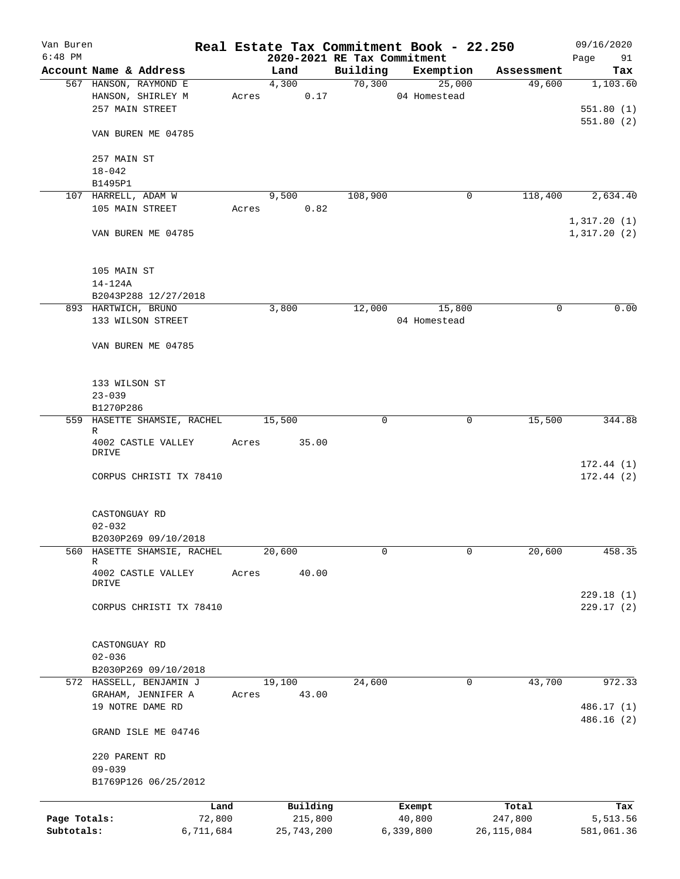| Van Buren    |                                |       |                             |          | Real Estate Tax Commitment Book - 22.250 |              | 09/16/2020                 |
|--------------|--------------------------------|-------|-----------------------------|----------|------------------------------------------|--------------|----------------------------|
| $6:48$ PM    |                                |       | 2020-2021 RE Tax Commitment |          |                                          |              | Page<br>91                 |
|              | Account Name & Address         |       | Land                        | Building | Exemption                                | Assessment   | Tax                        |
|              | 567 HANSON, RAYMOND E          |       | 4,300                       | 70,300   | 25,000                                   | 49,600       | 1,103.60                   |
|              | HANSON, SHIRLEY M              | Acres | 0.17                        |          | 04 Homestead                             |              |                            |
|              | 257 MAIN STREET                |       |                             |          |                                          |              | 551.80(1)                  |
|              |                                |       |                             |          |                                          |              | 551.80(2)                  |
|              | VAN BUREN ME 04785             |       |                             |          |                                          |              |                            |
|              |                                |       |                             |          |                                          |              |                            |
|              | 257 MAIN ST                    |       |                             |          |                                          |              |                            |
|              | $18 - 042$                     |       |                             |          |                                          |              |                            |
|              | B1495P1<br>107 HARRELL, ADAM W |       |                             | 108,900  | 0                                        |              | 2,634.40                   |
|              | 105 MAIN STREET                |       | 9,500<br>0.82               |          |                                          | 118,400      |                            |
|              |                                |       | Acres                       |          |                                          |              |                            |
|              | VAN BUREN ME 04785             |       |                             |          |                                          |              | 1,317.20(1)<br>1,317.20(2) |
|              |                                |       |                             |          |                                          |              |                            |
|              |                                |       |                             |          |                                          |              |                            |
|              | 105 MAIN ST                    |       |                             |          |                                          |              |                            |
|              | $14 - 124A$                    |       |                             |          |                                          |              |                            |
|              | B2043P288 12/27/2018           |       |                             |          |                                          |              |                            |
|              | 893 HARTWICH, BRUNO            |       | 3,800                       | 12,000   | 15,800                                   | 0            | 0.00                       |
|              | 133 WILSON STREET              |       |                             |          | 04 Homestead                             |              |                            |
|              |                                |       |                             |          |                                          |              |                            |
|              | VAN BUREN ME 04785             |       |                             |          |                                          |              |                            |
|              |                                |       |                             |          |                                          |              |                            |
|              |                                |       |                             |          |                                          |              |                            |
|              | 133 WILSON ST                  |       |                             |          |                                          |              |                            |
|              | $23 - 039$                     |       |                             |          |                                          |              |                            |
|              | B1270P286                      |       |                             |          |                                          |              |                            |
|              | 559 HASETTE SHAMSIE, RACHEL    |       | 15,500                      | 0        | 0                                        | 15,500       | 344.88                     |
|              | R                              |       |                             |          |                                          |              |                            |
|              | 4002 CASTLE VALLEY             | Acres | 35.00                       |          |                                          |              |                            |
|              | DRIVE                          |       |                             |          |                                          |              |                            |
|              |                                |       |                             |          |                                          |              | 172.44(1)                  |
|              | CORPUS CHRISTI TX 78410        |       |                             |          |                                          |              | 172.44(2)                  |
|              |                                |       |                             |          |                                          |              |                            |
|              |                                |       |                             |          |                                          |              |                            |
|              | CASTONGUAY RD                  |       |                             |          |                                          |              |                            |
|              | $02 - 032$                     |       |                             |          |                                          |              |                            |
|              | B2030P269 09/10/2018           |       |                             |          |                                          |              |                            |
|              | 560 HASETTE SHAMSIE, RACHEL    |       | 20,600                      | 0        | 0                                        | 20,600       | 458.35                     |
|              | R                              |       |                             |          |                                          |              |                            |
|              | 4002 CASTLE VALLEY<br>DRIVE    | Acres | 40.00                       |          |                                          |              |                            |
|              |                                |       |                             |          |                                          |              | 229.18(1)                  |
|              | CORPUS CHRISTI TX 78410        |       |                             |          |                                          |              | 229.17(2)                  |
|              |                                |       |                             |          |                                          |              |                            |
|              |                                |       |                             |          |                                          |              |                            |
|              | CASTONGUAY RD                  |       |                             |          |                                          |              |                            |
|              | $02 - 036$                     |       |                             |          |                                          |              |                            |
|              | B2030P269 09/10/2018           |       |                             |          |                                          |              |                            |
|              | 572 HASSELL, BENJAMIN J        |       | 19,100                      | 24,600   | 0                                        | 43,700       | 972.33                     |
|              | GRAHAM, JENNIFER A             | Acres | 43.00                       |          |                                          |              |                            |
|              | 19 NOTRE DAME RD               |       |                             |          |                                          |              | 486.17 (1)                 |
|              |                                |       |                             |          |                                          |              | 486.16 (2)                 |
|              | GRAND ISLE ME 04746            |       |                             |          |                                          |              |                            |
|              |                                |       |                             |          |                                          |              |                            |
|              | 220 PARENT RD                  |       |                             |          |                                          |              |                            |
|              | $09 - 039$                     |       |                             |          |                                          |              |                            |
|              | B1769P126 06/25/2012           |       |                             |          |                                          |              |                            |
|              |                                |       |                             |          |                                          |              |                            |
|              | Land                           |       | Building                    |          | Exempt                                   | Total        | Tax                        |
| Page Totals: | 72,800                         |       | 215,800                     |          | 40,800                                   | 247,800      | 5,513.56                   |
| Subtotals:   | 6,711,684                      |       | 25,743,200                  |          | 6,339,800                                | 26, 115, 084 | 581,061.36                 |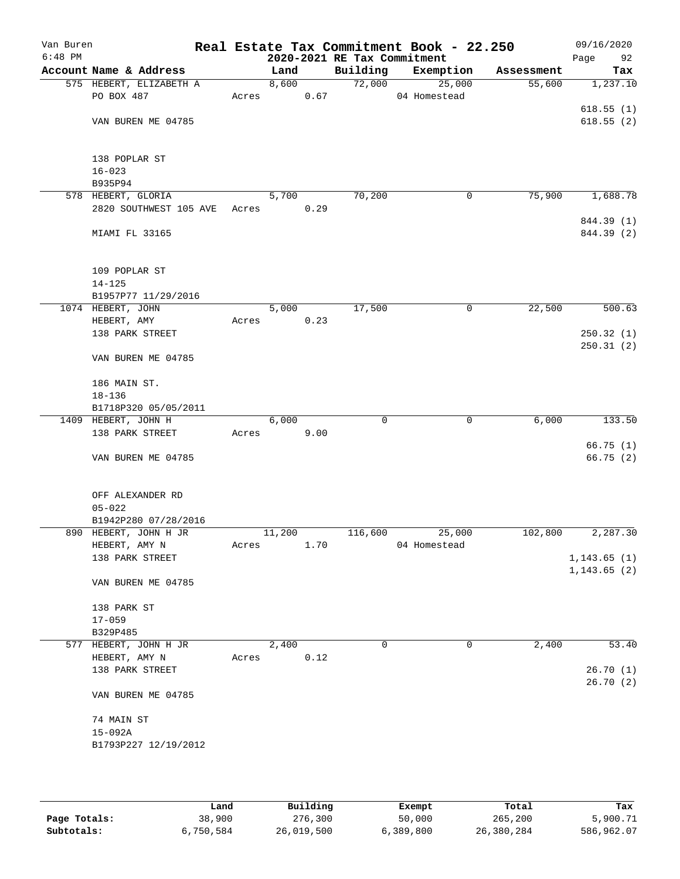| Van Buren<br>$6:48$ PM |                         |       |        |      | 2020-2021 RE Tax Commitment | Real Estate Tax Commitment Book - 22.250 |            | 09/16/2020<br>Page<br>92 |
|------------------------|-------------------------|-------|--------|------|-----------------------------|------------------------------------------|------------|--------------------------|
|                        | Account Name & Address  |       | Land   |      | Building                    | Exemption                                | Assessment | Tax                      |
|                        | 575 HEBERT, ELIZABETH A |       | 8,600  |      | 72,000                      | 25,000                                   | 55,600     | 1,237.10                 |
|                        | PO BOX 487              | Acres |        | 0.67 |                             | 04 Homestead                             |            |                          |
|                        |                         |       |        |      |                             |                                          |            | 618.55(1)                |
|                        | VAN BUREN ME 04785      |       |        |      |                             |                                          |            | 618.55(2)                |
|                        |                         |       |        |      |                             |                                          |            |                          |
|                        |                         |       |        |      |                             |                                          |            |                          |
|                        | 138 POPLAR ST           |       |        |      |                             |                                          |            |                          |
|                        | $16 - 023$              |       |        |      |                             |                                          |            |                          |
|                        | B935P94                 |       |        |      |                             |                                          |            |                          |
|                        | 578 HEBERT, GLORIA      |       | 5,700  |      | 70,200                      | 0                                        | 75,900     | 1,688.78                 |
|                        | 2820 SOUTHWEST 105 AVE  | Acres |        | 0.29 |                             |                                          |            |                          |
|                        |                         |       |        |      |                             |                                          |            | 844.39 (1)               |
|                        | MIAMI FL 33165          |       |        |      |                             |                                          |            | 844.39 (2)               |
|                        |                         |       |        |      |                             |                                          |            |                          |
|                        |                         |       |        |      |                             |                                          |            |                          |
|                        | 109 POPLAR ST           |       |        |      |                             |                                          |            |                          |
|                        | $14 - 125$              |       |        |      |                             |                                          |            |                          |
|                        | B1957P77 11/29/2016     |       |        |      |                             |                                          |            |                          |
|                        | 1074 HEBERT, JOHN       |       | 5,000  |      | 17,500                      | 0                                        | 22,500     | 500.63                   |
|                        | HEBERT, AMY             | Acres |        | 0.23 |                             |                                          |            |                          |
|                        | 138 PARK STREET         |       |        |      |                             |                                          |            | 250.32(1)                |
|                        |                         |       |        |      |                             |                                          |            | 250.31(2)                |
|                        | VAN BUREN ME 04785      |       |        |      |                             |                                          |            |                          |
|                        | 186 MAIN ST.            |       |        |      |                             |                                          |            |                          |
|                        | $18 - 136$              |       |        |      |                             |                                          |            |                          |
|                        | B1718P320 05/05/2011    |       |        |      |                             |                                          |            |                          |
|                        | 1409 HEBERT, JOHN H     |       | 6,000  |      | 0                           | 0                                        | 6,000      | 133.50                   |
|                        | 138 PARK STREET         | Acres |        | 9.00 |                             |                                          |            |                          |
|                        |                         |       |        |      |                             |                                          |            | 66.75(1)                 |
|                        | VAN BUREN ME 04785      |       |        |      |                             |                                          |            | 66.75(2)                 |
|                        |                         |       |        |      |                             |                                          |            |                          |
|                        |                         |       |        |      |                             |                                          |            |                          |
|                        | OFF ALEXANDER RD        |       |        |      |                             |                                          |            |                          |
|                        | $05 - 022$              |       |        |      |                             |                                          |            |                          |
|                        | B1942P280 07/28/2016    |       |        |      |                             |                                          |            |                          |
|                        | 890 HEBERT, JOHN H JR   |       | 11,200 |      | 116,600                     | 25,000                                   | 102,800    | 2,287.30                 |
|                        | HEBERT, AMY N           | Acres |        | 1.70 |                             | 04 Homestead                             |            |                          |
|                        | 138 PARK STREET         |       |        |      |                             |                                          |            | 1, 143.65(1)             |
|                        |                         |       |        |      |                             |                                          |            | 1, 143.65(2)             |
|                        | VAN BUREN ME 04785      |       |        |      |                             |                                          |            |                          |
|                        |                         |       |        |      |                             |                                          |            |                          |
|                        | 138 PARK ST             |       |        |      |                             |                                          |            |                          |
|                        | $17 - 059$              |       |        |      |                             |                                          |            |                          |
|                        | B329P485                |       |        |      |                             |                                          |            |                          |
|                        | 577 HEBERT, JOHN H JR   |       | 2,400  |      | 0                           | 0                                        | 2,400      | 53.40                    |
|                        | HEBERT, AMY N           | Acres |        | 0.12 |                             |                                          |            |                          |
|                        | 138 PARK STREET         |       |        |      |                             |                                          |            | 26.70(1)                 |
|                        |                         |       |        |      |                             |                                          |            | 26.70(2)                 |
|                        | VAN BUREN ME 04785      |       |        |      |                             |                                          |            |                          |
|                        |                         |       |        |      |                             |                                          |            |                          |
|                        | 74 MAIN ST              |       |        |      |                             |                                          |            |                          |
|                        | $15 - 092A$             |       |        |      |                             |                                          |            |                          |
|                        | B1793P227 12/19/2012    |       |        |      |                             |                                          |            |                          |
|                        |                         |       |        |      |                             |                                          |            |                          |
|                        |                         |       |        |      |                             |                                          |            |                          |
|                        |                         |       |        |      |                             |                                          |            |                          |

|              | Land      | Building   | Exempt    | Total      | Tax        |
|--------------|-----------|------------|-----------|------------|------------|
| Page Totals: | 38,900    | 276,300    | 50,000    | 265,200    | 5,900.71   |
| Subtotals:   | 6,750,584 | 26,019,500 | 6,389,800 | 26,380,284 | 586,962.07 |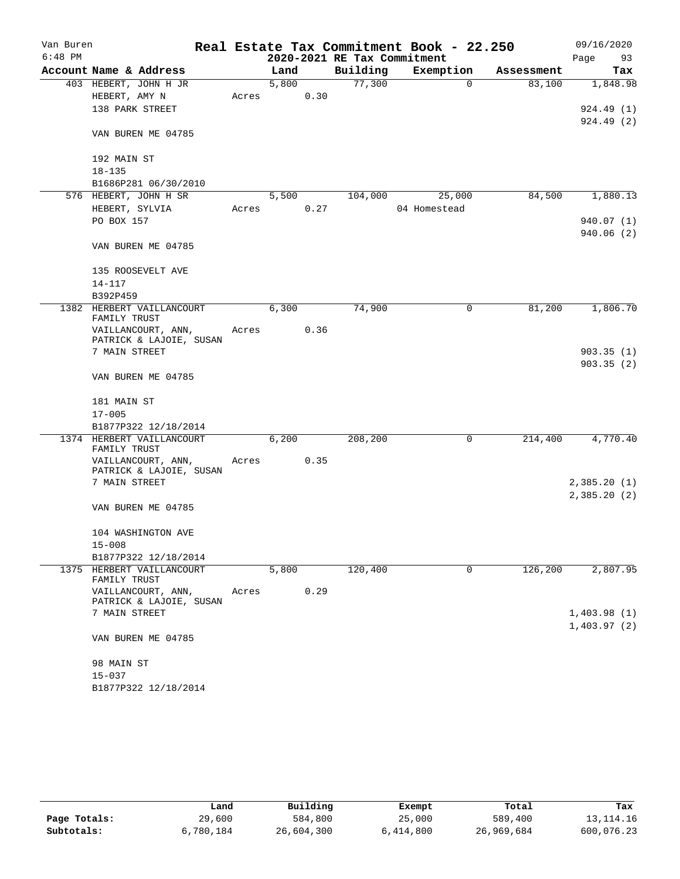| Van Buren |                                               |       |       |      |                             | Real Estate Tax Commitment Book - 22.250 |            | 09/16/2020             |
|-----------|-----------------------------------------------|-------|-------|------|-----------------------------|------------------------------------------|------------|------------------------|
| $6:48$ PM |                                               |       |       |      | 2020-2021 RE Tax Commitment |                                          |            | Page<br>93             |
|           | Account Name & Address                        |       | Land  |      | Building                    | Exemption                                | Assessment | Tax                    |
|           | 403 HEBERT, JOHN H JR                         |       | 5,800 |      | 77,300                      | $\mathbf 0$                              | 83,100     | 1,848.98               |
|           | HEBERT, AMY N                                 | Acres |       | 0.30 |                             |                                          |            |                        |
|           | 138 PARK STREET                               |       |       |      |                             |                                          |            | 924.49(1)<br>924.49(2) |
|           | VAN BUREN ME 04785                            |       |       |      |                             |                                          |            |                        |
|           | 192 MAIN ST                                   |       |       |      |                             |                                          |            |                        |
|           | $18 - 135$                                    |       |       |      |                             |                                          |            |                        |
|           | B1686P281 06/30/2010                          |       |       |      |                             |                                          |            |                        |
|           | 576 HEBERT, JOHN H SR<br>HEBERT, SYLVIA       | Acres | 5,500 | 0.27 | 104,000                     | 25,000<br>04 Homestead                   | 84,500     | 1,880.13               |
|           | PO BOX 157                                    |       |       |      |                             |                                          |            | 940.07 (1)             |
|           |                                               |       |       |      |                             |                                          |            | 940.06 (2)             |
|           | VAN BUREN ME 04785                            |       |       |      |                             |                                          |            |                        |
|           | 135 ROOSEVELT AVE                             |       |       |      |                             |                                          |            |                        |
|           | $14 - 117$                                    |       |       |      |                             |                                          |            |                        |
|           | B392P459<br>1382 HERBERT VAILLANCOURT         |       | 6,300 |      | 74,900                      | 0                                        | 81,200     | 1,806.70               |
|           | FAMILY TRUST                                  |       |       |      |                             |                                          |            |                        |
|           | VAILLANCOURT, ANN,<br>PATRICK & LAJOIE, SUSAN | Acres |       | 0.36 |                             |                                          |            |                        |
|           | 7 MAIN STREET                                 |       |       |      |                             |                                          |            | 903.35(1)              |
|           | VAN BUREN ME 04785                            |       |       |      |                             |                                          |            | 903.35(2)              |
|           | 181 MAIN ST                                   |       |       |      |                             |                                          |            |                        |
|           | $17 - 005$                                    |       |       |      |                             |                                          |            |                        |
|           | B1877P322 12/18/2014                          |       |       |      |                             |                                          |            |                        |
|           | 1374 HERBERT VAILLANCOURT                     |       | 6,200 |      | 208,200                     | 0                                        | 214,400    | 4,770.40               |
|           | FAMILY TRUST<br>VAILLANCOURT, ANN,            | Acres |       | 0.35 |                             |                                          |            |                        |
|           | PATRICK & LAJOIE, SUSAN<br>7 MAIN STREET      |       |       |      |                             |                                          |            | 2,385.20(1)            |
|           |                                               |       |       |      |                             |                                          |            | 2,385.20(2)            |
|           | VAN BUREN ME 04785                            |       |       |      |                             |                                          |            |                        |
|           | 104 WASHINGTON AVE<br>$15 - 008$              |       |       |      |                             |                                          |            |                        |
|           | B1877P322 12/18/2014                          |       |       |      |                             |                                          |            |                        |
|           | 1375 HERBERT VAILLANCOURT<br>FAMILY TRUST     |       | 5,800 |      | 120,400                     | $\mathbf 0$                              | 126,200    | 2,807.95               |
|           | VAILLANCOURT, ANN,                            | Acres |       | 0.29 |                             |                                          |            |                        |
|           | PATRICK & LAJOIE, SUSAN                       |       |       |      |                             |                                          |            |                        |
|           | 7 MAIN STREET                                 |       |       |      |                             |                                          |            | 1,403.98(1)            |
|           | VAN BUREN ME 04785                            |       |       |      |                             |                                          |            | 1,403.97(2)            |
|           | 98 MAIN ST                                    |       |       |      |                             |                                          |            |                        |
|           | $15 - 037$                                    |       |       |      |                             |                                          |            |                        |
|           | B1877P322 12/18/2014                          |       |       |      |                             |                                          |            |                        |

|              | Land      | Building   | Exempt    | Total      | Tax         |
|--------------|-----------|------------|-----------|------------|-------------|
| Page Totals: | 29,600    | 584,800    | 25,000    | 589,400    | 13, 114. 16 |
| Subtotals:   | 6,780,184 | 26,604,300 | 6,414,800 | 26,969,684 | 600,076.23  |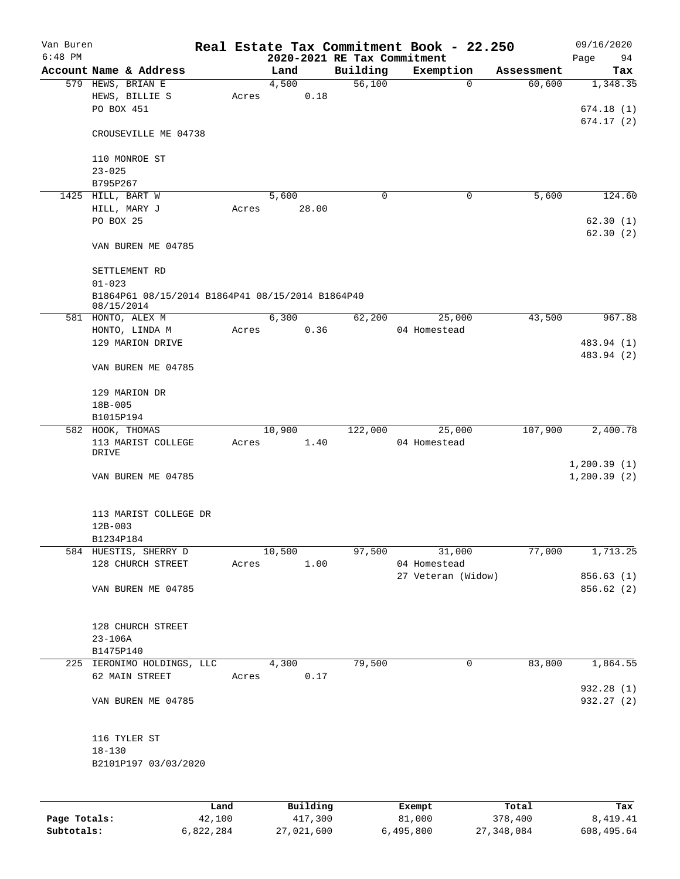| Van Buren |                                                                |       |                             |          | Real Estate Tax Commitment Book - 22.250 |                      | 09/16/2020                   |
|-----------|----------------------------------------------------------------|-------|-----------------------------|----------|------------------------------------------|----------------------|------------------------------|
| $6:48$ PM |                                                                |       | 2020-2021 RE Tax Commitment |          |                                          |                      | Page<br>94                   |
|           | Account Name & Address                                         |       | Land                        | Building | Exemption                                | Assessment<br>60,600 | Tax                          |
|           | 579 HEWS, BRIAN E<br>HEWS, BILLIE S                            |       | 4,500<br>0.18               | 56,100   | 0                                        |                      | 1,348.35                     |
|           | PO BOX 451                                                     | Acres |                             |          |                                          |                      | 674.18(1)                    |
|           |                                                                |       |                             |          |                                          |                      | 674.17(2)                    |
|           | CROUSEVILLE ME 04738                                           |       |                             |          |                                          |                      |                              |
|           | 110 MONROE ST                                                  |       |                             |          |                                          |                      |                              |
|           | $23 - 025$                                                     |       |                             |          |                                          |                      |                              |
|           | B795P267                                                       |       |                             |          |                                          |                      |                              |
|           | 1425 HILL, BART W                                              |       | 5,600                       | 0        | 0                                        | 5,600                | 124.60                       |
|           | HILL, MARY J                                                   | Acres | 28.00                       |          |                                          |                      |                              |
|           | PO BOX 25                                                      |       |                             |          |                                          |                      | 62.30(1)                     |
|           |                                                                |       |                             |          |                                          |                      | 62.30(2)                     |
|           | VAN BUREN ME 04785                                             |       |                             |          |                                          |                      |                              |
|           | SETTLEMENT RD                                                  |       |                             |          |                                          |                      |                              |
|           | $01 - 023$                                                     |       |                             |          |                                          |                      |                              |
|           | B1864P61 08/15/2014 B1864P41 08/15/2014 B1864P40<br>08/15/2014 |       |                             |          |                                          |                      |                              |
|           | 581 HONTO, ALEX M                                              |       | 6,300                       | 62,200   | 25,000                                   | 43,500               | 967.88                       |
|           | HONTO, LINDA M                                                 | Acres | 0.36                        |          | 04 Homestead                             |                      |                              |
|           | 129 MARION DRIVE                                               |       |                             |          |                                          |                      | 483.94 (1)                   |
|           | VAN BUREN ME 04785                                             |       |                             |          |                                          |                      | 483.94 (2)                   |
|           | 129 MARION DR                                                  |       |                             |          |                                          |                      |                              |
|           | 18B-005                                                        |       |                             |          |                                          |                      |                              |
|           | B1015P194                                                      |       |                             |          |                                          |                      |                              |
|           | 582 HOOK, THOMAS                                               |       | 10,900                      | 122,000  | 25,000                                   | 107,900              | 2,400.78                     |
|           | 113 MARIST COLLEGE<br>DRIVE                                    | Acres | 1.40                        |          | 04 Homestead                             |                      |                              |
|           | VAN BUREN ME 04785                                             |       |                             |          |                                          |                      | 1, 200.39(1)<br>1, 200.39(2) |
|           | 113 MARIST COLLEGE DR                                          |       |                             |          |                                          |                      |                              |
|           | $12B - 003$                                                    |       |                             |          |                                          |                      |                              |
|           | B1234P184                                                      |       |                             |          |                                          |                      |                              |
|           | 584 HUESTIS, SHERRY D                                          |       | 10,500                      |          | 97,500<br>31,000                         | 77,000               | 1,713.25                     |
|           | 128 CHURCH STREET                                              |       | Acres 1.00                  |          | 04 Homestead                             |                      |                              |
|           |                                                                |       |                             |          | 27 Veteran (Widow)                       |                      | 856.63 (1)                   |
|           | VAN BUREN ME 04785                                             |       |                             |          |                                          |                      | 856.62 (2)                   |
|           |                                                                |       |                             |          |                                          |                      |                              |
|           | 128 CHURCH STREET                                              |       |                             |          |                                          |                      |                              |
|           | 23-106A                                                        |       |                             |          |                                          |                      |                              |
|           | B1475P140                                                      |       |                             |          |                                          |                      |                              |
|           | 225 IERONIMO HOLDINGS, LLC                                     |       | 4,300                       | 79,500   | 0                                        | 83,800               | 1,864.55                     |
|           | 62 MAIN STREET                                                 |       | 0.17<br>Acres               |          |                                          |                      |                              |
|           | VAN BUREN ME 04785                                             |       |                             |          |                                          |                      | 932.28 (1)<br>932.27 (2)     |
|           |                                                                |       |                             |          |                                          |                      |                              |
|           | 116 TYLER ST                                                   |       |                             |          |                                          |                      |                              |
|           | $18 - 130$                                                     |       |                             |          |                                          |                      |                              |
|           | B2101P197 03/03/2020                                           |       |                             |          |                                          |                      |                              |
|           |                                                                |       |                             |          |                                          |                      |                              |
|           |                                                                | Land  | Building                    |          | Exempt                                   | Total                | Tax                          |

|              | -------   | $-$        | _______   | ------     | -------    |
|--------------|-----------|------------|-----------|------------|------------|
| Page Totals: | 42,100    | 417,300    | 81,000    | 378,400    | 8,419.41   |
| Subtotals:   | 6,822,284 | 27,021,600 | 6,495,800 | 27,348,084 | 608,495.64 |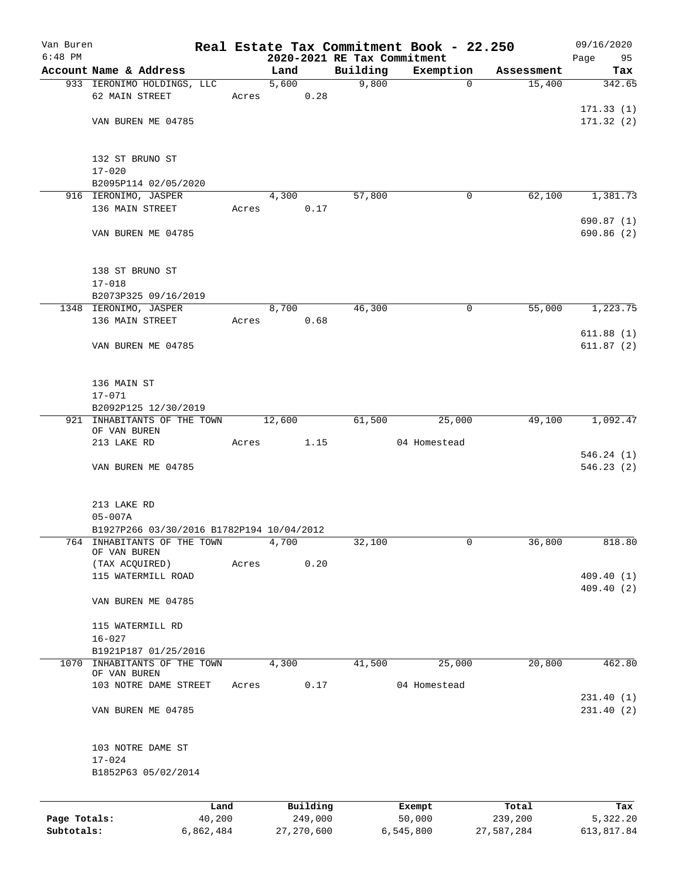| Van Buren    |                                              |       |          |                             | Real Estate Tax Commitment Book - 22.250 |            | 09/16/2020              |
|--------------|----------------------------------------------|-------|----------|-----------------------------|------------------------------------------|------------|-------------------------|
| $6:48$ PM    |                                              |       |          | 2020-2021 RE Tax Commitment |                                          |            | Page<br>95              |
|              | Account Name & Address                       |       | Land     | Building                    | Exemption                                | Assessment | Tax                     |
|              | 933 IERONIMO HOLDINGS, LLC                   |       | 5,600    | 9,800                       | $\mathbf 0$                              | 15,400     | 342.65                  |
|              | 62 MAIN STREET                               | Acres | 0.28     |                             |                                          |            |                         |
|              |                                              |       |          |                             |                                          |            | 171.33(1)               |
|              | VAN BUREN ME 04785                           |       |          |                             |                                          |            | 171.32(2)               |
|              |                                              |       |          |                             |                                          |            |                         |
|              | 132 ST BRUNO ST                              |       |          |                             |                                          |            |                         |
|              | $17 - 020$                                   |       |          |                             |                                          |            |                         |
|              | B2095P114 02/05/2020                         |       |          |                             |                                          |            |                         |
|              | 916 IERONIMO, JASPER                         |       | 4,300    | 57,800                      | 0                                        | 62,100     | 1,381.73                |
|              | 136 MAIN STREET                              | Acres | 0.17     |                             |                                          |            |                         |
|              | VAN BUREN ME 04785                           |       |          |                             |                                          |            | 690.87(1)<br>690.86 (2) |
|              | 138 ST BRUNO ST                              |       |          |                             |                                          |            |                         |
|              | $17 - 018$                                   |       |          |                             |                                          |            |                         |
|              | B2073P325 09/16/2019                         |       |          |                             |                                          |            |                         |
|              | 1348 IERONIMO, JASPER                        |       | 8,700    | 46,300                      | 0                                        | 55,000     | 1,223.75                |
|              | 136 MAIN STREET                              | Acres | 0.68     |                             |                                          |            |                         |
|              |                                              |       |          |                             |                                          |            | 611.88(1)               |
|              | VAN BUREN ME 04785                           |       |          |                             |                                          |            | 611.87(2)               |
|              | 136 MAIN ST                                  |       |          |                             |                                          |            |                         |
|              | $17 - 071$                                   |       |          |                             |                                          |            |                         |
|              | B2092P125 12/30/2019                         |       |          |                             |                                          |            |                         |
|              | 921 INHABITANTS OF THE TOWN<br>OF VAN BUREN  |       | 12,600   | 61,500                      | 25,000                                   | 49,100     | 1,092.47                |
|              | 213 LAKE RD                                  | Acres | 1.15     |                             | 04 Homestead                             |            |                         |
|              | VAN BUREN ME 04785                           |       |          |                             |                                          |            | 546.24(1)<br>546.23(2)  |
|              |                                              |       |          |                             |                                          |            |                         |
|              | 213 LAKE RD                                  |       |          |                             |                                          |            |                         |
|              | $05 - 007A$                                  |       |          |                             |                                          |            |                         |
|              | B1927P266 03/30/2016 B1782P194 10/04/2012    |       |          |                             |                                          |            |                         |
| 764          | INHABITANTS OF THE TOWN<br>OF VAN BUREN      |       | 4,700    | 32,100                      | 0                                        | 36,800     | 818.80                  |
|              | (TAX ACQUIRED)                               | Acres | 0.20     |                             |                                          |            |                         |
|              | 115 WATERMILL ROAD                           |       |          |                             |                                          |            | 409.40(1)               |
|              | VAN BUREN ME 04785                           |       |          |                             |                                          |            | 409.40 (2)              |
|              | 115 WATERMILL RD                             |       |          |                             |                                          |            |                         |
|              | $16 - 027$                                   |       |          |                             |                                          |            |                         |
|              | B1921P187 01/25/2016                         |       |          |                             |                                          |            |                         |
|              | 1070 INHABITANTS OF THE TOWN<br>OF VAN BUREN |       | 4,300    | 41,500                      | 25,000                                   | 20,800     | 462.80                  |
|              | 103 NOTRE DAME STREET                        | Acres | 0.17     |                             | 04 Homestead                             |            |                         |
|              |                                              |       |          |                             |                                          |            | 231.40(1)               |
|              | VAN BUREN ME 04785                           |       |          |                             |                                          |            | 231.40(2)               |
|              | 103 NOTRE DAME ST                            |       |          |                             |                                          |            |                         |
|              | $17 - 024$<br>B1852P63 05/02/2014            |       |          |                             |                                          |            |                         |
|              |                                              |       |          |                             |                                          |            |                         |
|              | Land                                         |       | Building |                             | Exempt                                   | Total      | Tax                     |
| Page Totals: | 40,200                                       |       | 249,000  |                             | 50,000                                   | 239,200    | 5,322.20                |

**Subtotals:** 6,862,484 27,270,600 6,545,800 27,587,284 613,817.84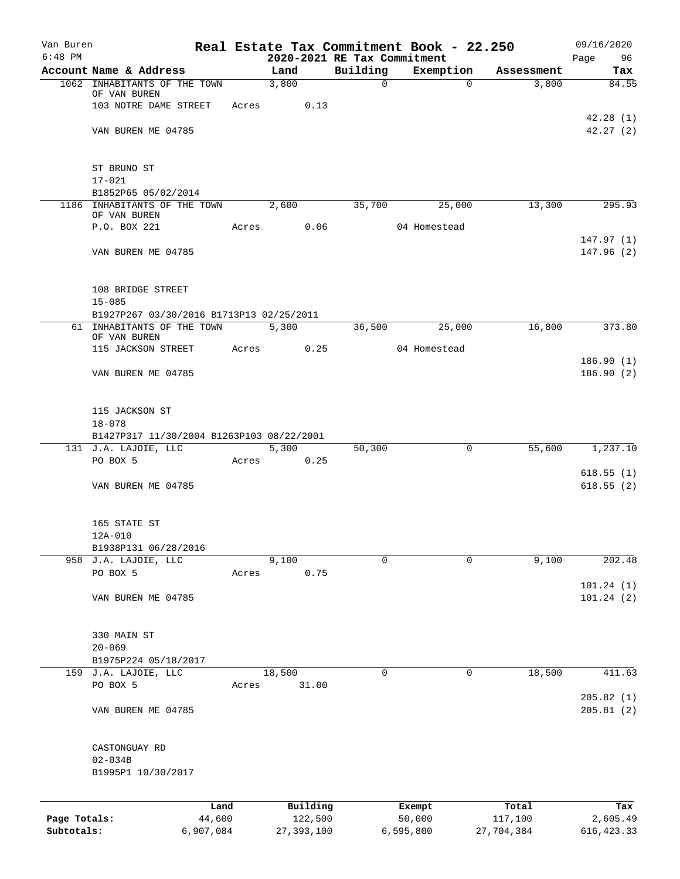| Van Buren                  |                                              |       |                                     |              | Real Estate Tax Commitment Book - 22.250 |            | 09/16/2020              |
|----------------------------|----------------------------------------------|-------|-------------------------------------|--------------|------------------------------------------|------------|-------------------------|
| $6:48$ PM                  | Account Name & Address                       |       | 2020-2021 RE Tax Commitment<br>Land | Building     | Exemption                                | Assessment | Page<br>96              |
|                            | 1062 INHABITANTS OF THE TOWN                 |       | 3,800                               | $\mathsf{O}$ | $\Omega$                                 | 3,800      | Tax<br>84.55            |
|                            | OF VAN BUREN                                 |       |                                     |              |                                          |            |                         |
|                            | 103 NOTRE DAME STREET                        | Acres | 0.13                                |              |                                          |            |                         |
|                            | VAN BUREN ME 04785                           |       |                                     |              |                                          |            | 42.28(1)<br>42.27(2)    |
|                            |                                              |       |                                     |              |                                          |            |                         |
|                            | ST BRUNO ST                                  |       |                                     |              |                                          |            |                         |
|                            | $17 - 021$                                   |       |                                     |              |                                          |            |                         |
|                            | B1852P65 05/02/2014                          |       |                                     |              |                                          |            |                         |
|                            | 1186 INHABITANTS OF THE TOWN<br>OF VAN BUREN |       | 2,600                               | 35,700       | 25,000                                   | 13,300     | 295.93                  |
|                            | P.O. BOX 221                                 | Acres | 0.06                                |              | 04 Homestead                             |            |                         |
|                            |                                              |       |                                     |              |                                          |            | 147.97(1)               |
|                            | VAN BUREN ME 04785                           |       |                                     |              |                                          |            | 147.96(2)               |
|                            | 108 BRIDGE STREET                            |       |                                     |              |                                          |            |                         |
|                            | $15 - 085$                                   |       |                                     |              |                                          |            |                         |
|                            | B1927P267 03/30/2016 B1713P13 02/25/2011     |       |                                     |              |                                          |            |                         |
|                            | 61 INHABITANTS OF THE TOWN<br>OF VAN BUREN   |       | 5,300                               | 36,500       | 25,000                                   | 16,800     | 373.80                  |
|                            | 115 JACKSON STREET                           | Acres | 0.25                                |              | 04 Homestead                             |            |                         |
|                            |                                              |       |                                     |              |                                          |            | 186.90(1)               |
|                            | VAN BUREN ME 04785                           |       |                                     |              |                                          |            | 186.90(2)               |
|                            | 115 JACKSON ST                               |       |                                     |              |                                          |            |                         |
|                            | $18 - 078$                                   |       |                                     |              |                                          |            |                         |
|                            | B1427P317 11/30/2004 B1263P103 08/22/2001    |       |                                     |              |                                          |            |                         |
|                            | 131 J.A. LAJOIE, LLC                         |       | 5,300                               | 50,300       | $\mathbf 0$                              | 55,600     | 1,237.10                |
|                            | PO BOX 5                                     | Acres | 0.25                                |              |                                          |            |                         |
|                            | VAN BUREN ME 04785                           |       |                                     |              |                                          |            | 618.55(1)<br>618.55(2)  |
|                            |                                              |       |                                     |              |                                          |            |                         |
|                            | 165 STATE ST<br>12A-010                      |       |                                     |              |                                          |            |                         |
|                            | B1938P131 06/28/2016                         |       |                                     |              |                                          |            |                         |
|                            | 958 J.A. LAJOIE, LLC                         |       | 9,100                               | $\Omega$     | 0                                        | 9,100      | 202.48                  |
|                            | PO BOX 5                                     | Acres | 0.75                                |              |                                          |            |                         |
|                            | VAN BUREN ME 04785                           |       |                                     |              |                                          |            | 101.24(1)<br>101.24(2)  |
|                            |                                              |       |                                     |              |                                          |            |                         |
|                            | 330 MAIN ST                                  |       |                                     |              |                                          |            |                         |
|                            | $20 - 069$<br>B1975P224 05/18/2017           |       |                                     |              |                                          |            |                         |
|                            | 159 J.A. LAJOIE, LLC                         |       | 18,500                              | 0            | 0                                        | 18,500     | 411.63                  |
|                            | PO BOX 5                                     | Acres | 31.00                               |              |                                          |            |                         |
|                            | VAN BUREN ME 04785                           |       |                                     |              |                                          |            | 205.82(1)<br>205.81(2)  |
|                            |                                              |       |                                     |              |                                          |            |                         |
|                            | CASTONGUAY RD                                |       |                                     |              |                                          |            |                         |
|                            | $02 - 034B$                                  |       |                                     |              |                                          |            |                         |
|                            | B1995P1 10/30/2017                           |       |                                     |              |                                          |            |                         |
|                            | Land                                         |       | Building                            |              | Exempt                                   | Total      | Tax                     |
| Page Totals:<br>Subtotals: | 44,600                                       |       | 122,500                             |              | 50,000                                   | 117,100    | 2,605.49<br>616, 423.33 |
|                            | 6,907,084                                    |       | 27, 393, 100                        |              | 6,595,800                                | 27,704,384 |                         |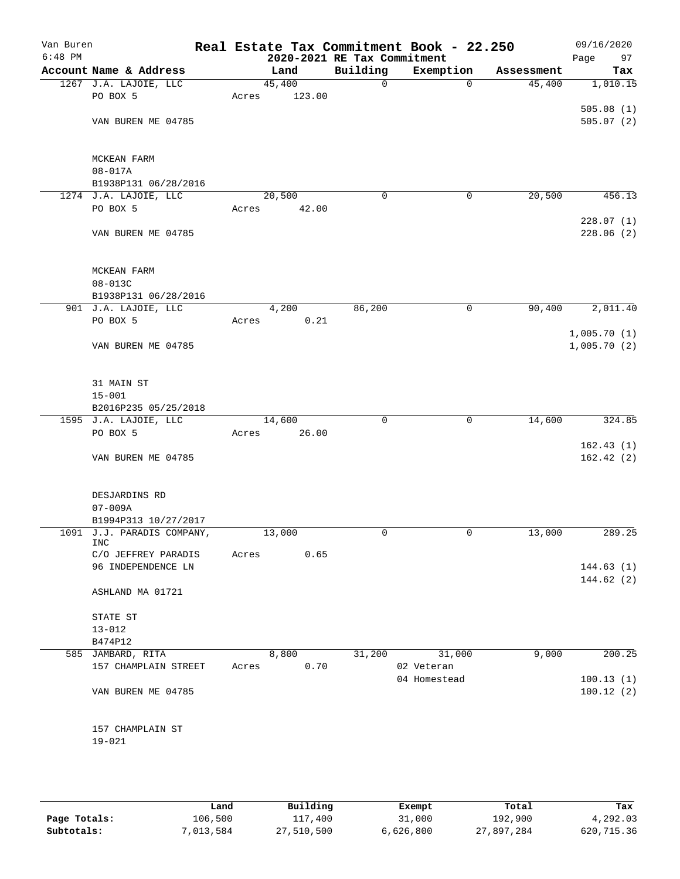| Van Buren<br>$6:48$ PM |                                 |       | 2020-2021 RE Tax Commitment |             | Real Estate Tax Commitment Book - 22.250 |            | 09/16/2020<br>Page<br>97 |
|------------------------|---------------------------------|-------|-----------------------------|-------------|------------------------------------------|------------|--------------------------|
|                        | Account Name & Address          |       | Land                        | Building    | Exemption                                | Assessment | Tax                      |
|                        | 1267 J.A. LAJOIE, LLC           |       | 45,400                      | 0           | $\mathbf 0$                              | 45,400     | 1,010.15                 |
|                        | PO BOX 5                        | Acres | 123.00                      |             |                                          |            |                          |
|                        |                                 |       |                             |             |                                          |            | 505.08(1)                |
|                        | VAN BUREN ME 04785              |       |                             |             |                                          |            | 505.07(2)                |
|                        |                                 |       |                             |             |                                          |            |                          |
|                        |                                 |       |                             |             |                                          |            |                          |
|                        | MCKEAN FARM<br>$08 - 017A$      |       |                             |             |                                          |            |                          |
|                        | B1938P131 06/28/2016            |       |                             |             |                                          |            |                          |
|                        | 1274 J.A. LAJOIE, LLC           |       | 20,500                      | 0           | 0                                        | 20,500     | 456.13                   |
|                        | PO BOX 5                        | Acres | 42.00                       |             |                                          |            |                          |
|                        |                                 |       |                             |             |                                          |            | 228.07(1)                |
|                        | VAN BUREN ME 04785              |       |                             |             |                                          |            | 228.06(2)                |
|                        |                                 |       |                             |             |                                          |            |                          |
|                        |                                 |       |                             |             |                                          |            |                          |
|                        | MCKEAN FARM                     |       |                             |             |                                          |            |                          |
|                        | 08-013C<br>B1938P131 06/28/2016 |       |                             |             |                                          |            |                          |
|                        | 901 J.A. LAJOIE, LLC            |       | 4,200                       | 86,200      | 0                                        | 90,400     | 2,011.40                 |
|                        | PO BOX 5                        | Acres | 0.21                        |             |                                          |            |                          |
|                        |                                 |       |                             |             |                                          |            | 1,005.70(1)              |
|                        | VAN BUREN ME 04785              |       |                             |             |                                          |            | 1,005.70(2)              |
|                        |                                 |       |                             |             |                                          |            |                          |
|                        |                                 |       |                             |             |                                          |            |                          |
|                        | 31 MAIN ST<br>$15 - 001$        |       |                             |             |                                          |            |                          |
|                        | B2016P235 05/25/2018            |       |                             |             |                                          |            |                          |
|                        | 1595 J.A. LAJOIE, LLC           |       | 14,600                      | $\mathbf 0$ | $\mathbf 0$                              | 14,600     | 324.85                   |
|                        | PO BOX 5                        | Acres | 26.00                       |             |                                          |            |                          |
|                        |                                 |       |                             |             |                                          |            | 162.43(1)                |
|                        | VAN BUREN ME 04785              |       |                             |             |                                          |            | 162.42(2)                |
|                        |                                 |       |                             |             |                                          |            |                          |
|                        | DESJARDINS RD                   |       |                             |             |                                          |            |                          |
|                        | $07 - 009A$                     |       |                             |             |                                          |            |                          |
|                        | B1994P313 10/27/2017            |       |                             |             |                                          |            |                          |
|                        | 1091 J.J. PARADIS COMPANY,      |       | 13,000                      | 0           | 0                                        | 13,000     | 289.25                   |
|                        | <b>INC</b>                      |       |                             |             |                                          |            |                          |
|                        | C/O JEFFREY PARADIS             | Acres | 0.65                        |             |                                          |            |                          |
|                        | 96 INDEPENDENCE LN              |       |                             |             |                                          |            | 144.63(1)<br>144.62(2)   |
|                        | ASHLAND MA 01721                |       |                             |             |                                          |            |                          |
|                        |                                 |       |                             |             |                                          |            |                          |
|                        | STATE ST                        |       |                             |             |                                          |            |                          |
|                        | $13 - 012$                      |       |                             |             |                                          |            |                          |
|                        | B474P12                         |       |                             |             |                                          |            |                          |
|                        | 585 JAMBARD, RITA               |       | 8,800                       | 31,200      | 31,000                                   | 9,000      | 200.25                   |
|                        | 157 CHAMPLAIN STREET            | Acres | 0.70                        |             | 02 Veteran<br>04 Homestead               |            | 100.13(1)                |
|                        | VAN BUREN ME 04785              |       |                             |             |                                          |            | 100.12(2)                |
|                        |                                 |       |                             |             |                                          |            |                          |
|                        |                                 |       |                             |             |                                          |            |                          |
|                        | 157 CHAMPLAIN ST                |       |                             |             |                                          |            |                          |
|                        | $19 - 021$                      |       |                             |             |                                          |            |                          |
|                        |                                 |       |                             |             |                                          |            |                          |
|                        |                                 |       |                             |             |                                          |            |                          |

|              | Land      | Building   | Exempt    | Total      | Tax        |
|--------------|-----------|------------|-----------|------------|------------|
| Page Totals: | 106,500   | 117,400    | 31,000    | 192,900    | 4,292.03   |
| Subtotals:   | 7,013,584 | 27,510,500 | 6,626,800 | 27,897,284 | 620,715.36 |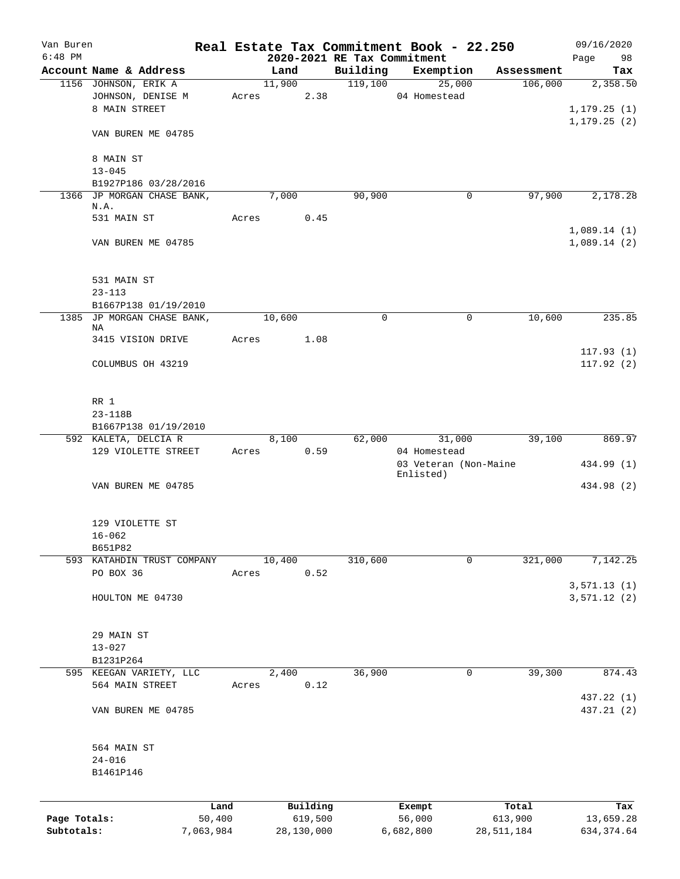| Van Buren    |                                                    |                |       |                |                     |                                         | Real Estate Tax Commitment Book - 22.250 |                       |            | 09/16/2020       |
|--------------|----------------------------------------------------|----------------|-------|----------------|---------------------|-----------------------------------------|------------------------------------------|-----------------------|------------|------------------|
| $6:48$ PM    | Account Name & Address                             |                |       |                |                     | 2020-2021 RE Tax Commitment<br>Building |                                          |                       |            | Page<br>98       |
|              |                                                    |                |       | Land<br>11,900 |                     | 119,100                                 | Exemption                                | 25,000                | Assessment | Tax              |
|              | 1156 JOHNSON, ERIK A                               |                |       |                | 2.38                |                                         | 04 Homestead                             |                       | 106,000    | 2,358.50         |
|              | JOHNSON, DENISE M                                  |                |       | Acres          |                     |                                         |                                          |                       |            | 1, 179.25(1)     |
|              | 8 MAIN STREET                                      |                |       |                |                     |                                         |                                          |                       |            |                  |
|              |                                                    |                |       |                |                     |                                         |                                          |                       |            | 1, 179.25(2)     |
|              | VAN BUREN ME 04785                                 |                |       |                |                     |                                         |                                          |                       |            |                  |
|              |                                                    |                |       |                |                     |                                         |                                          |                       |            |                  |
|              | 8 MAIN ST<br>$13 - 045$                            |                |       |                |                     |                                         |                                          |                       |            |                  |
|              |                                                    |                |       |                |                     |                                         |                                          |                       |            |                  |
|              | B1927P186 03/28/2016<br>1366 JP MORGAN CHASE BANK, |                |       | 7,000          |                     | 90,900                                  |                                          | 0                     | 97,900     | 2,178.28         |
|              | N.A.                                               |                |       |                |                     |                                         |                                          |                       |            |                  |
|              | 531 MAIN ST                                        |                | Acres |                | 0.45                |                                         |                                          |                       |            |                  |
|              |                                                    |                |       |                |                     |                                         |                                          |                       |            | 1,089.14(1)      |
|              | VAN BUREN ME 04785                                 |                |       |                |                     |                                         |                                          |                       |            | 1,089.14(2)      |
|              |                                                    |                |       |                |                     |                                         |                                          |                       |            |                  |
|              |                                                    |                |       |                |                     |                                         |                                          |                       |            |                  |
|              | 531 MAIN ST                                        |                |       |                |                     |                                         |                                          |                       |            |                  |
|              | $23 - 113$                                         |                |       |                |                     |                                         |                                          |                       |            |                  |
|              | B1667P138 01/19/2010                               |                |       |                |                     |                                         |                                          |                       |            |                  |
| 1385         | JP MORGAN CHASE BANK,                              |                |       | 10,600         |                     | $\mathbf 0$                             |                                          | 0                     | 10,600     | 235.85           |
|              | NA                                                 |                |       |                |                     |                                         |                                          |                       |            |                  |
|              | 3415 VISION DRIVE                                  |                | Acres |                | 1.08                |                                         |                                          |                       |            |                  |
|              |                                                    |                |       |                |                     |                                         |                                          |                       |            | 117.93(1)        |
|              | COLUMBUS OH 43219                                  |                |       |                |                     |                                         |                                          |                       |            | 117.92(2)        |
|              |                                                    |                |       |                |                     |                                         |                                          |                       |            |                  |
|              |                                                    |                |       |                |                     |                                         |                                          |                       |            |                  |
|              | RR 1                                               |                |       |                |                     |                                         |                                          |                       |            |                  |
|              | 23-118B                                            |                |       |                |                     |                                         |                                          |                       |            |                  |
|              | B1667P138 01/19/2010                               |                |       |                |                     |                                         |                                          |                       |            |                  |
|              | 592 KALETA, DELCIA R                               |                |       | 8,100          |                     | 62,000                                  |                                          | 31,000                | 39,100     | 869.97           |
|              | 129 VIOLETTE STREET                                |                | Acres |                | 0.59                |                                         | 04 Homestead                             |                       |            |                  |
|              |                                                    |                |       |                |                     |                                         |                                          | 03 Veteran (Non-Maine |            | 434.99 (1)       |
|              |                                                    |                |       |                |                     |                                         | Enlisted)                                |                       |            |                  |
|              | VAN BUREN ME 04785                                 |                |       |                |                     |                                         |                                          |                       |            | 434.98 (2)       |
|              |                                                    |                |       |                |                     |                                         |                                          |                       |            |                  |
|              | 129 VIOLETTE ST                                    |                |       |                |                     |                                         |                                          |                       |            |                  |
|              | $16 - 062$                                         |                |       |                |                     |                                         |                                          |                       |            |                  |
|              | B651P82                                            |                |       |                |                     |                                         |                                          |                       |            |                  |
|              | 593 KATAHDIN TRUST COMPANY                         |                |       | 10,400         |                     | 310,600                                 |                                          | $\mathbf 0$           | 321,000    | 7,142.25         |
|              | PO BOX 36                                          |                | Acres |                | 0.52                |                                         |                                          |                       |            |                  |
|              |                                                    |                |       |                |                     |                                         |                                          |                       |            | 3,571.13(1)      |
|              | HOULTON ME 04730                                   |                |       |                |                     |                                         |                                          |                       |            | 3,571.12(2)      |
|              |                                                    |                |       |                |                     |                                         |                                          |                       |            |                  |
|              |                                                    |                |       |                |                     |                                         |                                          |                       |            |                  |
|              | 29 MAIN ST                                         |                |       |                |                     |                                         |                                          |                       |            |                  |
|              | $13 - 027$                                         |                |       |                |                     |                                         |                                          |                       |            |                  |
|              | B1231P264                                          |                |       |                |                     |                                         |                                          |                       |            |                  |
|              | 595 KEEGAN VARIETY, LLC                            |                |       | 2,400          |                     | 36,900                                  |                                          | 0                     | 39,300     | 874.43           |
|              | 564 MAIN STREET                                    |                | Acres |                | 0.12                |                                         |                                          |                       |            |                  |
|              |                                                    |                |       |                |                     |                                         |                                          |                       |            | 437.22 (1)       |
|              | VAN BUREN ME 04785                                 |                |       |                |                     |                                         |                                          |                       |            | 437.21 (2)       |
|              |                                                    |                |       |                |                     |                                         |                                          |                       |            |                  |
|              |                                                    |                |       |                |                     |                                         |                                          |                       |            |                  |
|              | 564 MAIN ST                                        |                |       |                |                     |                                         |                                          |                       |            |                  |
|              | $24 - 016$                                         |                |       |                |                     |                                         |                                          |                       |            |                  |
|              | B1461P146                                          |                |       |                |                     |                                         |                                          |                       |            |                  |
|              |                                                    |                |       |                |                     |                                         |                                          |                       |            |                  |
|              |                                                    |                |       |                |                     |                                         |                                          |                       |            |                  |
| Page Totals: |                                                    | Land<br>50,400 |       |                | Building<br>619,500 |                                         | Exempt<br>56,000                         | 613,900               | Total      | Tax<br>13,659.28 |
| Subtotals:   |                                                    | 7,063,984      |       |                | 28,130,000          |                                         | 6,682,800                                | 28,511,184            |            | 634, 374.64      |
|              |                                                    |                |       |                |                     |                                         |                                          |                       |            |                  |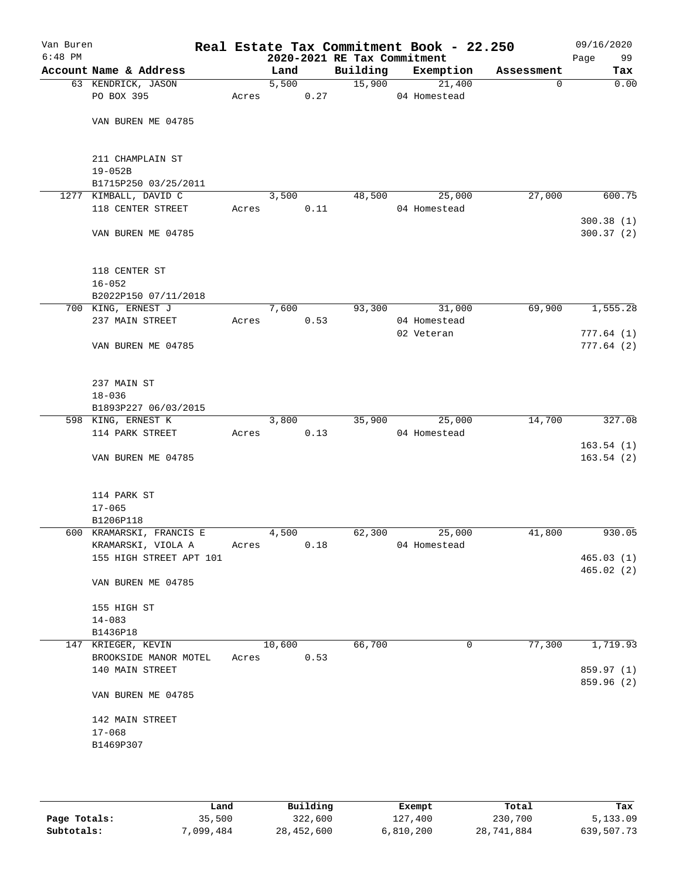| Van Buren<br>$6:48$ PM |                                       |       |        |      | 2020-2021 RE Tax Commitment | Real Estate Tax Commitment Book - 22.250 |             | 09/16/2020<br>99<br>Page |
|------------------------|---------------------------------------|-------|--------|------|-----------------------------|------------------------------------------|-------------|--------------------------|
|                        | Account Name & Address                |       | Land   |      | Building                    | Exemption                                | Assessment  | Tax                      |
|                        | 63 KENDRICK, JASON                    |       | 5,500  |      | 15,900                      | 21,400                                   | $\mathbf 0$ | 0.00                     |
|                        | PO BOX 395                            | Acres |        | 0.27 |                             | 04 Homestead                             |             |                          |
|                        | VAN BUREN ME 04785                    |       |        |      |                             |                                          |             |                          |
|                        | 211 CHAMPLAIN ST<br>$19 - 052B$       |       |        |      |                             |                                          |             |                          |
|                        | B1715P250 03/25/2011                  |       |        |      |                             |                                          |             |                          |
|                        | 1277 KIMBALL, DAVID C                 |       | 3,500  |      | 48,500                      | 25,000                                   | 27,000      | 600.75                   |
|                        | 118 CENTER STREET                     | Acres |        | 0.11 |                             | 04 Homestead                             |             | 300.38(1)                |
|                        | VAN BUREN ME 04785                    |       |        |      |                             |                                          |             | 300.37(2)                |
|                        | 118 CENTER ST                         |       |        |      |                             |                                          |             |                          |
|                        | $16 - 052$                            |       |        |      |                             |                                          |             |                          |
|                        | B2022P150 07/11/2018                  |       |        |      |                             |                                          |             |                          |
|                        | 700 KING, ERNEST J                    |       | 7,600  |      |                             | 93,300 31,000                            | 69,900      | 1,555.28                 |
|                        | 237 MAIN STREET                       | Acres |        | 0.53 |                             | 04 Homestead<br>02 Veteran               |             | 777.64(1)                |
|                        | VAN BUREN ME 04785                    |       |        |      |                             |                                          |             | 777.64(2)                |
|                        | 237 MAIN ST                           |       |        |      |                             |                                          |             |                          |
|                        | $18 - 036$                            |       |        |      |                             |                                          |             |                          |
|                        | B1893P227 06/03/2015                  |       |        |      |                             |                                          |             |                          |
|                        | 598 KING, ERNEST K                    |       | 3,800  |      | 35,900                      | 25,000                                   | 14,700      | 327.08                   |
|                        | 114 PARK STREET                       | Acres |        | 0.13 |                             | 04 Homestead                             |             |                          |
|                        |                                       |       |        |      |                             |                                          |             | 163.54(1)                |
|                        | VAN BUREN ME 04785                    |       |        |      |                             |                                          |             | 163.54(2)                |
|                        | 114 PARK ST                           |       |        |      |                             |                                          |             |                          |
|                        | $17 - 065$                            |       |        |      |                             |                                          |             |                          |
|                        | B1206P118<br>600 KRAMARSKI, FRANCIS E |       | 4,500  |      | 62,300                      | 25,000                                   | 41,800      | 930.05                   |
|                        | KRAMARSKI, VIOLA A                    | Acres |        | 0.18 |                             | 04 Homestead                             |             |                          |
|                        | 155 HIGH STREET APT 101               |       |        |      |                             |                                          |             | 465.03(1)                |
|                        |                                       |       |        |      |                             |                                          |             | 465.02(2)                |
|                        | VAN BUREN ME 04785                    |       |        |      |                             |                                          |             |                          |
|                        | 155 HIGH ST                           |       |        |      |                             |                                          |             |                          |
|                        | $14 - 083$                            |       |        |      |                             |                                          |             |                          |
|                        | B1436P18                              |       |        |      |                             |                                          |             |                          |
|                        | 147 KRIEGER, KEVIN                    |       | 10,600 |      | 66,700                      | 0                                        | 77,300      | 1,719.93                 |
|                        | BROOKSIDE MANOR MOTEL                 | Acres |        | 0.53 |                             |                                          |             |                          |
|                        | 140 MAIN STREET                       |       |        |      |                             |                                          |             | 859.97 (1)<br>859.96 (2) |
|                        | VAN BUREN ME 04785                    |       |        |      |                             |                                          |             |                          |
|                        | 142 MAIN STREET                       |       |        |      |                             |                                          |             |                          |
|                        | $17 - 068$                            |       |        |      |                             |                                          |             |                          |
|                        | B1469P307                             |       |        |      |                             |                                          |             |                          |
|                        |                                       |       |        |      |                             |                                          |             |                          |
|                        |                                       |       |        |      |                             |                                          |             |                          |

|              | Land      | Building   | Exempt    | Total      | Tax        |
|--------------|-----------|------------|-----------|------------|------------|
| Page Totals: | 35,500    | 322,600    | 127,400   | 230,700    | 5,133.09   |
| Subtotals:   | 7,099,484 | 28,452,600 | 6,810,200 | 28,741,884 | 639,507.73 |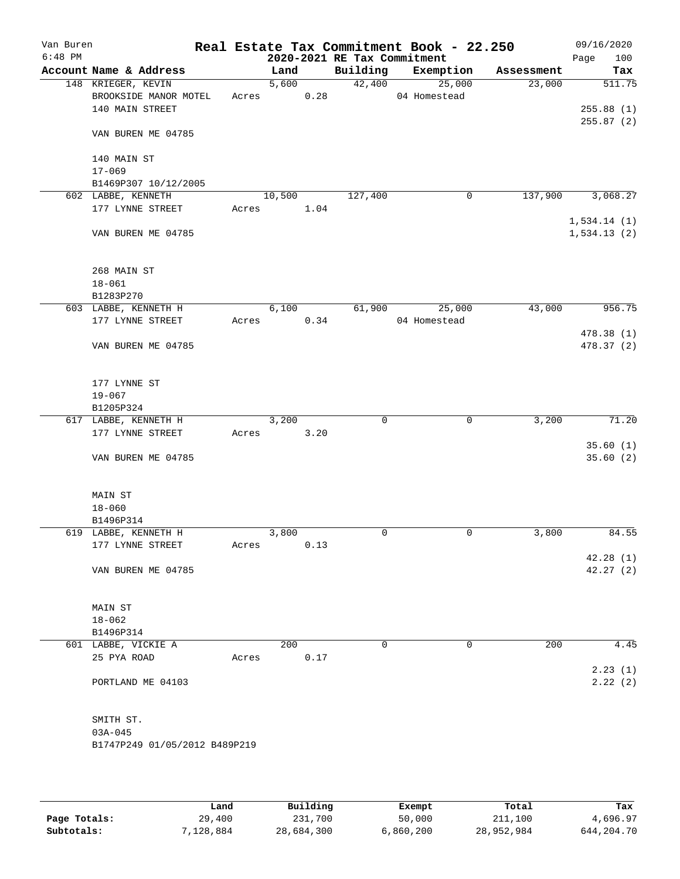| Van Buren |                               |       |        |      |                             | Real Estate Tax Commitment Book - 22.250 |            | 09/16/2020  |
|-----------|-------------------------------|-------|--------|------|-----------------------------|------------------------------------------|------------|-------------|
| $6:48$ PM |                               |       |        |      | 2020-2021 RE Tax Commitment |                                          |            | Page<br>100 |
|           | Account Name & Address        |       | Land   |      |                             | Building Exemption                       | Assessment | Tax         |
|           | 148 KRIEGER, KEVIN            |       | 5,600  |      | 42,400                      | 25,000                                   | 23,000     | 511.75      |
|           | BROOKSIDE MANOR MOTEL         |       | Acres  | 0.28 |                             | 04 Homestead                             |            |             |
|           | 140 MAIN STREET               |       |        |      |                             |                                          |            | 255.88(1)   |
|           |                               |       |        |      |                             |                                          |            | 255.87(2)   |
|           | VAN BUREN ME 04785            |       |        |      |                             |                                          |            |             |
|           | 140 MAIN ST                   |       |        |      |                             |                                          |            |             |
|           | $17 - 069$                    |       |        |      |                             |                                          |            |             |
|           | B1469P307 10/12/2005          |       |        |      |                             |                                          |            |             |
|           | 602 LABBE, KENNETH            |       | 10,500 |      | 127,400                     | 0                                        | 137,900    | 3,068.27    |
|           | 177 LYNNE STREET              | Acres |        | 1.04 |                             |                                          |            |             |
|           |                               |       |        |      |                             |                                          |            | 1,534.14(1) |
|           | VAN BUREN ME 04785            |       |        |      |                             |                                          |            | 1,534.13(2) |
|           |                               |       |        |      |                             |                                          |            |             |
|           |                               |       |        |      |                             |                                          |            |             |
|           | 268 MAIN ST                   |       |        |      |                             |                                          |            |             |
|           | $18 - 061$                    |       |        |      |                             |                                          |            |             |
|           | B1283P270                     |       |        |      |                             |                                          |            |             |
|           | 603 LABBE, KENNETH H          |       | 6,100  |      | 61,900                      | 25,000                                   | 43,000     | 956.75      |
|           | 177 LYNNE STREET              | Acres |        | 0.34 |                             | 04 Homestead                             |            |             |
|           |                               |       |        |      |                             |                                          |            | 478.38 (1)  |
|           | VAN BUREN ME 04785            |       |        |      |                             |                                          |            | 478.37 (2)  |
|           |                               |       |        |      |                             |                                          |            |             |
|           |                               |       |        |      |                             |                                          |            |             |
|           | 177 LYNNE ST                  |       |        |      |                             |                                          |            |             |
|           | $19 - 067$                    |       |        |      |                             |                                          |            |             |
|           | B1205P324                     |       |        |      |                             |                                          |            |             |
|           | 617 LABBE, KENNETH H          |       | 3,200  |      | 0                           | 0                                        | 3,200      | 71.20       |
|           | 177 LYNNE STREET              | Acres |        | 3.20 |                             |                                          |            |             |
|           |                               |       |        |      |                             |                                          |            | 35.60(1)    |
|           | VAN BUREN ME 04785            |       |        |      |                             |                                          |            | 35.60(2)    |
|           |                               |       |        |      |                             |                                          |            |             |
|           |                               |       |        |      |                             |                                          |            |             |
|           | MAIN ST                       |       |        |      |                             |                                          |            |             |
|           | $18 - 060$                    |       |        |      |                             |                                          |            |             |
|           | B1496P314                     |       |        |      |                             |                                          |            |             |
|           | 619 LABBE, KENNETH H          |       | 3,800  |      | 0                           | $\mathbf 0$                              | 3,800      | 84.55       |
|           | 177 LYNNE STREET              | Acres |        | 0.13 |                             |                                          |            |             |
|           |                               |       |        |      |                             |                                          |            | 42.28(1)    |
|           | VAN BUREN ME 04785            |       |        |      |                             |                                          |            | 42.27(2)    |
|           |                               |       |        |      |                             |                                          |            |             |
|           |                               |       |        |      |                             |                                          |            |             |
|           | MAIN ST                       |       |        |      |                             |                                          |            |             |
|           | $18 - 062$                    |       |        |      |                             |                                          |            |             |
|           | B1496P314                     |       |        |      |                             |                                          |            |             |
|           | 601 LABBE, VICKIE A           |       | 200    |      | 0                           | $\mathbf 0$                              | 200        | 4.45        |
|           | 25 PYA ROAD                   | Acres |        | 0.17 |                             |                                          |            |             |
|           |                               |       |        |      |                             |                                          |            | 2.23(1)     |
|           | PORTLAND ME 04103             |       |        |      |                             |                                          |            | 2.22(2)     |
|           |                               |       |        |      |                             |                                          |            |             |
|           |                               |       |        |      |                             |                                          |            |             |
|           | SMITH ST.                     |       |        |      |                             |                                          |            |             |
|           | $03A - 045$                   |       |        |      |                             |                                          |            |             |
|           | B1747P249 01/05/2012 B489P219 |       |        |      |                             |                                          |            |             |
|           |                               |       |        |      |                             |                                          |            |             |
|           |                               |       |        |      |                             |                                          |            |             |
|           |                               |       |        |      |                             |                                          |            |             |

|              | Land      | Building   | Exempt    | Total      | Tax        |
|--------------|-----------|------------|-----------|------------|------------|
| Page Totals: | 29,400    | 231,700    | 50,000    | 211,100    | 4,696.97   |
| Subtotals:   | 7,128,884 | 28,684,300 | 6,860,200 | 28,952,984 | 644,204.70 |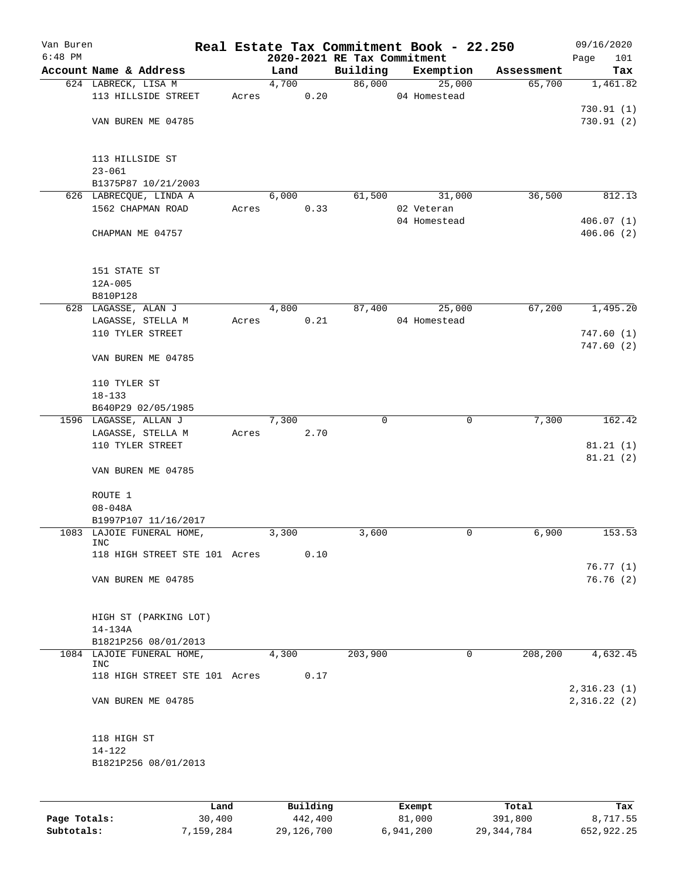| Van Buren |                                         |       |          |                             | Real Estate Tax Commitment Book - 22.250 |            | 09/16/2020  |
|-----------|-----------------------------------------|-------|----------|-----------------------------|------------------------------------------|------------|-------------|
| $6:48$ PM |                                         |       |          | 2020-2021 RE Tax Commitment |                                          |            | 101<br>Page |
|           | Account Name & Address                  |       | Land     | Building                    | Exemption                                | Assessment | Tax         |
|           | 624 LABRECK, LISA M                     |       | 4,700    | 86,000                      | 25,000                                   | 65,700     | 1,461.82    |
|           | 113 HILLSIDE STREET                     | Acres | 0.20     |                             | 04 Homestead                             |            |             |
|           |                                         |       |          |                             |                                          |            | 730.91(1)   |
|           | VAN BUREN ME 04785                      |       |          |                             |                                          |            | 730.91(2)   |
|           | 113 HILLSIDE ST                         |       |          |                             |                                          |            |             |
|           | $23 - 061$                              |       |          |                             |                                          |            |             |
|           | B1375P87 10/21/2003                     |       |          |                             |                                          |            |             |
|           | 626 LABRECQUE, LINDA A                  |       | 6,000    | 61,500                      | 31,000                                   | 36,500     | 812.13      |
|           | 1562 CHAPMAN ROAD                       | Acres | 0.33     |                             | 02 Veteran                               |            |             |
|           |                                         |       |          |                             | 04 Homestead                             |            | 406.07(1)   |
|           | CHAPMAN ME 04757                        |       |          |                             |                                          |            | 406.06(2)   |
|           | 151 STATE ST                            |       |          |                             |                                          |            |             |
|           | $12A - 005$                             |       |          |                             |                                          |            |             |
|           | B810P128                                |       |          |                             |                                          |            |             |
|           | 628 LAGASSE, ALAN J                     |       | 4,800    | 87,400                      | 25,000                                   | 67,200     | 1,495.20    |
|           | LAGASSE, STELLA M                       | Acres | 0.21     |                             | 04 Homestead                             |            |             |
|           | 110 TYLER STREET                        |       |          |                             |                                          |            | 747.60(1)   |
|           | VAN BUREN ME 04785                      |       |          |                             |                                          |            | 747.60(2)   |
|           | 110 TYLER ST                            |       |          |                             |                                          |            |             |
|           | $18 - 133$                              |       |          |                             |                                          |            |             |
|           | B640P29 02/05/1985                      |       |          |                             |                                          |            |             |
|           | 1596 LAGASSE, ALLAN J                   |       | 7,300    | $\Omega$                    | 0                                        | 7,300      | 162.42      |
|           | LAGASSE, STELLA M                       | Acres | 2.70     |                             |                                          |            |             |
|           | 110 TYLER STREET                        |       |          |                             |                                          |            | 81.21(1)    |
|           | VAN BUREN ME 04785                      |       |          |                             |                                          |            | 81.21(2)    |
|           |                                         |       |          |                             |                                          |            |             |
|           | ROUTE 1                                 |       |          |                             |                                          |            |             |
|           | $08 - 048A$                             |       |          |                             |                                          |            |             |
|           | B1997P107 11/16/2017                    |       |          |                             |                                          |            |             |
|           | 1083 LAJOIE FUNERAL HOME,<br><b>INC</b> |       | 3,300    | 3,600                       | 0                                        | 6,900      | 153.53      |
|           | 118 HIGH STREET STE 101 Acres           |       | 0.10     |                             |                                          |            |             |
|           |                                         |       |          |                             |                                          |            | 76.77(1)    |
|           | VAN BUREN ME 04785                      |       |          |                             |                                          |            | 76.76(2)    |
|           |                                         |       |          |                             |                                          |            |             |
|           | HIGH ST (PARKING LOT)<br>14-134A        |       |          |                             |                                          |            |             |
|           | B1821P256 08/01/2013                    |       |          |                             |                                          |            |             |
|           | 1084 LAJOIE FUNERAL HOME,               |       | 4,300    | 203,900                     | 0                                        | 208,200    | 4,632.45    |
|           | INC                                     |       |          |                             |                                          |            |             |
|           | 118 HIGH STREET STE 101 Acres           |       | 0.17     |                             |                                          |            | 2,316.23(1) |
|           | VAN BUREN ME 04785                      |       |          |                             |                                          |            | 2,316.22(2) |
|           | 118 HIGH ST                             |       |          |                             |                                          |            |             |
|           | 14-122                                  |       |          |                             |                                          |            |             |
|           | B1821P256 08/01/2013                    |       |          |                             |                                          |            |             |
|           |                                         |       |          |                             |                                          |            |             |
|           | Land                                    |       | Building |                             | Exempt                                   | Total      | Tax         |

|              | ⊥and       | Building   | Exempt    | тосат        | тах        |
|--------------|------------|------------|-----------|--------------|------------|
| Page Totals: | 30,400     | 442,400    | 81,000    | 391,800      | 8,717.55   |
| Subtotals:   | 1,159,284" | 29,126,700 | 6,941,200 | 29, 344, 784 | 652,922.25 |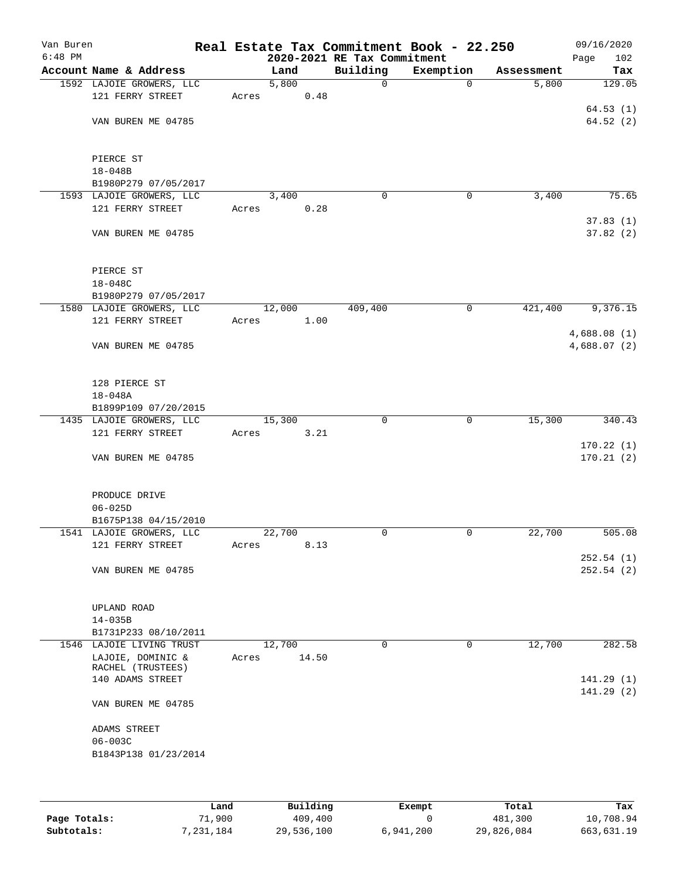| Van Buren<br>$6:48$ PM |                                       |       |        |       | 2020-2021 RE Tax Commitment | Real Estate Tax Commitment Book - 22.250 |            | 09/16/2020<br>Page<br>102  |
|------------------------|---------------------------------------|-------|--------|-------|-----------------------------|------------------------------------------|------------|----------------------------|
|                        | Account Name & Address                |       | Land   |       | Building                    | Exemption                                | Assessment | Tax                        |
|                        | 1592 LAJOIE GROWERS, LLC              |       | 5,800  |       | $\mathbf 0$                 | $\Omega$                                 | 5,800      | 129.05                     |
|                        | 121 FERRY STREET                      | Acres |        | 0.48  |                             |                                          |            |                            |
|                        |                                       |       |        |       |                             |                                          |            | 64.53(1)                   |
|                        | VAN BUREN ME 04785                    |       |        |       |                             |                                          |            | 64.52(2)                   |
|                        | PIERCE ST                             |       |        |       |                             |                                          |            |                            |
|                        | $18 - 048B$                           |       |        |       |                             |                                          |            |                            |
|                        | B1980P279 07/05/2017                  |       |        |       |                             |                                          |            |                            |
|                        | 1593 LAJOIE GROWERS, LLC              |       | 3,400  |       | 0                           | 0                                        | 3,400      | 75.65                      |
|                        | 121 FERRY STREET                      | Acres |        | 0.28  |                             |                                          |            |                            |
|                        |                                       |       |        |       |                             |                                          |            | 37.83(1)                   |
|                        | VAN BUREN ME 04785                    |       |        |       |                             |                                          |            | 37.82(2)                   |
|                        | PIERCE ST                             |       |        |       |                             |                                          |            |                            |
|                        | 18-048C                               |       |        |       |                             |                                          |            |                            |
|                        | B1980P279 07/05/2017                  |       |        |       |                             |                                          |            |                            |
|                        | 1580 LAJOIE GROWERS, LLC              |       | 12,000 |       | 409,400                     | $\mathsf{O}$                             | 421,400    | 9,376.15                   |
|                        | 121 FERRY STREET                      | Acres |        | 1.00  |                             |                                          |            |                            |
|                        | VAN BUREN ME 04785                    |       |        |       |                             |                                          |            | 4,688.08(1)<br>4,688.07(2) |
|                        | 128 PIERCE ST                         |       |        |       |                             |                                          |            |                            |
|                        | $18 - 048A$                           |       |        |       |                             |                                          |            |                            |
|                        | B1899P109 07/20/2015                  |       |        |       |                             |                                          |            |                            |
|                        | 1435 LAJOIE GROWERS, LLC              |       | 15,300 |       | 0                           | 0                                        | 15,300     | 340.43                     |
|                        | 121 FERRY STREET                      | Acres |        | 3.21  |                             |                                          |            | 170.22(1)                  |
|                        | VAN BUREN ME 04785                    |       |        |       |                             |                                          |            | 170.21(2)                  |
|                        | PRODUCE DRIVE                         |       |        |       |                             |                                          |            |                            |
|                        | $06 - 025D$                           |       |        |       |                             |                                          |            |                            |
|                        | B1675P138 04/15/2010                  |       |        |       |                             |                                          |            |                            |
|                        | 1541 LAJOIE GROWERS, LLC              |       | 22,700 |       | 0                           | 0                                        | 22,700     | 505.08                     |
|                        | 121 FERRY STREET                      | Acres |        | 8.13  |                             |                                          |            |                            |
|                        | VAN BUREN ME 04785                    |       |        |       |                             |                                          |            | 252.54(1)<br>252.54(2)     |
|                        | UPLAND ROAD<br>$14 - 035B$            |       |        |       |                             |                                          |            |                            |
|                        | B1731P233 08/10/2011                  |       |        |       |                             |                                          |            |                            |
|                        | 1546 LAJOIE LIVING TRUST              |       | 12,700 |       | 0                           | 0                                        | 12,700     | 282.58                     |
|                        | LAJOIE, DOMINIC &                     | Acres |        | 14.50 |                             |                                          |            |                            |
|                        | RACHEL (TRUSTEES)<br>140 ADAMS STREET |       |        |       |                             |                                          |            | 141.29(1)                  |
|                        |                                       |       |        |       |                             |                                          |            | 141.29 (2)                 |
|                        | VAN BUREN ME 04785                    |       |        |       |                             |                                          |            |                            |
|                        | ADAMS STREET                          |       |        |       |                             |                                          |            |                            |
|                        | $06 - 003C$                           |       |        |       |                             |                                          |            |                            |
|                        | B1843P138 01/23/2014                  |       |        |       |                             |                                          |            |                            |
|                        |                                       |       |        |       |                             |                                          |            |                            |
|                        |                                       |       |        |       |                             |                                          |            |                            |
|                        |                                       |       |        |       |                             |                                          |            |                            |

|              | Land      | Building   | Exempt    | Total      | Tax        |
|--------------|-----------|------------|-----------|------------|------------|
| Page Totals: | 71,900    | 409,400    |           | 481,300    | 10,708.94  |
| Subtotals:   | 7,231,184 | 29,536,100 | 6,941,200 | 29,826,084 | 663,631.19 |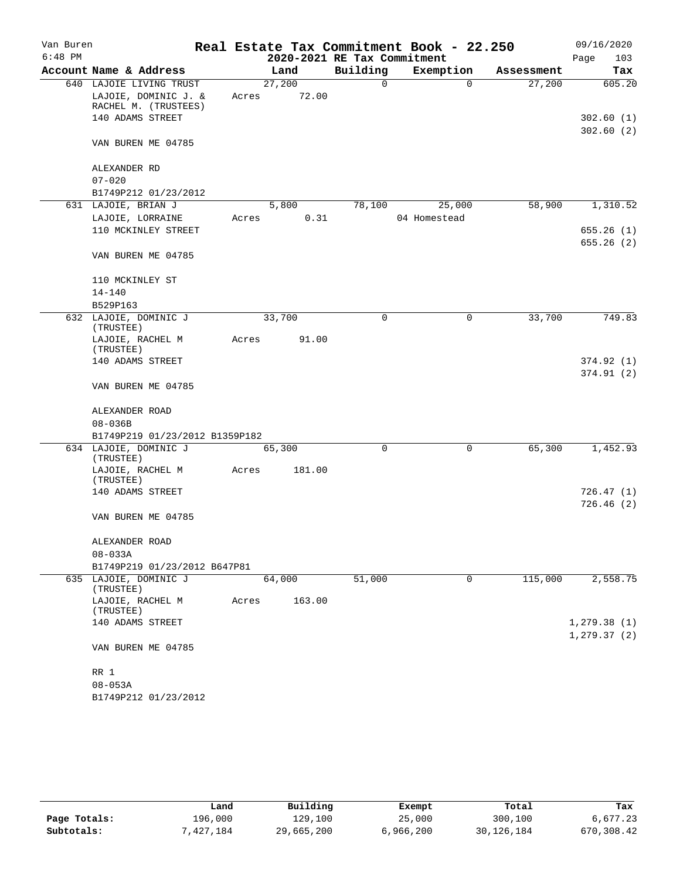| Van Buren |                                              |       |        |                             | Real Estate Tax Commitment Book - 22.250 |            | 09/16/2020                  |
|-----------|----------------------------------------------|-------|--------|-----------------------------|------------------------------------------|------------|-----------------------------|
| $6:48$ PM |                                              |       |        | 2020-2021 RE Tax Commitment |                                          |            | Page<br>103                 |
|           | Account Name & Address                       |       | Land   | Building                    | Exemption                                | Assessment | Tax                         |
|           | 640 LAJOIE LIVING TRUST                      |       | 27,200 | 0                           | $\Omega$                                 | 27,200     | 605.20                      |
|           | LAJOIE, DOMINIC J. &<br>RACHEL M. (TRUSTEES) | Acres | 72.00  |                             |                                          |            |                             |
|           | 140 ADAMS STREET                             |       |        |                             |                                          |            | 302.60(1)                   |
|           |                                              |       |        |                             |                                          |            | 302.60(2)                   |
|           | VAN BUREN ME 04785                           |       |        |                             |                                          |            |                             |
|           | ALEXANDER RD                                 |       |        |                             |                                          |            |                             |
|           | $07 - 020$                                   |       |        |                             |                                          |            |                             |
|           | B1749P212 01/23/2012                         |       |        |                             |                                          |            |                             |
|           | 631 LAJOIE, BRIAN J                          |       | 5,800  | 78,100                      | 25,000                                   | 58,900     | 1,310.52                    |
|           | LAJOIE, LORRAINE                             | Acres | 0.31   |                             | 04 Homestead                             |            |                             |
|           | 110 MCKINLEY STREET                          |       |        |                             |                                          |            | 655.26(1)                   |
|           | VAN BUREN ME 04785                           |       |        |                             |                                          |            | 655.26(2)                   |
|           | 110 MCKINLEY ST                              |       |        |                             |                                          |            |                             |
|           | $14 - 140$                                   |       |        |                             |                                          |            |                             |
|           | B529P163                                     |       |        |                             |                                          |            |                             |
|           | 632 LAJOIE, DOMINIC J<br>(TRUSTEE)           |       | 33,700 | 0                           | $\mathsf{O}$                             | 33,700     | 749.83                      |
|           | LAJOIE, RACHEL M<br>(TRUSTEE)                | Acres | 91.00  |                             |                                          |            |                             |
|           | 140 ADAMS STREET                             |       |        |                             |                                          |            | 374.92 (1)                  |
|           |                                              |       |        |                             |                                          |            | 374.91(2)                   |
|           | VAN BUREN ME 04785                           |       |        |                             |                                          |            |                             |
|           | ALEXANDER ROAD                               |       |        |                             |                                          |            |                             |
|           | $08 - 036B$                                  |       |        |                             |                                          |            |                             |
|           | B1749P219 01/23/2012 B1359P182               |       |        |                             |                                          |            |                             |
|           | 634 LAJOIE, DOMINIC J<br>(TRUSTEE)           |       | 65,300 | $\mathbf 0$                 | 0                                        | 65,300     | 1,452.93                    |
|           | LAJOIE, RACHEL M<br>(TRUSTEE)                | Acres | 181.00 |                             |                                          |            |                             |
|           | 140 ADAMS STREET                             |       |        |                             |                                          |            | 726.47(1)                   |
|           | VAN BUREN ME 04785                           |       |        |                             |                                          |            | 726.46(2)                   |
|           |                                              |       |        |                             |                                          |            |                             |
|           | ALEXANDER ROAD                               |       |        |                             |                                          |            |                             |
|           | $08 - 033A$                                  |       |        |                             |                                          |            |                             |
|           | B1749P219 01/23/2012 B647P81                 |       |        |                             |                                          |            |                             |
|           | 635 LAJOIE, DOMINIC J<br>(TRUSTEE)           |       | 64,000 | 51,000                      | 0                                        | 115,000    | 2,558.75                    |
|           | LAJOIE, RACHEL M<br>(TRUSTEE)                | Acres | 163.00 |                             |                                          |            |                             |
|           | 140 ADAMS STREET                             |       |        |                             |                                          |            | 1,279.38(1)<br>1, 279.37(2) |
|           | VAN BUREN ME 04785                           |       |        |                             |                                          |            |                             |
|           | RR 1                                         |       |        |                             |                                          |            |                             |
|           | $08 - 053A$                                  |       |        |                             |                                          |            |                             |
|           | B1749P212 01/23/2012                         |       |        |                             |                                          |            |                             |

|              | Land      | Building   | Exempt    | Total      | Tax        |
|--------------|-----------|------------|-----------|------------|------------|
| Page Totals: | 196,000   | 129,100    | 25,000    | 300,100    | 6,677.23   |
| Subtotals:   | 7.427.184 | 29,665,200 | 6,966,200 | 30,126,184 | 670,308.42 |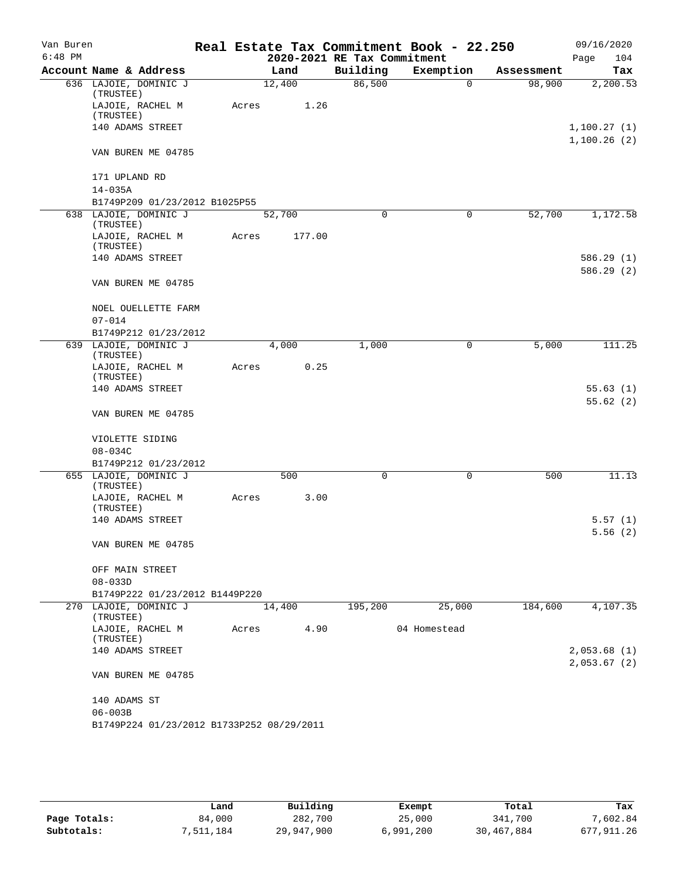| Van Buren<br>$6:48$ PM |                                              |       |        | 2020-2021 RE Tax Commitment | Real Estate Tax Commitment Book - 22.250 |            | 09/16/2020<br>104          |
|------------------------|----------------------------------------------|-------|--------|-----------------------------|------------------------------------------|------------|----------------------------|
|                        | Account Name & Address                       |       | Land   | Building                    | Exemption                                | Assessment | Page<br>Tax                |
|                        | 636 LAJOIE, DOMINIC J<br>(TRUSTEE)           |       | 12,400 | 86,500                      | $\mathbf 0$                              | 98,900     | 2,200.53                   |
|                        | LAJOIE, RACHEL M<br>(TRUSTEE)                | Acres | 1.26   |                             |                                          |            |                            |
|                        | 140 ADAMS STREET                             |       |        |                             |                                          |            | 1,100.27(1)                |
|                        | VAN BUREN ME 04785                           |       |        |                             |                                          |            | 1,100.26(2)                |
|                        | 171 UPLAND RD                                |       |        |                             |                                          |            |                            |
|                        | $14 - 035A$<br>B1749P209 01/23/2012 B1025P55 |       |        |                             |                                          |            |                            |
|                        | 638 LAJOIE, DOMINIC J<br>(TRUSTEE)           |       | 52,700 | 0                           | $\mathbf 0$                              | 52,700     | 1,172.58                   |
|                        | LAJOIE, RACHEL M<br>(TRUSTEE)                | Acres | 177.00 |                             |                                          |            |                            |
|                        | 140 ADAMS STREET                             |       |        |                             |                                          |            | 586.29(1)<br>586.29(2)     |
|                        | VAN BUREN ME 04785                           |       |        |                             |                                          |            |                            |
|                        | NOEL OUELLETTE FARM                          |       |        |                             |                                          |            |                            |
|                        | $07 - 014$<br>B1749P212 01/23/2012           |       |        |                             |                                          |            |                            |
|                        | 639 LAJOIE, DOMINIC J<br>(TRUSTEE)           |       | 4,000  | 1,000                       | 0                                        | 5,000      | 111.25                     |
|                        | LAJOIE, RACHEL M<br>(TRUSTEE)                | Acres | 0.25   |                             |                                          |            |                            |
|                        | 140 ADAMS STREET                             |       |        |                             |                                          |            | 55.63(1)<br>55.62(2)       |
|                        | VAN BUREN ME 04785                           |       |        |                             |                                          |            |                            |
|                        | VIOLETTE SIDING                              |       |        |                             |                                          |            |                            |
|                        | $08 - 034C$<br>B1749P212 01/23/2012          |       |        |                             |                                          |            |                            |
|                        | 655 LAJOIE, DOMINIC J                        |       | 500    | $\mathbf 0$                 | 0                                        | 500        | 11.13                      |
|                        | (TRUSTEE)                                    |       |        |                             |                                          |            |                            |
|                        | LAJOIE, RACHEL M<br>(TRUSTEE)                | Acres | 3.00   |                             |                                          |            |                            |
|                        | 140 ADAMS STREET                             |       |        |                             |                                          |            | 5.57(1)<br>5.56(2)         |
|                        | VAN BUREN ME 04785                           |       |        |                             |                                          |            |                            |
|                        | OFF MAIN STREET<br>$08 - 033D$               |       |        |                             |                                          |            |                            |
|                        | B1749P222 01/23/2012 B1449P220               |       |        |                             |                                          |            |                            |
|                        | 270 LAJOIE, DOMINIC J<br>(TRUSTEE)           |       | 14,400 | 195,200                     | 25,000                                   | 184,600    | 4,107.35                   |
|                        | LAJOIE, RACHEL M<br>(TRUSTEE)                | Acres | 4.90   |                             | 04 Homestead                             |            |                            |
|                        | 140 ADAMS STREET                             |       |        |                             |                                          |            | 2,053.68(1)<br>2,053.67(2) |
|                        | VAN BUREN ME 04785                           |       |        |                             |                                          |            |                            |
|                        | 140 ADAMS ST<br>$06 - 003B$                  |       |        |                             |                                          |            |                            |
|                        | B1749P224 01/23/2012 B1733P252 08/29/2011    |       |        |                             |                                          |            |                            |
|                        |                                              |       |        |                             |                                          |            |                            |

|              | Land      | Building   | Exempt    | Total      | Tax          |
|--------------|-----------|------------|-----------|------------|--------------|
| Page Totals: | 84,000    | 282,700    | 25,000    | 341,700    | 7,602.84     |
| Subtotals:   | 7,511,184 | 29,947,900 | 6,991,200 | 30,467,884 | 677, 911, 26 |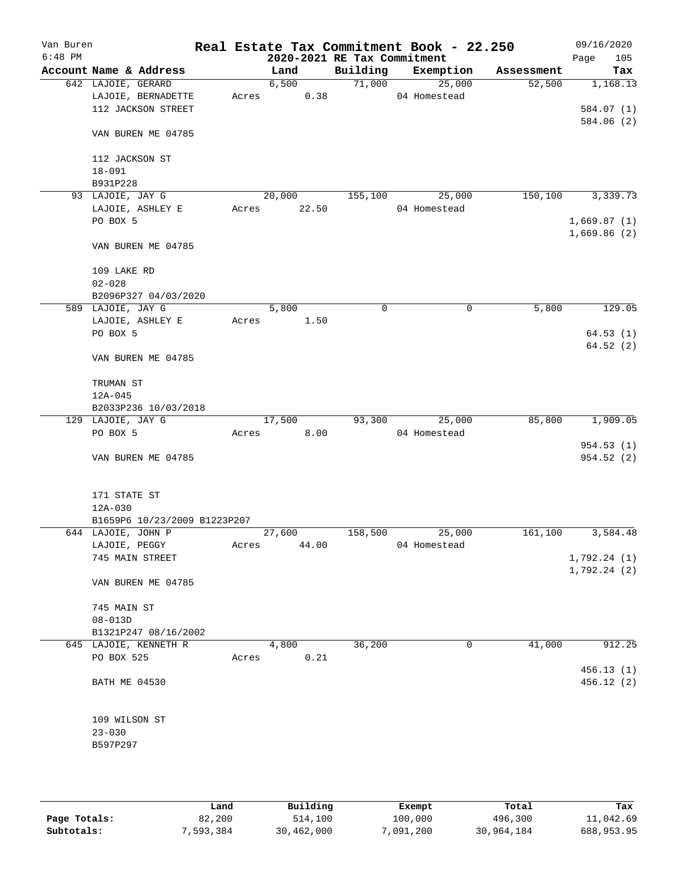| Van Buren<br>$6:48$ PM |                              |       |        | 2020-2021 RE Tax Commitment | Real Estate Tax Commitment Book - 22.250 |            | 09/16/2020<br>Page<br>105 |
|------------------------|------------------------------|-------|--------|-----------------------------|------------------------------------------|------------|---------------------------|
|                        | Account Name & Address       |       | Land   | Building                    | Exemption                                | Assessment | Tax                       |
|                        | 642 LAJOIE, GERARD           |       | 6,500  | 71,000                      | 25,000                                   | 52,500     | 1,168.13                  |
|                        | LAJOIE, BERNADETTE           | Acres | 0.38   |                             | 04 Homestead                             |            |                           |
|                        | 112 JACKSON STREET           |       |        |                             |                                          |            | 584.07 (1)                |
|                        |                              |       |        |                             |                                          |            | 584.06 (2)                |
|                        | VAN BUREN ME 04785           |       |        |                             |                                          |            |                           |
|                        | 112 JACKSON ST               |       |        |                             |                                          |            |                           |
|                        | $18 - 091$                   |       |        |                             |                                          |            |                           |
|                        | B931P228                     |       |        |                             |                                          |            |                           |
|                        | 93 LAJOIE, JAY G             |       | 20,000 | 155,100                     | 25,000                                   | 150,100    | 3,339.73                  |
|                        | LAJOIE, ASHLEY E             | Acres | 22.50  |                             | 04 Homestead                             |            |                           |
|                        | PO BOX 5                     |       |        |                             |                                          |            | 1,669.87(1)               |
|                        |                              |       |        |                             |                                          |            | 1,669.86(2)               |
|                        | VAN BUREN ME 04785           |       |        |                             |                                          |            |                           |
|                        | 109 LAKE RD                  |       |        |                             |                                          |            |                           |
|                        | $02 - 028$                   |       |        |                             |                                          |            |                           |
|                        | B2096P327 04/03/2020         |       |        |                             |                                          |            |                           |
|                        | 589 LAJOIE, JAY G            |       | 5,800  | 0                           | 0                                        | 5,800      | 129.05                    |
|                        | LAJOIE, ASHLEY E             | Acres | 1.50   |                             |                                          |            |                           |
|                        | PO BOX 5                     |       |        |                             |                                          |            | 64.53(1)                  |
|                        |                              |       |        |                             |                                          |            | 64.52(2)                  |
|                        | VAN BUREN ME 04785           |       |        |                             |                                          |            |                           |
|                        | TRUMAN ST                    |       |        |                             |                                          |            |                           |
|                        | 12A-045                      |       |        |                             |                                          |            |                           |
|                        | B2033P236 10/03/2018         |       |        |                             |                                          |            |                           |
|                        | 129 LAJOIE, JAY G            |       | 17,500 | 93,300                      | 25,000                                   | 85,800     | 1,909.05                  |
|                        | PO BOX 5                     | Acres | 8.00   |                             | 04 Homestead                             |            |                           |
|                        |                              |       |        |                             |                                          |            | 954.53(1)                 |
|                        | VAN BUREN ME 04785           |       |        |                             |                                          |            | 954.52(2)                 |
|                        |                              |       |        |                             |                                          |            |                           |
|                        | 171 STATE ST                 |       |        |                             |                                          |            |                           |
|                        | 12A-030                      |       |        |                             |                                          |            |                           |
|                        | B1659P6 10/23/2009 B1223P207 |       |        |                             |                                          |            |                           |
|                        | 644 LAJOIE, JOHN P           |       | 27,600 | 158,500                     | 25,000                                   | 161,100    | 3,584.48                  |
|                        | LAJOIE, PEGGY                | Acres | 44.00  |                             | 04 Homestead                             |            |                           |
|                        | 745 MAIN STREET              |       |        |                             |                                          |            | 1,792.24(1)               |
|                        |                              |       |        |                             |                                          |            | 1,792.24(2)               |
|                        | VAN BUREN ME 04785           |       |        |                             |                                          |            |                           |
|                        | 745 MAIN ST                  |       |        |                             |                                          |            |                           |
|                        | $08 - 013D$                  |       |        |                             |                                          |            |                           |
|                        | B1321P247 08/16/2002         |       |        |                             |                                          |            |                           |
|                        | 645 LAJOIE, KENNETH R        |       | 4,800  | 36,200                      | 0                                        | 41,000     | 912.25                    |
|                        | PO BOX 525                   | Acres | 0.21   |                             |                                          |            |                           |
|                        |                              |       |        |                             |                                          |            | 456.13(1)                 |
|                        | BATH ME 04530                |       |        |                             |                                          |            | 456.12 (2)                |
|                        |                              |       |        |                             |                                          |            |                           |
|                        | 109 WILSON ST                |       |        |                             |                                          |            |                           |
|                        | $23 - 030$                   |       |        |                             |                                          |            |                           |
|                        | B597P297                     |       |        |                             |                                          |            |                           |
|                        |                              |       |        |                             |                                          |            |                           |
|                        |                              |       |        |                             |                                          |            |                           |

|              | Land      | Building   | Exempt    | Total      | Tax        |
|--------------|-----------|------------|-----------|------------|------------|
| Page Totals: | 82,200    | 514,100    | 100,000   | 496,300    | 11,042.69  |
| Subtotals:   | 7,593,384 | 30,462,000 | 7,091,200 | 30,964,184 | 688,953.95 |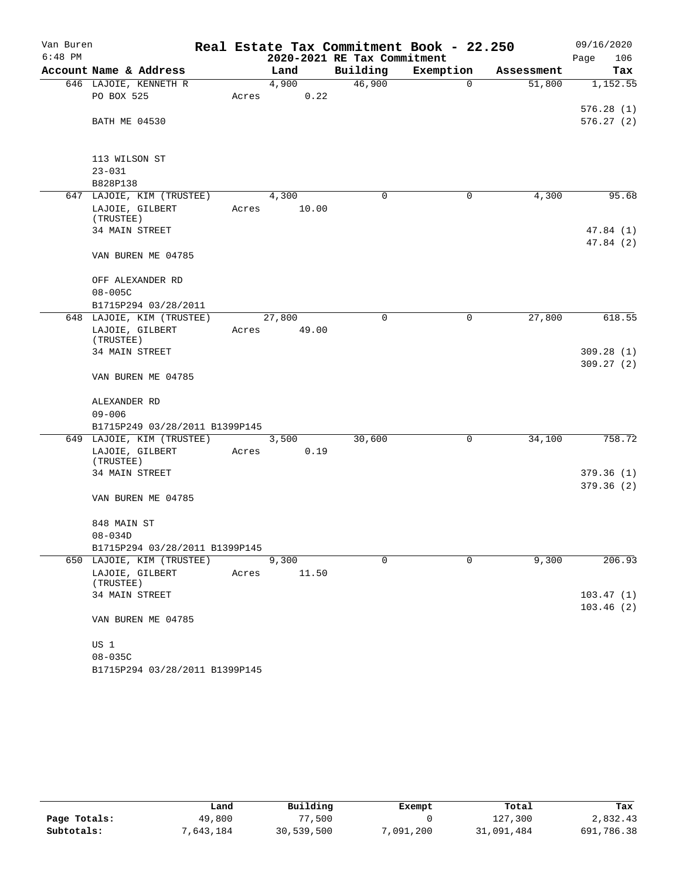| Van Buren |                                |       |        |                             | Real Estate Tax Commitment Book - 22.250 |            | 09/16/2020  |
|-----------|--------------------------------|-------|--------|-----------------------------|------------------------------------------|------------|-------------|
| $6:48$ PM |                                |       |        | 2020-2021 RE Tax Commitment |                                          |            | Page<br>106 |
|           | Account Name & Address         |       | Land   | Building                    | Exemption                                | Assessment | Tax         |
|           | 646 LAJOIE, KENNETH R          |       | 4,900  | 46,900                      | $\mathbf 0$                              | 51,800     | 1,152.55    |
|           | PO BOX 525                     | Acres | 0.22   |                             |                                          |            |             |
|           |                                |       |        |                             |                                          |            | 576.28(1)   |
|           | <b>BATH ME 04530</b>           |       |        |                             |                                          |            | 576.27(2)   |
|           | 113 WILSON ST                  |       |        |                             |                                          |            |             |
|           | $23 - 031$                     |       |        |                             |                                          |            |             |
|           | B828P138                       |       |        |                             |                                          |            |             |
|           | 647 LAJOIE, KIM (TRUSTEE)      |       | 4,300  | 0                           | 0                                        | 4,300      | 95.68       |
|           | LAJOIE, GILBERT                | Acres | 10.00  |                             |                                          |            |             |
|           | (TRUSTEE)                      |       |        |                             |                                          |            |             |
|           | 34 MAIN STREET                 |       |        |                             |                                          |            | 47.84 (1)   |
|           | VAN BUREN ME 04785             |       |        |                             |                                          |            | 47.84 (2)   |
|           | OFF ALEXANDER RD               |       |        |                             |                                          |            |             |
|           | $08 - 005C$                    |       |        |                             |                                          |            |             |
|           | B1715P294 03/28/2011           |       |        |                             |                                          |            |             |
|           | 648 LAJOIE, KIM (TRUSTEE)      |       | 27,800 | 0                           | 0                                        | 27,800     | 618.55      |
|           | LAJOIE, GILBERT                | Acres | 49.00  |                             |                                          |            |             |
|           | (TRUSTEE)                      |       |        |                             |                                          |            |             |
|           | 34 MAIN STREET                 |       |        |                             |                                          |            | 309.28(1)   |
|           |                                |       |        |                             |                                          |            | 309.27(2)   |
|           | VAN BUREN ME 04785             |       |        |                             |                                          |            |             |
|           | ALEXANDER RD                   |       |        |                             |                                          |            |             |
|           | $09 - 006$                     |       |        |                             |                                          |            |             |
|           | B1715P249 03/28/2011 B1399P145 |       |        |                             |                                          |            |             |
|           | 649 LAJOIE, KIM (TRUSTEE)      |       | 3,500  | 30,600                      | 0                                        | 34,100     | 758.72      |
|           | LAJOIE, GILBERT                | Acres | 0.19   |                             |                                          |            |             |
|           | (TRUSTEE)                      |       |        |                             |                                          |            |             |
|           | 34 MAIN STREET                 |       |        |                             |                                          |            | 379.36(1)   |
|           | VAN BUREN ME 04785             |       |        |                             |                                          |            | 379.36(2)   |
|           |                                |       |        |                             |                                          |            |             |
|           | 848 MAIN ST                    |       |        |                             |                                          |            |             |
|           | $08 - 034D$                    |       |        |                             |                                          |            |             |
|           | B1715P294 03/28/2011 B1399P145 |       |        |                             |                                          |            |             |
|           | 650 LAJOIE, KIM (TRUSTEE)      |       | 9,300  | $\Omega$                    | 0                                        | 9,300      | 206.93      |
|           | LAJOIE, GILBERT<br>(TRUSTEE)   | Acres | 11.50  |                             |                                          |            |             |
|           | 34 MAIN STREET                 |       |        |                             |                                          |            | 103.47(1)   |
|           |                                |       |        |                             |                                          |            | 103.46(2)   |
|           | VAN BUREN ME 04785             |       |        |                             |                                          |            |             |
|           | US 1                           |       |        |                             |                                          |            |             |
|           | $08 - 035C$                    |       |        |                             |                                          |            |             |
|           | B1715P294 03/28/2011 B1399P145 |       |        |                             |                                          |            |             |

|              | Land     | Building   | Exempt    | Total      | Tax        |
|--------------|----------|------------|-----------|------------|------------|
| Page Totals: | 49,800   | 77,500     |           | 127,300    | 2,832.43   |
| Subtotals:   | ,643,184 | 30,539,500 | 7,091,200 | 31,091,484 | 691,786.38 |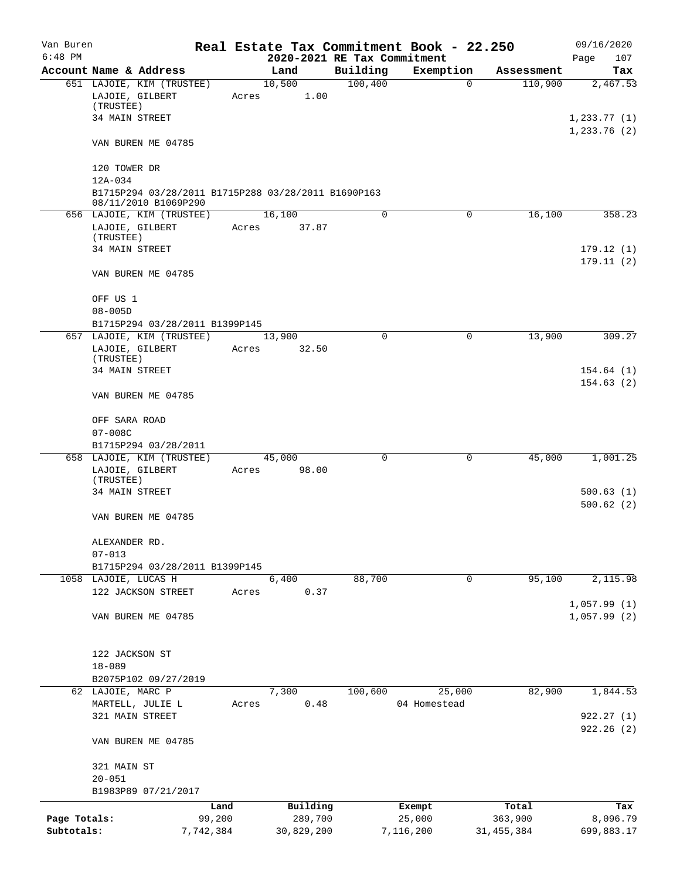| Van Buren                  |                                                                                        |                     |                             |          | Real Estate Tax Commitment Book - 22.250 |                       | 09/16/2020                  |
|----------------------------|----------------------------------------------------------------------------------------|---------------------|-----------------------------|----------|------------------------------------------|-----------------------|-----------------------------|
| $6:48$ PM                  |                                                                                        |                     | 2020-2021 RE Tax Commitment |          |                                          |                       | Page<br>107                 |
|                            | Account Name & Address                                                                 |                     | Land<br>10,500              | Building | Exemption                                | Assessment            | Tax                         |
|                            | 651 LAJOIE, KIM (TRUSTEE)<br>LAJOIE, GILBERT<br>(TRUSTEE)                              | Acres               | 1.00                        | 100,400  | $\mathbf 0$                              | 110,900               | 2,467.53                    |
|                            | 34 MAIN STREET                                                                         |                     |                             |          |                                          |                       | 1, 233.77(1)<br>1,233.76(2) |
|                            | VAN BUREN ME 04785                                                                     |                     |                             |          |                                          |                       |                             |
|                            | 120 TOWER DR                                                                           |                     |                             |          |                                          |                       |                             |
|                            | 12A-034<br>B1715P294 03/28/2011 B1715P288 03/28/2011 B1690P163<br>08/11/2010 B1069P290 |                     |                             |          |                                          |                       |                             |
|                            | 656 LAJOIE, KIM (TRUSTEE)                                                              |                     | 16,100                      | 0        | 0                                        | 16,100                | 358.23                      |
|                            | LAJOIE, GILBERT<br>(TRUSTEE)                                                           | Acres               | 37.87                       |          |                                          |                       |                             |
|                            | 34 MAIN STREET                                                                         |                     |                             |          |                                          |                       | 179.12(1)<br>179.11(2)      |
|                            | VAN BUREN ME 04785                                                                     |                     |                             |          |                                          |                       |                             |
|                            | OFF US 1<br>$08 - 005D$                                                                |                     |                             |          |                                          |                       |                             |
|                            | B1715P294 03/28/2011 B1399P145                                                         |                     |                             |          |                                          |                       |                             |
|                            | 657 LAJOIE, KIM (TRUSTEE)                                                              |                     | 13,900                      | 0        | 0                                        | 13,900                | 309.27                      |
|                            | LAJOIE, GILBERT                                                                        | Acres               | 32.50                       |          |                                          |                       |                             |
|                            | (TRUSTEE)                                                                              |                     |                             |          |                                          |                       |                             |
|                            | 34 MAIN STREET                                                                         |                     |                             |          |                                          |                       | 154.64(1)<br>154.63(2)      |
|                            | VAN BUREN ME 04785                                                                     |                     |                             |          |                                          |                       |                             |
|                            | OFF SARA ROAD                                                                          |                     |                             |          |                                          |                       |                             |
|                            | $07 - 008C$                                                                            |                     |                             |          |                                          |                       |                             |
|                            | B1715P294 03/28/2011                                                                   |                     |                             |          |                                          |                       |                             |
| 658                        | LAJOIE, KIM (TRUSTEE)<br>LAJOIE, GILBERT                                               | Acres               | 45,000<br>98.00             | 0        | 0                                        | 45,000                | 1,001.25                    |
|                            | (TRUSTEE)<br><b>34 MAIN STREET</b>                                                     |                     |                             |          |                                          |                       | 500.63(1)                   |
|                            |                                                                                        |                     |                             |          |                                          |                       | 500.62(2)                   |
|                            | VAN BUREN ME 04785                                                                     |                     |                             |          |                                          |                       |                             |
|                            | ALEXANDER RD.<br>$07 - 013$                                                            |                     |                             |          |                                          |                       |                             |
|                            | B1715P294 03/28/2011 B1399P145                                                         |                     |                             |          |                                          |                       |                             |
|                            | 1058 LAJOIE, LUCAS H                                                                   |                     | 6,400                       | 88,700   | 0                                        | 95,100                | 2,115.98                    |
|                            | 122 JACKSON STREET                                                                     | Acres               | 0.37                        |          |                                          |                       | 1,057.99(1)                 |
|                            | VAN BUREN ME 04785                                                                     |                     |                             |          |                                          |                       | 1,057.99(2)                 |
|                            | 122 JACKSON ST                                                                         |                     |                             |          |                                          |                       |                             |
|                            | $18 - 089$                                                                             |                     |                             |          |                                          |                       |                             |
|                            | B2075P102 09/27/2019                                                                   |                     |                             |          |                                          |                       |                             |
|                            | 62 LAJOIE, MARC P                                                                      |                     | 7,300                       | 100,600  | 25,000                                   | 82,900                | 1,844.53                    |
|                            | MARTELL, JULIE L                                                                       | Acres               | 0.48                        |          | 04 Homestead                             |                       |                             |
|                            | 321 MAIN STREET                                                                        |                     |                             |          |                                          |                       | 922.27(1)<br>922.26(2)      |
|                            | VAN BUREN ME 04785                                                                     |                     |                             |          |                                          |                       |                             |
|                            | 321 MAIN ST                                                                            |                     |                             |          |                                          |                       |                             |
|                            | $20 - 051$                                                                             |                     |                             |          |                                          |                       |                             |
|                            | B1983P89 07/21/2017                                                                    |                     |                             |          |                                          |                       |                             |
|                            |                                                                                        | Land                | Building                    |          | Exempt                                   | Total                 | Tax                         |
| Page Totals:<br>Subtotals: |                                                                                        | 99,200<br>7,742,384 | 289,700<br>30,829,200       |          | 25,000<br>7,116,200                      | 363,900<br>31,455,384 | 8,096.79<br>699,883.17      |
|                            |                                                                                        |                     |                             |          |                                          |                       |                             |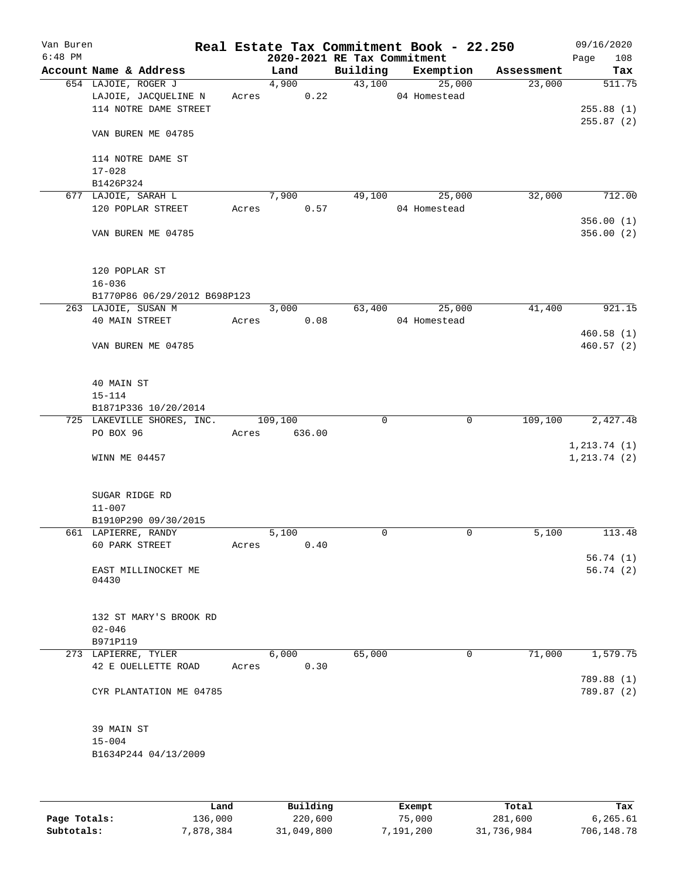| Van Buren<br>$6:48$ PM |                              |       |               | 2020-2021 RE Tax Commitment | Real Estate Tax Commitment Book - 22.250 |            | 09/16/2020<br>Page<br>108 |
|------------------------|------------------------------|-------|---------------|-----------------------------|------------------------------------------|------------|---------------------------|
|                        | Account Name & Address       |       | Land          |                             | Building Exemption                       | Assessment | Tax                       |
|                        | 654 LAJOIE, ROGER J          |       | 4,900         |                             | 43,100 25,000                            | 23,000     | 511.75                    |
|                        | LAJOIE, JACQUELINE N         |       | 0.22<br>Acres |                             | 04 Homestead                             |            |                           |
|                        | 114 NOTRE DAME STREET        |       |               |                             |                                          |            | 255.88(1)                 |
|                        |                              |       |               |                             |                                          |            | 255.87(2)                 |
|                        | VAN BUREN ME 04785           |       |               |                             |                                          |            |                           |
|                        |                              |       |               |                             |                                          |            |                           |
|                        | 114 NOTRE DAME ST            |       |               |                             |                                          |            |                           |
|                        | $17 - 028$                   |       |               |                             |                                          |            |                           |
|                        | B1426P324                    |       |               |                             |                                          |            |                           |
|                        | 677 LAJOIE, SARAH L          |       | 7,900         | 49,100                      | 25,000                                   | 32,000     | 712.00                    |
|                        | 120 POPLAR STREET            |       | Acres<br>0.57 |                             | 04 Homestead                             |            |                           |
|                        |                              |       |               |                             |                                          |            | 356.00(1)                 |
|                        |                              |       |               |                             |                                          |            |                           |
|                        | VAN BUREN ME 04785           |       |               |                             |                                          |            | 356.00(2)                 |
|                        |                              |       |               |                             |                                          |            |                           |
|                        |                              |       |               |                             |                                          |            |                           |
|                        | 120 POPLAR ST                |       |               |                             |                                          |            |                           |
|                        | $16 - 036$                   |       |               |                             |                                          |            |                           |
|                        | B1770P86 06/29/2012 B698P123 |       |               |                             |                                          |            |                           |
|                        | 263 LAJOIE, SUSAN M          |       | 3,000         |                             | 63,400<br>25,000                         | 41,400     | 921.15                    |
|                        | 40 MAIN STREET               | Acres | 0.08          |                             | 04 Homestead                             |            |                           |
|                        |                              |       |               |                             |                                          |            | 460.58(1)                 |
|                        | VAN BUREN ME 04785           |       |               |                             |                                          |            | 460.57 (2)                |
|                        |                              |       |               |                             |                                          |            |                           |
|                        |                              |       |               |                             |                                          |            |                           |
|                        | 40 MAIN ST                   |       |               |                             |                                          |            |                           |
|                        | $15 - 114$                   |       |               |                             |                                          |            |                           |
|                        | B1871P336 10/20/2014         |       |               |                             |                                          |            |                           |
|                        | 725 LAKEVILLE SHORES, INC.   |       | 109,100       | $\mathbf 0$                 | $\mathbf 0$                              | 109,100    | 2,427.48                  |
|                        | PO BOX 96                    | Acres | 636.00        |                             |                                          |            |                           |
|                        |                              |       |               |                             |                                          |            | 1, 213.74(1)              |
|                        | WINN ME 04457                |       |               |                             |                                          |            | 1, 213.74(2)              |
|                        |                              |       |               |                             |                                          |            |                           |
|                        |                              |       |               |                             |                                          |            |                           |
|                        | SUGAR RIDGE RD               |       |               |                             |                                          |            |                           |
|                        | $11 - 007$                   |       |               |                             |                                          |            |                           |
|                        | B1910P290 09/30/2015         |       |               |                             |                                          |            |                           |
|                        | 661 LAPIERRE, RANDY          |       | 5,100         | 0                           | 0                                        | 5,100      | 113.48                    |
|                        | 60 PARK STREET               | Acres | 0.40          |                             |                                          |            |                           |
|                        |                              |       |               |                             |                                          |            | 56.74(1)                  |
|                        | EAST MILLINOCKET ME          |       |               |                             |                                          |            | 56.74(2)                  |
|                        | 04430                        |       |               |                             |                                          |            |                           |
|                        |                              |       |               |                             |                                          |            |                           |
|                        |                              |       |               |                             |                                          |            |                           |
|                        | 132 ST MARY'S BROOK RD       |       |               |                             |                                          |            |                           |
|                        | $02 - 046$                   |       |               |                             |                                          |            |                           |
|                        | B971P119                     |       |               |                             |                                          |            |                           |
|                        | 273 LAPIERRE, TYLER          |       | 6,000         | 65,000                      | $\mathbf 0$                              | 71,000     | 1,579.75                  |
|                        | 42 E OUELLETTE ROAD          | Acres | 0.30          |                             |                                          |            |                           |
|                        |                              |       |               |                             |                                          |            | 789.88 (1)                |
|                        | CYR PLANTATION ME 04785      |       |               |                             |                                          |            | 789.87 (2)                |
|                        |                              |       |               |                             |                                          |            |                           |
|                        |                              |       |               |                             |                                          |            |                           |
|                        | 39 MAIN ST                   |       |               |                             |                                          |            |                           |
|                        | $15 - 004$                   |       |               |                             |                                          |            |                           |
|                        | B1634P244 04/13/2009         |       |               |                             |                                          |            |                           |
|                        |                              |       |               |                             |                                          |            |                           |
|                        |                              |       |               |                             |                                          |            |                           |
|                        |                              |       |               |                             |                                          |            |                           |
|                        |                              |       |               |                             |                                          |            |                           |

|              | Land      | Building   | Exempt    | Total      | Tax        |
|--------------|-----------|------------|-----------|------------|------------|
| Page Totals: | 136,000   | 220,600    | 75,000    | 281,600    | 6.265.61   |
| Subtotals:   | 7,878,384 | 31,049,800 | 7,191,200 | 31,736,984 | 706,148.78 |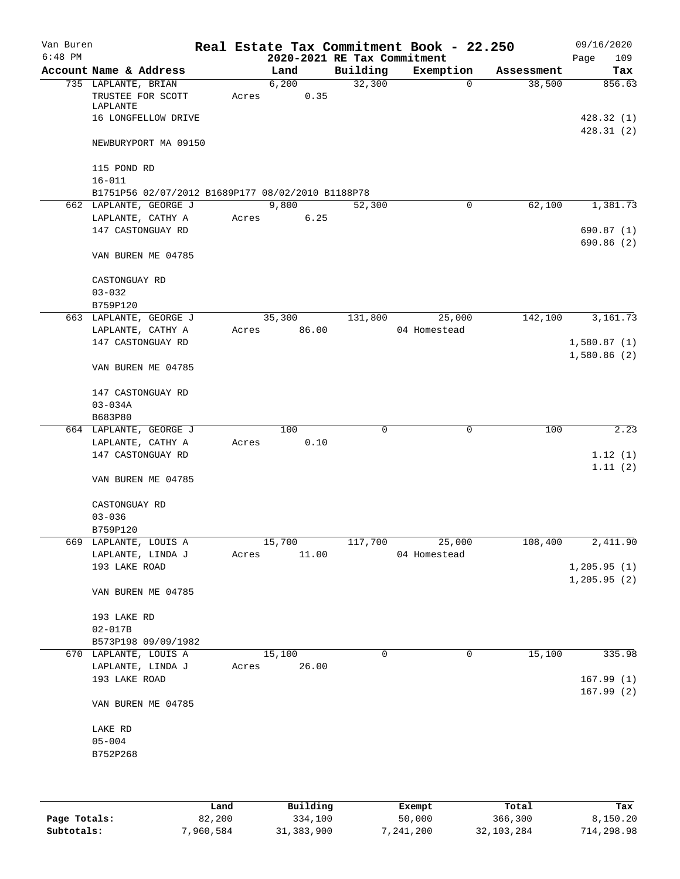| Van Buren<br>$6:48$ PM |                                                      |       |        | 2020-2021 RE Tax Commitment | Real Estate Tax Commitment Book - 22.250 |            | 09/16/2020<br>109<br>Page |
|------------------------|------------------------------------------------------|-------|--------|-----------------------------|------------------------------------------|------------|---------------------------|
|                        | Account Name & Address                               |       | Land   | Building                    | Exemption                                | Assessment | Tax                       |
|                        |                                                      |       | 6,200  | 32,300                      | 0                                        | 38,500     | 856.63                    |
|                        | 735 LAPLANTE, BRIAN<br>TRUSTEE FOR SCOTT<br>LAPLANTE | Acres | 0.35   |                             |                                          |            |                           |
|                        | 16 LONGFELLOW DRIVE                                  |       |        |                             |                                          |            | 428.32(1)<br>428.31(2)    |
|                        | NEWBURYPORT MA 09150                                 |       |        |                             |                                          |            |                           |
|                        | 115 POND RD<br>$16 - 011$                            |       |        |                             |                                          |            |                           |
|                        | B1751P56 02/07/2012 B1689P177 08/02/2010 B1188P78    |       |        |                             |                                          |            |                           |
|                        | 662 LAPLANTE, GEORGE J                               |       | 9,800  | 52,300                      | 0                                        | 62,100     | 1,381.73                  |
|                        | LAPLANTE, CATHY A                                    | Acres | 6.25   |                             |                                          |            |                           |
|                        | 147 CASTONGUAY RD                                    |       |        |                             |                                          |            | 690.87(1)<br>690.86(2)    |
|                        | VAN BUREN ME 04785                                   |       |        |                             |                                          |            |                           |
|                        | CASTONGUAY RD                                        |       |        |                             |                                          |            |                           |
|                        | $03 - 032$                                           |       |        |                             |                                          |            |                           |
|                        | B759P120                                             |       |        |                             |                                          |            |                           |
|                        | 663 LAPLANTE, GEORGE J                               |       | 35,300 | 131,800                     | 25,000                                   | 142,100    | 3,161.73                  |
|                        | LAPLANTE, CATHY A                                    | Acres | 86.00  |                             | 04 Homestead                             |            |                           |
|                        | 147 CASTONGUAY RD                                    |       |        |                             |                                          |            | 1,580.87(1)               |
|                        | VAN BUREN ME 04785                                   |       |        |                             |                                          |            | 1,580.86(2)               |
|                        |                                                      |       |        |                             |                                          |            |                           |
|                        | 147 CASTONGUAY RD                                    |       |        |                             |                                          |            |                           |
|                        | $03 - 034A$                                          |       |        |                             |                                          |            |                           |
|                        | B683P80                                              |       |        |                             |                                          |            |                           |
|                        | 664 LAPLANTE, GEORGE J                               |       | 100    | 0                           | $\mathbf 0$                              | 100        | 2.23                      |
|                        | LAPLANTE, CATHY A                                    | Acres | 0.10   |                             |                                          |            |                           |
|                        | 147 CASTONGUAY RD                                    |       |        |                             |                                          |            | 1.12(1)                   |
|                        | VAN BUREN ME 04785                                   |       |        |                             |                                          |            | 1.11(2)                   |
|                        | CASTONGUAY RD                                        |       |        |                             |                                          |            |                           |
|                        | $03 - 036$                                           |       |        |                             |                                          |            |                           |
|                        | B759P120                                             |       |        |                             |                                          |            |                           |
|                        | 669 LAPLANTE, LOUIS A                                |       | 15,700 | 117,700                     | 25,000                                   | 108,400    | 2,411.90                  |
|                        | LAPLANTE, LINDA J                                    | Acres | 11.00  |                             | 04 Homestead                             |            |                           |
|                        | 193 LAKE ROAD                                        |       |        |                             |                                          |            | 1, 205.95(1)              |
|                        | VAN BUREN ME 04785                                   |       |        |                             |                                          |            | 1,205.95(2)               |
|                        |                                                      |       |        |                             |                                          |            |                           |
|                        | 193 LAKE RD                                          |       |        |                             |                                          |            |                           |
|                        | $02 - 017B$                                          |       |        |                             |                                          |            |                           |
|                        | B573P198 09/09/1982                                  |       |        |                             |                                          |            |                           |
|                        | 670 LAPLANTE, LOUIS A                                |       | 15,100 | $\Omega$                    | 0                                        | 15,100     | 335.98                    |
|                        | LAPLANTE, LINDA J                                    | Acres | 26.00  |                             |                                          |            |                           |
|                        | 193 LAKE ROAD                                        |       |        |                             |                                          |            | 167.99(1)<br>167.99(2)    |
|                        | VAN BUREN ME 04785                                   |       |        |                             |                                          |            |                           |
|                        | LAKE RD                                              |       |        |                             |                                          |            |                           |
|                        | $05 - 004$                                           |       |        |                             |                                          |            |                           |
|                        | B752P268                                             |       |        |                             |                                          |            |                           |
|                        |                                                      |       |        |                             |                                          |            |                           |
|                        |                                                      |       |        |                             |                                          |            |                           |
|                        |                                                      |       |        |                             |                                          |            |                           |

|              | Land      | Building     | Exempt    | Total      | Tax        |
|--------------|-----------|--------------|-----------|------------|------------|
| Page Totals: | 82,200    | 334,100      | 50,000    | 366,300    | 8.150.20   |
| Subtotals:   | 7,960,584 | 31, 383, 900 | 7,241,200 | 32,103,284 | 714,298.98 |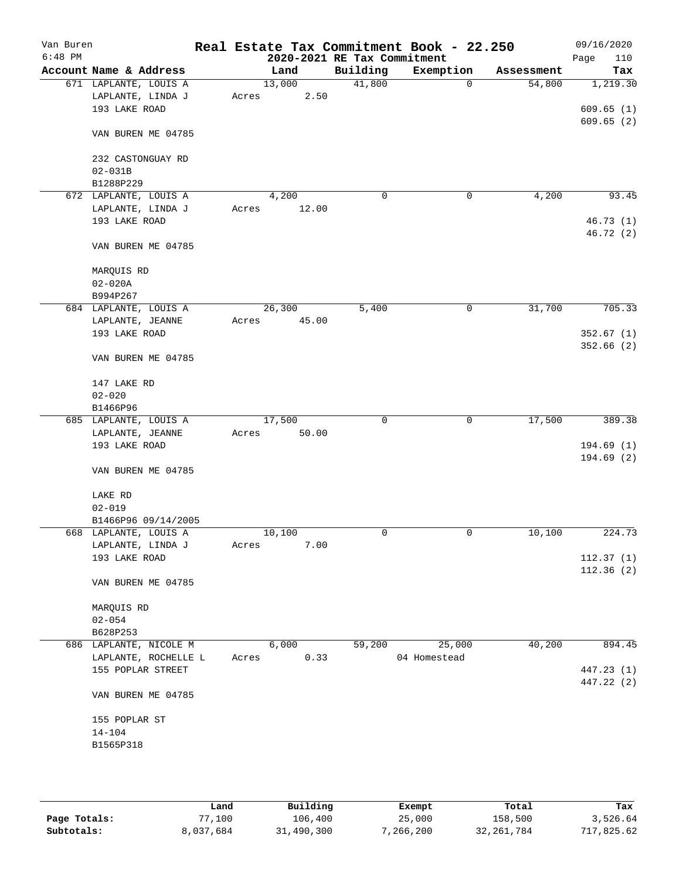| Van Buren<br>$6:48$ PM |                           |       |        | 2020-2021 RE Tax Commitment | Real Estate Tax Commitment Book - 22.250 |            | 09/16/2020<br>Page<br>110 |
|------------------------|---------------------------|-------|--------|-----------------------------|------------------------------------------|------------|---------------------------|
|                        | Account Name & Address    |       | Land   | Building                    | Exemption                                | Assessment | Tax                       |
|                        | 671 LAPLANTE, LOUIS A     |       | 13,000 | 41,800                      | $\mathbf 0$                              | 54,800     | 1,219.30                  |
|                        | LAPLANTE, LINDA J         | Acres | 2.50   |                             |                                          |            |                           |
|                        | 193 LAKE ROAD             |       |        |                             |                                          |            | 609.65(1)                 |
|                        |                           |       |        |                             |                                          |            | 609.65(2)                 |
|                        | VAN BUREN ME 04785        |       |        |                             |                                          |            |                           |
|                        |                           |       |        |                             |                                          |            |                           |
|                        | 232 CASTONGUAY RD         |       |        |                             |                                          |            |                           |
|                        | $02 - 031B$               |       |        |                             |                                          |            |                           |
|                        | B1288P229                 |       |        |                             |                                          |            |                           |
|                        | 672 LAPLANTE, LOUIS A     |       | 4,200  | 0                           | 0                                        | 4,200      | 93.45                     |
|                        | LAPLANTE, LINDA J         | Acres | 12.00  |                             |                                          |            |                           |
|                        | 193 LAKE ROAD             |       |        |                             |                                          |            | 46.73(1)                  |
|                        |                           |       |        |                             |                                          |            | 46.72 (2)                 |
|                        | VAN BUREN ME 04785        |       |        |                             |                                          |            |                           |
|                        |                           |       |        |                             |                                          |            |                           |
|                        | MARQUIS RD<br>$02 - 020A$ |       |        |                             |                                          |            |                           |
|                        |                           |       |        |                             |                                          |            |                           |
|                        | B994P267                  |       |        |                             |                                          |            |                           |
|                        | 684 LAPLANTE, LOUIS A     |       | 26,300 | 5,400                       | 0                                        | 31,700     | 705.33                    |
|                        | LAPLANTE, JEANNE          | Acres | 45.00  |                             |                                          |            |                           |
|                        | 193 LAKE ROAD             |       |        |                             |                                          |            | 352.67(1)                 |
|                        | VAN BUREN ME 04785        |       |        |                             |                                          |            | 352.66(2)                 |
|                        |                           |       |        |                             |                                          |            |                           |
|                        | 147 LAKE RD               |       |        |                             |                                          |            |                           |
|                        | $02 - 020$                |       |        |                             |                                          |            |                           |
|                        | B1466P96                  |       |        |                             |                                          |            |                           |
|                        | 685 LAPLANTE, LOUIS A     |       | 17,500 | 0                           | $\mathbf 0$                              | 17,500     | 389.38                    |
|                        | LAPLANTE, JEANNE          | Acres | 50.00  |                             |                                          |            |                           |
|                        | 193 LAKE ROAD             |       |        |                             |                                          |            | 194.69(1)                 |
|                        | VAN BUREN ME 04785        |       |        |                             |                                          |            | 194.69(2)                 |
|                        | LAKE RD                   |       |        |                             |                                          |            |                           |
|                        | $02 - 019$                |       |        |                             |                                          |            |                           |
|                        | B1466P96 09/14/2005       |       |        |                             |                                          |            |                           |
|                        | 668 LAPLANTE, LOUIS A     |       | 10,100 | 0                           | 0                                        | 10,100     | 224.73                    |
|                        | LAPLANTE, LINDA J         | Acres | 7.00   |                             |                                          |            |                           |
|                        | 193 LAKE ROAD             |       |        |                             |                                          |            | 112.37(1)                 |
|                        |                           |       |        |                             |                                          |            | 112.36(2)                 |
|                        | VAN BUREN ME 04785        |       |        |                             |                                          |            |                           |
|                        | MARQUIS RD                |       |        |                             |                                          |            |                           |
|                        | $02 - 054$                |       |        |                             |                                          |            |                           |
|                        | B628P253                  |       |        |                             |                                          |            |                           |
|                        | 686 LAPLANTE, NICOLE M    |       | 6,000  | 59,200                      | 25,000                                   | 40,200     | 894.45                    |
|                        | LAPLANTE, ROCHELLE L      | Acres | 0.33   |                             | 04 Homestead                             |            |                           |
|                        | 155 POPLAR STREET         |       |        |                             |                                          |            | 447.23 (1)                |
|                        |                           |       |        |                             |                                          |            | 447.22 (2)                |
|                        | VAN BUREN ME 04785        |       |        |                             |                                          |            |                           |
|                        | 155 POPLAR ST             |       |        |                             |                                          |            |                           |
|                        | $14 - 104$                |       |        |                             |                                          |            |                           |
|                        | B1565P318                 |       |        |                             |                                          |            |                           |
|                        |                           |       |        |                             |                                          |            |                           |
|                        |                           |       |        |                             |                                          |            |                           |
|                        |                           |       |        |                             |                                          |            |                           |

|              | Land      | Building   | Exempt    | Total        | Tax        |
|--------------|-----------|------------|-----------|--------------|------------|
| Page Totals: | 77,100    | 106,400    | 25,000    | 158,500      | 3,526.64   |
| Subtotals:   | 8,037,684 | 31,490,300 | 7,266,200 | 32, 261, 784 | 717,825.62 |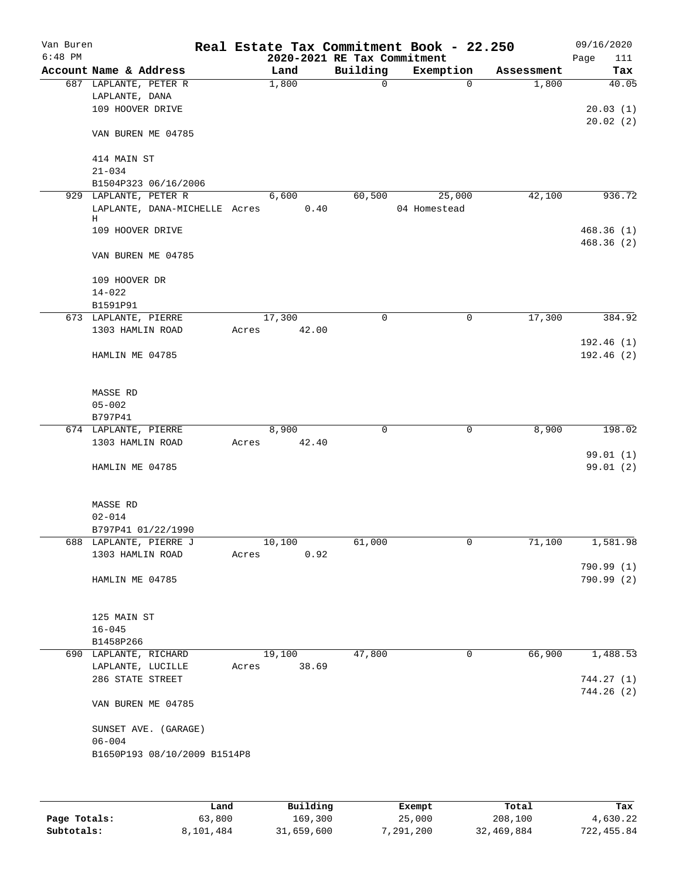| Van Buren<br>$6:48$ PM |                                         |       |               |                             | Real Estate Tax Commitment Book - 22.250 |                     | 09/16/2020   |
|------------------------|-----------------------------------------|-------|---------------|-----------------------------|------------------------------------------|---------------------|--------------|
|                        | Account Name & Address                  |       |               | 2020-2021 RE Tax Commitment |                                          |                     | Page<br>111  |
|                        |                                         |       | Land<br>1,800 | Building<br>$\mathbf 0$     | Exemption<br>$\Omega$                    | Assessment<br>1,800 | Tax<br>40.05 |
|                        | 687 LAPLANTE, PETER R<br>LAPLANTE, DANA |       |               |                             |                                          |                     |              |
|                        | 109 HOOVER DRIVE                        |       |               |                             |                                          |                     | 20.03(1)     |
|                        |                                         |       |               |                             |                                          |                     | 20.02(2)     |
|                        | VAN BUREN ME 04785                      |       |               |                             |                                          |                     |              |
|                        | 414 MAIN ST                             |       |               |                             |                                          |                     |              |
|                        | $21 - 034$                              |       |               |                             |                                          |                     |              |
|                        | B1504P323 06/16/2006                    |       |               |                             |                                          |                     |              |
|                        | 929 LAPLANTE, PETER R                   |       | 6,600         | 60,500                      | 25,000                                   | 42,100              | 936.72       |
|                        | LAPLANTE, DANA-MICHELLE Acres           |       | 0.40          |                             | 04 Homestead                             |                     |              |
|                        | Η                                       |       |               |                             |                                          |                     |              |
|                        | 109 HOOVER DRIVE                        |       |               |                             |                                          |                     | 468.36(1)    |
|                        | VAN BUREN ME 04785                      |       |               |                             |                                          |                     | 468.36 (2)   |
|                        | 109 HOOVER DR                           |       |               |                             |                                          |                     |              |
|                        | $14 - 022$                              |       |               |                             |                                          |                     |              |
|                        | B1591P91                                |       |               |                             |                                          |                     |              |
|                        | 673 LAPLANTE, PIERRE                    |       | 17,300        | $\mathbf 0$                 | $\mathbf 0$                              | 17,300              | 384.92       |
|                        | 1303 HAMLIN ROAD                        | Acres | 42.00         |                             |                                          |                     |              |
|                        |                                         |       |               |                             |                                          |                     | 192.46(1)    |
|                        | HAMLIN ME 04785                         |       |               |                             |                                          |                     | 192.46(2)    |
|                        |                                         |       |               |                             |                                          |                     |              |
|                        | MASSE RD                                |       |               |                             |                                          |                     |              |
|                        | $05 - 002$                              |       |               |                             |                                          |                     |              |
|                        | B797P41                                 |       |               |                             |                                          |                     |              |
|                        | 674 LAPLANTE, PIERRE                    |       | 8,900         | $\mathbf 0$                 | $\mathbf 0$                              | 8,900               | 198.02       |
|                        | 1303 HAMLIN ROAD                        | Acres | 42.40         |                             |                                          |                     |              |
|                        |                                         |       |               |                             |                                          |                     | 99.01 (1)    |
|                        | HAMLIN ME 04785                         |       |               |                             |                                          |                     | 99.01 (2)    |
|                        | MASSE RD                                |       |               |                             |                                          |                     |              |
|                        | $02 - 014$                              |       |               |                             |                                          |                     |              |
|                        | B797P41 01/22/1990                      |       |               |                             |                                          |                     |              |
|                        | 688 LAPLANTE, PIERRE J                  |       | 10,100        | 61,000                      | 0                                        | 71,100              | 1,581.98     |
|                        | 1303 HAMLIN ROAD                        | Acres | 0.92          |                             |                                          |                     |              |
|                        |                                         |       |               |                             |                                          |                     | 790.99 (1)   |
|                        | HAMLIN ME 04785                         |       |               |                             |                                          |                     | 790.99 (2)   |
|                        |                                         |       |               |                             |                                          |                     |              |
|                        | 125 MAIN ST                             |       |               |                             |                                          |                     |              |
|                        | $16 - 045$                              |       |               |                             |                                          |                     |              |
|                        | B1458P266                               |       |               |                             |                                          |                     |              |
|                        | 690 LAPLANTE, RICHARD                   |       | 19,100        | 47,800                      | 0                                        | 66,900              | 1,488.53     |
|                        | LAPLANTE, LUCILLE                       | Acres | 38.69         |                             |                                          |                     |              |
|                        | 286 STATE STREET                        |       |               |                             |                                          |                     | 744.27 (1)   |
|                        | VAN BUREN ME 04785                      |       |               |                             |                                          |                     | 744.26(2)    |
|                        |                                         |       |               |                             |                                          |                     |              |
|                        | SUNSET AVE. (GARAGE)<br>$06 - 004$      |       |               |                             |                                          |                     |              |
|                        | B1650P193 08/10/2009 B1514P8            |       |               |                             |                                          |                     |              |
|                        |                                         |       |               |                             |                                          |                     |              |
|                        |                                         |       |               |                             |                                          |                     |              |
|                        |                                         |       |               |                             |                                          |                     |              |
|                        |                                         |       |               |                             |                                          |                     |              |

|              | Land      | Building   | Exempt    | Total      | Tax        |
|--------------|-----------|------------|-----------|------------|------------|
| Page Totals: | 63,800    | 169,300    | 25,000    | 208,100    | 4,630.22   |
| Subtotals:   | 8,101,484 | 31,659,600 | 7,291,200 | 32,469,884 | 722,455.84 |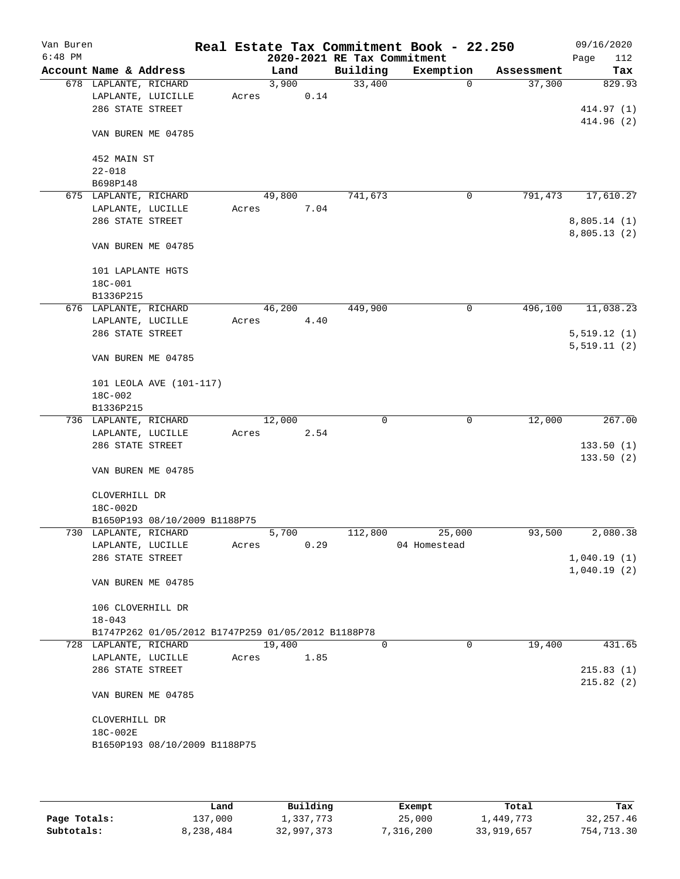| Van Buren |                                                    |       |        |      |                             | Real Estate Tax Commitment Book - 22.250 |            | 09/16/2020               |
|-----------|----------------------------------------------------|-------|--------|------|-----------------------------|------------------------------------------|------------|--------------------------|
| $6:48$ PM |                                                    |       |        |      | 2020-2021 RE Tax Commitment |                                          |            | 112<br>Page              |
|           | Account Name & Address                             |       | Land   |      | Building                    | Exemption                                | Assessment | Tax                      |
|           | 678 LAPLANTE, RICHARD                              |       | 3,900  |      | 33,400                      | $\mathbf 0$                              | 37,300     | 829.93                   |
|           | LAPLANTE, LUICILLE                                 | Acres |        | 0.14 |                             |                                          |            |                          |
|           | 286 STATE STREET                                   |       |        |      |                             |                                          |            | 414.97 (1)<br>414.96 (2) |
|           | VAN BUREN ME 04785                                 |       |        |      |                             |                                          |            |                          |
|           | 452 MAIN ST                                        |       |        |      |                             |                                          |            |                          |
|           | $22 - 018$                                         |       |        |      |                             |                                          |            |                          |
|           | B698P148                                           |       |        |      |                             |                                          |            |                          |
|           | 675 LAPLANTE, RICHARD                              |       | 49,800 |      | 741,673                     | 0                                        | 791,473    | 17,610.27                |
|           | LAPLANTE, LUCILLE                                  | Acres |        | 7.04 |                             |                                          |            |                          |
|           | 286 STATE STREET                                   |       |        |      |                             |                                          |            | 8,805.14(1)              |
|           | VAN BUREN ME 04785                                 |       |        |      |                             |                                          |            | 8,805.13(2)              |
|           | 101 LAPLANTE HGTS                                  |       |        |      |                             |                                          |            |                          |
|           | 18C-001                                            |       |        |      |                             |                                          |            |                          |
|           | B1336P215                                          |       |        |      |                             |                                          |            |                          |
|           | 676 LAPLANTE, RICHARD                              |       | 46,200 |      | 449,900                     | 0                                        | 496,100    | 11,038.23                |
|           | LAPLANTE, LUCILLE                                  | Acres |        | 4.40 |                             |                                          |            |                          |
|           | 286 STATE STREET                                   |       |        |      |                             |                                          |            | 5,519.12(1)              |
|           | VAN BUREN ME 04785                                 |       |        |      |                             |                                          |            | 5,519.11(2)              |
|           | 101 LEOLA AVE (101-117)                            |       |        |      |                             |                                          |            |                          |
|           | 18C-002                                            |       |        |      |                             |                                          |            |                          |
|           | B1336P215                                          |       |        |      |                             |                                          |            |                          |
|           | 736 LAPLANTE, RICHARD                              |       | 12,000 |      | 0                           | $\mathbf 0$                              | 12,000     | 267.00                   |
|           | LAPLANTE, LUCILLE                                  | Acres |        | 2.54 |                             |                                          |            |                          |
|           | 286 STATE STREET                                   |       |        |      |                             |                                          |            | 133.50(1)                |
|           |                                                    |       |        |      |                             |                                          |            | 133.50(2)                |
|           | VAN BUREN ME 04785                                 |       |        |      |                             |                                          |            |                          |
|           | CLOVERHILL DR                                      |       |        |      |                             |                                          |            |                          |
|           | 18C-002D                                           |       |        |      |                             |                                          |            |                          |
|           | B1650P193 08/10/2009 B1188P75                      |       |        |      |                             |                                          |            |                          |
|           | 730 LAPLANTE, RICHARD                              |       | 5,700  |      | 112,800                     | 25,000                                   | 93,500     | 2,080.38                 |
|           | LAPLANTE, LUCILLE                                  | Acres |        | 0.29 |                             | 04 Homestead                             |            |                          |
|           | 286 STATE STREET                                   |       |        |      |                             |                                          |            | 1,040.19(1)              |
|           | VAN BUREN ME 04785                                 |       |        |      |                             |                                          |            | 1,040.19(2)              |
|           | 106 CLOVERHILL DR<br>$18 - 043$                    |       |        |      |                             |                                          |            |                          |
|           | B1747P262 01/05/2012 B1747P259 01/05/2012 B1188P78 |       |        |      |                             |                                          |            |                          |
|           | 728 LAPLANTE, RICHARD                              |       | 19,400 |      | $\Omega$                    | $\Omega$                                 | 19,400     | 431.65                   |
|           | LAPLANTE, LUCILLE                                  | Acres |        | 1.85 |                             |                                          |            |                          |
|           | 286 STATE STREET                                   |       |        |      |                             |                                          |            | 215.83(1)                |
|           | VAN BUREN ME 04785                                 |       |        |      |                             |                                          |            | 215.82(2)                |
|           |                                                    |       |        |      |                             |                                          |            |                          |
|           | CLOVERHILL DR                                      |       |        |      |                             |                                          |            |                          |
|           | 18C-002E                                           |       |        |      |                             |                                          |            |                          |
|           | B1650P193 08/10/2009 B1188P75                      |       |        |      |                             |                                          |            |                          |
|           |                                                    |       |        |      |                             |                                          |            |                          |

|              | Land      | Building   | Exempt    | Total      | Tax        |
|--------------|-----------|------------|-----------|------------|------------|
| Page Totals: | 137,000   | 1,337,773  | 25,000    | 1,449,773  | 32, 257.46 |
| Subtotals:   | 8,238,484 | 32,997,373 | 7,316,200 | 33,919,657 | 754,713.30 |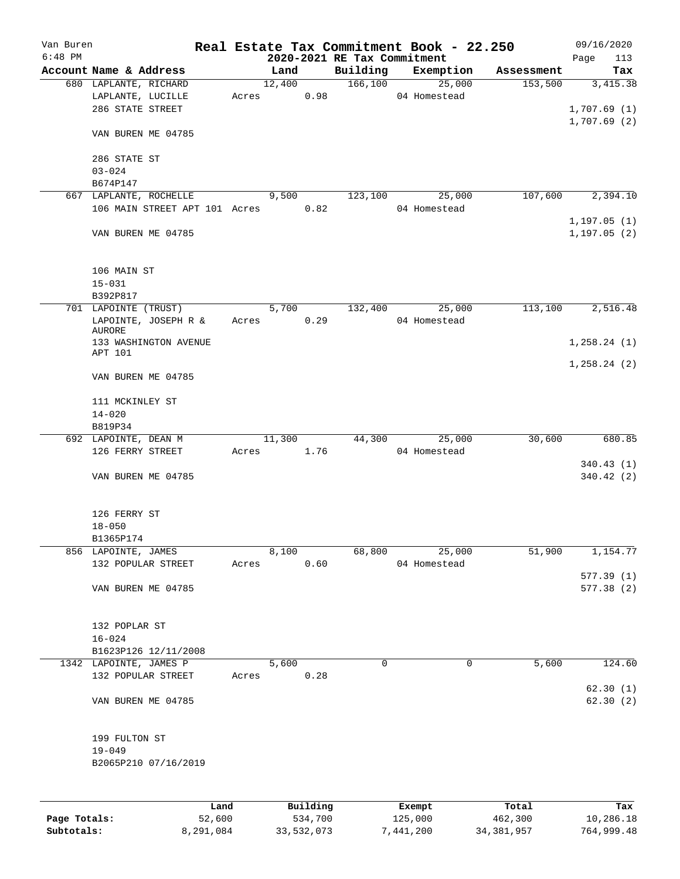| Van Buren    |                                    |       |            |            |                             | Real Estate Tax Commitment Book - 22.250 |              | 09/16/2020              |
|--------------|------------------------------------|-------|------------|------------|-----------------------------|------------------------------------------|--------------|-------------------------|
| $6:48$ PM    | Account Name & Address             |       | Land       |            | 2020-2021 RE Tax Commitment |                                          |              | 113<br>Page             |
|              | 680 LAPLANTE, RICHARD              |       | 12,400     |            | Building<br>166,100         | Exemption<br>$\frac{1}{25,000}$          | Assessment   | Tax<br>153,500 3,415.38 |
|              | LAPLANTE, LUCILLE                  |       | Acres 0.98 |            |                             | 04 Homestead                             |              |                         |
|              | 286 STATE STREET                   |       |            |            |                             |                                          |              | 1,707.69(1)             |
|              |                                    |       |            |            |                             |                                          |              | 1,707.69(2)             |
|              | VAN BUREN ME 04785                 |       |            |            |                             |                                          |              |                         |
|              | 286 STATE ST                       |       |            |            |                             |                                          |              |                         |
|              | $03 - 024$                         |       |            |            |                             |                                          |              |                         |
|              | B674P147                           |       |            |            |                             |                                          |              |                         |
|              | 667 LAPLANTE, ROCHELLE             |       | 9,500      |            | 123,100                     | 25,000                                   | 107,600      | 2,394.10                |
|              | 106 MAIN STREET APT 101 Acres 0.82 |       |            |            |                             | 04 Homestead                             |              |                         |
|              |                                    |       |            |            |                             |                                          |              | 1,197.05(1)             |
|              | VAN BUREN ME 04785                 |       |            |            |                             |                                          |              | 1,197.05(2)             |
|              | 106 MAIN ST                        |       |            |            |                             |                                          |              |                         |
|              | $15 - 031$                         |       |            |            |                             |                                          |              |                         |
|              | B392P817                           |       |            |            |                             |                                          |              |                         |
|              | 701 LAPOINTE (TRUST)               |       | 5,700      |            | 132,400                     | 25,000                                   | 113,100      | 2,516.48                |
|              | LAPOINTE, JOSEPH R &               |       | Acres 0.29 |            |                             | 04 Homestead                             |              |                         |
|              | AURORE                             |       |            |            |                             |                                          |              |                         |
|              | 133 WASHINGTON AVENUE<br>APT 101   |       |            |            |                             |                                          |              | 1,258.24(1)             |
|              | VAN BUREN ME 04785                 |       |            |            |                             |                                          |              | 1,258.24(2)             |
|              | 111 MCKINLEY ST                    |       |            |            |                             |                                          |              |                         |
|              | $14 - 020$                         |       |            |            |                             |                                          |              |                         |
|              | B819P34                            |       |            |            |                             |                                          |              |                         |
|              | 692 LAPOINTE, DEAN M               |       | 11,300     |            | 44,300                      | 25,000                                   | 30,600       | 680.85                  |
|              | 126 FERRY STREET                   | Acres | 1.76       |            |                             | 04 Homestead                             |              |                         |
|              |                                    |       |            |            |                             |                                          |              | 340.43(1)               |
|              | VAN BUREN ME 04785                 |       |            |            |                             |                                          |              | 340.42(2)               |
|              |                                    |       |            |            |                             |                                          |              |                         |
|              | 126 FERRY ST                       |       |            |            |                             |                                          |              |                         |
|              | $18 - 050$                         |       |            |            |                             |                                          |              |                         |
|              | B1365P174                          |       |            |            |                             |                                          |              |                         |
|              | 856 LAPOINTE, JAMES                |       | 8,100      |            | 68,800                      | 25,000                                   | 51,900       | 1,154.77                |
|              | 132 POPULAR STREET                 | Acres |            | 0.60       |                             | 04 Homestead                             |              |                         |
|              |                                    |       |            |            |                             |                                          |              | 577.39(1)               |
|              | VAN BUREN ME 04785                 |       |            |            |                             |                                          |              | 577.38 (2)              |
|              |                                    |       |            |            |                             |                                          |              |                         |
|              | 132 POPLAR ST                      |       |            |            |                             |                                          |              |                         |
|              | $16 - 024$                         |       |            |            |                             |                                          |              |                         |
|              | B1623P126 12/11/2008               |       |            |            |                             |                                          |              |                         |
|              | 1342 LAPOINTE, JAMES P             |       | 5,600      |            | 0                           | $\mathbf 0$                              | 5,600        | 124.60                  |
|              | 132 POPULAR STREET                 | Acres |            | 0.28       |                             |                                          |              |                         |
|              | VAN BUREN ME 04785                 |       |            |            |                             |                                          |              | 62.30(1)<br>62.30(2)    |
|              |                                    |       |            |            |                             |                                          |              |                         |
|              | 199 FULTON ST                      |       |            |            |                             |                                          |              |                         |
|              | $19 - 049$                         |       |            |            |                             |                                          |              |                         |
|              | B2065P210 07/16/2019               |       |            |            |                             |                                          |              |                         |
|              |                                    |       |            |            |                             |                                          |              |                         |
|              | Land                               |       |            | Building   |                             | Exempt                                   | Total        | Tax                     |
| Page Totals: | 52,600                             |       |            | 534,700    |                             | 125,000                                  | 462,300      | 10,286.18               |
| Subtotals:   | 8,291,084                          |       |            | 33,532,073 |                             | 7,441,200                                | 34, 381, 957 | 764,999.48              |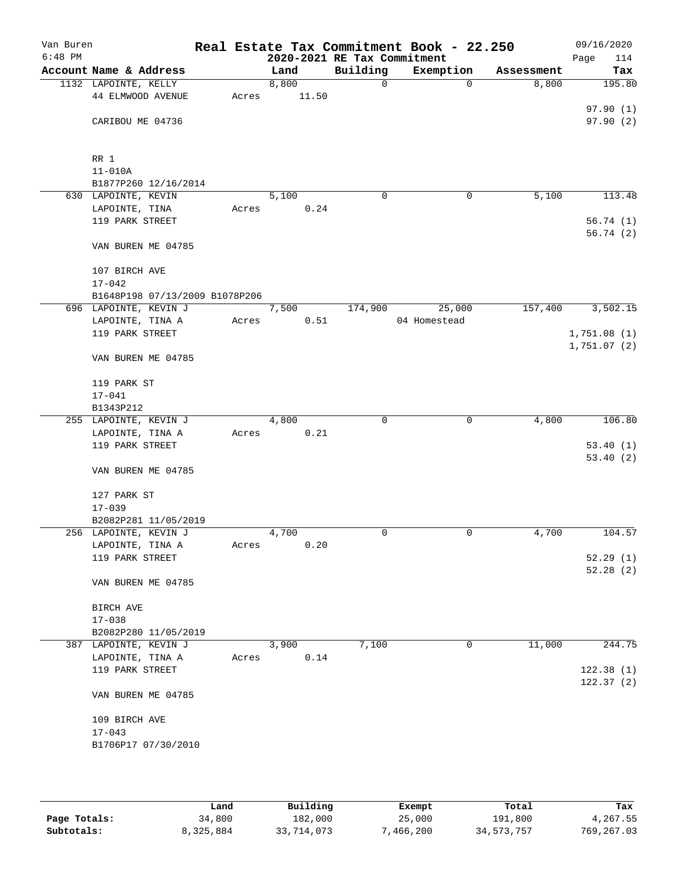| Van Buren |                                |       |                    |      |                             | Real Estate Tax Commitment Book - 22.250 |            | 09/16/2020  |
|-----------|--------------------------------|-------|--------------------|------|-----------------------------|------------------------------------------|------------|-------------|
| $6:48$ PM |                                |       |                    |      | 2020-2021 RE Tax Commitment |                                          |            | Page<br>114 |
|           | Account Name & Address         |       | Land               |      | Building                    | Exemption                                | Assessment | Tax         |
|           | 1132 LAPOINTE, KELLY           |       | 8,800              |      | $\mathbf 0$                 | $\Omega$                                 | 8,800      | 195.80      |
|           | 44 ELMWOOD AVENUE              | Acres | 11.50              |      |                             |                                          |            |             |
|           |                                |       |                    |      |                             |                                          |            | 97.90(1)    |
|           | CARIBOU ME 04736               |       |                    |      |                             |                                          |            | 97.90(2)    |
|           |                                |       |                    |      |                             |                                          |            |             |
|           |                                |       |                    |      |                             |                                          |            |             |
|           | RR 1                           |       |                    |      |                             |                                          |            |             |
|           | $11 - 010A$                    |       |                    |      |                             |                                          |            |             |
|           | B1877P260 12/16/2014           |       |                    |      |                             |                                          |            |             |
|           | 630 LAPOINTE, KEVIN            |       | 5,100              |      | 0                           | 0                                        | 5,100      | 113.48      |
|           | LAPOINTE, TINA                 | Acres |                    | 0.24 |                             |                                          |            |             |
|           | 119 PARK STREET                |       |                    |      |                             |                                          |            | 56.74(1)    |
|           |                                |       |                    |      |                             |                                          |            | 56.74(2)    |
|           | VAN BUREN ME 04785             |       |                    |      |                             |                                          |            |             |
|           |                                |       |                    |      |                             |                                          |            |             |
|           | 107 BIRCH AVE                  |       |                    |      |                             |                                          |            |             |
|           | $17 - 042$                     |       |                    |      |                             |                                          |            |             |
|           | B1648P198 07/13/2009 B1078P206 |       |                    |      |                             |                                          |            |             |
|           | 696 LAPOINTE, KEVIN J          |       | 7,500              |      | 174,900                     | 25,000                                   | 157,400    | 3,502.15    |
|           | LAPOINTE, TINA A               | Acres |                    | 0.51 |                             | 04 Homestead                             |            |             |
|           | 119 PARK STREET                |       |                    |      |                             |                                          |            | 1,751.08(1) |
|           |                                |       |                    |      |                             |                                          |            | 1,751.07(2) |
|           | VAN BUREN ME 04785             |       |                    |      |                             |                                          |            |             |
|           |                                |       |                    |      |                             |                                          |            |             |
|           | 119 PARK ST                    |       |                    |      |                             |                                          |            |             |
|           | $17 - 041$                     |       |                    |      |                             |                                          |            |             |
|           | B1343P212                      |       |                    |      |                             |                                          |            |             |
|           | 255 LAPOINTE, KEVIN J          |       | $\overline{4,800}$ |      | 0                           | $\mathbf 0$                              | 4,800      | 106.80      |
|           | LAPOINTE, TINA A               | Acres |                    | 0.21 |                             |                                          |            |             |
|           | 119 PARK STREET                |       |                    |      |                             |                                          |            | 53.40(1)    |
|           |                                |       |                    |      |                             |                                          |            | 53.40(2)    |
|           | VAN BUREN ME 04785             |       |                    |      |                             |                                          |            |             |
|           |                                |       |                    |      |                             |                                          |            |             |
|           | 127 PARK ST                    |       |                    |      |                             |                                          |            |             |
|           | $17 - 039$                     |       |                    |      |                             |                                          |            |             |
|           | B2082P281 11/05/2019           |       |                    |      |                             |                                          |            |             |
|           | 256 LAPOINTE, KEVIN J          |       | 4,700              |      | 0                           | 0                                        | 4,700      | 104.57      |
|           | LAPOINTE, TINA A               | Acres |                    | 0.20 |                             |                                          |            |             |
|           | 119 PARK STREET                |       |                    |      |                             |                                          |            | 52.29(1)    |
|           |                                |       |                    |      |                             |                                          |            | 52.28(2)    |
|           | VAN BUREN ME 04785             |       |                    |      |                             |                                          |            |             |
|           |                                |       |                    |      |                             |                                          |            |             |
|           | BIRCH AVE                      |       |                    |      |                             |                                          |            |             |
|           | $17 - 038$                     |       |                    |      |                             |                                          |            |             |
|           | B2082P280 11/05/2019           |       |                    |      |                             |                                          |            |             |
|           | 387 LAPOINTE, KEVIN J          |       | 3,900              |      | 7,100                       | 0                                        | 11,000     | 244.75      |
|           | LAPOINTE, TINA A               | Acres |                    | 0.14 |                             |                                          |            |             |
|           | 119 PARK STREET                |       |                    |      |                             |                                          |            | 122.38(1)   |
|           |                                |       |                    |      |                             |                                          |            | 122.37(2)   |
|           | VAN BUREN ME 04785             |       |                    |      |                             |                                          |            |             |
|           |                                |       |                    |      |                             |                                          |            |             |
|           | 109 BIRCH AVE                  |       |                    |      |                             |                                          |            |             |
|           | $17 - 043$                     |       |                    |      |                             |                                          |            |             |
|           | B1706P17 07/30/2010            |       |                    |      |                             |                                          |            |             |
|           |                                |       |                    |      |                             |                                          |            |             |
|           |                                |       |                    |      |                             |                                          |            |             |
|           |                                |       |                    |      |                             |                                          |            |             |

|              | Land      | Building   | Exempt    | Total      | Tax         |
|--------------|-----------|------------|-----------|------------|-------------|
| Page Totals: | 34,800    | 182,000    | 25,000    | 191,800    | 4,267.55    |
| Subtotals:   | 8,325,884 | 33,714,073 | 7,466,200 | 34,573,757 | 769, 267.03 |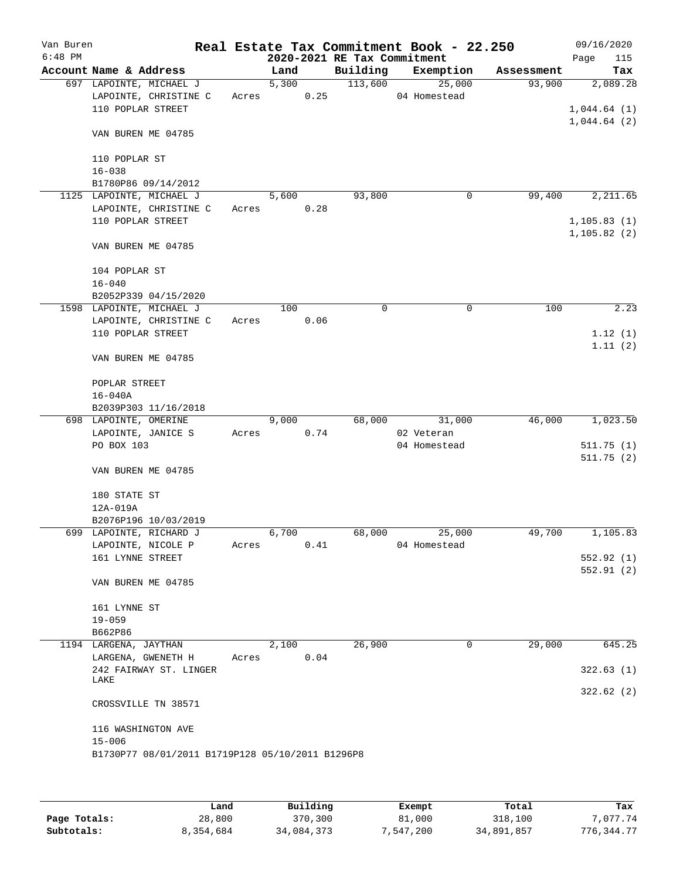| Van Buren<br>$6:48$ PM |                                                  |       |       |      | 2020-2021 RE Tax Commitment | Real Estate Tax Commitment Book - 22.250 |            | 09/16/2020<br>Page<br>115 |
|------------------------|--------------------------------------------------|-------|-------|------|-----------------------------|------------------------------------------|------------|---------------------------|
|                        | Account Name & Address                           |       | Land  |      | Building                    | Exemption                                | Assessment | Tax                       |
|                        | 697 LAPOINTE, MICHAEL J                          |       | 5,300 |      | 113,600                     | 25,000                                   | 93,900     | 2,089.28                  |
|                        | LAPOINTE, CHRISTINE C                            | Acres |       | 0.25 |                             | 04 Homestead                             |            |                           |
|                        | 110 POPLAR STREET                                |       |       |      |                             |                                          |            | 1,044.64(1)               |
|                        |                                                  |       |       |      |                             |                                          |            | 1,044.64(2)               |
|                        | VAN BUREN ME 04785                               |       |       |      |                             |                                          |            |                           |
|                        | 110 POPLAR ST                                    |       |       |      |                             |                                          |            |                           |
|                        | $16 - 038$                                       |       |       |      |                             |                                          |            |                           |
|                        |                                                  |       |       |      |                             |                                          |            |                           |
|                        | B1780P86 09/14/2012                              |       |       |      | 93,800                      |                                          |            | 2,211.65                  |
|                        | 1125 LAPOINTE, MICHAEL J                         |       | 5,600 |      |                             | 0                                        | 99,400     |                           |
|                        | LAPOINTE, CHRISTINE C                            | Acres |       | 0.28 |                             |                                          |            |                           |
|                        | 110 POPLAR STREET                                |       |       |      |                             |                                          |            | 1, 105.83(1)              |
|                        |                                                  |       |       |      |                             |                                          |            | 1, 105.82(2)              |
|                        | VAN BUREN ME 04785                               |       |       |      |                             |                                          |            |                           |
|                        | 104 POPLAR ST                                    |       |       |      |                             |                                          |            |                           |
|                        | $16 - 040$                                       |       |       |      |                             |                                          |            |                           |
|                        | B2052P339 04/15/2020                             |       |       |      |                             |                                          |            |                           |
|                        | 1598 LAPOINTE, MICHAEL J                         |       | 100   |      | 0                           | 0                                        | 100        | 2.23                      |
|                        | LAPOINTE, CHRISTINE C                            | Acres |       | 0.06 |                             |                                          |            |                           |
|                        | 110 POPLAR STREET                                |       |       |      |                             |                                          |            | 1.12(1)                   |
|                        |                                                  |       |       |      |                             |                                          |            | 1.11(2)                   |
|                        | VAN BUREN ME 04785                               |       |       |      |                             |                                          |            |                           |
|                        | POPLAR STREET                                    |       |       |      |                             |                                          |            |                           |
|                        | $16 - 040A$                                      |       |       |      |                             |                                          |            |                           |
|                        | B2039P303 11/16/2018                             |       |       |      |                             |                                          |            |                           |
|                        | 698 LAPOINTE, OMERINE                            |       | 9,000 |      | 68,000                      | 31,000                                   | 46,000     | 1,023.50                  |
|                        | LAPOINTE, JANICE S                               | Acres |       | 0.74 |                             | 02 Veteran                               |            |                           |
|                        | PO BOX 103                                       |       |       |      |                             | 04 Homestead                             |            | 511.75(1)                 |
|                        |                                                  |       |       |      |                             |                                          |            | 511.75(2)                 |
|                        | VAN BUREN ME 04785                               |       |       |      |                             |                                          |            |                           |
|                        | 180 STATE ST                                     |       |       |      |                             |                                          |            |                           |
|                        | 12A-019A                                         |       |       |      |                             |                                          |            |                           |
|                        | B2076P196 10/03/2019                             |       |       |      |                             |                                          |            |                           |
|                        | 699 LAPOINTE, RICHARD J                          |       | 6,700 |      | 68,000                      | 25,000                                   | 49,700     | 1,105.83                  |
|                        | LAPOINTE, NICOLE P                               | Acres |       | 0.41 |                             | 04 Homestead                             |            |                           |
|                        | 161 LYNNE STREET                                 |       |       |      |                             |                                          |            | 552.92(1)                 |
|                        |                                                  |       |       |      |                             |                                          |            | 552.91 (2)                |
|                        | VAN BUREN ME 04785                               |       |       |      |                             |                                          |            |                           |
|                        |                                                  |       |       |      |                             |                                          |            |                           |
|                        | 161 LYNNE ST                                     |       |       |      |                             |                                          |            |                           |
|                        | $19 - 059$                                       |       |       |      |                             |                                          |            |                           |
|                        | B662P86                                          |       |       |      |                             |                                          |            |                           |
|                        | 1194 LARGENA, JAYTHAN                            |       | 2,100 |      | 26,900                      | 0                                        | 29,000     | 645.25                    |
|                        | LARGENA, GWENETH H                               | Acres |       | 0.04 |                             |                                          |            |                           |
|                        | 242 FAIRWAY ST. LINGER                           |       |       |      |                             |                                          |            | 322.63(1)                 |
|                        | LAKE                                             |       |       |      |                             |                                          |            | 322.62(2)                 |
|                        | CROSSVILLE TN 38571                              |       |       |      |                             |                                          |            |                           |
|                        | 116 WASHINGTON AVE                               |       |       |      |                             |                                          |            |                           |
|                        | $15 - 006$                                       |       |       |      |                             |                                          |            |                           |
|                        | B1730P77 08/01/2011 B1719P128 05/10/2011 B1296P8 |       |       |      |                             |                                          |            |                           |
|                        |                                                  |       |       |      |                             |                                          |            |                           |
|                        |                                                  |       |       |      |                             |                                          |            |                           |

|              | Land      | Building   | Exempt    | Total      | Tax          |
|--------------|-----------|------------|-----------|------------|--------------|
| Page Totals: | 28,800    | 370,300    | 81,000    | 318,100    | 7.077.74     |
| Subtotals:   | 8,354,684 | 34,084,373 | 7,547,200 | 34,891,857 | 776, 344, 77 |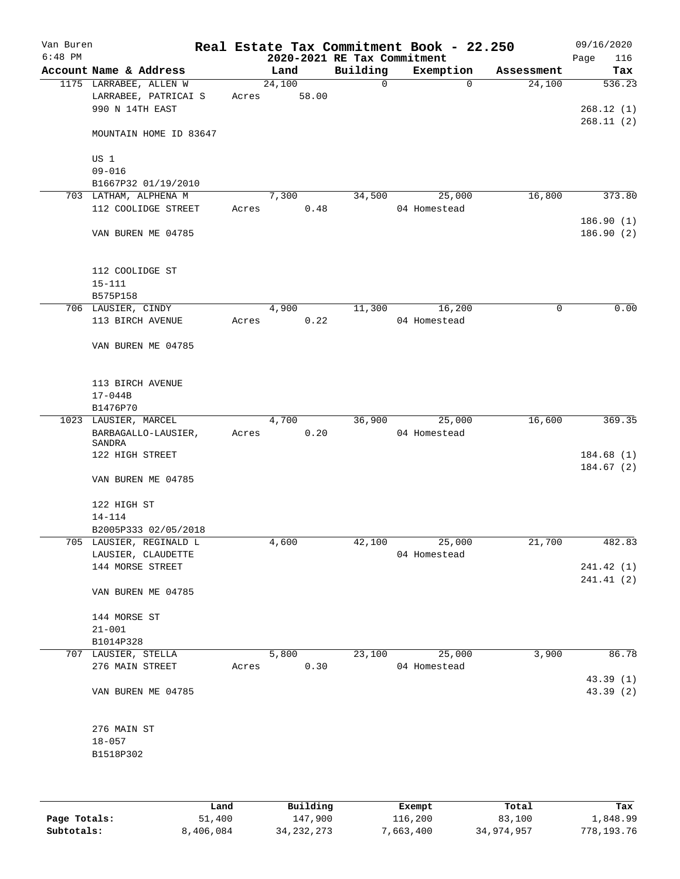| Van Buren<br>$6:48$ PM |                                             |       |               | 2020-2021 RE Tax Commitment | Real Estate Tax Commitment Book - 22.250 |            | 09/16/2020<br>116<br>Page |
|------------------------|---------------------------------------------|-------|---------------|-----------------------------|------------------------------------------|------------|---------------------------|
|                        | Account Name & Address                      |       | Land          | Building                    | Exemption                                | Assessment | Tax                       |
|                        | 1175 LARRABEE, ALLEN W                      |       | 24,100        | $\mathbf 0$                 | $\Omega$                                 | 24,100     | 536.23                    |
|                        | LARRABEE, PATRICAI S                        | Acres | 58.00         |                             |                                          |            |                           |
|                        | 990 N 14TH EAST                             |       |               |                             |                                          |            | 268.12(1)                 |
|                        |                                             |       |               |                             |                                          |            | 268.11(2)                 |
|                        | MOUNTAIN HOME ID 83647                      |       |               |                             |                                          |            |                           |
|                        |                                             |       |               |                             |                                          |            |                           |
|                        | US 1                                        |       |               |                             |                                          |            |                           |
|                        | $09 - 016$                                  |       |               |                             |                                          |            |                           |
|                        | B1667P32 01/19/2010                         |       |               |                             |                                          |            |                           |
|                        | 703 LATHAM, ALPHENA M                       |       | 7,300         | 34,500                      | 25,000                                   | 16,800     | 373.80                    |
|                        | 112 COOLIDGE STREET                         | Acres | 0.48          |                             | 04 Homestead                             |            |                           |
|                        |                                             |       |               |                             |                                          |            | 186.90(1)                 |
|                        | VAN BUREN ME 04785                          |       |               |                             |                                          |            | 186.90(2)                 |
|                        |                                             |       |               |                             |                                          |            |                           |
|                        |                                             |       |               |                             |                                          |            |                           |
|                        | 112 COOLIDGE ST                             |       |               |                             |                                          |            |                           |
|                        | $15 - 111$                                  |       |               |                             |                                          |            |                           |
|                        | B575P158                                    |       |               |                             |                                          |            |                           |
|                        | 706 LAUSIER, CINDY                          |       | 4,900         | 11,300                      | 16,200                                   | 0          | 0.00                      |
|                        | 113 BIRCH AVENUE                            | Acres | 0.22          |                             | 04 Homestead                             |            |                           |
|                        |                                             |       |               |                             |                                          |            |                           |
|                        | VAN BUREN ME 04785                          |       |               |                             |                                          |            |                           |
|                        |                                             |       |               |                             |                                          |            |                           |
|                        |                                             |       |               |                             |                                          |            |                           |
|                        | 113 BIRCH AVENUE                            |       |               |                             |                                          |            |                           |
|                        | $17 - 044B$                                 |       |               |                             |                                          |            |                           |
|                        | B1476P70                                    |       |               |                             |                                          | 16,600     | 369.35                    |
|                        | 1023 LAUSIER, MARCEL<br>BARBAGALLO-LAUSIER, |       | 4,700<br>0.20 | 36,900                      | 25,000<br>04 Homestead                   |            |                           |
|                        | SANDRA                                      | Acres |               |                             |                                          |            |                           |
|                        | 122 HIGH STREET                             |       |               |                             |                                          |            | 184.68(1)                 |
|                        |                                             |       |               |                             |                                          |            | 184.67(2)                 |
|                        | VAN BUREN ME 04785                          |       |               |                             |                                          |            |                           |
|                        |                                             |       |               |                             |                                          |            |                           |
|                        | 122 HIGH ST                                 |       |               |                             |                                          |            |                           |
|                        | 14-114                                      |       |               |                             |                                          |            |                           |
|                        | B2005P333 02/05/2018                        |       |               |                             |                                          |            |                           |
|                        | 705 LAUSIER, REGINALD L                     |       | 4,600         | 42,100                      | 25,000                                   | 21,700     | 482.83                    |
|                        | LAUSIER, CLAUDETTE                          |       |               |                             | 04 Homestead                             |            |                           |
|                        | 144 MORSE STREET                            |       |               |                             |                                          |            | 241.42(1)                 |
|                        |                                             |       |               |                             |                                          |            | 241.41 (2)                |
|                        | VAN BUREN ME 04785                          |       |               |                             |                                          |            |                           |
|                        |                                             |       |               |                             |                                          |            |                           |
|                        | 144 MORSE ST                                |       |               |                             |                                          |            |                           |
|                        | $21 - 001$                                  |       |               |                             |                                          |            |                           |
|                        | B1014P328                                   |       |               |                             |                                          |            |                           |
|                        | 707 LAUSIER, STELLA                         |       | 5,800         | 23,100                      | 25,000                                   | 3,900      | 86.78                     |
|                        | 276 MAIN STREET                             | Acres | 0.30          |                             | 04 Homestead                             |            |                           |
|                        |                                             |       |               |                             |                                          |            | 43.39 (1)                 |
|                        | VAN BUREN ME 04785                          |       |               |                             |                                          |            | 43.39 (2)                 |
|                        |                                             |       |               |                             |                                          |            |                           |
|                        |                                             |       |               |                             |                                          |            |                           |
|                        | 276 MAIN ST                                 |       |               |                             |                                          |            |                           |
|                        | $18 - 057$                                  |       |               |                             |                                          |            |                           |
|                        | B1518P302                                   |       |               |                             |                                          |            |                           |
|                        |                                             |       |               |                             |                                          |            |                           |
|                        |                                             |       |               |                             |                                          |            |                           |
|                        |                                             |       |               |                             |                                          |            |                           |

|              | Land      | Building     | Exempt    | Total      | Tax        |
|--------------|-----------|--------------|-----------|------------|------------|
| Page Totals: | 51,400    | 147,900      | 116,200   | 83,100     | 1,848.99   |
| Subtotals:   | 8,406,084 | 34, 232, 273 | 7,663,400 | 34,974,957 | 778,193.76 |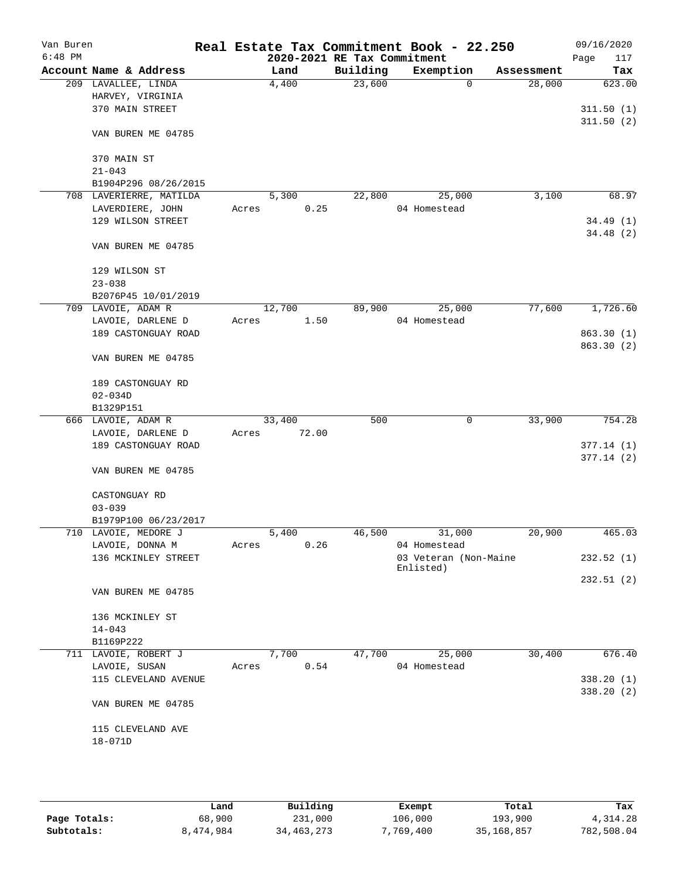| Van Buren<br>$6:48$ PM |                                        |       |        |       | 2020-2021 RE Tax Commitment | Real Estate Tax Commitment Book - 22.250 |             |        | 09/16/2020<br>Page<br>117 |
|------------------------|----------------------------------------|-------|--------|-------|-----------------------------|------------------------------------------|-------------|--------|---------------------------|
|                        | Account Name & Address                 |       | Land   |       | Building                    | Exemption                                | Assessment  |        | Tax                       |
|                        | 209 LAVALLEE, LINDA                    |       | 4,400  |       | 23,600                      |                                          | $\mathbf 0$ | 28,000 | 623.00                    |
|                        | HARVEY, VIRGINIA                       |       |        |       |                             |                                          |             |        |                           |
|                        | 370 MAIN STREET                        |       |        |       |                             |                                          |             |        | 311.50(1)                 |
|                        | VAN BUREN ME 04785                     |       |        |       |                             |                                          |             |        | 311.50(2)                 |
|                        | 370 MAIN ST                            |       |        |       |                             |                                          |             |        |                           |
|                        | $21 - 043$                             |       |        |       |                             |                                          |             |        |                           |
|                        | B1904P296 08/26/2015                   |       |        |       |                             |                                          |             |        |                           |
|                        | 708 LAVERIERRE, MATILDA                |       | 5,300  |       | 22,800                      | 25,000                                   |             | 3,100  | 68.97                     |
|                        | LAVERDIERE, JOHN                       | Acres |        | 0.25  |                             | 04 Homestead                             |             |        |                           |
|                        | 129 WILSON STREET                      |       |        |       |                             |                                          |             |        | 34.49(1)                  |
|                        | VAN BUREN ME 04785                     |       |        |       |                             |                                          |             |        | 34.48 (2)                 |
|                        | 129 WILSON ST                          |       |        |       |                             |                                          |             |        |                           |
|                        | $23 - 038$                             |       |        |       |                             |                                          |             |        |                           |
|                        | B2076P45 10/01/2019                    |       |        |       |                             |                                          |             |        |                           |
|                        | 709 LAVOIE, ADAM R                     |       | 12,700 |       | 89,900                      | 25,000                                   |             | 77,600 | 1,726.60                  |
|                        | LAVOIE, DARLENE D                      | Acres |        | 1.50  |                             | 04 Homestead                             |             |        |                           |
|                        | 189 CASTONGUAY ROAD                    |       |        |       |                             |                                          |             |        | 863.30(1)                 |
|                        | VAN BUREN ME 04785                     |       |        |       |                             |                                          |             |        | 863.30 (2)                |
|                        | 189 CASTONGUAY RD                      |       |        |       |                             |                                          |             |        |                           |
|                        | $02 - 034D$                            |       |        |       |                             |                                          |             |        |                           |
|                        | B1329P151                              |       |        |       |                             |                                          |             |        |                           |
|                        | 666 LAVOIE, ADAM R                     |       | 33,400 |       | 500                         |                                          | 0           | 33,900 | 754.28                    |
|                        | LAVOIE, DARLENE D                      | Acres |        | 72.00 |                             |                                          |             |        |                           |
|                        | 189 CASTONGUAY ROAD                    |       |        |       |                             |                                          |             |        | 377.14(1)                 |
|                        | VAN BUREN ME 04785                     |       |        |       |                             |                                          |             |        | 377.14(2)                 |
|                        | CASTONGUAY RD                          |       |        |       |                             |                                          |             |        |                           |
|                        | $03 - 039$                             |       |        |       |                             |                                          |             |        |                           |
|                        | B1979P100 06/23/2017                   |       |        |       |                             |                                          |             |        |                           |
|                        | 710 LAVOIE, MEDORE J                   |       | 5,400  |       | 46,500                      | 31,000<br>04 Homestead                   |             | 20,900 | 465.03                    |
|                        | LAVOIE, DONNA M<br>136 MCKINLEY STREET | Acres |        | 0.26  |                             | 03 Veteran (Non-Maine                    |             |        | 232.52(1)                 |
|                        |                                        |       |        |       |                             | Enlisted)                                |             |        |                           |
|                        |                                        |       |        |       |                             |                                          |             |        | 232.51(2)                 |
|                        | VAN BUREN ME 04785                     |       |        |       |                             |                                          |             |        |                           |
|                        | 136 MCKINLEY ST                        |       |        |       |                             |                                          |             |        |                           |
|                        | $14 - 043$                             |       |        |       |                             |                                          |             |        |                           |
|                        | B1169P222                              |       |        |       |                             |                                          |             |        |                           |
|                        | 711 LAVOIE, ROBERT J                   |       | 7,700  |       | 47,700                      | 25,000                                   |             | 30,400 | 676.40                    |
|                        | LAVOIE, SUSAN                          | Acres |        | 0.54  |                             | 04 Homestead                             |             |        |                           |
|                        | 115 CLEVELAND AVENUE                   |       |        |       |                             |                                          |             |        | 338.20 (1)                |
|                        | VAN BUREN ME 04785                     |       |        |       |                             |                                          |             |        | 338.20(2)                 |
|                        | 115 CLEVELAND AVE                      |       |        |       |                             |                                          |             |        |                           |
|                        | 18-071D                                |       |        |       |                             |                                          |             |        |                           |
|                        |                                        |       |        |       |                             |                                          |             |        |                           |
|                        |                                        |       |        |       |                             |                                          |             |        |                           |
|                        |                                        |       |        |       |                             |                                          |             |        |                           |

|              | Land      | Building   | Exempt    | Total      | Tax        |
|--------------|-----------|------------|-----------|------------|------------|
| Page Totals: | 68,900    | 231,000    | 106,000   | 193,900    | 4,314.28   |
| Subtotals:   | 8,474,984 | 34,463,273 | 7,769,400 | 35,168,857 | 782,508.04 |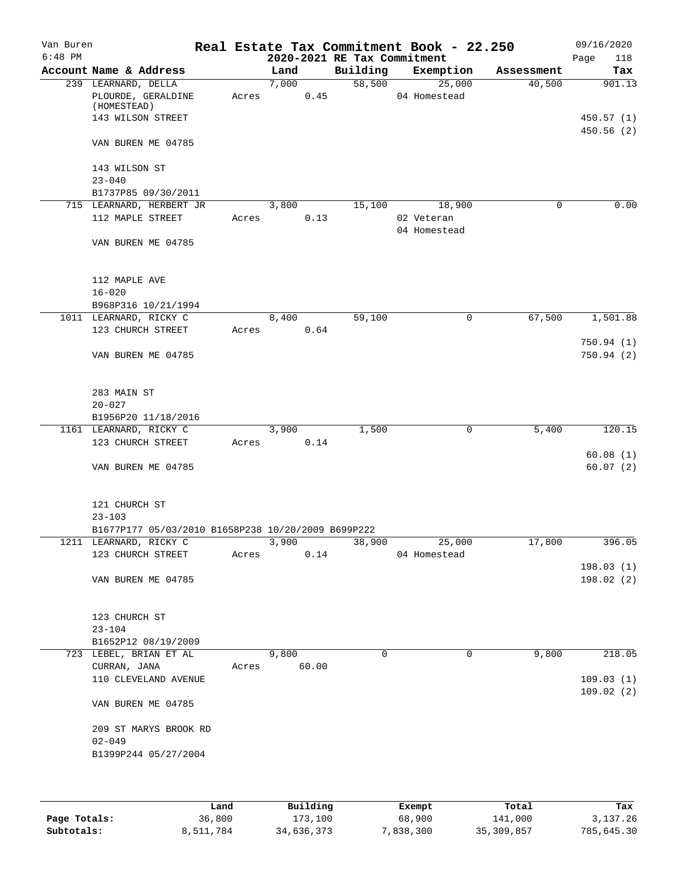| Van Buren<br>$6:48$ PM |                                                                               |       |       |       | 2020-2021 RE Tax Commitment | Real Estate Tax Commitment Book - 22.250 |            | 09/16/2020<br>Page<br>118 |
|------------------------|-------------------------------------------------------------------------------|-------|-------|-------|-----------------------------|------------------------------------------|------------|---------------------------|
|                        | Account Name & Address                                                        |       | Land  |       | Building                    | Exemption                                | Assessment | Tax                       |
|                        | 239 LEARNARD, DELLA<br>PLOURDE, GERALDINE<br>(HOMESTEAD)<br>143 WILSON STREET | Acres | 7,000 | 0.45  | 58,500                      | 25,000<br>04 Homestead                   | 40,500     | 901.13<br>450.57(1)       |
|                        | VAN BUREN ME 04785                                                            |       |       |       |                             |                                          |            | 450.56 (2)                |
|                        | 143 WILSON ST<br>$23 - 040$                                                   |       |       |       |                             |                                          |            |                           |
|                        | B1737P85 09/30/2011                                                           |       |       |       |                             |                                          |            |                           |
|                        | 715 LEARNARD, HERBERT JR<br>112 MAPLE STREET                                  | Acres | 3,800 | 0.13  | 15,100                      | 18,900<br>02 Veteran<br>04 Homestead     | 0          | 0.00                      |
|                        | VAN BUREN ME 04785                                                            |       |       |       |                             |                                          |            |                           |
|                        | 112 MAPLE AVE<br>$16 - 020$                                                   |       |       |       |                             |                                          |            |                           |
|                        | B968P316 10/21/1994                                                           |       |       |       | 59,100                      |                                          |            |                           |
|                        | 1011 LEARNARD, RICKY C<br>123 CHURCH STREET                                   | Acres | 8,400 | 0.64  |                             | 0                                        | 67,500     | 1,501.88                  |
|                        |                                                                               |       |       |       |                             |                                          |            | 750.94(1)                 |
|                        | VAN BUREN ME 04785                                                            |       |       |       |                             |                                          |            | 750.94(2)                 |
|                        | 283 MAIN ST<br>$20 - 027$                                                     |       |       |       |                             |                                          |            |                           |
|                        | B1956P20 11/18/2016                                                           |       |       |       |                             |                                          |            |                           |
|                        | 1161 LEARNARD, RICKY C                                                        |       | 3,900 |       | 1,500                       | 0                                        | 5,400      | 120.15                    |
|                        | 123 CHURCH STREET                                                             | Acres |       | 0.14  |                             |                                          |            |                           |
|                        |                                                                               |       |       |       |                             |                                          |            | 60.08(1)                  |
|                        | VAN BUREN ME 04785                                                            |       |       |       |                             |                                          |            | 60.07(2)                  |
|                        | 121 CHURCH ST<br>$23 - 103$                                                   |       |       |       |                             |                                          |            |                           |
|                        | B1677P177 05/03/2010 B1658P238 10/20/2009 B699P222                            |       |       |       |                             | 25,000                                   |            |                           |
|                        | 1211 LEARNARD, RICKY C<br>123 CHURCH STREET                                   | Acres | 3,900 | 0.14  | 38,900                      | 04 Homestead                             | 17,800     | 396.05                    |
|                        |                                                                               |       |       |       |                             |                                          |            | 198.03(1)                 |
|                        | VAN BUREN ME 04785                                                            |       |       |       |                             |                                          |            | 198.02(2)                 |
|                        | 123 CHURCH ST<br>$23 - 104$                                                   |       |       |       |                             |                                          |            |                           |
|                        | B1652P12 08/19/2009                                                           |       |       |       |                             |                                          |            |                           |
|                        | 723 LEBEL, BRIAN ET AL                                                        |       | 9,800 |       | $\Omega$                    | $\Omega$                                 | 9,800      | 218.05                    |
|                        | CURRAN, JANA<br>110 CLEVELAND AVENUE                                          | Acres |       | 60.00 |                             |                                          |            | 109.03(1)                 |
|                        | VAN BUREN ME 04785                                                            |       |       |       |                             |                                          |            | 109.02(2)                 |
|                        | 209 ST MARYS BROOK RD<br>$02 - 049$<br>B1399P244 05/27/2004                   |       |       |       |                             |                                          |            |                           |
|                        |                                                                               |       |       |       |                             |                                          |            |                           |

|              | Land      | Building   | Exempt    | Total        | Tax        |
|--------------|-----------|------------|-----------|--------------|------------|
| Page Totals: | 36,800    | 173,100    | 68,900    | 141,000      | 3,137.26   |
| Subtotals:   | 8,511,784 | 34,636,373 | 7,838,300 | 35, 309, 857 | 785,645.30 |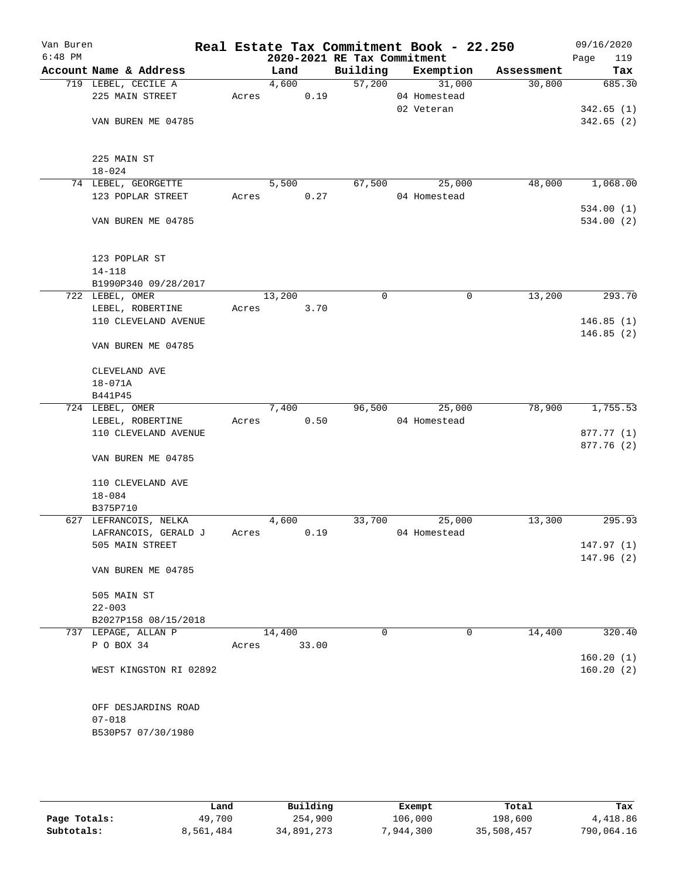| Van Buren<br>$6:48$ PM |                                                         |       |        |       | 2020-2021 RE Tax Commitment | Real Estate Tax Commitment Book - 22.250 |            | 09/16/2020<br>Page<br>119 |
|------------------------|---------------------------------------------------------|-------|--------|-------|-----------------------------|------------------------------------------|------------|---------------------------|
|                        | Account Name & Address                                  |       | Land   |       | Building                    | Exemption                                | Assessment | Tax                       |
|                        | 719 LEBEL, CECILE A                                     |       | 4,600  |       | 57,200                      | 31,000                                   | 30,800     | 685.30                    |
|                        | 225 MAIN STREET                                         | Acres |        | 0.19  |                             | 04 Homestead                             |            |                           |
|                        |                                                         |       |        |       |                             | 02 Veteran                               |            | 342.65(1)                 |
|                        | VAN BUREN ME 04785                                      |       |        |       |                             |                                          |            | 342.65(2)                 |
|                        |                                                         |       |        |       |                             |                                          |            |                           |
|                        | 225 MAIN ST                                             |       |        |       |                             |                                          |            |                           |
|                        | $18 - 024$                                              |       |        |       |                             |                                          |            |                           |
|                        | 74 LEBEL, GEORGETTE                                     |       | 5,500  |       | 67,500                      | 25,000                                   | 48,000     | 1,068.00                  |
|                        | 123 POPLAR STREET                                       | Acres |        | 0.27  |                             | 04 Homestead                             |            |                           |
|                        |                                                         |       |        |       |                             |                                          |            | 534.00(1)                 |
|                        | VAN BUREN ME 04785                                      |       |        |       |                             |                                          |            | 534.00 (2)                |
|                        | 123 POPLAR ST                                           |       |        |       |                             |                                          |            |                           |
|                        | $14 - 118$                                              |       |        |       |                             |                                          |            |                           |
|                        | B1990P340 09/28/2017                                    |       |        |       |                             |                                          |            |                           |
|                        | 722 LEBEL, OMER                                         |       | 13,200 |       | 0                           | 0                                        | 13,200     | 293.70                    |
|                        | LEBEL, ROBERTINE                                        | Acres |        | 3.70  |                             |                                          |            |                           |
|                        | 110 CLEVELAND AVENUE                                    |       |        |       |                             |                                          |            | 146.85(1)                 |
|                        | VAN BUREN ME 04785                                      |       |        |       |                             |                                          |            | 146.85(2)                 |
|                        | CLEVELAND AVE                                           |       |        |       |                             |                                          |            |                           |
|                        | 18-071A                                                 |       |        |       |                             |                                          |            |                           |
|                        | B441P45                                                 |       |        |       |                             |                                          |            |                           |
|                        | 724 LEBEL, OMER                                         |       | 7,400  |       | 96,500                      | 25,000                                   | 78,900     | 1,755.53                  |
|                        | LEBEL, ROBERTINE                                        | Acres |        | 0.50  |                             | 04 Homestead                             |            |                           |
|                        | 110 CLEVELAND AVENUE                                    |       |        |       |                             |                                          |            | 877.77 (1)                |
|                        | VAN BUREN ME 04785                                      |       |        |       |                             |                                          |            | 877.76 (2)                |
|                        | 110 CLEVELAND AVE                                       |       |        |       |                             |                                          |            |                           |
|                        | $18 - 084$                                              |       |        |       |                             |                                          |            |                           |
|                        | B375P710                                                |       |        |       |                             |                                          |            |                           |
|                        | 627 LEFRANCOIS, NELKA                                   |       | 4,600  |       | 33,700                      | 25,000                                   | 13,300     | 295.93                    |
|                        | LAFRANCOIS, GERALD J                                    | Acres |        | 0.19  |                             | 04 Homestead                             |            |                           |
|                        | 505 MAIN STREET                                         |       |        |       |                             |                                          |            | 147.97 (1)                |
|                        | VAN BUREN ME 04785                                      |       |        |       |                             |                                          |            | 147.96 (2)                |
|                        |                                                         |       |        |       |                             |                                          |            |                           |
|                        | 505 MAIN ST                                             |       |        |       |                             |                                          |            |                           |
|                        | $22 - 003$                                              |       |        |       |                             |                                          |            |                           |
|                        | B2027P158 08/15/2018                                    |       |        |       |                             |                                          |            |                           |
|                        | 737 LEPAGE, ALLAN P                                     |       | 14,400 |       | $\Omega$                    | 0                                        | 14,400     | 320.40                    |
|                        | P O BOX 34                                              | Acres |        | 33.00 |                             |                                          |            |                           |
|                        | WEST KINGSTON RI 02892                                  |       |        |       |                             |                                          |            | 160.20(1)<br>160.20(2)    |
|                        | OFF DESJARDINS ROAD<br>$07 - 018$<br>B530P57 07/30/1980 |       |        |       |                             |                                          |            |                           |
|                        |                                                         |       |        |       |                             |                                          |            |                           |

|              | Land      | Building   | Exempt    | Total      | Tax        |
|--------------|-----------|------------|-----------|------------|------------|
| Page Totals: | 49,700    | 254,900    | 106,000   | 198,600    | 4,418.86   |
| Subtotals:   | 8,561,484 | 34,891,273 | 7,944,300 | 35,508,457 | 790,064.16 |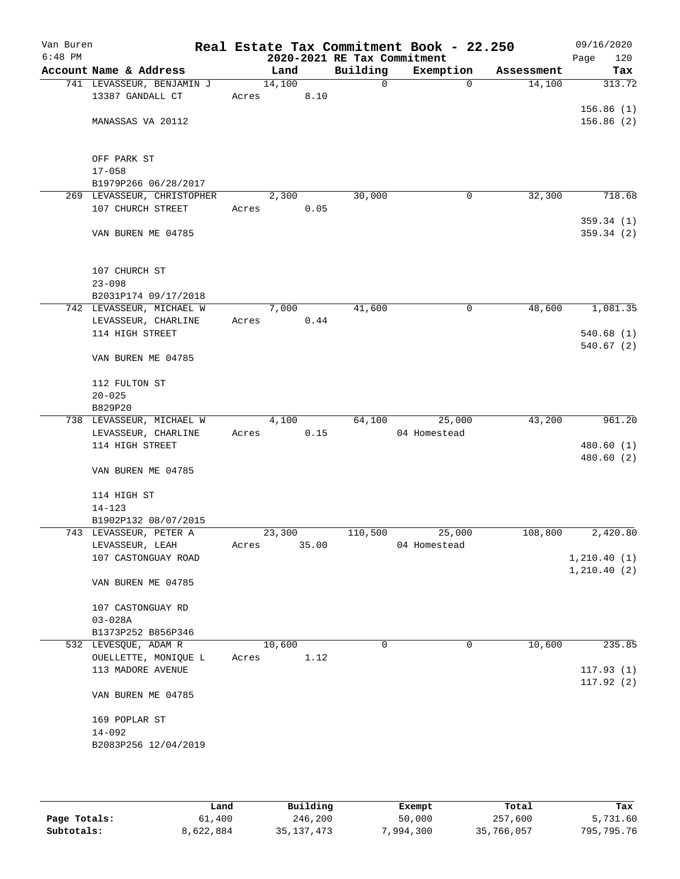| Van Buren<br>$6:48$ PM |                                                 |       |        |       | 2020-2021 RE Tax Commitment | Real Estate Tax Commitment Book - 22.250 |            | 09/16/2020<br>120<br>Page |
|------------------------|-------------------------------------------------|-------|--------|-------|-----------------------------|------------------------------------------|------------|---------------------------|
|                        | Account Name & Address                          |       | Land   |       | Building                    | Exemption                                | Assessment | Tax                       |
|                        | 741 LEVASSEUR, BENJAMIN J                       |       | 14,100 |       | $\mathsf{O}$                | $\mathbf 0$                              | 14,100     | 313.72                    |
|                        | 13387 GANDALL CT                                | Acres |        | 8.10  |                             |                                          |            |                           |
|                        |                                                 |       |        |       |                             |                                          |            | 156.86(1)                 |
|                        | MANASSAS VA 20112                               |       |        |       |                             |                                          |            | 156.86(2)                 |
|                        |                                                 |       |        |       |                             |                                          |            |                           |
|                        |                                                 |       |        |       |                             |                                          |            |                           |
|                        | OFF PARK ST                                     |       |        |       |                             |                                          |            |                           |
|                        | $17 - 058$                                      |       |        |       |                             |                                          |            |                           |
|                        | B1979P266 06/28/2017                            |       |        |       |                             |                                          | 32,300     | 718.68                    |
|                        | 269 LEVASSEUR, CHRISTOPHER<br>107 CHURCH STREET | Acres | 2,300  | 0.05  | 30,000                      | 0                                        |            |                           |
|                        |                                                 |       |        |       |                             |                                          |            | 359.34(1)                 |
|                        | VAN BUREN ME 04785                              |       |        |       |                             |                                          |            | 359.34(2)                 |
|                        |                                                 |       |        |       |                             |                                          |            |                           |
|                        |                                                 |       |        |       |                             |                                          |            |                           |
|                        | 107 CHURCH ST                                   |       |        |       |                             |                                          |            |                           |
|                        | $23 - 098$                                      |       |        |       |                             |                                          |            |                           |
|                        | B2031P174 09/17/2018                            |       |        |       |                             |                                          |            |                           |
|                        | 742 LEVASSEUR, MICHAEL W                        |       | 7,000  |       | 41,600                      | $\mathsf{O}$                             | 48,600     | 1,081.35                  |
|                        | LEVASSEUR, CHARLINE                             | Acres |        | 0.44  |                             |                                          |            |                           |
|                        | 114 HIGH STREET                                 |       |        |       |                             |                                          |            | 540.68(1)                 |
|                        |                                                 |       |        |       |                             |                                          |            | 540.67(2)                 |
|                        | VAN BUREN ME 04785                              |       |        |       |                             |                                          |            |                           |
|                        |                                                 |       |        |       |                             |                                          |            |                           |
|                        | 112 FULTON ST                                   |       |        |       |                             |                                          |            |                           |
|                        | $20 - 025$                                      |       |        |       |                             |                                          |            |                           |
|                        | B829P20<br>738 LEVASSEUR, MICHAEL W             |       | 4,100  |       | 64,100                      | 25,000                                   | 43,200     | 961.20                    |
|                        | LEVASSEUR, CHARLINE                             | Acres |        | 0.15  |                             | 04 Homestead                             |            |                           |
|                        | 114 HIGH STREET                                 |       |        |       |                             |                                          |            | 480.60(1)                 |
|                        |                                                 |       |        |       |                             |                                          |            | 480.60 (2)                |
|                        | VAN BUREN ME 04785                              |       |        |       |                             |                                          |            |                           |
|                        |                                                 |       |        |       |                             |                                          |            |                           |
|                        | 114 HIGH ST                                     |       |        |       |                             |                                          |            |                           |
|                        | $14 - 123$                                      |       |        |       |                             |                                          |            |                           |
|                        | B1902P132 08/07/2015                            |       |        |       |                             |                                          |            |                           |
|                        | 743 LEVASSEUR, PETER A                          |       | 23,300 |       | 110,500                     | 25,000                                   | 108,800    | 2,420.80                  |
|                        | LEVASSEUR, LEAH                                 | Acres |        | 35.00 |                             | 04 Homestead                             |            |                           |
|                        | 107 CASTONGUAY ROAD                             |       |        |       |                             |                                          |            | 1,210.40(1)               |
|                        |                                                 |       |        |       |                             |                                          |            | 1, 210.40(2)              |
|                        | VAN BUREN ME 04785                              |       |        |       |                             |                                          |            |                           |
|                        | 107 CASTONGUAY RD                               |       |        |       |                             |                                          |            |                           |
|                        | $03 - 028A$                                     |       |        |       |                             |                                          |            |                           |
|                        | B1373P252 B856P346                              |       |        |       |                             |                                          |            |                           |
|                        | 532 LEVESQUE, ADAM R                            |       | 10,600 |       | 0                           | 0                                        | 10,600     | 235.85                    |
|                        | OUELLETTE, MONIQUE L                            | Acres |        | 1.12  |                             |                                          |            |                           |
|                        | 113 MADORE AVENUE                               |       |        |       |                             |                                          |            | 117.93(1)                 |
|                        |                                                 |       |        |       |                             |                                          |            | 117.92(2)                 |
|                        | VAN BUREN ME 04785                              |       |        |       |                             |                                          |            |                           |
|                        |                                                 |       |        |       |                             |                                          |            |                           |
|                        | 169 POPLAR ST                                   |       |        |       |                             |                                          |            |                           |
|                        | $14 - 092$                                      |       |        |       |                             |                                          |            |                           |
|                        | B2083P256 12/04/2019                            |       |        |       |                             |                                          |            |                           |
|                        |                                                 |       |        |       |                             |                                          |            |                           |
|                        |                                                 |       |        |       |                             |                                          |            |                           |

|              | Land      | Building     | Exempt    | Total      | Tax        |
|--------------|-----------|--------------|-----------|------------|------------|
| Page Totals: | 61,400    | 246,200      | 50,000    | 257,600    | 5,731.60   |
| Subtotals:   | 8,622,884 | 35, 137, 473 | 7,994,300 | 35,766,057 | 795,795.76 |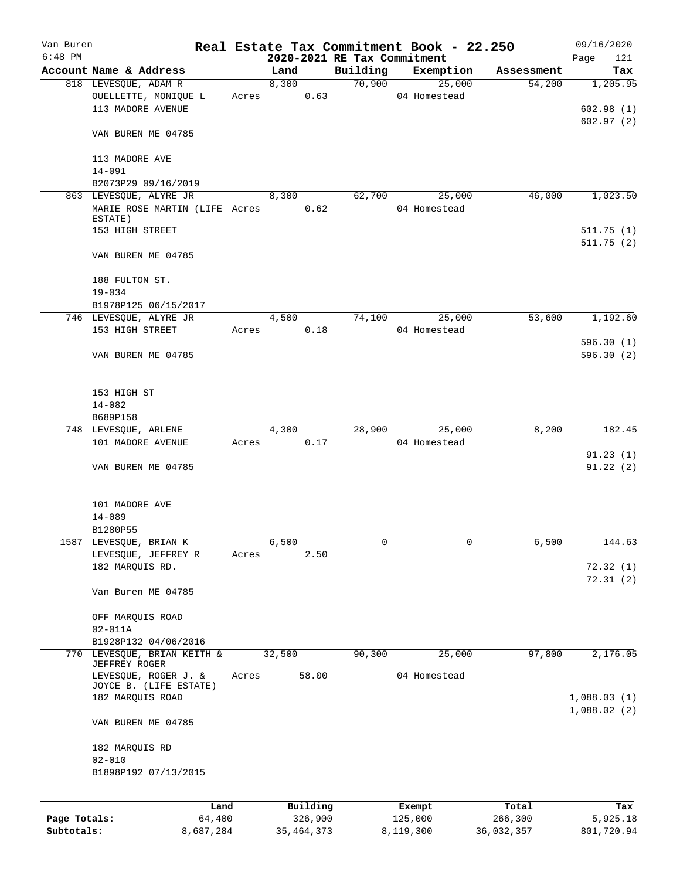| Van Buren                  |                                                                    |       |                             |                    | Real Estate Tax Commitment Book - 22.250 |                       | 09/16/2020             |
|----------------------------|--------------------------------------------------------------------|-------|-----------------------------|--------------------|------------------------------------------|-----------------------|------------------------|
| $6:48$ PM                  | Account Name & Address                                             |       | 2020-2021 RE Tax Commitment |                    |                                          |                       | Page<br>121            |
|                            | 818 LEVESQUE, ADAM R                                               |       | Land<br>8,300               | Building<br>70,900 | Exemption<br>25,000                      | Assessment<br>54,200  | Tax<br>1,205.95        |
|                            | OUELLETTE, MONIQUE L<br>113 MADORE AVENUE                          | Acres | 0.63                        |                    | 04 Homestead                             |                       | 602.98(1)              |
|                            | VAN BUREN ME 04785                                                 |       |                             |                    |                                          |                       | 602.97(2)              |
|                            | 113 MADORE AVE<br>14-091                                           |       |                             |                    |                                          |                       |                        |
|                            | B2073P29 09/16/2019                                                |       |                             |                    |                                          |                       |                        |
|                            | 863 LEVESQUE, ALYRE JR<br>MARIE ROSE MARTIN (LIFE Acres            |       | 8,300<br>0.62               | 62,700             | 25,000<br>04 Homestead                   | 46,000                | 1,023.50               |
|                            | ESTATE)<br>153 HIGH STREET                                         |       |                             |                    |                                          |                       | 511.75(1)<br>511.75(2) |
|                            | VAN BUREN ME 04785                                                 |       |                             |                    |                                          |                       |                        |
|                            | 188 FULTON ST.<br>$19 - 034$                                       |       |                             |                    |                                          |                       |                        |
|                            | B1978P125 06/15/2017                                               |       |                             |                    |                                          |                       |                        |
|                            | 746 LEVESQUE, ALYRE JR<br>153 HIGH STREET                          | Acres | 4,500<br>0.18               | 74,100             | 25,000<br>04 Homestead                   | 53,600                | 1,192.60               |
|                            | VAN BUREN ME 04785                                                 |       |                             |                    |                                          |                       | 596.30(1)<br>596.30(2) |
|                            | 153 HIGH ST<br>$14 - 082$                                          |       |                             |                    |                                          |                       |                        |
|                            | B689P158                                                           |       |                             |                    |                                          |                       |                        |
|                            | 748 LEVESQUE, ARLENE                                               |       | 4,300                       | 28,900             | 25,000                                   | 8,200                 | 182.45                 |
|                            | 101 MADORE AVENUE                                                  | Acres | 0.17                        |                    | 04 Homestead                             |                       |                        |
|                            | VAN BUREN ME 04785                                                 |       |                             |                    |                                          |                       | 91.23(1)<br>91.22(2)   |
|                            | 101 MADORE AVE<br>$14 - 089$                                       |       |                             |                    |                                          |                       |                        |
|                            | B1280P55                                                           |       |                             |                    |                                          |                       |                        |
|                            | 1587 LEVESQUE, BRIAN K                                             |       | 6,500                       | 0                  | 0                                        | 6,500                 | 144.63                 |
|                            | LEVESQUE, JEFFREY R<br>182 MARQUIS RD.                             | Acres | 2.50                        |                    |                                          |                       | 72.32(1)<br>72.31(2)   |
|                            | Van Buren ME 04785                                                 |       |                             |                    |                                          |                       |                        |
|                            | OFF MARQUIS ROAD<br>$02 - 011A$                                    |       |                             |                    |                                          |                       |                        |
|                            | B1928P132 04/06/2016                                               |       |                             |                    |                                          |                       |                        |
| 770                        | LEVESQUE, BRIAN KEITH &<br>JEFFREY ROGER                           |       | 32,500                      | 90,300             | 25,000                                   | 97,800                | 2,176.05               |
|                            | LEVESQUE, ROGER J. &<br>JOYCE B. (LIFE ESTATE)<br>182 MARQUIS ROAD | Acres | 58.00                       |                    | 04 Homestead                             |                       | 1,088.03(1)            |
|                            | VAN BUREN ME 04785                                                 |       |                             |                    |                                          |                       | 1,088.02(2)            |
|                            |                                                                    |       |                             |                    |                                          |                       |                        |
|                            | 182 MARQUIS RD<br>$02 - 010$                                       |       |                             |                    |                                          |                       |                        |
|                            | B1898P192 07/13/2015                                               |       |                             |                    |                                          |                       |                        |
|                            | Land                                                               |       | Building                    |                    | Exempt                                   | Total                 | Tax                    |
| Page Totals:<br>Subtotals: | 64,400<br>8,687,284                                                |       | 326,900<br>35, 464, 373     |                    | 125,000<br>8,119,300                     | 266,300<br>36,032,357 | 5,925.18<br>801,720.94 |
|                            |                                                                    |       |                             |                    |                                          |                       |                        |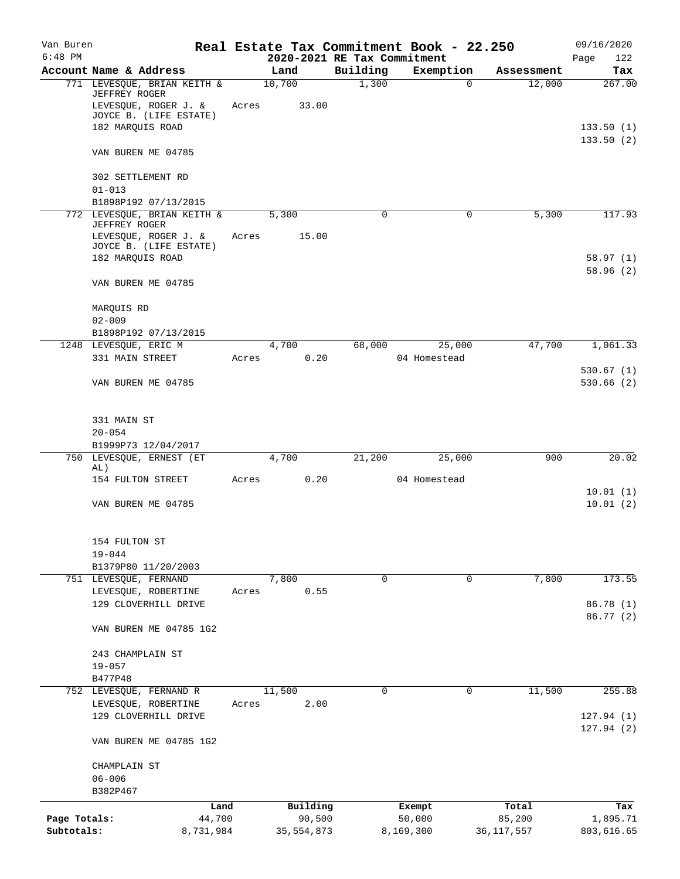| Van Buren<br>$6:48$ PM |                                                                 |       | 2020-2021 RE Tax Commitment |          | Real Estate Tax Commitment Book - 22.250 |              | 09/16/2020<br>Page<br>122 |
|------------------------|-----------------------------------------------------------------|-------|-----------------------------|----------|------------------------------------------|--------------|---------------------------|
|                        | Account Name & Address                                          |       | Land                        | Building | Exemption                                | Assessment   | Tax                       |
|                        | 771 LEVESQUE, BRIAN KEITH &                                     |       | 10,700                      | 1,300    | 0                                        | 12,000       | 267.00                    |
|                        | JEFFREY ROGER<br>LEVESQUE, ROGER J. &<br>JOYCE B. (LIFE ESTATE) | Acres | 33.00                       |          |                                          |              |                           |
|                        | 182 MARQUIS ROAD                                                |       |                             |          |                                          |              | 133.50(1)                 |
|                        | VAN BUREN ME 04785                                              |       |                             |          |                                          |              | 133.50(2)                 |
|                        | 302 SETTLEMENT RD                                               |       |                             |          |                                          |              |                           |
|                        | $01 - 013$<br>B1898P192 07/13/2015                              |       |                             |          |                                          |              |                           |
|                        | 772 LEVESQUE, BRIAN KEITH &                                     |       | 5,300                       | 0        | 0                                        | 5,300        | 117.93                    |
|                        | JEFFREY ROGER<br>LEVESQUE, ROGER J. &                           | Acres | 15.00                       |          |                                          |              |                           |
|                        | JOYCE B. (LIFE ESTATE)                                          |       |                             |          |                                          |              |                           |
|                        | 182 MARQUIS ROAD                                                |       |                             |          |                                          |              | 58.97(1)<br>58.96(2)      |
|                        | VAN BUREN ME 04785                                              |       |                             |          |                                          |              |                           |
|                        | MARQUIS RD                                                      |       |                             |          |                                          |              |                           |
|                        | $02 - 009$<br>B1898P192 07/13/2015                              |       |                             |          |                                          |              |                           |
|                        | 1248 LEVESQUE, ERIC M                                           |       | 4,700                       | 68,000   | 25,000                                   | 47,700       | 1,061.33                  |
|                        | 331 MAIN STREET                                                 | Acres | 0.20                        |          | 04 Homestead                             |              | 530.67(1)                 |
|                        | VAN BUREN ME 04785                                              |       |                             |          |                                          |              | 530.66(2)                 |
|                        | 331 MAIN ST                                                     |       |                             |          |                                          |              |                           |
|                        | $20 - 054$                                                      |       |                             |          |                                          |              |                           |
|                        | B1999P73 12/04/2017                                             |       |                             |          |                                          |              |                           |
|                        | 750 LEVESQUE, ERNEST (ET<br>AL)                                 |       | 4,700                       | 21,200   | 25,000                                   | 900          | 20.02                     |
|                        | 154 FULTON STREET                                               | Acres | 0.20                        |          | 04 Homestead                             |              | 10.01(1)                  |
|                        | VAN BUREN ME 04785                                              |       |                             |          |                                          |              | 10.01(2)                  |
|                        | 154 FULTON ST                                                   |       |                             |          |                                          |              |                           |
|                        | $19 - 044$                                                      |       |                             |          |                                          |              |                           |
|                        | B1379P80 11/20/2003                                             |       |                             |          |                                          |              |                           |
|                        | 751 LEVESQUE, FERNAND                                           |       | 7,800                       | 0        | 0                                        | 7,800        | 173.55                    |
|                        | LEVESQUE, ROBERTINE<br>129 CLOVERHILL DRIVE                     | Acres | 0.55                        |          |                                          |              | 86.78 (1)                 |
|                        | VAN BUREN ME 04785 1G2                                          |       |                             |          |                                          |              | 86.77 (2)                 |
|                        | 243 CHAMPLAIN ST                                                |       |                             |          |                                          |              |                           |
|                        | $19 - 057$                                                      |       |                             |          |                                          |              |                           |
|                        | B477P48<br>752 LEVESQUE, FERNAND R                              |       | 11,500                      | 0        | $\Omega$                                 | 11,500       | 255.88                    |
|                        | LEVESQUE, ROBERTINE                                             | Acres | 2.00                        |          |                                          |              |                           |
|                        | 129 CLOVERHILL DRIVE                                            |       |                             |          |                                          |              | 127.94(1)                 |
|                        | VAN BUREN ME 04785 1G2                                          |       |                             |          |                                          |              | 127.94(2)                 |
|                        | CHAMPLAIN ST                                                    |       |                             |          |                                          |              |                           |
|                        | $06 - 006$<br>B382P467                                          |       |                             |          |                                          |              |                           |
|                        | Land                                                            |       | Building                    |          | Exempt                                   | Total        | Tax                       |
| Page Totals:           | 44,700                                                          |       | 90,500                      |          | 50,000                                   | 85,200       | 1,895.71                  |
| Subtotals:             | 8,731,984                                                       |       | 35,554,873                  |          | 8,169,300                                | 36, 117, 557 | 803,616.65                |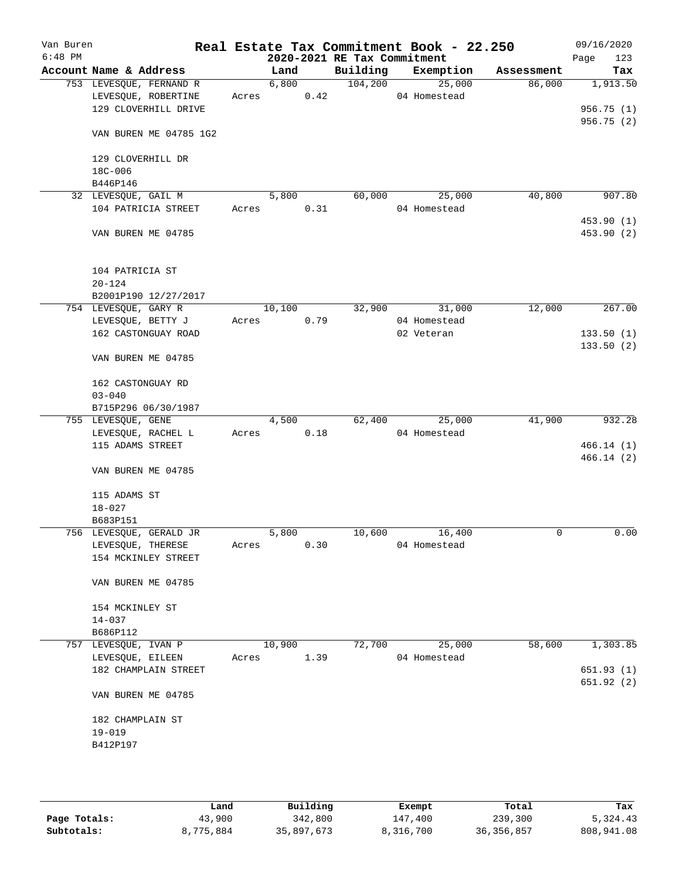| Van Buren<br>$6:48$ PM |                         |       |        |      | 2020-2021 RE Tax Commitment | Real Estate Tax Commitment Book - 22.250 |            | 09/16/2020<br>123<br>Page |
|------------------------|-------------------------|-------|--------|------|-----------------------------|------------------------------------------|------------|---------------------------|
|                        | Account Name & Address  |       | Land   |      | Building                    | Exemption                                | Assessment | Tax                       |
|                        | 753 LEVESQUE, FERNAND R |       | 6,800  |      | 104, 200                    | 25,000                                   | 86,000     | 1,913.50                  |
|                        | LEVESQUE, ROBERTINE     | Acres |        | 0.42 |                             | 04 Homestead                             |            |                           |
|                        | 129 CLOVERHILL DRIVE    |       |        |      |                             |                                          |            | 956.75(1)                 |
|                        |                         |       |        |      |                             |                                          |            | 956.75 (2)                |
|                        | VAN BUREN ME 04785 1G2  |       |        |      |                             |                                          |            |                           |
|                        | 129 CLOVERHILL DR       |       |        |      |                             |                                          |            |                           |
|                        | 18C-006                 |       |        |      |                             |                                          |            |                           |
|                        | B446P146                |       |        |      |                             |                                          |            |                           |
|                        | 32 LEVESQUE, GAIL M     |       | 5,800  |      | 60,000                      | 25,000                                   | 40,800     | 907.80                    |
|                        | 104 PATRICIA STREET     | Acres |        | 0.31 |                             | 04 Homestead                             |            |                           |
|                        | VAN BUREN ME 04785      |       |        |      |                             |                                          |            | 453.90 (1)<br>453.90 (2)  |
|                        | 104 PATRICIA ST         |       |        |      |                             |                                          |            |                           |
|                        | $20 - 124$              |       |        |      |                             |                                          |            |                           |
|                        | B2001P190 12/27/2017    |       |        |      |                             |                                          |            |                           |
|                        | 754 LEVESQUE, GARY R    |       | 10,100 |      | 32,900                      | 31,000                                   | 12,000     | 267.00                    |
|                        | LEVESQUE, BETTY J       | Acres |        | 0.79 |                             | 04 Homestead                             |            |                           |
|                        | 162 CASTONGUAY ROAD     |       |        |      |                             | 02 Veteran                               |            | 133.50(1)                 |
|                        |                         |       |        |      |                             |                                          |            | 133.50(2)                 |
|                        | VAN BUREN ME 04785      |       |        |      |                             |                                          |            |                           |
|                        | 162 CASTONGUAY RD       |       |        |      |                             |                                          |            |                           |
|                        | $03 - 040$              |       |        |      |                             |                                          |            |                           |
|                        | B715P296 06/30/1987     |       |        |      |                             |                                          |            |                           |
|                        | 755 LEVESQUE, GENE      |       | 4,500  |      | 62,400                      | 25,000                                   | 41,900     | 932.28                    |
|                        | LEVESQUE, RACHEL L      | Acres |        | 0.18 |                             | 04 Homestead                             |            |                           |
|                        | 115 ADAMS STREET        |       |        |      |                             |                                          |            | 466.14(1)                 |
|                        |                         |       |        |      |                             |                                          |            | 466.14(2)                 |
|                        | VAN BUREN ME 04785      |       |        |      |                             |                                          |            |                           |
|                        | 115 ADAMS ST            |       |        |      |                             |                                          |            |                           |
|                        | $18 - 027$              |       |        |      |                             |                                          |            |                           |
|                        | B683P151                |       |        |      |                             |                                          |            |                           |
|                        | 756 LEVESQUE, GERALD JR |       | 5,800  |      | 10,600                      | 16,400                                   | 0          | 0.00                      |
|                        | LEVESQUE, THERESE       | Acres |        | 0.30 |                             | 04 Homestead                             |            |                           |
|                        | 154 MCKINLEY STREET     |       |        |      |                             |                                          |            |                           |
|                        | VAN BUREN ME 04785      |       |        |      |                             |                                          |            |                           |
|                        | 154 MCKINLEY ST         |       |        |      |                             |                                          |            |                           |
|                        | $14 - 037$              |       |        |      |                             |                                          |            |                           |
|                        | B686P112                |       |        |      |                             |                                          |            |                           |
|                        | 757 LEVESQUE, IVAN P    |       | 10,900 |      | 72,700                      | 25,000                                   | 58,600     | 1,303.85                  |
|                        | LEVESQUE, EILEEN        | Acres |        | 1.39 |                             | 04 Homestead                             |            |                           |
|                        | 182 CHAMPLAIN STREET    |       |        |      |                             |                                          |            | 651.93(1)                 |
|                        | VAN BUREN ME 04785      |       |        |      |                             |                                          |            | 651.92 (2)                |
|                        | 182 CHAMPLAIN ST        |       |        |      |                             |                                          |            |                           |
|                        | $19 - 019$              |       |        |      |                             |                                          |            |                           |
|                        | B412P197                |       |        |      |                             |                                          |            |                           |
|                        |                         |       |        |      |                             |                                          |            |                           |
|                        |                         |       |        |      |                             |                                          |            |                           |
|                        |                         |       |        |      |                             |                                          |            |                           |

|              | Land      | Building   | Exempt    | Total        | Tax        |
|--------------|-----------|------------|-----------|--------------|------------|
| Page Totals: | 43,900    | 342,800    | 147,400   | 239,300      | 5,324.43   |
| Subtotals:   | 8,775,884 | 35,897,673 | 8,316,700 | 36, 356, 857 | 808,941.08 |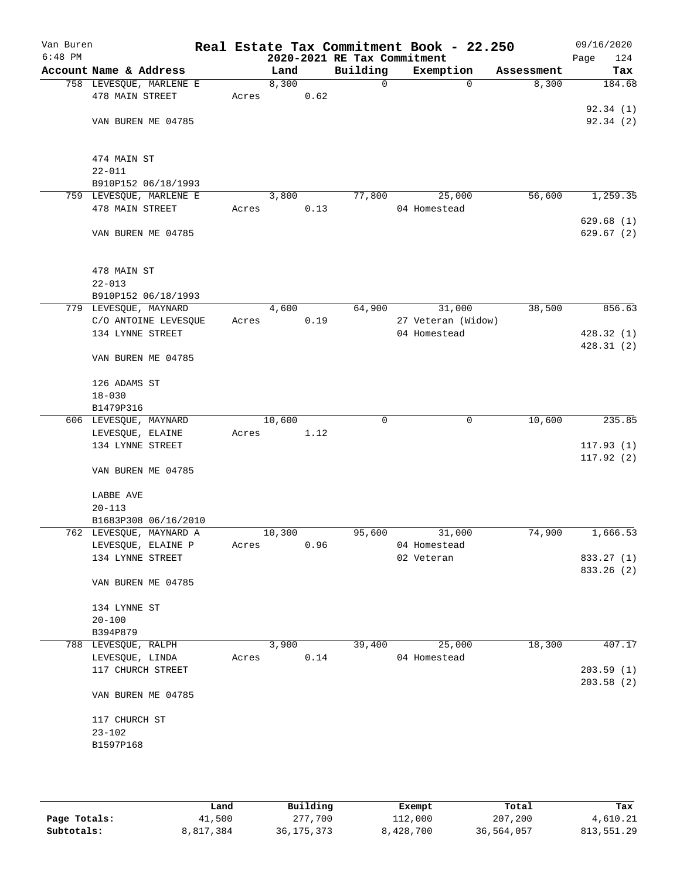| Van Buren<br>$6:48$ PM |                                        |       |        |      | 2020-2021 RE Tax Commitment | Real Estate Tax Commitment Book - 22.250 |            | 09/16/2020<br>124<br>Page |
|------------------------|----------------------------------------|-------|--------|------|-----------------------------|------------------------------------------|------------|---------------------------|
|                        | Account Name & Address                 |       | Land   |      | Building                    | Exemption                                | Assessment | Tax                       |
|                        | 758 LEVESQUE, MARLENE E                |       | 8,300  |      | $\mathbf 0$                 | $\Omega$                                 | 8,300      | 184.68                    |
|                        | 478 MAIN STREET                        | Acres |        | 0.62 |                             |                                          |            |                           |
|                        |                                        |       |        |      |                             |                                          |            | 92.34(1)                  |
|                        | VAN BUREN ME 04785                     |       |        |      |                             |                                          |            | 92.34(2)                  |
|                        |                                        |       |        |      |                             |                                          |            |                           |
|                        |                                        |       |        |      |                             |                                          |            |                           |
|                        | 474 MAIN ST                            |       |        |      |                             |                                          |            |                           |
|                        | $22 - 011$                             |       |        |      |                             |                                          |            |                           |
|                        | B910P152 06/18/1993                    |       |        |      |                             |                                          |            |                           |
|                        | 759 LEVESQUE, MARLENE E                |       | 3,800  |      | 77,800                      | 25,000                                   | 56,600     | 1,259.35                  |
|                        | 478 MAIN STREET                        | Acres |        | 0.13 |                             | 04 Homestead                             |            |                           |
|                        |                                        |       |        |      |                             |                                          |            | 629.68(1)<br>629.67(2)    |
|                        | VAN BUREN ME 04785                     |       |        |      |                             |                                          |            |                           |
|                        |                                        |       |        |      |                             |                                          |            |                           |
|                        | 478 MAIN ST                            |       |        |      |                             |                                          |            |                           |
|                        | $22 - 013$                             |       |        |      |                             |                                          |            |                           |
|                        | B910P152 06/18/1993                    |       |        |      |                             |                                          |            |                           |
|                        | 779 LEVESQUE, MAYNARD                  |       | 4,600  |      | 64,900                      | 31,000                                   | 38,500     | 856.63                    |
|                        | C/O ANTOINE LEVESQUE                   | Acres |        | 0.19 |                             | 27 Veteran (Widow)                       |            |                           |
|                        | 134 LYNNE STREET                       |       |        |      |                             | 04 Homestead                             |            | 428.32(1)                 |
|                        |                                        |       |        |      |                             |                                          |            | 428.31(2)                 |
|                        | VAN BUREN ME 04785                     |       |        |      |                             |                                          |            |                           |
|                        |                                        |       |        |      |                             |                                          |            |                           |
|                        | 126 ADAMS ST                           |       |        |      |                             |                                          |            |                           |
|                        | $18 - 030$                             |       |        |      |                             |                                          |            |                           |
|                        | B1479P316                              |       |        |      |                             |                                          |            |                           |
|                        | 606 LEVESQUE, MAYNARD                  |       | 10,600 |      | 0                           | 0                                        | 10,600     | 235.85                    |
|                        | LEVESQUE, ELAINE<br>134 LYNNE STREET   | Acres |        | 1.12 |                             |                                          |            | 117.93(1)                 |
|                        |                                        |       |        |      |                             |                                          |            | 117.92(2)                 |
|                        | VAN BUREN ME 04785                     |       |        |      |                             |                                          |            |                           |
|                        |                                        |       |        |      |                             |                                          |            |                           |
|                        | LABBE AVE                              |       |        |      |                             |                                          |            |                           |
|                        | $20 - 113$                             |       |        |      |                             |                                          |            |                           |
|                        | B1683P308 06/16/2010                   |       |        |      |                             |                                          |            |                           |
|                        | 762 LEVESQUE, MAYNARD A                |       | 10,300 |      | 95,600                      | 31,000                                   | 74,900     | 1,666.53                  |
|                        | LEVESQUE, ELAINE P                     | Acres |        | 0.96 |                             | 04 Homestead                             |            |                           |
|                        | 134 LYNNE STREET                       |       |        |      |                             | 02 Veteran                               |            | 833.27 (1)                |
|                        |                                        |       |        |      |                             |                                          |            | 833.26 (2)                |
|                        | VAN BUREN ME 04785                     |       |        |      |                             |                                          |            |                           |
|                        |                                        |       |        |      |                             |                                          |            |                           |
|                        | 134 LYNNE ST                           |       |        |      |                             |                                          |            |                           |
|                        | $20 - 100$                             |       |        |      |                             |                                          |            |                           |
|                        | B394P879                               |       |        |      |                             |                                          |            |                           |
|                        | 788 LEVESQUE, RALPH<br>LEVESQUE, LINDA | Acres | 3,900  | 0.14 | 39,400                      | 25,000<br>04 Homestead                   | 18,300     | 407.17                    |
|                        | 117 CHURCH STREET                      |       |        |      |                             |                                          |            | 203.59(1)                 |
|                        |                                        |       |        |      |                             |                                          |            | 203.58(2)                 |
|                        | VAN BUREN ME 04785                     |       |        |      |                             |                                          |            |                           |
|                        |                                        |       |        |      |                             |                                          |            |                           |
|                        | 117 CHURCH ST                          |       |        |      |                             |                                          |            |                           |
|                        | $23 - 102$                             |       |        |      |                             |                                          |            |                           |
|                        | B1597P168                              |       |        |      |                             |                                          |            |                           |
|                        |                                        |       |        |      |                             |                                          |            |                           |
|                        |                                        |       |        |      |                             |                                          |            |                           |
|                        |                                        |       |        |      |                             |                                          |            |                           |

|              | Land      | Building     | Exempt    | Total      | Tax        |
|--------------|-----------|--------------|-----------|------------|------------|
| Page Totals: | 41,500    | 277,700      | 112,000   | 207,200    | 4,610.21   |
| Subtotals:   | 8,817,384 | 36, 175, 373 | 8,428,700 | 36,564,057 | 813,551.29 |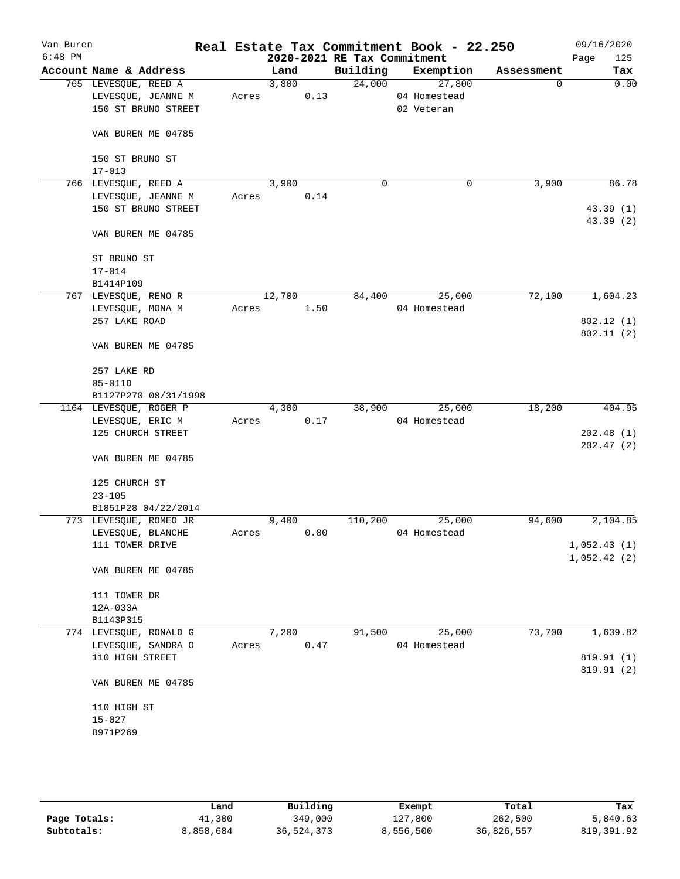| Van Buren<br>$6:48$ PM |                        |       |        |      | 2020-2021 RE Tax Commitment | Real Estate Tax Commitment Book - 22.250 |            | 09/16/2020<br>125<br>Page |
|------------------------|------------------------|-------|--------|------|-----------------------------|------------------------------------------|------------|---------------------------|
|                        | Account Name & Address |       | Land   |      | Building                    | Exemption                                | Assessment | Tax                       |
|                        | 765 LEVESQUE, REED A   |       | 3,800  |      |                             | 24,000<br>27,800                         | 0          | 0.00                      |
|                        | LEVESQUE, JEANNE M     | Acres |        | 0.13 |                             | 04 Homestead                             |            |                           |
|                        | 150 ST BRUNO STREET    |       |        |      |                             | 02 Veteran                               |            |                           |
|                        | VAN BUREN ME 04785     |       |        |      |                             |                                          |            |                           |
|                        | 150 ST BRUNO ST        |       |        |      |                             |                                          |            |                           |
|                        | $17 - 013$             |       |        |      |                             |                                          |            |                           |
|                        | 766 LEVESQUE, REED A   |       | 3,900  |      | $\mathbf 0$                 | 0                                        | 3,900      | 86.78                     |
|                        | LEVESQUE, JEANNE M     | Acres |        | 0.14 |                             |                                          |            |                           |
|                        | 150 ST BRUNO STREET    |       |        |      |                             |                                          |            | 43.39(1)<br>43.39 (2)     |
|                        | VAN BUREN ME 04785     |       |        |      |                             |                                          |            |                           |
|                        | ST BRUNO ST            |       |        |      |                             |                                          |            |                           |
|                        | $17 - 014$             |       |        |      |                             |                                          |            |                           |
|                        | B1414P109              |       |        |      |                             |                                          |            |                           |
|                        | 767 LEVESQUE, RENO R   |       | 12,700 |      | 84,400                      | 25,000                                   | 72,100     | 1,604.23                  |
|                        | LEVESQUE, MONA M       | Acres |        | 1.50 |                             | 04 Homestead                             |            |                           |
|                        | 257 LAKE ROAD          |       |        |      |                             |                                          |            | 802.12 (1)                |
|                        |                        |       |        |      |                             |                                          |            | 802.11(2)                 |
|                        | VAN BUREN ME 04785     |       |        |      |                             |                                          |            |                           |
|                        | 257 LAKE RD            |       |        |      |                             |                                          |            |                           |
|                        | $05 - 011D$            |       |        |      |                             |                                          |            |                           |
|                        | B1127P270 08/31/1998   |       |        |      |                             |                                          |            |                           |
|                        | 1164 LEVESQUE, ROGER P |       | 4,300  |      | 38,900                      | 25,000                                   | 18,200     | 404.95                    |
|                        | LEVESQUE, ERIC M       | Acres |        | 0.17 |                             | 04 Homestead                             |            |                           |
|                        | 125 CHURCH STREET      |       |        |      |                             |                                          |            | 202.48(1)                 |
|                        |                        |       |        |      |                             |                                          |            | 202.47(2)                 |
|                        | VAN BUREN ME 04785     |       |        |      |                             |                                          |            |                           |
|                        | 125 CHURCH ST          |       |        |      |                             |                                          |            |                           |
|                        | $23 - 105$             |       |        |      |                             |                                          |            |                           |
|                        | B1851P28 04/22/2014    |       |        |      |                             |                                          |            |                           |
|                        | 773 LEVESQUE, ROMEO JR |       | 9,400  |      | 110,200                     | 25,000                                   | 94,600     | 2,104.85                  |
|                        | LEVESQUE, BLANCHE      | Acres |        | 0.80 |                             | 04 Homestead                             |            |                           |
|                        | 111 TOWER DRIVE        |       |        |      |                             |                                          |            | 1,052.43(1)               |
|                        | VAN BUREN ME 04785     |       |        |      |                             |                                          |            | 1,052.42(2)               |
|                        |                        |       |        |      |                             |                                          |            |                           |
|                        | 111 TOWER DR           |       |        |      |                             |                                          |            |                           |
|                        | 12A-033A               |       |        |      |                             |                                          |            |                           |
|                        | B1143P315              |       |        |      |                             |                                          |            |                           |
|                        | 774 LEVESQUE, RONALD G |       | 7,200  |      | 91,500                      | 25,000                                   | 73,700     | 1,639.82                  |
|                        | LEVESQUE, SANDRA O     | Acres |        | 0.47 |                             | 04 Homestead                             |            |                           |
|                        | 110 HIGH STREET        |       |        |      |                             |                                          |            | 819.91 (1)                |
|                        | VAN BUREN ME 04785     |       |        |      |                             |                                          |            | 819.91 (2)                |
|                        | 110 HIGH ST            |       |        |      |                             |                                          |            |                           |
|                        | $15 - 027$             |       |        |      |                             |                                          |            |                           |
|                        | B971P269               |       |        |      |                             |                                          |            |                           |
|                        |                        |       |        |      |                             |                                          |            |                           |
|                        |                        |       |        |      |                             |                                          |            |                           |

|              | Land      | Building   | Exempt    | Total      | Tax        |
|--------------|-----------|------------|-----------|------------|------------|
| Page Totals: | 41,300    | 349,000    | 127,800   | 262,500    | 5,840.63   |
| Subtotals:   | 8,858,684 | 36,524,373 | 8,556,500 | 36,826,557 | 819,391.92 |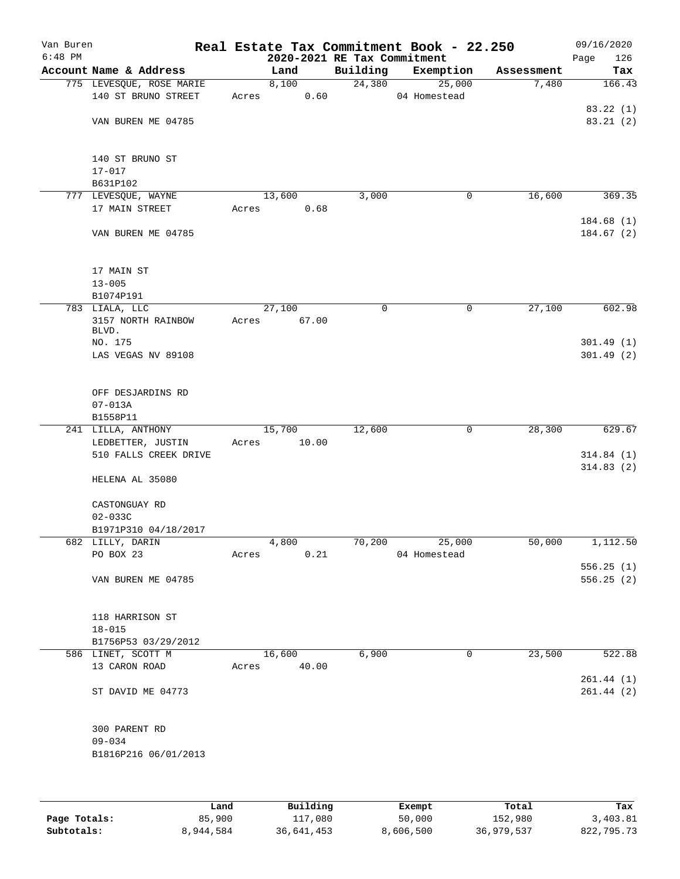| Van Buren<br>$6:48$ PM |                                              |       |        |       | 2020-2021 RE Tax Commitment | Real Estate Tax Commitment Book - 22.250 |            | 09/16/2020<br>126<br>Page |
|------------------------|----------------------------------------------|-------|--------|-------|-----------------------------|------------------------------------------|------------|---------------------------|
|                        | Account Name & Address                       |       | Land   |       | Building                    | Exemption                                | Assessment | Tax                       |
|                        | 775 LEVESQUE, ROSE MARIE                     |       | 8,100  |       | 24,380                      | 25,000                                   | 7,480      | 166.43                    |
|                        | 140 ST BRUNO STREET                          | Acres |        | 0.60  |                             | 04 Homestead                             |            | 83.22(1)                  |
|                        | VAN BUREN ME 04785                           |       |        |       |                             |                                          |            | 83.21(2)                  |
|                        | 140 ST BRUNO ST<br>$17 - 017$                |       |        |       |                             |                                          |            |                           |
|                        | B631P102                                     |       |        |       |                             |                                          |            |                           |
|                        | 777 LEVESQUE, WAYNE<br>17 MAIN STREET        | Acres | 13,600 | 0.68  | 3,000                       | 0                                        | 16,600     | 369.35                    |
|                        | VAN BUREN ME 04785                           |       |        |       |                             |                                          |            | 184.68(1)<br>184.67(2)    |
|                        | 17 MAIN ST<br>$13 - 005$<br>B1074P191        |       |        |       |                             |                                          |            |                           |
|                        | 783 LIALA, LLC                               |       | 27,100 |       | 0                           | 0                                        | 27,100     | 602.98                    |
|                        | 3157 NORTH RAINBOW<br>BLVD.                  | Acres |        | 67.00 |                             |                                          |            |                           |
|                        | NO. 175<br>LAS VEGAS NV 89108                |       |        |       |                             |                                          |            | 301.49(1)<br>301.49(2)    |
|                        | OFF DESJARDINS RD<br>$07 - 013A$<br>B1558P11 |       |        |       |                             |                                          |            |                           |
|                        | 241 LILLA, ANTHONY                           |       | 15,700 |       | 12,600                      | 0                                        | 28,300     | 629.67                    |
|                        | LEDBETTER, JUSTIN                            | Acres |        | 10.00 |                             |                                          |            |                           |
|                        | 510 FALLS CREEK DRIVE                        |       |        |       |                             |                                          |            | 314.84(1)                 |
|                        | HELENA AL 35080                              |       |        |       |                             |                                          |            | 314.83(2)                 |
|                        | CASTONGUAY RD<br>$02 - 033C$                 |       |        |       |                             |                                          |            |                           |
|                        | B1971P310 04/18/2017                         |       |        |       |                             |                                          |            |                           |
|                        | 682 LILLY, DARIN                             |       | 4,800  |       | 70,200                      | 25,000                                   | 50,000     | 1,112.50                  |
|                        | PO BOX 23                                    | Acres |        | 0.21  |                             | 04 Homestead                             |            |                           |
|                        |                                              |       |        |       |                             |                                          |            | 556.25(1)                 |
|                        | VAN BUREN ME 04785                           |       |        |       |                             |                                          |            | 556.25(2)                 |
|                        | 118 HARRISON ST<br>$18 - 015$                |       |        |       |                             |                                          |            |                           |
|                        | B1756P53 03/29/2012                          |       |        |       | 6,900                       | 0                                        | 23,500     |                           |
|                        | 586 LINET, SCOTT M<br>13 CARON ROAD          | Acres | 16,600 | 40.00 |                             |                                          |            | 522.88<br>261.44(1)       |
|                        | ST DAVID ME 04773                            |       |        |       |                             |                                          |            | 261.44(2)                 |
|                        | 300 PARENT RD<br>$09 - 034$                  |       |        |       |                             |                                          |            |                           |
|                        | B1816P216 06/01/2013                         |       |        |       |                             |                                          |            |                           |
|                        |                                              |       |        |       |                             |                                          |            |                           |

|              | Land      | Building   | Exempt    | Total      | Tax        |
|--------------|-----------|------------|-----------|------------|------------|
| Page Totals: | 85,900    | 117,080    | 50,000    | 152,980    | 3,403.81   |
| Subtotals:   | 8,944,584 | 36,641,453 | 8,606,500 | 36,979,537 | 822,795.73 |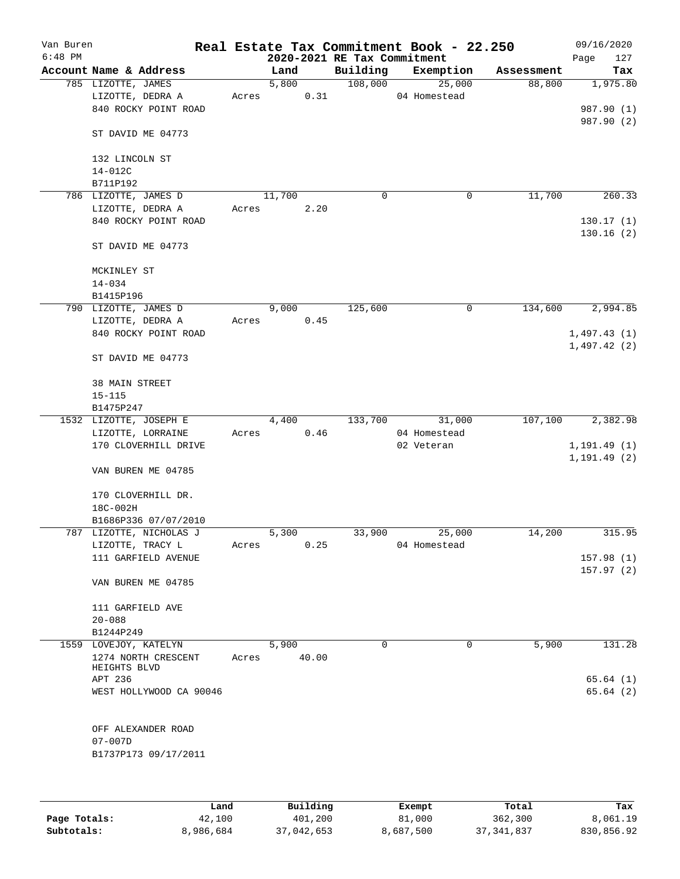| Van Buren |                                        |       |        |       |                             | Real Estate Tax Commitment Book - 22.250 |            | 09/16/2020   |
|-----------|----------------------------------------|-------|--------|-------|-----------------------------|------------------------------------------|------------|--------------|
| $6:48$ PM |                                        |       |        |       | 2020-2021 RE Tax Commitment |                                          |            | 127<br>Page  |
|           | Account Name & Address                 |       | Land   |       | Building                    | Exemption                                | Assessment | Tax          |
|           | 785 LIZOTTE, JAMES<br>LIZOTTE, DEDRA A | Acres | 5,800  | 0.31  | 108,000                     | 25,000<br>04 Homestead                   | 88,800     | 1,975.80     |
|           | 840 ROCKY POINT ROAD                   |       |        |       |                             |                                          |            | 987.90 (1)   |
|           |                                        |       |        |       |                             |                                          |            | 987.90 (2)   |
|           | ST DAVID ME 04773                      |       |        |       |                             |                                          |            |              |
|           | 132 LINCOLN ST                         |       |        |       |                             |                                          |            |              |
|           | 14-012C                                |       |        |       |                             |                                          |            |              |
|           | B711P192                               |       |        |       |                             |                                          |            |              |
|           | 786 LIZOTTE, JAMES D                   |       | 11,700 |       | 0                           | 0                                        | 11,700     | 260.33       |
|           | LIZOTTE, DEDRA A                       | Acres |        | 2.20  |                             |                                          |            |              |
|           | 840 ROCKY POINT ROAD                   |       |        |       |                             |                                          |            | 130.17(1)    |
|           | ST DAVID ME 04773                      |       |        |       |                             |                                          |            | 130.16(2)    |
|           | MCKINLEY ST                            |       |        |       |                             |                                          |            |              |
|           | $14 - 034$                             |       |        |       |                             |                                          |            |              |
|           | B1415P196                              |       |        |       |                             |                                          |            |              |
|           | 790 LIZOTTE, JAMES D                   |       | 9,000  |       | 125,600                     | $\mathsf{O}$                             | 134,600    | 2,994.85     |
|           | LIZOTTE, DEDRA A                       | Acres |        | 0.45  |                             |                                          |            |              |
|           | 840 ROCKY POINT ROAD                   |       |        |       |                             |                                          |            | 1,497.43(1)  |
|           |                                        |       |        |       |                             |                                          |            | 1,497.42(2)  |
|           | ST DAVID ME 04773                      |       |        |       |                             |                                          |            |              |
|           | 38 MAIN STREET                         |       |        |       |                             |                                          |            |              |
|           | $15 - 115$                             |       |        |       |                             |                                          |            |              |
|           | B1475P247                              |       |        |       |                             |                                          |            |              |
|           | 1532 LIZOTTE, JOSEPH E                 |       | 4,400  |       | 133,700                     | 31,000                                   | 107,100    | 2,382.98     |
|           | LIZOTTE, LORRAINE                      | Acres |        | 0.46  |                             | 04 Homestead                             |            |              |
|           | 170 CLOVERHILL DRIVE                   |       |        |       |                             | 02 Veteran                               |            | 1, 191.49(1) |
|           |                                        |       |        |       |                             |                                          |            | 1, 191.49(2) |
|           | VAN BUREN ME 04785                     |       |        |       |                             |                                          |            |              |
|           | 170 CLOVERHILL DR.                     |       |        |       |                             |                                          |            |              |
|           | 18C-002H                               |       |        |       |                             |                                          |            |              |
|           | B1686P336 07/07/2010                   |       |        |       |                             |                                          |            |              |
|           | 787 LIZOTTE, NICHOLAS J                |       | 5,300  |       | 33,900                      | 25,000                                   | 14,200     | 315.95       |
|           | LIZOTTE, TRACY L                       | Acres |        | 0.25  |                             | 04 Homestead                             |            |              |
|           | 111 GARFIELD AVENUE                    |       |        |       |                             |                                          |            | 157.98(1)    |
|           |                                        |       |        |       |                             |                                          |            | 157.97(2)    |
|           | VAN BUREN ME 04785                     |       |        |       |                             |                                          |            |              |
|           | 111 GARFIELD AVE                       |       |        |       |                             |                                          |            |              |
|           | $20 - 088$                             |       |        |       |                             |                                          |            |              |
|           | B1244P249                              |       |        |       |                             |                                          |            |              |
|           | 1559 LOVEJOY, KATELYN                  |       | 5,900  |       | 0                           | 0                                        | 5,900      | 131.28       |
|           | 1274 NORTH CRESCENT                    | Acres |        | 40.00 |                             |                                          |            |              |
|           | HEIGHTS BLVD                           |       |        |       |                             |                                          |            |              |
|           | APT 236                                |       |        |       |                             |                                          |            | 65.64(1)     |
|           | WEST HOLLYWOOD CA 90046                |       |        |       |                             |                                          |            | 65.64(2)     |
|           |                                        |       |        |       |                             |                                          |            |              |
|           | OFF ALEXANDER ROAD                     |       |        |       |                             |                                          |            |              |
|           | $07 - 007D$                            |       |        |       |                             |                                          |            |              |
|           | B1737P173 09/17/2011                   |       |        |       |                             |                                          |            |              |
|           |                                        |       |        |       |                             |                                          |            |              |
|           |                                        |       |        |       |                             |                                          |            |              |
|           |                                        |       |        |       |                             |                                          |            |              |

|              | Land      | Building   | Exempt    | Total        | Tax        |
|--------------|-----------|------------|-----------|--------------|------------|
| Page Totals: | 42,100    | 401,200    | 81,000    | 362,300      | 8,061.19   |
| Subtotals:   | 8,986,684 | 37,042,653 | 8,687,500 | 37, 341, 837 | 830,856.92 |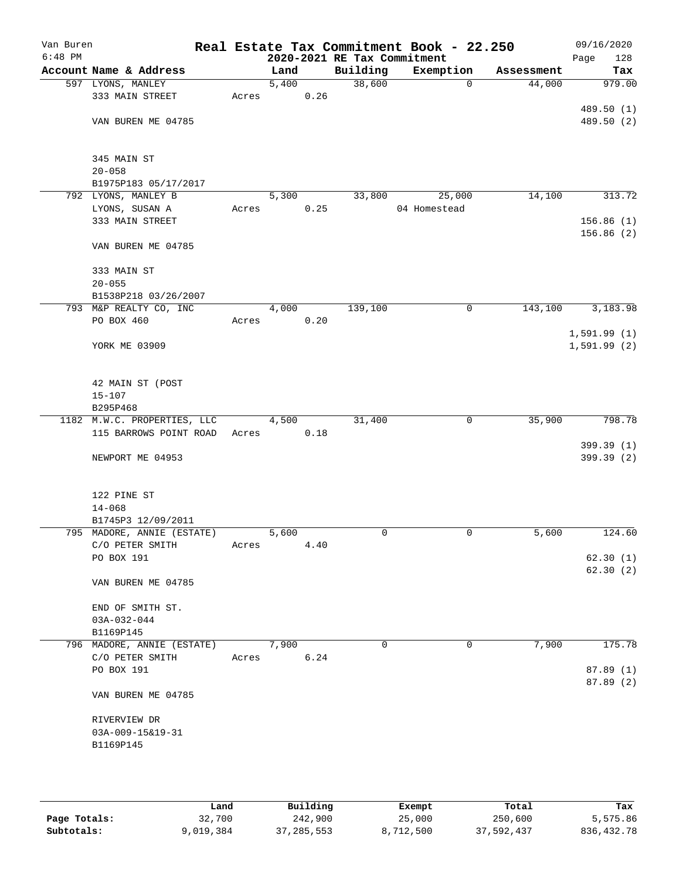| Van Buren<br>$6:48$ PM |                                             |       |       |      | 2020-2021 RE Tax Commitment | Real Estate Tax Commitment Book - 22.250 |            | 09/16/2020<br>Page<br>128 |
|------------------------|---------------------------------------------|-------|-------|------|-----------------------------|------------------------------------------|------------|---------------------------|
|                        | Account Name & Address                      |       | Land  |      | Building                    | Exemption                                | Assessment | Tax                       |
|                        | 597 LYONS, MANLEY                           |       | 5,400 |      | 38,600                      | $\mathbf 0$                              | 44,000     | 979.00                    |
|                        | 333 MAIN STREET                             | Acres |       | 0.26 |                             |                                          |            |                           |
|                        |                                             |       |       |      |                             |                                          |            | 489.50 (1)                |
|                        | VAN BUREN ME 04785                          |       |       |      |                             |                                          |            | 489.50 (2)                |
|                        |                                             |       |       |      |                             |                                          |            |                           |
|                        |                                             |       |       |      |                             |                                          |            |                           |
|                        | 345 MAIN ST                                 |       |       |      |                             |                                          |            |                           |
|                        | $20 - 058$                                  |       |       |      |                             |                                          |            |                           |
|                        | B1975P183 05/17/2017<br>792 LYONS, MANLEY B |       | 5,300 |      | 33,800                      | 25,000                                   | 14,100     | 313.72                    |
|                        | LYONS, SUSAN A                              | Acres |       | 0.25 |                             | 04 Homestead                             |            |                           |
|                        | 333 MAIN STREET                             |       |       |      |                             |                                          |            | 156.86(1)                 |
|                        |                                             |       |       |      |                             |                                          |            | 156.86(2)                 |
|                        | VAN BUREN ME 04785                          |       |       |      |                             |                                          |            |                           |
|                        |                                             |       |       |      |                             |                                          |            |                           |
|                        | 333 MAIN ST                                 |       |       |      |                             |                                          |            |                           |
|                        | $20 - 055$                                  |       |       |      |                             |                                          |            |                           |
|                        | B1538P218 03/26/2007                        |       |       |      |                             |                                          |            |                           |
|                        | 793 M&P REALTY CO, INC                      |       | 4,000 |      | 139,100                     | 0                                        | 143,100    | 3,183.98                  |
|                        | PO BOX 460                                  | Acres |       | 0.20 |                             |                                          |            |                           |
|                        |                                             |       |       |      |                             |                                          |            | 1,591.99(1)               |
|                        | YORK ME 03909                               |       |       |      |                             |                                          |            | 1,591.99(2)               |
|                        |                                             |       |       |      |                             |                                          |            |                           |
|                        | 42 MAIN ST (POST                            |       |       |      |                             |                                          |            |                           |
|                        | $15 - 107$                                  |       |       |      |                             |                                          |            |                           |
|                        | B295P468                                    |       |       |      |                             |                                          |            |                           |
|                        | 1182 M.W.C. PROPERTIES, LLC                 |       | 4,500 |      | 31,400                      | 0                                        | 35,900     | 798.78                    |
|                        | 115 BARROWS POINT ROAD                      | Acres |       | 0.18 |                             |                                          |            |                           |
|                        |                                             |       |       |      |                             |                                          |            | 399.39 (1)                |
|                        | NEWPORT ME 04953                            |       |       |      |                             |                                          |            | 399.39 (2)                |
|                        |                                             |       |       |      |                             |                                          |            |                           |
|                        |                                             |       |       |      |                             |                                          |            |                           |
|                        | 122 PINE ST                                 |       |       |      |                             |                                          |            |                           |
|                        | $14 - 068$<br>B1745P3 12/09/2011            |       |       |      |                             |                                          |            |                           |
|                        | 795 MADORE, ANNIE (ESTATE)                  |       | 5,600 |      | 0                           | 0                                        | 5,600      | 124.60                    |
|                        | C/O PETER SMITH                             | Acres |       | 4.40 |                             |                                          |            |                           |
|                        | PO BOX 191                                  |       |       |      |                             |                                          |            | 62.30(1)                  |
|                        |                                             |       |       |      |                             |                                          |            | 62.30(2)                  |
|                        | VAN BUREN ME 04785                          |       |       |      |                             |                                          |            |                           |
|                        |                                             |       |       |      |                             |                                          |            |                           |
|                        | END OF SMITH ST.                            |       |       |      |                             |                                          |            |                           |
|                        | $03A-032-044$                               |       |       |      |                             |                                          |            |                           |
|                        | B1169P145                                   |       |       |      |                             |                                          |            |                           |
|                        | 796 MADORE, ANNIE (ESTATE)                  |       | 7,900 |      | $\mathbf 0$                 | 0                                        | 7,900      | 175.78                    |
|                        | C/O PETER SMITH<br>PO BOX 191               | Acres |       | 6.24 |                             |                                          |            | 87.89(1)                  |
|                        |                                             |       |       |      |                             |                                          |            | 87.89(2)                  |
|                        | VAN BUREN ME 04785                          |       |       |      |                             |                                          |            |                           |
|                        |                                             |       |       |      |                             |                                          |            |                           |
|                        | RIVERVIEW DR                                |       |       |      |                             |                                          |            |                           |
|                        | 03A-009-15&19-31                            |       |       |      |                             |                                          |            |                           |
|                        | B1169P145                                   |       |       |      |                             |                                          |            |                           |
|                        |                                             |       |       |      |                             |                                          |            |                           |
|                        |                                             |       |       |      |                             |                                          |            |                           |
|                        |                                             |       |       |      |                             |                                          |            |                           |

|              | Land      | Building     | Exempt    | Total      | Tax          |
|--------------|-----------|--------------|-----------|------------|--------------|
| Page Totals: | 32,700    | 242,900      | 25,000    | 250,600    | 5,575.86     |
| Subtotals:   | 9,019,384 | 37, 285, 553 | 8,712,500 | 37,592,437 | 836, 432. 78 |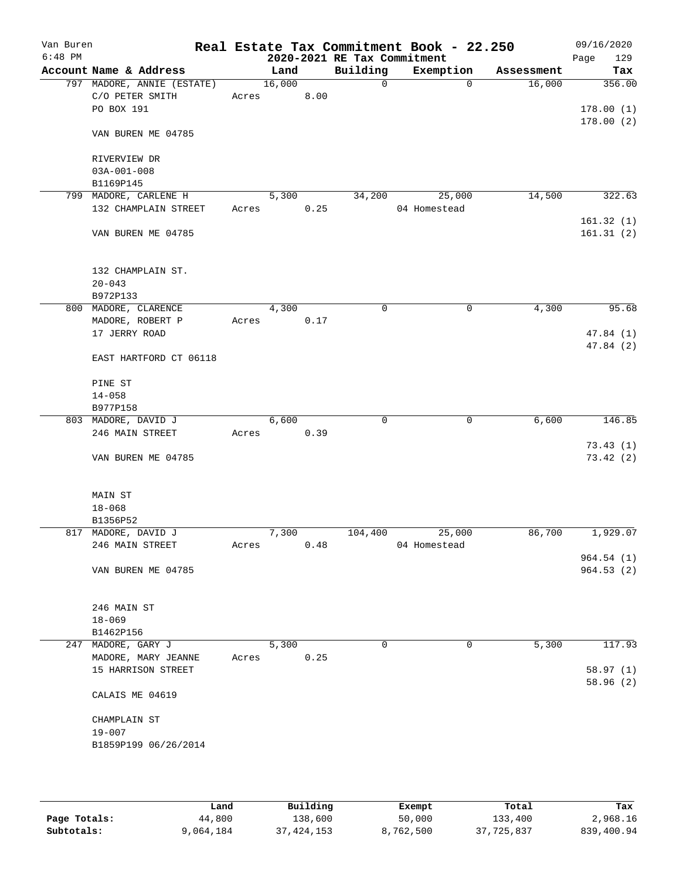| Van Buren<br>$6:48$ PM |                            |       |        |      | 2020-2021 RE Tax Commitment | Real Estate Tax Commitment Book - 22.250 |            | 09/16/2020<br>129<br>Page |
|------------------------|----------------------------|-------|--------|------|-----------------------------|------------------------------------------|------------|---------------------------|
|                        | Account Name & Address     |       | Land   |      | Building                    | Exemption                                | Assessment | Tax                       |
|                        | 797 MADORE, ANNIE (ESTATE) |       | 16,000 |      | $\mathbf 0$                 | $\Omega$                                 | 16,000     | 356.00                    |
|                        | C/O PETER SMITH            |       | Acres  | 8.00 |                             |                                          |            |                           |
|                        | PO BOX 191                 |       |        |      |                             |                                          |            | 178.00(1)                 |
|                        |                            |       |        |      |                             |                                          |            | 178.00(2)                 |
|                        | VAN BUREN ME 04785         |       |        |      |                             |                                          |            |                           |
|                        | RIVERVIEW DR               |       |        |      |                             |                                          |            |                           |
|                        | $03A-001-008$              |       |        |      |                             |                                          |            |                           |
|                        | B1169P145                  |       |        |      |                             |                                          |            |                           |
|                        | 799 MADORE, CARLENE H      |       | 5,300  |      | 34,200                      | 25,000                                   | 14,500     | 322.63                    |
|                        | 132 CHAMPLAIN STREET       | Acres |        | 0.25 |                             | 04 Homestead                             |            |                           |
|                        |                            |       |        |      |                             |                                          |            | 161.32(1)                 |
|                        | VAN BUREN ME 04785         |       |        |      |                             |                                          |            | 161.31(2)                 |
|                        |                            |       |        |      |                             |                                          |            |                           |
|                        | 132 CHAMPLAIN ST.          |       |        |      |                             |                                          |            |                           |
|                        | $20 - 043$                 |       |        |      |                             |                                          |            |                           |
|                        | B972P133                   |       |        |      |                             |                                          |            |                           |
|                        | 800 MADORE, CLARENCE       |       | 4,300  |      | 0                           | 0                                        | 4,300      | 95.68                     |
|                        | MADORE, ROBERT P           | Acres |        | 0.17 |                             |                                          |            |                           |
|                        | 17 JERRY ROAD              |       |        |      |                             |                                          |            | 47.84 (1)                 |
|                        | EAST HARTFORD CT 06118     |       |        |      |                             |                                          |            | 47.84 (2)                 |
|                        |                            |       |        |      |                             |                                          |            |                           |
|                        | PINE ST                    |       |        |      |                             |                                          |            |                           |
|                        | $14 - 058$                 |       |        |      |                             |                                          |            |                           |
|                        | B977P158                   |       |        |      |                             |                                          |            |                           |
|                        | 803 MADORE, DAVID J        |       | 6,600  |      | 0                           | 0                                        | 6,600      | 146.85                    |
|                        | 246 MAIN STREET            | Acres |        | 0.39 |                             |                                          |            |                           |
|                        |                            |       |        |      |                             |                                          |            | 73.43(1)                  |
|                        | VAN BUREN ME 04785         |       |        |      |                             |                                          |            | 73.42(2)                  |
|                        | MAIN ST                    |       |        |      |                             |                                          |            |                           |
|                        | $18 - 068$                 |       |        |      |                             |                                          |            |                           |
|                        | B1356P52                   |       |        |      |                             |                                          |            |                           |
|                        | 817 MADORE, DAVID J        |       | 7,300  |      | 104,400                     | 25,000                                   | 86,700     | 1,929.07                  |
|                        | 246 MAIN STREET            | Acres |        | 0.48 |                             | 04 Homestead                             |            |                           |
|                        |                            |       |        |      |                             |                                          |            | 964.54(1)                 |
|                        | VAN BUREN ME 04785         |       |        |      |                             |                                          |            | 964.53(2)                 |
|                        |                            |       |        |      |                             |                                          |            |                           |
|                        | 246 MAIN ST                |       |        |      |                             |                                          |            |                           |
|                        | $18 - 069$                 |       |        |      |                             |                                          |            |                           |
|                        | B1462P156                  |       |        |      |                             |                                          |            |                           |
|                        | 247 MADORE, GARY J         |       | 5,300  |      | 0                           | 0                                        | 5,300      | 117.93                    |
|                        | MADORE, MARY JEANNE        | Acres |        | 0.25 |                             |                                          |            |                           |
|                        | 15 HARRISON STREET         |       |        |      |                             |                                          |            | 58.97(1)                  |
|                        |                            |       |        |      |                             |                                          |            | 58.96(2)                  |
|                        | CALAIS ME 04619            |       |        |      |                             |                                          |            |                           |
|                        | CHAMPLAIN ST               |       |        |      |                             |                                          |            |                           |
|                        | $19 - 007$                 |       |        |      |                             |                                          |            |                           |
|                        | B1859P199 06/26/2014       |       |        |      |                             |                                          |            |                           |
|                        |                            |       |        |      |                             |                                          |            |                           |
|                        |                            |       |        |      |                             |                                          |            |                           |
|                        |                            |       |        |      |                             |                                          |            |                           |

|              | Land      | Building   | Exempt    | Total      | Tax        |
|--------------|-----------|------------|-----------|------------|------------|
| Page Totals: | 44,800    | 138,600    | 50,000    | 133,400    | 2,968.16   |
| Subtotals:   | 9,064,184 | 37,424,153 | 8,762,500 | 37,725,837 | 839,400.94 |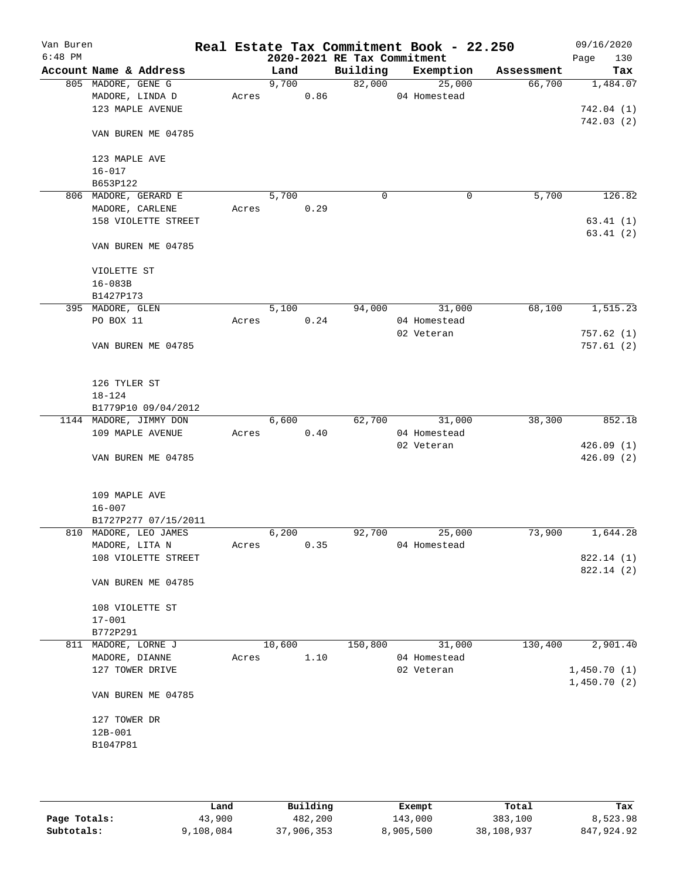| Van Buren<br>$6:48$ PM |                        |       |        |      | 2020-2021 RE Tax Commitment | Real Estate Tax Commitment Book - 22.250 |            | 09/16/2020<br>Page<br>130 |
|------------------------|------------------------|-------|--------|------|-----------------------------|------------------------------------------|------------|---------------------------|
|                        | Account Name & Address |       | Land   |      | Building                    | Exemption                                | Assessment | Tax                       |
|                        | 805 MADORE, GENE G     |       | 9,700  |      | 82,000                      | 25,000                                   | 66,700     | 1,484.07                  |
|                        | MADORE, LINDA D        | Acres |        | 0.86 |                             | 04 Homestead                             |            |                           |
|                        | 123 MAPLE AVENUE       |       |        |      |                             |                                          |            | 742.04(1)                 |
|                        |                        |       |        |      |                             |                                          |            | 742.03(2)                 |
|                        | VAN BUREN ME 04785     |       |        |      |                             |                                          |            |                           |
|                        | 123 MAPLE AVE          |       |        |      |                             |                                          |            |                           |
|                        | $16 - 017$             |       |        |      |                             |                                          |            |                           |
|                        | B653P122               |       |        |      |                             |                                          |            |                           |
|                        | 806 MADORE, GERARD E   |       | 5,700  |      | 0                           |                                          | 5,700<br>0 | 126.82                    |
|                        | MADORE, CARLENE        | Acres |        | 0.29 |                             |                                          |            |                           |
|                        | 158 VIOLETTE STREET    |       |        |      |                             |                                          |            | 63.41(1)                  |
|                        |                        |       |        |      |                             |                                          |            | 63.41(2)                  |
|                        | VAN BUREN ME 04785     |       |        |      |                             |                                          |            |                           |
|                        | VIOLETTE ST            |       |        |      |                             |                                          |            |                           |
|                        | $16 - 083B$            |       |        |      |                             |                                          |            |                           |
|                        |                        |       |        |      |                             |                                          |            |                           |
|                        | B1427P173              |       |        |      |                             |                                          |            |                           |
|                        | 395 MADORE, GLEN       |       | 5,100  |      | 94,000                      | 31,000                                   | 68,100     | 1, 515.23                 |
|                        | PO BOX 11              | Acres |        | 0.24 |                             | 04 Homestead                             |            |                           |
|                        | VAN BUREN ME 04785     |       |        |      |                             | 02 Veteran                               |            | 757.62(1)<br>757.61(2)    |
|                        |                        |       |        |      |                             |                                          |            |                           |
|                        | 126 TYLER ST           |       |        |      |                             |                                          |            |                           |
|                        | $18 - 124$             |       |        |      |                             |                                          |            |                           |
|                        | B1779P10 09/04/2012    |       |        |      |                             |                                          |            |                           |
|                        | 1144 MADORE, JIMMY DON |       | 6,600  |      | 62,700                      | 31,000                                   | 38,300     | 852.18                    |
|                        | 109 MAPLE AVENUE       | Acres |        | 0.40 |                             | 04 Homestead                             |            |                           |
|                        |                        |       |        |      |                             | 02 Veteran                               |            | 426.09(1)                 |
|                        | VAN BUREN ME 04785     |       |        |      |                             |                                          |            | 426.09(2)                 |
|                        | 109 MAPLE AVE          |       |        |      |                             |                                          |            |                           |
|                        | $16 - 007$             |       |        |      |                             |                                          |            |                           |
|                        | B1727P277 07/15/2011   |       |        |      |                             |                                          |            |                           |
|                        | 810 MADORE, LEO JAMES  |       | 6,200  |      | 92,700                      | 25,000                                   | 73,900     | 1,644.28                  |
|                        | MADORE, LITA N         | Acres |        | 0.35 |                             | 04 Homestead                             |            |                           |
|                        | 108 VIOLETTE STREET    |       |        |      |                             |                                          |            | 822.14 (1)                |
|                        |                        |       |        |      |                             |                                          |            | 822.14 (2)                |
|                        | VAN BUREN ME 04785     |       |        |      |                             |                                          |            |                           |
|                        | 108 VIOLETTE ST        |       |        |      |                             |                                          |            |                           |
|                        | $17 - 001$             |       |        |      |                             |                                          |            |                           |
|                        | B772P291               |       |        |      |                             |                                          |            |                           |
|                        | 811 MADORE, LORNE J    |       | 10,600 |      | 150,800                     | 31,000                                   | 130,400    | 2,901.40                  |
|                        | MADORE, DIANNE         | Acres |        | 1.10 |                             | 04 Homestead                             |            |                           |
|                        | 127 TOWER DRIVE        |       |        |      |                             | 02 Veteran                               |            |                           |
|                        |                        |       |        |      |                             |                                          |            | 1,450.70(1)               |
|                        | VAN BUREN ME 04785     |       |        |      |                             |                                          |            | 1,450.70(2)               |
|                        |                        |       |        |      |                             |                                          |            |                           |
|                        | 127 TOWER DR           |       |        |      |                             |                                          |            |                           |
|                        | $12B-001$              |       |        |      |                             |                                          |            |                           |
|                        | B1047P81               |       |        |      |                             |                                          |            |                           |
|                        |                        |       |        |      |                             |                                          |            |                           |
|                        |                        |       |        |      |                             |                                          |            |                           |
|                        |                        |       |        |      |                             |                                          |            |                           |

|              | Land      | Building   | Exempt    | Total      | Tax        |
|--------------|-----------|------------|-----------|------------|------------|
| Page Totals: | 43,900    | 482,200    | 143,000   | 383,100    | 8,523.98   |
| Subtotals:   | 9,108,084 | 37,906,353 | 8,905,500 | 38,108,937 | 847,924.92 |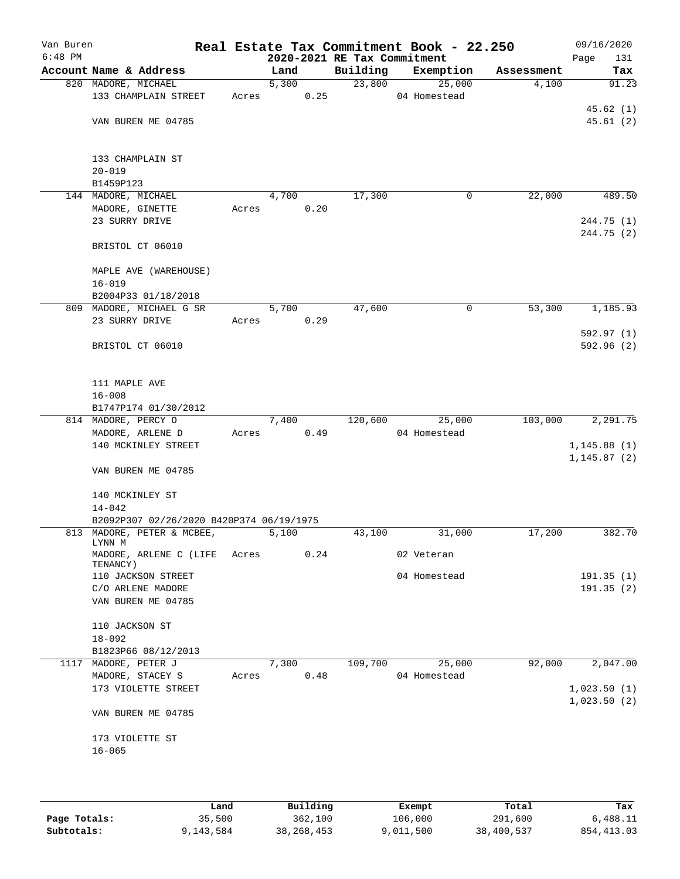| Van Buren<br>$6:48$ PM |                                          |       |       | 2020-2021 RE Tax Commitment | Real Estate Tax Commitment Book - 22.250 |            | 09/16/2020<br>Page<br>131 |
|------------------------|------------------------------------------|-------|-------|-----------------------------|------------------------------------------|------------|---------------------------|
|                        | Account Name & Address                   |       | Land  | Building                    | Exemption                                | Assessment | Tax                       |
|                        | 820 MADORE, MICHAEL                      |       | 5,300 |                             | 23,800<br>25,000                         | 4,100      | 91.23                     |
|                        | 133 CHAMPLAIN STREET                     | Acres | 0.25  |                             | 04 Homestead                             |            |                           |
|                        |                                          |       |       |                             |                                          |            | 45.62(1)                  |
|                        | VAN BUREN ME 04785                       |       |       |                             |                                          |            | 45.61(2)                  |
|                        | 133 CHAMPLAIN ST                         |       |       |                             |                                          |            |                           |
|                        | $20 - 019$                               |       |       |                             |                                          |            |                           |
|                        | B1459P123                                |       |       |                             |                                          |            |                           |
|                        | 144 MADORE, MICHAEL                      |       | 4,700 | 17,300                      | $\mathbf 0$                              | 22,000     | 489.50                    |
|                        | MADORE, GINETTE                          | Acres | 0.20  |                             |                                          |            |                           |
|                        | 23 SURRY DRIVE                           |       |       |                             |                                          |            | 244.75 (1)<br>244.75 (2)  |
|                        | BRISTOL CT 06010                         |       |       |                             |                                          |            |                           |
|                        | MAPLE AVE (WAREHOUSE)                    |       |       |                             |                                          |            |                           |
|                        | $16 - 019$                               |       |       |                             |                                          |            |                           |
|                        | B2004P33 01/18/2018                      |       |       |                             |                                          |            |                           |
|                        | 809 MADORE, MICHAEL G SR                 |       | 5,700 | 47,600                      | 0                                        | 53,300     | 1,185.93                  |
|                        | 23 SURRY DRIVE                           | Acres | 0.29  |                             |                                          |            |                           |
|                        |                                          |       |       |                             |                                          |            | 592.97(1)                 |
|                        | BRISTOL CT 06010                         |       |       |                             |                                          |            | 592.96(2)                 |
|                        | 111 MAPLE AVE                            |       |       |                             |                                          |            |                           |
|                        | $16 - 008$                               |       |       |                             |                                          |            |                           |
|                        | B1747P174 01/30/2012                     |       |       |                             |                                          |            |                           |
|                        | 814 MADORE, PERCY O                      |       | 7,400 | 120,600                     | 25,000                                   | 103,000    | 2,291.75                  |
|                        | MADORE, ARLENE D                         | Acres | 0.49  |                             | 04 Homestead                             |            |                           |
|                        | 140 MCKINLEY STREET                      |       |       |                             |                                          |            | 1, 145.88(1)              |
|                        | VAN BUREN ME 04785                       |       |       |                             |                                          |            | 1, 145.87(2)              |
|                        | 140 MCKINLEY ST<br>$14 - 042$            |       |       |                             |                                          |            |                           |
|                        | B2092P307 02/26/2020 B420P374 06/19/1975 |       |       |                             |                                          |            |                           |
|                        | 813 MADORE, PETER & MCBEE,               |       | 5,100 | 43,100                      | 31,000                                   | 17,200     | 382.70                    |
|                        | LYNN M<br>MADORE, ARLENE C (LIFE Acres   |       | 0.24  |                             | 02 Veteran                               |            |                           |
|                        | TENANCY)<br>110 JACKSON STREET           |       |       |                             | 04 Homestead                             |            | 191.35(1)                 |
|                        | C/O ARLENE MADORE                        |       |       |                             |                                          |            | 191.35(2)                 |
|                        | VAN BUREN ME 04785                       |       |       |                             |                                          |            |                           |
|                        | 110 JACKSON ST                           |       |       |                             |                                          |            |                           |
|                        | $18 - 092$                               |       |       |                             |                                          |            |                           |
|                        | B1823P66 08/12/2013                      |       |       |                             |                                          |            |                           |
| 1117                   | MADORE, PETER J                          |       | 7,300 | 109,700                     | 25,000                                   | 92,000     | 2,047.00                  |
|                        | MADORE, STACEY S                         | Acres | 0.48  |                             | 04 Homestead                             |            |                           |
|                        | 173 VIOLETTE STREET                      |       |       |                             |                                          |            | 1,023.50(1)               |
|                        | VAN BUREN ME 04785                       |       |       |                             |                                          |            | 1,023.50(2)               |
|                        | 173 VIOLETTE ST                          |       |       |                             |                                          |            |                           |
|                        | $16 - 065$                               |       |       |                             |                                          |            |                           |
|                        |                                          |       |       |                             |                                          |            |                           |
|                        |                                          |       |       |                             |                                          |            |                           |
|                        |                                          |       |       |                             |                                          |            |                           |

|              | Land      | Building     | Exempt    | Total      | Tax         |
|--------------|-----------|--------------|-----------|------------|-------------|
| Page Totals: | 35,500    | 362,100      | 106,000   | 291,600    | 6,488.11    |
| Subtotals:   | 9,143,584 | 38, 268, 453 | 9,011,500 | 38,400,537 | 854, 413.03 |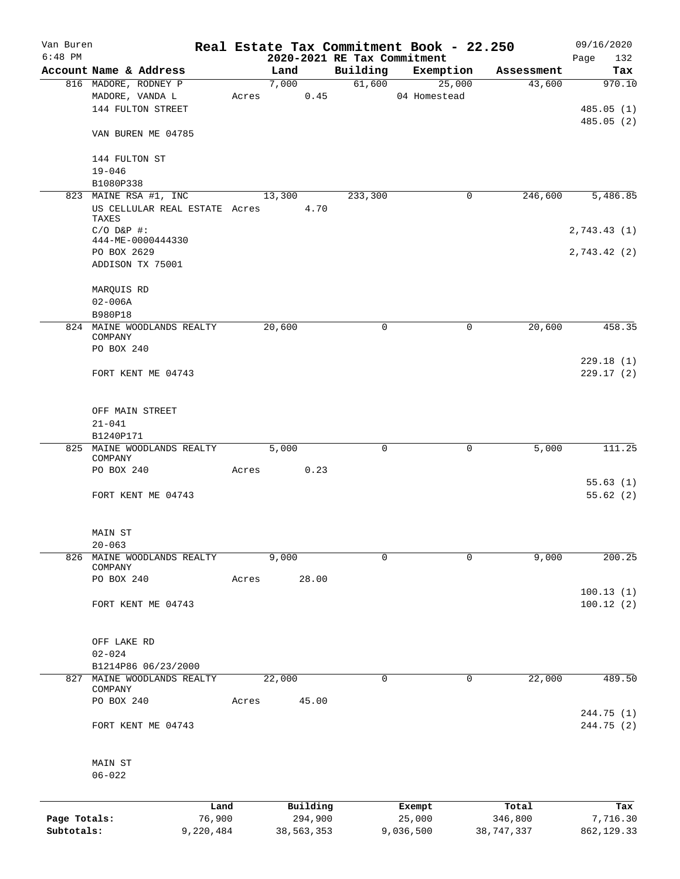| Van Buren    |                                        |       |          |      |                                         | Real Estate Tax Commitment Book - 22.250 |                      | 09/16/2020    |
|--------------|----------------------------------------|-------|----------|------|-----------------------------------------|------------------------------------------|----------------------|---------------|
| $6:48$ PM    | Account Name & Address                 |       | Land     |      | 2020-2021 RE Tax Commitment<br>Building | Exemption                                |                      | 132<br>Page   |
|              | 816 MADORE, RODNEY P                   |       | 7,000    |      | 61,600                                  | 25,000                                   | Assessment<br>43,600 | Tax<br>970.10 |
|              | MADORE, VANDA L                        | Acres |          | 0.45 |                                         | 04 Homestead                             |                      |               |
|              | 144 FULTON STREET                      |       |          |      |                                         |                                          |                      | 485.05(1)     |
|              |                                        |       |          |      |                                         |                                          |                      | 485.05(2)     |
|              | VAN BUREN ME 04785                     |       |          |      |                                         |                                          |                      |               |
|              | 144 FULTON ST                          |       |          |      |                                         |                                          |                      |               |
|              | $19 - 046$                             |       |          |      |                                         |                                          |                      |               |
|              | B1080P338                              |       |          |      |                                         |                                          |                      |               |
|              | 823 MAINE RSA #1, INC                  |       | 13,300   |      | 233,300                                 | 0                                        | 246,600              | 5,486.85      |
|              | US CELLULAR REAL ESTATE Acres<br>TAXES |       | 4.70     |      |                                         |                                          |                      |               |
|              | $C/O$ $D\&P$ #:                        |       |          |      |                                         |                                          |                      | 2,743.43(1)   |
|              | 444-ME-0000444330                      |       |          |      |                                         |                                          |                      |               |
|              | PO BOX 2629                            |       |          |      |                                         |                                          |                      | 2,743.42(2)   |
|              | ADDISON TX 75001                       |       |          |      |                                         |                                          |                      |               |
|              | MARQUIS RD                             |       |          |      |                                         |                                          |                      |               |
|              | $02 - 006A$                            |       |          |      |                                         |                                          |                      |               |
|              | B980P18                                |       |          |      |                                         |                                          |                      |               |
|              | 824 MAINE WOODLANDS REALTY<br>COMPANY  |       | 20,600   |      | 0                                       | 0                                        | 20,600               | 458.35        |
|              | PO BOX 240                             |       |          |      |                                         |                                          |                      |               |
|              |                                        |       |          |      |                                         |                                          |                      | 229.18(1)     |
|              | FORT KENT ME 04743                     |       |          |      |                                         |                                          |                      | 229.17(2)     |
|              |                                        |       |          |      |                                         |                                          |                      |               |
|              | OFF MAIN STREET                        |       |          |      |                                         |                                          |                      |               |
|              | $21 - 041$                             |       |          |      |                                         |                                          |                      |               |
|              | B1240P171                              |       |          |      |                                         |                                          |                      |               |
|              | 825 MAINE WOODLANDS REALTY<br>COMPANY  |       | 5,000    |      | 0                                       | 0                                        | 5,000                | 111.25        |
|              | PO BOX 240                             | Acres | 0.23     |      |                                         |                                          |                      |               |
|              |                                        |       |          |      |                                         |                                          |                      | 55.63(1)      |
|              | FORT KENT ME 04743                     |       |          |      |                                         |                                          |                      | 55.62(2)      |
|              | MAIN ST                                |       |          |      |                                         |                                          |                      |               |
|              | $20 - 063$                             |       |          |      |                                         |                                          |                      |               |
| 826          | MAINE WOODLANDS REALTY                 |       | 9,000    |      | $\mathbf 0$                             | $\mathbf 0$                              | 9,000                | 200.25        |
|              | COMPANY                                |       |          |      |                                         |                                          |                      |               |
|              | PO BOX 240                             | Acres | 28.00    |      |                                         |                                          |                      |               |
|              |                                        |       |          |      |                                         |                                          |                      | 100.13(1)     |
|              | FORT KENT ME 04743                     |       |          |      |                                         |                                          |                      | 100.12(2)     |
|              | OFF LAKE RD                            |       |          |      |                                         |                                          |                      |               |
|              | $02 - 024$                             |       |          |      |                                         |                                          |                      |               |
|              | B1214P86 06/23/2000                    |       |          |      |                                         |                                          |                      |               |
|              | 827 MAINE WOODLANDS REALTY             |       |          |      | 0                                       | 0                                        |                      | 489.50        |
|              | COMPANY                                |       | 22,000   |      |                                         |                                          | 22,000               |               |
|              | PO BOX 240                             | Acres | 45.00    |      |                                         |                                          |                      | 244.75 (1)    |
|              | FORT KENT ME 04743                     |       |          |      |                                         |                                          |                      | 244.75 (2)    |
|              | MAIN ST                                |       |          |      |                                         |                                          |                      |               |
|              | $06 - 022$                             |       |          |      |                                         |                                          |                      |               |
|              | Land                                   |       | Building |      |                                         | Exempt                                   | Total                | Tax           |
| Page Totals: | 76,900                                 |       | 294,900  |      |                                         | 25,000                                   | 346,800              | 7,716.30      |

**Subtotals:** 9,220,484 38,563,353 9,036,500 38,747,337 862,129.33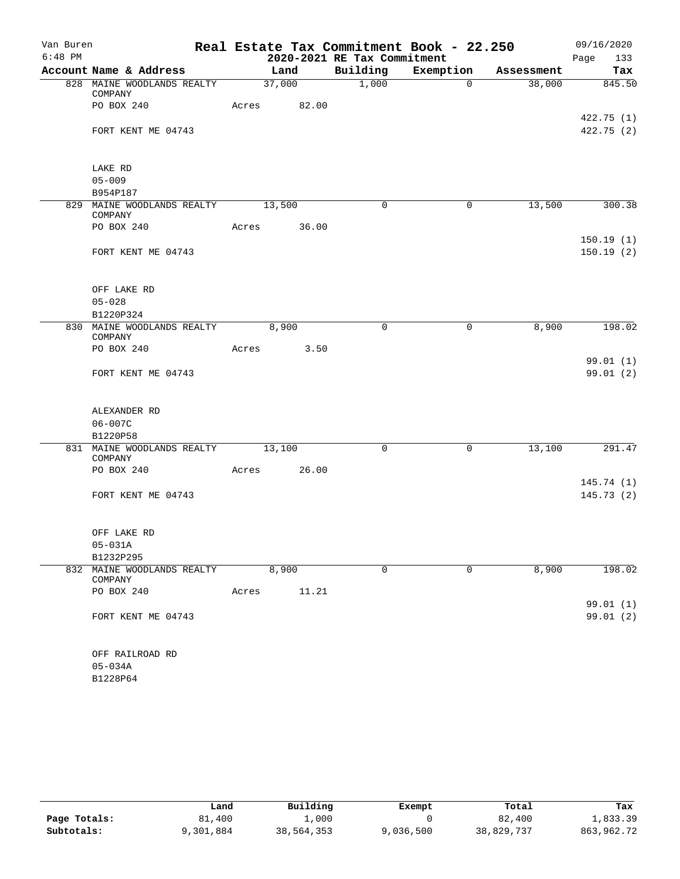| Van Buren |                                              |       |             |                             | Real Estate Tax Commitment Book - 22.250 |            | 09/16/2020               |
|-----------|----------------------------------------------|-------|-------------|-----------------------------|------------------------------------------|------------|--------------------------|
| $6:48$ PM |                                              |       |             | 2020-2021 RE Tax Commitment |                                          |            | Page<br>133              |
|           | Account Name & Address                       |       | Land        | Building                    | Exemption                                | Assessment | Tax                      |
|           | 828 MAINE WOODLANDS REALTY<br>COMPANY        |       | 37,000      | 1,000                       | $\overline{0}$                           | 38,000     | 845.50                   |
|           | PO BOX 240                                   |       | Acres 82.00 |                             |                                          |            |                          |
|           | FORT KENT ME 04743                           |       |             |                             |                                          |            | 422.75 (1)<br>422.75 (2) |
|           |                                              |       |             |                             |                                          |            |                          |
|           | LAKE RD                                      |       |             |                             |                                          |            |                          |
|           | $05 - 009$                                   |       |             |                             |                                          |            |                          |
|           | B954P187                                     |       |             |                             |                                          |            |                          |
|           | 829 MAINE WOODLANDS REALTY 13,500<br>COMPANY |       |             | $\mathbf 0$                 | 0                                        | 13,500     | 300.38                   |
|           | PO BOX 240                                   | Acres | 36.00       |                             |                                          |            | 150.19(1)                |
|           | FORT KENT ME 04743                           |       |             |                             |                                          |            | 150.19(2)                |
|           |                                              |       |             |                             |                                          |            |                          |
|           | OFF LAKE RD                                  |       |             |                             |                                          |            |                          |
|           | $05 - 028$                                   |       |             |                             |                                          |            |                          |
|           | B1220P324                                    |       |             |                             |                                          |            |                          |
|           | 830 MAINE WOODLANDS REALTY 8,900<br>COMPANY  |       |             | $\mathbf 0$                 | 0                                        | 8,900      | 198.02                   |
|           | PO BOX 240                                   | Acres | 3.50        |                             |                                          |            |                          |
|           |                                              |       |             |                             |                                          |            | 99.01(1)<br>99.01 (2)    |
|           | FORT KENT ME 04743                           |       |             |                             |                                          |            |                          |
|           | ALEXANDER RD                                 |       |             |                             |                                          |            |                          |
|           | $06 - 007C$                                  |       |             |                             |                                          |            |                          |
|           | B1220P58                                     |       |             |                             |                                          |            |                          |
|           | 831 MAINE WOODLANDS REALTY<br>COMPANY        |       | 13,100      | $\mathbf 0$                 | 0                                        | 13,100     | 291.47                   |
|           | PO BOX 240                                   | Acres | 26.00       |                             |                                          |            |                          |
|           |                                              |       |             |                             |                                          |            | 145.74(1)                |
|           | FORT KENT ME 04743                           |       |             |                             |                                          |            | 145.73(2)                |
|           | OFF LAKE RD                                  |       |             |                             |                                          |            |                          |
|           | $05 - 031A$                                  |       |             |                             |                                          |            |                          |
|           | B1232P295                                    |       |             |                             |                                          |            |                          |
| 832       | MAINE WOODLANDS REALTY<br>COMPANY            |       | 8,900       | 0                           | 0                                        | 8,900      | 198.02                   |
|           | PO BOX 240                                   | Acres | 11.21       |                             |                                          |            |                          |
|           | FORT KENT ME 04743                           |       |             |                             |                                          |            | 99.01 (1)<br>99.01 (2)   |
|           |                                              |       |             |                             |                                          |            |                          |
|           | OFF RAILROAD RD                              |       |             |                             |                                          |            |                          |
|           | $05 - 034A$                                  |       |             |                             |                                          |            |                          |
|           | B1228P64                                     |       |             |                             |                                          |            |                          |

|              | Land      | Building   | Exempt    | Total      | Tax        |
|--------------|-----------|------------|-----------|------------|------------|
| Page Totals: | 81,400    | 1,000      |           | 82,400     | 1,833.39   |
| Subtotals:   | 9,301,884 | 38,564,353 | 9,036,500 | 38,829,737 | 863,962.72 |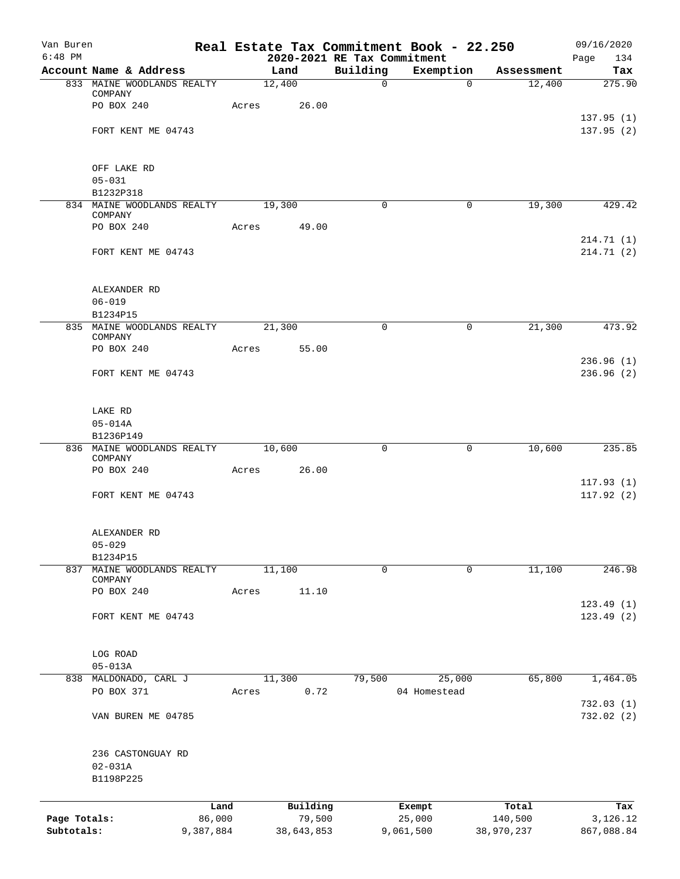| Van Buren    |                                       | Real Estate Tax Commitment Book - 22.250 |                             |                          |            | 09/16/2020              |
|--------------|---------------------------------------|------------------------------------------|-----------------------------|--------------------------|------------|-------------------------|
| $6:48$ PM    |                                       |                                          | 2020-2021 RE Tax Commitment |                          |            | Page<br>134             |
|              | Account Name & Address                | Land<br>12,400                           | Building<br>$\overline{0}$  | Exemption<br>$\mathbf 0$ | Assessment | Tax<br>275.90           |
|              | 833 MAINE WOODLANDS REALTY<br>COMPANY |                                          |                             |                          | 12,400     |                         |
|              | PO BOX 240                            | 26.00<br>Acres                           |                             |                          |            |                         |
|              |                                       |                                          |                             |                          |            | 137.95(1)               |
|              | FORT KENT ME 04743                    |                                          |                             |                          |            | 137.95 (2)              |
|              |                                       |                                          |                             |                          |            |                         |
|              | OFF LAKE RD                           |                                          |                             |                          |            |                         |
|              | $05 - 031$                            |                                          |                             |                          |            |                         |
|              | B1232P318                             |                                          |                             |                          |            |                         |
|              | 834 MAINE WOODLANDS REALTY<br>COMPANY | 19,300                                   | 0                           | $\mathbf 0$              | 19,300     | 429.42                  |
|              | PO BOX 240                            | Acres 49.00                              |                             |                          |            |                         |
|              |                                       |                                          |                             |                          |            | 214.71(1)               |
|              | FORT KENT ME 04743                    |                                          |                             |                          |            | 214.71(2)               |
|              | ALEXANDER RD                          |                                          |                             |                          |            |                         |
|              | $06 - 019$                            |                                          |                             |                          |            |                         |
|              | B1234P15                              |                                          |                             |                          |            |                         |
|              | 835 MAINE WOODLANDS REALTY            | 21,300                                   | 0                           | 0                        | 21,300     | 473.92                  |
|              | COMPANY<br>PO BOX 240                 | 55.00<br>Acres                           |                             |                          |            |                         |
|              | FORT KENT ME 04743                    |                                          |                             |                          |            | 236.96(1)<br>236.96(2)  |
|              |                                       |                                          |                             |                          |            |                         |
|              | LAKE RD                               |                                          |                             |                          |            |                         |
|              | $05 - 014A$                           |                                          |                             |                          |            |                         |
|              | B1236P149                             |                                          |                             |                          |            |                         |
|              | 836 MAINE WOODLANDS REALTY            | 10,600                                   | 0                           | 0                        | 10,600     | 235.85                  |
|              | COMPANY<br>PO BOX 240                 | 26.00<br>Acres                           |                             |                          |            |                         |
|              |                                       |                                          |                             |                          |            | 117.93(1)               |
|              | FORT KENT ME 04743                    |                                          |                             |                          |            | 117.92(2)               |
|              | ALEXANDER RD                          |                                          |                             |                          |            |                         |
|              | $05 - 029$                            |                                          |                             |                          |            |                         |
|              | B1234P15                              |                                          |                             |                          |            |                         |
| 837          | MAINE WOODLANDS REALTY                | 11,100                                   | 0                           | $\mathbf 0$              | 11,100     | 246.98                  |
|              | COMPANY<br>PO BOX 240                 | 11.10<br>Acres                           |                             |                          |            |                         |
|              |                                       |                                          |                             |                          |            | 123.49(1)               |
|              | FORT KENT ME 04743                    |                                          |                             |                          |            | 123.49(2)               |
|              |                                       |                                          |                             |                          |            |                         |
|              | LOG ROAD<br>$05 - 013A$               |                                          |                             |                          |            |                         |
|              | 838 MALDONADO, CARL J                 | 11,300                                   | 79,500                      | 25,000                   | 65,800     | 1,464.05                |
|              | PO BOX 371                            | 0.72<br>Acres                            |                             | 04 Homestead             |            |                         |
|              | VAN BUREN ME 04785                    |                                          |                             |                          |            | 732.03(1)<br>732.02 (2) |
|              |                                       |                                          |                             |                          |            |                         |
|              | 236 CASTONGUAY RD<br>$02 - 031A$      |                                          |                             |                          |            |                         |
|              | B1198P225                             |                                          |                             |                          |            |                         |
|              |                                       |                                          |                             |                          |            |                         |
|              | Land                                  | Building                                 |                             | Exempt                   | Total      | Tax                     |
| Page Totals: | 86,000                                | 79,500                                   |                             | 25,000                   | 140,500    | 3,126.12                |
| Subtotals:   | 9,387,884                             | 38,643,853                               |                             | 9,061,500                | 38,970,237 | 867,088.84              |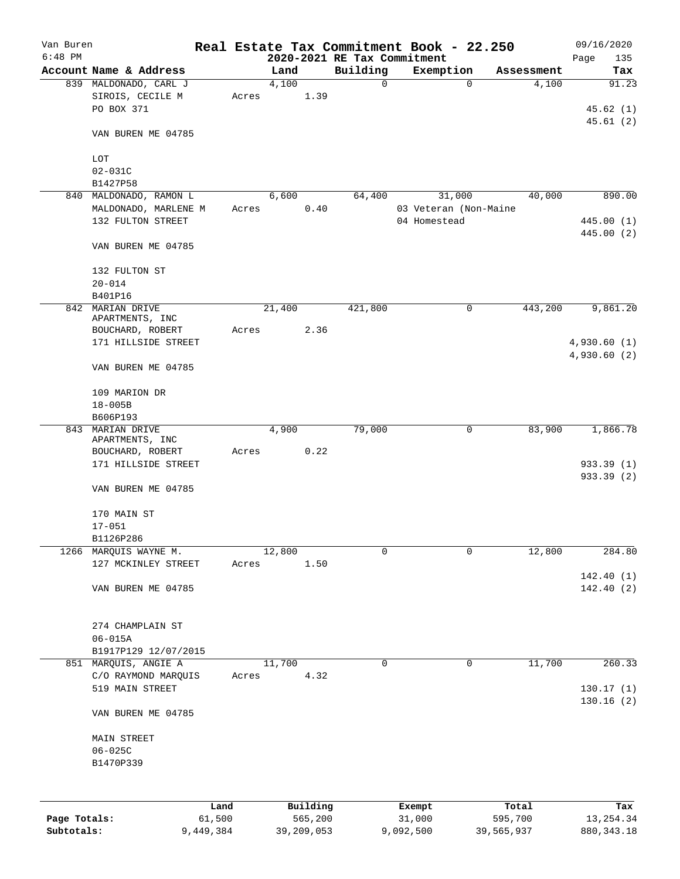| Van Buren                           |                                           |           |        |            | Real Estate Tax Commitment Book - 22.250 |              |                                 |            | 09/16/2020               |
|-------------------------------------|-------------------------------------------|-----------|--------|------------|------------------------------------------|--------------|---------------------------------|------------|--------------------------|
| $6:48$ PM                           |                                           |           |        |            | 2020-2021 RE Tax Commitment              |              |                                 |            | Page<br>135              |
|                                     | Account Name & Address                    |           | Land   |            | Building                                 |              | Exemption                       | Assessment | Tax                      |
|                                     | 839 MALDONADO, CARL J                     |           | 4,100  |            | $\mathbf 0$                              |              | $\mathbf 0$                     | 4,100      | 91.23                    |
|                                     | SIROIS, CECILE M                          | Acres     |        | 1.39       |                                          |              |                                 |            |                          |
|                                     | PO BOX 371                                |           |        |            |                                          |              |                                 |            | 45.62(1)                 |
|                                     |                                           |           |        |            |                                          |              |                                 |            | 45.61(2)                 |
|                                     | VAN BUREN ME 04785                        |           |        |            |                                          |              |                                 |            |                          |
|                                     |                                           |           |        |            |                                          |              |                                 |            |                          |
|                                     | LOT                                       |           |        |            |                                          |              |                                 |            |                          |
|                                     | $02 - 031C$                               |           |        |            |                                          |              |                                 |            |                          |
|                                     | B1427P58                                  |           |        |            |                                          |              |                                 |            |                          |
|                                     | 840 MALDONADO, RAMON L                    |           | 6,600  |            | 64,400                                   |              | 31,000<br>03 Veteran (Non-Maine | 40,000     | 890.00                   |
|                                     | MALDONADO, MARLENE M<br>132 FULTON STREET | Acres     |        | 0.40       |                                          | 04 Homestead |                                 |            |                          |
|                                     |                                           |           |        |            |                                          |              |                                 |            | 445.00 (1)<br>445.00 (2) |
|                                     |                                           |           |        |            |                                          |              |                                 |            |                          |
| VAN BUREN ME 04785<br>132 FULTON ST |                                           |           |        |            |                                          |              |                                 |            |                          |
|                                     |                                           |           |        |            |                                          |              |                                 |            |                          |
|                                     | $20 - 014$                                |           |        |            |                                          |              |                                 |            |                          |
|                                     | B401P16                                   |           |        |            |                                          |              |                                 |            |                          |
|                                     | 842 MARIAN DRIVE                          |           | 21,400 |            | 421,800                                  |              | 0                               | 443,200    | 9,861.20                 |
|                                     | APARTMENTS, INC                           |           |        |            |                                          |              |                                 |            |                          |
|                                     | BOUCHARD, ROBERT                          | Acres     |        | 2.36       |                                          |              |                                 |            |                          |
|                                     | 171 HILLSIDE STREET                       |           |        |            |                                          |              |                                 |            | 4,930.60(1)              |
|                                     |                                           |           |        |            |                                          |              |                                 |            | 4,930.60(2)              |
|                                     | VAN BUREN ME 04785                        |           |        |            |                                          |              |                                 |            |                          |
|                                     |                                           |           |        |            |                                          |              |                                 |            |                          |
|                                     | 109 MARION DR                             |           |        |            |                                          |              |                                 |            |                          |
|                                     | $18 - 005B$                               |           |        |            |                                          |              |                                 |            |                          |
|                                     | B606P193                                  |           |        |            |                                          |              |                                 |            |                          |
| 843                                 | MARIAN DRIVE                              |           | 4,900  |            | 79,000                                   |              | 0                               | 83,900     | 1,866.78                 |
|                                     | APARTMENTS, INC                           |           |        |            |                                          |              |                                 |            |                          |
|                                     | BOUCHARD, ROBERT                          | Acres     |        | 0.22       |                                          |              |                                 |            |                          |
|                                     | 171 HILLSIDE STREET                       |           |        |            |                                          |              |                                 |            | 933.39 (1)               |
|                                     |                                           |           |        |            |                                          |              |                                 |            | 933.39 (2)               |
|                                     | VAN BUREN ME 04785                        |           |        |            |                                          |              |                                 |            |                          |
|                                     |                                           |           |        |            |                                          |              |                                 |            |                          |
|                                     | 170 MAIN ST                               |           |        |            |                                          |              |                                 |            |                          |
|                                     | $17 - 051$                                |           |        |            |                                          |              |                                 |            |                          |
|                                     | B1126P286                                 |           |        |            |                                          |              |                                 |            |                          |
| 1266                                | MARQUIS WAYNE M.                          |           | 12,800 |            | 0                                        |              | $\mathbf 0$                     | 12,800     | 284.80                   |
|                                     | 127 MCKINLEY STREET                       | Acres     |        | 1.50       |                                          |              |                                 |            |                          |
|                                     |                                           |           |        |            |                                          |              |                                 |            | 142.40(1)                |
|                                     | VAN BUREN ME 04785                        |           |        |            |                                          |              |                                 |            | 142.40(2)                |
|                                     |                                           |           |        |            |                                          |              |                                 |            |                          |
|                                     |                                           |           |        |            |                                          |              |                                 |            |                          |
|                                     | 274 CHAMPLAIN ST                          |           |        |            |                                          |              |                                 |            |                          |
|                                     | $06 - 015A$                               |           |        |            |                                          |              |                                 |            |                          |
|                                     | B1917P129 12/07/2015                      |           |        |            |                                          |              |                                 |            |                          |
|                                     | 851 MARQUIS, ANGIE A                      |           | 11,700 |            | 0                                        |              | 0                               | 11,700     | 260.33                   |
|                                     | C/O RAYMOND MARQUIS                       | Acres     |        | 4.32       |                                          |              |                                 |            |                          |
|                                     | 519 MAIN STREET                           |           |        |            |                                          |              |                                 |            | 130.17(1)                |
|                                     |                                           |           |        |            |                                          |              |                                 |            | 130.16(2)                |
|                                     | VAN BUREN ME 04785                        |           |        |            |                                          |              |                                 |            |                          |
|                                     |                                           |           |        |            |                                          |              |                                 |            |                          |
|                                     | MAIN STREET                               |           |        |            |                                          |              |                                 |            |                          |
|                                     | $06 - 025C$                               |           |        |            |                                          |              |                                 |            |                          |
|                                     | B1470P339                                 |           |        |            |                                          |              |                                 |            |                          |
|                                     |                                           |           |        |            |                                          |              |                                 |            |                          |
|                                     |                                           |           |        |            |                                          |              |                                 |            |                          |
|                                     |                                           | Land      |        | Building   |                                          | Exempt       |                                 | Total      | Tax                      |
| Page Totals:                        |                                           | 61,500    |        | 565,200    |                                          | 31,000       |                                 | 595,700    | 13, 254.34               |
| Subtotals:                          |                                           | 9,449,384 |        | 39,209,053 |                                          | 9,092,500    |                                 | 39,565,937 | 880, 343. 18             |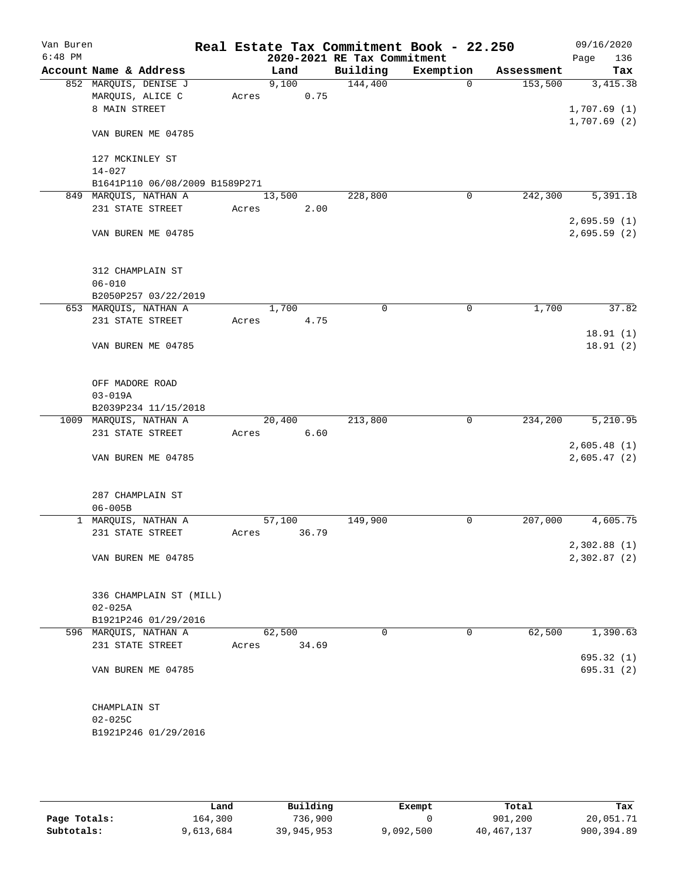| Van Buren |                                |       |        |       | Real Estate Tax Commitment Book - 22.250 |           |             |            | 09/16/2020                 |
|-----------|--------------------------------|-------|--------|-------|------------------------------------------|-----------|-------------|------------|----------------------------|
| $6:48$ PM |                                |       |        |       | 2020-2021 RE Tax Commitment              |           |             |            | 136<br>Page                |
|           | Account Name & Address         |       | Land   |       | Building                                 | Exemption |             | Assessment | Tax                        |
|           | 852 MARQUIS, DENISE J          |       | 9,100  |       | 144,400                                  |           | $\Omega$    | 153,500    | 3,415.38                   |
|           | MARQUIS, ALICE C               | Acres |        | 0.75  |                                          |           |             |            |                            |
|           | 8 MAIN STREET                  |       |        |       |                                          |           |             |            | 1,707.69(1)<br>1,707.69(2) |
|           | VAN BUREN ME 04785             |       |        |       |                                          |           |             |            |                            |
|           |                                |       |        |       |                                          |           |             |            |                            |
|           | 127 MCKINLEY ST                |       |        |       |                                          |           |             |            |                            |
|           | $14 - 027$                     |       |        |       |                                          |           |             |            |                            |
|           | B1641P110 06/08/2009 B1589P271 |       |        |       |                                          |           |             |            |                            |
|           | 849 MARQUIS, NATHAN A          |       | 13,500 |       | 228,800                                  |           | $\mathbf 0$ | 242,300    | 5,391.18                   |
|           | 231 STATE STREET               | Acres |        | 2.00  |                                          |           |             |            |                            |
|           |                                |       |        |       |                                          |           |             |            | 2,695.59(1)                |
|           | VAN BUREN ME 04785             |       |        |       |                                          |           |             |            | 2,695.59(2)                |
|           | 312 CHAMPLAIN ST               |       |        |       |                                          |           |             |            |                            |
|           | $06 - 010$                     |       |        |       |                                          |           |             |            |                            |
|           | B2050P257 03/22/2019           |       |        |       |                                          |           |             |            |                            |
|           | 653 MARQUIS, NATHAN A          |       | 1,700  |       | 0                                        |           | $\mathbf 0$ | 1,700      | 37.82                      |
|           | 231 STATE STREET               | Acres |        | 4.75  |                                          |           |             |            |                            |
|           |                                |       |        |       |                                          |           |             |            | 18.91(1)                   |
|           | VAN BUREN ME 04785             |       |        |       |                                          |           |             |            | 18.91(2)                   |
|           | OFF MADORE ROAD                |       |        |       |                                          |           |             |            |                            |
|           | $03 - 019A$                    |       |        |       |                                          |           |             |            |                            |
|           | B2039P234 11/15/2018           |       |        |       |                                          |           |             |            |                            |
|           | 1009 MARQUIS, NATHAN A         |       | 20,400 |       | 213,800                                  |           | 0           | 234,200    | 5,210.95                   |
|           | 231 STATE STREET               | Acres |        | 6.60  |                                          |           |             |            |                            |
|           |                                |       |        |       |                                          |           |             |            | 2,605.48(1)                |
|           | VAN BUREN ME 04785             |       |        |       |                                          |           |             |            | 2,605.47(2)                |
|           | 287 CHAMPLAIN ST               |       |        |       |                                          |           |             |            |                            |
|           | $06 - 005B$                    |       |        |       |                                          |           |             |            |                            |
|           | 1 MARQUIS, NATHAN A            |       | 57,100 |       | 149,900                                  |           | 0           | 207,000    | 4,605.75                   |
|           | 231 STATE STREET               | Acres |        | 36.79 |                                          |           |             |            |                            |
|           |                                |       |        |       |                                          |           |             |            | 2,302.88 (1)               |
|           | VAN BUREN ME 04785             |       |        |       |                                          |           |             |            | 2,302.87 (2)               |
|           | 336 CHAMPLAIN ST (MILL)        |       |        |       |                                          |           |             |            |                            |
|           | $02 - 025A$                    |       |        |       |                                          |           |             |            |                            |
|           | B1921P246 01/29/2016           |       |        |       |                                          |           |             |            |                            |
|           | 596 MARQUIS, NATHAN A          |       | 62,500 |       | 0                                        |           | $\mathbf 0$ | 62,500     | 1,390.63                   |
|           | 231 STATE STREET               | Acres |        | 34.69 |                                          |           |             |            |                            |
|           |                                |       |        |       |                                          |           |             |            | 695.32(1)                  |
|           | VAN BUREN ME 04785             |       |        |       |                                          |           |             |            | 695.31(2)                  |
|           | CHAMPLAIN ST                   |       |        |       |                                          |           |             |            |                            |
|           | $02 - 025C$                    |       |        |       |                                          |           |             |            |                            |
|           | B1921P246 01/29/2016           |       |        |       |                                          |           |             |            |                            |
|           |                                |       |        |       |                                          |           |             |            |                            |

|              | Land      | Building   | Exempt    | Total      | Tax        |
|--------------|-----------|------------|-----------|------------|------------|
| Page Totals: | 164,300   | 736,900    |           | 901,200    | 20,051.71  |
| Subtotals:   | 9,613,684 | 39,945,953 | 9,092,500 | 40,467,137 | 900,394.89 |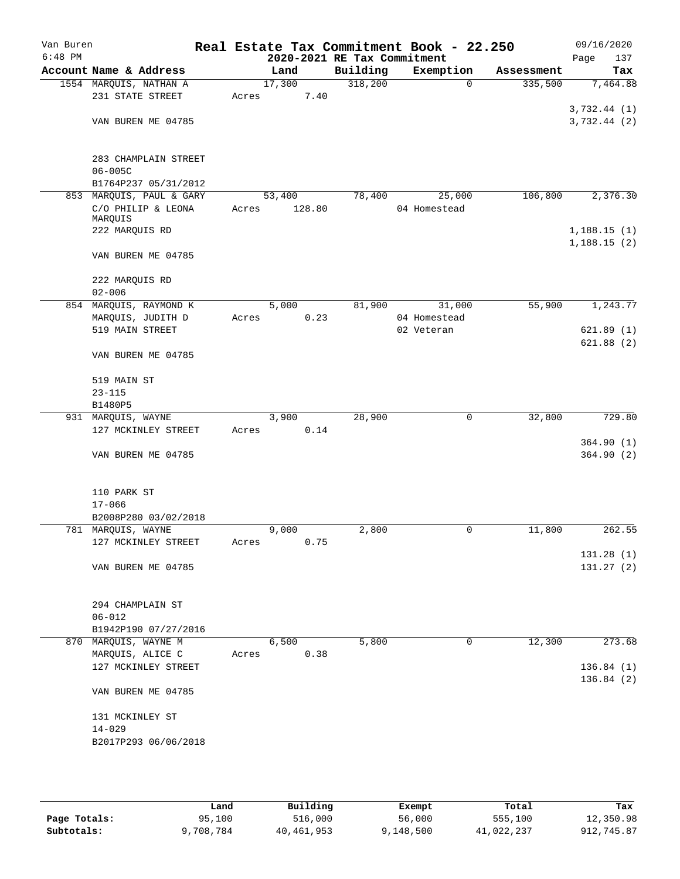| Van Buren<br>$6:48$ PM |                               |       |        | 2020-2021 RE Tax Commitment | Real Estate Tax Commitment Book - 22.250 |            | 09/16/2020<br>Page<br>137 |
|------------------------|-------------------------------|-------|--------|-----------------------------|------------------------------------------|------------|---------------------------|
|                        | Account Name & Address        |       | Land   | Building                    | Exemption                                | Assessment | Tax                       |
|                        | 1554 MARQUIS, NATHAN A        |       | 17,300 | 318,200                     | $\mathbf 0$                              | 335,500    | 7,464.88                  |
|                        | 231 STATE STREET              | Acres | 7.40   |                             |                                          |            |                           |
|                        |                               |       |        |                             |                                          |            | 3,732.44(1)               |
|                        | VAN BUREN ME 04785            |       |        |                             |                                          |            | 3,732.44(2)               |
|                        |                               |       |        |                             |                                          |            |                           |
|                        |                               |       |        |                             |                                          |            |                           |
|                        | 283 CHAMPLAIN STREET          |       |        |                             |                                          |            |                           |
|                        | $06 - 005C$                   |       |        |                             |                                          |            |                           |
|                        | B1764P237 05/31/2012          |       |        |                             |                                          |            |                           |
|                        | 853 MARQUIS, PAUL & GARY      |       | 53,400 | 78,400                      | 25,000                                   | 106,800    | 2,376.30                  |
|                        | C/O PHILIP & LEONA<br>MARQUIS | Acres | 128.80 |                             | 04 Homestead                             |            |                           |
|                        | 222 MARQUIS RD                |       |        |                             |                                          |            | 1,188.15(1)               |
|                        |                               |       |        |                             |                                          |            | 1,188.15(2)               |
|                        | VAN BUREN ME 04785            |       |        |                             |                                          |            |                           |
|                        |                               |       |        |                             |                                          |            |                           |
|                        | 222 MARQUIS RD                |       |        |                             |                                          |            |                           |
|                        | $02 - 006$                    |       |        |                             |                                          |            |                           |
|                        | 854 MARQUIS, RAYMOND K        |       | 5,000  | 81,900                      | 31,000                                   | 55,900     | 1,243.77                  |
|                        | MARQUIS, JUDITH D             | Acres | 0.23   |                             | 04 Homestead                             |            |                           |
|                        | 519 MAIN STREET               |       |        |                             | 02 Veteran                               |            | 621.89(1)                 |
|                        |                               |       |        |                             |                                          |            | 621.88(2)                 |
|                        | VAN BUREN ME 04785            |       |        |                             |                                          |            |                           |
|                        |                               |       |        |                             |                                          |            |                           |
|                        | 519 MAIN ST                   |       |        |                             |                                          |            |                           |
|                        | $23 - 115$                    |       |        |                             |                                          |            |                           |
|                        | B1480P5                       |       |        |                             |                                          |            |                           |
|                        | 931 MARQUIS, WAYNE            |       | 3,900  | 28,900                      | $\mathbf 0$                              | 32,800     | 729.80                    |
|                        | 127 MCKINLEY STREET           | Acres | 0.14   |                             |                                          |            |                           |
|                        |                               |       |        |                             |                                          |            | 364.90(1)                 |
|                        | VAN BUREN ME 04785            |       |        |                             |                                          |            | 364.90(2)                 |
|                        |                               |       |        |                             |                                          |            |                           |
|                        | 110 PARK ST                   |       |        |                             |                                          |            |                           |
|                        | $17 - 066$                    |       |        |                             |                                          |            |                           |
|                        | B2008P280 03/02/2018          |       |        |                             |                                          |            |                           |
|                        | 781 MARQUIS, WAYNE            |       | 9,000  | 2,800                       | 0                                        | 11,800     | 262.55                    |
|                        | 127 MCKINLEY STREET           | Acres | 0.75   |                             |                                          |            |                           |
|                        |                               |       |        |                             |                                          |            | 131.28(1)                 |
|                        | VAN BUREN ME 04785            |       |        |                             |                                          |            | 131.27(2)                 |
|                        |                               |       |        |                             |                                          |            |                           |
|                        |                               |       |        |                             |                                          |            |                           |
|                        | 294 CHAMPLAIN ST              |       |        |                             |                                          |            |                           |
|                        | $06 - 012$                    |       |        |                             |                                          |            |                           |
|                        | B1942P190 07/27/2016          |       |        |                             |                                          |            |                           |
|                        | 870 MARQUIS, WAYNE M          |       | 6,500  | 5,800                       | 0                                        | 12,300     | 273.68                    |
|                        | MARQUIS, ALICE C              | Acres | 0.38   |                             |                                          |            |                           |
|                        | 127 MCKINLEY STREET           |       |        |                             |                                          |            | 136.84(1)                 |
|                        |                               |       |        |                             |                                          |            | 136.84(2)                 |
|                        | VAN BUREN ME 04785            |       |        |                             |                                          |            |                           |
|                        |                               |       |        |                             |                                          |            |                           |
|                        | 131 MCKINLEY ST<br>$14 - 029$ |       |        |                             |                                          |            |                           |
|                        | B2017P293 06/06/2018          |       |        |                             |                                          |            |                           |
|                        |                               |       |        |                             |                                          |            |                           |
|                        |                               |       |        |                             |                                          |            |                           |

|              | Land      | Building   | Exempt    | Total      | Tax        |
|--------------|-----------|------------|-----------|------------|------------|
| Page Totals: | 95,100    | 516,000    | 56,000    | 555,100    | 12,350.98  |
| Subtotals:   | 9,708,784 | 40,461,953 | 9,148,500 | 41,022,237 | 912,745.87 |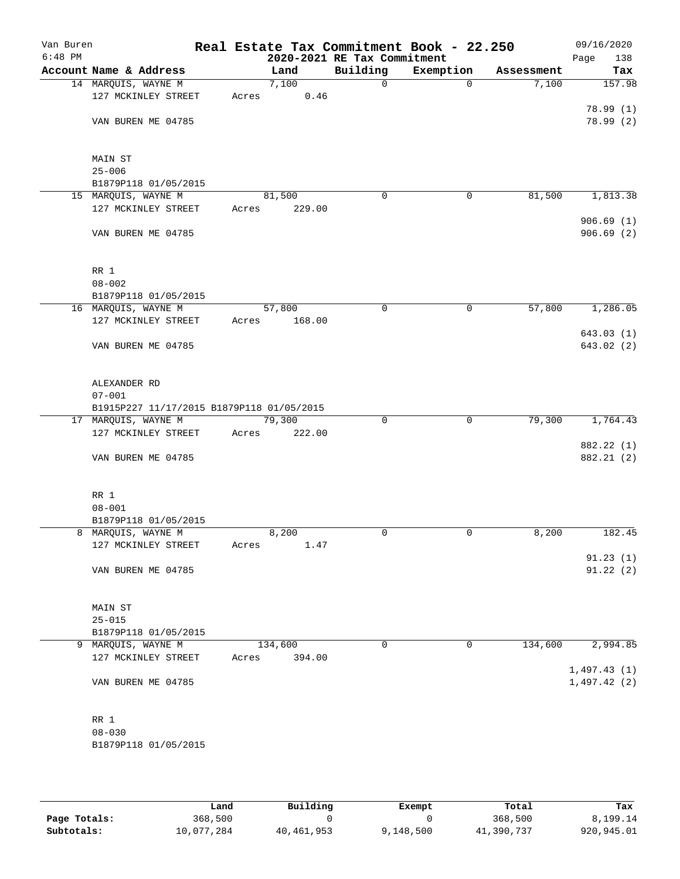| Van Buren<br>$6:48$ PM |                                           |       |         | 2020-2021 RE Tax Commitment | Real Estate Tax Commitment Book - 22.250 |            | 09/16/2020<br>Page<br>138 |
|------------------------|-------------------------------------------|-------|---------|-----------------------------|------------------------------------------|------------|---------------------------|
|                        | Account Name & Address                    |       | Land    | Building                    | Exemption                                | Assessment | Tax                       |
|                        | 14 MARQUIS, WAYNE M                       |       | 7,100   | $\mathbf 0$                 | $\mathbf 0$                              | 7,100      | 157.98                    |
|                        | 127 MCKINLEY STREET                       | Acres | 0.46    |                             |                                          |            |                           |
|                        |                                           |       |         |                             |                                          |            | 78.99 (1)                 |
|                        | VAN BUREN ME 04785                        |       |         |                             |                                          |            | 78.99 (2)                 |
|                        |                                           |       |         |                             |                                          |            |                           |
|                        |                                           |       |         |                             |                                          |            |                           |
|                        | MAIN ST                                   |       |         |                             |                                          |            |                           |
|                        | $25 - 006$                                |       |         |                             |                                          |            |                           |
|                        | B1879P118 01/05/2015                      |       |         |                             |                                          |            |                           |
|                        | 15 MARQUIS, WAYNE M                       |       | 81,500  | 0                           | 0                                        | 81,500     | 1,813.38                  |
|                        | 127 MCKINLEY STREET                       | Acres | 229.00  |                             |                                          |            |                           |
|                        |                                           |       |         |                             |                                          |            | 906.69(1)                 |
|                        | VAN BUREN ME 04785                        |       |         |                             |                                          |            | 906.69(2)                 |
|                        |                                           |       |         |                             |                                          |            |                           |
|                        |                                           |       |         |                             |                                          |            |                           |
|                        | RR 1                                      |       |         |                             |                                          |            |                           |
|                        | $08 - 002$                                |       |         |                             |                                          |            |                           |
|                        |                                           |       |         |                             |                                          |            |                           |
|                        | B1879P118 01/05/2015                      |       |         |                             |                                          |            |                           |
|                        | 16 MARQUIS, WAYNE M                       |       | 57,800  | 0                           | 0                                        | 57,800     | 1,286.05                  |
|                        | 127 MCKINLEY STREET                       | Acres | 168.00  |                             |                                          |            |                           |
|                        |                                           |       |         |                             |                                          |            | 643.03 (1)                |
|                        | VAN BUREN ME 04785                        |       |         |                             |                                          |            | 643.02(2)                 |
|                        |                                           |       |         |                             |                                          |            |                           |
|                        |                                           |       |         |                             |                                          |            |                           |
|                        | ALEXANDER RD                              |       |         |                             |                                          |            |                           |
|                        | $07 - 001$                                |       |         |                             |                                          |            |                           |
|                        | B1915P227 11/17/2015 B1879P118 01/05/2015 |       |         |                             |                                          |            |                           |
|                        | 17 MARQUIS, WAYNE M                       |       | 79,300  | $\mathbf 0$                 | 0                                        | 79,300     | 1,764.43                  |
|                        | 127 MCKINLEY STREET                       | Acres | 222.00  |                             |                                          |            |                           |
|                        |                                           |       |         |                             |                                          |            | 882.22 (1)                |
|                        | VAN BUREN ME 04785                        |       |         |                             |                                          |            | 882.21 (2)                |
|                        |                                           |       |         |                             |                                          |            |                           |
|                        |                                           |       |         |                             |                                          |            |                           |
|                        | RR 1                                      |       |         |                             |                                          |            |                           |
|                        | $08 - 001$                                |       |         |                             |                                          |            |                           |
|                        | B1879P118 01/05/2015                      |       |         |                             |                                          |            |                           |
|                        | 8 MARQUIS, WAYNE M                        |       | 8,200   | 0                           | 0                                        | 8,200      | 182.45                    |
|                        | 127 MCKINLEY STREET                       | Acres | 1.47    |                             |                                          |            |                           |
|                        |                                           |       |         |                             |                                          |            | 91.23(1)                  |
|                        | VAN BUREN ME 04785                        |       |         |                             |                                          |            | 91.22(2)                  |
|                        |                                           |       |         |                             |                                          |            |                           |
|                        |                                           |       |         |                             |                                          |            |                           |
|                        | <b>MAIN ST</b>                            |       |         |                             |                                          |            |                           |
|                        | $25 - 015$                                |       |         |                             |                                          |            |                           |
|                        | B1879P118 01/05/2015                      |       |         |                             |                                          |            |                           |
|                        | 9 MARQUIS, WAYNE M                        |       | 134,600 | 0                           | 0                                        | 134,600    | 2,994.85                  |
|                        | 127 MCKINLEY STREET                       | Acres | 394.00  |                             |                                          |            |                           |
|                        |                                           |       |         |                             |                                          |            | 1,497.43(1)               |
|                        | VAN BUREN ME 04785                        |       |         |                             |                                          |            | 1,497.42(2)               |
|                        |                                           |       |         |                             |                                          |            |                           |
|                        |                                           |       |         |                             |                                          |            |                           |
|                        | RR 1                                      |       |         |                             |                                          |            |                           |
|                        | $08 - 030$                                |       |         |                             |                                          |            |                           |
|                        |                                           |       |         |                             |                                          |            |                           |
|                        | B1879P118 01/05/2015                      |       |         |                             |                                          |            |                           |
|                        |                                           |       |         |                             |                                          |            |                           |

|              | Land       | Building   | Exempt    | Total      | Tax        |
|--------------|------------|------------|-----------|------------|------------|
| Page Totals: | 368,500    |            |           | 368,500    | 8,199.14   |
| Subtotals:   | 10,077,284 | 40,461,953 | 9,148,500 | 41,390,737 | 920,945.01 |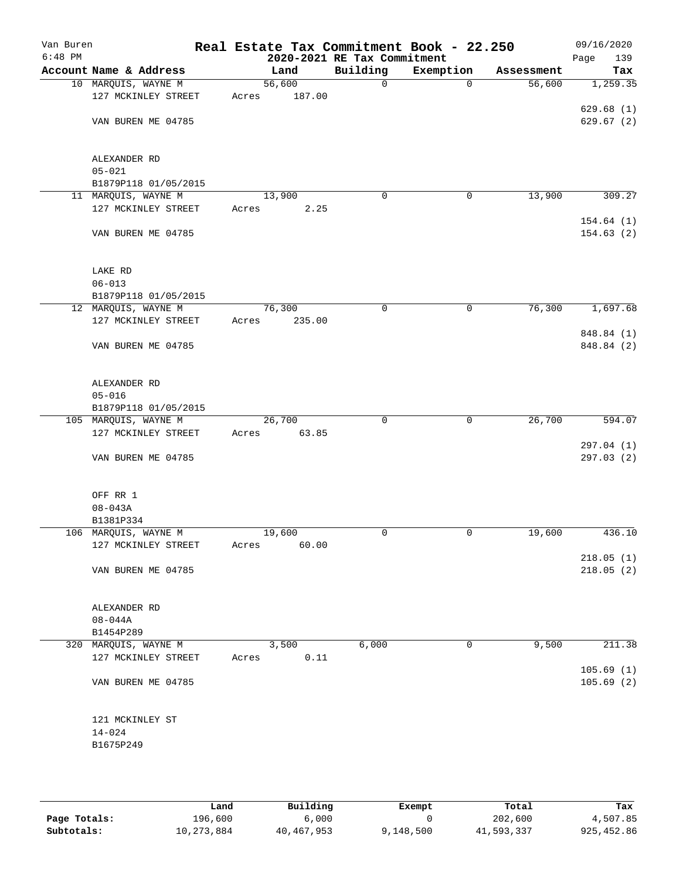| Van Buren<br>$6:48$ PM |                                              | Real Estate Tax Commitment Book - 22.250 | 2020-2021 RE Tax Commitment |             |            | 09/16/2020<br>Page<br>139 |
|------------------------|----------------------------------------------|------------------------------------------|-----------------------------|-------------|------------|---------------------------|
|                        | Account Name & Address                       | Land                                     | Building                    | Exemption   | Assessment | Tax                       |
|                        | 10 MARQUIS, WAYNE M                          | 56,600                                   | $\mathbf 0$                 | $\mathbf 0$ | 56,600     | 1,259.35                  |
|                        | 127 MCKINLEY STREET                          | 187.00<br>Acres                          |                             |             |            |                           |
|                        |                                              |                                          |                             |             |            | 629.68(1)                 |
|                        | VAN BUREN ME 04785                           |                                          |                             |             |            | 629.67(2)                 |
|                        |                                              |                                          |                             |             |            |                           |
|                        |                                              |                                          |                             |             |            |                           |
|                        | ALEXANDER RD                                 |                                          |                             |             |            |                           |
|                        | $05 - 021$                                   |                                          |                             |             |            |                           |
|                        | B1879P118 01/05/2015                         |                                          |                             |             |            |                           |
|                        | 11 MARQUIS, WAYNE M                          | 13,900                                   | 0                           | 0           | 13,900     | 309.27                    |
|                        | 127 MCKINLEY STREET                          | 2.25<br>Acres                            |                             |             |            |                           |
|                        | VAN BUREN ME 04785                           |                                          |                             |             |            | 154.64(1)<br>154.63(2)    |
|                        |                                              |                                          |                             |             |            |                           |
|                        |                                              |                                          |                             |             |            |                           |
|                        | LAKE RD                                      |                                          |                             |             |            |                           |
|                        | $06 - 013$                                   |                                          |                             |             |            |                           |
|                        | B1879P118 01/05/2015                         |                                          |                             |             |            |                           |
|                        | 12 MARQUIS, WAYNE M                          | 76,300                                   | 0                           | 0           | 76,300     | 1,697.68                  |
|                        | 127 MCKINLEY STREET                          | 235.00<br>Acres                          |                             |             |            |                           |
|                        |                                              |                                          |                             |             |            | 848.84 (1)                |
|                        | VAN BUREN ME 04785                           |                                          |                             |             |            | 848.84 (2)                |
|                        |                                              |                                          |                             |             |            |                           |
|                        |                                              |                                          |                             |             |            |                           |
|                        | ALEXANDER RD                                 |                                          |                             |             |            |                           |
|                        | $05 - 016$                                   |                                          |                             |             |            |                           |
|                        | B1879P118 01/05/2015<br>105 MARQUIS, WAYNE M | 26,700                                   | $\mathbf 0$                 | $\mathbf 0$ | 26,700     | 594.07                    |
|                        | 127 MCKINLEY STREET                          | 63.85<br>Acres                           |                             |             |            |                           |
|                        |                                              |                                          |                             |             |            | 297.04 (1)                |
|                        | VAN BUREN ME 04785                           |                                          |                             |             |            | 297.03(2)                 |
|                        |                                              |                                          |                             |             |            |                           |
|                        |                                              |                                          |                             |             |            |                           |
|                        | OFF RR 1                                     |                                          |                             |             |            |                           |
|                        | $08 - 043A$                                  |                                          |                             |             |            |                           |
|                        | B1381P334                                    |                                          |                             |             |            |                           |
|                        | 106 MARQUIS, WAYNE M                         | 19,600                                   | $\mathbf 0$                 | 0           | 19,600     | 436.10                    |
|                        | 127 MCKINLEY STREET                          | 60.00<br>Acres                           |                             |             |            |                           |
|                        | VAN BUREN ME 04785                           |                                          |                             |             |            | 218.05(1)<br>218.05(2)    |
|                        |                                              |                                          |                             |             |            |                           |
|                        |                                              |                                          |                             |             |            |                           |
|                        | ALEXANDER RD                                 |                                          |                             |             |            |                           |
|                        | $08 - 044A$                                  |                                          |                             |             |            |                           |
|                        | B1454P289                                    |                                          |                             |             |            |                           |
|                        | 320 MARQUIS, WAYNE M                         | 3,500                                    | 6,000                       | 0           | 9,500      | 211.38                    |
|                        | 127 MCKINLEY STREET                          | 0.11<br>Acres                            |                             |             |            |                           |
|                        |                                              |                                          |                             |             |            | 105.69(1)                 |
|                        | VAN BUREN ME 04785                           |                                          |                             |             |            | 105.69(2)                 |
|                        |                                              |                                          |                             |             |            |                           |
|                        | 121 MCKINLEY ST                              |                                          |                             |             |            |                           |
|                        | $14 - 024$                                   |                                          |                             |             |            |                           |
|                        | B1675P249                                    |                                          |                             |             |            |                           |
|                        |                                              |                                          |                             |             |            |                           |
|                        |                                              |                                          |                             |             |            |                           |

|              | Land       | Building   | Exempt    | Total      | Tax         |
|--------------|------------|------------|-----------|------------|-------------|
| Page Totals: | 196,600    | 6,000      |           | 202,600    | 4,507.85    |
| Subtotals:   | 10,273,884 | 40,467,953 | 9,148,500 | 41,593,337 | 925, 452.86 |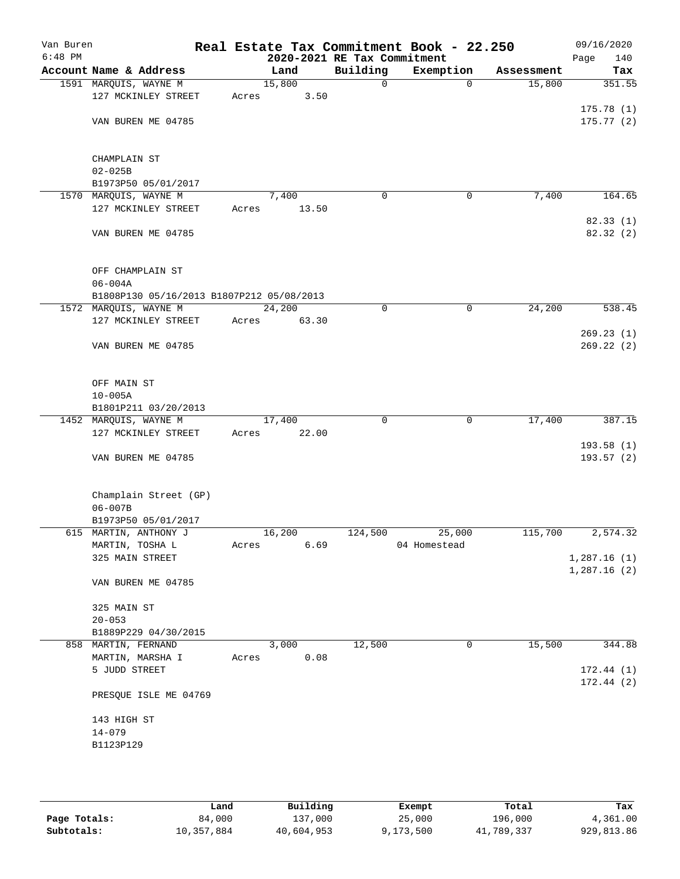| Van Buren<br>$6:48$ PM |                                                                    |       | 2020-2021 RE Tax Commitment |             | Real Estate Tax Commitment Book - 22.250 |            | 09/16/2020<br>Page<br>140  |
|------------------------|--------------------------------------------------------------------|-------|-----------------------------|-------------|------------------------------------------|------------|----------------------------|
|                        | Account Name & Address                                             |       | Land                        | Building    | Exemption                                | Assessment | Tax                        |
|                        | 1591 MARQUIS, WAYNE M                                              |       | 15,800                      | $\mathbf 0$ | $\mathbf 0$                              | 15,800     | 351.55                     |
|                        | 127 MCKINLEY STREET                                                | Acres | 3.50                        |             |                                          |            |                            |
|                        |                                                                    |       |                             |             |                                          |            | 175.78(1)                  |
|                        | VAN BUREN ME 04785                                                 |       |                             |             |                                          |            | 175.77(2)                  |
|                        |                                                                    |       |                             |             |                                          |            |                            |
|                        |                                                                    |       |                             |             |                                          |            |                            |
|                        | CHAMPLAIN ST<br>$02 - 025B$                                        |       |                             |             |                                          |            |                            |
|                        | B1973P50 05/01/2017                                                |       |                             |             |                                          |            |                            |
|                        | 1570 MARQUIS, WAYNE M                                              |       | 7,400                       | 0           | 0                                        | 7,400      | 164.65                     |
|                        | 127 MCKINLEY STREET                                                | Acres | 13.50                       |             |                                          |            |                            |
|                        |                                                                    |       |                             |             |                                          |            | 82.33(1)                   |
|                        | VAN BUREN ME 04785                                                 |       |                             |             |                                          |            | 82.32 (2)                  |
|                        |                                                                    |       |                             |             |                                          |            |                            |
|                        |                                                                    |       |                             |             |                                          |            |                            |
|                        | OFF CHAMPLAIN ST                                                   |       |                             |             |                                          |            |                            |
|                        | $06 - 004A$                                                        |       |                             |             |                                          |            |                            |
|                        | B1808P130 05/16/2013 B1807P212 05/08/2013<br>1572 MARQUIS, WAYNE M |       | 24,200                      | 0           | $\mathbf 0$                              | 24,200     | 538.45                     |
|                        | 127 MCKINLEY STREET                                                | Acres | 63.30                       |             |                                          |            |                            |
|                        |                                                                    |       |                             |             |                                          |            | 269.23(1)                  |
|                        | VAN BUREN ME 04785                                                 |       |                             |             |                                          |            | 269.22(2)                  |
|                        |                                                                    |       |                             |             |                                          |            |                            |
|                        |                                                                    |       |                             |             |                                          |            |                            |
|                        | OFF MAIN ST                                                        |       |                             |             |                                          |            |                            |
|                        | $10 - 005A$                                                        |       |                             |             |                                          |            |                            |
|                        | B1801P211 03/20/2013                                               |       |                             |             |                                          |            |                            |
|                        | 1452 MARQUIS, WAYNE M                                              |       | 17,400                      | $\Omega$    | $\mathbf 0$                              | 17,400     | 387.15                     |
|                        | 127 MCKINLEY STREET                                                | Acres | 22.00                       |             |                                          |            | 193.58(1)                  |
|                        | VAN BUREN ME 04785                                                 |       |                             |             |                                          |            | 193.57(2)                  |
|                        |                                                                    |       |                             |             |                                          |            |                            |
|                        |                                                                    |       |                             |             |                                          |            |                            |
|                        | Champlain Street (GP)                                              |       |                             |             |                                          |            |                            |
|                        | $06 - 007B$                                                        |       |                             |             |                                          |            |                            |
|                        | B1973P50 05/01/2017                                                |       |                             |             |                                          |            |                            |
|                        | 615 MARTIN, ANTHONY J                                              |       | 16,200                      | 124,500     | 25,000                                   | 115,700    | 2,574.32                   |
|                        | MARTIN, TOSHA L                                                    | Acres | 6.69                        |             | 04 Homestead                             |            |                            |
|                        | 325 MAIN STREET                                                    |       |                             |             |                                          |            | 1,287.16(1)<br>1,287.16(2) |
|                        | VAN BUREN ME 04785                                                 |       |                             |             |                                          |            |                            |
|                        |                                                                    |       |                             |             |                                          |            |                            |
|                        | 325 MAIN ST                                                        |       |                             |             |                                          |            |                            |
|                        | $20 - 053$                                                         |       |                             |             |                                          |            |                            |
|                        | B1889P229 04/30/2015                                               |       |                             |             |                                          |            |                            |
|                        | 858 MARTIN, FERNAND                                                |       | 3,000                       | 12,500      | 0                                        | 15,500     | 344.88                     |
|                        | MARTIN, MARSHA I                                                   | Acres | 0.08                        |             |                                          |            |                            |
|                        | 5 JUDD STREET                                                      |       |                             |             |                                          |            | 172.44(1)                  |
|                        |                                                                    |       |                             |             |                                          |            | 172.44(2)                  |
|                        | PRESQUE ISLE ME 04769                                              |       |                             |             |                                          |            |                            |
|                        | 143 HIGH ST                                                        |       |                             |             |                                          |            |                            |
|                        | $14 - 079$                                                         |       |                             |             |                                          |            |                            |
|                        | B1123P129                                                          |       |                             |             |                                          |            |                            |
|                        |                                                                    |       |                             |             |                                          |            |                            |
|                        |                                                                    |       |                             |             |                                          |            |                            |
|                        |                                                                    |       |                             |             |                                          |            |                            |

|              | Land       | Building   | Exempt    | Total      | Tax        |
|--------------|------------|------------|-----------|------------|------------|
| Page Totals: | 84,000     | 137,000    | 25,000    | 196,000    | 4,361.00   |
| Subtotals:   | 10,357,884 | 40,604,953 | 9,173,500 | 41,789,337 | 929,813.86 |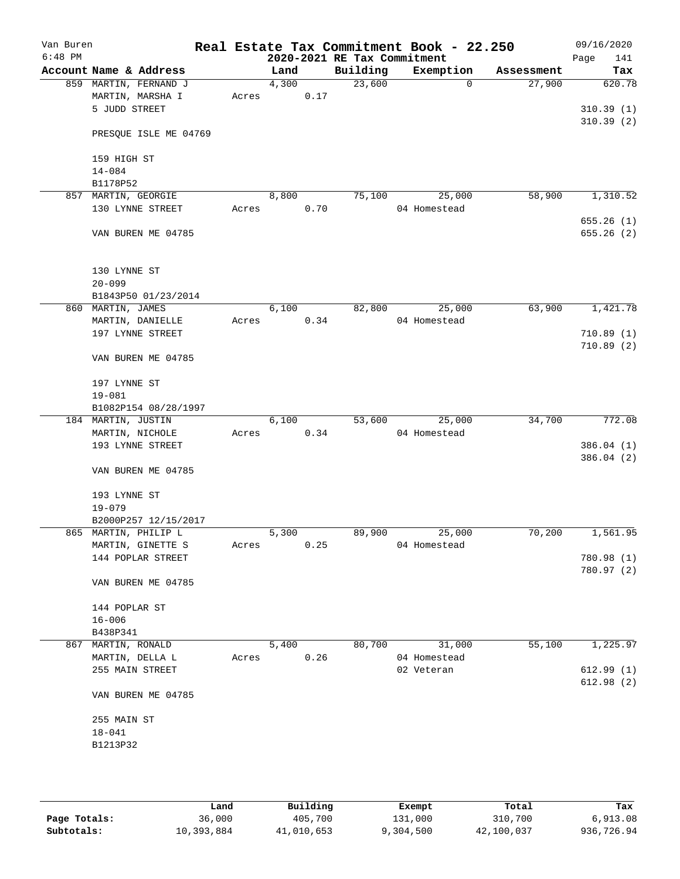| Van Buren<br>$6:48$ PM |                             |       |       |      | 2020-2021 RE Tax Commitment | Real Estate Tax Commitment Book - 22.250 |   |            | 09/16/2020<br>141<br>Page |
|------------------------|-----------------------------|-------|-------|------|-----------------------------|------------------------------------------|---|------------|---------------------------|
|                        | Account Name & Address      |       | Land  |      | Building                    | Exemption                                |   | Assessment | Tax                       |
|                        | 859 MARTIN, FERNAND J       |       | 4,300 |      | 23,600                      |                                          | 0 | 27,900     | 620.78                    |
|                        | MARTIN, MARSHA I            | Acres |       | 0.17 |                             |                                          |   |            |                           |
|                        | 5 JUDD STREET               |       |       |      |                             |                                          |   |            | 310.39(1)                 |
|                        |                             |       |       |      |                             |                                          |   |            | 310.39(2)                 |
|                        | PRESQUE ISLE ME 04769       |       |       |      |                             |                                          |   |            |                           |
|                        |                             |       |       |      |                             |                                          |   |            |                           |
|                        | 159 HIGH ST                 |       |       |      |                             |                                          |   |            |                           |
|                        | $14 - 084$                  |       |       |      |                             |                                          |   |            |                           |
|                        | B1178P52                    |       |       |      |                             |                                          |   |            |                           |
|                        | 857 MARTIN, GEORGIE         |       | 8,800 |      | 75,100                      | 25,000                                   |   | 58,900     | 1,310.52                  |
|                        | 130 LYNNE STREET            | Acres |       | 0.70 |                             | 04 Homestead                             |   |            |                           |
|                        |                             |       |       |      |                             |                                          |   |            | 655.26(1)                 |
|                        | VAN BUREN ME 04785          |       |       |      |                             |                                          |   |            | 655.26(2)                 |
|                        |                             |       |       |      |                             |                                          |   |            |                           |
|                        |                             |       |       |      |                             |                                          |   |            |                           |
|                        | 130 LYNNE ST                |       |       |      |                             |                                          |   |            |                           |
|                        | $20 - 099$                  |       |       |      |                             |                                          |   |            |                           |
|                        | B1843P50 01/23/2014         |       |       |      |                             |                                          |   |            |                           |
|                        | 860 MARTIN, JAMES           |       | 6,100 |      | 82,800                      | 25,000                                   |   | 63,900     | 1,421.78                  |
|                        | MARTIN, DANIELLE            | Acres |       | 0.34 |                             | 04 Homestead                             |   |            |                           |
|                        | 197 LYNNE STREET            |       |       |      |                             |                                          |   |            | 710.89(1)                 |
|                        |                             |       |       |      |                             |                                          |   |            | 710.89(2)                 |
|                        | VAN BUREN ME 04785          |       |       |      |                             |                                          |   |            |                           |
|                        |                             |       |       |      |                             |                                          |   |            |                           |
|                        | 197 LYNNE ST                |       |       |      |                             |                                          |   |            |                           |
|                        | $19 - 081$                  |       |       |      |                             |                                          |   |            |                           |
|                        | B1082P154 08/28/1997        |       |       |      |                             |                                          |   |            |                           |
|                        | 184 MARTIN, JUSTIN          |       | 6,100 |      | 53,600                      | 25,000                                   |   | 34,700     | 772.08                    |
|                        | MARTIN, NICHOLE             | Acres |       | 0.34 |                             | 04 Homestead                             |   |            |                           |
|                        | 193 LYNNE STREET            |       |       |      |                             |                                          |   |            | 386.04(1)                 |
|                        |                             |       |       |      |                             |                                          |   |            | 386.04(2)                 |
|                        | VAN BUREN ME 04785          |       |       |      |                             |                                          |   |            |                           |
|                        |                             |       |       |      |                             |                                          |   |            |                           |
|                        | 193 LYNNE ST                |       |       |      |                             |                                          |   |            |                           |
|                        | $19 - 079$                  |       |       |      |                             |                                          |   |            |                           |
|                        | B2000P257 12/15/2017        |       |       |      |                             |                                          |   |            |                           |
|                        | 865 MARTIN, PHILIP L        |       | 5,300 |      | 89,900                      | 25,000                                   |   | 70,200     | 1,561.95                  |
|                        | MARTIN, GINETTE S           | Acres |       | 0.25 |                             | 04 Homestead                             |   |            |                           |
|                        | 144 POPLAR STREET           |       |       |      |                             |                                          |   |            | 780.98 (1)                |
|                        |                             |       |       |      |                             |                                          |   |            | 780.97 (2)                |
|                        | VAN BUREN ME 04785          |       |       |      |                             |                                          |   |            |                           |
|                        |                             |       |       |      |                             |                                          |   |            |                           |
|                        | 144 POPLAR ST<br>$16 - 006$ |       |       |      |                             |                                          |   |            |                           |
|                        | B438P341                    |       |       |      |                             |                                          |   |            |                           |
|                        | 867 MARTIN, RONALD          |       | 5,400 |      | 80,700                      | 31,000                                   |   | 55,100     | 1,225.97                  |
|                        | MARTIN, DELLA L             | Acres |       | 0.26 |                             | 04 Homestead                             |   |            |                           |
|                        | 255 MAIN STREET             |       |       |      |                             | 02 Veteran                               |   |            | 612.99(1)                 |
|                        |                             |       |       |      |                             |                                          |   |            | 612.98(2)                 |
|                        | VAN BUREN ME 04785          |       |       |      |                             |                                          |   |            |                           |
|                        |                             |       |       |      |                             |                                          |   |            |                           |
|                        | 255 MAIN ST                 |       |       |      |                             |                                          |   |            |                           |
|                        | $18 - 041$                  |       |       |      |                             |                                          |   |            |                           |
|                        | B1213P32                    |       |       |      |                             |                                          |   |            |                           |
|                        |                             |       |       |      |                             |                                          |   |            |                           |
|                        |                             |       |       |      |                             |                                          |   |            |                           |
|                        |                             |       |       |      |                             |                                          |   |            |                           |

|              | Land       | Building   | Exempt    | Total      | Tax        |
|--------------|------------|------------|-----------|------------|------------|
| Page Totals: | 36,000     | 405,700    | 131,000   | 310,700    | 6,913.08   |
| Subtotals:   | 10,393,884 | 41,010,653 | 9,304,500 | 42,100,037 | 936,726.94 |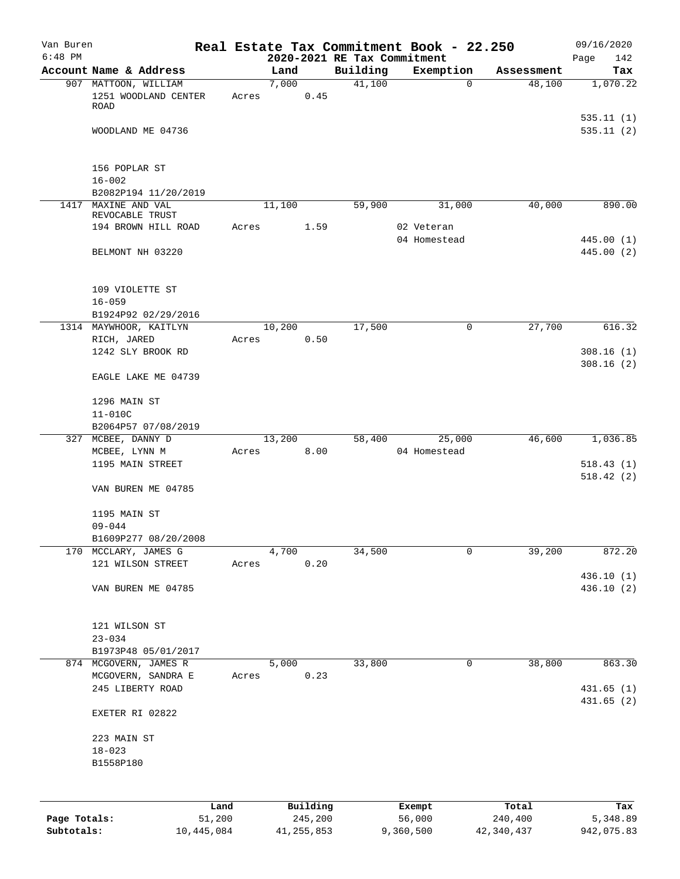| Van Buren<br>$6:48$ PM |                                        |       |        |          |                                         | Real Estate Tax Commitment Book - 22.250 |            | 09/16/2020             |
|------------------------|----------------------------------------|-------|--------|----------|-----------------------------------------|------------------------------------------|------------|------------------------|
|                        | Account Name & Address                 |       | Land   |          | 2020-2021 RE Tax Commitment<br>Building | Exemption                                | Assessment | 142<br>Page<br>Tax     |
|                        | 907 MATTOON, WILLIAM                   |       | 7,000  |          | 41,100                                  | $\mathbf 0$                              | 48,100     | 1,070.22               |
|                        | 1251 WOODLAND CENTER<br>ROAD           | Acres |        | 0.45     |                                         |                                          |            |                        |
|                        | WOODLAND ME 04736                      |       |        |          |                                         |                                          |            | 535.11(1)<br>535.11(2) |
|                        |                                        |       |        |          |                                         |                                          |            |                        |
|                        | 156 POPLAR ST<br>$16 - 002$            |       |        |          |                                         |                                          |            |                        |
| 1417                   | B2082P194 11/20/2019<br>MAXINE AND VAL |       | 11,100 |          | 59,900                                  | 31,000                                   | 40,000     | 890.00                 |
|                        | REVOCABLE TRUST                        |       |        |          |                                         |                                          |            |                        |
|                        | 194 BROWN HILL ROAD                    | Acres |        | 1.59     |                                         | 02 Veteran                               |            |                        |
|                        |                                        |       |        |          |                                         | 04 Homestead                             |            | 445.00 (1)             |
|                        | BELMONT NH 03220                       |       |        |          |                                         |                                          |            | 445.00 (2)             |
|                        | 109 VIOLETTE ST                        |       |        |          |                                         |                                          |            |                        |
|                        | $16 - 059$                             |       |        |          |                                         |                                          |            |                        |
|                        | B1924P92 02/29/2016                    |       |        |          |                                         |                                          |            |                        |
|                        | 1314 MAYWHOOR, KAITLYN<br>RICH, JARED  | Acres | 10,200 | 0.50     | 17,500                                  | 0                                        | 27,700     | 616.32                 |
|                        | 1242 SLY BROOK RD                      |       |        |          |                                         |                                          |            | 308.16(1)              |
|                        | EAGLE LAKE ME 04739                    |       |        |          |                                         |                                          |            | 308.16(2)              |
|                        |                                        |       |        |          |                                         |                                          |            |                        |
|                        | 1296 MAIN ST                           |       |        |          |                                         |                                          |            |                        |
|                        | $11 - 010C$<br>B2064P57 07/08/2019     |       |        |          |                                         |                                          |            |                        |
|                        | 327 MCBEE, DANNY D                     |       | 13,200 |          | 58,400                                  | 25,000                                   | 46,600     | 1,036.85               |
|                        | MCBEE, LYNN M                          | Acres |        | 8.00     |                                         | 04 Homestead                             |            |                        |
|                        | 1195 MAIN STREET                       |       |        |          |                                         |                                          |            | 518.43(1)              |
|                        |                                        |       |        |          |                                         |                                          |            | 518.42(2)              |
|                        | VAN BUREN ME 04785                     |       |        |          |                                         |                                          |            |                        |
|                        | 1195 MAIN ST                           |       |        |          |                                         |                                          |            |                        |
|                        | $09 - 044$                             |       |        |          |                                         |                                          |            |                        |
|                        | B1609P277 08/20/2008                   |       |        |          |                                         |                                          |            |                        |
| 170                    | MCCLARY, JAMES G                       |       | 4,700  |          | 34,500                                  | 0                                        | 39,200     | 872.20                 |
|                        | 121 WILSON STREET                      | Acres |        | 0.20     |                                         |                                          |            | 436.10 (1)             |
|                        | VAN BUREN ME 04785                     |       |        |          |                                         |                                          |            | 436.10(2)              |
|                        | 121 WILSON ST                          |       |        |          |                                         |                                          |            |                        |
|                        | $23 - 034$                             |       |        |          |                                         |                                          |            |                        |
|                        | B1973P48 05/01/2017                    |       |        |          |                                         |                                          |            |                        |
|                        | 874 MCGOVERN, JAMES R                  |       | 5,000  |          | 33,800                                  | 0                                        | 38,800     | 863.30                 |
|                        | MCGOVERN, SANDRA E<br>245 LIBERTY ROAD | Acres |        | 0.23     |                                         |                                          |            | 431.65(1)              |
|                        |                                        |       |        |          |                                         |                                          |            | 431.65(2)              |
|                        | EXETER RI 02822                        |       |        |          |                                         |                                          |            |                        |
|                        | 223 MAIN ST                            |       |        |          |                                         |                                          |            |                        |
|                        | $18 - 023$                             |       |        |          |                                         |                                          |            |                        |
|                        | B1558P180                              |       |        |          |                                         |                                          |            |                        |
|                        |                                        |       |        |          |                                         |                                          |            |                        |
|                        |                                        | Land  |        | Building |                                         | Exempt                                   | Total      | Tax                    |
| Page Totals:           | 51,200                                 |       |        | 245,200  |                                         | 56,000                                   | 240,400    | 5,348.89               |

**Subtotals:** 10,445,084 41,255,853 9,360,500 42,340,437 942,075.83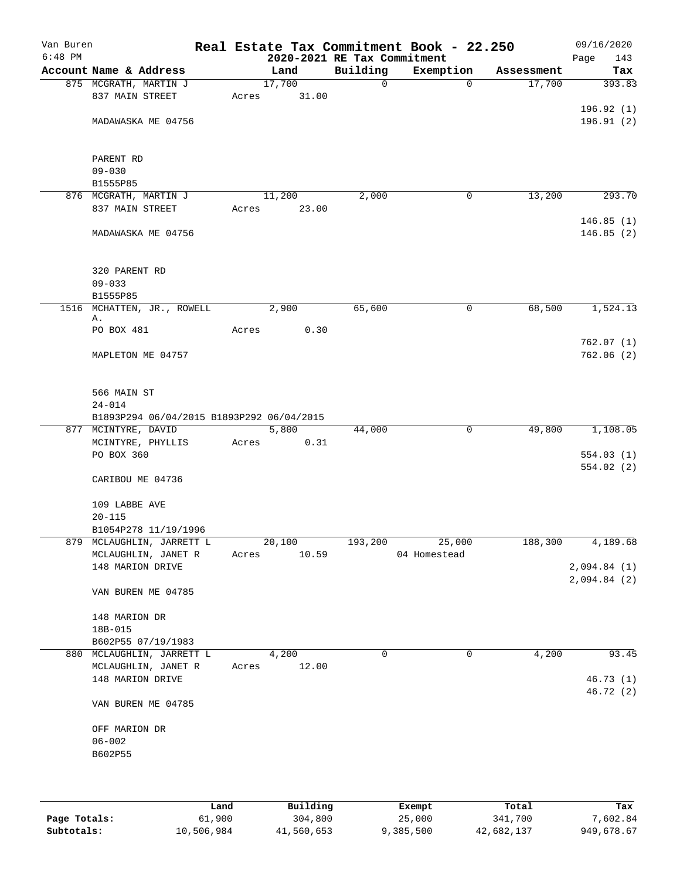| Van Buren<br>$6:48$ PM |                                           |       | 2020-2021 RE Tax Commitment |             | Real Estate Tax Commitment Book - 22.250 |            | 09/16/2020<br>143<br>Page |
|------------------------|-------------------------------------------|-------|-----------------------------|-------------|------------------------------------------|------------|---------------------------|
|                        | Account Name & Address                    |       | Land                        | Building    | Exemption                                | Assessment | Tax                       |
|                        | 875 MCGRATH, MARTIN J                     |       | 17,700                      | $\mathbf 0$ | $\mathbf 0$                              | 17,700     | 393.83                    |
|                        | 837 MAIN STREET                           | Acres | 31.00                       |             |                                          |            |                           |
|                        |                                           |       |                             |             |                                          |            | 196.92 (1)                |
|                        | MADAWASKA ME 04756                        |       |                             |             |                                          |            | 196.91(2)                 |
|                        |                                           |       |                             |             |                                          |            |                           |
|                        |                                           |       |                             |             |                                          |            |                           |
|                        | PARENT RD                                 |       |                             |             |                                          |            |                           |
|                        | $09 - 030$                                |       |                             |             |                                          |            |                           |
|                        | B1555P85                                  |       |                             |             |                                          |            |                           |
|                        | 876 MCGRATH, MARTIN J                     |       | 11,200                      | 2,000       | 0                                        | 13,200     | 293.70                    |
|                        | 837 MAIN STREET                           | Acres | 23.00                       |             |                                          |            |                           |
|                        |                                           |       |                             |             |                                          |            | 146.85(1)                 |
|                        | MADAWASKA ME 04756                        |       |                             |             |                                          |            | 146.85(2)                 |
|                        |                                           |       |                             |             |                                          |            |                           |
|                        |                                           |       |                             |             |                                          |            |                           |
|                        | 320 PARENT RD                             |       |                             |             |                                          |            |                           |
|                        | $09 - 033$                                |       |                             |             |                                          |            |                           |
|                        | B1555P85                                  |       |                             |             |                                          |            |                           |
| 1516                   | MCHATTEN, JR., ROWELL                     |       | 2,900                       | 65,600      | 0                                        | 68,500     | 1,524.13                  |
|                        | Α.                                        |       |                             |             |                                          |            |                           |
|                        | PO BOX 481                                | Acres | 0.30                        |             |                                          |            |                           |
|                        |                                           |       |                             |             |                                          |            | 762.07(1)                 |
|                        | MAPLETON ME 04757                         |       |                             |             |                                          |            | 762.06(2)                 |
|                        |                                           |       |                             |             |                                          |            |                           |
|                        |                                           |       |                             |             |                                          |            |                           |
|                        | 566 MAIN ST                               |       |                             |             |                                          |            |                           |
|                        | $24 - 014$                                |       |                             |             |                                          |            |                           |
|                        | B1893P294 06/04/2015 B1893P292 06/04/2015 |       |                             |             |                                          |            |                           |
|                        | 877 MCINTYRE, DAVID                       |       | 5,800                       | 44,000      | 0                                        | 49,800     | 1,108.05                  |
|                        | MCINTYRE, PHYLLIS                         | Acres | 0.31                        |             |                                          |            |                           |
|                        | PO BOX 360                                |       |                             |             |                                          |            | 554.03(1)                 |
|                        |                                           |       |                             |             |                                          |            | 554.02(2)                 |
|                        | CARIBOU ME 04736                          |       |                             |             |                                          |            |                           |
|                        | 109 LABBE AVE                             |       |                             |             |                                          |            |                           |
|                        | $20 - 115$                                |       |                             |             |                                          |            |                           |
|                        | B1054P278 11/19/1996                      |       |                             |             |                                          |            |                           |
|                        | 879 MCLAUGHLIN, JARRETT L                 |       | 20,100                      | 193,200     | 25,000                                   | 188,300    | 4,189.68                  |
|                        | MCLAUGHLIN, JANET R                       | Acres | 10.59                       |             | 04 Homestead                             |            |                           |
|                        | 148 MARION DRIVE                          |       |                             |             |                                          |            | 2,094.84(1)               |
|                        |                                           |       |                             |             |                                          |            | 2,094.84(2)               |
|                        | VAN BUREN ME 04785                        |       |                             |             |                                          |            |                           |
|                        |                                           |       |                             |             |                                          |            |                           |
|                        | 148 MARION DR                             |       |                             |             |                                          |            |                           |
|                        | 18B-015                                   |       |                             |             |                                          |            |                           |
|                        | B602P55 07/19/1983                        |       |                             |             |                                          |            |                           |
|                        | 880 MCLAUGHLIN, JARRETT L                 |       | 4,200                       | 0           | 0                                        | 4,200      | 93.45                     |
|                        | MCLAUGHLIN, JANET R                       | Acres | 12.00                       |             |                                          |            |                           |
|                        | 148 MARION DRIVE                          |       |                             |             |                                          |            | 46.73(1)                  |
|                        |                                           |       |                             |             |                                          |            | 46.72(2)                  |
|                        | VAN BUREN ME 04785                        |       |                             |             |                                          |            |                           |
|                        |                                           |       |                             |             |                                          |            |                           |
|                        | OFF MARION DR                             |       |                             |             |                                          |            |                           |
|                        | $06 - 002$                                |       |                             |             |                                          |            |                           |
|                        | B602P55                                   |       |                             |             |                                          |            |                           |
|                        |                                           |       |                             |             |                                          |            |                           |
|                        |                                           |       |                             |             |                                          |            |                           |
|                        |                                           |       |                             |             |                                          |            |                           |
|                        |                                           |       |                             |             |                                          |            |                           |

|              | Land       | Building   | Exempt    | Total      | Tax        |
|--------------|------------|------------|-----------|------------|------------|
| Page Totals: | 61,900     | 304,800    | 25,000    | 341,700    | 7,602.84   |
| Subtotals:   | 10,506,984 | 41,560,653 | 9,385,500 | 42,682,137 | 949,678.67 |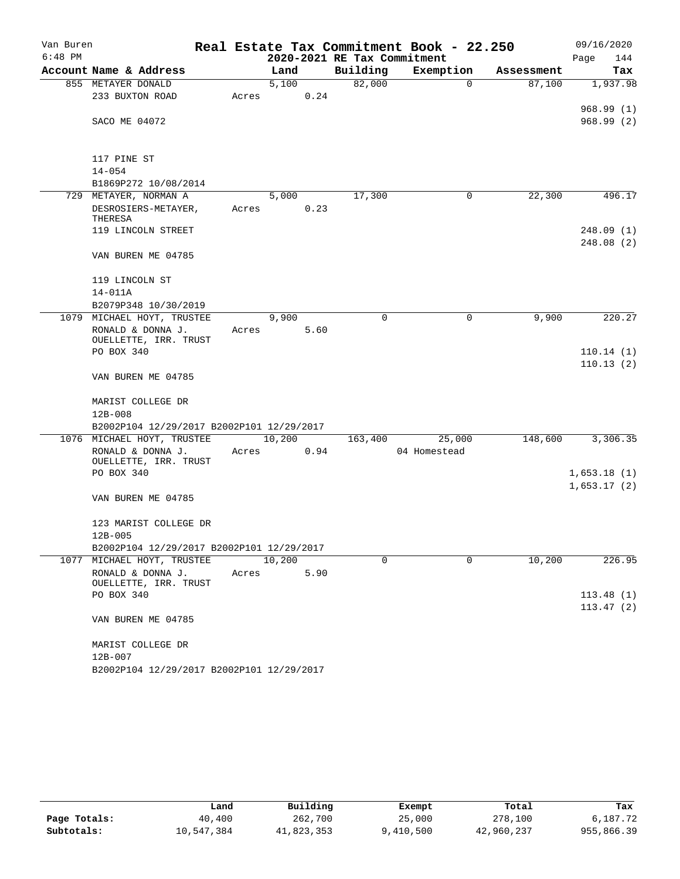| Van Buren |                                           |       |        |      |                             | Real Estate Tax Commitment Book - 22.250 |            | 09/16/2020  |
|-----------|-------------------------------------------|-------|--------|------|-----------------------------|------------------------------------------|------------|-------------|
| $6:48$ PM |                                           |       |        |      | 2020-2021 RE Tax Commitment |                                          |            | Page<br>144 |
|           | Account Name & Address                    |       | Land   |      | Building                    | Exemption                                | Assessment | Tax         |
|           | 855 METAYER DONALD                        |       | 5,100  |      | 82,000                      | $\Omega$                                 | 87,100     | 1,937.98    |
|           | 233 BUXTON ROAD                           | Acres |        | 0.24 |                             |                                          |            |             |
|           |                                           |       |        |      |                             |                                          |            | 968.99(1)   |
|           | SACO ME 04072                             |       |        |      |                             |                                          |            | 968.99(2)   |
|           | 117 PINE ST                               |       |        |      |                             |                                          |            |             |
|           | $14 - 054$                                |       |        |      |                             |                                          |            |             |
|           | B1869P272 10/08/2014                      |       |        |      |                             |                                          |            |             |
|           | 729 METAYER, NORMAN A                     |       | 5,000  |      | 17,300                      | 0                                        | 22,300     | 496.17      |
|           | DESROSIERS-METAYER,                       | Acres |        | 0.23 |                             |                                          |            |             |
|           | THERESA                                   |       |        |      |                             |                                          |            |             |
|           | 119 LINCOLN STREET                        |       |        |      |                             |                                          |            | 248.09(1)   |
|           |                                           |       |        |      |                             |                                          |            | 248.08(2)   |
|           | VAN BUREN ME 04785                        |       |        |      |                             |                                          |            |             |
|           | 119 LINCOLN ST                            |       |        |      |                             |                                          |            |             |
|           | 14-011A                                   |       |        |      |                             |                                          |            |             |
|           | B2079P348 10/30/2019                      |       |        |      |                             |                                          |            |             |
|           | 1079 MICHAEL HOYT, TRUSTEE                |       | 9,900  |      | $\mathbf 0$                 | $\mathbf 0$                              | 9,900      | 220.27      |
|           | RONALD & DONNA J.                         | Acres |        | 5.60 |                             |                                          |            |             |
|           | OUELLETTE, IRR. TRUST                     |       |        |      |                             |                                          |            |             |
|           | PO BOX 340                                |       |        |      |                             |                                          |            | 110.14(1)   |
|           |                                           |       |        |      |                             |                                          |            | 110.13(2)   |
|           | VAN BUREN ME 04785                        |       |        |      |                             |                                          |            |             |
|           | MARIST COLLEGE DR                         |       |        |      |                             |                                          |            |             |
|           | $12B - 008$                               |       |        |      |                             |                                          |            |             |
|           | B2002P104 12/29/2017 B2002P101 12/29/2017 |       |        |      |                             |                                          |            |             |
|           | 1076 MICHAEL HOYT, TRUSTEE                |       | 10,200 |      | 163,400                     | 25,000                                   | 148,600    | 3,306.35    |
|           | RONALD & DONNA J.                         | Acres | 0.94   |      |                             | 04 Homestead                             |            |             |
|           | OUELLETTE, IRR. TRUST<br>PO BOX 340       |       |        |      |                             |                                          |            | 1,653.18(1) |
|           |                                           |       |        |      |                             |                                          |            | 1,653.17(2) |
|           | VAN BUREN ME 04785                        |       |        |      |                             |                                          |            |             |
|           |                                           |       |        |      |                             |                                          |            |             |
|           | 123 MARIST COLLEGE DR                     |       |        |      |                             |                                          |            |             |
|           | $12B-005$                                 |       |        |      |                             |                                          |            |             |
|           | B2002P104 12/29/2017 B2002P101 12/29/2017 |       |        |      |                             |                                          |            |             |
|           | 1077 MICHAEL HOYT, TRUSTEE                |       | 10,200 |      | $\Omega$                    | $\Omega$                                 | 10,200     | 226.95      |
|           | RONALD & DONNA J.                         | Acres |        | 5.90 |                             |                                          |            |             |
|           | OUELLETTE, IRR. TRUST                     |       |        |      |                             |                                          |            |             |
|           | PO BOX 340                                |       |        |      |                             |                                          |            | 113.48(1)   |
|           |                                           |       |        |      |                             |                                          |            | 113.47(2)   |
|           | VAN BUREN ME 04785                        |       |        |      |                             |                                          |            |             |
|           | MARIST COLLEGE DR                         |       |        |      |                             |                                          |            |             |
|           | 12B-007                                   |       |        |      |                             |                                          |            |             |
|           | B2002P104 12/29/2017 B2002P101 12/29/2017 |       |        |      |                             |                                          |            |             |

|              | Land       | Building   | Exempt    | Total      | Tax        |
|--------------|------------|------------|-----------|------------|------------|
| Page Totals: | 40,400     | 262,700    | 25,000    | 278,100    | 6,187.72   |
| Subtotals:   | 10,547,384 | 41,823,353 | 9,410,500 | 42,960,237 | 955,866.39 |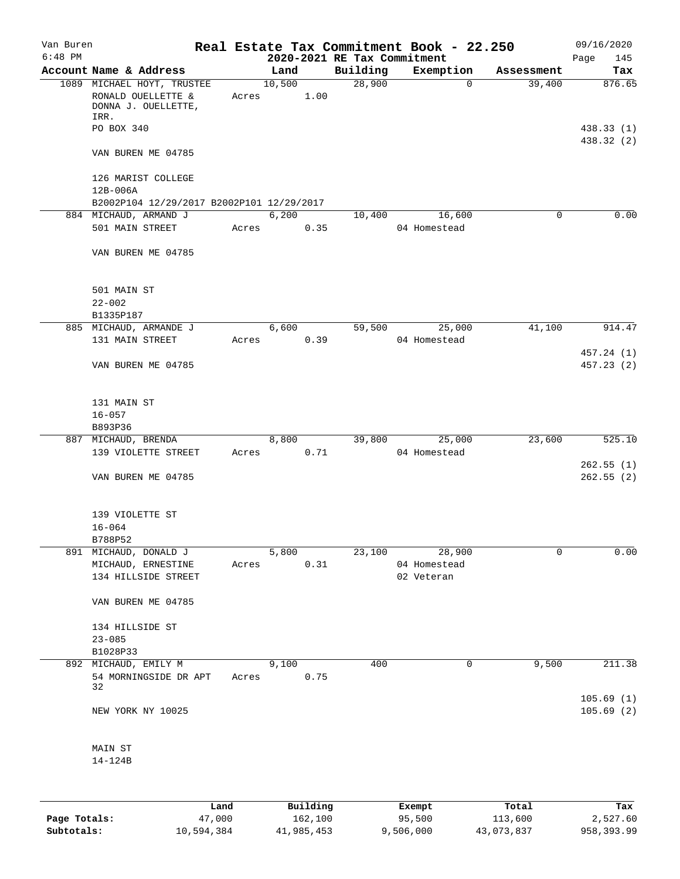| Van Buren<br>$6:48$ PM |                                                                                          |                | 2020-2021 RE Tax Commitment | Real Estate Tax Commitment Book - 22.250 |            | 09/16/2020<br>Page<br>145 |
|------------------------|------------------------------------------------------------------------------------------|----------------|-----------------------------|------------------------------------------|------------|---------------------------|
|                        | Account Name & Address                                                                   | Land           | Building                    | Exemption                                | Assessment | Tax                       |
|                        | 1089 MICHAEL HOYT, TRUSTEE<br>RONALD OUELLETTE &<br>Acres<br>DONNA J. OUELLETTE,<br>IRR. | 10,500<br>1.00 | 28,900                      | $\mathbf 0$                              | 39,400     | 876.65                    |
|                        | PO BOX 340                                                                               |                |                             |                                          |            | 438.33 (1)<br>438.32 (2)  |
|                        | VAN BUREN ME 04785                                                                       |                |                             |                                          |            |                           |
|                        | 126 MARIST COLLEGE                                                                       |                |                             |                                          |            |                           |
|                        | 12B-006A<br>B2002P104 12/29/2017 B2002P101 12/29/2017                                    |                |                             |                                          |            |                           |
|                        | 884 MICHAUD, ARMAND J                                                                    | 6,200          | 10,400                      | 16,600                                   | 0          | 0.00                      |
|                        | 501 MAIN STREET<br>Acres                                                                 | 0.35           |                             | 04 Homestead                             |            |                           |
|                        | VAN BUREN ME 04785                                                                       |                |                             |                                          |            |                           |
|                        | 501 MAIN ST                                                                              |                |                             |                                          |            |                           |
|                        | $22 - 002$                                                                               |                |                             |                                          |            |                           |
|                        | B1335P187                                                                                |                |                             |                                          |            |                           |
|                        | 885 MICHAUD, ARMANDE J<br>131 MAIN STREET<br>Acres                                       | 6,600<br>0.39  | 59,500                      | 25,000<br>04 Homestead                   | 41,100     | 914.47                    |
|                        | VAN BUREN ME 04785                                                                       |                |                             |                                          |            | 457.24 (1)<br>457.23(2)   |
|                        | 131 MAIN ST                                                                              |                |                             |                                          |            |                           |
|                        | $16 - 057$<br>B893P36                                                                    |                |                             |                                          |            |                           |
|                        | 887 MICHAUD, BRENDA                                                                      | 8,800          |                             | 39,800 25,000                            | 23,600     | 525.10                    |
|                        | 139 VIOLETTE STREET<br>Acres                                                             | 0.71           |                             | 04 Homestead                             |            |                           |
|                        |                                                                                          |                |                             |                                          |            | 262.55(1)                 |
|                        | VAN BUREN ME 04785                                                                       |                |                             |                                          |            | 262.55(2)                 |
|                        | 139 VIOLETTE ST                                                                          |                |                             |                                          |            |                           |
|                        | $16 - 064$                                                                               |                |                             |                                          |            |                           |
|                        | B788P52<br>891 MICHAUD, DONALD J                                                         |                | 23,100                      |                                          | 0          | 0.00                      |
|                        | MICHAUD, ERNESTINE<br>Acres                                                              | 5,800<br>0.31  |                             | 28,900<br>04 Homestead                   |            |                           |
|                        | 134 HILLSIDE STREET                                                                      |                |                             | 02 Veteran                               |            |                           |
|                        | VAN BUREN ME 04785                                                                       |                |                             |                                          |            |                           |
|                        | 134 HILLSIDE ST                                                                          |                |                             |                                          |            |                           |
|                        | $23 - 085$                                                                               |                |                             |                                          |            |                           |
|                        | B1028P33                                                                                 |                |                             |                                          |            |                           |
|                        | 892 MICHAUD, EMILY M                                                                     | 9,100          | 400                         | 0                                        | 9,500      | 211.38                    |
|                        | 54 MORNINGSIDE DR APT<br>Acres<br>32                                                     | 0.75           |                             |                                          |            |                           |
|                        | NEW YORK NY 10025                                                                        |                |                             |                                          |            | 105.69(1)<br>105.69(2)    |
|                        | MAIN ST                                                                                  |                |                             |                                          |            |                           |
|                        | 14-124B                                                                                  |                |                             |                                          |            |                           |
|                        |                                                                                          |                |                             |                                          |            |                           |
|                        |                                                                                          |                |                             |                                          |            |                           |

|              | Land       | Building   | Exempt    | Total      | Tax         |
|--------------|------------|------------|-----------|------------|-------------|
| Page Totals: | 47,000     | 162,100    | 95,500    | 113,600    | 2,527.60    |
| Subtotals:   | 10,594,384 | 41,985,453 | 9,506,000 | 43,073,837 | 958, 393.99 |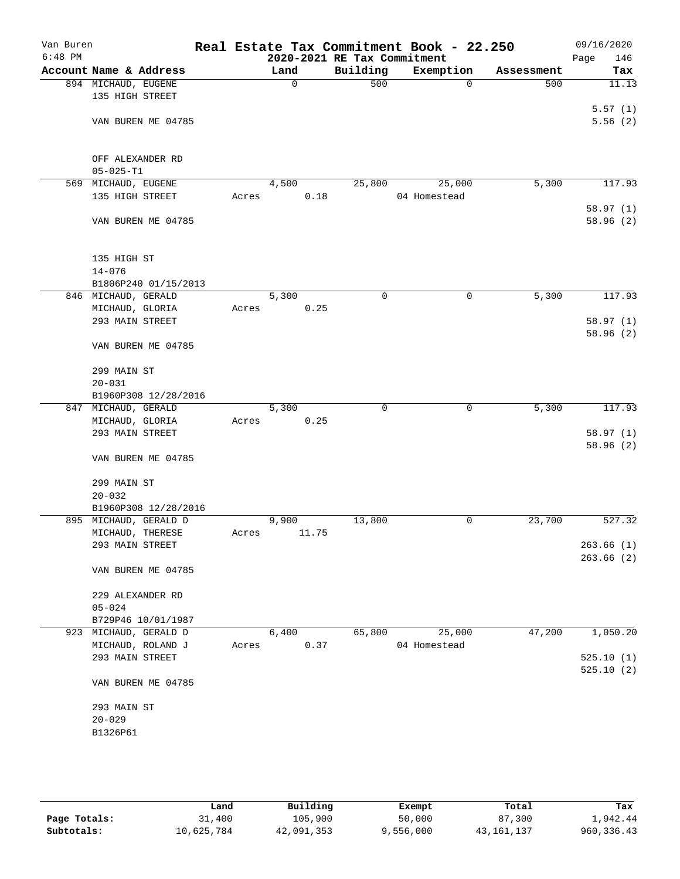| Van Buren<br>$6:48$ PM |                        |                      |       |       |       | Real Estate Tax Commitment Book - 22.250<br>2020-2021 RE Tax Commitment |              |             |            | 09/16/2020<br>Page<br>146 |
|------------------------|------------------------|----------------------|-------|-------|-------|-------------------------------------------------------------------------|--------------|-------------|------------|---------------------------|
|                        | Account Name & Address |                      |       | Land  |       | Building                                                                | Exemption    |             | Assessment | Tax                       |
|                        | 894 MICHAUD, EUGENE    |                      |       | 0     |       | 500                                                                     |              | $\mathbf 0$ | 500        | 11.13                     |
|                        | 135 HIGH STREET        |                      |       |       |       |                                                                         |              |             |            |                           |
|                        |                        |                      |       |       |       |                                                                         |              |             |            | 5.57(1)                   |
|                        | VAN BUREN ME 04785     |                      |       |       |       |                                                                         |              |             |            | 5.56(2)                   |
|                        |                        |                      |       |       |       |                                                                         |              |             |            |                           |
|                        |                        |                      |       |       |       |                                                                         |              |             |            |                           |
|                        | OFF ALEXANDER RD       |                      |       |       |       |                                                                         |              |             |            |                           |
|                        | $05 - 025 - T1$        |                      |       |       |       |                                                                         |              |             |            |                           |
|                        | 569 MICHAUD, EUGENE    |                      |       | 4,500 |       | 25,800                                                                  |              | 25,000      | 5,300      | 117.93                    |
|                        | 135 HIGH STREET        |                      | Acres |       | 0.18  |                                                                         | 04 Homestead |             |            |                           |
|                        |                        |                      |       |       |       |                                                                         |              |             |            | 58.97(1)                  |
|                        | VAN BUREN ME 04785     |                      |       |       |       |                                                                         |              |             |            | 58.96 (2)                 |
|                        |                        |                      |       |       |       |                                                                         |              |             |            |                           |
|                        |                        |                      |       |       |       |                                                                         |              |             |            |                           |
|                        | 135 HIGH ST            |                      |       |       |       |                                                                         |              |             |            |                           |
|                        | $14 - 076$             |                      |       |       |       |                                                                         |              |             |            |                           |
|                        |                        | B1806P240 01/15/2013 |       |       |       |                                                                         |              |             |            |                           |
|                        | 846 MICHAUD, GERALD    |                      |       | 5,300 |       | $\mathbf 0$                                                             |              | $\mathbf 0$ | 5,300      | 117.93                    |
|                        |                        |                      |       |       |       |                                                                         |              |             |            |                           |
|                        | MICHAUD, GLORIA        |                      | Acres |       | 0.25  |                                                                         |              |             |            |                           |
|                        | 293 MAIN STREET        |                      |       |       |       |                                                                         |              |             |            | 58.97(1)                  |
|                        |                        |                      |       |       |       |                                                                         |              |             |            | 58.96(2)                  |
|                        | VAN BUREN ME 04785     |                      |       |       |       |                                                                         |              |             |            |                           |
|                        |                        |                      |       |       |       |                                                                         |              |             |            |                           |
|                        | 299 MAIN ST            |                      |       |       |       |                                                                         |              |             |            |                           |
|                        | $20 - 031$             |                      |       |       |       |                                                                         |              |             |            |                           |
|                        |                        | B1960P308 12/28/2016 |       |       |       |                                                                         |              |             |            |                           |
|                        | 847 MICHAUD, GERALD    |                      |       | 5,300 |       | $\Omega$                                                                |              | 0           | 5,300      | 117.93                    |
|                        | MICHAUD, GLORIA        |                      | Acres |       | 0.25  |                                                                         |              |             |            |                           |
|                        | 293 MAIN STREET        |                      |       |       |       |                                                                         |              |             |            | 58.97(1)                  |
|                        |                        |                      |       |       |       |                                                                         |              |             |            | 58.96 (2)                 |
|                        | VAN BUREN ME 04785     |                      |       |       |       |                                                                         |              |             |            |                           |
|                        |                        |                      |       |       |       |                                                                         |              |             |            |                           |
|                        | 299 MAIN ST            |                      |       |       |       |                                                                         |              |             |            |                           |
|                        | $20 - 032$             |                      |       |       |       |                                                                         |              |             |            |                           |
|                        |                        | B1960P308 12/28/2016 |       |       |       |                                                                         |              |             |            |                           |
|                        | 895 MICHAUD, GERALD D  |                      |       | 9,900 |       | 13,800                                                                  |              | 0           | 23,700     | 527.32                    |
|                        | MICHAUD, THERESE       |                      | Acres |       | 11.75 |                                                                         |              |             |            |                           |
|                        | 293 MAIN STREET        |                      |       |       |       |                                                                         |              |             |            | 263.66(1)                 |
|                        |                        |                      |       |       |       |                                                                         |              |             |            | 263.66(2)                 |
|                        | VAN BUREN ME 04785     |                      |       |       |       |                                                                         |              |             |            |                           |
|                        |                        |                      |       |       |       |                                                                         |              |             |            |                           |
|                        | 229 ALEXANDER RD       |                      |       |       |       |                                                                         |              |             |            |                           |
|                        | $05 - 024$             |                      |       |       |       |                                                                         |              |             |            |                           |
|                        | B729P46 10/01/1987     |                      |       |       |       |                                                                         |              |             |            |                           |
|                        | 923 MICHAUD, GERALD D  |                      |       | 6,400 |       | 65,800                                                                  |              | 25,000      | 47,200     | 1,050.20                  |
|                        | MICHAUD, ROLAND J      |                      | Acres |       | 0.37  |                                                                         | 04 Homestead |             |            |                           |
|                        | 293 MAIN STREET        |                      |       |       |       |                                                                         |              |             |            | 525.10(1)                 |
|                        |                        |                      |       |       |       |                                                                         |              |             |            | 525.10(2)                 |
|                        | VAN BUREN ME 04785     |                      |       |       |       |                                                                         |              |             |            |                           |
|                        |                        |                      |       |       |       |                                                                         |              |             |            |                           |
|                        | 293 MAIN ST            |                      |       |       |       |                                                                         |              |             |            |                           |
|                        | $20 - 029$             |                      |       |       |       |                                                                         |              |             |            |                           |
|                        | B1326P61               |                      |       |       |       |                                                                         |              |             |            |                           |
|                        |                        |                      |       |       |       |                                                                         |              |             |            |                           |
|                        |                        |                      |       |       |       |                                                                         |              |             |            |                           |

|              | Land       | Building   | Exempt    | Total        | Tax          |
|--------------|------------|------------|-----------|--------------|--------------|
| Page Totals: | 31,400     | 105,900    | 50,000    | 87,300       | 1,942.44     |
| Subtotals:   | 10,625,784 | 42,091,353 | 9,556,000 | 43, 161, 137 | 960, 336, 43 |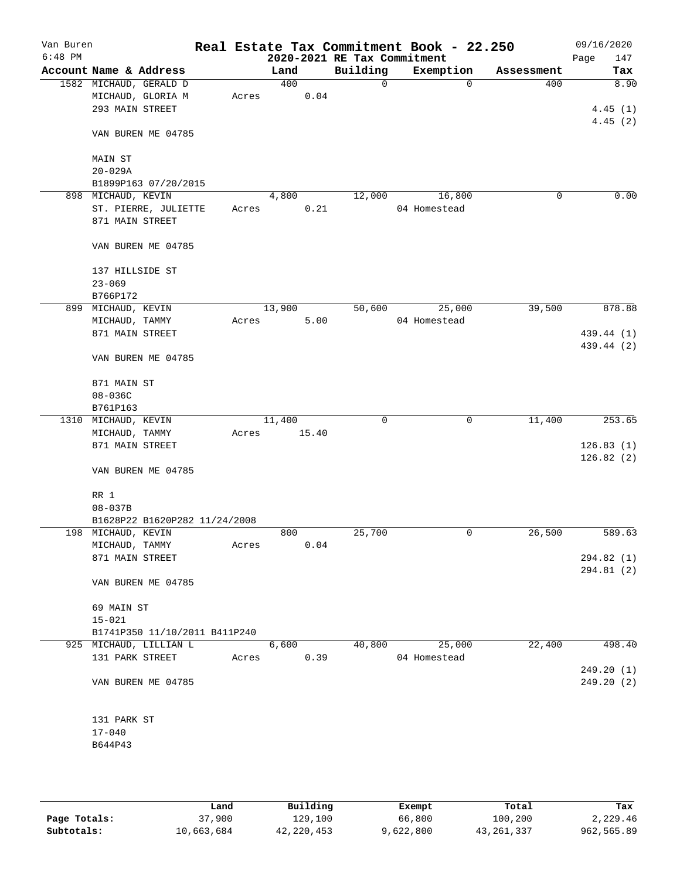| Van Buren<br>$6:48$ PM |                     |                               |       |        |       | Real Estate Tax Commitment Book - 22.250<br>2020-2021 RE Tax Commitment |              |            | 09/16/2020<br>Page<br>147 |
|------------------------|---------------------|-------------------------------|-------|--------|-------|-------------------------------------------------------------------------|--------------|------------|---------------------------|
|                        |                     | Account Name & Address        |       | Land   |       | Building                                                                | Exemption    | Assessment | Tax                       |
|                        |                     | 1582 MICHAUD, GERALD D        |       | 400    |       | $\mathsf{O}$                                                            | 0            | 400        | 8.90                      |
|                        |                     | MICHAUD, GLORIA M             | Acres |        | 0.04  |                                                                         |              |            |                           |
|                        | 293 MAIN STREET     |                               |       |        |       |                                                                         |              |            | 4.45(1)                   |
|                        |                     |                               |       |        |       |                                                                         |              |            | 4.45(2)                   |
|                        |                     | VAN BUREN ME 04785            |       |        |       |                                                                         |              |            |                           |
|                        |                     |                               |       |        |       |                                                                         |              |            |                           |
|                        | MAIN ST             |                               |       |        |       |                                                                         |              |            |                           |
|                        | $20 - 029A$         |                               |       |        |       |                                                                         |              |            |                           |
|                        |                     | B1899P163 07/20/2015          |       |        |       |                                                                         |              |            |                           |
|                        | 898 MICHAUD, KEVIN  |                               |       | 4,800  |       | 12,000                                                                  | 16,800       | 0          | 0.00                      |
|                        |                     | ST. PIERRE, JULIETTE          | Acres |        | 0.21  |                                                                         | 04 Homestead |            |                           |
|                        | 871 MAIN STREET     |                               |       |        |       |                                                                         |              |            |                           |
|                        |                     |                               |       |        |       |                                                                         |              |            |                           |
|                        |                     | VAN BUREN ME 04785            |       |        |       |                                                                         |              |            |                           |
|                        | 137 HILLSIDE ST     |                               |       |        |       |                                                                         |              |            |                           |
|                        | $23 - 069$          |                               |       |        |       |                                                                         |              |            |                           |
|                        | B766P172            |                               |       |        |       |                                                                         |              |            |                           |
|                        | 899 MICHAUD, KEVIN  |                               |       | 13,900 |       | 50,600                                                                  | 25,000       | 39,500     | 878.88                    |
|                        | MICHAUD, TAMMY      |                               | Acres |        | 5.00  |                                                                         | 04 Homestead |            |                           |
|                        | 871 MAIN STREET     |                               |       |        |       |                                                                         |              |            | 439.44 (1)                |
|                        |                     |                               |       |        |       |                                                                         |              |            | 439.44 (2)                |
|                        |                     | VAN BUREN ME 04785            |       |        |       |                                                                         |              |            |                           |
|                        | 871 MAIN ST         |                               |       |        |       |                                                                         |              |            |                           |
|                        | $08 - 036C$         |                               |       |        |       |                                                                         |              |            |                           |
|                        | B761P163            |                               |       |        |       |                                                                         |              |            |                           |
|                        | 1310 MICHAUD, KEVIN |                               |       | 11,400 |       | 0                                                                       | $\mathbf 0$  | 11,400     | 253.65                    |
|                        | MICHAUD, TAMMY      |                               | Acres |        | 15.40 |                                                                         |              |            |                           |
|                        | 871 MAIN STREET     |                               |       |        |       |                                                                         |              |            | 126.83(1)                 |
|                        |                     |                               |       |        |       |                                                                         |              |            | 126.82(2)                 |
|                        |                     | VAN BUREN ME 04785            |       |        |       |                                                                         |              |            |                           |
|                        |                     |                               |       |        |       |                                                                         |              |            |                           |
|                        | RR 1                |                               |       |        |       |                                                                         |              |            |                           |
|                        | $08 - 037B$         |                               |       |        |       |                                                                         |              |            |                           |
|                        |                     | B1628P22 B1620P282 11/24/2008 |       |        |       |                                                                         |              |            |                           |
|                        | 198 MICHAUD, KEVIN  |                               |       | 800    |       | 25,700                                                                  | 0            | 26,500     | 589.63                    |
|                        | MICHAUD, TAMMY      |                               | Acres |        | 0.04  |                                                                         |              |            |                           |
|                        | 871 MAIN STREET     |                               |       |        |       |                                                                         |              |            | 294.82(1)                 |
|                        |                     | VAN BUREN ME 04785            |       |        |       |                                                                         |              |            | 294.81 (2)                |
|                        |                     |                               |       |        |       |                                                                         |              |            |                           |
|                        | 69 MAIN ST          |                               |       |        |       |                                                                         |              |            |                           |
|                        | $15 - 021$          |                               |       |        |       |                                                                         |              |            |                           |
|                        |                     | B1741P350 11/10/2011 B411P240 |       |        |       |                                                                         |              |            |                           |
|                        |                     | 925 MICHAUD, LILLIAN L        |       | 6,600  |       | 40,800                                                                  | 25,000       | 22,400     | 498.40                    |
|                        | 131 PARK STREET     |                               | Acres |        | 0.39  |                                                                         | 04 Homestead |            |                           |
|                        |                     |                               |       |        |       |                                                                         |              |            | 249.20(1)                 |
|                        |                     | VAN BUREN ME 04785            |       |        |       |                                                                         |              |            | 249.20 (2)                |
|                        | 131 PARK ST         |                               |       |        |       |                                                                         |              |            |                           |
|                        | $17 - 040$          |                               |       |        |       |                                                                         |              |            |                           |
|                        | B644P43             |                               |       |        |       |                                                                         |              |            |                           |
|                        |                     |                               |       |        |       |                                                                         |              |            |                           |
|                        |                     |                               |       |        |       |                                                                         |              |            |                           |
|                        |                     |                               |       |        |       |                                                                         |              |            |                           |

|              | Land       | Building   | Exempt    | Total      | Tax        |
|--------------|------------|------------|-----------|------------|------------|
| Page Totals: | 37,900     | 129,100    | 66,800    | 100,200    | 2,229.46   |
| Subtotals:   | 10,663,684 | 42,220,453 | 9,622,800 | 43,261,337 | 962,565.89 |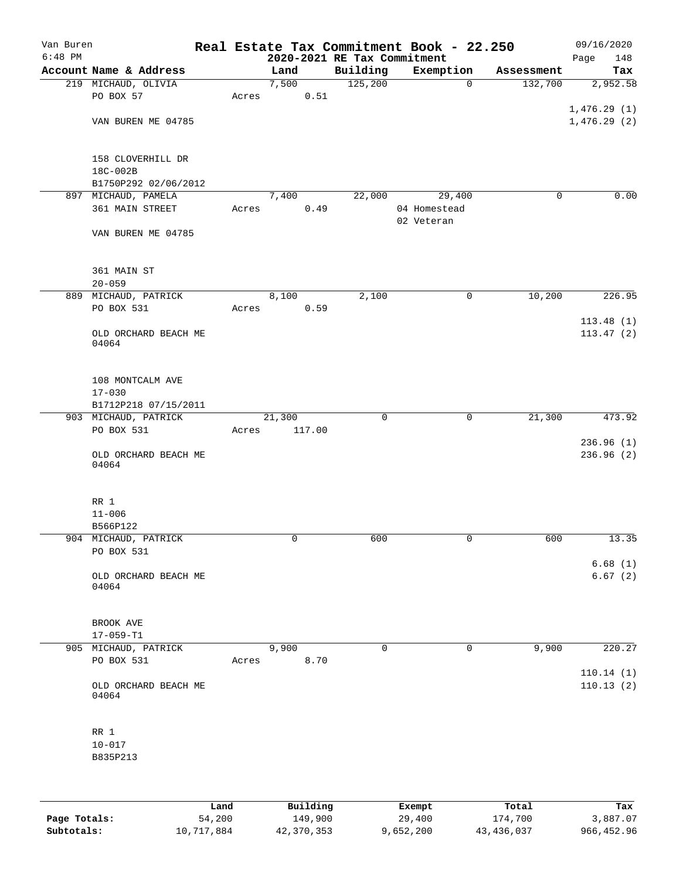| Van Buren<br>$6:48$ PM |                               |       |        | 2020-2021 RE Tax Commitment | Real Estate Tax Commitment Book - 22.250 |             | 09/16/2020<br>Page<br>148 |
|------------------------|-------------------------------|-------|--------|-----------------------------|------------------------------------------|-------------|---------------------------|
|                        | Account Name & Address        |       | Land   | Building                    | Exemption                                | Assessment  | Tax                       |
|                        | 219 MICHAUD, OLIVIA           |       | 7,500  | 125,200                     | 0                                        | 132,700     | 2,952.58                  |
|                        | PO BOX 57                     | Acres | 0.51   |                             |                                          |             |                           |
|                        |                               |       |        |                             |                                          |             | 1,476.29(1)               |
|                        | VAN BUREN ME 04785            |       |        |                             |                                          |             | 1,476.29(2)               |
|                        |                               |       |        |                             |                                          |             |                           |
|                        |                               |       |        |                             |                                          |             |                           |
|                        | 158 CLOVERHILL DR             |       |        |                             |                                          |             |                           |
|                        | 18C-002B                      |       |        |                             |                                          |             |                           |
|                        | B1750P292 02/06/2012          |       |        |                             |                                          |             |                           |
|                        | 897 MICHAUD, PAMELA           |       | 7,400  | 22,000                      | 29,400                                   | $\mathbf 0$ | 0.00                      |
|                        | 361 MAIN STREET               | Acres | 0.49   |                             | 04 Homestead                             |             |                           |
|                        |                               |       |        |                             | 02 Veteran                               |             |                           |
|                        | VAN BUREN ME 04785            |       |        |                             |                                          |             |                           |
|                        |                               |       |        |                             |                                          |             |                           |
|                        |                               |       |        |                             |                                          |             |                           |
|                        | 361 MAIN ST                   |       |        |                             |                                          |             |                           |
|                        | $20 - 059$                    |       |        |                             |                                          |             |                           |
|                        | 889 MICHAUD, PATRICK          |       | 8,100  | 2,100                       | 0                                        | 10,200      | 226.95                    |
|                        | PO BOX 531                    | Acres | 0.59   |                             |                                          |             |                           |
|                        |                               |       |        |                             |                                          |             | 113.48(1)                 |
|                        | OLD ORCHARD BEACH ME<br>04064 |       |        |                             |                                          |             | 113.47(2)                 |
|                        |                               |       |        |                             |                                          |             |                           |
|                        |                               |       |        |                             |                                          |             |                           |
|                        | 108 MONTCALM AVE              |       |        |                             |                                          |             |                           |
|                        | $17 - 030$                    |       |        |                             |                                          |             |                           |
|                        | B1712P218 07/15/2011          |       |        |                             |                                          |             |                           |
|                        | 903 MICHAUD, PATRICK          |       | 21,300 | $\mathbf 0$                 | 0                                        | 21,300      | 473.92                    |
|                        | PO BOX 531                    | Acres | 117.00 |                             |                                          |             |                           |
|                        |                               |       |        |                             |                                          |             | 236.96(1)                 |
|                        | OLD ORCHARD BEACH ME          |       |        |                             |                                          |             | 236.96(2)                 |
|                        | 04064                         |       |        |                             |                                          |             |                           |
|                        |                               |       |        |                             |                                          |             |                           |
|                        |                               |       |        |                             |                                          |             |                           |
|                        | RR 1                          |       |        |                             |                                          |             |                           |
|                        | $11 - 006$                    |       |        |                             |                                          |             |                           |
|                        | B566P122                      |       |        |                             |                                          |             |                           |
|                        | 904 MICHAUD, PATRICK          |       | 0      | 600                         | 0                                        | 600         | 13.35                     |
|                        | PO BOX 531                    |       |        |                             |                                          |             |                           |
|                        |                               |       |        |                             |                                          |             | 6.68(1)                   |
|                        | OLD ORCHARD BEACH ME<br>04064 |       |        |                             |                                          |             | 6.67(2)                   |
|                        |                               |       |        |                             |                                          |             |                           |
|                        |                               |       |        |                             |                                          |             |                           |
|                        | BROOK AVE                     |       |        |                             |                                          |             |                           |
|                        | $17 - 059 - T1$               |       |        |                             |                                          |             |                           |
|                        | 905 MICHAUD, PATRICK          |       | 9,900  | $\mathbf 0$                 | 0                                        | 9,900       | 220.27                    |
|                        | PO BOX 531                    | Acres | 8.70   |                             |                                          |             |                           |
|                        |                               |       |        |                             |                                          |             | 110.14(1)                 |
|                        | OLD ORCHARD BEACH ME          |       |        |                             |                                          |             | 110.13(2)                 |
|                        | 04064                         |       |        |                             |                                          |             |                           |
|                        |                               |       |        |                             |                                          |             |                           |
|                        |                               |       |        |                             |                                          |             |                           |
|                        | RR 1                          |       |        |                             |                                          |             |                           |
|                        | $10 - 017$                    |       |        |                             |                                          |             |                           |
|                        | B835P213                      |       |        |                             |                                          |             |                           |
|                        |                               |       |        |                             |                                          |             |                           |
|                        |                               |       |        |                             |                                          |             |                           |

|              | Land       | Building   | Exempt    | Total        | Tax        |
|--------------|------------|------------|-----------|--------------|------------|
| Page Totals: | 54,200     | 149,900    | 29,400    | 174,700      | 3,887.07   |
| Subtotals:   | 10,717,884 | 42,370,353 | 9,652,200 | 43, 436, 037 | 966,452.96 |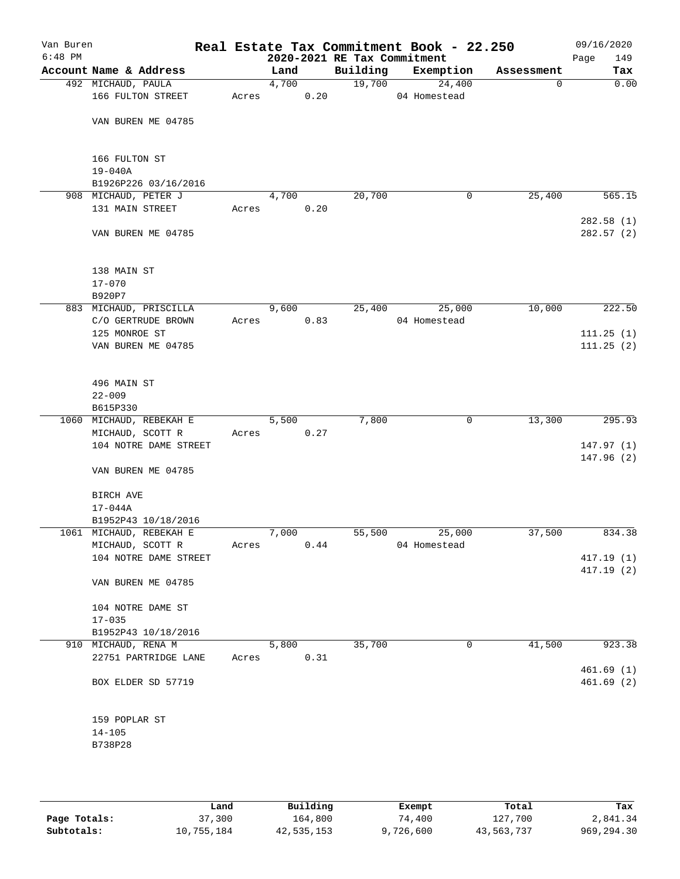| Van Buren<br>$6:48$ PM |                                             |       |       |      | 2020-2021 RE Tax Commitment | Real Estate Tax Commitment Book - 22.250 |            | 09/16/2020<br>149<br>Page |
|------------------------|---------------------------------------------|-------|-------|------|-----------------------------|------------------------------------------|------------|---------------------------|
|                        | Account Name & Address                      |       | Land  |      | Building                    | Exemption                                | Assessment | Tax                       |
|                        | 492 MICHAUD, PAULA                          |       | 4,700 |      | 19,700                      | 24,400                                   | 0          | 0.00                      |
|                        | 166 FULTON STREET                           | Acres |       | 0.20 |                             | 04 Homestead                             |            |                           |
|                        | VAN BUREN ME 04785                          |       |       |      |                             |                                          |            |                           |
|                        | 166 FULTON ST                               |       |       |      |                             |                                          |            |                           |
|                        | 19-040A                                     |       |       |      |                             |                                          |            |                           |
|                        | B1926P226 03/16/2016                        |       |       |      |                             |                                          |            |                           |
|                        | 908 MICHAUD, PETER J<br>131 MAIN STREET     | Acres | 4,700 | 0.20 | 20,700                      | 0                                        | 25,400     | 565.15                    |
|                        |                                             |       |       |      |                             |                                          |            | 282.58(1)                 |
|                        | VAN BUREN ME 04785                          |       |       |      |                             |                                          |            | 282.57(2)                 |
|                        | 138 MAIN ST                                 |       |       |      |                             |                                          |            |                           |
|                        | $17 - 070$                                  |       |       |      |                             |                                          |            |                           |
|                        | B920P7                                      |       |       |      |                             |                                          |            |                           |
|                        | 883 MICHAUD, PRISCILLA                      |       | 9,600 |      | 25,400                      | 25,000                                   | 10,000     | 222.50                    |
|                        | C/O GERTRUDE BROWN<br>125 MONROE ST         | Acres |       | 0.83 |                             | 04 Homestead                             |            | 111.25(1)                 |
|                        | VAN BUREN ME 04785                          |       |       |      |                             |                                          |            | 111.25(2)                 |
|                        | 496 MAIN ST                                 |       |       |      |                             |                                          |            |                           |
|                        | $22 - 009$                                  |       |       |      |                             |                                          |            |                           |
|                        | B615P330                                    |       |       |      |                             |                                          |            |                           |
|                        | 1060 MICHAUD, REBEKAH E                     |       | 5,500 |      | 7,800                       | $\mathbf 0$                              | 13,300     | 295.93                    |
|                        | MICHAUD, SCOTT R                            | Acres |       | 0.27 |                             |                                          |            |                           |
|                        | 104 NOTRE DAME STREET                       |       |       |      |                             |                                          |            | 147.97(1)                 |
|                        | VAN BUREN ME 04785                          |       |       |      |                             |                                          |            | 147.96(2)                 |
|                        | BIRCH AVE                                   |       |       |      |                             |                                          |            |                           |
|                        | 17-044A<br>B1952P43 10/18/2016              |       |       |      |                             |                                          |            |                           |
|                        | 1061 MICHAUD, REBEKAH E                     |       | 7,000 |      | 55,500                      | 25,000                                   | 37,500     | 834.38                    |
|                        | MICHAUD, SCOTT R                            | Acres |       | 0.44 |                             | 04 Homestead                             |            |                           |
|                        | 104 NOTRE DAME STREET                       |       |       |      |                             |                                          |            | 417.19(1)                 |
|                        | VAN BUREN ME 04785                          |       |       |      |                             |                                          |            | 417.19 (2)                |
|                        | 104 NOTRE DAME ST                           |       |       |      |                             |                                          |            |                           |
|                        | $17 - 035$                                  |       |       |      |                             |                                          |            |                           |
|                        | B1952P43 10/18/2016                         |       | 5,800 |      | 35,700                      | 0                                        |            | 923.38                    |
|                        | 910 MICHAUD, RENA M<br>22751 PARTRIDGE LANE | Acres |       | 0.31 |                             |                                          | 41,500     |                           |
|                        |                                             |       |       |      |                             |                                          |            | 461.69(1)                 |
|                        | BOX ELDER SD 57719                          |       |       |      |                             |                                          |            | 461.69(2)                 |
|                        | 159 POPLAR ST                               |       |       |      |                             |                                          |            |                           |
|                        | $14 - 105$                                  |       |       |      |                             |                                          |            |                           |
|                        | B738P28                                     |       |       |      |                             |                                          |            |                           |
|                        |                                             |       |       |      |                             |                                          |            |                           |

|              | Land       | Building   | Exempt    | Total      | Tax         |
|--------------|------------|------------|-----------|------------|-------------|
| Page Totals: | 37,300     | 164,800    | 74,400    | 127,700    | 2,841.34    |
| Subtotals:   | 10,755,184 | 42,535,153 | 9,726,600 | 43,563,737 | 969, 294.30 |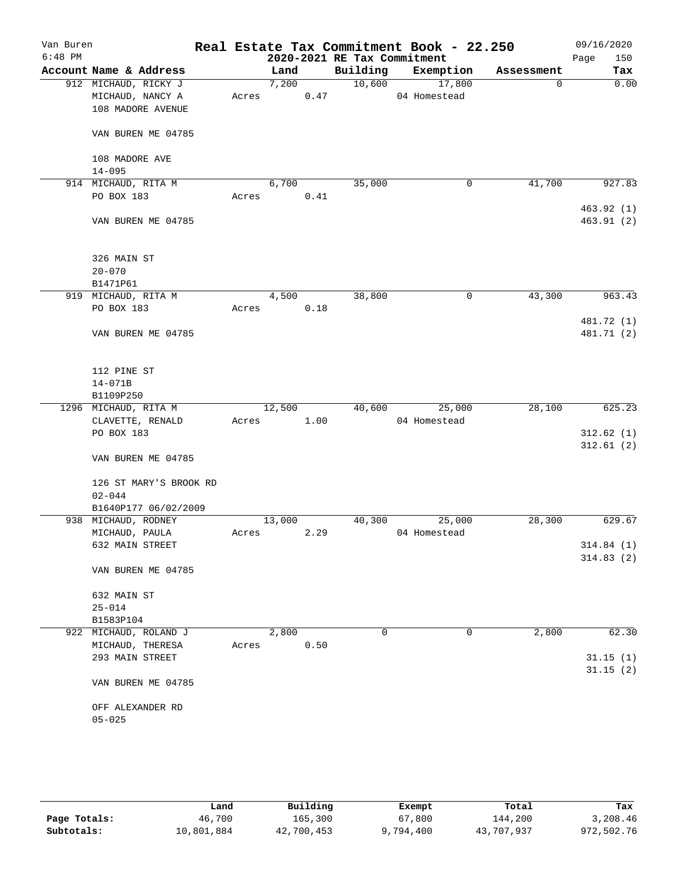| Van Buren<br>$6:48$ PM |                                      |       |        |      | 2020-2021 RE Tax Commitment | Real Estate Tax Commitment Book - 22.250 |            | 09/16/2020<br>Page<br>150 |
|------------------------|--------------------------------------|-------|--------|------|-----------------------------|------------------------------------------|------------|---------------------------|
|                        | Account Name & Address               |       | Land   |      | Building                    | Exemption                                | Assessment | Tax                       |
|                        | 912 MICHAUD, RICKY J                 |       | 7,200  |      |                             | 10,600<br>17,800                         | 0          | 0.00                      |
|                        | MICHAUD, NANCY A                     | Acres |        | 0.47 |                             | 04 Homestead                             |            |                           |
|                        | 108 MADORE AVENUE                    |       |        |      |                             |                                          |            |                           |
|                        | VAN BUREN ME 04785                   |       |        |      |                             |                                          |            |                           |
|                        | 108 MADORE AVE                       |       |        |      |                             |                                          |            |                           |
|                        | $14 - 095$                           |       |        |      |                             |                                          |            |                           |
|                        | 914 MICHAUD, RITA M                  |       | 6,700  |      | 35,000                      | 0                                        | 41,700     | 927.83                    |
|                        | PO BOX 183                           | Acres |        | 0.41 |                             |                                          |            |                           |
|                        |                                      |       |        |      |                             |                                          |            | 463.92(1)                 |
|                        | VAN BUREN ME 04785                   |       |        |      |                             |                                          |            | 463.91 (2)                |
|                        | 326 MAIN ST                          |       |        |      |                             |                                          |            |                           |
|                        | $20 - 070$                           |       |        |      |                             |                                          |            |                           |
|                        | B1471P61                             |       |        |      |                             |                                          |            |                           |
|                        | 919 MICHAUD, RITA M                  |       | 4,500  |      | 38,800                      | 0                                        | 43,300     | 963.43                    |
|                        | PO BOX 183                           | Acres |        | 0.18 |                             |                                          |            |                           |
|                        | VAN BUREN ME 04785                   |       |        |      |                             |                                          |            | 481.72 (1)<br>481.71 (2)  |
|                        | 112 PINE ST                          |       |        |      |                             |                                          |            |                           |
|                        | $14 - 071B$                          |       |        |      |                             |                                          |            |                           |
|                        | B1109P250                            |       |        |      |                             |                                          |            |                           |
|                        | 1296 MICHAUD, RITA M                 |       | 12,500 |      | 40,600                      | 25,000                                   | 28,100     | 625.23                    |
|                        | CLAVETTE, RENALD                     | Acres |        | 1.00 |                             | 04 Homestead                             |            |                           |
|                        | PO BOX 183                           |       |        |      |                             |                                          |            | 312.62(1)                 |
|                        | VAN BUREN ME 04785                   |       |        |      |                             |                                          |            | 312.61(2)                 |
|                        | 126 ST MARY'S BROOK RD<br>$02 - 044$ |       |        |      |                             |                                          |            |                           |
|                        | B1640P177 06/02/2009                 |       |        |      |                             |                                          |            |                           |
|                        | 938 MICHAUD, RODNEY                  |       | 13,000 |      | 40,300                      | 25,000                                   | 28,300     | 629.67                    |
|                        | MICHAUD, PAULA                       | Acres |        | 2.29 |                             | 04 Homestead                             |            |                           |
|                        | 632 MAIN STREET                      |       |        |      |                             |                                          |            | 314.84(1)                 |
|                        |                                      |       |        |      |                             |                                          |            | 314.83(2)                 |
|                        | VAN BUREN ME 04785                   |       |        |      |                             |                                          |            |                           |
|                        | 632 MAIN ST                          |       |        |      |                             |                                          |            |                           |
|                        | $25 - 014$                           |       |        |      |                             |                                          |            |                           |
|                        | B1583P104                            |       |        |      |                             |                                          |            |                           |
|                        | 922 MICHAUD, ROLAND J                |       | 2,800  |      | 0                           | 0                                        | 2,800      | 62.30                     |
|                        | MICHAUD, THERESA                     | Acres |        | 0.50 |                             |                                          |            |                           |
|                        | 293 MAIN STREET                      |       |        |      |                             |                                          |            | 31.15(1)                  |
|                        | VAN BUREN ME 04785                   |       |        |      |                             |                                          |            | 31.15(2)                  |
|                        |                                      |       |        |      |                             |                                          |            |                           |
|                        | OFF ALEXANDER RD<br>$05 - 025$       |       |        |      |                             |                                          |            |                           |
|                        |                                      |       |        |      |                             |                                          |            |                           |

|              | Land       | Building   | Exempt    | Total      | Tax        |
|--------------|------------|------------|-----------|------------|------------|
| Page Totals: | 46,700     | 165,300    | 67,800    | 144,200    | 3,208.46   |
| Subtotals:   | 10,801,884 | 42,700,453 | 9,794,400 | 43,707,937 | 972,502.76 |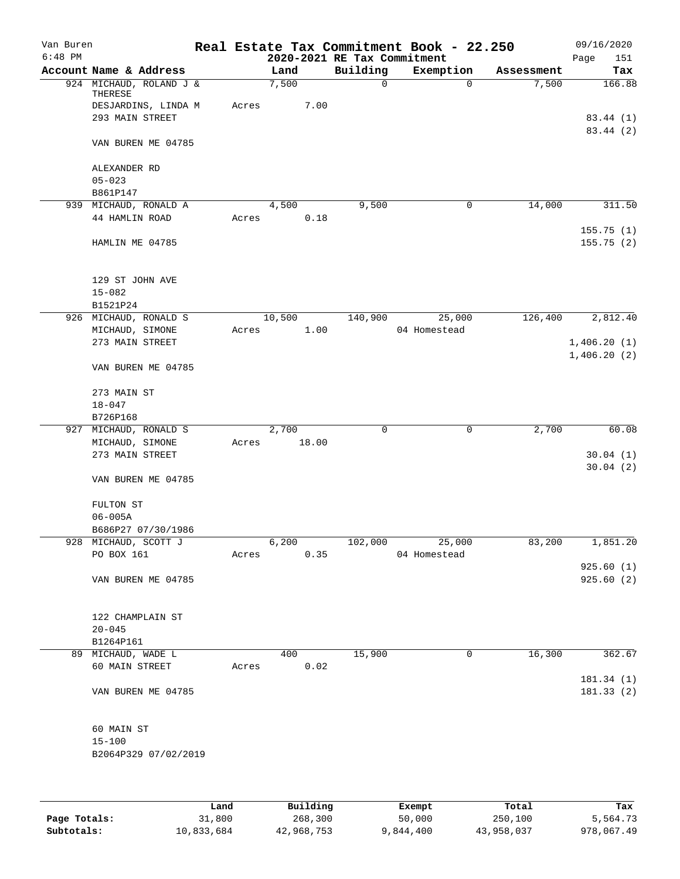| Van Buren |                                                           |       |               |                             | Real Estate Tax Commitment Book - 22.250 |            | 09/16/2020              |
|-----------|-----------------------------------------------------------|-------|---------------|-----------------------------|------------------------------------------|------------|-------------------------|
| $6:48$ PM |                                                           |       |               | 2020-2021 RE Tax Commitment |                                          |            | 151<br>Page             |
|           | Account Name & Address                                    |       | Land          | Building                    | Exemption                                | Assessment | Tax                     |
|           | 924 MICHAUD, ROLAND J &<br>THERESE<br>DESJARDINS, LINDA M | Acres | 7,500<br>7.00 | 0                           | $\mathbf 0$                              | 7,500      | 166.88                  |
|           | 293 MAIN STREET                                           |       |               |                             |                                          |            | 83.44 (1)<br>83.44 (2)  |
|           | VAN BUREN ME 04785                                        |       |               |                             |                                          |            |                         |
|           | ALEXANDER RD<br>$05 - 023$                                |       |               |                             |                                          |            |                         |
|           | B861P147                                                  |       |               |                             |                                          |            |                         |
|           | 939 MICHAUD, RONALD A                                     |       | 4,500         | 9,500                       | 0                                        | 14,000     | 311.50                  |
|           | 44 HAMLIN ROAD                                            | Acres | 0.18          |                             |                                          |            | 155.75(1)               |
|           | HAMLIN ME 04785                                           |       |               |                             |                                          |            | 155.75(2)               |
|           | 129 ST JOHN AVE<br>$15 - 082$                             |       |               |                             |                                          |            |                         |
|           | B1521P24                                                  |       |               |                             |                                          |            |                         |
|           | 926 MICHAUD, RONALD S                                     |       | 10,500        | 140,900                     | 25,000                                   | 126,400    | 2,812.40                |
|           | MICHAUD, SIMONE                                           | Acres | 1.00          |                             | 04 Homestead                             |            |                         |
|           | 273 MAIN STREET                                           |       |               |                             |                                          |            | 1,406.20(1)             |
|           |                                                           |       |               |                             |                                          |            | 1,406.20(2)             |
|           | VAN BUREN ME 04785                                        |       |               |                             |                                          |            |                         |
|           | 273 MAIN ST                                               |       |               |                             |                                          |            |                         |
|           | $18 - 047$                                                |       |               |                             |                                          |            |                         |
|           | B726P168                                                  |       |               |                             |                                          |            |                         |
|           | 927 MICHAUD, RONALD S                                     |       | 2,700         | 0                           | $\mathbf 0$                              | 2,700      | 60.08                   |
|           | MICHAUD, SIMONE                                           | Acres | 18.00         |                             |                                          |            |                         |
|           | 273 MAIN STREET                                           |       |               |                             |                                          |            | 30.04(1)                |
|           | VAN BUREN ME 04785                                        |       |               |                             |                                          |            | 30.04(2)                |
|           | FULTON ST                                                 |       |               |                             |                                          |            |                         |
|           | $06 - 005A$                                               |       |               |                             |                                          |            |                         |
|           | B686P27 07/30/1986                                        |       |               |                             |                                          |            |                         |
|           | 928 MICHAUD, SCOTT J                                      |       | 6,200         | 102,000                     | 25,000                                   | 83,200     | 1,851.20                |
|           | PO BOX 161                                                | Acres | 0.35          |                             | 04 Homestead                             |            |                         |
|           |                                                           |       |               |                             |                                          |            | 925.60(1)               |
|           | VAN BUREN ME 04785                                        |       |               |                             |                                          |            | 925.60(2)               |
|           | 122 CHAMPLAIN ST                                          |       |               |                             |                                          |            |                         |
|           | $20 - 045$                                                |       |               |                             |                                          |            |                         |
|           | B1264P161                                                 |       |               |                             |                                          |            |                         |
|           | 89 MICHAUD, WADE L                                        |       | 400           | 15,900                      | 0                                        | 16,300     | 362.67                  |
|           | 60 MAIN STREET                                            | Acres | 0.02          |                             |                                          |            |                         |
|           | VAN BUREN ME 04785                                        |       |               |                             |                                          |            | 181.34 (1)<br>181.33(2) |
|           | 60 MAIN ST                                                |       |               |                             |                                          |            |                         |
|           | $15 - 100$                                                |       |               |                             |                                          |            |                         |
|           | B2064P329 07/02/2019                                      |       |               |                             |                                          |            |                         |
|           |                                                           |       |               |                             |                                          |            |                         |
|           |                                                           |       |               |                             |                                          |            |                         |

|              | Land       | Building   | Exempt    | Total      | Tax        |
|--------------|------------|------------|-----------|------------|------------|
| Page Totals: | 31,800     | 268,300    | 50,000    | 250,100    | 5,564.73   |
| Subtotals:   | 10,833,684 | 42,968,753 | 9,844,400 | 43,958,037 | 978,067.49 |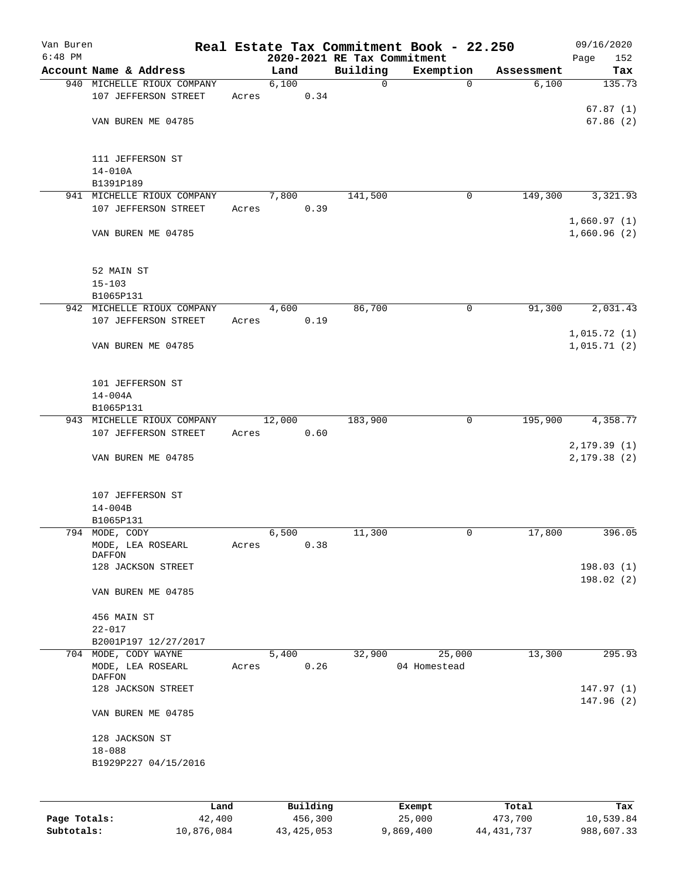| Van Buren |                                                            |       |        |      |                             | Real Estate Tax Commitment Book - 22.250 |            | 09/16/2020                  |
|-----------|------------------------------------------------------------|-------|--------|------|-----------------------------|------------------------------------------|------------|-----------------------------|
| $6:48$ PM |                                                            |       |        |      | 2020-2021 RE Tax Commitment |                                          |            | 152<br>Page                 |
|           | Account Name & Address<br>940 MICHELLE RIOUX COMPANY       |       | Land   |      | Building<br>$\mathbf 0$     | Exemption                                | Assessment | Tax<br>135.73               |
|           | 107 JEFFERSON STREET                                       | Acres | 6,100  | 0.34 |                             | 0                                        | 6,100      |                             |
|           | VAN BUREN ME 04785                                         |       |        |      |                             |                                          |            | 67.87(1)<br>67.86(2)        |
|           | 111 JEFFERSON ST<br>$14 - 010A$<br>B1391P189               |       |        |      |                             |                                          |            |                             |
| 941       | MICHELLE RIOUX COMPANY                                     |       | 7,800  |      | 141,500                     | 0                                        | 149,300    | 3,321.93                    |
|           | 107 JEFFERSON STREET                                       | Acres |        | 0.39 |                             |                                          |            |                             |
|           | VAN BUREN ME 04785                                         |       |        |      |                             |                                          |            | 1,660.97(1)<br>1,660.96(2)  |
|           | 52 MAIN ST<br>$15 - 103$<br>B1065P131                      |       |        |      |                             |                                          |            |                             |
|           | 942 MICHELLE RIOUX COMPANY                                 |       | 4,600  |      | 86,700                      | 0                                        | 91,300     | 2,031.43                    |
|           | 107 JEFFERSON STREET                                       | Acres |        | 0.19 |                             |                                          |            |                             |
|           | VAN BUREN ME 04785                                         |       |        |      |                             |                                          |            | 1,015.72(1)<br>1,015.71(2)  |
|           | 101 JEFFERSON ST<br>$14 - 004A$<br>B1065P131               |       |        |      |                             |                                          |            |                             |
|           | 943 MICHELLE RIOUX COMPANY                                 |       | 12,000 |      | 183,900                     | 0                                        | 195,900    | 4,358.77                    |
|           | 107 JEFFERSON STREET                                       | Acres |        | 0.60 |                             |                                          |            |                             |
|           | VAN BUREN ME 04785                                         |       |        |      |                             |                                          |            | 2, 179.39(1)<br>2,179.38(2) |
|           | 107 JEFFERSON ST<br>$14 - 004B$<br>B1065P131               |       |        |      |                             |                                          |            |                             |
|           | 794 MODE, CODY                                             |       | 6,500  |      | 11,300                      | 0                                        | 17,800     | 396.05                      |
|           | MODE, LEA ROSEARL<br><b>DAFFON</b>                         | Acres |        | 0.38 |                             |                                          |            |                             |
|           | 128 JACKSON STREET                                         |       |        |      |                             |                                          |            | 198.03(1)                   |
|           | VAN BUREN ME 04785                                         |       |        |      |                             |                                          |            | 198.02(2)                   |
|           | 456 MAIN ST<br>$22 - 017$                                  |       |        |      |                             |                                          |            |                             |
|           | B2001P197 12/27/2017                                       |       |        |      |                             |                                          |            |                             |
|           | 704 MODE, CODY WAYNE<br>MODE, LEA ROSEARL<br><b>DAFFON</b> | Acres | 5,400  | 0.26 | 32,900                      | 25,000<br>04 Homestead                   | 13,300     | 295.93                      |
|           | 128 JACKSON STREET                                         |       |        |      |                             |                                          |            | 147.97(1)                   |
|           | VAN BUREN ME 04785                                         |       |        |      |                             |                                          |            | 147.96(2)                   |
|           | 128 JACKSON ST                                             |       |        |      |                             |                                          |            |                             |
|           | $18 - 088$<br>B1929P227 04/15/2016                         |       |        |      |                             |                                          |            |                             |
|           |                                                            |       |        |      |                             |                                          |            |                             |
|           |                                                            |       |        |      |                             |                                          |            |                             |
|           |                                                            |       |        |      |                             |                                          |            |                             |

|              | Land       | Building   | Exempt    | Total        | Tax        |
|--------------|------------|------------|-----------|--------------|------------|
| Page Totals: | 42,400     | 456,300    | 25,000    | 473,700      | 10,539.84  |
| Subtotals:   | 10,876,084 | 43,425,053 | 9,869,400 | 44, 431, 737 | 988,607.33 |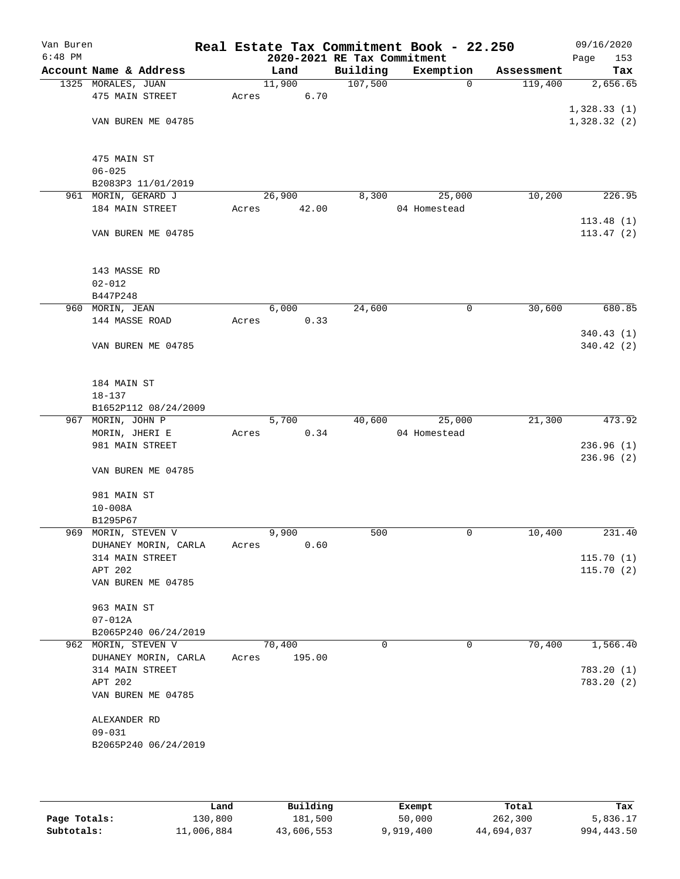| Van Buren |                                        |       |                             |          | Real Estate Tax Commitment Book - 22.250 |            | 09/16/2020  |
|-----------|----------------------------------------|-------|-----------------------------|----------|------------------------------------------|------------|-------------|
| $6:48$ PM |                                        |       | 2020-2021 RE Tax Commitment |          |                                          |            | Page<br>153 |
|           | Account Name & Address                 |       | Land                        | Building | Exemption                                | Assessment | Tax         |
|           | 1325 MORALES, JUAN                     |       | 11,900                      | 107,500  | $\mathbf 0$                              | 119,400    | 2,656.65    |
|           | 475 MAIN STREET                        | Acres | 6.70                        |          |                                          |            |             |
|           |                                        |       |                             |          |                                          |            | 1,328.33(1) |
|           | VAN BUREN ME 04785                     |       |                             |          |                                          |            | 1,328.32(2) |
|           |                                        |       |                             |          |                                          |            |             |
|           |                                        |       |                             |          |                                          |            |             |
|           | 475 MAIN ST                            |       |                             |          |                                          |            |             |
|           | $06 - 025$                             |       |                             |          |                                          |            |             |
|           | B2083P3 11/01/2019                     |       | 26,900                      | 8,300    |                                          | 10,200     | 226.95      |
|           | 961 MORIN, GERARD J<br>184 MAIN STREET | Acres | 42.00                       |          | 25,000<br>04 Homestead                   |            |             |
|           |                                        |       |                             |          |                                          |            | 113.48(1)   |
|           | VAN BUREN ME 04785                     |       |                             |          |                                          |            | 113.47(2)   |
|           |                                        |       |                             |          |                                          |            |             |
|           |                                        |       |                             |          |                                          |            |             |
|           | 143 MASSE RD                           |       |                             |          |                                          |            |             |
|           | $02 - 012$                             |       |                             |          |                                          |            |             |
|           | B447P248                               |       |                             |          |                                          |            |             |
|           | 960 MORIN, JEAN                        |       | 6,000                       | 24,600   | $\mathsf{O}$                             | 30,600     | 680.85      |
|           | 144 MASSE ROAD                         | Acres | 0.33                        |          |                                          |            |             |
|           |                                        |       |                             |          |                                          |            | 340.43(1)   |
|           | VAN BUREN ME 04785                     |       |                             |          |                                          |            | 340.42(2)   |
|           |                                        |       |                             |          |                                          |            |             |
|           |                                        |       |                             |          |                                          |            |             |
|           | 184 MAIN ST                            |       |                             |          |                                          |            |             |
|           | $18 - 137$                             |       |                             |          |                                          |            |             |
|           | B1652P112 08/24/2009                   |       |                             |          |                                          |            |             |
|           | 967 MORIN, JOHN P                      |       | 5,700                       | 40,600   | 25,000                                   | 21,300     | 473.92      |
|           | MORIN, JHERI E                         | Acres | 0.34                        |          | 04 Homestead                             |            |             |
|           | 981 MAIN STREET                        |       |                             |          |                                          |            | 236.96(1)   |
|           |                                        |       |                             |          |                                          |            | 236.96(2)   |
|           | VAN BUREN ME 04785                     |       |                             |          |                                          |            |             |
|           |                                        |       |                             |          |                                          |            |             |
|           | 981 MAIN ST                            |       |                             |          |                                          |            |             |
|           | $10 - 008A$                            |       |                             |          |                                          |            |             |
|           | B1295P67                               |       |                             |          |                                          |            |             |
|           | 969 MORIN, STEVEN V                    |       | 9,900                       | 500      | $\mathsf{O}$                             | 10,400     | 231.40      |
|           | DUHANEY MORIN, CARLA                   | Acres | 0.60                        |          |                                          |            |             |
|           | 314 MAIN STREET                        |       |                             |          |                                          |            | 115.70(1)   |
|           | APT 202                                |       |                             |          |                                          |            | 115.70(2)   |
|           | VAN BUREN ME 04785                     |       |                             |          |                                          |            |             |
|           |                                        |       |                             |          |                                          |            |             |
|           | 963 MAIN ST                            |       |                             |          |                                          |            |             |
|           | $07 - 012A$                            |       |                             |          |                                          |            |             |
|           | B2065P240 06/24/2019                   |       |                             |          |                                          |            |             |
|           | 962 MORIN, STEVEN V                    |       | 70,400                      | 0        | 0                                        | 70,400     | 1,566.40    |
|           | DUHANEY MORIN, CARLA                   | Acres | 195.00                      |          |                                          |            |             |
|           | 314 MAIN STREET                        |       |                             |          |                                          |            | 783.20(1)   |
|           | APT 202                                |       |                             |          |                                          |            | 783.20 (2)  |
|           | VAN BUREN ME 04785                     |       |                             |          |                                          |            |             |
|           |                                        |       |                             |          |                                          |            |             |
|           | ALEXANDER RD                           |       |                             |          |                                          |            |             |
|           | $09 - 031$                             |       |                             |          |                                          |            |             |
|           | B2065P240 06/24/2019                   |       |                             |          |                                          |            |             |
|           |                                        |       |                             |          |                                          |            |             |
|           |                                        |       |                             |          |                                          |            |             |

|              | Land       | Building   | Exempt    | Total      | Tax        |
|--------------|------------|------------|-----------|------------|------------|
| Page Totals: | 130,800    | 181,500    | 50,000    | 262,300    | 5,836.17   |
| Subtotals:   | 11,006,884 | 43,606,553 | 9,919,400 | 44,694,037 | 994,443.50 |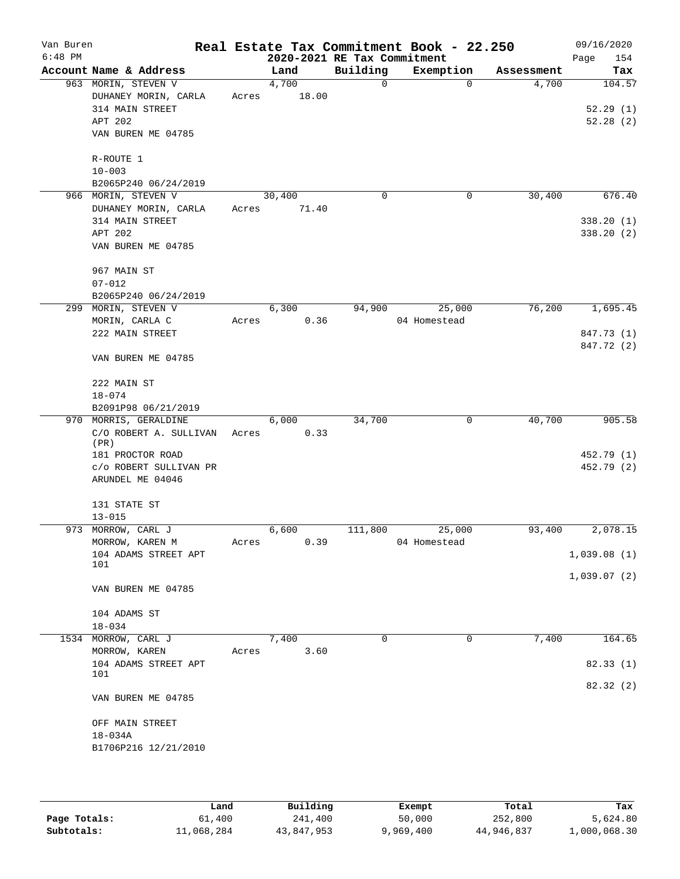| Van Buren<br>$6:48$ PM |                                |       |        | 2020-2021 RE Tax Commitment | Real Estate Tax Commitment Book - 22.250 |            | 09/16/2020<br>Page<br>154 |
|------------------------|--------------------------------|-------|--------|-----------------------------|------------------------------------------|------------|---------------------------|
|                        | Account Name & Address         |       | Land   | Building                    | Exemption                                | Assessment | Tax                       |
|                        | 963 MORIN, STEVEN V            |       | 4,700  | 0                           | $\mathbf 0$                              | 4,700      | 104.57                    |
|                        | DUHANEY MORIN, CARLA           | Acres | 18.00  |                             |                                          |            |                           |
|                        | 314 MAIN STREET                |       |        |                             |                                          |            | 52.29(1)                  |
|                        | APT 202                        |       |        |                             |                                          |            | 52.28(2)                  |
|                        | VAN BUREN ME 04785             |       |        |                             |                                          |            |                           |
|                        | R-ROUTE 1                      |       |        |                             |                                          |            |                           |
|                        | $10 - 003$                     |       |        |                             |                                          |            |                           |
|                        | B2065P240 06/24/2019           |       |        |                             |                                          |            |                           |
|                        | 966 MORIN, STEVEN V            |       | 30,400 | $\mathbf 0$                 | 0                                        | 30,400     | 676.40                    |
|                        | DUHANEY MORIN, CARLA           | Acres | 71.40  |                             |                                          |            |                           |
|                        | 314 MAIN STREET                |       |        |                             |                                          |            | 338.20(1)                 |
|                        | APT 202                        |       |        |                             |                                          |            | 338.20 (2)                |
|                        | VAN BUREN ME 04785             |       |        |                             |                                          |            |                           |
|                        | 967 MAIN ST                    |       |        |                             |                                          |            |                           |
|                        | $07 - 012$                     |       |        |                             |                                          |            |                           |
|                        | B2065P240 06/24/2019           |       |        |                             |                                          |            |                           |
|                        | 299 MORIN, STEVEN V            |       | 6,300  | 94,900                      | 25,000                                   | 76,200     | 1,695.45                  |
|                        | MORIN, CARLA C                 | Acres | 0.36   |                             | 04 Homestead                             |            |                           |
|                        | 222 MAIN STREET                |       |        |                             |                                          |            | 847.73 (1)                |
|                        | VAN BUREN ME 04785             |       |        |                             |                                          |            | 847.72 (2)                |
|                        |                                |       |        |                             |                                          |            |                           |
|                        | 222 MAIN ST                    |       |        |                             |                                          |            |                           |
|                        | $18 - 074$                     |       |        |                             |                                          |            |                           |
|                        | B2091P98 06/21/2019            |       |        |                             |                                          |            |                           |
|                        | 970 MORRIS, GERALDINE          |       | 6,000  | 34,700                      | 0                                        | 40,700     | 905.58                    |
|                        | C/O ROBERT A. SULLIVAN<br>(PR) | Acres | 0.33   |                             |                                          |            |                           |
|                        | 181 PROCTOR ROAD               |       |        |                             |                                          |            | 452.79 (1)                |
|                        | C/O ROBERT SULLIVAN PR         |       |        |                             |                                          |            | 452.79 (2)                |
|                        | ARUNDEL ME 04046               |       |        |                             |                                          |            |                           |
|                        | 131 STATE ST                   |       |        |                             |                                          |            |                           |
|                        | $13 - 015$                     |       |        |                             |                                          |            |                           |
|                        | 973 MORROW, CARL J             |       | 6,600  | 111,800                     | 25,000                                   | 93,400     | 2,078.15                  |
|                        | MORROW, KAREN M                | Acres | 0.39   |                             | 04 Homestead                             |            |                           |
|                        | 104 ADAMS STREET APT           |       |        |                             |                                          |            | 1,039.08(1)               |
|                        | 101                            |       |        |                             |                                          |            | 1,039.07(2)               |
|                        | VAN BUREN ME 04785             |       |        |                             |                                          |            |                           |
|                        | 104 ADAMS ST                   |       |        |                             |                                          |            |                           |
|                        | $18 - 034$                     |       |        |                             |                                          |            |                           |
|                        | 1534 MORROW, CARL J            |       | 7,400  | $\Omega$                    | $\mathbf 0$                              | 7,400      | 164.65                    |
|                        | MORROW, KAREN                  | Acres | 3.60   |                             |                                          |            |                           |
|                        | 104 ADAMS STREET APT           |       |        |                             |                                          |            | 82.33(1)                  |
|                        | 101                            |       |        |                             |                                          |            | 82.32(2)                  |
|                        | VAN BUREN ME 04785             |       |        |                             |                                          |            |                           |
|                        | OFF MAIN STREET                |       |        |                             |                                          |            |                           |
|                        | $18 - 034A$                    |       |        |                             |                                          |            |                           |
|                        | B1706P216 12/21/2010           |       |        |                             |                                          |            |                           |
|                        |                                |       |        |                             |                                          |            |                           |

|              | Land       | Building   | Exempt    | Total      | Tax          |
|--------------|------------|------------|-----------|------------|--------------|
| Page Totals: | 61,400     | 241,400    | 50,000    | 252,800    | 5,624.80     |
| Subtotals:   | 11,068,284 | 43,847,953 | 9,969,400 | 44,946,837 | 1,000,068.30 |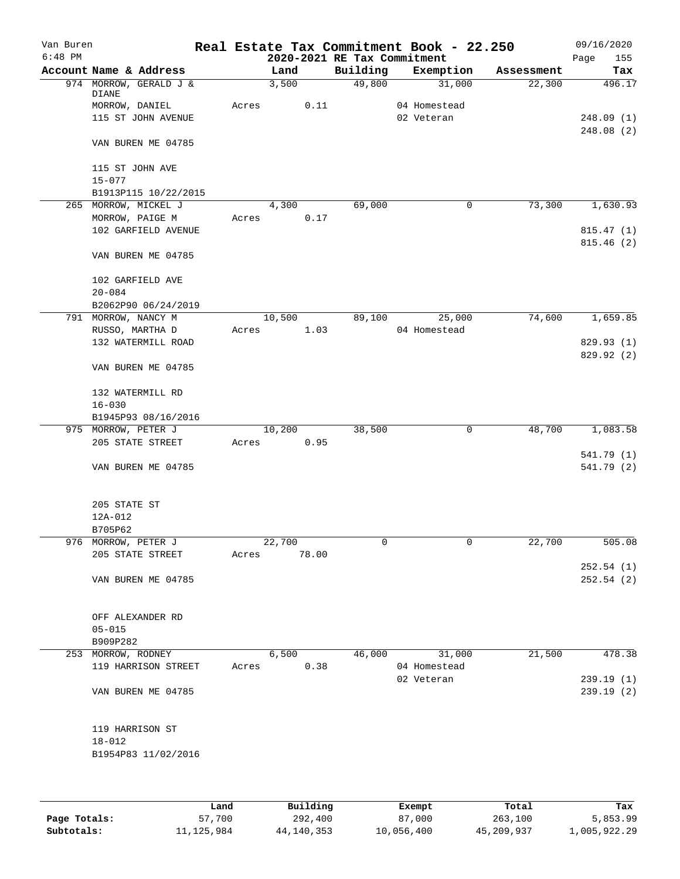| Van Buren |                                 |       |        |                             | Real Estate Tax Commitment Book - 22.250 |            | 09/16/2020  |
|-----------|---------------------------------|-------|--------|-----------------------------|------------------------------------------|------------|-------------|
| $6:48$ PM |                                 |       |        | 2020-2021 RE Tax Commitment |                                          |            | 155<br>Page |
|           | Account Name & Address          |       | Land   | Building                    | Exemption                                | Assessment | Tax         |
|           | 974 MORROW, GERALD J &<br>DIANE |       | 3,500  | 49,800                      | 31,000                                   | 22,300     | 496.17      |
|           | MORROW, DANIEL                  | Acres | 0.11   |                             | 04 Homestead                             |            |             |
|           | 115 ST JOHN AVENUE              |       |        |                             | 02 Veteran                               |            | 248.09(1)   |
|           |                                 |       |        |                             |                                          |            | 248.08 (2)  |
|           | VAN BUREN ME 04785              |       |        |                             |                                          |            |             |
|           | 115 ST JOHN AVE                 |       |        |                             |                                          |            |             |
|           | $15 - 077$                      |       |        |                             |                                          |            |             |
|           | B1913P115 10/22/2015            |       |        |                             |                                          |            |             |
|           | 265 MORROW, MICKEL J            |       | 4,300  | 69,000                      | 0                                        | 73,300     | 1,630.93    |
|           | MORROW, PAIGE M                 | Acres | 0.17   |                             |                                          |            |             |
|           | 102 GARFIELD AVENUE             |       |        |                             |                                          |            | 815.47(1)   |
|           | VAN BUREN ME 04785              |       |        |                             |                                          |            | 815.46(2)   |
|           | 102 GARFIELD AVE                |       |        |                             |                                          |            |             |
|           | $20 - 084$                      |       |        |                             |                                          |            |             |
|           | B2062P90 06/24/2019             |       |        |                             |                                          |            |             |
|           | 791 MORROW, NANCY M             |       | 10,500 | 89,100                      | 25,000                                   | 74,600     | 1,659.85    |
|           | RUSSO, MARTHA D                 | Acres | 1.03   |                             | 04 Homestead                             |            |             |
|           | 132 WATERMILL ROAD              |       |        |                             |                                          |            | 829.93 (1)  |
|           | VAN BUREN ME 04785              |       |        |                             |                                          |            | 829.92(2)   |
|           |                                 |       |        |                             |                                          |            |             |
|           | 132 WATERMILL RD                |       |        |                             |                                          |            |             |
|           | $16 - 030$                      |       |        |                             |                                          |            |             |
|           | B1945P93 08/16/2016             |       |        |                             |                                          |            |             |
|           | 975 MORROW, PETER J             |       | 10,200 | 38,500                      | 0                                        | 48,700     | 1,083.58    |
|           | 205 STATE STREET                | Acres | 0.95   |                             |                                          |            |             |
|           |                                 |       |        |                             |                                          |            | 541.79 (1)  |
|           | VAN BUREN ME 04785              |       |        |                             |                                          |            | 541.79 (2)  |
|           | 205 STATE ST                    |       |        |                             |                                          |            |             |
|           | 12A-012                         |       |        |                             |                                          |            |             |
|           | B705P62                         |       |        |                             |                                          |            |             |
|           | 976 MORROW, PETER J             |       | 22,700 | 0                           | 0                                        | 22,700     | 505.08      |
|           | 205 STATE STREET                | Acres | 78.00  |                             |                                          |            |             |
|           |                                 |       |        |                             |                                          |            | 252.54(1)   |
|           | VAN BUREN ME 04785              |       |        |                             |                                          |            | 252.54(2)   |
|           |                                 |       |        |                             |                                          |            |             |
|           | OFF ALEXANDER RD                |       |        |                             |                                          |            |             |
|           | $05 - 015$                      |       |        |                             |                                          |            |             |
|           | B909P282                        |       |        |                             |                                          |            |             |
|           | 253 MORROW, RODNEY              |       | 6,500  | 46,000                      | 31,000                                   | 21,500     | 478.38      |
|           | 119 HARRISON STREET             | Acres | 0.38   |                             | 04 Homestead                             |            |             |
|           |                                 |       |        |                             | 02 Veteran                               |            | 239.19(1)   |
|           | VAN BUREN ME 04785              |       |        |                             |                                          |            | 239.19(2)   |
|           | 119 HARRISON ST                 |       |        |                             |                                          |            |             |
|           | $18 - 012$                      |       |        |                             |                                          |            |             |
|           | B1954P83 11/02/2016             |       |        |                             |                                          |            |             |
|           |                                 |       |        |                             |                                          |            |             |
|           |                                 |       |        |                             |                                          |            |             |
|           |                                 |       |        |                             |                                          |            |             |

|              | Land       | Building   | Exempt     | Total      | Tax          |
|--------------|------------|------------|------------|------------|--------------|
| Page Totals: | 57,700     | 292,400    | 87,000     | 263,100    | 5,853.99     |
| Subtotals:   | 11,125,984 | 44,140,353 | 10,056,400 | 45,209,937 | 1,005,922.29 |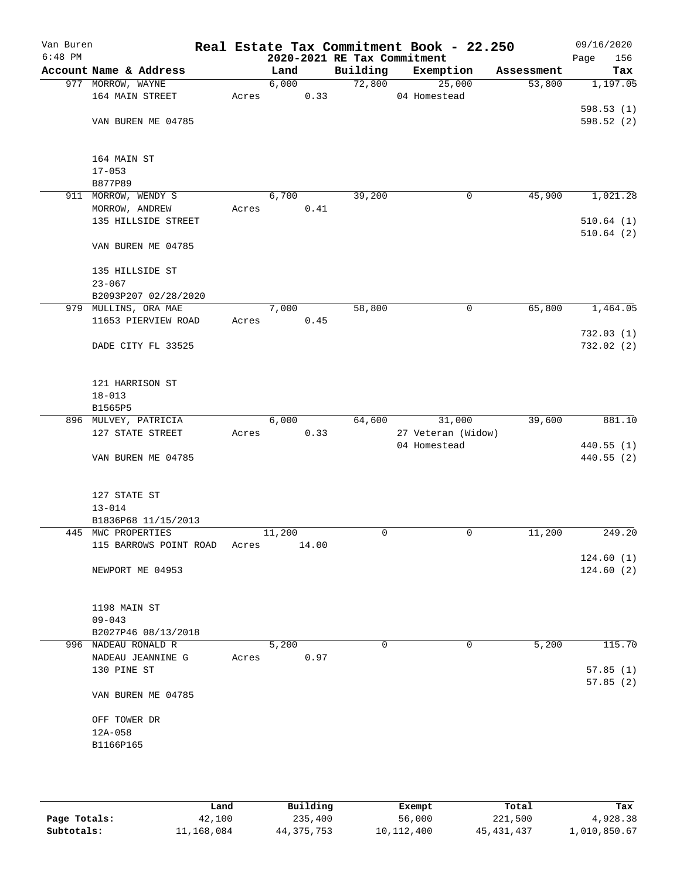| Van Buren<br>$6:48$ PM |                        |       |        |                                         | Real Estate Tax Commitment Book - 22.250 |            | 09/16/2020             |
|------------------------|------------------------|-------|--------|-----------------------------------------|------------------------------------------|------------|------------------------|
|                        | Account Name & Address |       | Land   | 2020-2021 RE Tax Commitment<br>Building | Exemption                                | Assessment | Page<br>156<br>Tax     |
|                        | 977 MORROW, WAYNE      |       | 6,000  | 72,800                                  | 25,000                                   | 53,800     | 1,197.05               |
|                        | 164 MAIN STREET        | Acres | 0.33   |                                         | 04 Homestead                             |            |                        |
|                        |                        |       |        |                                         |                                          |            | 598.53(1)              |
|                        | VAN BUREN ME 04785     |       |        |                                         |                                          |            | 598.52(2)              |
|                        |                        |       |        |                                         |                                          |            |                        |
|                        |                        |       |        |                                         |                                          |            |                        |
|                        | 164 MAIN ST            |       |        |                                         |                                          |            |                        |
|                        | $17 - 053$<br>B877P89  |       |        |                                         |                                          |            |                        |
|                        | 911 MORROW, WENDY S    |       | 6,700  | 39,200                                  | 0                                        | 45,900     | 1,021.28               |
|                        | MORROW, ANDREW         | Acres | 0.41   |                                         |                                          |            |                        |
|                        | 135 HILLSIDE STREET    |       |        |                                         |                                          |            | 510.64(1)              |
|                        |                        |       |        |                                         |                                          |            | 510.64(2)              |
|                        | VAN BUREN ME 04785     |       |        |                                         |                                          |            |                        |
|                        |                        |       |        |                                         |                                          |            |                        |
|                        | 135 HILLSIDE ST        |       |        |                                         |                                          |            |                        |
|                        | $23 - 067$             |       |        |                                         |                                          |            |                        |
|                        | B2093P207 02/28/2020   |       |        |                                         |                                          |            |                        |
|                        | 979 MULLINS, ORA MAE   |       | 7,000  | 58,800                                  | 0                                        | 65,800     | 1,464.05               |
|                        | 11653 PIERVIEW ROAD    | Acres | 0.45   |                                         |                                          |            | 732.03 (1)             |
|                        | DADE CITY FL 33525     |       |        |                                         |                                          |            | 732.02 (2)             |
|                        |                        |       |        |                                         |                                          |            |                        |
|                        |                        |       |        |                                         |                                          |            |                        |
|                        | 121 HARRISON ST        |       |        |                                         |                                          |            |                        |
|                        | $18 - 013$             |       |        |                                         |                                          |            |                        |
|                        | B1565P5                |       |        |                                         |                                          |            |                        |
|                        | 896 MULVEY, PATRICIA   |       | 6,000  | 64,600                                  | 31,000                                   | 39,600     | 881.10                 |
|                        | 127 STATE STREET       | Acres | 0.33   |                                         | 27 Veteran (Widow)                       |            |                        |
|                        |                        |       |        |                                         | 04 Homestead                             |            | 440.55(1)<br>440.55(2) |
|                        | VAN BUREN ME 04785     |       |        |                                         |                                          |            |                        |
|                        |                        |       |        |                                         |                                          |            |                        |
|                        | 127 STATE ST           |       |        |                                         |                                          |            |                        |
|                        | $13 - 014$             |       |        |                                         |                                          |            |                        |
|                        | B1836P68 11/15/2013    |       |        |                                         |                                          |            |                        |
|                        | 445 MWC PROPERTIES     |       | 11,200 | 0                                       | 0                                        | 11,200     | 249.20                 |
|                        | 115 BARROWS POINT ROAD | Acres | 14.00  |                                         |                                          |            |                        |
|                        | NEWPORT ME 04953       |       |        |                                         |                                          |            | 124.60(1)<br>124.60(2) |
|                        |                        |       |        |                                         |                                          |            |                        |
|                        |                        |       |        |                                         |                                          |            |                        |
|                        | 1198 MAIN ST           |       |        |                                         |                                          |            |                        |
|                        | $09 - 043$             |       |        |                                         |                                          |            |                        |
|                        | B2027P46 08/13/2018    |       |        |                                         |                                          |            |                        |
|                        | 996 NADEAU RONALD R    |       | 5,200  | 0                                       | 0                                        | 5,200      | 115.70                 |
|                        | NADEAU JEANNINE G      | Acres | 0.97   |                                         |                                          |            |                        |
|                        | 130 PINE ST            |       |        |                                         |                                          |            | 57.85(1)               |
|                        | VAN BUREN ME 04785     |       |        |                                         |                                          |            | 57.85(2)               |
|                        |                        |       |        |                                         |                                          |            |                        |
|                        | OFF TOWER DR           |       |        |                                         |                                          |            |                        |
|                        | 12A-058<br>B1166P165   |       |        |                                         |                                          |            |                        |
|                        |                        |       |        |                                         |                                          |            |                        |
|                        |                        |       |        |                                         |                                          |            |                        |
|                        |                        |       |        |                                         |                                          |            |                        |

|              | Land       | Building   | Exempt     | Total        | Tax          |
|--------------|------------|------------|------------|--------------|--------------|
| Page Totals: | 42,100     | 235,400    | 56,000     | 221,500      | 4,928.38     |
| Subtotals:   | 11,168,084 | 44,375,753 | 10,112,400 | 45, 431, 437 | l,010,850.67 |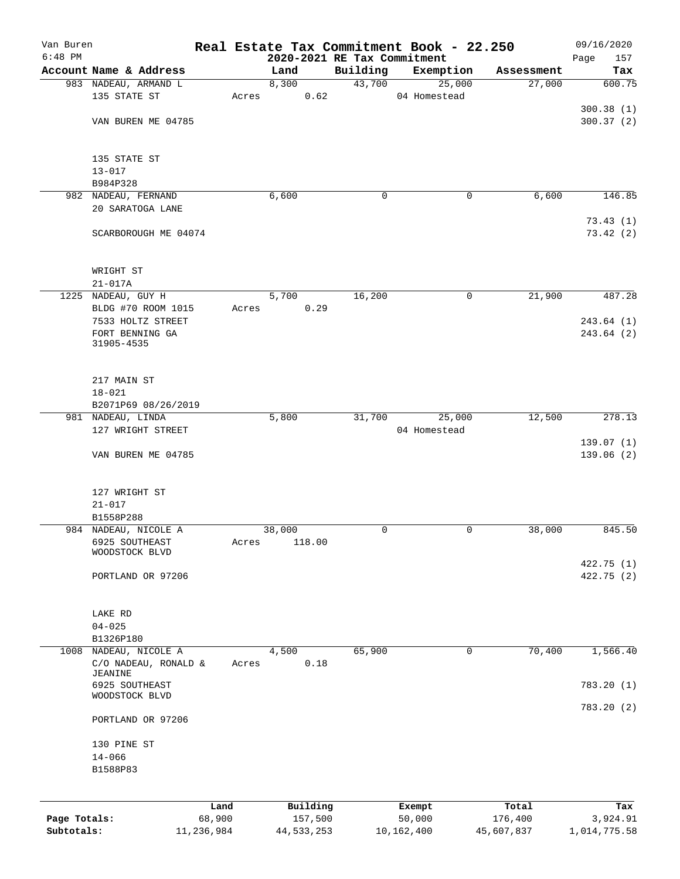| Van Buren    |                                  |                |       |                     |                             | Real Estate Tax Commitment Book - 22.250 |                  | 09/16/2020      |
|--------------|----------------------------------|----------------|-------|---------------------|-----------------------------|------------------------------------------|------------------|-----------------|
| $6:48$ PM    |                                  |                |       |                     | 2020-2021 RE Tax Commitment |                                          |                  | 157<br>Page     |
|              | Account Name & Address           |                |       | Land                | Building                    | Exemption                                | Assessment       | Tax             |
|              | 983 NADEAU, ARMAND L             |                |       | 8,300               | 43,700                      | 25,000                                   | 27,000           | 600.75          |
|              | 135 STATE ST                     |                | Acres | 0.62                |                             | 04 Homestead                             |                  |                 |
|              |                                  |                |       |                     |                             |                                          |                  | 300.38(1)       |
|              | VAN BUREN ME 04785               |                |       |                     |                             |                                          |                  | 300.37(2)       |
|              |                                  |                |       |                     |                             |                                          |                  |                 |
|              | 135 STATE ST                     |                |       |                     |                             |                                          |                  |                 |
|              | $13 - 017$                       |                |       |                     |                             |                                          |                  |                 |
|              | B984P328                         |                |       |                     |                             |                                          |                  |                 |
|              | 982 NADEAU, FERNAND              |                |       | 6,600               | 0                           | $\mathbf 0$                              | 6,600            | 146.85          |
|              | 20 SARATOGA LANE                 |                |       |                     |                             |                                          |                  |                 |
|              |                                  |                |       |                     |                             |                                          |                  | 73.43(1)        |
|              | SCARBOROUGH ME 04074             |                |       |                     |                             |                                          |                  | 73.42(2)        |
|              |                                  |                |       |                     |                             |                                          |                  |                 |
|              |                                  |                |       |                     |                             |                                          |                  |                 |
|              | WRIGHT ST                        |                |       |                     |                             |                                          |                  |                 |
|              | $21 - 017A$                      |                |       |                     |                             |                                          |                  |                 |
|              | 1225 NADEAU, GUY H               |                |       | 5,700               | 16,200                      | 0                                        | 21,900           | 487.28          |
|              | BLDG #70 ROOM 1015               |                | Acres | 0.29                |                             |                                          |                  |                 |
|              | 7533 HOLTZ STREET                |                |       |                     |                             |                                          |                  | 243.64(1)       |
|              | FORT BENNING GA                  |                |       |                     |                             |                                          |                  | 243.64(2)       |
|              | 31905-4535                       |                |       |                     |                             |                                          |                  |                 |
|              |                                  |                |       |                     |                             |                                          |                  |                 |
|              |                                  |                |       |                     |                             |                                          |                  |                 |
|              | 217 MAIN ST                      |                |       |                     |                             |                                          |                  |                 |
|              | $18 - 021$                       |                |       |                     |                             |                                          |                  |                 |
|              | B2071P69 08/26/2019              |                |       |                     |                             |                                          |                  |                 |
|              | 981 NADEAU, LINDA                |                |       | 5,800               | 31,700                      | 25,000                                   | 12,500           | 278.13          |
|              | 127 WRIGHT STREET                |                |       |                     |                             | 04 Homestead                             |                  |                 |
|              |                                  |                |       |                     |                             |                                          |                  | 139.07(1)       |
|              | VAN BUREN ME 04785               |                |       |                     |                             |                                          |                  | 139.06(2)       |
|              | 127 WRIGHT ST                    |                |       |                     |                             |                                          |                  |                 |
|              | $21 - 017$                       |                |       |                     |                             |                                          |                  |                 |
|              | B1558P288                        |                |       |                     |                             |                                          |                  |                 |
|              | 984 NADEAU, NICOLE A             |                |       | 38,000              | 0                           | 0                                        | 38,000           | 845.50          |
|              | 6925 SOUTHEAST                   |                | Acres | 118.00              |                             |                                          |                  |                 |
|              | WOODSTOCK BLVD                   |                |       |                     |                             |                                          |                  |                 |
|              |                                  |                |       |                     |                             |                                          |                  | 422.75 (1)      |
|              | PORTLAND OR 97206                |                |       |                     |                             |                                          |                  | 422.75 (2)      |
|              |                                  |                |       |                     |                             |                                          |                  |                 |
|              |                                  |                |       |                     |                             |                                          |                  |                 |
|              | LAKE RD                          |                |       |                     |                             |                                          |                  |                 |
|              | $04 - 025$                       |                |       |                     |                             |                                          |                  |                 |
|              | B1326P180                        |                |       |                     |                             |                                          |                  |                 |
| 1008         | NADEAU, NICOLE A                 |                |       | 4,500               | 65,900                      | 0                                        | 70,400           | 1,566.40        |
|              | C/O NADEAU, RONALD &             |                | Acres | 0.18                |                             |                                          |                  |                 |
|              | JEANINE                          |                |       |                     |                             |                                          |                  |                 |
|              | 6925 SOUTHEAST<br>WOODSTOCK BLVD |                |       |                     |                             |                                          |                  | 783.20(1)       |
|              |                                  |                |       |                     |                             |                                          |                  | 783.20(2)       |
|              | PORTLAND OR 97206                |                |       |                     |                             |                                          |                  |                 |
|              |                                  |                |       |                     |                             |                                          |                  |                 |
|              | 130 PINE ST                      |                |       |                     |                             |                                          |                  |                 |
|              | $14 - 066$                       |                |       |                     |                             |                                          |                  |                 |
|              | B1588P83                         |                |       |                     |                             |                                          |                  |                 |
|              |                                  |                |       |                     |                             |                                          |                  |                 |
| Page Totals: |                                  | Land<br>68,900 |       | Building<br>157,500 |                             | Exempt<br>50,000                         | Total<br>176,400 | Tax<br>3,924.91 |
| Subtotals:   |                                  | 11,236,984     |       | 44,533,253          |                             | 10,162,400                               | 45,607,837       | 1,014,775.58    |
|              |                                  |                |       |                     |                             |                                          |                  |                 |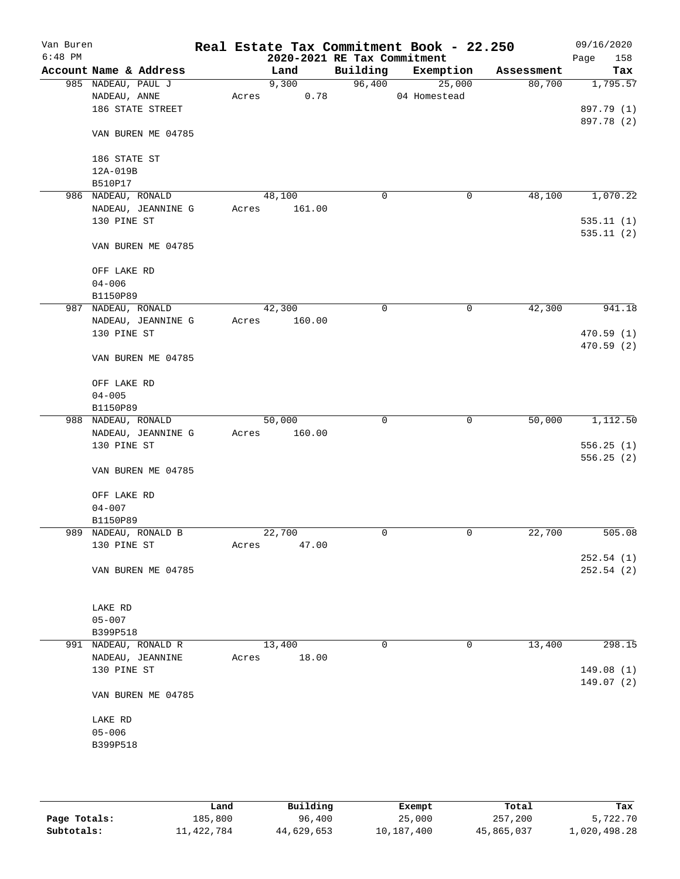| Van Buren<br>$6:48$ PM |                        |       | 2020-2021 RE Tax Commitment |             | Real Estate Tax Commitment Book - 22.250 |            | 09/16/2020<br>Page<br>158 |
|------------------------|------------------------|-------|-----------------------------|-------------|------------------------------------------|------------|---------------------------|
|                        | Account Name & Address |       | Land                        | Building    | Exemption                                | Assessment | Tax                       |
|                        | 985 NADEAU, PAUL J     |       | 9,300                       | 96,400      | 25,000                                   | 80,700     | 1,795.57                  |
|                        | NADEAU, ANNE           | Acres | 0.78                        |             | 04 Homestead                             |            |                           |
|                        | 186 STATE STREET       |       |                             |             |                                          |            | 897.79 (1)                |
|                        |                        |       |                             |             |                                          |            | 897.78 (2)                |
|                        | VAN BUREN ME 04785     |       |                             |             |                                          |            |                           |
|                        | 186 STATE ST           |       |                             |             |                                          |            |                           |
|                        | 12A-019B               |       |                             |             |                                          |            |                           |
|                        | B510P17                |       |                             |             |                                          |            |                           |
|                        | 986 NADEAU, RONALD     |       | 48,100                      | 0           | $\mathbf 0$                              | 48,100     | 1,070.22                  |
|                        | NADEAU, JEANNINE G     | Acres | 161.00                      |             |                                          |            |                           |
|                        | 130 PINE ST            |       |                             |             |                                          |            | 535.11(1)                 |
|                        |                        |       |                             |             |                                          |            | 535.11(2)                 |
|                        | VAN BUREN ME 04785     |       |                             |             |                                          |            |                           |
|                        | OFF LAKE RD            |       |                             |             |                                          |            |                           |
|                        | $04 - 006$             |       |                             |             |                                          |            |                           |
|                        | B1150P89               |       |                             |             |                                          |            |                           |
|                        | 987 NADEAU, RONALD     |       | 42,300                      | 0           | 0                                        | 42,300     | 941.18                    |
|                        | NADEAU, JEANNINE G     | Acres | 160.00                      |             |                                          |            |                           |
|                        | 130 PINE ST            |       |                             |             |                                          |            | 470.59(1)<br>470.59 (2)   |
|                        | VAN BUREN ME 04785     |       |                             |             |                                          |            |                           |
|                        | OFF LAKE RD            |       |                             |             |                                          |            |                           |
|                        | $04 - 005$             |       |                             |             |                                          |            |                           |
|                        | B1150P89               |       |                             |             |                                          |            |                           |
|                        | 988 NADEAU, RONALD     |       | 50,000                      | 0           | 0                                        | 50,000     | 1,112.50                  |
|                        | NADEAU, JEANNINE G     | Acres | 160.00                      |             |                                          |            |                           |
|                        | 130 PINE ST            |       |                             |             |                                          |            | 556.25(1)                 |
|                        |                        |       |                             |             |                                          |            | 556.25(2)                 |
|                        | VAN BUREN ME 04785     |       |                             |             |                                          |            |                           |
|                        | OFF LAKE RD            |       |                             |             |                                          |            |                           |
|                        | $04 - 007$             |       |                             |             |                                          |            |                           |
|                        | B1150P89               |       |                             |             |                                          |            |                           |
|                        | 989 NADEAU, RONALD B   |       | 22,700                      | $\mathbf 0$ | 0                                        | 22,700     | 505.08                    |
|                        | 130 PINE ST            | Acres | 47.00                       |             |                                          |            |                           |
|                        |                        |       |                             |             |                                          |            | 252.54(1)                 |
|                        | VAN BUREN ME 04785     |       |                             |             |                                          |            | 252.54(2)                 |
|                        |                        |       |                             |             |                                          |            |                           |
|                        | LAKE RD                |       |                             |             |                                          |            |                           |
|                        | $05 - 007$             |       |                             |             |                                          |            |                           |
|                        | B399P518               |       |                             |             |                                          |            |                           |
| 991                    | NADEAU, RONALD R       |       | 13,400                      | 0           | 0                                        | 13,400     | 298.15                    |
|                        | NADEAU, JEANNINE       | Acres | 18.00                       |             |                                          |            |                           |
|                        | 130 PINE ST            |       |                             |             |                                          |            | 149.08(1)                 |
|                        | VAN BUREN ME 04785     |       |                             |             |                                          |            | 149.07(2)                 |
|                        | LAKE RD                |       |                             |             |                                          |            |                           |
|                        | $05 - 006$             |       |                             |             |                                          |            |                           |
|                        | B399P518               |       |                             |             |                                          |            |                           |
|                        |                        |       |                             |             |                                          |            |                           |
|                        |                        |       |                             |             |                                          |            |                           |
|                        |                        |       |                             |             |                                          |            |                           |
|                        |                        |       |                             |             |                                          |            |                           |

|              | Land       | Building   | Exempt     | Total      | Tax          |
|--------------|------------|------------|------------|------------|--------------|
| Page Totals: | 185,800    | 96,400     | 25,000     | 257,200    | 5,722.70     |
| Subtotals:   | 11,422,784 | 44,629,653 | 10,187,400 | 45,865,037 | 1,020,498.28 |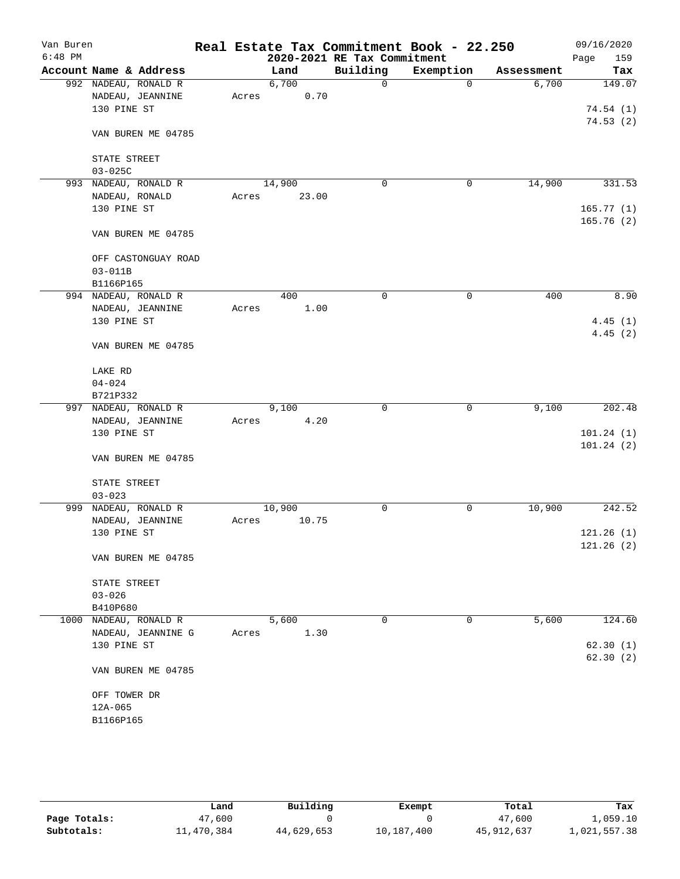| Van Buren |                                          |       |               |                             | Real Estate Tax Commitment Book - 22.250 |            | 09/16/2020             |
|-----------|------------------------------------------|-------|---------------|-----------------------------|------------------------------------------|------------|------------------------|
| $6:48$ PM |                                          |       |               | 2020-2021 RE Tax Commitment |                                          |            | 159<br>Page            |
|           | Account Name & Address                   |       | Land          | Building                    | Exemption                                | Assessment | Tax                    |
|           | 992 NADEAU, RONALD R                     |       | 6,700         | $\mathbf 0$                 | $\mathbf 0$                              | 6,700      | 149.07                 |
|           | NADEAU, JEANNINE<br>130 PINE ST          | Acres | 0.70          |                             |                                          |            | 74.54(1)               |
|           |                                          |       |               |                             |                                          |            | 74.53(2)               |
|           | VAN BUREN ME 04785                       |       |               |                             |                                          |            |                        |
|           | STATE STREET                             |       |               |                             |                                          |            |                        |
|           | $03 - 025C$                              |       |               |                             |                                          |            |                        |
|           | 993 NADEAU, RONALD R                     |       | 14,900        | $\mathbf 0$                 | 0                                        | 14,900     | 331.53                 |
|           | NADEAU, RONALD                           | Acres | 23.00         |                             |                                          |            |                        |
|           | 130 PINE ST                              |       |               |                             |                                          |            | 165.77(1)              |
|           | VAN BUREN ME 04785                       |       |               |                             |                                          |            | 165.76(2)              |
|           | OFF CASTONGUAY ROAD                      |       |               |                             |                                          |            |                        |
|           | $03 - 011B$                              |       |               |                             |                                          |            |                        |
|           | B1166P165                                |       |               |                             |                                          |            |                        |
|           | 994 NADEAU, RONALD R                     |       | 400           | $\mathbf 0$                 | 0                                        | 400        | 8.90                   |
|           | NADEAU, JEANNINE                         | Acres | 1.00          |                             |                                          |            |                        |
|           | 130 PINE ST                              |       |               |                             |                                          |            | 4.45(1)<br>4.45(2)     |
|           | VAN BUREN ME 04785                       |       |               |                             |                                          |            |                        |
|           | LAKE RD                                  |       |               |                             |                                          |            |                        |
|           | $04 - 024$                               |       |               |                             |                                          |            |                        |
|           | B721P332                                 |       |               |                             |                                          |            |                        |
|           | 997 NADEAU, RONALD R<br>NADEAU, JEANNINE |       | 9,100<br>4.20 | 0                           | 0                                        | 9,100      | 202.48                 |
|           | 130 PINE ST                              | Acres |               |                             |                                          |            | 101.24(1)              |
|           |                                          |       |               |                             |                                          |            | 101.24(2)              |
|           | VAN BUREN ME 04785                       |       |               |                             |                                          |            |                        |
|           | STATE STREET                             |       |               |                             |                                          |            |                        |
|           | $03 - 023$                               |       |               |                             |                                          |            |                        |
|           | 999 NADEAU, RONALD R                     |       | 10,900        | 0                           | 0                                        | 10,900     | 242.52                 |
|           | NADEAU, JEANNINE                         | Acres | 10.75         |                             |                                          |            |                        |
|           | 130 PINE ST                              |       |               |                             |                                          |            | 121.26(1)<br>121.26(2) |
|           | VAN BUREN ME 04785                       |       |               |                             |                                          |            |                        |
|           | STATE STREET                             |       |               |                             |                                          |            |                        |
|           | $03 - 026$                               |       |               |                             |                                          |            |                        |
|           | B410P680                                 |       |               |                             |                                          |            |                        |
| 1000      | NADEAU, RONALD R                         |       | 5,600         | 0                           | 0                                        | 5,600      | 124.60                 |
|           | NADEAU, JEANNINE G                       | Acres | 1.30          |                             |                                          |            |                        |
|           | 130 PINE ST                              |       |               |                             |                                          |            | 62.30(1)<br>62.30(2)   |
|           | VAN BUREN ME 04785                       |       |               |                             |                                          |            |                        |
|           | OFF TOWER DR                             |       |               |                             |                                          |            |                        |
|           | $12A-065$                                |       |               |                             |                                          |            |                        |
|           | B1166P165                                |       |               |                             |                                          |            |                        |
|           |                                          |       |               |                             |                                          |            |                        |

|              | Land       | Building   | Exempt     | Total      | Tax          |
|--------------|------------|------------|------------|------------|--------------|
| Page Totals: | 47,600     |            |            | 47,600     | 1,059.10     |
| Subtotals:   | 11,470,384 | 44,629,653 | 10,187,400 | 45,912,637 | 1,021,557.38 |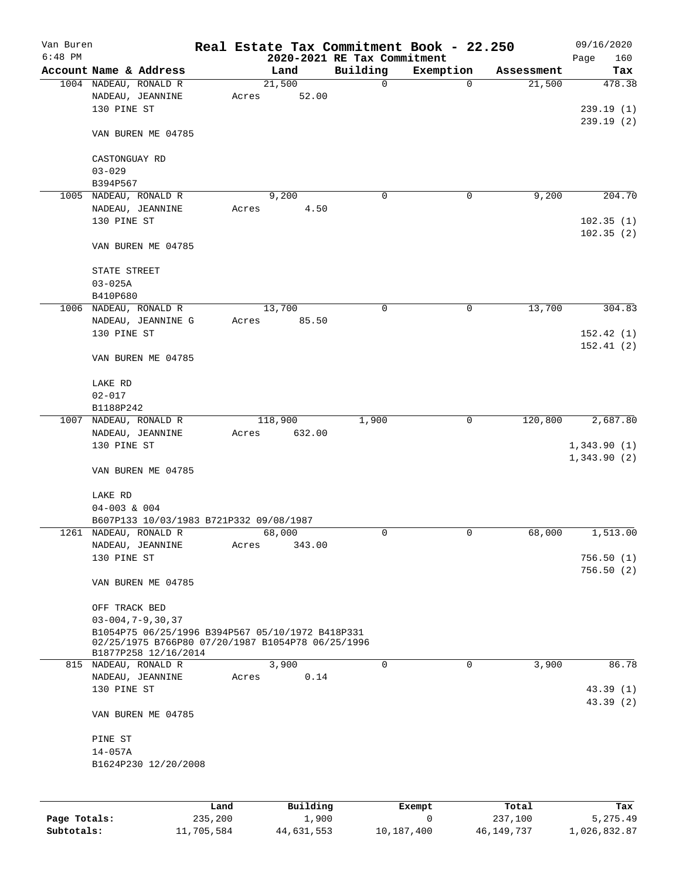| Van Buren<br>$6:48$ PM |                                                                           |       |          | 2020-2021 RE Tax Commitment | Real Estate Tax Commitment Book - 22.250 |            | 09/16/2020<br>160 |
|------------------------|---------------------------------------------------------------------------|-------|----------|-----------------------------|------------------------------------------|------------|-------------------|
|                        | Account Name & Address                                                    |       | Land     | Building                    | Exemption                                | Assessment | Page<br>Tax       |
|                        | 1004 NADEAU, RONALD R                                                     |       | 21,500   | 0                           | 0                                        | 21,500     | 478.38            |
|                        | NADEAU, JEANNINE                                                          | Acres | 52.00    |                             |                                          |            |                   |
|                        | 130 PINE ST                                                               |       |          |                             |                                          |            | 239.19(1)         |
|                        |                                                                           |       |          |                             |                                          |            | 239.19(2)         |
|                        | VAN BUREN ME 04785                                                        |       |          |                             |                                          |            |                   |
|                        | CASTONGUAY RD                                                             |       |          |                             |                                          |            |                   |
|                        | $03 - 029$                                                                |       |          |                             |                                          |            |                   |
|                        | B394P567                                                                  |       |          |                             |                                          |            |                   |
|                        | 1005 NADEAU, RONALD R                                                     |       | 9,200    | 0                           | 0                                        | 9,200      | 204.70            |
|                        | NADEAU, JEANNINE                                                          | Acres | 4.50     |                             |                                          |            |                   |
|                        | 130 PINE ST                                                               |       |          |                             |                                          |            | 102.35(1)         |
|                        | VAN BUREN ME 04785                                                        |       |          |                             |                                          |            | 102.35(2)         |
|                        |                                                                           |       |          |                             |                                          |            |                   |
|                        | STATE STREET                                                              |       |          |                             |                                          |            |                   |
|                        | $03 - 025A$                                                               |       |          |                             |                                          |            |                   |
|                        | B410P680<br>1006 NADEAU, RONALD R                                         |       | 13,700   | 0                           | 0                                        | 13,700     | 304.83            |
|                        | NADEAU, JEANNINE G                                                        |       |          |                             |                                          |            |                   |
|                        | 130 PINE ST                                                               | Acres | 85.50    |                             |                                          |            | 152.42(1)         |
|                        |                                                                           |       |          |                             |                                          |            | 152.41(2)         |
|                        | VAN BUREN ME 04785                                                        |       |          |                             |                                          |            |                   |
|                        | LAKE RD                                                                   |       |          |                             |                                          |            |                   |
|                        | $02 - 017$                                                                |       |          |                             |                                          |            |                   |
|                        | B1188P242                                                                 |       |          |                             |                                          |            |                   |
|                        | 1007 NADEAU, RONALD R                                                     |       | 118,900  | 1,900                       | $\mathbf 0$                              | 120,800    | 2,687.80          |
|                        | NADEAU, JEANNINE                                                          | Acres | 632.00   |                             |                                          |            |                   |
|                        | 130 PINE ST                                                               |       |          |                             |                                          |            | 1,343.90(1)       |
|                        |                                                                           |       |          |                             |                                          |            | 1,343.90(2)       |
|                        | VAN BUREN ME 04785                                                        |       |          |                             |                                          |            |                   |
|                        | LAKE RD                                                                   |       |          |                             |                                          |            |                   |
|                        | $04 - 003$ & 004                                                          |       |          |                             |                                          |            |                   |
|                        | B607P133 10/03/1983 B721P332 09/08/1987                                   |       |          |                             |                                          |            |                   |
|                        | 1261 NADEAU, RONALD R                                                     |       | 68,000   | 0                           | $\mathbf 0$                              | 68,000     | 1,513.00          |
|                        | NADEAU, JEANNINE                                                          | Acres | 343.00   |                             |                                          |            |                   |
|                        | 130 PINE ST                                                               |       |          |                             |                                          |            | 756.50(1)         |
|                        |                                                                           |       |          |                             |                                          |            | 756.50(2)         |
|                        | VAN BUREN ME 04785                                                        |       |          |                             |                                          |            |                   |
|                        | OFF TRACK BED                                                             |       |          |                             |                                          |            |                   |
|                        | $03 - 004, 7 - 9, 30, 37$                                                 |       |          |                             |                                          |            |                   |
|                        | B1054P75 06/25/1996 B394P567 05/10/1972 B418P331                          |       |          |                             |                                          |            |                   |
|                        | 02/25/1975 B766P80 07/20/1987 B1054P78 06/25/1996<br>B1877P258 12/16/2014 |       |          |                             |                                          |            |                   |
|                        | 815 NADEAU, RONALD R                                                      |       | 3,900    | $\mathbf 0$                 | $\mathbf 0$                              | 3,900      | 86.78             |
|                        | NADEAU, JEANNINE                                                          | Acres | 0.14     |                             |                                          |            |                   |
|                        | 130 PINE ST                                                               |       |          |                             |                                          |            | 43.39(1)          |
|                        | VAN BUREN ME 04785                                                        |       |          |                             |                                          |            | 43.39(2)          |
|                        | PINE ST                                                                   |       |          |                             |                                          |            |                   |
|                        | $14 - 057A$                                                               |       |          |                             |                                          |            |                   |
|                        | B1624P230 12/20/2008                                                      |       |          |                             |                                          |            |                   |
|                        |                                                                           |       |          |                             |                                          |            |                   |
|                        |                                                                           |       |          |                             |                                          |            |                   |
|                        |                                                                           | Land  | Building |                             | Exempt                                   | Total      | Tax               |

|              | Lanu       | Building   | LXCMDL     | TOLAT      | 1ax.         |
|--------------|------------|------------|------------|------------|--------------|
| Page Totals: | 235,200    | 1,900      |            | 237,100    | 5,275.49     |
| Subtotals:   | 11,705,584 | 44,631,553 | 10,187,400 | 46,149,737 | 1,026,832.87 |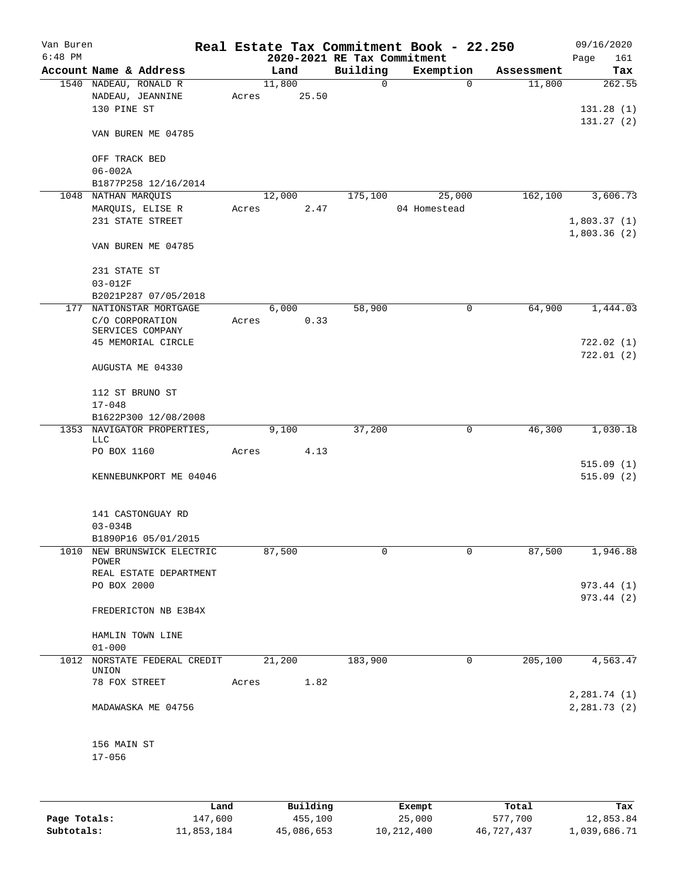| Van Buren |                                     |       |        |       | Real Estate Tax Commitment Book - 22.250 |              |          |            | 09/16/2020             |
|-----------|-------------------------------------|-------|--------|-------|------------------------------------------|--------------|----------|------------|------------------------|
| $6:48$ PM |                                     |       |        |       | 2020-2021 RE Tax Commitment              |              |          |            | 161<br>Page            |
|           | Account Name & Address              |       | Land   |       | Building<br>0                            | Exemption    | $\Omega$ | Assessment | Tax                    |
|           | 1540 NADEAU, RONALD R               |       | 11,800 |       |                                          |              |          | 11,800     | 262.55                 |
|           | NADEAU, JEANNINE<br>130 PINE ST     | Acres |        | 25.50 |                                          |              |          |            |                        |
|           |                                     |       |        |       |                                          |              |          |            | 131.28(1)<br>131.27(2) |
|           | VAN BUREN ME 04785                  |       |        |       |                                          |              |          |            |                        |
|           | OFF TRACK BED                       |       |        |       |                                          |              |          |            |                        |
|           | $06 - 002A$                         |       |        |       |                                          |              |          |            |                        |
|           | B1877P258 12/16/2014                |       |        |       |                                          |              |          |            |                        |
|           | 1048 NATHAN MARQUIS                 |       | 12,000 |       | 175,100                                  |              | 25,000   | 162,100    | 3,606.73               |
|           | MARQUIS, ELISE R                    | Acres |        | 2.47  |                                          | 04 Homestead |          |            |                        |
|           | 231 STATE STREET                    |       |        |       |                                          |              |          |            | 1,803.37(1)            |
|           | VAN BUREN ME 04785                  |       |        |       |                                          |              |          |            | 1,803.36(2)            |
|           |                                     |       |        |       |                                          |              |          |            |                        |
|           | 231 STATE ST                        |       |        |       |                                          |              |          |            |                        |
|           | $03 - 012F$                         |       |        |       |                                          |              |          |            |                        |
|           | B2021P287 07/05/2018                |       |        |       |                                          |              |          |            |                        |
| 177       | NATIONSTAR MORTGAGE                 |       | 6,000  |       | 58,900                                   |              | 0        | 64,900     | 1,444.03               |
|           | C/O CORPORATION<br>SERVICES COMPANY | Acres |        | 0.33  |                                          |              |          |            |                        |
|           | 45 MEMORIAL CIRCLE                  |       |        |       |                                          |              |          |            | 722.02(1)              |
|           |                                     |       |        |       |                                          |              |          |            | 722.01(2)              |
|           | AUGUSTA ME 04330                    |       |        |       |                                          |              |          |            |                        |
|           | 112 ST BRUNO ST                     |       |        |       |                                          |              |          |            |                        |
|           | $17 - 048$                          |       |        |       |                                          |              |          |            |                        |
|           | B1622P300 12/08/2008                |       |        |       |                                          |              |          |            |                        |
| 1353      | NAVIGATOR PROPERTIES,<br>LLC        |       | 9,100  |       | 37,200                                   |              | 0        | 46,300     | 1,030.18               |
|           | PO BOX 1160                         | Acres |        | 4.13  |                                          |              |          |            |                        |
|           |                                     |       |        |       |                                          |              |          |            | 515.09(1)              |
|           | KENNEBUNKPORT ME 04046              |       |        |       |                                          |              |          |            | 515.09(2)              |
|           | 141 CASTONGUAY RD                   |       |        |       |                                          |              |          |            |                        |
|           | $03 - 034B$                         |       |        |       |                                          |              |          |            |                        |
|           | B1890P16 05/01/2015                 |       |        |       |                                          |              |          |            |                        |
| 1010      | NEW BRUNSWICK ELECTRIC<br>POWER     |       | 87,500 |       | 0                                        |              | 0        | 87,500     | 1,946.88               |
|           | REAL ESTATE DEPARTMENT              |       |        |       |                                          |              |          |            |                        |
|           | PO BOX 2000                         |       |        |       |                                          |              |          |            | 973.44 (1)             |
|           |                                     |       |        |       |                                          |              |          |            | 973.44 (2)             |
|           | FREDERICTON NB E3B4X                |       |        |       |                                          |              |          |            |                        |
|           | HAMLIN TOWN LINE                    |       |        |       |                                          |              |          |            |                        |
|           | $01 - 000$                          |       |        |       |                                          |              |          |            |                        |
| 1012      | NORSTATE FEDERAL CREDIT<br>UNION    |       | 21,200 |       | 183,900                                  |              | 0        | 205,100    | 4,563.47               |
|           | 78 FOX STREET                       | Acres |        | 1.82  |                                          |              |          |            |                        |
|           |                                     |       |        |       |                                          |              |          |            | 2,281.74 (1)           |
|           | MADAWASKA ME 04756                  |       |        |       |                                          |              |          |            | 2,281.73(2)            |
|           | 156 MAIN ST                         |       |        |       |                                          |              |          |            |                        |
|           | $17 - 056$                          |       |        |       |                                          |              |          |            |                        |
|           |                                     |       |        |       |                                          |              |          |            |                        |
|           |                                     |       |        |       |                                          |              |          |            |                        |

|              | Land       | Building   | Exempt     | Total      | Tax          |
|--------------|------------|------------|------------|------------|--------------|
| Page Totals: | 147,600    | 455,100    | 25,000     | 577,700    | 12,853.84    |
| Subtotals:   | 11,853,184 | 45,086,653 | 10,212,400 | 46,727,437 | 1,039,686.71 |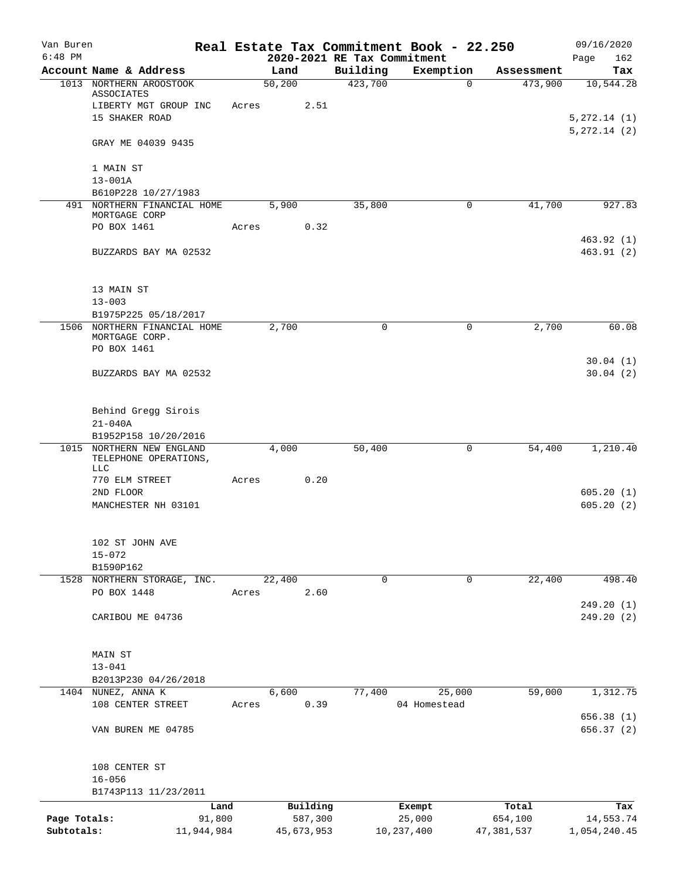| Van Buren    |                                                               |            |       |                |            |                             | Real Estate Tax Commitment Book - 22.250 |            | 09/16/2020           |
|--------------|---------------------------------------------------------------|------------|-------|----------------|------------|-----------------------------|------------------------------------------|------------|----------------------|
| $6:48$ PM    |                                                               |            |       |                |            | 2020-2021 RE Tax Commitment |                                          |            | 162<br>Page          |
|              | Account Name & Address                                        |            |       | Land<br>50,200 |            | Building<br>423,700         | Exemption<br>$\Omega$                    | Assessment | Tax                  |
|              | 1013 NORTHERN AROOSTOOK<br>ASSOCIATES                         |            |       |                |            |                             |                                          | 473,900    | 10,544.28            |
|              | LIBERTY MGT GROUP INC<br>15 SHAKER ROAD                       |            | Acres |                | 2.51       |                             |                                          |            | 5, 272.14 (1)        |
|              |                                                               |            |       |                |            |                             |                                          |            | 5, 272.14 (2)        |
|              | GRAY ME 04039 9435                                            |            |       |                |            |                             |                                          |            |                      |
|              | 1 MAIN ST                                                     |            |       |                |            |                             |                                          |            |                      |
|              | $13 - 001A$<br>B610P228 10/27/1983                            |            |       |                |            |                             |                                          |            |                      |
|              | 491 NORTHERN FINANCIAL HOME                                   |            |       | 5,900          |            | 35,800                      | $\mathbf 0$                              | 41,700     | 927.83               |
|              | MORTGAGE CORP                                                 |            |       |                |            |                             |                                          |            |                      |
|              | PO BOX 1461                                                   |            | Acres |                | 0.32       |                             |                                          |            | 463.92 (1)           |
|              | BUZZARDS BAY MA 02532                                         |            |       |                |            |                             |                                          |            | 463.91(2)            |
|              | 13 MAIN ST                                                    |            |       |                |            |                             |                                          |            |                      |
|              | $13 - 003$                                                    |            |       |                |            |                             |                                          |            |                      |
|              | B1975P225 05/18/2017                                          |            |       |                |            |                             |                                          |            |                      |
|              | 1506 NORTHERN FINANCIAL HOME<br>MORTGAGE CORP.<br>PO BOX 1461 |            |       | 2,700          |            | 0                           | 0                                        | 2,700      | 60.08                |
|              | BUZZARDS BAY MA 02532                                         |            |       |                |            |                             |                                          |            | 30.04(1)<br>30.04(2) |
|              |                                                               |            |       |                |            |                             |                                          |            |                      |
|              | Behind Gregg Sirois                                           |            |       |                |            |                             |                                          |            |                      |
|              | $21 - 040A$                                                   |            |       |                |            |                             |                                          |            |                      |
|              | B1952P158 10/20/2016<br>1015 NORTHERN NEW ENGLAND             |            |       | 4,000          |            | 50,400                      | 0                                        | 54,400     | 1,210.40             |
|              | TELEPHONE OPERATIONS,<br>LLC                                  |            |       |                |            |                             |                                          |            |                      |
|              | 770 ELM STREET                                                |            | Acres |                | 0.20       |                             |                                          |            |                      |
|              | 2ND FLOOR                                                     |            |       |                |            |                             |                                          |            | 605.20(1)            |
|              | MANCHESTER NH 03101                                           |            |       |                |            |                             |                                          |            | 605.20(2)            |
|              | 102 ST JOHN AVE                                               |            |       |                |            |                             |                                          |            |                      |
|              | $15 - 072$                                                    |            |       |                |            |                             |                                          |            |                      |
|              | B1590P162                                                     |            |       |                |            |                             |                                          |            |                      |
|              | 1528 NORTHERN STORAGE, INC.                                   |            |       | 22,400         |            | 0                           | $\mathbf 0$                              | 22,400     | 498.40               |
|              | PO BOX 1448                                                   |            | Acres |                | 2.60       |                             |                                          |            | 249.20(1)            |
|              | CARIBOU ME 04736                                              |            |       |                |            |                             |                                          |            | 249.20(2)            |
|              | MAIN ST                                                       |            |       |                |            |                             |                                          |            |                      |
|              | $13 - 041$                                                    |            |       |                |            |                             |                                          |            |                      |
|              | B2013P230 04/26/2018                                          |            |       |                |            |                             |                                          |            |                      |
|              | 1404 NUNEZ, ANNA K                                            |            |       | 6,600          |            | 77,400                      | 25,000                                   | 59,000     | 1,312.75             |
|              | 108 CENTER STREET                                             |            | Acres |                | 0.39       |                             | 04 Homestead                             |            | 656.38 (1)           |
|              | VAN BUREN ME 04785                                            |            |       |                |            |                             |                                          |            | 656.37 (2)           |
|              | 108 CENTER ST                                                 |            |       |                |            |                             |                                          |            |                      |
|              | $16 - 056$                                                    |            |       |                |            |                             |                                          |            |                      |
|              | B1743P113 11/23/2011                                          |            |       |                |            |                             |                                          |            |                      |
|              |                                                               | Land       |       |                | Building   |                             | Exempt                                   | Total      | Tax                  |
| Page Totals: |                                                               | 91,800     |       |                | 587,300    |                             | 25,000                                   | 654,100    | 14,553.74            |
| Subtotals:   |                                                               | 11,944,984 |       |                | 45,673,953 |                             | 10,237,400                               | 47,381,537 | 1,054,240.45         |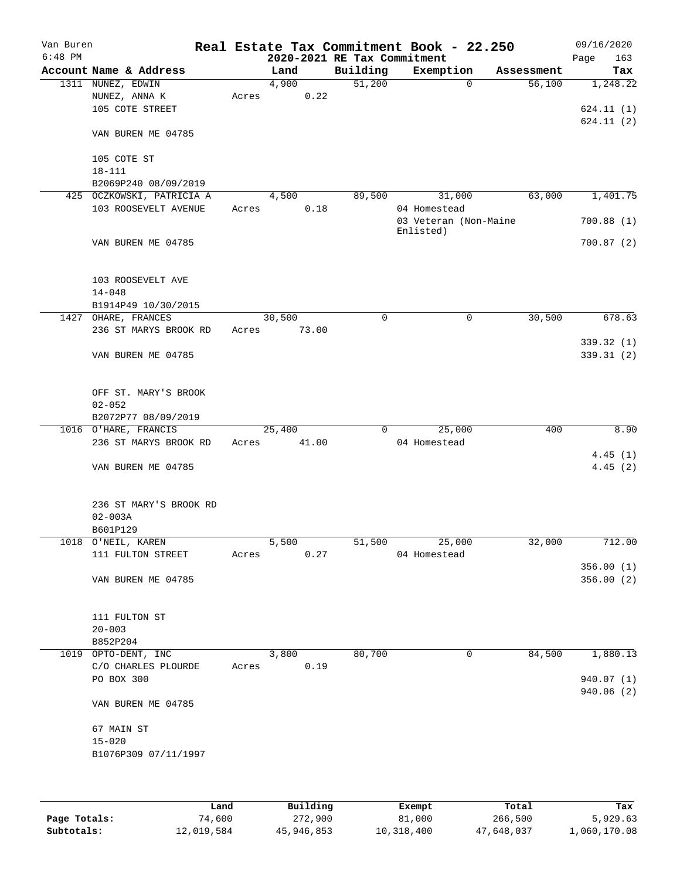| Van Buren |                           |       |                             |          | Real Estate Tax Commitment Book - 22.250 |            | 09/16/2020  |
|-----------|---------------------------|-------|-----------------------------|----------|------------------------------------------|------------|-------------|
| $6:48$ PM |                           |       | 2020-2021 RE Tax Commitment |          |                                          |            | 163<br>Page |
|           | Account Name & Address    |       | Land                        | Building | Exemption                                | Assessment | Tax         |
|           | 1311 NUNEZ, EDWIN         |       | 4,900                       | 51,200   | $\mathbf 0$                              | 56,100     | 1,248.22    |
|           | NUNEZ, ANNA K             | Acres | 0.22                        |          |                                          |            |             |
|           | 105 COTE STREET           |       |                             |          |                                          |            | 624.11(1)   |
|           |                           |       |                             |          |                                          |            | 624.11(2)   |
|           | VAN BUREN ME 04785        |       |                             |          |                                          |            |             |
|           |                           |       |                             |          |                                          |            |             |
|           | 105 COTE ST               |       |                             |          |                                          |            |             |
|           | $18 - 111$                |       |                             |          |                                          |            |             |
|           | B2069P240 08/09/2019      |       |                             |          |                                          |            |             |
|           | 425 OCZKOWSKI, PATRICIA A |       | 4,500                       | 89,500   | 31,000                                   | 63,000     | 1,401.75    |
|           | 103 ROOSEVELT AVENUE      | Acres | 0.18                        |          | 04 Homestead                             |            |             |
|           |                           |       |                             |          | 03 Veteran (Non-Maine                    |            | 700.88(1)   |
|           |                           |       |                             |          | Enlisted)                                |            |             |
|           | VAN BUREN ME 04785        |       |                             |          |                                          |            | 700.87(2)   |
|           |                           |       |                             |          |                                          |            |             |
|           |                           |       |                             |          |                                          |            |             |
|           | 103 ROOSEVELT AVE         |       |                             |          |                                          |            |             |
|           | $14 - 048$                |       |                             |          |                                          |            |             |
|           | B1914P49 10/30/2015       |       |                             |          |                                          |            |             |
|           | 1427 OHARE, FRANCES       |       | 30,500                      | 0        | 0                                        | 30,500     | 678.63      |
|           | 236 ST MARYS BROOK RD     | Acres | 73.00                       |          |                                          |            |             |
|           |                           |       |                             |          |                                          |            | 339.32 (1)  |
|           | VAN BUREN ME 04785        |       |                             |          |                                          |            | 339.31(2)   |
|           |                           |       |                             |          |                                          |            |             |
|           |                           |       |                             |          |                                          |            |             |
|           | OFF ST. MARY'S BROOK      |       |                             |          |                                          |            |             |
|           | $02 - 052$                |       |                             |          |                                          |            |             |
|           | B2072P77 08/09/2019       |       |                             |          |                                          |            |             |
|           | 1016 O'HARE, FRANCIS      |       | 25,400                      | 0        | 25,000                                   | 400        | 8.90        |
|           | 236 ST MARYS BROOK RD     | Acres | 41.00                       |          | 04 Homestead                             |            |             |
|           |                           |       |                             |          |                                          |            | 4.45(1)     |
|           | VAN BUREN ME 04785        |       |                             |          |                                          |            | 4.45(2)     |
|           |                           |       |                             |          |                                          |            |             |
|           |                           |       |                             |          |                                          |            |             |
|           | 236 ST MARY'S BROOK RD    |       |                             |          |                                          |            |             |
|           | $02 - 003A$               |       |                             |          |                                          |            |             |
|           | B601P129                  |       |                             |          |                                          |            |             |
|           | 1018 O'NEIL, KAREN        |       | 5,500                       | 51,500   | 25,000                                   | 32,000     | 712.00      |
|           | 111 FULTON STREET         | Acres | 0.27                        |          | 04 Homestead                             |            |             |
|           |                           |       |                             |          |                                          |            | 356.00(1)   |
|           | VAN BUREN ME 04785        |       |                             |          |                                          |            | 356.00(2)   |
|           |                           |       |                             |          |                                          |            |             |
|           |                           |       |                             |          |                                          |            |             |
|           | 111 FULTON ST             |       |                             |          |                                          |            |             |
|           | $20 - 003$                |       |                             |          |                                          |            |             |
|           | B852P204                  |       |                             |          |                                          |            |             |
|           | 1019 OPTO-DENT, INC       |       | 3,800                       | 80,700   | 0                                        | 84,500     | 1,880.13    |
|           | C/O CHARLES PLOURDE       | Acres | 0.19                        |          |                                          |            |             |
|           | PO BOX 300                |       |                             |          |                                          |            | 940.07 (1)  |
|           |                           |       |                             |          |                                          |            | 940.06 (2)  |
|           | VAN BUREN ME 04785        |       |                             |          |                                          |            |             |
|           |                           |       |                             |          |                                          |            |             |
|           | 67 MAIN ST                |       |                             |          |                                          |            |             |
|           | $15 - 020$                |       |                             |          |                                          |            |             |
|           | B1076P309 07/11/1997      |       |                             |          |                                          |            |             |
|           |                           |       |                             |          |                                          |            |             |
|           |                           |       |                             |          |                                          |            |             |
|           |                           |       |                             |          |                                          |            |             |

|              | Land       | Building   | Exempt     | Total      | Tax          |
|--------------|------------|------------|------------|------------|--------------|
| Page Totals: | 74,600     | 272,900    | 81,000     | 266,500    | 5,929.63     |
| Subtotals:   | 12,019,584 | 45,946,853 | 10,318,400 | 47,648,037 | 1,060,170.08 |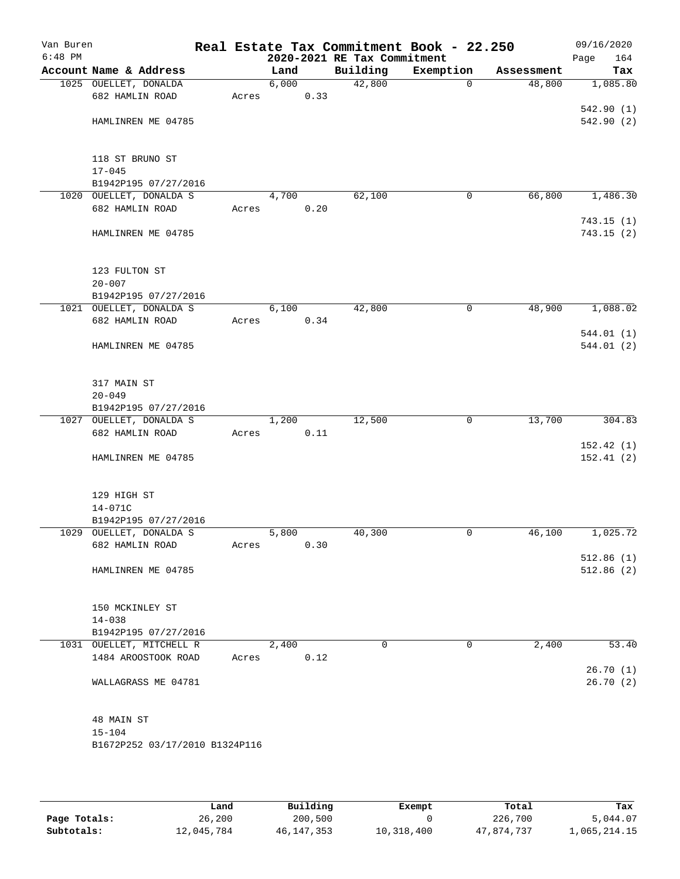| Van Buren<br>$6:48$ PM |                                                 |       |       |      | 2020-2021 RE Tax Commitment | Real Estate Tax Commitment Book - 22.250 |            | 09/16/2020<br>Page<br>164 |
|------------------------|-------------------------------------------------|-------|-------|------|-----------------------------|------------------------------------------|------------|---------------------------|
|                        | Account Name & Address                          |       | Land  |      | Building                    | Exemption                                | Assessment | Tax                       |
|                        | 1025 OUELLET, DONALDA                           |       | 6,000 |      | 42,800                      | $\mathbf{0}$                             | 48,800     | 1,085.80                  |
|                        | 682 HAMLIN ROAD                                 | Acres |       | 0.33 |                             |                                          |            |                           |
|                        |                                                 |       |       |      |                             |                                          |            | 542.90(1)                 |
|                        | HAMLINREN ME 04785                              |       |       |      |                             |                                          |            | 542.90(2)                 |
|                        | 118 ST BRUNO ST                                 |       |       |      |                             |                                          |            |                           |
|                        | $17 - 045$                                      |       |       |      |                             |                                          |            |                           |
|                        | B1942P195 07/27/2016                            |       |       |      |                             |                                          |            |                           |
|                        | 1020 OUELLET, DONALDA S                         |       | 4,700 |      | 62,100                      | 0                                        | 66,800     | 1,486.30                  |
|                        | 682 HAMLIN ROAD                                 | Acres |       | 0.20 |                             |                                          |            |                           |
|                        | HAMLINREN ME 04785                              |       |       |      |                             |                                          |            | 743.15(1)<br>743.15(2)    |
|                        | 123 FULTON ST                                   |       |       |      |                             |                                          |            |                           |
|                        | $20 - 007$                                      |       |       |      |                             |                                          |            |                           |
|                        | B1942P195 07/27/2016                            |       |       |      |                             |                                          |            |                           |
|                        | 1021 OUELLET, DONALDA S                         |       | 6,100 |      | 42,800                      | $\mathsf{O}$                             | 48,900     | 1,088.02                  |
|                        | 682 HAMLIN ROAD                                 | Acres |       | 0.34 |                             |                                          |            |                           |
|                        |                                                 |       |       |      |                             |                                          |            | 544.01(1)                 |
|                        | HAMLINREN ME 04785                              |       |       |      |                             |                                          |            | 544.01(2)                 |
|                        | 317 MAIN ST                                     |       |       |      |                             |                                          |            |                           |
|                        | $20 - 049$                                      |       |       |      |                             |                                          |            |                           |
|                        | B1942P195 07/27/2016                            |       |       |      |                             |                                          |            |                           |
|                        | 1027 OUELLET, DONALDA S                         |       | 1,200 |      | 12,500                      | $\mathbf 0$                              | 13,700     | 304.83                    |
|                        | 682 HAMLIN ROAD                                 | Acres |       | 0.11 |                             |                                          |            |                           |
|                        | HAMLINREN ME 04785                              |       |       |      |                             |                                          |            | 152.42(1)<br>152.41(2)    |
|                        | 129 HIGH ST                                     |       |       |      |                             |                                          |            |                           |
|                        | 14-071C                                         |       |       |      |                             |                                          |            |                           |
|                        | B1942P195 07/27/2016                            |       |       |      |                             |                                          |            |                           |
|                        | 1029 OUELLET, DONALDA S                         |       | 5,800 |      | 40,300                      | 0                                        | 46,100     | 1,025.72                  |
|                        | 682 HAMLIN ROAD                                 | Acres |       | 0.30 |                             |                                          |            |                           |
|                        |                                                 |       |       |      |                             |                                          |            | 512.86(1)                 |
|                        | HAMLINREN ME 04785                              |       |       |      |                             |                                          |            | 512.86(2)                 |
|                        | 150 MCKINLEY ST                                 |       |       |      |                             |                                          |            |                           |
|                        | $14 - 038$                                      |       |       |      |                             |                                          |            |                           |
|                        | B1942P195 07/27/2016                            |       |       |      | 0                           | 0                                        | 2,400      |                           |
|                        | 1031 OUELLET, MITCHELL R<br>1484 AROOSTOOK ROAD | Acres | 2,400 | 0.12 |                             |                                          |            | 53.40                     |
|                        |                                                 |       |       |      |                             |                                          |            | 26.70(1)                  |
|                        | WALLAGRASS ME 04781                             |       |       |      |                             |                                          |            | 26.70(2)                  |
|                        | 48 MAIN ST                                      |       |       |      |                             |                                          |            |                           |
|                        | $15 - 104$                                      |       |       |      |                             |                                          |            |                           |
|                        | B1672P252 03/17/2010 B1324P116                  |       |       |      |                             |                                          |            |                           |
|                        |                                                 |       |       |      |                             |                                          |            |                           |

|              | Land       | Building     | Exempt     | Total      | Tax          |
|--------------|------------|--------------|------------|------------|--------------|
| Page Totals: | 26,200     | 200,500      |            | 226,700    | 5,044.07     |
| Subtotals:   | 12,045,784 | 46, 147, 353 | 10,318,400 | 47.874.737 | l,065,214.15 |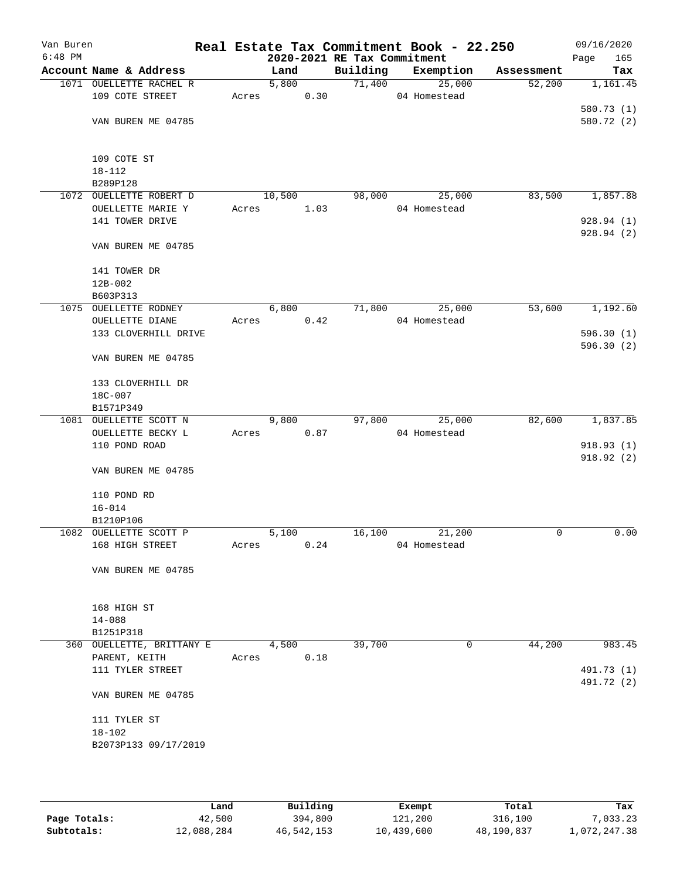| Van Buren |                           |       |                      |      |                             | Real Estate Tax Commitment Book - 22.250 |             | 09/16/2020  |
|-----------|---------------------------|-------|----------------------|------|-----------------------------|------------------------------------------|-------------|-------------|
| $6:48$ PM |                           |       |                      |      | 2020-2021 RE Tax Commitment |                                          |             | 165<br>Page |
|           | Account Name & Address    |       | Land                 |      | Building                    | Exemption                                | Assessment  | Tax         |
|           | 1071 OUELLETTE RACHEL R   |       | 5,800                |      |                             | 71,400<br>25,000                         | 52,200      | 1,161.45    |
|           | 109 COTE STREET           | Acres |                      | 0.30 |                             | 04 Homestead                             |             |             |
|           |                           |       |                      |      |                             |                                          |             | 580.73 (1)  |
|           | VAN BUREN ME 04785        |       |                      |      |                             |                                          |             | 580.72 (2)  |
|           | 109 COTE ST               |       |                      |      |                             |                                          |             |             |
|           | $18 - 112$                |       |                      |      |                             |                                          |             |             |
|           | B289P128                  |       |                      |      |                             |                                          |             |             |
|           | 1072 OUELLETTE ROBERT D   |       | 10,500               |      | 98,000                      | 25,000                                   | 83,500      | 1,857.88    |
|           | OUELLETTE MARIE Y         | Acres |                      | 1.03 |                             | 04 Homestead                             |             |             |
|           | 141 TOWER DRIVE           |       |                      |      |                             |                                          |             | 928.94(1)   |
|           | VAN BUREN ME 04785        |       |                      |      |                             |                                          |             | 928.94(2)   |
|           |                           |       |                      |      |                             |                                          |             |             |
|           | 141 TOWER DR              |       |                      |      |                             |                                          |             |             |
|           | $12B-002$                 |       |                      |      |                             |                                          |             |             |
|           | B603P313                  |       |                      |      |                             |                                          |             |             |
|           | 1075 OUELLETTE RODNEY     |       | 6,800                |      |                             | 71,800<br>25,000                         | 53,600      | 1,192.60    |
|           | OUELLETTE DIANE           | Acres |                      | 0.42 |                             | 04 Homestead                             |             |             |
|           | 133 CLOVERHILL DRIVE      |       |                      |      |                             |                                          |             | 596.30(1)   |
|           |                           |       |                      |      |                             |                                          |             | 596.30(2)   |
|           | VAN BUREN ME 04785        |       |                      |      |                             |                                          |             |             |
|           | 133 CLOVERHILL DR         |       |                      |      |                             |                                          |             |             |
|           | 18C-007                   |       |                      |      |                             |                                          |             |             |
|           | B1571P349                 |       |                      |      |                             |                                          |             |             |
|           | 1081 OUELLETTE SCOTT N    |       | $\overline{9}$ , 800 |      | 97,800                      | 25,000                                   | 82,600      | 1,837.85    |
|           | OUELLETTE BECKY L         | Acres |                      | 0.87 |                             | 04 Homestead                             |             |             |
|           | 110 POND ROAD             |       |                      |      |                             |                                          |             | 918.93(1)   |
|           |                           |       |                      |      |                             |                                          |             | 918.92(2)   |
|           | VAN BUREN ME 04785        |       |                      |      |                             |                                          |             |             |
|           | 110 POND RD               |       |                      |      |                             |                                          |             |             |
|           | $16 - 014$                |       |                      |      |                             |                                          |             |             |
|           | B1210P106                 |       |                      |      |                             |                                          |             |             |
|           | 1082 OUELLETTE SCOTT P    |       | 5,100                |      | 16,100                      | 21,200                                   | $\mathbf 0$ | 0.00        |
|           | 168 HIGH STREET           | Acres |                      | 0.24 |                             | 04 Homestead                             |             |             |
|           | VAN BUREN ME 04785        |       |                      |      |                             |                                          |             |             |
|           |                           |       |                      |      |                             |                                          |             |             |
|           | 168 HIGH ST               |       |                      |      |                             |                                          |             |             |
|           | $14 - 088$                |       |                      |      |                             |                                          |             |             |
|           | B1251P318                 |       |                      |      |                             |                                          |             |             |
|           | 360 OUELLETTE, BRITTANY E |       | 4,500                |      | 39,700                      | 0                                        | 44,200      | 983.45      |
|           | PARENT, KEITH             | Acres |                      | 0.18 |                             |                                          |             |             |
|           | 111 TYLER STREET          |       |                      |      |                             |                                          |             | 491.73 (1)  |
|           |                           |       |                      |      |                             |                                          |             | 491.72 (2)  |
|           | VAN BUREN ME 04785        |       |                      |      |                             |                                          |             |             |
|           | 111 TYLER ST              |       |                      |      |                             |                                          |             |             |
|           | $18 - 102$                |       |                      |      |                             |                                          |             |             |
|           | B2073P133 09/17/2019      |       |                      |      |                             |                                          |             |             |
|           |                           |       |                      |      |                             |                                          |             |             |
|           |                           |       |                      |      |                             |                                          |             |             |

|              | Land       | Building   | Exempt     | Total      | Tax          |
|--------------|------------|------------|------------|------------|--------------|
| Page Totals: | 42,500     | 394,800    | 121,200    | 316,100    | 7,033.23     |
| Subtotals:   | 12,088,284 | 46,542,153 | 10,439,600 | 48,190,837 | 1,072,247.38 |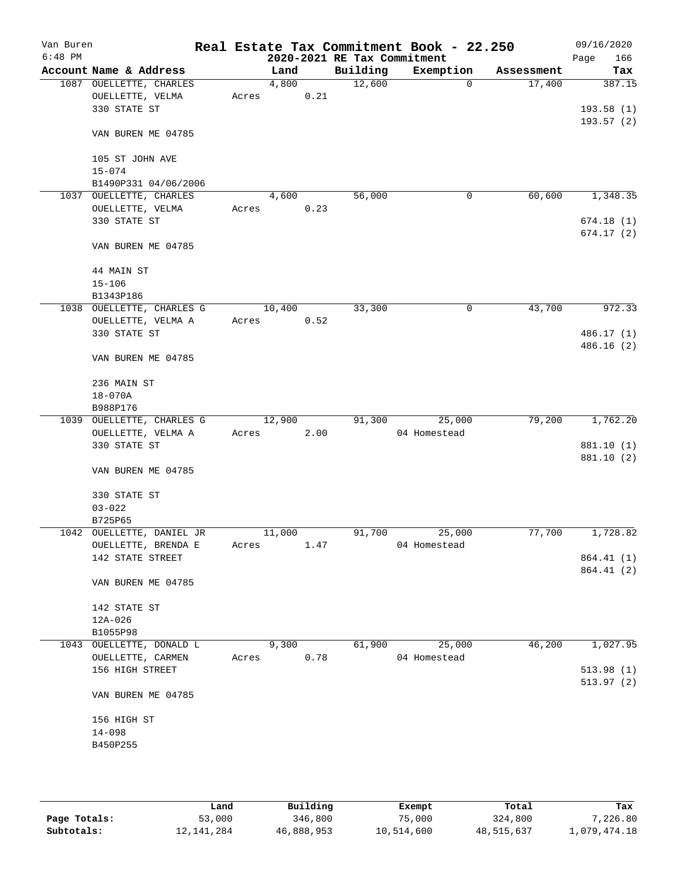| Van Buren<br>$6:48$ PM |                           |       |        |      |                                         | Real Estate Tax Commitment Book - 22.250 |            | 09/16/2020         |
|------------------------|---------------------------|-------|--------|------|-----------------------------------------|------------------------------------------|------------|--------------------|
|                        | Account Name & Address    |       | Land   |      | 2020-2021 RE Tax Commitment<br>Building | Exemption                                | Assessment | 166<br>Page<br>Tax |
|                        | 1087 OUELLETTE, CHARLES   |       | 4,800  |      | 12,600                                  | $\mathbf 0$                              | 17,400     | 387.15             |
|                        | OUELLETTE, VELMA          | Acres |        | 0.21 |                                         |                                          |            |                    |
|                        | 330 STATE ST              |       |        |      |                                         |                                          |            | 193.58(1)          |
|                        |                           |       |        |      |                                         |                                          |            | 193.57(2)          |
|                        | VAN BUREN ME 04785        |       |        |      |                                         |                                          |            |                    |
|                        | 105 ST JOHN AVE           |       |        |      |                                         |                                          |            |                    |
|                        | $15 - 074$                |       |        |      |                                         |                                          |            |                    |
|                        | B1490P331 04/06/2006      |       |        |      |                                         |                                          |            |                    |
|                        | 1037 OUELLETTE, CHARLES   |       | 4,600  |      | 56,000                                  | 0                                        | 60,600     | 1,348.35           |
|                        | OUELLETTE, VELMA          | Acres |        | 0.23 |                                         |                                          |            |                    |
|                        | 330 STATE ST              |       |        |      |                                         |                                          |            | 674.18(1)          |
|                        |                           |       |        |      |                                         |                                          |            | 674.17(2)          |
|                        | VAN BUREN ME 04785        |       |        |      |                                         |                                          |            |                    |
|                        | 44 MAIN ST                |       |        |      |                                         |                                          |            |                    |
|                        | $15 - 106$                |       |        |      |                                         |                                          |            |                    |
|                        | B1343P186                 |       |        |      |                                         |                                          |            |                    |
|                        | 1038 OUELLETTE, CHARLES G |       | 10,400 |      | 33,300                                  | 0                                        | 43,700     | 972.33             |
|                        | OUELLETTE, VELMA A        | Acres |        | 0.52 |                                         |                                          |            |                    |
|                        | 330 STATE ST              |       |        |      |                                         |                                          |            | 486.17 (1)         |
|                        |                           |       |        |      |                                         |                                          |            | 486.16(2)          |
|                        | VAN BUREN ME 04785        |       |        |      |                                         |                                          |            |                    |
|                        | 236 MAIN ST               |       |        |      |                                         |                                          |            |                    |
|                        | $18 - 070A$               |       |        |      |                                         |                                          |            |                    |
|                        | B988P176                  |       |        |      |                                         |                                          |            |                    |
|                        | 1039 OUELLETTE, CHARLES G |       | 12,900 |      | 91,300                                  | 25,000                                   | 79,200     | 1,762.20           |
|                        | OUELLETTE, VELMA A        | Acres |        | 2.00 |                                         | 04 Homestead                             |            |                    |
|                        | 330 STATE ST              |       |        |      |                                         |                                          |            | 881.10 (1)         |
|                        |                           |       |        |      |                                         |                                          |            | 881.10 (2)         |
|                        | VAN BUREN ME 04785        |       |        |      |                                         |                                          |            |                    |
|                        | 330 STATE ST              |       |        |      |                                         |                                          |            |                    |
|                        | $03 - 022$                |       |        |      |                                         |                                          |            |                    |
|                        | B725P65                   |       |        |      |                                         |                                          |            |                    |
|                        | 1042 OUELLETTE, DANIEL JR |       | 11,000 |      | 91,700                                  | 25,000                                   | 77,700     | 1,728.82           |
|                        | OUELLETTE, BRENDA E       | Acres |        | 1.47 |                                         | 04 Homestead                             |            |                    |
|                        | 142 STATE STREET          |       |        |      |                                         |                                          |            | 864.41 (1)         |
|                        |                           |       |        |      |                                         |                                          |            | 864.41 (2)         |
|                        | VAN BUREN ME 04785        |       |        |      |                                         |                                          |            |                    |
|                        | 142 STATE ST              |       |        |      |                                         |                                          |            |                    |
|                        | $12A - 026$               |       |        |      |                                         |                                          |            |                    |
|                        | B1055P98                  |       |        |      |                                         |                                          |            |                    |
|                        | 1043 OUELLETTE, DONALD L  |       | 9,300  |      | 61,900                                  | 25,000                                   | 46,200     | 1,027.95           |
|                        | OUELLETTE, CARMEN         | Acres |        | 0.78 |                                         | 04 Homestead                             |            |                    |
|                        | 156 HIGH STREET           |       |        |      |                                         |                                          |            | 513.98(1)          |
|                        |                           |       |        |      |                                         |                                          |            | 513.97(2)          |
|                        | VAN BUREN ME 04785        |       |        |      |                                         |                                          |            |                    |
|                        | 156 HIGH ST               |       |        |      |                                         |                                          |            |                    |
|                        | $14 - 098$                |       |        |      |                                         |                                          |            |                    |
|                        | B450P255                  |       |        |      |                                         |                                          |            |                    |
|                        |                           |       |        |      |                                         |                                          |            |                    |
|                        |                           |       |        |      |                                         |                                          |            |                    |
|                        |                           |       |        |      |                                         |                                          |            |                    |

|              | Land         | Building   | Exempt     | Total      | Tax          |
|--------------|--------------|------------|------------|------------|--------------|
| Page Totals: | 53,000       | 346,800    | 75,000     | 324,800    | 7,226.80     |
| Subtotals:   | 12, 141, 284 | 46,888,953 | 10,514,600 | 48,515,637 | 1,079,474.18 |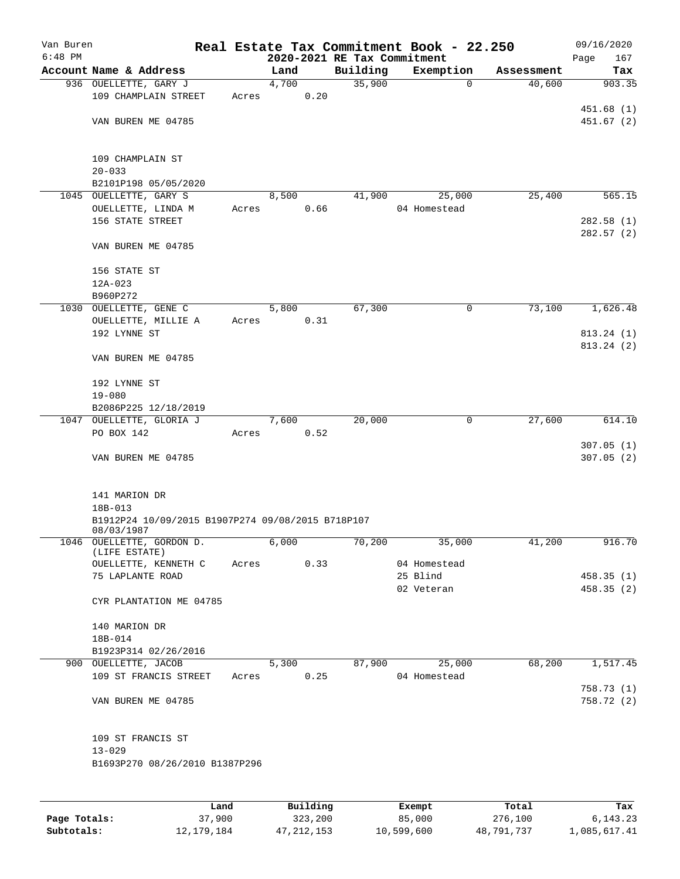| Van Buren<br>$6:48$ PM |                                                                 |       |               |          |                    | Real Estate Tax Commitment Book - 22.250 |                      | 09/16/2020    |
|------------------------|-----------------------------------------------------------------|-------|---------------|----------|--------------------|------------------------------------------|----------------------|---------------|
|                        | Account Name & Address                                          |       |               |          |                    | 2020-2021 RE Tax Commitment              |                      | 167<br>Page   |
|                        |                                                                 |       | Land<br>4,700 |          | Building<br>35,900 | Exemption<br>0                           | Assessment<br>40,600 | Tax<br>903.35 |
|                        | 936 OUELLETTE, GARY J<br>109 CHAMPLAIN STREET                   | Acres |               | 0.20     |                    |                                          |                      |               |
|                        |                                                                 |       |               |          |                    |                                          |                      | 451.68(1)     |
|                        | VAN BUREN ME 04785                                              |       |               |          |                    |                                          |                      | 451.67(2)     |
|                        |                                                                 |       |               |          |                    |                                          |                      |               |
|                        | 109 CHAMPLAIN ST                                                |       |               |          |                    |                                          |                      |               |
|                        | $20 - 033$                                                      |       |               |          |                    |                                          |                      |               |
|                        | B2101P198 05/05/2020                                            |       |               |          |                    |                                          |                      |               |
|                        | 1045 OUELLETTE, GARY S                                          |       | 8,500         |          | 41,900             | 25,000                                   | 25,400               | 565.15        |
|                        | OUELLETTE, LINDA M                                              | Acres |               | 0.66     |                    | 04 Homestead                             |                      |               |
|                        | 156 STATE STREET                                                |       |               |          |                    |                                          |                      | 282.58(1)     |
|                        |                                                                 |       |               |          |                    |                                          |                      | 282.57(2)     |
|                        | VAN BUREN ME 04785                                              |       |               |          |                    |                                          |                      |               |
|                        | 156 STATE ST                                                    |       |               |          |                    |                                          |                      |               |
|                        | $12A-023$                                                       |       |               |          |                    |                                          |                      |               |
|                        | B960P272                                                        |       |               |          |                    |                                          |                      |               |
|                        | 1030 OUELLETTE, GENE C                                          |       | 5,800         |          | 67,300             | 0                                        | 73,100               | 1,626.48      |
|                        | OUELLETTE, MILLIE A                                             | Acres |               | 0.31     |                    |                                          |                      |               |
|                        | 192 LYNNE ST                                                    |       |               |          |                    |                                          |                      | 813.24 (1)    |
|                        |                                                                 |       |               |          |                    |                                          |                      | 813.24 (2)    |
|                        | VAN BUREN ME 04785                                              |       |               |          |                    |                                          |                      |               |
|                        | 192 LYNNE ST                                                    |       |               |          |                    |                                          |                      |               |
|                        | $19 - 080$                                                      |       |               |          |                    |                                          |                      |               |
|                        | B2086P225 12/18/2019                                            |       |               |          |                    |                                          |                      |               |
|                        | 1047 OUELLETTE, GLORIA J                                        |       | 7,600         |          | 20,000             | 0                                        | 27,600               | 614.10        |
|                        | PO BOX 142                                                      | Acres |               | 0.52     |                    |                                          |                      |               |
|                        |                                                                 |       |               |          |                    |                                          |                      | 307.05(1)     |
|                        | VAN BUREN ME 04785                                              |       |               |          |                    |                                          |                      | 307.05(2)     |
|                        |                                                                 |       |               |          |                    |                                          |                      |               |
|                        | 141 MARION DR                                                   |       |               |          |                    |                                          |                      |               |
|                        | 18B-013                                                         |       |               |          |                    |                                          |                      |               |
|                        | B1912P24 10/09/2015 B1907P274 09/08/2015 B718P107<br>08/03/1987 |       |               |          |                    |                                          |                      |               |
|                        | 1046 OUELLETTE, GORDON D.                                       |       | 6,000         |          | 70,200             | 35,000                                   | 41,200               | 916.70        |
|                        | (LIFE ESTATE)                                                   |       |               |          |                    |                                          |                      |               |
|                        | OUELLETTE, KENNETH C                                            | Acres |               | 0.33     |                    | 04 Homestead<br>25 Blind                 |                      |               |
|                        | 75 LAPLANTE ROAD                                                |       |               |          |                    |                                          |                      | 458.35(1)     |
|                        | CYR PLANTATION ME 04785                                         |       |               |          |                    | 02 Veteran                               |                      | 458.35(2)     |
|                        |                                                                 |       |               |          |                    |                                          |                      |               |
|                        | 140 MARION DR                                                   |       |               |          |                    |                                          |                      |               |
|                        | 18B-014                                                         |       |               |          |                    |                                          |                      |               |
|                        | B1923P314 02/26/2016                                            |       |               |          |                    |                                          |                      |               |
|                        | 900 OUELLETTE, JACOB                                            |       | 5,300         |          | 87,900             | 25,000                                   | 68,200               | 1,517.45      |
|                        | 109 ST FRANCIS STREET                                           | Acres |               | 0.25     |                    | 04 Homestead                             |                      |               |
|                        |                                                                 |       |               |          |                    |                                          |                      | 758.73(1)     |
|                        | VAN BUREN ME 04785                                              |       |               |          |                    |                                          |                      | 758.72 (2)    |
|                        | 109 ST FRANCIS ST                                               |       |               |          |                    |                                          |                      |               |
|                        | $13 - 029$                                                      |       |               |          |                    |                                          |                      |               |
|                        | B1693P270 08/26/2010 B1387P296                                  |       |               |          |                    |                                          |                      |               |
|                        |                                                                 |       |               |          |                    |                                          |                      |               |
|                        | Land                                                            |       |               | Building |                    | Exempt                                   | Total                | Tax           |

|              | Land         | Building     | Exempt     | Total      | Tax          |
|--------------|--------------|--------------|------------|------------|--------------|
| Page Totals: | 37,900       | 323,200      | 85,000     | 276,100    | 6,143.23     |
| Subtotals:   | 12, 179, 184 | 47, 212, 153 | 10,599,600 | 48,791,737 | 1,085,617.41 |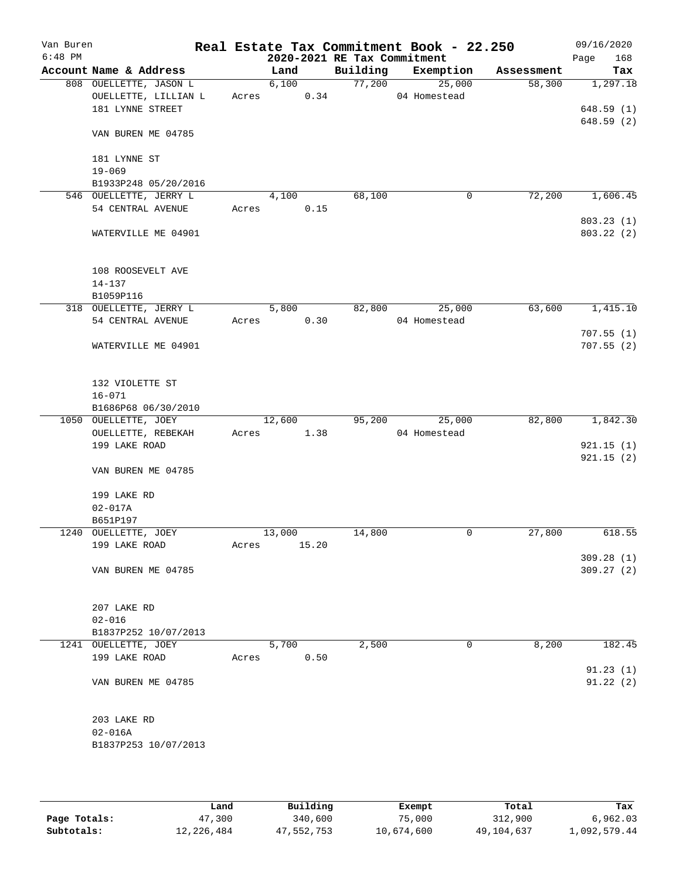| Van Buren<br>$6:48$ PM |                                             |       |        |       | 2020-2021 RE Tax Commitment | Real Estate Tax Commitment Book - 22.250 |            | 09/16/2020<br>168<br>Page |
|------------------------|---------------------------------------------|-------|--------|-------|-----------------------------|------------------------------------------|------------|---------------------------|
|                        | Account Name & Address                      |       | Land   |       | Building                    | Exemption                                | Assessment | Tax                       |
|                        | 808 OUELLETTE, JASON L                      |       | 6,100  |       | 77,200                      | 25,000                                   | 58,300     | 1,297.18                  |
|                        | OUELLETTE, LILLIAN L                        | Acres |        | 0.34  |                             | 04 Homestead                             |            |                           |
|                        | 181 LYNNE STREET                            |       |        |       |                             |                                          |            | 648.59(1)                 |
|                        | VAN BUREN ME 04785                          |       |        |       |                             |                                          |            | 648.59(2)                 |
|                        | 181 LYNNE ST<br>$19 - 069$                  |       |        |       |                             |                                          |            |                           |
|                        | B1933P248 05/20/2016                        |       |        |       |                             |                                          |            |                           |
|                        | 546 OUELLETTE, JERRY L                      |       | 4,100  |       | 68,100                      | 0                                        | 72,200     | 1,606.45                  |
|                        | 54 CENTRAL AVENUE                           | Acres |        | 0.15  |                             |                                          |            |                           |
|                        |                                             |       |        |       |                             |                                          |            | 803.23(1)                 |
|                        | WATERVILLE ME 04901                         |       |        |       |                             |                                          |            | 803.22 (2)                |
|                        | 108 ROOSEVELT AVE                           |       |        |       |                             |                                          |            |                           |
|                        | $14 - 137$                                  |       |        |       |                             |                                          |            |                           |
|                        | B1059P116                                   |       |        |       |                             |                                          |            |                           |
|                        | 318 OUELLETTE, JERRY L<br>54 CENTRAL AVENUE | Acres | 5,800  |       | 82,800                      | 25,000<br>04 Homestead                   | 63,600     | 1,415.10                  |
|                        |                                             |       |        | 0.30  |                             |                                          |            | 707.55(1)                 |
|                        | WATERVILLE ME 04901                         |       |        |       |                             |                                          |            | 707.55(2)                 |
|                        |                                             |       |        |       |                             |                                          |            |                           |
|                        | 132 VIOLETTE ST                             |       |        |       |                             |                                          |            |                           |
|                        | $16 - 071$                                  |       |        |       |                             |                                          |            |                           |
|                        | B1686P68 06/30/2010                         |       |        |       |                             |                                          |            |                           |
|                        | 1050 OUELLETTE, JOEY                        |       | 12,600 |       | 95,200                      | 25,000                                   | 82,800     | 1,842.30                  |
|                        | OUELLETTE, REBEKAH                          | Acres |        | 1.38  |                             | 04 Homestead                             |            |                           |
|                        | 199 LAKE ROAD                               |       |        |       |                             |                                          |            | 921.15(1)                 |
|                        | VAN BUREN ME 04785                          |       |        |       |                             |                                          |            | 921.15(2)                 |
|                        | 199 LAKE RD                                 |       |        |       |                             |                                          |            |                           |
|                        | $02 - 017A$                                 |       |        |       |                             |                                          |            |                           |
|                        | B651P197<br>1240 OUELLETTE, JOEY            |       | 13,000 |       | 14,800                      | 0                                        | 27,800     | 618.55                    |
|                        | 199 LAKE ROAD                               | Acres |        | 15.20 |                             |                                          |            |                           |
|                        |                                             |       |        |       |                             |                                          |            | 309.28(1)                 |
|                        | VAN BUREN ME 04785                          |       |        |       |                             |                                          |            | 309.27(2)                 |
|                        |                                             |       |        |       |                             |                                          |            |                           |
|                        | 207 LAKE RD                                 |       |        |       |                             |                                          |            |                           |
|                        | $02 - 016$<br>B1837P252 10/07/2013          |       |        |       |                             |                                          |            |                           |
|                        | 1241 OUELLETTE, JOEY                        |       | 5,700  |       | 2,500                       | 0                                        | 8,200      | 182.45                    |
|                        | 199 LAKE ROAD                               | Acres |        | 0.50  |                             |                                          |            |                           |
|                        |                                             |       |        |       |                             |                                          |            | 91.23(1)                  |
|                        | VAN BUREN ME 04785                          |       |        |       |                             |                                          |            | 91.22(2)                  |
|                        | 203 LAKE RD                                 |       |        |       |                             |                                          |            |                           |
|                        | $02 - 016A$                                 |       |        |       |                             |                                          |            |                           |
|                        | B1837P253 10/07/2013                        |       |        |       |                             |                                          |            |                           |
|                        |                                             |       |        |       |                             |                                          |            |                           |

|              | Land       | Building   | Exempt     | Total      | Tax          |
|--------------|------------|------------|------------|------------|--------------|
| Page Totals: | 47,300     | 340,600    | 75,000     | 312,900    | 6.962.03     |
| Subtotals:   | 12,226,484 | 47,552,753 | 10,674,600 | 49,104,637 | l,092,579.44 |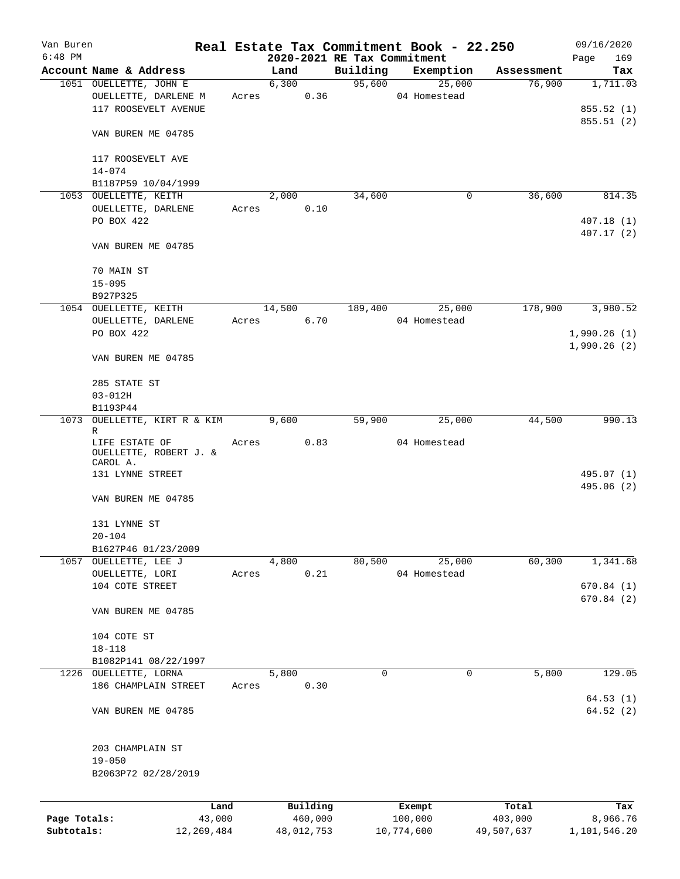| Van Buren    |                                          |       |            |                     |          | Real Estate Tax Commitment Book - 22.250 |                  | 09/16/2020      |
|--------------|------------------------------------------|-------|------------|---------------------|----------|------------------------------------------|------------------|-----------------|
| $6:48$ PM    |                                          |       |            |                     |          | 2020-2021 RE Tax Commitment              |                  | Page<br>169     |
|              | Account Name & Address                   |       | Land       |                     | Building | Exemption                                | Assessment       | Tax             |
|              | 1051 OUELLETTE, JOHN E                   |       | 6,300      | 0.36                |          | 95,600<br>25,000                         | 76,900           | 1,711.03        |
|              | OUELLETTE, DARLENE M                     |       | Acres      |                     |          | 04 Homestead                             |                  |                 |
|              | 117 ROOSEVELT AVENUE                     |       |            |                     |          |                                          |                  | 855.52 (1)      |
|              |                                          |       |            |                     |          |                                          |                  | 855.51(2)       |
|              | VAN BUREN ME 04785                       |       |            |                     |          |                                          |                  |                 |
|              |                                          |       |            |                     |          |                                          |                  |                 |
|              | 117 ROOSEVELT AVE                        |       |            |                     |          |                                          |                  |                 |
|              | $14 - 074$                               |       |            |                     |          |                                          |                  |                 |
|              | B1187P59 10/04/1999                      |       |            |                     |          |                                          |                  |                 |
|              | 1053 OUELLETTE, KEITH                    |       | 2,000      |                     | 34,600   | $\mathbf 0$                              | 36,600           | 814.35          |
|              | OUELLETTE, DARLENE                       | Acres |            | 0.10                |          |                                          |                  |                 |
|              | PO BOX 422                               |       |            |                     |          |                                          |                  | 407.18(1)       |
|              |                                          |       |            |                     |          |                                          |                  | 407.17(2)       |
|              | VAN BUREN ME 04785                       |       |            |                     |          |                                          |                  |                 |
|              |                                          |       |            |                     |          |                                          |                  |                 |
|              | 70 MAIN ST                               |       |            |                     |          |                                          |                  |                 |
|              | $15 - 095$                               |       |            |                     |          |                                          |                  |                 |
|              | B927P325                                 |       |            |                     |          |                                          |                  |                 |
|              | 1054 OUELLETTE, KEITH                    |       | 14,500     |                     | 189,400  | 25,000                                   | 178,900          | 3,980.52        |
|              | OUELLETTE, DARLENE                       | Acres | 6.70       |                     |          | 04 Homestead                             |                  |                 |
|              | PO BOX 422                               |       |            |                     |          |                                          |                  | 1,990.26(1)     |
|              |                                          |       |            |                     |          |                                          |                  | 1,990.26(2)     |
|              | VAN BUREN ME 04785                       |       |            |                     |          |                                          |                  |                 |
|              |                                          |       |            |                     |          |                                          |                  |                 |
|              | 285 STATE ST                             |       |            |                     |          |                                          |                  |                 |
|              | $03 - 012H$                              |       |            |                     |          |                                          |                  |                 |
|              | B1193P44                                 |       |            |                     |          |                                          |                  |                 |
|              | 1073 OUELLETTE, KIRT R & KIM 9,600       |       |            |                     | 59,900   | 25,000                                   | 44,500           | 990.13          |
|              | R                                        |       |            |                     |          | 04 Homestead                             |                  |                 |
|              | LIFE ESTATE OF<br>OUELLETTE, ROBERT J. & | Acres |            | 0.83                |          |                                          |                  |                 |
|              | CAROL A.                                 |       |            |                     |          |                                          |                  |                 |
|              | 131 LYNNE STREET                         |       |            |                     |          |                                          |                  | 495.07 (1)      |
|              |                                          |       |            |                     |          |                                          |                  | 495.06 (2)      |
|              | VAN BUREN ME 04785                       |       |            |                     |          |                                          |                  |                 |
|              |                                          |       |            |                     |          |                                          |                  |                 |
|              | 131 LYNNE ST                             |       |            |                     |          |                                          |                  |                 |
|              | $20 - 104$                               |       |            |                     |          |                                          |                  |                 |
|              | B1627P46 01/23/2009                      |       |            |                     |          |                                          |                  |                 |
|              | 1057 OUELLETTE, LEE J                    |       | 4,800      |                     | 80,500   | 25,000                                   | 60,300           | 1,341.68        |
|              | OUELLETTE, LORI                          | Acres |            | 0.21                |          | 04 Homestead                             |                  |                 |
|              | 104 COTE STREET                          |       |            |                     |          |                                          |                  | 670.84(1)       |
|              |                                          |       |            |                     |          |                                          |                  | 670.84(2)       |
|              | VAN BUREN ME 04785                       |       |            |                     |          |                                          |                  |                 |
|              |                                          |       |            |                     |          |                                          |                  |                 |
|              | 104 COTE ST                              |       |            |                     |          |                                          |                  |                 |
|              | $18 - 118$                               |       |            |                     |          |                                          |                  |                 |
|              | B1082P141 08/22/1997                     |       |            |                     |          |                                          |                  |                 |
|              | 1226 OUELLETTE, LORNA                    |       | 5,800      |                     | 0        | 0                                        | 5,800            | 129.05          |
|              | 186 CHAMPLAIN STREET                     | Acres |            | 0.30                |          |                                          |                  |                 |
|              |                                          |       |            |                     |          |                                          |                  | 64.53(1)        |
|              | VAN BUREN ME 04785                       |       |            |                     |          |                                          |                  | 64.52(2)        |
|              |                                          |       |            |                     |          |                                          |                  |                 |
|              |                                          |       |            |                     |          |                                          |                  |                 |
|              | 203 CHAMPLAIN ST                         |       |            |                     |          |                                          |                  |                 |
|              | $19 - 050$                               |       |            |                     |          |                                          |                  |                 |
|              | B2063P72 02/28/2019                      |       |            |                     |          |                                          |                  |                 |
|              |                                          |       |            |                     |          |                                          |                  |                 |
|              |                                          |       |            |                     |          |                                          |                  |                 |
| Page Totals: | Land<br>43,000                           |       |            | Building<br>460,000 |          | Exempt<br>100,000                        | Total<br>403,000 | Tax<br>8,966.76 |
| Subtotals:   | 12,269,484                               |       | 48,012,753 |                     |          | 10,774,600                               | 49,507,637       | 1,101,546.20    |
|              |                                          |       |            |                     |          |                                          |                  |                 |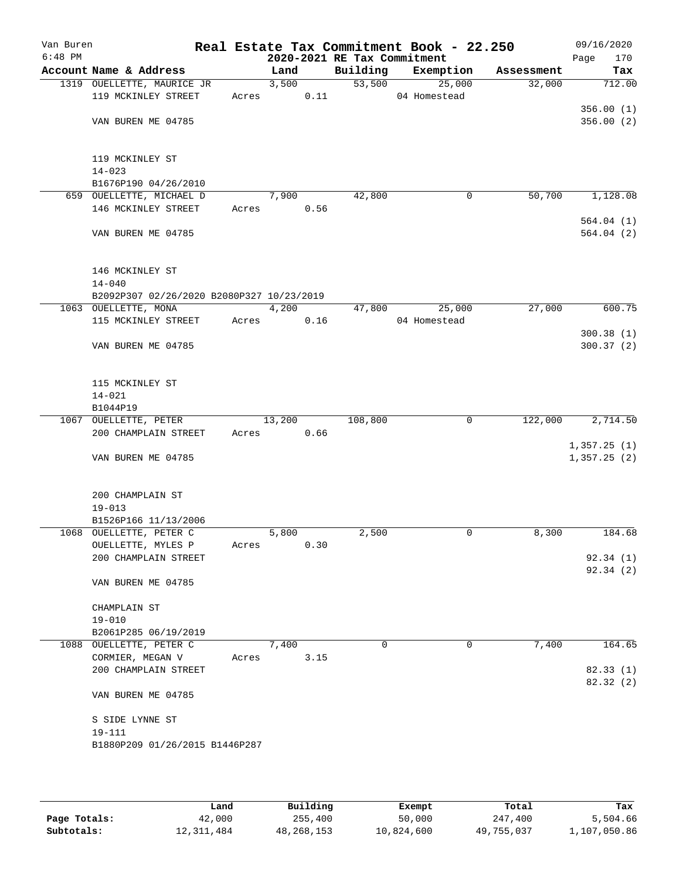| Van Buren<br>$6:48$ PM |                                                 |       |        |      | 2020-2021 RE Tax Commitment | Real Estate Tax Commitment Book - 22.250 |            | 09/16/2020<br>170<br>Page  |
|------------------------|-------------------------------------------------|-------|--------|------|-----------------------------|------------------------------------------|------------|----------------------------|
|                        | Account Name & Address                          |       | Land   |      | Building                    | Exemption                                | Assessment | Tax                        |
|                        | 1319 OUELLETTE, MAURICE JR                      |       | 3,500  |      | 53,500                      | 25,000                                   | 32,000     | 712.00                     |
|                        | 119 MCKINLEY STREET                             | Acres |        | 0.11 |                             | 04 Homestead                             |            |                            |
|                        |                                                 |       |        |      |                             |                                          |            | 356.00(1)                  |
|                        | VAN BUREN ME 04785                              |       |        |      |                             |                                          |            | 356.00(2)                  |
|                        |                                                 |       |        |      |                             |                                          |            |                            |
|                        |                                                 |       |        |      |                             |                                          |            |                            |
|                        | 119 MCKINLEY ST                                 |       |        |      |                             |                                          |            |                            |
|                        | $14 - 023$                                      |       |        |      |                             |                                          |            |                            |
|                        | B1676P190 04/26/2010                            |       |        |      |                             |                                          |            |                            |
|                        | 659 OUELLETTE, MICHAEL D                        |       | 7,900  |      | 42,800                      | 0                                        | 50,700     | 1,128.08                   |
|                        | 146 MCKINLEY STREET                             | Acres |        | 0.56 |                             |                                          |            |                            |
|                        | VAN BUREN ME 04785                              |       |        |      |                             |                                          |            | 564.04(1)<br>564.04(2)     |
|                        |                                                 |       |        |      |                             |                                          |            |                            |
|                        |                                                 |       |        |      |                             |                                          |            |                            |
|                        | 146 MCKINLEY ST                                 |       |        |      |                             |                                          |            |                            |
|                        | $14 - 040$                                      |       |        |      |                             |                                          |            |                            |
|                        | B2092P307 02/26/2020 B2080P327 10/23/2019       |       |        |      |                             |                                          |            |                            |
|                        | 1063 OUELLETTE, MONA                            |       | 4,200  |      | 47,800                      | 25,000                                   | 27,000     | 600.75                     |
|                        | 115 MCKINLEY STREET                             | Acres |        | 0.16 |                             | 04 Homestead                             |            |                            |
|                        |                                                 |       |        |      |                             |                                          |            | 300.38(1)                  |
|                        | VAN BUREN ME 04785                              |       |        |      |                             |                                          |            | 300.37(2)                  |
|                        |                                                 |       |        |      |                             |                                          |            |                            |
|                        |                                                 |       |        |      |                             |                                          |            |                            |
|                        | 115 MCKINLEY ST                                 |       |        |      |                             |                                          |            |                            |
|                        | $14 - 021$                                      |       |        |      |                             |                                          |            |                            |
|                        | B1044P19                                        |       |        |      |                             |                                          |            |                            |
|                        | 1067 OUELLETTE, PETER                           |       | 13,200 |      | 108,800                     | 0                                        | 122,000    | 2,714.50                   |
|                        | 200 CHAMPLAIN STREET                            | Acres |        | 0.66 |                             |                                          |            |                            |
|                        | VAN BUREN ME 04785                              |       |        |      |                             |                                          |            | 1,357.25(1)<br>1,357.25(2) |
|                        |                                                 |       |        |      |                             |                                          |            |                            |
|                        |                                                 |       |        |      |                             |                                          |            |                            |
|                        | 200 CHAMPLAIN ST                                |       |        |      |                             |                                          |            |                            |
|                        | $19 - 013$                                      |       |        |      |                             |                                          |            |                            |
|                        | B1526P166 11/13/2006                            |       |        |      |                             |                                          |            |                            |
|                        | 1068 OUELLETTE, PETER C                         |       | 5,800  |      | 2,500                       | 0                                        | 8,300      | 184.68                     |
|                        | OUELLETTE, MYLES P                              | Acres |        | 0.30 |                             |                                          |            |                            |
|                        | 200 CHAMPLAIN STREET                            |       |        |      |                             |                                          |            | 92.34(1)                   |
|                        |                                                 |       |        |      |                             |                                          |            | 92.34 (2)                  |
|                        | VAN BUREN ME 04785                              |       |        |      |                             |                                          |            |                            |
|                        |                                                 |       |        |      |                             |                                          |            |                            |
|                        | CHAMPLAIN ST                                    |       |        |      |                             |                                          |            |                            |
|                        | $19 - 010$                                      |       |        |      |                             |                                          |            |                            |
|                        | B2061P285 06/19/2019<br>1088 OUELLETTE, PETER C |       | 7,400  |      | $\Omega$                    | 0                                        | 7,400      | 164.65                     |
|                        | CORMIER, MEGAN V                                | Acres |        | 3.15 |                             |                                          |            |                            |
|                        | 200 CHAMPLAIN STREET                            |       |        |      |                             |                                          |            | 82.33(1)                   |
|                        |                                                 |       |        |      |                             |                                          |            | 82.32 (2)                  |
|                        | VAN BUREN ME 04785                              |       |        |      |                             |                                          |            |                            |
|                        |                                                 |       |        |      |                             |                                          |            |                            |
|                        | S SIDE LYNNE ST                                 |       |        |      |                             |                                          |            |                            |
|                        | 19-111                                          |       |        |      |                             |                                          |            |                            |
|                        | B1880P209 01/26/2015 B1446P287                  |       |        |      |                             |                                          |            |                            |
|                        |                                                 |       |        |      |                             |                                          |            |                            |
|                        |                                                 |       |        |      |                             |                                          |            |                            |

|              | Land         | Building   | Exempt     | Total      | Tax          |
|--------------|--------------|------------|------------|------------|--------------|
| Page Totals: | 42,000       | 255,400    | 50,000     | 247,400    | 5,504.66     |
| Subtotals:   | 12, 311, 484 | 48,268,153 | 10,824,600 | 49,755,037 | 1,107,050.86 |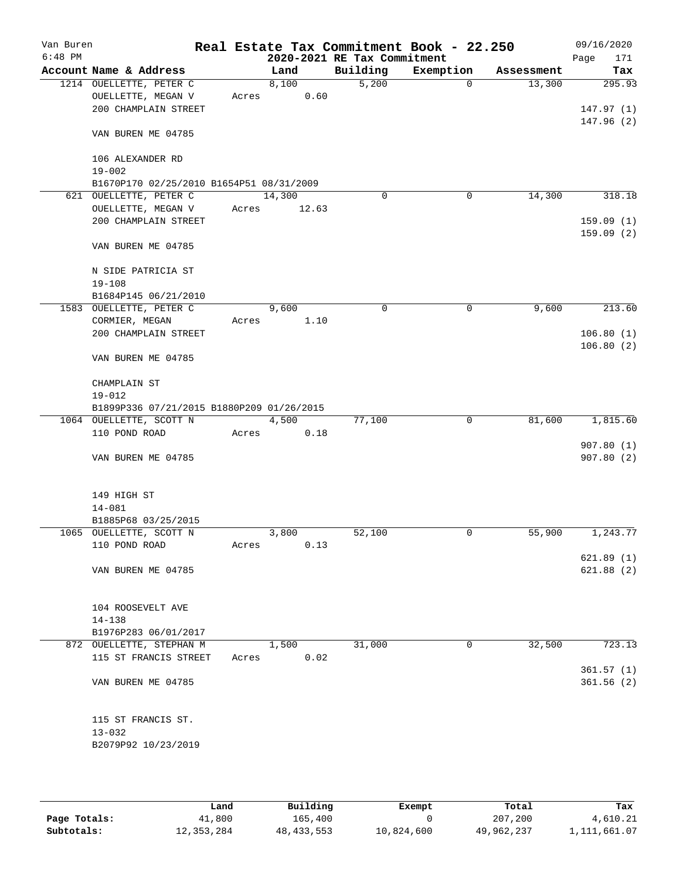| Van Buren<br>$6:48$ PM |                                           |       |        | 2020-2021 RE Tax Commitment | Real Estate Tax Commitment Book - 22.250 |            | 09/16/2020<br>Page<br>171 |
|------------------------|-------------------------------------------|-------|--------|-----------------------------|------------------------------------------|------------|---------------------------|
|                        | Account Name & Address                    |       | Land   | Building                    | Exemption                                | Assessment | Tax                       |
|                        | 1214 OUELLETTE, PETER C                   |       | 8,100  | 5,200                       | 0                                        | 13,300     | 295.93                    |
|                        | OUELLETTE, MEGAN V                        | Acres | 0.60   |                             |                                          |            |                           |
|                        | 200 CHAMPLAIN STREET                      |       |        |                             |                                          |            | 147.97(1)                 |
|                        |                                           |       |        |                             |                                          |            | 147.96(2)                 |
|                        | VAN BUREN ME 04785                        |       |        |                             |                                          |            |                           |
|                        |                                           |       |        |                             |                                          |            |                           |
|                        | 106 ALEXANDER RD                          |       |        |                             |                                          |            |                           |
|                        | $19 - 002$                                |       |        |                             |                                          |            |                           |
|                        | B1670P170 02/25/2010 B1654P51 08/31/2009  |       |        |                             |                                          |            |                           |
|                        | 621 OUELLETTE, PETER C                    |       | 14,300 | 0                           | 0                                        | 14,300     | 318.18                    |
|                        | OUELLETTE, MEGAN V                        | Acres | 12.63  |                             |                                          |            |                           |
|                        | 200 CHAMPLAIN STREET                      |       |        |                             |                                          |            | 159.09(1)                 |
|                        |                                           |       |        |                             |                                          |            | 159.09(2)                 |
|                        | VAN BUREN ME 04785                        |       |        |                             |                                          |            |                           |
|                        |                                           |       |        |                             |                                          |            |                           |
|                        | N SIDE PATRICIA ST                        |       |        |                             |                                          |            |                           |
|                        | $19 - 108$                                |       |        |                             |                                          |            |                           |
|                        | B1684P145 06/21/2010                      |       |        |                             |                                          |            |                           |
|                        | 1583 OUELLETTE, PETER C                   |       | 9,600  | $\mathbf 0$                 | $\mathbf 0$                              | 9,600      | 213.60                    |
|                        | CORMIER, MEGAN                            | Acres | 1.10   |                             |                                          |            |                           |
|                        | 200 CHAMPLAIN STREET                      |       |        |                             |                                          |            | 106.80(1)                 |
|                        | VAN BUREN ME 04785                        |       |        |                             |                                          |            | 106.80(2)                 |
|                        |                                           |       |        |                             |                                          |            |                           |
|                        | CHAMPLAIN ST                              |       |        |                             |                                          |            |                           |
|                        | $19 - 012$                                |       |        |                             |                                          |            |                           |
|                        | B1899P336 07/21/2015 B1880P209 01/26/2015 |       |        |                             |                                          |            |                           |
|                        | 1064 OUELLETTE, SCOTT N                   |       | 4,500  | 77,100                      | $\overline{0}$                           | 81,600     | 1,815.60                  |
|                        | 110 POND ROAD                             | Acres | 0.18   |                             |                                          |            |                           |
|                        |                                           |       |        |                             |                                          |            | 907.80(1)                 |
|                        | VAN BUREN ME 04785                        |       |        |                             |                                          |            | 907.80(2)                 |
|                        |                                           |       |        |                             |                                          |            |                           |
|                        |                                           |       |        |                             |                                          |            |                           |
|                        | 149 HIGH ST                               |       |        |                             |                                          |            |                           |
|                        | $14 - 081$                                |       |        |                             |                                          |            |                           |
|                        | B1885P68 03/25/2015                       |       |        |                             |                                          |            |                           |
|                        | 1065 OUELLETTE, SCOTT N                   |       | 3,800  | 52,100                      | 0                                        | 55,900     | 1,243.77                  |
|                        | 110 POND ROAD                             | Acres | 0.13   |                             |                                          |            |                           |
|                        |                                           |       |        |                             |                                          |            | 621.89(1)                 |
|                        | VAN BUREN ME 04785                        |       |        |                             |                                          |            | 621.88(2)                 |
|                        |                                           |       |        |                             |                                          |            |                           |
|                        |                                           |       |        |                             |                                          |            |                           |
|                        | 104 ROOSEVELT AVE                         |       |        |                             |                                          |            |                           |
|                        | $14 - 138$                                |       |        |                             |                                          |            |                           |
|                        | B1976P283 06/01/2017                      |       |        |                             |                                          |            |                           |
|                        | 872 OUELLETTE, STEPHAN M                  |       | 1,500  | 31,000                      | 0                                        | 32,500     | 723.13                    |
|                        | 115 ST FRANCIS STREET                     | Acres | 0.02   |                             |                                          |            |                           |
|                        |                                           |       |        |                             |                                          |            | 361.57(1)                 |
|                        | VAN BUREN ME 04785                        |       |        |                             |                                          |            | 361.56(2)                 |
|                        |                                           |       |        |                             |                                          |            |                           |
|                        |                                           |       |        |                             |                                          |            |                           |
|                        | 115 ST FRANCIS ST.                        |       |        |                             |                                          |            |                           |
|                        | $13 - 032$                                |       |        |                             |                                          |            |                           |
|                        | B2079P92 10/23/2019                       |       |        |                             |                                          |            |                           |
|                        |                                           |       |        |                             |                                          |            |                           |

|              | Land       | Building     | Exempt     | Total      | Tax          |
|--------------|------------|--------------|------------|------------|--------------|
| Page Totals: | 41,800     | 165,400      |            | 207,200    | 4,610.21     |
| Subtotals:   | 12,353,284 | 48, 433, 553 | 10,824,600 | 49,962,237 | 1,111,661.07 |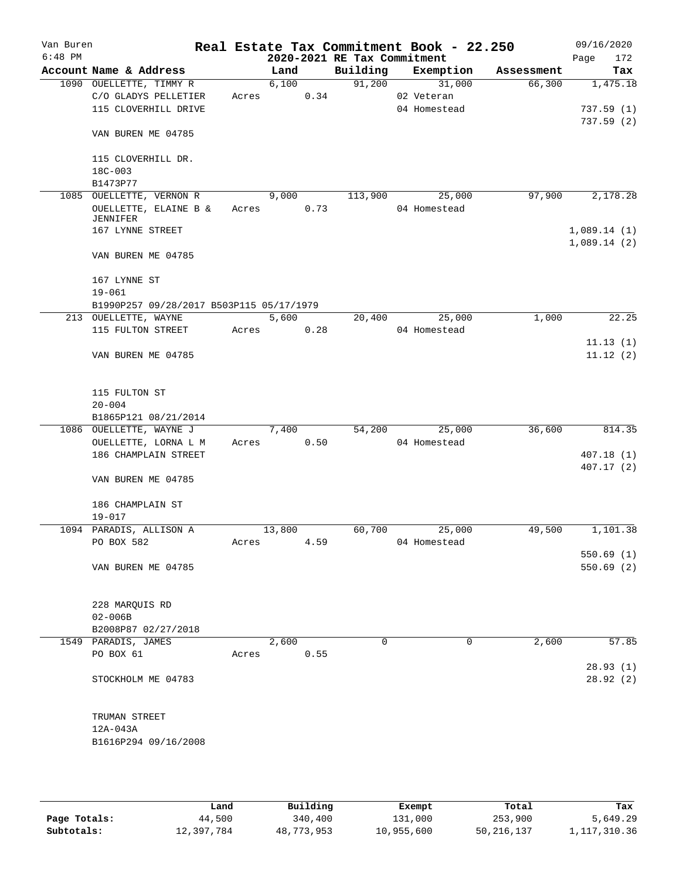| Van Buren |                                                   |       |               |                             | Real Estate Tax Commitment Book - 22.250 |            | 09/16/2020              |
|-----------|---------------------------------------------------|-------|---------------|-----------------------------|------------------------------------------|------------|-------------------------|
| $6:48$ PM |                                                   |       |               | 2020-2021 RE Tax Commitment |                                          |            | Page<br>172             |
|           | Account Name & Address                            |       | Land          | Building                    | Exemption                                | Assessment | Tax                     |
|           | 1090 OUELLETTE, TIMMY R                           |       | 6,100         | 91,200                      | 31,000                                   | 66,300     | 1,475.18                |
|           | C/O GLADYS PELLETIER                              | Acres | 0.34          |                             | 02 Veteran                               |            |                         |
|           | 115 CLOVERHILL DRIVE                              |       |               |                             | 04 Homestead                             |            | 737.59(1)<br>737.59 (2) |
|           | VAN BUREN ME 04785                                |       |               |                             |                                          |            |                         |
|           | 115 CLOVERHILL DR.                                |       |               |                             |                                          |            |                         |
|           | $18C - 003$                                       |       |               |                             |                                          |            |                         |
|           | B1473P77                                          |       |               | 113,900                     |                                          | 97,900     | 2,178.28                |
|           | 1085 OUELLETTE, VERNON R<br>OUELLETTE, ELAINE B & | Acres | 9,000<br>0.73 |                             | 25,000<br>04 Homestead                   |            |                         |
|           | JENNIFER<br>167 LYNNE STREET                      |       |               |                             |                                          |            | 1,089.14(1)             |
|           | VAN BUREN ME 04785                                |       |               |                             |                                          |            | 1,089.14(2)             |
|           | 167 LYNNE ST                                      |       |               |                             |                                          |            |                         |
|           | $19 - 061$                                        |       |               |                             |                                          |            |                         |
|           | B1990P257 09/28/2017 B503P115 05/17/1979          |       |               |                             |                                          |            |                         |
|           | 213 OUELLETTE, WAYNE                              |       | 5,600         | 20,400                      | 25,000                                   | 1,000      | 22.25                   |
|           | 115 FULTON STREET                                 | Acres | 0.28          |                             | 04 Homestead                             |            |                         |
|           |                                                   |       |               |                             |                                          |            | 11.13(1)                |
|           | VAN BUREN ME 04785                                |       |               |                             |                                          |            | 11.12(2)                |
|           | 115 FULTON ST                                     |       |               |                             |                                          |            |                         |
|           | $20 - 004$                                        |       |               |                             |                                          |            |                         |
|           | B1865P121 08/21/2014                              |       |               |                             |                                          |            |                         |
|           | 1086 OUELLETTE, WAYNE J                           |       | 7,400         | 54,200                      | 25,000                                   | 36,600     | 814.35                  |
|           | OUELLETTE, LORNA L M                              | Acres | 0.50          |                             | 04 Homestead                             |            |                         |
|           | 186 CHAMPLAIN STREET                              |       |               |                             |                                          |            | 407.18(1)<br>407.17 (2) |
|           | VAN BUREN ME 04785                                |       |               |                             |                                          |            |                         |
|           | 186 CHAMPLAIN ST<br>$19 - 017$                    |       |               |                             |                                          |            |                         |
|           | 1094 PARADIS, ALLISON A                           |       | 13,800        | 60,700                      | 25,000                                   | 49,500     | 1,101.38                |
|           | PO BOX 582                                        | Acres | 4.59          |                             | 04 Homestead                             |            |                         |
|           |                                                   |       |               |                             |                                          |            | 550.69(1)               |
|           | VAN BUREN ME 04785                                |       |               |                             |                                          |            | 550.69(2)               |
|           |                                                   |       |               |                             |                                          |            |                         |
|           | 228 MARQUIS RD                                    |       |               |                             |                                          |            |                         |
|           | $02 - 006B$                                       |       |               |                             |                                          |            |                         |
|           | B2008P87 02/27/2018                               |       |               |                             |                                          |            |                         |
|           | 1549 PARADIS, JAMES                               |       | 2,600         | $\Omega$                    | 0                                        | 2,600      | 57.85                   |
|           | PO BOX 61                                         | Acres | 0.55          |                             |                                          |            |                         |
|           |                                                   |       |               |                             |                                          |            | 28.93(1)                |
|           | STOCKHOLM ME 04783                                |       |               |                             |                                          |            | 28.92(2)                |
|           | TRUMAN STREET                                     |       |               |                             |                                          |            |                         |
|           | 12A-043A                                          |       |               |                             |                                          |            |                         |
|           | B1616P294 09/16/2008                              |       |               |                             |                                          |            |                         |
|           |                                                   |       |               |                             |                                          |            |                         |

|              | Land       | Building   | Exempt     | Total        | Tax            |
|--------------|------------|------------|------------|--------------|----------------|
| Page Totals: | 44,500     | 340,400    | 131,000    | 253,900      | 5,649.29       |
| Subtotals:   | 12,397,784 | 48,773,953 | 10,955,600 | 50, 216, 137 | 1, 117, 310.36 |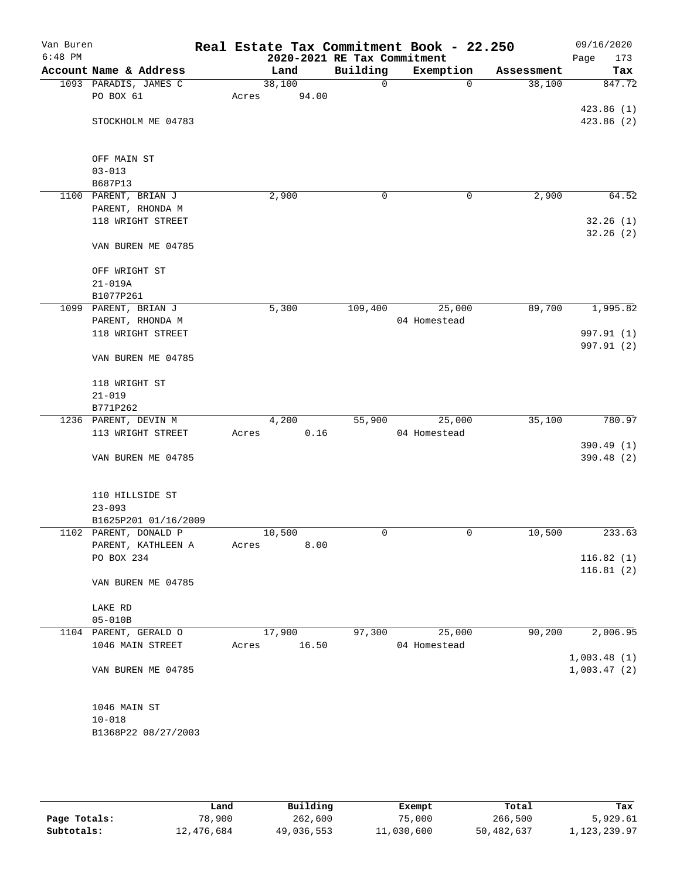| Van Buren<br>$6:48$ PM |                        |       |        | 2020-2021 RE Tax Commitment | Real Estate Tax Commitment Book - 22.250 |            | 09/16/2020<br>Page<br>173 |
|------------------------|------------------------|-------|--------|-----------------------------|------------------------------------------|------------|---------------------------|
|                        | Account Name & Address |       | Land   | Building                    | Exemption                                | Assessment | Tax                       |
|                        | 1093 PARADIS, JAMES C  |       | 38,100 | $\mathbf 0$                 | $\mathbf 0$                              | 38,100     | 847.72                    |
|                        | PO BOX 61              | Acres | 94.00  |                             |                                          |            |                           |
|                        |                        |       |        |                             |                                          |            | 423.86(1)                 |
|                        | STOCKHOLM ME 04783     |       |        |                             |                                          |            | 423.86(2)                 |
|                        |                        |       |        |                             |                                          |            |                           |
|                        |                        |       |        |                             |                                          |            |                           |
|                        | OFF MAIN ST            |       |        |                             |                                          |            |                           |
|                        | $03 - 013$             |       |        |                             |                                          |            |                           |
|                        | B687P13                |       |        |                             |                                          |            |                           |
|                        | 1100 PARENT, BRIAN J   |       | 2,900  | 0                           | 0                                        | 2,900      | 64.52                     |
|                        | PARENT, RHONDA M       |       |        |                             |                                          |            |                           |
|                        | 118 WRIGHT STREET      |       |        |                             |                                          |            | 32.26(1)                  |
|                        | VAN BUREN ME 04785     |       |        |                             |                                          |            | 32.26(2)                  |
|                        | OFF WRIGHT ST          |       |        |                             |                                          |            |                           |
|                        | $21 - 019A$            |       |        |                             |                                          |            |                           |
|                        | B1077P261              |       |        |                             |                                          |            |                           |
|                        | 1099 PARENT, BRIAN J   |       | 5,300  | 109,400                     | 25,000                                   | 89,700     | 1,995.82                  |
|                        | PARENT, RHONDA M       |       |        |                             | 04 Homestead                             |            |                           |
|                        | 118 WRIGHT STREET      |       |        |                             |                                          |            | 997.91 (1)                |
|                        |                        |       |        |                             |                                          |            | 997.91 (2)                |
|                        | VAN BUREN ME 04785     |       |        |                             |                                          |            |                           |
|                        | 118 WRIGHT ST          |       |        |                             |                                          |            |                           |
|                        | $21 - 019$             |       |        |                             |                                          |            |                           |
|                        | B771P262               |       |        |                             |                                          |            |                           |
|                        | 1236 PARENT, DEVIN M   |       | 4,200  | 55,900                      | 25,000                                   | 35,100     | 780.97                    |
|                        | 113 WRIGHT STREET      | Acres | 0.16   |                             | 04 Homestead                             |            |                           |
|                        |                        |       |        |                             |                                          |            | 390.49 (1)                |
|                        | VAN BUREN ME 04785     |       |        |                             |                                          |            | 390.48 (2)                |
|                        | 110 HILLSIDE ST        |       |        |                             |                                          |            |                           |
|                        | $23 - 093$             |       |        |                             |                                          |            |                           |
|                        | B1625P201 01/16/2009   |       |        |                             |                                          |            |                           |
|                        | 1102 PARENT, DONALD P  |       | 10,500 | 0                           | 0                                        | 10,500     | 233.63                    |
|                        | PARENT, KATHLEEN A     | Acres | 8.00   |                             |                                          |            |                           |
|                        | PO BOX 234             |       |        |                             |                                          |            | 116.82(1)                 |
|                        |                        |       |        |                             |                                          |            | 116.81(2)                 |
|                        | VAN BUREN ME 04785     |       |        |                             |                                          |            |                           |
|                        | LAKE RD                |       |        |                             |                                          |            |                           |
|                        | $05 - 010B$            |       |        |                             |                                          |            |                           |
|                        | 1104 PARENT, GERALD O  |       | 17,900 | 97,300                      | 25,000                                   | 90,200     | 2,006.95                  |
|                        | 1046 MAIN STREET       | Acres | 16.50  |                             | 04 Homestead                             |            |                           |
|                        |                        |       |        |                             |                                          |            | 1,003.48(1)               |
|                        | VAN BUREN ME 04785     |       |        |                             |                                          |            | 1,003.47(2)               |
|                        | 1046 MAIN ST           |       |        |                             |                                          |            |                           |
|                        | $10 - 018$             |       |        |                             |                                          |            |                           |
|                        | B1368P22 08/27/2003    |       |        |                             |                                          |            |                           |
|                        |                        |       |        |                             |                                          |            |                           |
|                        |                        |       |        |                             |                                          |            |                           |

|              | Land       | Building   | Exempt     | Total      | Tax          |
|--------------|------------|------------|------------|------------|--------------|
| Page Totals: | 78,900     | 262,600    | 75,000     | 266,500    | 5,929.61     |
| Subtotals:   | 12,476,684 | 49,036,553 | 11,030,600 | 50,482,637 | 1,123,239.97 |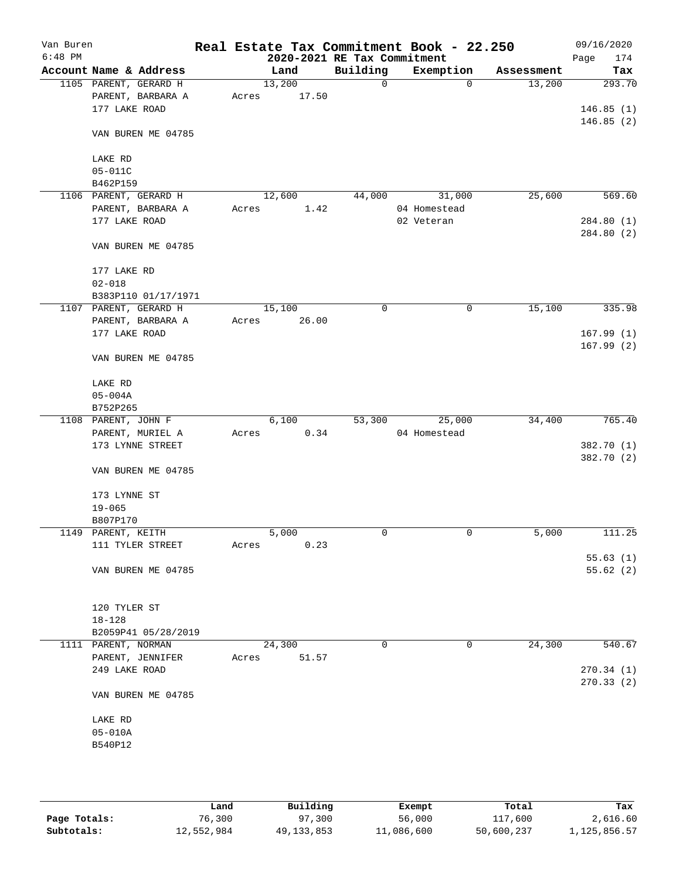| Van Buren<br>$6:48$ PM |                                 |       |        | 2020-2021 RE Tax Commitment | Real Estate Tax Commitment Book - 22.250 |            | 09/16/2020<br>Page<br>174 |
|------------------------|---------------------------------|-------|--------|-----------------------------|------------------------------------------|------------|---------------------------|
|                        | Account Name & Address          |       | Land   | Building                    | Exemption                                | Assessment | Tax                       |
|                        | 1105 PARENT, GERARD H           |       | 13,200 | $\mathbf 0$                 | $\mathbf 0$                              | 13,200     | 293.70                    |
|                        | PARENT, BARBARA A               | Acres | 17.50  |                             |                                          |            |                           |
|                        | 177 LAKE ROAD                   |       |        |                             |                                          |            | 146.85(1)                 |
|                        |                                 |       |        |                             |                                          |            | 146.85(2)                 |
|                        | VAN BUREN ME 04785              |       |        |                             |                                          |            |                           |
|                        | LAKE RD                         |       |        |                             |                                          |            |                           |
|                        | $05 - 011C$                     |       |        |                             |                                          |            |                           |
|                        | B462P159                        |       |        |                             |                                          |            |                           |
|                        | 1106 PARENT, GERARD H           |       | 12,600 | 44,000                      | 31,000                                   | 25,600     | 569.60                    |
|                        | PARENT, BARBARA A               | Acres | 1.42   |                             | 04 Homestead                             |            |                           |
|                        | 177 LAKE ROAD                   |       |        |                             | 02 Veteran                               |            | 284.80 (1)                |
|                        |                                 |       |        |                             |                                          |            | 284.80 (2)                |
|                        | VAN BUREN ME 04785              |       |        |                             |                                          |            |                           |
|                        | 177 LAKE RD                     |       |        |                             |                                          |            |                           |
|                        | $02 - 018$                      |       |        |                             |                                          |            |                           |
|                        | B383P110 01/17/1971             |       |        |                             |                                          |            |                           |
|                        | 1107 PARENT, GERARD H           |       | 15,100 | 0                           | 0                                        | 15,100     | 335.98                    |
|                        | PARENT, BARBARA A               | Acres | 26.00  |                             |                                          |            |                           |
|                        | 177 LAKE ROAD                   |       |        |                             |                                          |            | 167.99(1)                 |
|                        | VAN BUREN ME 04785              |       |        |                             |                                          |            | 167.99(2)                 |
|                        |                                 |       |        |                             |                                          |            |                           |
|                        | LAKE RD                         |       |        |                             |                                          |            |                           |
|                        | $05 - 004A$                     |       |        |                             |                                          |            |                           |
|                        | B752P265<br>1108 PARENT, JOHN F |       | 6,100  | 53,300                      | 25,000                                   | 34,400     | 765.40                    |
|                        | PARENT, MURIEL A                |       | 0.34   |                             | 04 Homestead                             |            |                           |
|                        | 173 LYNNE STREET                | Acres |        |                             |                                          |            | 382.70 (1)                |
|                        |                                 |       |        |                             |                                          |            | 382.70 (2)                |
|                        | VAN BUREN ME 04785              |       |        |                             |                                          |            |                           |
|                        | 173 LYNNE ST                    |       |        |                             |                                          |            |                           |
|                        | $19 - 065$                      |       |        |                             |                                          |            |                           |
|                        | B807P170                        |       |        |                             |                                          |            |                           |
|                        | 1149 PARENT, KEITH              |       | 5,000  | 0                           | 0                                        | 5,000      | 111.25                    |
|                        | 111 TYLER STREET                | Acres | 0.23   |                             |                                          |            |                           |
|                        |                                 |       |        |                             |                                          |            | 55.63(1)                  |
|                        | VAN BUREN ME 04785              |       |        |                             |                                          |            | 55.62(2)                  |
|                        |                                 |       |        |                             |                                          |            |                           |
|                        | 120 TYLER ST                    |       |        |                             |                                          |            |                           |
|                        | $18 - 128$                      |       |        |                             |                                          |            |                           |
|                        | B2059P41 05/28/2019             |       |        |                             |                                          |            |                           |
|                        | 1111 PARENT, NORMAN             |       | 24,300 | 0                           | 0                                        | 24,300     | 540.67                    |
|                        | PARENT, JENNIFER                | Acres | 51.57  |                             |                                          |            |                           |
|                        | 249 LAKE ROAD                   |       |        |                             |                                          |            | 270.34(1)                 |
|                        |                                 |       |        |                             |                                          |            | 270.33 (2)                |
|                        | VAN BUREN ME 04785              |       |        |                             |                                          |            |                           |
|                        | LAKE RD                         |       |        |                             |                                          |            |                           |
|                        | $05 - 010A$                     |       |        |                             |                                          |            |                           |
|                        | B540P12                         |       |        |                             |                                          |            |                           |
|                        |                                 |       |        |                             |                                          |            |                           |
|                        |                                 |       |        |                             |                                          |            |                           |
|                        |                                 |       |        |                             |                                          |            |                           |

|              | Land       | Building     | Exempt     | Total      | Tax          |
|--------------|------------|--------------|------------|------------|--------------|
| Page Totals: | 76,300     | 97,300       | 56,000     | 117,600    | 2,616.60     |
| Subtotals:   | 12,552,984 | 49, 133, 853 | 11,086,600 | 50,600,237 | 1,125,856.57 |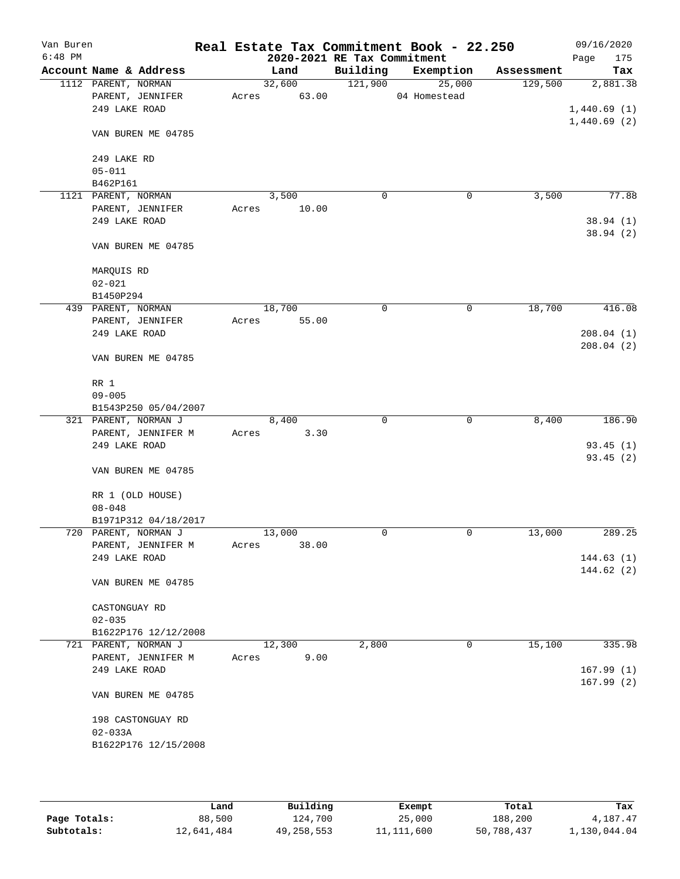| Van Buren<br>$6:48$ PM |                                     |                      |       | 2020-2021 RE Tax Commitment |          | Real Estate Tax Commitment Book - 22.250 |            | 09/16/2020<br>Page<br>175 |
|------------------------|-------------------------------------|----------------------|-------|-----------------------------|----------|------------------------------------------|------------|---------------------------|
|                        | Account Name & Address              |                      |       | Land                        | Building | Exemption                                | Assessment | Tax                       |
|                        | 1112 PARENT, NORMAN                 |                      |       | 32,600                      | 121,900  | 25,000                                   | 129,500    | 2,881.38                  |
|                        | PARENT, JENNIFER                    |                      | Acres | 63.00                       |          | 04 Homestead                             |            |                           |
|                        | 249 LAKE ROAD                       |                      |       |                             |          |                                          |            | 1,440.69(1)               |
|                        | VAN BUREN ME 04785                  |                      |       |                             |          |                                          |            | 1,440.69(2)               |
|                        | 249 LAKE RD                         |                      |       |                             |          |                                          |            |                           |
|                        | $05 - 011$                          |                      |       |                             |          |                                          |            |                           |
|                        | B462P161                            |                      |       |                             |          |                                          |            |                           |
|                        | 1121 PARENT, NORMAN                 |                      |       | 3,500                       | 0        | 0                                        | 3,500      | 77.88                     |
|                        | PARENT, JENNIFER                    |                      | Acres | 10.00                       |          |                                          |            |                           |
|                        | 249 LAKE ROAD                       |                      |       |                             |          |                                          |            | 38.94(1)                  |
|                        | VAN BUREN ME 04785                  |                      |       |                             |          |                                          |            | 38.94(2)                  |
|                        | MARQUIS RD                          |                      |       |                             |          |                                          |            |                           |
|                        | $02 - 021$                          |                      |       |                             |          |                                          |            |                           |
|                        | B1450P294                           |                      |       |                             |          |                                          |            |                           |
|                        | 439 PARENT, NORMAN                  |                      |       | 18,700                      | 0        | 0                                        | 18,700     | 416.08                    |
|                        | PARENT, JENNIFER<br>249 LAKE ROAD   |                      | Acres | 55.00                       |          |                                          |            |                           |
|                        |                                     |                      |       |                             |          |                                          |            | 208.04(1)<br>208.04(2)    |
|                        | VAN BUREN ME 04785                  |                      |       |                             |          |                                          |            |                           |
|                        | RR 1                                |                      |       |                             |          |                                          |            |                           |
|                        | $09 - 005$                          |                      |       |                             |          |                                          |            |                           |
|                        | 321 PARENT, NORMAN J                | B1543P250 05/04/2007 |       | 8,400                       | 0        | $\mathbf 0$                              | 8,400      | 186.90                    |
|                        | PARENT, JENNIFER M                  |                      | Acres | 3.30                        |          |                                          |            |                           |
|                        | 249 LAKE ROAD                       |                      |       |                             |          |                                          |            | 93.45(1)                  |
|                        |                                     |                      |       |                             |          |                                          |            | 93.45(2)                  |
|                        | VAN BUREN ME 04785                  |                      |       |                             |          |                                          |            |                           |
|                        | RR 1 (OLD HOUSE)                    |                      |       |                             |          |                                          |            |                           |
|                        | $08 - 048$                          |                      |       |                             |          |                                          |            |                           |
|                        |                                     | B1971P312 04/18/2017 |       |                             |          |                                          |            |                           |
|                        | 720 PARENT, NORMAN J                |                      |       | 13,000                      | 0        | 0                                        | 13,000     | 289.25                    |
|                        | PARENT, JENNIFER M<br>249 LAKE ROAD |                      | Acres | 38.00                       |          |                                          |            | 144.63(1)                 |
|                        |                                     |                      |       |                             |          |                                          |            | 144.62(2)                 |
|                        | VAN BUREN ME 04785                  |                      |       |                             |          |                                          |            |                           |
|                        | CASTONGUAY RD                       |                      |       |                             |          |                                          |            |                           |
|                        | $02 - 035$                          |                      |       |                             |          |                                          |            |                           |
|                        |                                     | B1622P176 12/12/2008 |       |                             |          |                                          |            |                           |
|                        | 721 PARENT, NORMAN J                |                      |       | 12,300                      | 2,800    | 0                                        | 15,100     | 335.98                    |
|                        | PARENT, JENNIFER M                  |                      | Acres | 9.00                        |          |                                          |            |                           |
|                        | 249 LAKE ROAD                       |                      |       |                             |          |                                          |            | 167.99(1)                 |
|                        | VAN BUREN ME 04785                  |                      |       |                             |          |                                          |            | 167.99(2)                 |
|                        |                                     |                      |       |                             |          |                                          |            |                           |
|                        | 198 CASTONGUAY RD                   |                      |       |                             |          |                                          |            |                           |
|                        | $02 - 033A$                         |                      |       |                             |          |                                          |            |                           |
|                        |                                     | B1622P176 12/15/2008 |       |                             |          |                                          |            |                           |
|                        |                                     |                      |       |                             |          |                                          |            |                           |

|              | Land       | Building   | Exempt       | Total      | Tax          |
|--------------|------------|------------|--------------|------------|--------------|
| Page Totals: | 88,500     | 124,700    | 25,000       | 188,200    | 4,187.47     |
| Subtotals:   | 12,641,484 | 49,258,553 | 11, 111, 600 | 50,788,437 | 1,130,044.04 |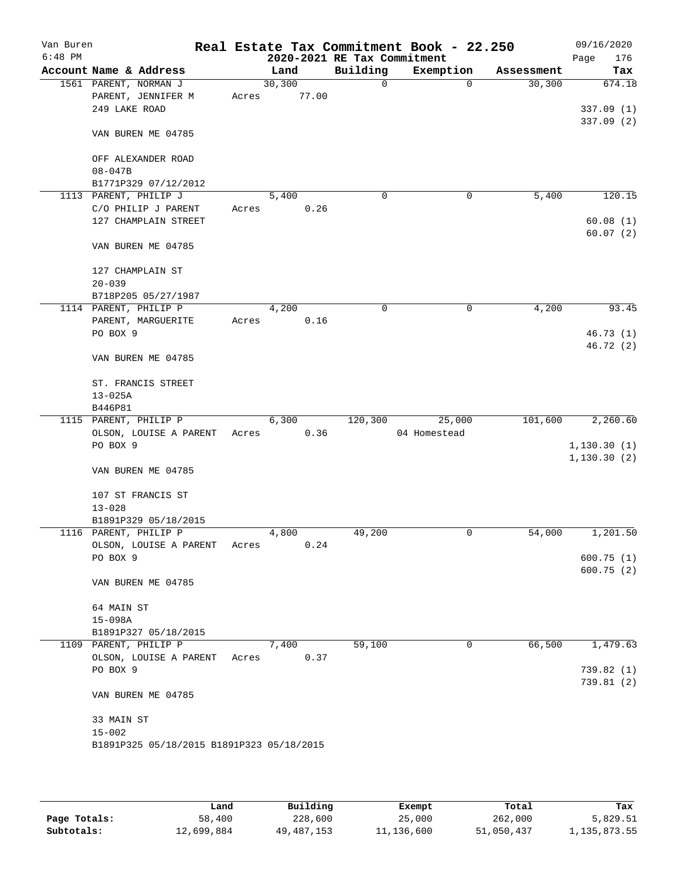| Van Buren |                                  |                                           |       |         |       |                             | Real Estate Tax Commitment Book - 22.250 |            | 09/16/2020             |
|-----------|----------------------------------|-------------------------------------------|-------|---------|-------|-----------------------------|------------------------------------------|------------|------------------------|
| $6:48$ PM |                                  |                                           |       |         |       | 2020-2021 RE Tax Commitment |                                          |            | 176<br>Page            |
|           | Account Name & Address           |                                           |       | Land    |       | Building                    | Exemption                                | Assessment | Tax                    |
|           | 1561 PARENT, NORMAN J            |                                           |       | 30, 300 |       | 0                           | $\mathbf 0$                              | 30,300     | 674.18                 |
|           | 249 LAKE ROAD                    | PARENT, JENNIFER M                        | Acres |         | 77.00 |                             |                                          |            |                        |
|           |                                  |                                           |       |         |       |                             |                                          |            | 337.09(1)<br>337.09(2) |
|           |                                  | VAN BUREN ME 04785                        |       |         |       |                             |                                          |            |                        |
|           |                                  | OFF ALEXANDER ROAD                        |       |         |       |                             |                                          |            |                        |
|           | $08 - 047B$                      |                                           |       |         |       |                             |                                          |            |                        |
|           |                                  | B1771P329 07/12/2012                      |       |         |       |                             |                                          |            |                        |
|           | 1113 PARENT, PHILIP J            |                                           |       | 5,400   |       | $\mathbf 0$                 | 0                                        | 5,400      | 120.15                 |
|           |                                  | C/O PHILIP J PARENT                       | Acres |         | 0.26  |                             |                                          |            |                        |
|           |                                  | 127 CHAMPLAIN STREET                      |       |         |       |                             |                                          |            | 60.08(1)<br>60.07(2)   |
|           |                                  | VAN BUREN ME 04785                        |       |         |       |                             |                                          |            |                        |
|           |                                  | 127 CHAMPLAIN ST                          |       |         |       |                             |                                          |            |                        |
|           | $20 - 039$                       |                                           |       |         |       |                             |                                          |            |                        |
|           |                                  | B718P205 05/27/1987                       |       |         |       |                             |                                          |            |                        |
|           | 1114 PARENT, PHILIP P            |                                           |       | 4,200   |       | 0                           | 0                                        | 4,200      | 93.45                  |
|           | PO BOX 9                         | PARENT, MARGUERITE                        | Acres |         | 0.16  |                             |                                          |            | 46.73(1)               |
|           |                                  |                                           |       |         |       |                             |                                          |            | 46.72(2)               |
|           |                                  | VAN BUREN ME 04785                        |       |         |       |                             |                                          |            |                        |
|           |                                  | ST. FRANCIS STREET                        |       |         |       |                             |                                          |            |                        |
|           | $13 - 025A$                      |                                           |       |         |       |                             |                                          |            |                        |
|           | B446P81<br>1115 PARENT, PHILIP P |                                           |       | 6,300   |       | 120,300                     | 25,000                                   | 101,600    | 2,260.60               |
|           |                                  | OLSON, LOUISE A PARENT                    | Acres |         | 0.36  |                             | 04 Homestead                             |            |                        |
|           | PO BOX 9                         |                                           |       |         |       |                             |                                          |            | 1, 130.30(1)           |
|           |                                  |                                           |       |         |       |                             |                                          |            | 1, 130.30(2)           |
|           |                                  | VAN BUREN ME 04785                        |       |         |       |                             |                                          |            |                        |
|           |                                  | 107 ST FRANCIS ST                         |       |         |       |                             |                                          |            |                        |
|           | $13 - 028$                       |                                           |       |         |       |                             |                                          |            |                        |
|           |                                  | B1891P329 05/18/2015                      |       |         |       |                             |                                          |            |                        |
|           | 1116 PARENT, PHILIP P            |                                           |       | 4,800   | 0.24  | 49,200                      | 0                                        | 54,000     | 1,201.50               |
|           | PO BOX 9                         | OLSON, LOUISE A PARENT                    | Acres |         |       |                             |                                          |            | 600.75(1)              |
|           |                                  |                                           |       |         |       |                             |                                          |            | 600.75(2)              |
|           |                                  | VAN BUREN ME 04785                        |       |         |       |                             |                                          |            |                        |
|           | 64 MAIN ST                       |                                           |       |         |       |                             |                                          |            |                        |
|           | $15 - 098A$                      |                                           |       |         |       |                             |                                          |            |                        |
|           |                                  | B1891P327 05/18/2015                      |       |         |       |                             |                                          |            |                        |
|           | 1109 PARENT, PHILIP P            | OLSON, LOUISE A PARENT                    | Acres | 7,400   | 0.37  | 59,100                      | $\mathbf{0}$                             | 66,500     | 1,479.63               |
|           | PO BOX 9                         |                                           |       |         |       |                             |                                          |            | 739.82 (1)             |
|           |                                  |                                           |       |         |       |                             |                                          |            | 739.81 (2)             |
|           |                                  | VAN BUREN ME 04785                        |       |         |       |                             |                                          |            |                        |
|           | 33 MAIN ST                       |                                           |       |         |       |                             |                                          |            |                        |
|           | $15 - 002$                       |                                           |       |         |       |                             |                                          |            |                        |
|           |                                  | B1891P325 05/18/2015 B1891P323 05/18/2015 |       |         |       |                             |                                          |            |                        |
|           |                                  |                                           |       |         |       |                             |                                          |            |                        |

|              | Land       | Building     | Exempt     | Total      | Tax          |
|--------------|------------|--------------|------------|------------|--------------|
| Page Totals: | 58,400     | 228,600      | 25,000     | 262,000    | 5,829.51     |
| Subtotals:   | 12,699,884 | 49, 487, 153 | 11,136,600 | 51,050,437 | 1,135,873.55 |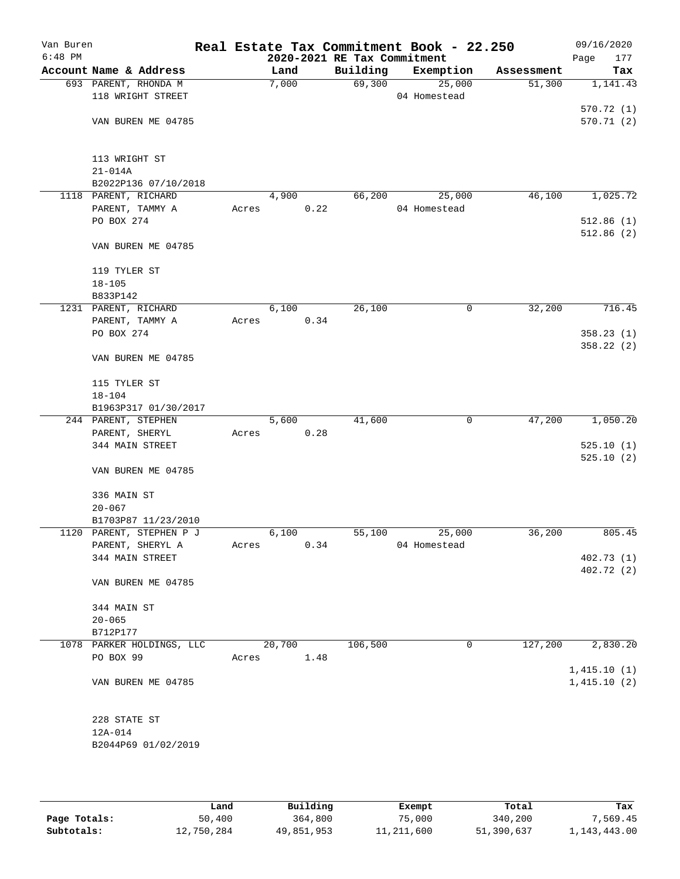| Van Buren<br>$6:48$ PM |                                         |       |        |      | 2020-2021 RE Tax Commitment | Real Estate Tax Commitment Book - 22.250 |            | 09/16/2020<br>Page<br>177 |
|------------------------|-----------------------------------------|-------|--------|------|-----------------------------|------------------------------------------|------------|---------------------------|
|                        | Account Name & Address                  |       | Land   |      | Building                    | Exemption                                | Assessment | Tax                       |
|                        | 693 PARENT, RHONDA M                    |       | 7,000  |      | 69,300                      | 25,000                                   | 51,300     | 1,141.43                  |
|                        | 118 WRIGHT STREET                       |       |        |      |                             | 04 Homestead                             |            |                           |
|                        |                                         |       |        |      |                             |                                          |            | 570.72 (1)                |
|                        | VAN BUREN ME 04785                      |       |        |      |                             |                                          |            | 570.71(2)                 |
|                        |                                         |       |        |      |                             |                                          |            |                           |
|                        |                                         |       |        |      |                             |                                          |            |                           |
|                        | 113 WRIGHT ST                           |       |        |      |                             |                                          |            |                           |
|                        | $21 - 014A$                             |       |        |      |                             |                                          |            |                           |
|                        | B2022P136 07/10/2018                    |       |        |      |                             |                                          |            |                           |
|                        | 1118 PARENT, RICHARD                    |       | 4,900  |      | 66,200                      | 25,000                                   | 46,100     | 1,025.72                  |
|                        | PARENT, TAMMY A                         | Acres |        | 0.22 |                             | 04 Homestead                             |            |                           |
|                        | PO BOX 274                              |       |        |      |                             |                                          |            | 512.86(1)                 |
|                        |                                         |       |        |      |                             |                                          |            | 512.86(2)                 |
|                        | VAN BUREN ME 04785                      |       |        |      |                             |                                          |            |                           |
|                        |                                         |       |        |      |                             |                                          |            |                           |
|                        | 119 TYLER ST                            |       |        |      |                             |                                          |            |                           |
|                        | $18 - 105$                              |       |        |      |                             |                                          |            |                           |
|                        | B833P142                                |       |        |      |                             |                                          |            |                           |
|                        | 1231 PARENT, RICHARD<br>PARENT, TAMMY A |       | 6,100  |      | 26,100                      | 0                                        | 32,200     | 716.45                    |
|                        |                                         | Acres |        | 0.34 |                             |                                          |            |                           |
|                        | PO BOX 274                              |       |        |      |                             |                                          |            | 358.23(1)<br>358.22 (2)   |
|                        | VAN BUREN ME 04785                      |       |        |      |                             |                                          |            |                           |
|                        |                                         |       |        |      |                             |                                          |            |                           |
|                        | 115 TYLER ST                            |       |        |      |                             |                                          |            |                           |
|                        | $18 - 104$                              |       |        |      |                             |                                          |            |                           |
|                        | B1963P317 01/30/2017                    |       |        |      |                             |                                          |            |                           |
|                        | 244 PARENT, STEPHEN                     |       | 5,600  |      | 41,600                      | 0                                        | 47,200     | 1,050.20                  |
|                        | PARENT, SHERYL                          | Acres |        | 0.28 |                             |                                          |            |                           |
|                        | 344 MAIN STREET                         |       |        |      |                             |                                          |            | 525.10(1)                 |
|                        |                                         |       |        |      |                             |                                          |            | 525.10(2)                 |
|                        | VAN BUREN ME 04785                      |       |        |      |                             |                                          |            |                           |
|                        |                                         |       |        |      |                             |                                          |            |                           |
|                        | 336 MAIN ST                             |       |        |      |                             |                                          |            |                           |
|                        | $20 - 067$                              |       |        |      |                             |                                          |            |                           |
|                        | B1703P87 11/23/2010                     |       |        |      |                             |                                          |            |                           |
|                        | 1120 PARENT, STEPHEN P J                |       | 6,100  |      | 55,100                      | 25,000                                   | 36,200     | 805.45                    |
|                        | PARENT, SHERYL A                        | Acres |        | 0.34 |                             | 04 Homestead                             |            |                           |
|                        | 344 MAIN STREET                         |       |        |      |                             |                                          |            | 402.73(1)                 |
|                        |                                         |       |        |      |                             |                                          |            | 402.72 (2)                |
|                        | VAN BUREN ME 04785                      |       |        |      |                             |                                          |            |                           |
|                        |                                         |       |        |      |                             |                                          |            |                           |
|                        | 344 MAIN ST                             |       |        |      |                             |                                          |            |                           |
|                        | $20 - 065$<br>B712P177                  |       |        |      |                             |                                          |            |                           |
|                        | 1078 PARKER HOLDINGS, LLC               |       | 20,700 |      | 106,500                     | 0                                        | 127,200    | 2,830.20                  |
|                        | PO BOX 99                               | Acres |        | 1.48 |                             |                                          |            |                           |
|                        |                                         |       |        |      |                             |                                          |            | 1,415.10(1)               |
|                        | VAN BUREN ME 04785                      |       |        |      |                             |                                          |            | 1,415.10(2)               |
|                        |                                         |       |        |      |                             |                                          |            |                           |
|                        |                                         |       |        |      |                             |                                          |            |                           |
|                        | 228 STATE ST                            |       |        |      |                             |                                          |            |                           |
|                        | $12A-014$                               |       |        |      |                             |                                          |            |                           |
|                        | B2044P69 01/02/2019                     |       |        |      |                             |                                          |            |                           |
|                        |                                         |       |        |      |                             |                                          |            |                           |
|                        |                                         |       |        |      |                             |                                          |            |                           |

|              | Land       | Building   | Exempt     | Total      | Tax          |
|--------------|------------|------------|------------|------------|--------------|
| Page Totals: | 50,400     | 364,800    | 75,000     | 340,200    | 7.569.45     |
| Subtotals:   | 12,750,284 | 49,851,953 | 11,211,600 | 51,390,637 | 1,143,443.00 |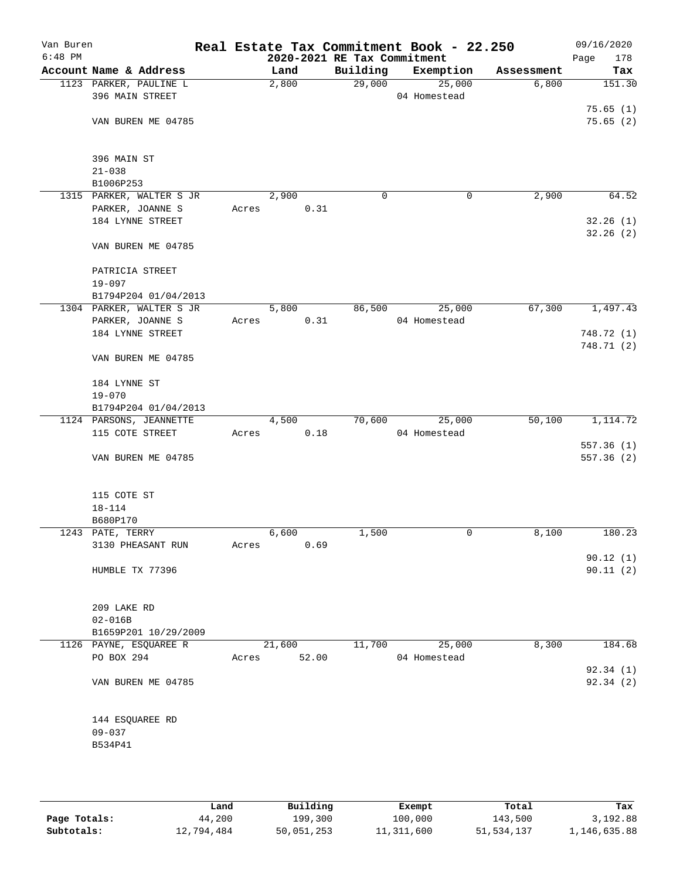| Van Buren<br>$6:48$ PM |                               |       |        |       | Real Estate Tax Commitment Book - 22.250<br>2020-2021 RE Tax Commitment |              |            | 09/16/2020<br>178<br>Page |
|------------------------|-------------------------------|-------|--------|-------|-------------------------------------------------------------------------|--------------|------------|---------------------------|
|                        | Account Name & Address        |       | Land   |       | Building                                                                | Exemption    | Assessment | Tax                       |
|                        | 1123 PARKER, PAULINE L        |       | 2,800  |       | 29,000                                                                  | 25,000       | 6,800      | 151.30                    |
|                        | 396 MAIN STREET               |       |        |       |                                                                         | 04 Homestead |            |                           |
|                        |                               |       |        |       |                                                                         |              |            | 75.65(1)                  |
|                        | VAN BUREN ME 04785            |       |        |       |                                                                         |              |            | 75.65(2)                  |
|                        |                               |       |        |       |                                                                         |              |            |                           |
|                        |                               |       |        |       |                                                                         |              |            |                           |
|                        | 396 MAIN ST                   |       |        |       |                                                                         |              |            |                           |
|                        | $21 - 038$                    |       |        |       |                                                                         |              |            |                           |
|                        | B1006P253                     |       |        |       |                                                                         |              |            |                           |
|                        | 1315 PARKER, WALTER S JR      |       | 2,900  |       | $\mathbf 0$                                                             | $\mathbf 0$  | 2,900      | 64.52                     |
|                        | PARKER, JOANNE S              | Acres |        | 0.31  |                                                                         |              |            |                           |
|                        | 184 LYNNE STREET              |       |        |       |                                                                         |              |            | 32.26(1)<br>32.26(2)      |
|                        | VAN BUREN ME 04785            |       |        |       |                                                                         |              |            |                           |
|                        |                               |       |        |       |                                                                         |              |            |                           |
|                        | PATRICIA STREET               |       |        |       |                                                                         |              |            |                           |
|                        | $19 - 097$                    |       |        |       |                                                                         |              |            |                           |
|                        | B1794P204 01/04/2013          |       |        |       |                                                                         |              |            |                           |
|                        | 1304 PARKER, WALTER S JR      |       | 5,800  |       | 86,500                                                                  | 25,000       | 67,300     | 1,497.43                  |
|                        | PARKER, JOANNE S              | Acres |        | 0.31  |                                                                         | 04 Homestead |            |                           |
|                        | 184 LYNNE STREET              |       |        |       |                                                                         |              |            | 748.72 (1)                |
|                        |                               |       |        |       |                                                                         |              |            | 748.71 (2)                |
|                        | VAN BUREN ME 04785            |       |        |       |                                                                         |              |            |                           |
|                        |                               |       |        |       |                                                                         |              |            |                           |
|                        | 184 LYNNE ST                  |       |        |       |                                                                         |              |            |                           |
|                        | $19 - 070$                    |       |        |       |                                                                         |              |            |                           |
|                        | B1794P204 01/04/2013          |       |        |       |                                                                         |              |            |                           |
|                        | 1124 PARSONS, JEANNETTE       |       | 4,500  |       | 70,600                                                                  | 25,000       | 50,100     | 1,114.72                  |
|                        | 115 COTE STREET               | Acres |        | 0.18  |                                                                         | 04 Homestead |            |                           |
|                        |                               |       |        |       |                                                                         |              |            | 557.36(1)                 |
|                        | VAN BUREN ME 04785            |       |        |       |                                                                         |              |            | 557.36 (2)                |
|                        |                               |       |        |       |                                                                         |              |            |                           |
|                        |                               |       |        |       |                                                                         |              |            |                           |
|                        | 115 COTE ST<br>$18 - 114$     |       |        |       |                                                                         |              |            |                           |
|                        | B680P170                      |       |        |       |                                                                         |              |            |                           |
|                        | 1243 PATE, TERRY              |       | 6,600  |       | 1,500                                                                   | 0            | 8,100      | 180.23                    |
|                        | 3130 PHEASANT RUN             | Acres |        | 0.69  |                                                                         |              |            |                           |
|                        |                               |       |        |       |                                                                         |              |            | 90.12(1)                  |
|                        | HUMBLE TX 77396               |       |        |       |                                                                         |              |            | 90.11(2)                  |
|                        |                               |       |        |       |                                                                         |              |            |                           |
|                        |                               |       |        |       |                                                                         |              |            |                           |
|                        | 209 LAKE RD                   |       |        |       |                                                                         |              |            |                           |
|                        | $02 - 016B$                   |       |        |       |                                                                         |              |            |                           |
|                        | B1659P201 10/29/2009          |       |        |       |                                                                         |              |            |                           |
|                        | 1126 PAYNE, ESQUAREE R        |       | 21,600 |       | 11,700                                                                  | 25,000       | 8,300      | 184.68                    |
|                        | PO BOX 294                    | Acres |        | 52.00 |                                                                         | 04 Homestead |            |                           |
|                        |                               |       |        |       |                                                                         |              |            | 92.34(1)                  |
|                        | VAN BUREN ME 04785            |       |        |       |                                                                         |              |            | 92.34 (2)                 |
|                        |                               |       |        |       |                                                                         |              |            |                           |
|                        |                               |       |        |       |                                                                         |              |            |                           |
|                        | 144 ESQUAREE RD<br>$09 - 037$ |       |        |       |                                                                         |              |            |                           |
|                        | B534P41                       |       |        |       |                                                                         |              |            |                           |
|                        |                               |       |        |       |                                                                         |              |            |                           |
|                        |                               |       |        |       |                                                                         |              |            |                           |
|                        |                               |       |        |       |                                                                         |              |            |                           |

|              | Land       | Building   | Exempt     | Total        | Tax          |
|--------------|------------|------------|------------|--------------|--------------|
| Page Totals: | 44,200     | 199,300    | 100,000    | 143,500      | 3,192.88     |
| Subtotals:   | 12,794,484 | 50,051,253 | 11,311,600 | 51, 534, 137 | 1,146,635.88 |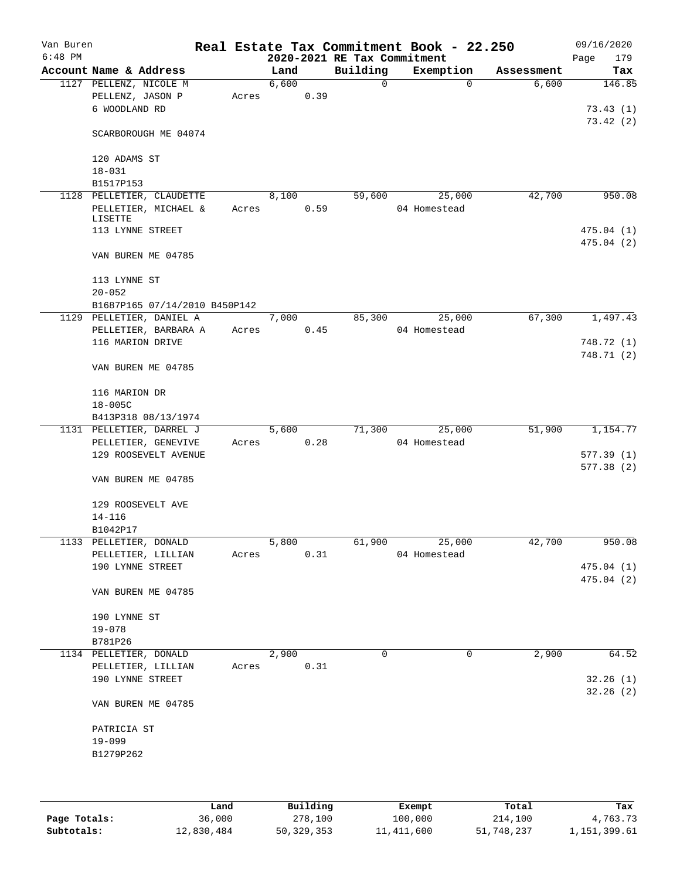| Van Buren<br>$6:48$ PM |                                                             |       |       |      | 2020-2021 RE Tax Commitment | Real Estate Tax Commitment Book - 22.250 |            | 09/16/2020<br>179<br>Page |
|------------------------|-------------------------------------------------------------|-------|-------|------|-----------------------------|------------------------------------------|------------|---------------------------|
|                        | Account Name & Address                                      |       | Land  |      | Building                    | Exemption                                | Assessment | Tax                       |
|                        | 1127 PELLENZ, NICOLE M<br>PELLENZ, JASON P<br>6 WOODLAND RD | Acres | 6,600 | 0.39 | $\mathbf 0$                 | $\Omega$                                 | 6,600      | 146.85<br>73.43(1)        |
|                        | SCARBOROUGH ME 04074                                        |       |       |      |                             |                                          |            | 73.42(2)                  |
|                        | 120 ADAMS ST<br>$18 - 031$                                  |       |       |      |                             |                                          |            |                           |
|                        | B1517P153                                                   |       |       |      |                             |                                          |            |                           |
|                        | 1128 PELLETIER, CLAUDETTE                                   |       | 8,100 |      | 59,600                      | 25,000                                   | 42,700     | 950.08                    |
|                        | PELLETIER, MICHAEL &                                        | Acres |       | 0.59 |                             | 04 Homestead                             |            |                           |
|                        | LISETTE                                                     |       |       |      |                             |                                          |            |                           |
|                        | 113 LYNNE STREET                                            |       |       |      |                             |                                          |            | 475.04(1)<br>475.04(2)    |
|                        | VAN BUREN ME 04785                                          |       |       |      |                             |                                          |            |                           |
|                        | 113 LYNNE ST                                                |       |       |      |                             |                                          |            |                           |
|                        | $20 - 052$                                                  |       |       |      |                             |                                          |            |                           |
|                        | B1687P165 07/14/2010 B450P142                               |       |       |      |                             |                                          |            |                           |
|                        | 1129 PELLETIER, DANIEL A                                    |       | 7,000 |      | 85,300                      | 25,000                                   | 67,300     | 1,497.43                  |
|                        | PELLETIER, BARBARA A                                        | Acres |       | 0.45 |                             | 04 Homestead                             |            |                           |
|                        | 116 MARION DRIVE                                            |       |       |      |                             |                                          |            | 748.72 (1)                |
|                        |                                                             |       |       |      |                             |                                          |            | 748.71 (2)                |
|                        | VAN BUREN ME 04785                                          |       |       |      |                             |                                          |            |                           |
|                        | 116 MARION DR                                               |       |       |      |                             |                                          |            |                           |
|                        | $18 - 005C$                                                 |       |       |      |                             |                                          |            |                           |
|                        | B413P318 08/13/1974                                         |       |       |      |                             |                                          |            |                           |
|                        | 1131 PELLETIER, DARREL J                                    |       | 5,600 |      | 71,300                      | 25,000                                   | 51,900     | 1,154.77                  |
|                        | PELLETIER, GENEVIVE                                         | Acres |       | 0.28 |                             | 04 Homestead                             |            |                           |
|                        | 129 ROOSEVELT AVENUE                                        |       |       |      |                             |                                          |            | 577.39(1)                 |
|                        |                                                             |       |       |      |                             |                                          |            | 577.38 (2)                |
|                        | VAN BUREN ME 04785                                          |       |       |      |                             |                                          |            |                           |
|                        | 129 ROOSEVELT AVE                                           |       |       |      |                             |                                          |            |                           |
|                        | $14 - 116$                                                  |       |       |      |                             |                                          |            |                           |
|                        | B1042P17                                                    |       |       |      |                             |                                          |            |                           |
|                        | 1133 PELLETIER, DONALD                                      |       | 5,800 |      | 61,900                      | 25,000                                   | 42,700     | 950.08                    |
|                        | PELLETIER, LILLIAN                                          | Acres |       | 0.31 |                             | 04 Homestead                             |            |                           |
|                        | 190 LYNNE STREET                                            |       |       |      |                             |                                          |            | 475.04(1)                 |
|                        |                                                             |       |       |      |                             |                                          |            | 475.04(2)                 |
|                        | VAN BUREN ME 04785                                          |       |       |      |                             |                                          |            |                           |
|                        | 190 LYNNE ST                                                |       |       |      |                             |                                          |            |                           |
|                        | $19 - 078$                                                  |       |       |      |                             |                                          |            |                           |
|                        | B781P26                                                     |       |       |      |                             |                                          |            |                           |
|                        | 1134 PELLETIER, DONALD                                      |       | 2,900 |      | $\Omega$                    | 0                                        | 2,900      | 64.52                     |
|                        | PELLETIER, LILLIAN                                          | Acres |       | 0.31 |                             |                                          |            |                           |
|                        | 190 LYNNE STREET                                            |       |       |      |                             |                                          |            | 32.26(1)                  |
|                        | VAN BUREN ME 04785                                          |       |       |      |                             |                                          |            | 32.26(2)                  |
|                        | PATRICIA ST                                                 |       |       |      |                             |                                          |            |                           |
|                        | $19 - 099$                                                  |       |       |      |                             |                                          |            |                           |
|                        | B1279P262                                                   |       |       |      |                             |                                          |            |                           |
|                        |                                                             |       |       |      |                             |                                          |            |                           |
|                        |                                                             |       |       |      |                             |                                          |            |                           |
|                        |                                                             |       |       |      |                             |                                          |            |                           |

|              | Land       | Building   | Exempt     | Total      | Tax          |
|--------------|------------|------------|------------|------------|--------------|
| Page Totals: | 36,000     | 278,100    | 100,000    | 214,100    | 4,763.73     |
| Subtotals:   | 12,830,484 | 50,329,353 | 11,411,600 | 51,748,237 | 1,151,399.61 |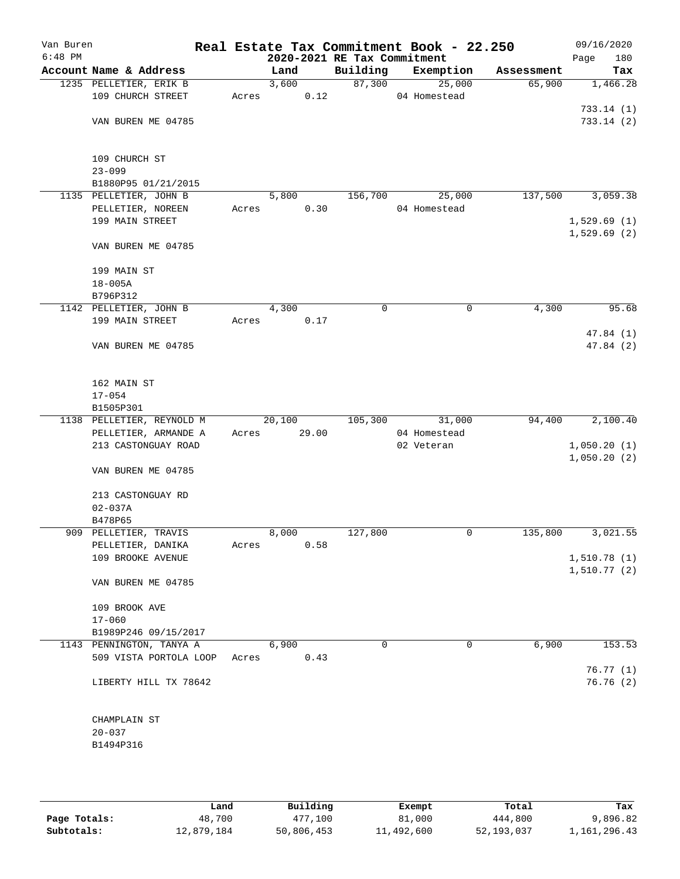| Van Buren |                                    |       |        |                             | Real Estate Tax Commitment Book - 22.250 |            | 09/16/2020           |
|-----------|------------------------------------|-------|--------|-----------------------------|------------------------------------------|------------|----------------------|
| $6:48$ PM |                                    |       |        | 2020-2021 RE Tax Commitment |                                          |            | 180<br>Page          |
|           | Account Name & Address             |       | Land   | Building                    | Exemption                                | Assessment | Tax                  |
|           | 1235 PELLETIER, ERIK B             |       | 3,600  | 87,300                      | 25,000                                   | 65,900     | 1,466.28             |
|           | 109 CHURCH STREET                  | Acres | 0.12   |                             | 04 Homestead                             |            |                      |
|           |                                    |       |        |                             |                                          |            | 733.14(1)            |
|           | VAN BUREN ME 04785                 |       |        |                             |                                          |            | 733.14(2)            |
|           |                                    |       |        |                             |                                          |            |                      |
|           |                                    |       |        |                             |                                          |            |                      |
|           | 109 CHURCH ST                      |       |        |                             |                                          |            |                      |
|           | $23 - 099$                         |       |        |                             |                                          |            |                      |
|           | B1880P95 01/21/2015                |       |        |                             |                                          |            |                      |
|           | 1135 PELLETIER, JOHN B             |       | 5,800  | 156,700                     | 25,000                                   | 137,500    | 3,059.38             |
|           | PELLETIER, NOREEN                  | Acres | 0.30   |                             | 04 Homestead                             |            |                      |
|           | 199 MAIN STREET                    |       |        |                             |                                          |            | 1,529.69(1)          |
|           |                                    |       |        |                             |                                          |            | 1,529.69(2)          |
|           | VAN BUREN ME 04785                 |       |        |                             |                                          |            |                      |
|           |                                    |       |        |                             |                                          |            |                      |
|           | 199 MAIN ST                        |       |        |                             |                                          |            |                      |
|           | $18 - 005A$                        |       |        |                             |                                          |            |                      |
|           | B796P312<br>1142 PELLETIER, JOHN B |       | 4,300  | 0                           | 0                                        | 4,300      | 95.68                |
|           |                                    |       |        |                             |                                          |            |                      |
|           | 199 MAIN STREET                    | Acres | 0.17   |                             |                                          |            |                      |
|           | VAN BUREN ME 04785                 |       |        |                             |                                          |            | 47.84(1)<br>47.84(2) |
|           |                                    |       |        |                             |                                          |            |                      |
|           |                                    |       |        |                             |                                          |            |                      |
|           | 162 MAIN ST                        |       |        |                             |                                          |            |                      |
|           | $17 - 054$                         |       |        |                             |                                          |            |                      |
|           | B1505P301                          |       |        |                             |                                          |            |                      |
|           | 1138 PELLETIER, REYNOLD M          |       | 20,100 |                             | 105,300 31,000                           | 94,400     | 2,100.40             |
|           | PELLETIER, ARMANDE A               | Acres | 29.00  |                             | 04 Homestead                             |            |                      |
|           | 213 CASTONGUAY ROAD                |       |        |                             | 02 Veteran                               |            | 1,050.20(1)          |
|           |                                    |       |        |                             |                                          |            | 1,050.20(2)          |
|           | VAN BUREN ME 04785                 |       |        |                             |                                          |            |                      |
|           |                                    |       |        |                             |                                          |            |                      |
|           | 213 CASTONGUAY RD                  |       |        |                             |                                          |            |                      |
|           | $02 - 037A$                        |       |        |                             |                                          |            |                      |
|           | B478P65                            |       |        |                             |                                          |            |                      |
|           | 909 PELLETIER, TRAVIS              |       | 8,000  | 127,800                     | 0                                        | 135,800    | 3,021.55             |
|           | PELLETIER, DANIKA                  | Acres | 0.58   |                             |                                          |            |                      |
|           | 109 BROOKE AVENUE                  |       |        |                             |                                          |            | 1,510.78(1)          |
|           |                                    |       |        |                             |                                          |            | 1,510.77(2)          |
|           | VAN BUREN ME 04785                 |       |        |                             |                                          |            |                      |
|           |                                    |       |        |                             |                                          |            |                      |
|           | 109 BROOK AVE                      |       |        |                             |                                          |            |                      |
|           | $17 - 060$                         |       |        |                             |                                          |            |                      |
|           | B1989P246 09/15/2017               |       |        |                             |                                          |            |                      |
|           | 1143 PENNINGTON, TANYA A           |       | 6,900  | 0                           | 0                                        | 6,900      | 153.53               |
|           | 509 VISTA PORTOLA LOOP             | Acres | 0.43   |                             |                                          |            |                      |
|           |                                    |       |        |                             |                                          |            | 76.77(1)             |
|           | LIBERTY HILL TX 78642              |       |        |                             |                                          |            | 76.76(2)             |
|           |                                    |       |        |                             |                                          |            |                      |
|           |                                    |       |        |                             |                                          |            |                      |
|           | CHAMPLAIN ST                       |       |        |                             |                                          |            |                      |
|           | $20 - 037$                         |       |        |                             |                                          |            |                      |
|           | B1494P316                          |       |        |                             |                                          |            |                      |
|           |                                    |       |        |                             |                                          |            |                      |
|           |                                    |       |        |                             |                                          |            |                      |

|              | Land       | Building   | Exempt     | Total      | Tax          |
|--------------|------------|------------|------------|------------|--------------|
| Page Totals: | 48,700     | 477,100    | 81,000     | 444,800    | 9,896.82     |
| Subtotals:   | 12,879,184 | 50,806,453 | 11,492,600 | 52,193,037 | 1,161,296.43 |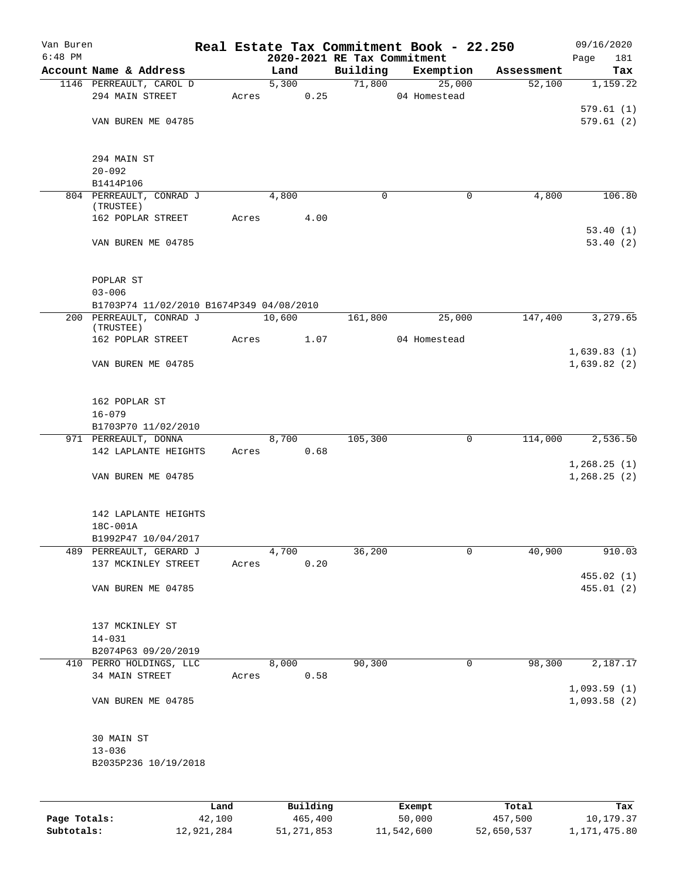| Van Buren |                                          |       |          |                             | Real Estate Tax Commitment Book - 22.250 |            | 09/16/2020           |
|-----------|------------------------------------------|-------|----------|-----------------------------|------------------------------------------|------------|----------------------|
| $6:48$ PM |                                          |       |          | 2020-2021 RE Tax Commitment |                                          |            | Page<br>181          |
|           | Account Name & Address                   |       | Land     | Building                    | Exemption                                | Assessment | Tax                  |
|           | 1146 PERREAULT, CAROL D                  |       | 5,300    | 71,800                      | 25,000                                   | 52,100     | 1,159.22             |
|           | 294 MAIN STREET                          | Acres | 0.25     |                             | 04 Homestead                             |            |                      |
|           |                                          |       |          |                             |                                          |            | 579.61(1)            |
|           | VAN BUREN ME 04785                       |       |          |                             |                                          |            | 579.61(2)            |
|           | 294 MAIN ST                              |       |          |                             |                                          |            |                      |
|           | $20 - 092$                               |       |          |                             |                                          |            |                      |
|           | B1414P106                                |       |          |                             |                                          |            |                      |
|           | 804 PERREAULT, CONRAD J                  |       | 4,800    | 0                           | 0                                        | 4,800      | 106.80               |
|           | (TRUSTEE)                                |       |          |                             |                                          |            |                      |
|           | 162 POPLAR STREET                        | Acres | 4.00     |                             |                                          |            |                      |
|           | VAN BUREN ME 04785                       |       |          |                             |                                          |            | 53.40(1)<br>53.40(2) |
|           |                                          |       |          |                             |                                          |            |                      |
|           | POPLAR ST                                |       |          |                             |                                          |            |                      |
|           | $03 - 006$                               |       |          |                             |                                          |            |                      |
|           | B1703P74 11/02/2010 B1674P349 04/08/2010 |       |          |                             |                                          |            |                      |
|           | 200 PERREAULT, CONRAD J<br>(TRUSTEE)     |       | 10,600   | 161,800                     | 25,000                                   | 147,400    | 3,279.65             |
|           | 162 POPLAR STREET                        | Acres | 1.07     |                             | 04 Homestead                             |            |                      |
|           |                                          |       |          |                             |                                          |            | 1,639.83(1)          |
|           | VAN BUREN ME 04785                       |       |          |                             |                                          |            | 1,639.82(2)          |
|           | 162 POPLAR ST                            |       |          |                             |                                          |            |                      |
|           | $16 - 079$                               |       |          |                             |                                          |            |                      |
|           | B1703P70 11/02/2010                      |       |          |                             |                                          |            |                      |
|           | 971 PERREAULT, DONNA                     |       | 8,700    | 105,300                     | 0                                        | 114,000    | 2,536.50             |
|           | 142 LAPLANTE HEIGHTS                     | Acres | 0.68     |                             |                                          |            |                      |
|           |                                          |       |          |                             |                                          |            | 1,268.25(1)          |
|           | VAN BUREN ME 04785                       |       |          |                             |                                          |            | 1, 268.25(2)         |
|           | 142 LAPLANTE HEIGHTS                     |       |          |                             |                                          |            |                      |
|           | 18C-001A                                 |       |          |                             |                                          |            |                      |
|           | B1992P47 10/04/2017                      |       |          |                             |                                          |            |                      |
| 489       | PERREAULT, GERARD J                      |       | 4,700    | 36,200                      | 0                                        | 40,900     | 910.03               |
|           | 137 MCKINLEY STREET                      | Acres | 0.20     |                             |                                          |            |                      |
|           |                                          |       |          |                             |                                          |            | 455.02 (1)           |
|           | VAN BUREN ME 04785                       |       |          |                             |                                          |            | 455.01(2)            |
|           | 137 MCKINLEY ST                          |       |          |                             |                                          |            |                      |
|           | $14 - 031$                               |       |          |                             |                                          |            |                      |
|           | B2074P63 09/20/2019                      |       |          |                             |                                          |            |                      |
|           | 410 PERRO HOLDINGS, LLC                  |       | 8,000    | 90,300                      | 0                                        | 98,300     | 2,187.17             |
|           | 34 MAIN STREET                           | Acres | 0.58     |                             |                                          |            |                      |
|           |                                          |       |          |                             |                                          |            | 1,093.59(1)          |
|           | VAN BUREN ME 04785                       |       |          |                             |                                          |            | 1,093.58(2)          |
|           | 30 MAIN ST                               |       |          |                             |                                          |            |                      |
|           | $13 - 036$                               |       |          |                             |                                          |            |                      |
|           | B2035P236 10/19/2018                     |       |          |                             |                                          |            |                      |
|           |                                          |       |          |                             |                                          |            |                      |
|           |                                          | Land  | Building |                             | Exempt                                   | Total      | Tax                  |

**Page Totals:** 42,100 465,400 50,000 457,500 10,179.37 **Subtotals:** 12,921,284 51,271,853 11,542,600 52,650,537 1,171,475.80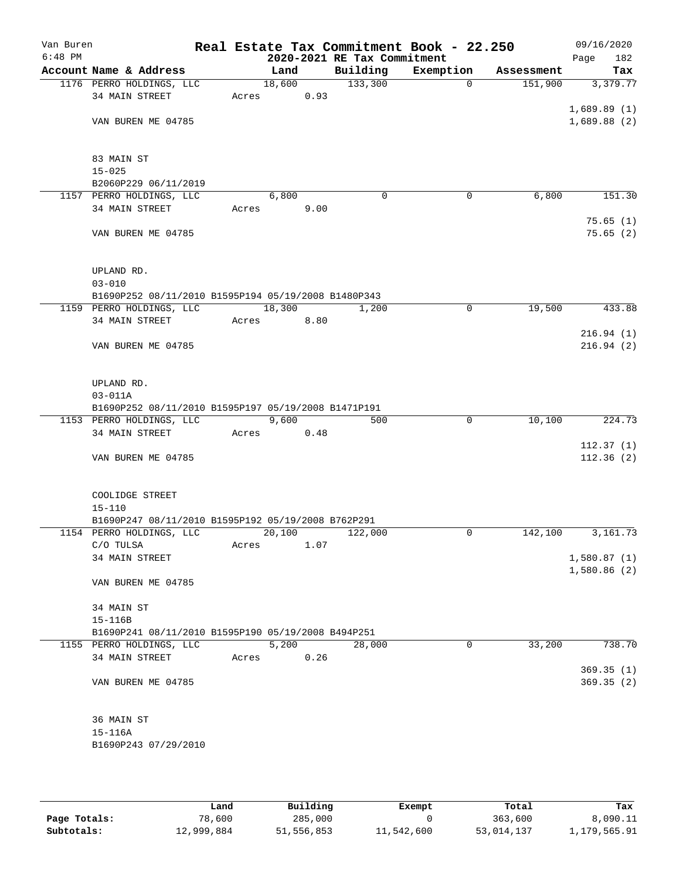| Van Buren |                                                     |       |        |      |                             | Real Estate Tax Commitment Book - 22.250 |            | 09/16/2020             |
|-----------|-----------------------------------------------------|-------|--------|------|-----------------------------|------------------------------------------|------------|------------------------|
| $6:48$ PM |                                                     |       |        |      | 2020-2021 RE Tax Commitment |                                          |            | 182<br>Page            |
|           | Account Name & Address                              |       | Land   |      | Building                    | Exemption                                | Assessment | Tax                    |
|           | 1176 PERRO HOLDINGS, LLC                            |       | 18,600 |      | 133,300                     | 0                                        | 151,900    | 3,379.77               |
|           | 34 MAIN STREET                                      | Acres |        | 0.93 |                             |                                          |            |                        |
|           | VAN BUREN ME 04785                                  |       |        |      |                             |                                          |            | 1,689.89(1)            |
|           |                                                     |       |        |      |                             |                                          |            | 1,689.88(2)            |
|           |                                                     |       |        |      |                             |                                          |            |                        |
|           | 83 MAIN ST<br>$15 - 025$                            |       |        |      |                             |                                          |            |                        |
|           | B2060P229 06/11/2019                                |       |        |      |                             |                                          |            |                        |
|           | 1157 PERRO HOLDINGS, LLC                            |       | 6,800  |      | $\mathbf 0$                 | 0                                        | 6,800      | 151.30                 |
|           | 34 MAIN STREET                                      | Acres |        | 9.00 |                             |                                          |            |                        |
|           |                                                     |       |        |      |                             |                                          |            | 75.65(1)               |
|           | VAN BUREN ME 04785                                  |       |        |      |                             |                                          |            | 75.65(2)               |
|           |                                                     |       |        |      |                             |                                          |            |                        |
|           | UPLAND RD.                                          |       |        |      |                             |                                          |            |                        |
|           | $03 - 010$                                          |       |        |      |                             |                                          |            |                        |
|           | B1690P252 08/11/2010 B1595P194 05/19/2008 B1480P343 |       |        |      |                             |                                          |            |                        |
|           | 1159 PERRO HOLDINGS, LLC                            |       | 18,300 |      | 1,200                       | 0                                        | 19,500     | 433.88                 |
|           | 34 MAIN STREET                                      | Acres |        | 8.80 |                             |                                          |            |                        |
|           |                                                     |       |        |      |                             |                                          |            | 216.94(1)              |
|           | VAN BUREN ME 04785                                  |       |        |      |                             |                                          |            | 216.94(2)              |
|           | UPLAND RD.                                          |       |        |      |                             |                                          |            |                        |
|           | $03 - 011A$                                         |       |        |      |                             |                                          |            |                        |
|           | B1690P252 08/11/2010 B1595P197 05/19/2008 B1471P191 |       |        |      |                             |                                          |            |                        |
|           | 1153 PERRO HOLDINGS, LLC                            |       | 9,600  |      | 500                         | 0                                        | 10,100     | 224.73                 |
|           | 34 MAIN STREET                                      | Acres |        | 0.48 |                             |                                          |            |                        |
|           | VAN BUREN ME 04785                                  |       |        |      |                             |                                          |            | 112.37(1)<br>112.36(2) |
|           |                                                     |       |        |      |                             |                                          |            |                        |
|           | COOLIDGE STREET                                     |       |        |      |                             |                                          |            |                        |
|           | $15 - 110$                                          |       |        |      |                             |                                          |            |                        |
|           | B1690P247 08/11/2010 B1595P192 05/19/2008 B762P291  |       |        |      |                             |                                          |            |                        |
|           | 1154 PERRO HOLDINGS, LLC                            |       | 20,100 |      | 122,000                     | 0                                        | 142,100    | 3, 161.73              |
|           | C/O TULSA                                           | Acres |        | 1.07 |                             |                                          |            |                        |
|           | 34 MAIN STREET                                      |       |        |      |                             |                                          |            | 1,580.87(1)            |
|           | VAN BUREN ME 04785                                  |       |        |      |                             |                                          |            | 1,580.86(2)            |
|           | 34 MAIN ST                                          |       |        |      |                             |                                          |            |                        |
|           | $15 - 116B$                                         |       |        |      |                             |                                          |            |                        |
|           | B1690P241 08/11/2010 B1595P190 05/19/2008 B494P251  |       |        |      |                             |                                          |            |                        |
|           | 1155 PERRO HOLDINGS, LLC                            |       | 5,200  |      | 28,000                      | 0                                        | 33,200     | 738.70                 |
|           | 34 MAIN STREET                                      | Acres |        | 0.26 |                             |                                          |            |                        |
|           |                                                     |       |        |      |                             |                                          |            | 369.35(1)              |
|           | VAN BUREN ME 04785                                  |       |        |      |                             |                                          |            | 369.35(2)              |
|           | 36 MAIN ST                                          |       |        |      |                             |                                          |            |                        |
|           | $15 - 116A$                                         |       |        |      |                             |                                          |            |                        |
|           | B1690P243 07/29/2010                                |       |        |      |                             |                                          |            |                        |
|           |                                                     |       |        |      |                             |                                          |            |                        |

|              | Land       | Building   | Exempt     | Total      | Tax          |
|--------------|------------|------------|------------|------------|--------------|
| Page Totals: | 78,600     | 285,000    |            | 363,600    | 8,090.11     |
| Subtotals:   | 12,999,884 | 51,556,853 | 11,542,600 | 53,014,137 | 1,179,565.91 |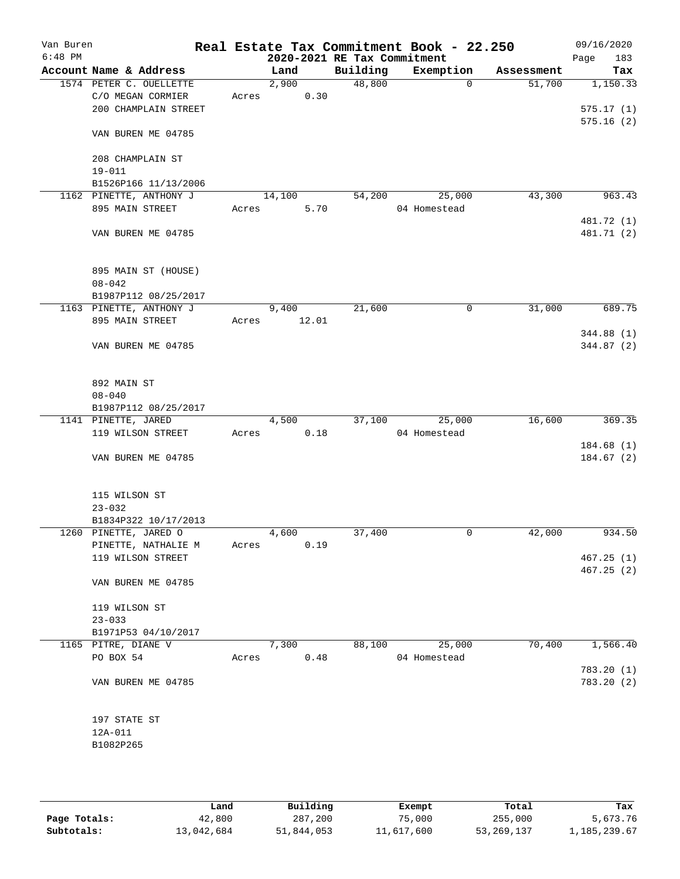| Van Buren<br>$6:48$ PM |                         |       |        |       | 2020-2021 RE Tax Commitment | Real Estate Tax Commitment Book - 22.250 |            | 09/16/2020<br>183<br>Page |
|------------------------|-------------------------|-------|--------|-------|-----------------------------|------------------------------------------|------------|---------------------------|
|                        | Account Name & Address  |       | Land   |       | Building                    | Exemption                                | Assessment | Tax                       |
|                        | 1574 PETER C. OUELLETTE |       | 2,900  |       | 48,800                      | $\mathbf 0$                              | 51,700     | 1,150.33                  |
|                        | C/O MEGAN CORMIER       | Acres |        | 0.30  |                             |                                          |            |                           |
|                        | 200 CHAMPLAIN STREET    |       |        |       |                             |                                          |            | 575.17(1)                 |
|                        |                         |       |        |       |                             |                                          |            | 575.16(2)                 |
|                        | VAN BUREN ME 04785      |       |        |       |                             |                                          |            |                           |
|                        | 208 CHAMPLAIN ST        |       |        |       |                             |                                          |            |                           |
|                        | $19 - 011$              |       |        |       |                             |                                          |            |                           |
|                        | B1526P166 11/13/2006    |       |        |       |                             |                                          |            |                           |
|                        | 1162 PINETTE, ANTHONY J |       | 14,100 |       | 54,200                      | 25,000                                   | 43,300     | 963.43                    |
|                        | 895 MAIN STREET         | Acres |        | 5.70  |                             | 04 Homestead                             |            |                           |
|                        |                         |       |        |       |                             |                                          |            | 481.72 (1)                |
|                        | VAN BUREN ME 04785      |       |        |       |                             |                                          |            | 481.71 (2)                |
|                        |                         |       |        |       |                             |                                          |            |                           |
|                        |                         |       |        |       |                             |                                          |            |                           |
|                        | 895 MAIN ST (HOUSE)     |       |        |       |                             |                                          |            |                           |
|                        | $08 - 042$              |       |        |       |                             |                                          |            |                           |
|                        | B1987P112 08/25/2017    |       |        |       |                             |                                          |            |                           |
|                        | 1163 PINETTE, ANTHONY J |       | 9,400  |       | 21,600                      | 0                                        | 31,000     | 689.75                    |
|                        | 895 MAIN STREET         | Acres |        | 12.01 |                             |                                          |            |                           |
|                        |                         |       |        |       |                             |                                          |            | 344.88 (1)                |
|                        | VAN BUREN ME 04785      |       |        |       |                             |                                          |            | 344.87 (2)                |
|                        |                         |       |        |       |                             |                                          |            |                           |
|                        | 892 MAIN ST             |       |        |       |                             |                                          |            |                           |
|                        | $08 - 040$              |       |        |       |                             |                                          |            |                           |
|                        | B1987P112 08/25/2017    |       |        |       |                             |                                          |            |                           |
|                        | 1141 PINETTE, JARED     |       | 4,500  |       | 37,100                      | 25,000                                   | 16,600     | 369.35                    |
|                        | 119 WILSON STREET       | Acres |        | 0.18  |                             | 04 Homestead                             |            |                           |
|                        |                         |       |        |       |                             |                                          |            | 184.68(1)                 |
|                        | VAN BUREN ME 04785      |       |        |       |                             |                                          |            | 184.67(2)                 |
|                        |                         |       |        |       |                             |                                          |            |                           |
|                        | 115 WILSON ST           |       |        |       |                             |                                          |            |                           |
|                        | $23 - 032$              |       |        |       |                             |                                          |            |                           |
|                        | B1834P322 10/17/2013    |       |        |       |                             |                                          |            |                           |
|                        | 1260 PINETTE, JARED O   |       | 4,600  |       | 37,400                      | 0                                        | 42,000     | 934.50                    |
|                        | PINETTE, NATHALIE M     | Acres |        | 0.19  |                             |                                          |            |                           |
|                        | 119 WILSON STREET       |       |        |       |                             |                                          |            | 467.25(1)                 |
|                        |                         |       |        |       |                             |                                          |            | 467.25(2)                 |
|                        | VAN BUREN ME 04785      |       |        |       |                             |                                          |            |                           |
|                        | 119 WILSON ST           |       |        |       |                             |                                          |            |                           |
|                        | $23 - 033$              |       |        |       |                             |                                          |            |                           |
|                        | B1971P53 04/10/2017     |       |        |       |                             |                                          |            |                           |
|                        | 1165 PITRE, DIANE V     |       | 7,300  |       | 88,100                      | 25,000                                   | 70,400     | 1,566.40                  |
|                        | PO BOX 54               | Acres |        | 0.48  |                             | 04 Homestead                             |            |                           |
|                        |                         |       |        |       |                             |                                          |            | 783.20 (1)                |
|                        | VAN BUREN ME 04785      |       |        |       |                             |                                          |            | 783.20 (2)                |
|                        |                         |       |        |       |                             |                                          |            |                           |
|                        | 197 STATE ST            |       |        |       |                             |                                          |            |                           |
|                        | 12A-011                 |       |        |       |                             |                                          |            |                           |
|                        | B1082P265               |       |        |       |                             |                                          |            |                           |
|                        |                         |       |        |       |                             |                                          |            |                           |
|                        |                         |       |        |       |                             |                                          |            |                           |
|                        |                         |       |        |       |                             |                                          |            |                           |

|              | Land       | Building   | Exempt     | Total        | Tax          |
|--------------|------------|------------|------------|--------------|--------------|
| Page Totals: | 42,800     | 287,200    | 75,000     | 255,000      | 5,673.76     |
| Subtotals:   | 13,042,684 | 51,844,053 | 11,617,600 | 53, 269, 137 | 1,185,239.67 |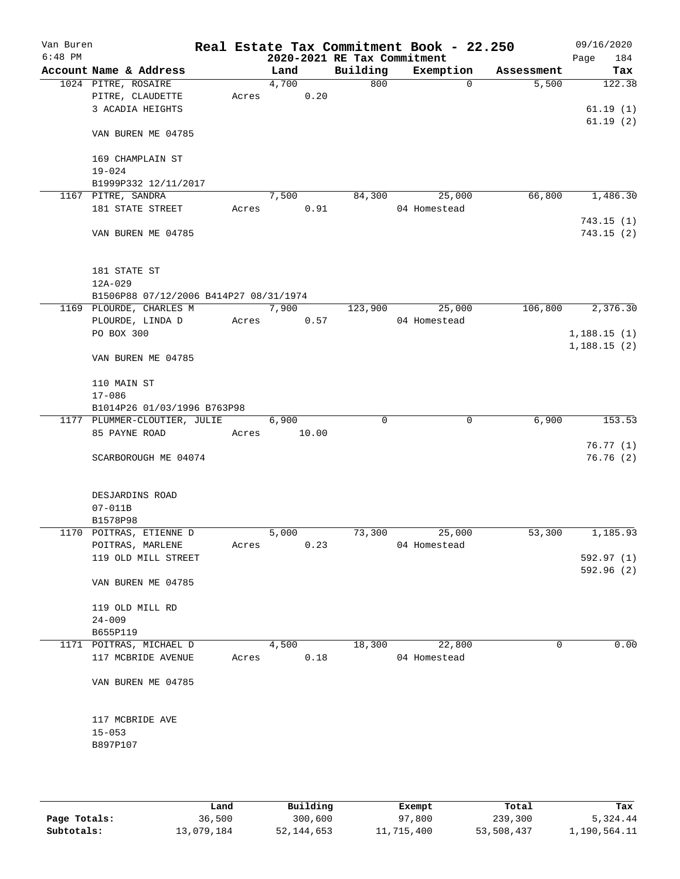| Van Buren<br>$6:48$ PM |                                        |       |       | 2020-2021 RE Tax Commitment | Real Estate Tax Commitment Book - 22.250 |            | 09/16/2020<br>184<br>Page |
|------------------------|----------------------------------------|-------|-------|-----------------------------|------------------------------------------|------------|---------------------------|
|                        | Account Name & Address                 |       | Land  | Building                    | Exemption                                | Assessment | Tax                       |
|                        | 1024 PITRE, ROSAIRE                    |       | 4,700 | 800                         | $\Omega$                                 | 5,500      | 122.38                    |
|                        | PITRE, CLAUDETTE                       | Acres | 0.20  |                             |                                          |            |                           |
|                        | 3 ACADIA HEIGHTS                       |       |       |                             |                                          |            | 61.19(1)                  |
|                        |                                        |       |       |                             |                                          |            | 61.19(2)                  |
|                        | VAN BUREN ME 04785                     |       |       |                             |                                          |            |                           |
|                        | 169 CHAMPLAIN ST<br>$19 - 024$         |       |       |                             |                                          |            |                           |
|                        | B1999P332 12/11/2017                   |       |       |                             |                                          |            |                           |
|                        | 1167 PITRE, SANDRA                     |       | 7,500 | 84,300                      | 25,000                                   | 66,800     | 1,486.30                  |
|                        | 181 STATE STREET                       | Acres | 0.91  |                             | 04 Homestead                             |            |                           |
|                        |                                        |       |       |                             |                                          |            | 743.15(1)                 |
|                        | VAN BUREN ME 04785                     |       |       |                             |                                          |            | 743.15 (2)                |
|                        | 181 STATE ST                           |       |       |                             |                                          |            |                           |
|                        | $12A - 029$                            |       |       |                             |                                          |            |                           |
|                        | B1506P88 07/12/2006 B414P27 08/31/1974 |       |       |                             |                                          |            |                           |
|                        | 1169 PLOURDE, CHARLES M                |       | 7,900 | 123,900                     | 25,000                                   | 106,800    | 2,376.30                  |
|                        | PLOURDE, LINDA D                       | Acres | 0.57  |                             | 04 Homestead                             |            |                           |
|                        | PO BOX 300                             |       |       |                             |                                          |            | 1,188.15(1)               |
|                        | VAN BUREN ME 04785                     |       |       |                             |                                          |            | 1,188.15(2)               |
|                        | 110 MAIN ST<br>$17 - 086$              |       |       |                             |                                          |            |                           |
|                        | B1014P26 01/03/1996 B763P98            |       |       |                             |                                          |            |                           |
|                        | 1177 PLUMMER-CLOUTIER, JULIE           |       | 6,900 | $\Omega$                    | 0                                        | 6,900      | 153.53                    |
|                        | 85 PAYNE ROAD                          | Acres | 10.00 |                             |                                          |            |                           |
|                        |                                        |       |       |                             |                                          |            | 76.77(1)                  |
|                        | SCARBOROUGH ME 04074                   |       |       |                             |                                          |            | 76.76(2)                  |
|                        |                                        |       |       |                             |                                          |            |                           |
|                        | DESJARDINS ROAD<br>$07 - 011B$         |       |       |                             |                                          |            |                           |
|                        | B1578P98                               |       |       |                             |                                          |            |                           |
|                        | 1170 POITRAS, ETIENNE D                |       | 5,000 | 73,300                      | 25,000                                   | 53,300     | 1,185.93                  |
|                        | POITRAS, MARLENE                       | Acres | 0.23  |                             | 04 Homestead                             |            |                           |
|                        | 119 OLD MILL STREET                    |       |       |                             |                                          |            | 592.97(1)                 |
|                        |                                        |       |       |                             |                                          |            | 592.96 (2)                |
|                        | VAN BUREN ME 04785                     |       |       |                             |                                          |            |                           |
|                        | 119 OLD MILL RD                        |       |       |                             |                                          |            |                           |
|                        | $24 - 009$                             |       |       |                             |                                          |            |                           |
|                        | B655P119                               |       |       |                             |                                          |            |                           |
|                        | 1171 POITRAS, MICHAEL D                |       | 4,500 | 18,300                      | 22,800                                   | 0          | 0.00                      |
|                        | 117 MCBRIDE AVENUE                     | Acres | 0.18  |                             | 04 Homestead                             |            |                           |
|                        | VAN BUREN ME 04785                     |       |       |                             |                                          |            |                           |
|                        | 117 MCBRIDE AVE                        |       |       |                             |                                          |            |                           |
|                        | $15 - 053$                             |       |       |                             |                                          |            |                           |
|                        | B897P107                               |       |       |                             |                                          |            |                           |
|                        |                                        |       |       |                             |                                          |            |                           |
|                        |                                        |       |       |                             |                                          |            |                           |
|                        |                                        |       |       |                             |                                          |            |                           |

|              | Land       | Building   | Exempt     | Total      | Tax          |
|--------------|------------|------------|------------|------------|--------------|
| Page Totals: | 36,500     | 300,600    | 97,800     | 239,300    | 5,324.44     |
| Subtotals:   | 13,079,184 | 52,144,653 | 11,715,400 | 53,508,437 | 1,190,564.11 |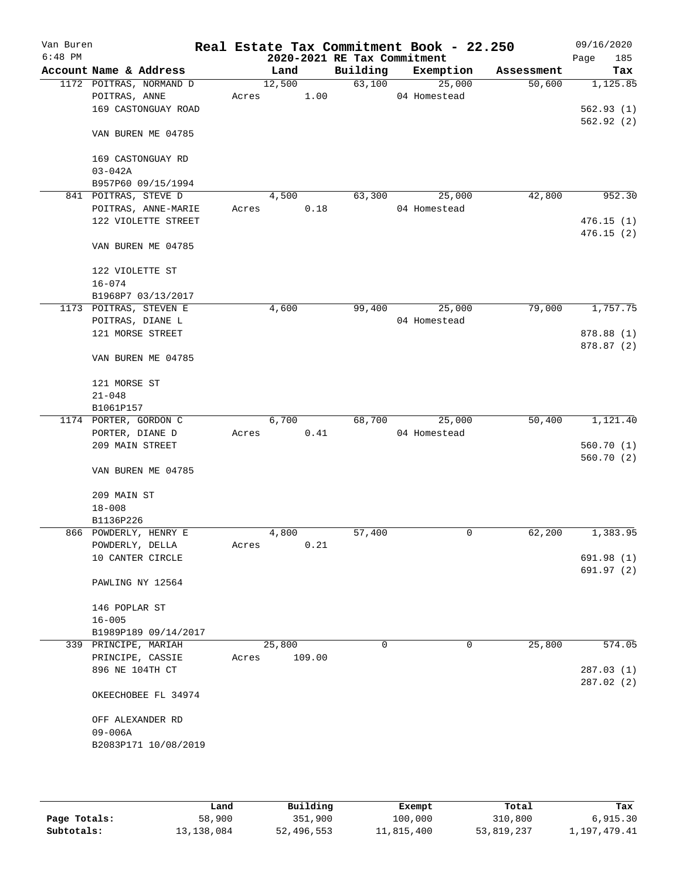| Van Buren<br>$6:48$ PM |                 |                         |       |        |        | 2020-2021 RE Tax Commitment | Real Estate Tax Commitment Book - 22.250 |            | 09/16/2020<br>185 |
|------------------------|-----------------|-------------------------|-------|--------|--------|-----------------------------|------------------------------------------|------------|-------------------|
|                        |                 | Account Name & Address  |       | Land   |        | Building                    | Exemption                                | Assessment | Page<br>Tax       |
|                        |                 | 1172 POITRAS, NORMAND D |       | 12,500 |        | 63,100                      | 25,000                                   | 50,600     | 1,125.85          |
|                        | POITRAS, ANNE   |                         | Acres |        | 1.00   |                             | 04 Homestead                             |            |                   |
|                        |                 | 169 CASTONGUAY ROAD     |       |        |        |                             |                                          |            | 562.93(1)         |
|                        |                 |                         |       |        |        |                             |                                          |            | 562.92(2)         |
|                        |                 | VAN BUREN ME 04785      |       |        |        |                             |                                          |            |                   |
|                        |                 | 169 CASTONGUAY RD       |       |        |        |                             |                                          |            |                   |
|                        | $03 - 042A$     |                         |       |        |        |                             |                                          |            |                   |
|                        |                 | B957P60 09/15/1994      |       |        |        |                             |                                          |            |                   |
|                        |                 | 841 POITRAS, STEVE D    |       | 4,500  |        | 63,300                      | 25,000                                   | 42,800     | 952.30            |
|                        |                 | POITRAS, ANNE-MARIE     | Acres |        | 0.18   |                             | 04 Homestead                             |            |                   |
|                        |                 | 122 VIOLETTE STREET     |       |        |        |                             |                                          |            | 476.15(1)         |
|                        |                 |                         |       |        |        |                             |                                          |            | 476.15(2)         |
|                        |                 | VAN BUREN ME 04785      |       |        |        |                             |                                          |            |                   |
|                        | 122 VIOLETTE ST |                         |       |        |        |                             |                                          |            |                   |
|                        | $16 - 074$      |                         |       |        |        |                             |                                          |            |                   |
|                        |                 | B1968P7 03/13/2017      |       |        |        |                             |                                          |            |                   |
|                        |                 | 1173 POITRAS, STEVEN E  |       | 4,600  |        | 99,400                      | 25,000                                   | 79,000     | 1,757.75          |
|                        |                 | POITRAS, DIANE L        |       |        |        |                             | 04 Homestead                             |            |                   |
|                        |                 | 121 MORSE STREET        |       |        |        |                             |                                          |            | 878.88 (1)        |
|                        |                 | VAN BUREN ME 04785      |       |        |        |                             |                                          |            | 878.87 (2)        |
|                        |                 |                         |       |        |        |                             |                                          |            |                   |
|                        | 121 MORSE ST    |                         |       |        |        |                             |                                          |            |                   |
|                        | $21 - 048$      |                         |       |        |        |                             |                                          |            |                   |
|                        | B1061P157       |                         |       |        |        |                             |                                          |            |                   |
|                        |                 | 1174 PORTER, GORDON C   |       | 6,700  |        | 68,700                      | 25,000                                   | 50,400     | 1,121.40          |
|                        | PORTER, DIANE D |                         | Acres |        | 0.41   |                             | 04 Homestead                             |            |                   |
|                        | 209 MAIN STREET |                         |       |        |        |                             |                                          |            | 560.70(1)         |
|                        |                 |                         |       |        |        |                             |                                          |            | 560.70(2)         |
|                        |                 | VAN BUREN ME 04785      |       |        |        |                             |                                          |            |                   |
|                        | 209 MAIN ST     |                         |       |        |        |                             |                                          |            |                   |
|                        | $18 - 008$      |                         |       |        |        |                             |                                          |            |                   |
|                        | B1136P226       |                         |       |        |        |                             |                                          |            |                   |
|                        |                 | 866 POWDERLY, HENRY E   |       | 4,800  |        | 57,400                      | 0                                        | 62,200     | 1,383.95          |
|                        |                 | POWDERLY, DELLA         | Acres |        | 0.21   |                             |                                          |            |                   |
|                        |                 | 10 CANTER CIRCLE        |       |        |        |                             |                                          |            | 691.98 (1)        |
|                        |                 |                         |       |        |        |                             |                                          |            | 691.97 (2)        |
|                        |                 | PAWLING NY 12564        |       |        |        |                             |                                          |            |                   |
|                        | 146 POPLAR ST   |                         |       |        |        |                             |                                          |            |                   |
|                        | $16 - 005$      |                         |       |        |        |                             |                                          |            |                   |
|                        |                 | B1989P189 09/14/2017    |       |        |        |                             |                                          |            |                   |
|                        |                 | 339 PRINCIPE, MARIAH    |       | 25,800 |        | 0                           | 0                                        | 25,800     | 574.05            |
|                        |                 | PRINCIPE, CASSIE        | Acres |        | 109.00 |                             |                                          |            |                   |
|                        | 896 NE 104TH CT |                         |       |        |        |                             |                                          |            | 287.03(1)         |
|                        |                 |                         |       |        |        |                             |                                          |            | 287.02(2)         |
|                        |                 | OKEECHOBEE FL 34974     |       |        |        |                             |                                          |            |                   |
|                        |                 | OFF ALEXANDER RD        |       |        |        |                             |                                          |            |                   |
|                        | 09-006A         |                         |       |        |        |                             |                                          |            |                   |
|                        |                 | B2083P171 10/08/2019    |       |        |        |                             |                                          |            |                   |
|                        |                 |                         |       |        |        |                             |                                          |            |                   |
|                        |                 |                         |       |        |        |                             |                                          |            |                   |
|                        |                 |                         |       |        |        |                             |                                          |            |                   |

|              | Land       | Building   | Exempt     | Total      | Tax          |
|--------------|------------|------------|------------|------------|--------------|
| Page Totals: | 58,900     | 351,900    | 100,000    | 310,800    | 6,915.30     |
| Subtotals:   | 13,138,084 | 52,496,553 | 11,815,400 | 53,819,237 | 1,197,479.41 |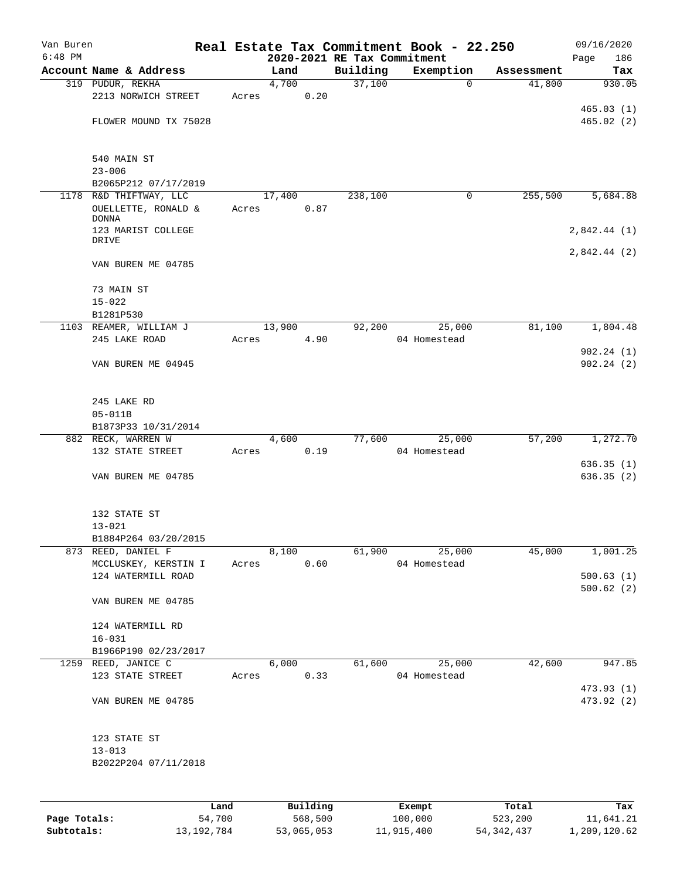| Van Buren |                                    |       |                             |          | Real Estate Tax Commitment Book - 22.250 |            | 09/16/2020   |
|-----------|------------------------------------|-------|-----------------------------|----------|------------------------------------------|------------|--------------|
| $6:48$ PM |                                    |       | 2020-2021 RE Tax Commitment |          |                                          |            | 186<br>Page  |
|           | Account Name & Address             |       | Land                        | Building | Exemption                                | Assessment | Tax          |
|           | 319 PUDUR, REKHA                   |       | 4,700                       | 37,100   | $\mathbf 0$                              | 41,800     | 930.05       |
|           | 2213 NORWICH STREET                | Acres | 0.20                        |          |                                          |            | 465.03(1)    |
|           | FLOWER MOUND TX 75028              |       |                             |          |                                          |            | 465.02(2)    |
|           |                                    |       |                             |          |                                          |            |              |
|           | 540 MAIN ST                        |       |                             |          |                                          |            |              |
|           | $23 - 006$                         |       |                             |          |                                          |            |              |
|           | B2065P212 07/17/2019               |       |                             |          |                                          |            |              |
|           | 1178 R&D THIFTWAY, LLC             |       | 17,400                      | 238,100  | 0                                        | 255,500    | 5,684.88     |
|           | OUELLETTE, RONALD &                | Acres | 0.87                        |          |                                          |            |              |
|           | <b>DONNA</b><br>123 MARIST COLLEGE |       |                             |          |                                          |            | 2,842.44(1)  |
|           | DRIVE                              |       |                             |          |                                          |            |              |
|           |                                    |       |                             |          |                                          |            | 2,842.44 (2) |
|           | VAN BUREN ME 04785                 |       |                             |          |                                          |            |              |
|           | 73 MAIN ST                         |       |                             |          |                                          |            |              |
|           | $15 - 022$                         |       |                             |          |                                          |            |              |
|           | B1281P530                          |       |                             |          |                                          |            |              |
|           | 1103 REAMER, WILLIAM J             |       | 13,900                      | 92,200   | 25,000                                   | 81,100     | 1,804.48     |
|           | 245 LAKE ROAD                      | Acres | 4.90                        |          | 04 Homestead                             |            | 902.24(1)    |
|           | VAN BUREN ME 04945                 |       |                             |          |                                          |            | 902.24(2)    |
|           |                                    |       |                             |          |                                          |            |              |
|           | 245 LAKE RD                        |       |                             |          |                                          |            |              |
|           | $05 - 011B$                        |       |                             |          |                                          |            |              |
|           | B1873P33 10/31/2014                |       |                             |          |                                          |            |              |
|           | 882 RECK, WARREN W                 |       | 4,600                       | 77,600   | 25,000                                   | 57,200     | 1,272.70     |
|           | 132 STATE STREET                   | Acres | 0.19                        |          | 04 Homestead                             |            |              |
|           |                                    |       |                             |          |                                          |            | 636.35(1)    |
|           | VAN BUREN ME 04785                 |       |                             |          |                                          |            | 636.35(2)    |
|           | 132 STATE ST                       |       |                             |          |                                          |            |              |
|           | $13 - 021$                         |       |                             |          |                                          |            |              |
|           | B1884P264 03/20/2015               |       |                             |          |                                          |            |              |
|           | 873 REED, DANIEL F                 |       | 8,100                       | 61,900   | 25,000                                   | 45,000     | 1,001.25     |
|           | MCCLUSKEY, KERSTIN I               |       | Acres 0.60                  |          | 04 Homestead                             |            |              |
|           | 124 WATERMILL ROAD                 |       |                             |          |                                          |            | 500.63(1)    |
|           | VAN BUREN ME 04785                 |       |                             |          |                                          |            | 500.62(2)    |
|           |                                    |       |                             |          |                                          |            |              |
|           | 124 WATERMILL RD                   |       |                             |          |                                          |            |              |
|           | $16 - 031$                         |       |                             |          |                                          |            |              |
|           | B1966P190 02/23/2017               |       |                             |          |                                          |            |              |
|           | 1259 REED, JANICE C                |       | 6,000                       |          | 61,600 25,000                            | 42,600     | 947.85       |
|           | 123 STATE STREET                   |       | Acres 0.33                  |          | 04 Homestead                             |            |              |
|           |                                    |       |                             |          |                                          |            | 473.93 (1)   |
|           | VAN BUREN ME 04785                 |       |                             |          |                                          |            | 473.92 (2)   |
|           | 123 STATE ST                       |       |                             |          |                                          |            |              |
|           | $13 - 013$                         |       |                             |          |                                          |            |              |
|           | B2022P204 07/11/2018               |       |                             |          |                                          |            |              |
|           |                                    |       |                             |          |                                          |            |              |
|           |                                    | Land  | Building                    |          | Exempt                                   | Total      | Tax          |

|              | Land       | Building   | Exempt     | Total      | Tax          |
|--------------|------------|------------|------------|------------|--------------|
| Page Totals: | 54,700     | 568,500    | 100,000    | 523,200    | 11,641.21    |
| Subtotals:   | 13,192,784 | 53,065,053 | 11,915,400 | 54,342,437 | 1,209,120.62 |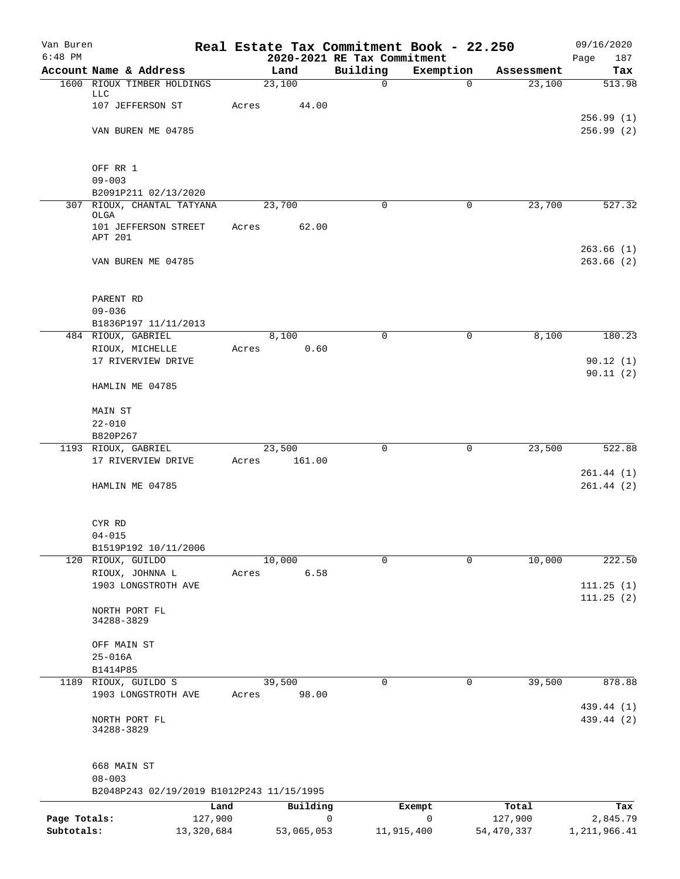| Van Buren    |                                                    | Real Estate Tax Commitment Book - 22.250 |                             |             |            | 09/16/2020   |
|--------------|----------------------------------------------------|------------------------------------------|-----------------------------|-------------|------------|--------------|
| $6:48$ PM    |                                                    |                                          | 2020-2021 RE Tax Commitment |             |            | 187<br>Page  |
|              | Account Name & Address                             | Land<br>23,100                           | Building                    | Exemption   | Assessment | Tax          |
|              | 1600 RIOUX TIMBER HOLDINGS<br><b>LLC</b>           |                                          | $\mathbf 0$                 | 0           | 23,100     | 513.98       |
|              | 107 JEFFERSON ST                                   | 44.00<br>Acres                           |                             |             |            |              |
|              |                                                    |                                          |                             |             |            | 256.99(1)    |
|              | VAN BUREN ME 04785                                 |                                          |                             |             |            | 256.99 (2)   |
|              |                                                    |                                          |                             |             |            |              |
|              |                                                    |                                          |                             |             |            |              |
|              | OFF RR 1                                           |                                          |                             |             |            |              |
|              | $09 - 003$                                         |                                          |                             |             |            |              |
|              | B2091P211 02/13/2020<br>307 RIOUX, CHANTAL TATYANA | 23,700                                   | 0                           | $\mathbf 0$ | 23,700     | 527.32       |
|              | OLGA                                               |                                          |                             |             |            |              |
|              | 101 JEFFERSON STREET                               | 62.00<br>Acres                           |                             |             |            |              |
|              | APT 201                                            |                                          |                             |             |            |              |
|              |                                                    |                                          |                             |             |            | 263.66(1)    |
|              | VAN BUREN ME 04785                                 |                                          |                             |             |            | 263.66(2)    |
|              |                                                    |                                          |                             |             |            |              |
|              | PARENT RD                                          |                                          |                             |             |            |              |
|              | $09 - 036$                                         |                                          |                             |             |            |              |
|              | B1836P197 11/11/2013                               |                                          |                             |             |            |              |
|              | 484 RIOUX, GABRIEL                                 | 8,100                                    | 0                           | 0           | 8,100      | 180.23       |
|              | RIOUX, MICHELLE                                    | 0.60<br>Acres                            |                             |             |            |              |
|              | 17 RIVERVIEW DRIVE                                 |                                          |                             |             |            | 90.12(1)     |
|              |                                                    |                                          |                             |             |            | 90.11(2)     |
|              | HAMLIN ME 04785                                    |                                          |                             |             |            |              |
|              |                                                    |                                          |                             |             |            |              |
|              | MAIN ST                                            |                                          |                             |             |            |              |
|              | $22 - 010$<br>B820P267                             |                                          |                             |             |            |              |
|              | 1193 RIOUX, GABRIEL                                | 23,500                                   | 0                           | 0           | 23,500     | 522.88       |
|              | 17 RIVERVIEW DRIVE                                 | 161.00<br>Acres                          |                             |             |            |              |
|              |                                                    |                                          |                             |             |            | 261.44(1)    |
|              | HAMLIN ME 04785                                    |                                          |                             |             |            | 261.44(2)    |
|              |                                                    |                                          |                             |             |            |              |
|              |                                                    |                                          |                             |             |            |              |
|              | CYR RD                                             |                                          |                             |             |            |              |
|              | $04 - 015$                                         |                                          |                             |             |            |              |
|              | B1519P192 10/11/2006<br>120 RIOUX, GUILDO          | 10,000                                   | $\mathbf 0$                 | 0           | 10,000     | 222.50       |
|              | RIOUX, JOHNNA L                                    | 6.58<br>Acres                            |                             |             |            |              |
|              | 1903 LONGSTROTH AVE                                |                                          |                             |             |            | 111.25(1)    |
|              |                                                    |                                          |                             |             |            | 111.25(2)    |
|              | NORTH PORT FL                                      |                                          |                             |             |            |              |
|              | 34288-3829                                         |                                          |                             |             |            |              |
|              |                                                    |                                          |                             |             |            |              |
|              | OFF MAIN ST<br>$25 - 016A$                         |                                          |                             |             |            |              |
|              | B1414P85                                           |                                          |                             |             |            |              |
| 1189         | RIOUX, GUILDO S                                    | 39,500                                   | 0                           | $\mathbf 0$ | 39,500     | 878.88       |
|              | 1903 LONGSTROTH AVE                                | 98.00<br>Acres                           |                             |             |            |              |
|              |                                                    |                                          |                             |             |            | 439.44 (1)   |
|              | NORTH PORT FL                                      |                                          |                             |             |            | 439.44 (2)   |
|              | 34288-3829                                         |                                          |                             |             |            |              |
|              |                                                    |                                          |                             |             |            |              |
|              | 668 MAIN ST                                        |                                          |                             |             |            |              |
|              | $08 - 003$                                         |                                          |                             |             |            |              |
|              | B2048P243 02/19/2019 B1012P243 11/15/1995          |                                          |                             |             |            |              |
|              | Land                                               | Building                                 |                             | Exempt      | Total      | Tax          |
| Page Totals: | 127,900                                            |                                          | 0                           | 0           | 127,900    | 2,845.79     |
| Subtotals:   | 13,320,684                                         | 53,065,053                               | 11,915,400                  |             | 54,470,337 | 1,211,966.41 |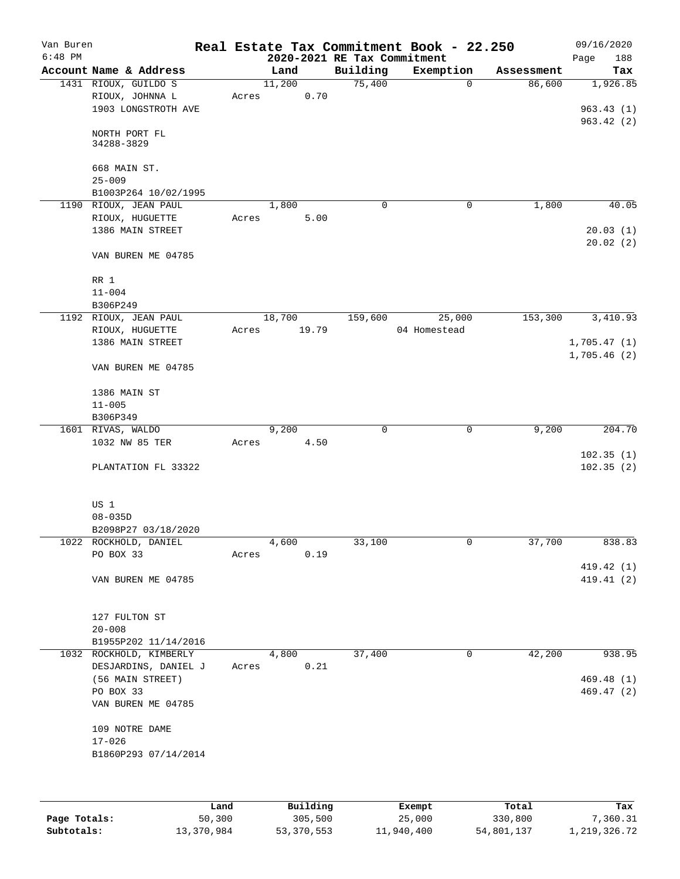| Van Buren<br>$6:48$ PM |                                         |       | 2020-2021 RE Tax Commitment |             | Real Estate Tax Commitment Book - 22.250 |            | 09/16/2020<br>188<br>Page |
|------------------------|-----------------------------------------|-------|-----------------------------|-------------|------------------------------------------|------------|---------------------------|
|                        | Account Name & Address                  |       | Land                        | Building    | Exemption                                | Assessment | Tax                       |
|                        | 1431 RIOUX, GUILDO S<br>RIOUX, JOHNNA L | Acres | 11,200<br>0.70              | 75,400      | $\mathbf 0$                              | 86,600     | 1,926.85                  |
|                        | 1903 LONGSTROTH AVE                     |       |                             |             |                                          |            | 963.43(1)<br>963.42(2)    |
|                        | NORTH PORT FL<br>34288-3829             |       |                             |             |                                          |            |                           |
|                        | 668 MAIN ST.<br>$25 - 009$              |       |                             |             |                                          |            |                           |
|                        | B1003P264 10/02/1995                    |       |                             |             |                                          |            |                           |
|                        | 1190 RIOUX, JEAN PAUL                   |       | 1,800                       | $\mathbf 0$ | 0                                        | 1,800      | 40.05                     |
|                        | RIOUX, HUGUETTE<br>1386 MAIN STREET     | Acres | 5.00                        |             |                                          |            | 20.03(1)<br>20.02(2)      |
|                        | VAN BUREN ME 04785                      |       |                             |             |                                          |            |                           |
|                        | RR 1<br>$11 - 004$                      |       |                             |             |                                          |            |                           |
|                        | B306P249                                |       |                             |             |                                          |            |                           |
|                        | 1192 RIOUX, JEAN PAUL                   |       | 18,700                      | 159,600     | 25,000                                   | 153,300    | 3,410.93                  |
|                        | RIOUX, HUGUETTE                         | Acres | 19.79                       |             | 04 Homestead                             |            |                           |
|                        | 1386 MAIN STREET                        |       |                             |             |                                          |            | 1,705.47(1)               |
|                        | VAN BUREN ME 04785                      |       |                             |             |                                          |            | 1,705.46(2)               |
|                        | 1386 MAIN ST                            |       |                             |             |                                          |            |                           |
|                        | $11 - 005$                              |       |                             |             |                                          |            |                           |
|                        | B306P349                                |       |                             |             |                                          |            |                           |
|                        | 1601 RIVAS, WALDO                       |       | 9,200                       | $\mathbf 0$ | 0                                        | 9,200      | 204.70                    |
|                        | 1032 NW 85 TER                          | Acres | 4.50                        |             |                                          |            |                           |
|                        |                                         |       |                             |             |                                          |            | 102.35(1)                 |
|                        | PLANTATION FL 33322                     |       |                             |             |                                          |            | 102.35(2)                 |
|                        | US 1<br>$08 - 035D$                     |       |                             |             |                                          |            |                           |
|                        | B2098P27 03/18/2020                     |       |                             |             |                                          |            |                           |
|                        | 1022 ROCKHOLD, DANIEL                   |       | 4,600                       | 33,100      | 0                                        | 37,700     | 838.83                    |
|                        | PO BOX 33                               | Acres | 0.19                        |             |                                          |            |                           |
|                        |                                         |       |                             |             |                                          |            | 419.42 (1)                |
|                        | VAN BUREN ME 04785                      |       |                             |             |                                          |            | 419.41 (2)                |
|                        | 127 FULTON ST                           |       |                             |             |                                          |            |                           |
|                        | $20 - 008$                              |       |                             |             |                                          |            |                           |
|                        | B1955P202 11/14/2016                    |       |                             |             |                                          |            |                           |
|                        | 1032 ROCKHOLD, KIMBERLY                 |       | 4,800                       | 37,400      | 0                                        | 42,200     | 938.95                    |
|                        | DESJARDINS, DANIEL J                    | Acres | 0.21                        |             |                                          |            |                           |
|                        | (56 MAIN STREET)                        |       |                             |             |                                          |            | 469.48 (1)                |
|                        | PO BOX 33<br>VAN BUREN ME 04785         |       |                             |             |                                          |            | 469.47 (2)                |
|                        | 109 NOTRE DAME                          |       |                             |             |                                          |            |                           |
|                        | $17 - 026$<br>B1860P293 07/14/2014      |       |                             |             |                                          |            |                           |
|                        |                                         |       |                             |             |                                          |            |                           |

|              | Land       | Building   | Exempt     | Total      | Tax          |
|--------------|------------|------------|------------|------------|--------------|
| Page Totals: | 50,300     | 305,500    | 25,000     | 330,800    | 7,360.31     |
| Subtotals:   | 13,370,984 | 53,370,553 | 11,940,400 | 54,801,137 | 1,219,326.72 |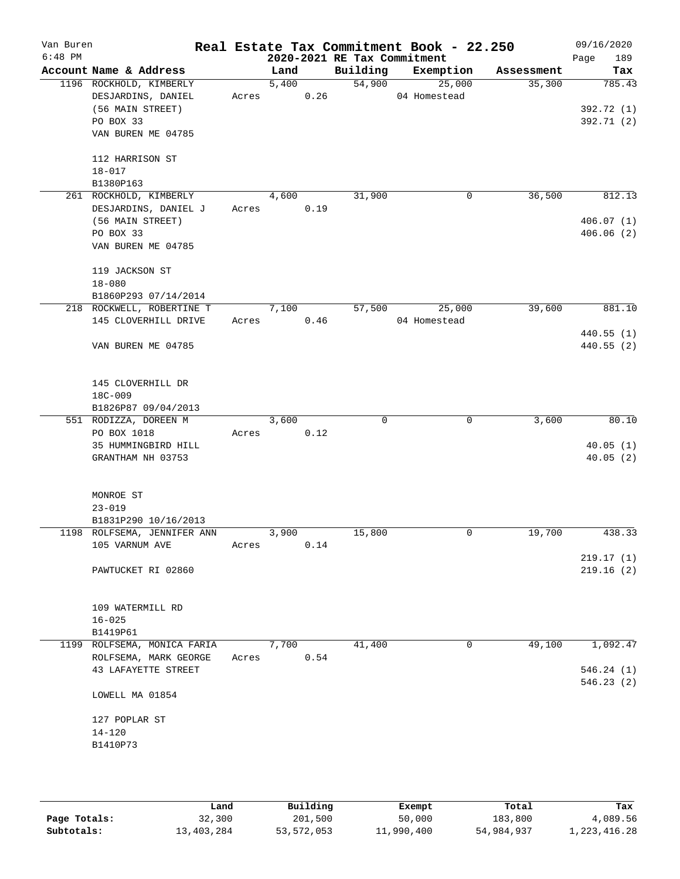| Van Buren<br>$6:48$ PM |                             |       |       |      | 2020-2021 RE Tax Commitment | Real Estate Tax Commitment Book - 22.250 |            | 09/16/2020<br>189<br>Page |
|------------------------|-----------------------------|-------|-------|------|-----------------------------|------------------------------------------|------------|---------------------------|
|                        | Account Name & Address      |       | Land  |      | Building                    | Exemption                                | Assessment | Tax                       |
|                        | 1196 ROCKHOLD, KIMBERLY     |       | 5,400 |      | 54,900                      | 25,000                                   | 35,300     | 785.43                    |
|                        | DESJARDINS, DANIEL          | Acres |       | 0.26 |                             | 04 Homestead                             |            |                           |
|                        | (56 MAIN STREET)            |       |       |      |                             |                                          |            | 392.72 (1)                |
|                        | PO BOX 33                   |       |       |      |                             |                                          |            | 392.71 (2)                |
|                        | VAN BUREN ME 04785          |       |       |      |                             |                                          |            |                           |
|                        | 112 HARRISON ST             |       |       |      |                             |                                          |            |                           |
|                        | $18 - 017$                  |       |       |      |                             |                                          |            |                           |
|                        | B1380P163                   |       |       |      |                             |                                          |            |                           |
|                        | 261 ROCKHOLD, KIMBERLY      |       | 4,600 |      | 31,900                      | 0                                        | 36,500     | 812.13                    |
|                        | DESJARDINS, DANIEL J        | Acres |       | 0.19 |                             |                                          |            |                           |
|                        | (56 MAIN STREET)            |       |       |      |                             |                                          |            | 406.07(1)                 |
|                        | PO BOX 33                   |       |       |      |                             |                                          |            | 406.06(2)                 |
|                        | VAN BUREN ME 04785          |       |       |      |                             |                                          |            |                           |
|                        | 119 JACKSON ST              |       |       |      |                             |                                          |            |                           |
|                        | $18 - 080$                  |       |       |      |                             |                                          |            |                           |
|                        | B1860P293 07/14/2014        |       |       |      |                             |                                          |            |                           |
|                        | 218 ROCKWELL, ROBERTINE T   |       | 7,100 |      | 57,500                      | 25,000                                   | 39,600     | 881.10                    |
|                        | 145 CLOVERHILL DRIVE        | Acres |       | 0.46 |                             | 04 Homestead                             |            |                           |
|                        |                             |       |       |      |                             |                                          |            | 440.55(1)                 |
|                        | VAN BUREN ME 04785          |       |       |      |                             |                                          |            | 440.55(2)                 |
|                        | 145 CLOVERHILL DR           |       |       |      |                             |                                          |            |                           |
|                        | 18C-009                     |       |       |      |                             |                                          |            |                           |
|                        | B1826P87 09/04/2013         |       |       |      |                             |                                          |            |                           |
|                        | 551 RODIZZA, DOREEN M       |       | 3,600 |      | 0                           | 0                                        | 3,600      | 80.10                     |
|                        | PO BOX 1018                 | Acres |       | 0.12 |                             |                                          |            |                           |
|                        | 35 HUMMINGBIRD HILL         |       |       |      |                             |                                          |            | 40.05(1)                  |
|                        | GRANTHAM NH 03753           |       |       |      |                             |                                          |            | 40.05(2)                  |
|                        | MONROE ST                   |       |       |      |                             |                                          |            |                           |
|                        | $23 - 019$                  |       |       |      |                             |                                          |            |                           |
|                        | B1831P290 10/16/2013        |       |       |      |                             |                                          |            |                           |
|                        | 1198 ROLFSEMA, JENNIFER ANN |       | 3,900 |      | 15,800                      | 0                                        | 19,700     | 438.33                    |
|                        | 105 VARNUM AVE              | Acres |       | 0.14 |                             |                                          |            |                           |
|                        |                             |       |       |      |                             |                                          |            | 219.17(1)                 |
|                        | PAWTUCKET RI 02860          |       |       |      |                             |                                          |            | 219.16(2)                 |
|                        | 109 WATERMILL RD            |       |       |      |                             |                                          |            |                           |
|                        | $16 - 025$                  |       |       |      |                             |                                          |            |                           |
|                        | B1419P61                    |       |       |      |                             |                                          |            |                           |
|                        | 1199 ROLFSEMA, MONICA FARIA |       | 7,700 |      | 41,400                      | 0                                        | 49,100     | 1,092.47                  |
|                        | ROLFSEMA, MARK GEORGE       | Acres |       | 0.54 |                             |                                          |            |                           |
|                        | 43 LAFAYETTE STREET         |       |       |      |                             |                                          |            | 546.24(1)<br>546.23(2)    |
|                        | LOWELL MA 01854             |       |       |      |                             |                                          |            |                           |
|                        | 127 POPLAR ST               |       |       |      |                             |                                          |            |                           |
|                        | $14 - 120$                  |       |       |      |                             |                                          |            |                           |
|                        | B1410P73                    |       |       |      |                             |                                          |            |                           |
|                        |                             |       |       |      |                             |                                          |            |                           |
|                        |                             |       |       |      |                             |                                          |            |                           |

|              | Land       | Building   | Exempt     | Total      | Tax          |
|--------------|------------|------------|------------|------------|--------------|
| Page Totals: | 32,300     | 201,500    | 50,000     | 183,800    | 4,089.56     |
| Subtotals:   | 13,403,284 | 53,572,053 | 11,990,400 | 54,984,937 | 1,223,416.28 |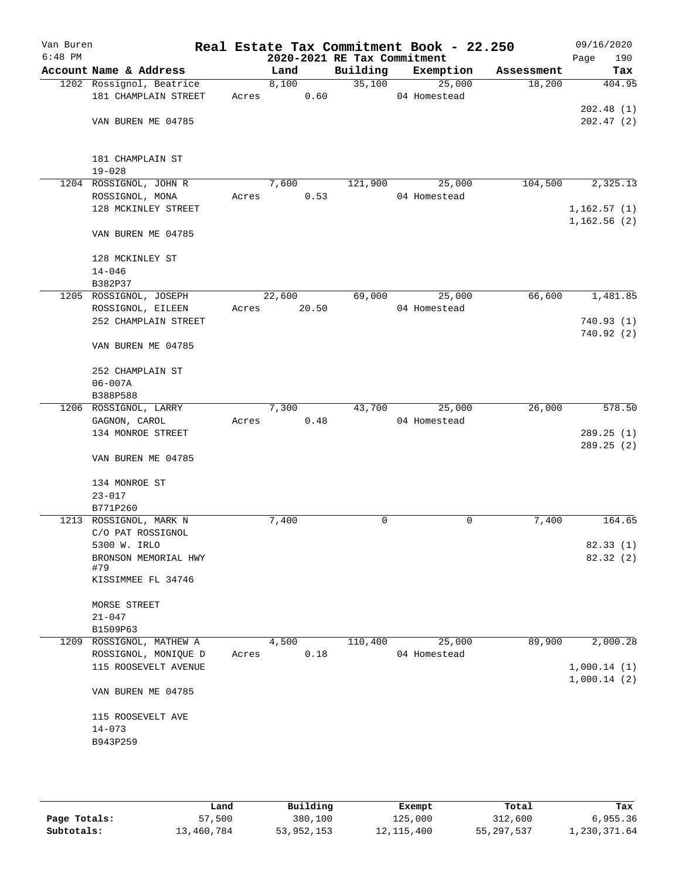| Van Buren<br>$6:48$ PM |                                   |       | 2020-2021 RE Tax Commitment |          | Real Estate Tax Commitment Book - 22.250 |            | 09/16/2020<br>190<br>Page  |
|------------------------|-----------------------------------|-------|-----------------------------|----------|------------------------------------------|------------|----------------------------|
|                        | Account Name & Address            |       | Land                        | Building | Exemption                                | Assessment | Tax                        |
|                        | 1202 Rossignol, Beatrice          |       | 8,100                       | 35,100   | 25,000                                   | 18,200     | 404.95                     |
|                        | 181 CHAMPLAIN STREET              | Acres | 0.60                        |          | 04 Homestead                             |            |                            |
|                        |                                   |       |                             |          |                                          |            | 202.48(1)                  |
|                        | VAN BUREN ME 04785                |       |                             |          |                                          |            | 202.47(2)                  |
|                        |                                   |       |                             |          |                                          |            |                            |
|                        |                                   |       |                             |          |                                          |            |                            |
|                        | 181 CHAMPLAIN ST                  |       |                             |          |                                          |            |                            |
|                        | $19 - 028$                        |       |                             |          |                                          |            |                            |
|                        | 1204 ROSSIGNOL, JOHN R            |       | 7,600                       | 121,900  | 25,000                                   | 104,500    | 2,325.13                   |
|                        | ROSSIGNOL, MONA                   | Acres | 0.53                        |          | 04 Homestead                             |            |                            |
|                        | 128 MCKINLEY STREET               |       |                             |          |                                          |            | 1,162.57(1)<br>1,162.56(2) |
|                        | VAN BUREN ME 04785                |       |                             |          |                                          |            |                            |
|                        |                                   |       |                             |          |                                          |            |                            |
|                        | 128 MCKINLEY ST                   |       |                             |          |                                          |            |                            |
|                        | $14 - 046$                        |       |                             |          |                                          |            |                            |
|                        | B382P37                           |       |                             |          |                                          |            |                            |
|                        | 1205 ROSSIGNOL, JOSEPH            |       | 22,600                      | 69,000   | 25,000                                   | 66,600     | 1,481.85                   |
|                        | ROSSIGNOL, EILEEN                 | Acres | 20.50                       |          | 04 Homestead                             |            |                            |
|                        | 252 CHAMPLAIN STREET              |       |                             |          |                                          |            | 740.93(1)                  |
|                        |                                   |       |                             |          |                                          |            | 740.92(2)                  |
|                        | VAN BUREN ME 04785                |       |                             |          |                                          |            |                            |
|                        |                                   |       |                             |          |                                          |            |                            |
|                        | 252 CHAMPLAIN ST                  |       |                             |          |                                          |            |                            |
|                        | $06 - 007A$                       |       |                             |          |                                          |            |                            |
|                        | B388P588<br>1206 ROSSIGNOL, LARRY |       | 7,300                       | 43,700   | 25,000                                   | 26,000     | 578.50                     |
|                        | GAGNON, CAROL                     | Acres | 0.48                        |          | 04 Homestead                             |            |                            |
|                        | 134 MONROE STREET                 |       |                             |          |                                          |            | 289.25(1)                  |
|                        |                                   |       |                             |          |                                          |            | 289.25(2)                  |
|                        | VAN BUREN ME 04785                |       |                             |          |                                          |            |                            |
|                        |                                   |       |                             |          |                                          |            |                            |
|                        | 134 MONROE ST                     |       |                             |          |                                          |            |                            |
|                        | $23 - 017$                        |       |                             |          |                                          |            |                            |
|                        | B771P260                          |       |                             |          |                                          |            |                            |
|                        | 1213 ROSSIGNOL, MARK N            |       | 7,400                       | 0        | 0                                        | 7,400      | 164.65                     |
|                        | C/O PAT ROSSIGNOL                 |       |                             |          |                                          |            |                            |
|                        | 5300 W. IRLO                      |       |                             |          |                                          |            | 82.33 (1)                  |
|                        | BRONSON MEMORIAL HWY              |       |                             |          |                                          |            | 82.32 (2)                  |
|                        | #79<br>KISSIMMEE FL 34746         |       |                             |          |                                          |            |                            |
|                        |                                   |       |                             |          |                                          |            |                            |
|                        | MORSE STREET                      |       |                             |          |                                          |            |                            |
|                        | $21 - 047$                        |       |                             |          |                                          |            |                            |
|                        | B1509P63                          |       |                             |          |                                          |            |                            |
| 1209                   | ROSSIGNOL, MATHEW A               |       | 4,500                       | 110,400  | 25,000                                   | 89,900     | 2,000.28                   |
|                        | ROSSIGNOL, MONIQUE D              | Acres | 0.18                        |          | 04 Homestead                             |            |                            |
|                        | 115 ROOSEVELT AVENUE              |       |                             |          |                                          |            | 1,000.14(1)                |
|                        |                                   |       |                             |          |                                          |            | 1,000.14(2)                |
|                        | VAN BUREN ME 04785                |       |                             |          |                                          |            |                            |
|                        |                                   |       |                             |          |                                          |            |                            |
|                        | 115 ROOSEVELT AVE                 |       |                             |          |                                          |            |                            |
|                        | $14 - 073$                        |       |                             |          |                                          |            |                            |
|                        | B943P259                          |       |                             |          |                                          |            |                            |
|                        |                                   |       |                             |          |                                          |            |                            |
|                        |                                   |       |                             |          |                                          |            |                            |

|              | Land       | Building   | Exempt       | Total      | Tax          |
|--------------|------------|------------|--------------|------------|--------------|
| Page Totals: | 57,500     | 380,100    | 125,000      | 312,600    | 6,955.36     |
| Subtotals:   | 13,460,784 | 53,952,153 | 12, 115, 400 | 55,297,537 | l,230,371.64 |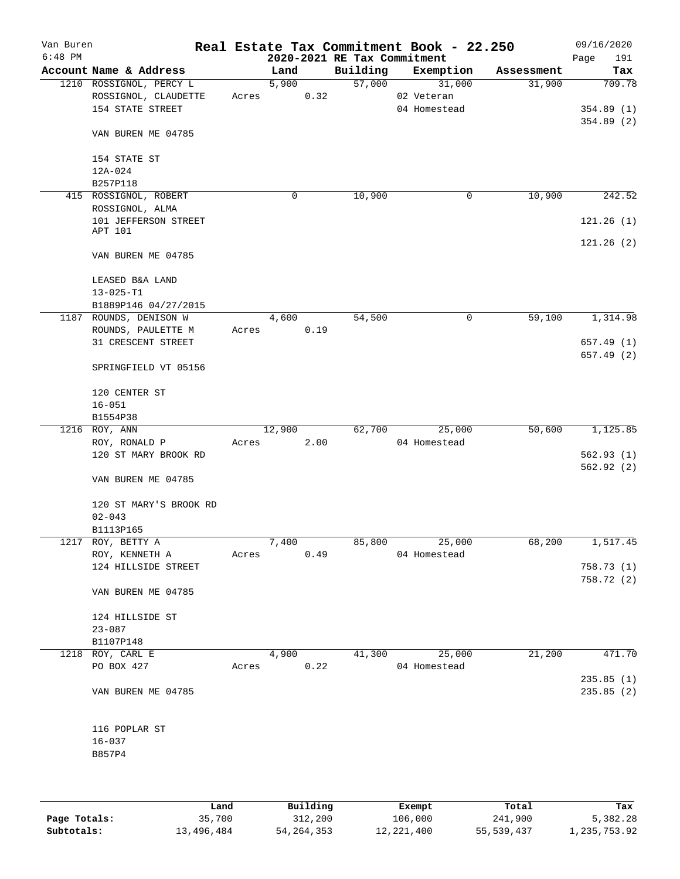| Van Buren<br>$6:48$ PM |                                         |       |        |      | 2020-2021 RE Tax Commitment | Real Estate Tax Commitment Book - 22.250 |            | 09/16/2020<br>Page<br>191 |
|------------------------|-----------------------------------------|-------|--------|------|-----------------------------|------------------------------------------|------------|---------------------------|
|                        | Account Name & Address                  |       | Land   |      | Building                    | Exemption                                | Assessment | Tax                       |
|                        | 1210 ROSSIGNOL, PERCY L                 |       | 5,900  |      | 57,000                      | 31,000                                   | 31,900     | 709.78                    |
|                        | ROSSIGNOL, CLAUDETTE                    | Acres |        | 0.32 |                             | 02 Veteran                               |            |                           |
|                        | 154 STATE STREET                        |       |        |      |                             | 04 Homestead                             |            | 354.89(1)                 |
|                        |                                         |       |        |      |                             |                                          |            | 354.89(2)                 |
|                        | VAN BUREN ME 04785                      |       |        |      |                             |                                          |            |                           |
|                        |                                         |       |        |      |                             |                                          |            |                           |
|                        | 154 STATE ST                            |       |        |      |                             |                                          |            |                           |
|                        | 12A-024                                 |       |        |      |                             |                                          |            |                           |
|                        | B257P118                                |       |        |      |                             |                                          | 10,900     |                           |
|                        | 415 ROSSIGNOL, ROBERT                   |       | 0      |      | 10,900                      | 0                                        |            | 242.52                    |
|                        | ROSSIGNOL, ALMA<br>101 JEFFERSON STREET |       |        |      |                             |                                          |            | 121.26(1)                 |
|                        | APT 101                                 |       |        |      |                             |                                          |            |                           |
|                        |                                         |       |        |      |                             |                                          |            | 121.26(2)                 |
|                        | VAN BUREN ME 04785                      |       |        |      |                             |                                          |            |                           |
|                        | LEASED B&A LAND                         |       |        |      |                             |                                          |            |                           |
|                        | $13 - 025 - T1$                         |       |        |      |                             |                                          |            |                           |
|                        | B1889P146 04/27/2015                    |       |        |      |                             |                                          |            |                           |
|                        | 1187 ROUNDS, DENISON W                  |       | 4,600  |      | 54,500                      | 0                                        | 59,100     | 1,314.98                  |
|                        | ROUNDS, PAULETTE M                      | Acres |        | 0.19 |                             |                                          |            |                           |
|                        | 31 CRESCENT STREET                      |       |        |      |                             |                                          |            | 657.49(1)                 |
|                        |                                         |       |        |      |                             |                                          |            | 657.49 (2)                |
|                        | SPRINGFIELD VT 05156                    |       |        |      |                             |                                          |            |                           |
|                        | 120 CENTER ST                           |       |        |      |                             |                                          |            |                           |
|                        | $16 - 051$                              |       |        |      |                             |                                          |            |                           |
|                        | B1554P38                                |       |        |      |                             |                                          |            |                           |
|                        | 1216 ROY, ANN                           |       | 12,900 |      | 62,700                      | 25,000                                   | 50,600     | 1,125.85                  |
|                        | ROY, RONALD P                           | Acres |        | 2.00 |                             | 04 Homestead                             |            |                           |
|                        | 120 ST MARY BROOK RD                    |       |        |      |                             |                                          |            | 562.93(1)                 |
|                        |                                         |       |        |      |                             |                                          |            | 562.92(2)                 |
|                        | VAN BUREN ME 04785                      |       |        |      |                             |                                          |            |                           |
|                        | 120 ST MARY'S BROOK RD                  |       |        |      |                             |                                          |            |                           |
|                        | $02 - 043$                              |       |        |      |                             |                                          |            |                           |
|                        | B1113P165                               |       |        |      |                             |                                          |            |                           |
|                        | 1217 ROY, BETTY A                       |       | 7,400  |      | 85,800                      | 25,000                                   | 68,200     | 1,517.45                  |
|                        | ROY, KENNETH A                          | Acres |        | 0.49 |                             | 04 Homestead                             |            |                           |
|                        | 124 HILLSIDE STREET                     |       |        |      |                             |                                          |            | 758.73 (1)                |
|                        |                                         |       |        |      |                             |                                          |            | 758.72 (2)                |
|                        | VAN BUREN ME 04785                      |       |        |      |                             |                                          |            |                           |
|                        | 124 HILLSIDE ST                         |       |        |      |                             |                                          |            |                           |
|                        | $23 - 087$                              |       |        |      |                             |                                          |            |                           |
|                        | B1107P148                               |       |        |      |                             |                                          |            |                           |
| 1218                   | ROY, CARL E                             |       | 4,900  |      | 41,300                      | 25,000                                   | 21,200     | 471.70                    |
|                        | PO BOX 427                              | Acres |        | 0.22 |                             | 04 Homestead                             |            |                           |
|                        |                                         |       |        |      |                             |                                          |            | 235.85(1)                 |
|                        | VAN BUREN ME 04785                      |       |        |      |                             |                                          |            | 235.85(2)                 |
|                        |                                         |       |        |      |                             |                                          |            |                           |
|                        | 116 POPLAR ST                           |       |        |      |                             |                                          |            |                           |
|                        | $16 - 037$                              |       |        |      |                             |                                          |            |                           |
|                        | B857P4                                  |       |        |      |                             |                                          |            |                           |
|                        |                                         |       |        |      |                             |                                          |            |                           |
|                        |                                         |       |        |      |                             |                                          |            |                           |

|              | Land       | Building     | Exempt       | Total      | Tax          |
|--------------|------------|--------------|--------------|------------|--------------|
| Page Totals: | 35,700     | 312,200      | 106,000      | 241,900    | 5,382.28     |
| Subtotals:   | 13,496,484 | 54, 264, 353 | 12, 221, 400 | 55,539,437 | 1,235,753.92 |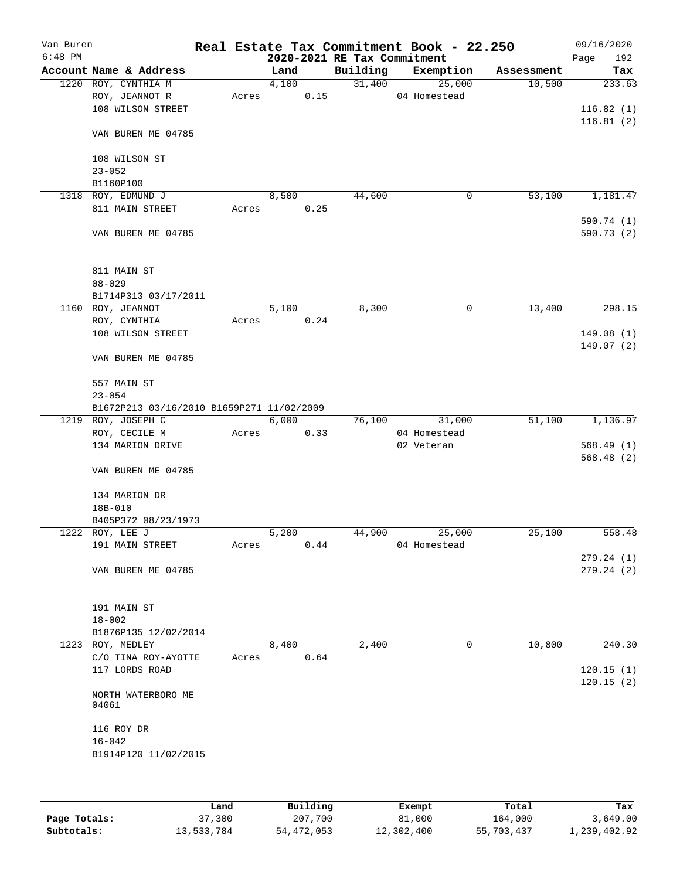| Van Buren<br>$6:48$ PM |                                           |       |       |      | 2020-2021 RE Tax Commitment | Real Estate Tax Commitment Book - 22.250 |            | 09/16/2020<br>Page<br>192 |
|------------------------|-------------------------------------------|-------|-------|------|-----------------------------|------------------------------------------|------------|---------------------------|
|                        | Account Name & Address                    |       | Land  |      | Building                    | Exemption                                | Assessment | Tax                       |
|                        | 1220 ROY, CYNTHIA M                       |       | 4,100 |      | 31,400                      | 25,000                                   | 10,500     | 233.63                    |
|                        | ROY, JEANNOT R                            | Acres |       | 0.15 |                             | 04 Homestead                             |            |                           |
|                        | 108 WILSON STREET                         |       |       |      |                             |                                          |            | 116.82(1)                 |
|                        |                                           |       |       |      |                             |                                          |            | 116.81(2)                 |
|                        | VAN BUREN ME 04785                        |       |       |      |                             |                                          |            |                           |
|                        | 108 WILSON ST                             |       |       |      |                             |                                          |            |                           |
|                        | $23 - 052$                                |       |       |      |                             |                                          |            |                           |
|                        | B1160P100                                 |       |       |      |                             |                                          |            |                           |
| 1318                   | ROY, EDMUND J                             |       | 8,500 |      | 44,600                      | 0                                        | 53,100     | 1,181.47                  |
|                        | 811 MAIN STREET                           | Acres |       | 0.25 |                             |                                          |            |                           |
|                        |                                           |       |       |      |                             |                                          |            | 590.74 (1)                |
|                        | VAN BUREN ME 04785                        |       |       |      |                             |                                          |            | 590.73 (2)                |
|                        | 811 MAIN ST                               |       |       |      |                             |                                          |            |                           |
|                        | $08 - 029$                                |       |       |      |                             |                                          |            |                           |
|                        | B1714P313 03/17/2011                      |       |       |      |                             |                                          |            |                           |
|                        | 1160 ROY, JEANNOT                         |       | 5,100 |      | 8,300                       | 0                                        | 13,400     | 298.15                    |
|                        | ROY, CYNTHIA                              | Acres |       | 0.24 |                             |                                          |            |                           |
|                        | 108 WILSON STREET                         |       |       |      |                             |                                          |            | 149.08(1)                 |
|                        |                                           |       |       |      |                             |                                          |            | 149.07(2)                 |
|                        | VAN BUREN ME 04785                        |       |       |      |                             |                                          |            |                           |
|                        | 557 MAIN ST                               |       |       |      |                             |                                          |            |                           |
|                        | $23 - 054$                                |       |       |      |                             |                                          |            |                           |
|                        | B1672P213 03/16/2010 B1659P271 11/02/2009 |       |       |      |                             |                                          |            |                           |
|                        | 1219 ROY, JOSEPH C                        |       | 6,000 |      | 76,100                      | 31,000                                   | 51,100     | 1,136.97                  |
|                        | ROY, CECILE M                             | Acres |       | 0.33 |                             | 04 Homestead                             |            |                           |
|                        | 134 MARION DRIVE                          |       |       |      |                             | 02 Veteran                               |            | 568.49(1)                 |
|                        |                                           |       |       |      |                             |                                          |            | 568.48(2)                 |
|                        | VAN BUREN ME 04785                        |       |       |      |                             |                                          |            |                           |
|                        | 134 MARION DR                             |       |       |      |                             |                                          |            |                           |
|                        | 18B-010                                   |       |       |      |                             |                                          |            |                           |
|                        | B405P372 08/23/1973                       |       |       |      |                             |                                          |            |                           |
|                        | 1222 ROY, LEE J                           |       | 5,200 |      | 44,900                      | 25,000                                   | 25,100     | 558.48                    |
|                        | 191 MAIN STREET                           | Acres |       | 0.44 |                             | 04 Homestead                             |            |                           |
|                        |                                           |       |       |      |                             |                                          |            | 279.24 (1)                |
|                        | VAN BUREN ME 04785                        |       |       |      |                             |                                          |            | 279.24 (2)                |
|                        | 191 MAIN ST                               |       |       |      |                             |                                          |            |                           |
|                        | $18 - 002$                                |       |       |      |                             |                                          |            |                           |
|                        | B1876P135 12/02/2014                      |       |       |      |                             |                                          |            |                           |
|                        | 1223 ROY, MEDLEY                          |       | 8,400 |      | 2,400                       | 0                                        | 10,800     | 240.30                    |
|                        | C/O TINA ROY-AYOTTE                       | Acres |       | 0.64 |                             |                                          |            |                           |
|                        | 117 LORDS ROAD                            |       |       |      |                             |                                          |            | 120.15(1)                 |
|                        |                                           |       |       |      |                             |                                          |            | 120.15(2)                 |
|                        | NORTH WATERBORO ME<br>04061               |       |       |      |                             |                                          |            |                           |
|                        | 116 ROY DR                                |       |       |      |                             |                                          |            |                           |
|                        | $16 - 042$                                |       |       |      |                             |                                          |            |                           |
|                        |                                           |       |       |      |                             |                                          |            |                           |
|                        | B1914P120 11/02/2015                      |       |       |      |                             |                                          |            |                           |
|                        |                                           |       |       |      |                             |                                          |            |                           |
|                        |                                           |       |       |      |                             |                                          |            |                           |

|              | Land       | Building   | Exempt     | Total      | Tax          |
|--------------|------------|------------|------------|------------|--------------|
| Page Totals: | 37,300     | 207,700    | 81,000     | 164,000    | 3,649.00     |
| Subtotals:   | 13,533,784 | 54,472,053 | 12,302,400 | 55,703,437 | 1,239,402.92 |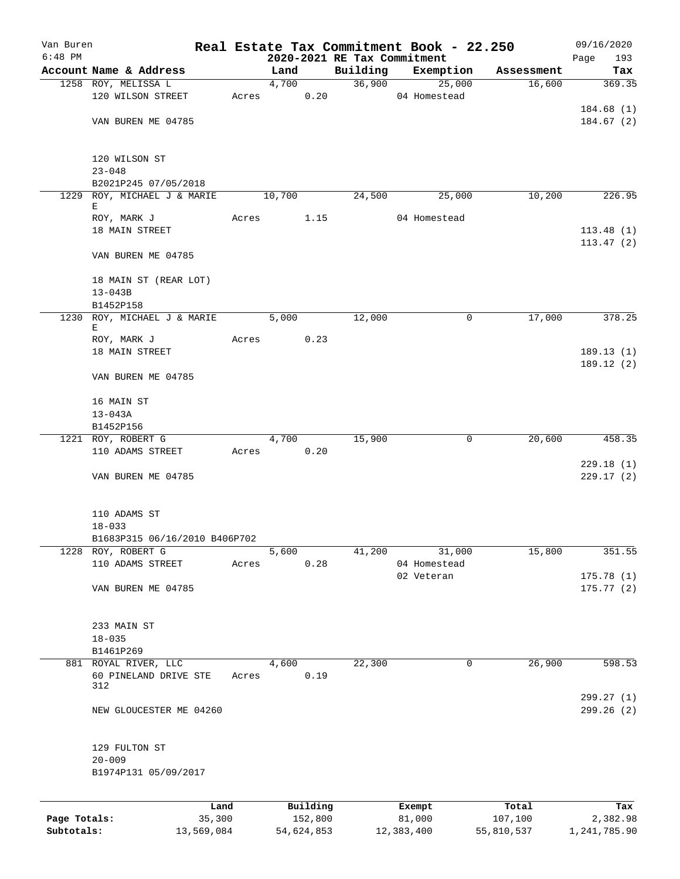| Van Buren    |                                                |       |               |                             | Real Estate Tax Commitment Book - 22.250 |            | 09/16/2020   |
|--------------|------------------------------------------------|-------|---------------|-----------------------------|------------------------------------------|------------|--------------|
| $6:48$ PM    |                                                |       |               | 2020-2021 RE Tax Commitment |                                          |            | 193<br>Page  |
|              | Account Name & Address                         |       | Land          | Building                    | Exemption                                | Assessment | Tax          |
|              | 1258 ROY, MELISSA L                            |       | 4,700         |                             | 36,900<br>25,000                         | 16,600     | 369.35       |
|              | 120 WILSON STREET                              |       | Acres 0.20    |                             | 04 Homestead                             |            |              |
|              |                                                |       |               |                             |                                          |            | 184.68(1)    |
|              | VAN BUREN ME 04785                             |       |               |                             |                                          |            | 184.67(2)    |
|              | 120 WILSON ST                                  |       |               |                             |                                          |            |              |
|              | $23 - 048$                                     |       |               |                             |                                          |            |              |
|              | B2021P245 07/05/2018                           |       |               |                             |                                          |            |              |
|              | 1229 ROY, MICHAEL J & MARIE<br>Е               |       | 10,700        | 24,500                      | 25,000                                   | 10,200     | 226.95       |
|              | ROY, MARK J                                    | Acres | 1.15          |                             | 04 Homestead                             |            |              |
|              | 18 MAIN STREET                                 |       |               |                             |                                          |            | 113.48(1)    |
|              |                                                |       |               |                             |                                          |            | 113.47(2)    |
|              | VAN BUREN ME 04785                             |       |               |                             |                                          |            |              |
|              | 18 MAIN ST (REAR LOT)                          |       |               |                             |                                          |            |              |
|              | $13 - 043B$                                    |       |               |                             |                                          |            |              |
|              | B1452P158                                      |       |               |                             |                                          |            |              |
| 1230         | ROY, MICHAEL J & MARIE<br>Е                    |       | 5,000         | 12,000                      | 0                                        | 17,000     | 378.25       |
|              | ROY, MARK J                                    | Acres | 0.23          |                             |                                          |            |              |
|              | 18 MAIN STREET                                 |       |               |                             |                                          |            | 189.13(1)    |
|              | VAN BUREN ME 04785                             |       |               |                             |                                          |            | 189.12(2)    |
|              |                                                |       |               |                             |                                          |            |              |
|              | 16 MAIN ST                                     |       |               |                             |                                          |            |              |
|              | $13 - 043A$<br>B1452P156                       |       |               |                             |                                          |            |              |
|              | 1221 ROY, ROBERT G                             |       | 4,700         | 15,900                      | 0                                        | 20,600     | 458.35       |
|              | 110 ADAMS STREET                               |       | 0.20<br>Acres |                             |                                          |            |              |
|              |                                                |       |               |                             |                                          |            | 229.18(1)    |
|              | VAN BUREN ME 04785                             |       |               |                             |                                          |            | 229.17(2)    |
|              |                                                |       |               |                             |                                          |            |              |
|              | 110 ADAMS ST                                   |       |               |                             |                                          |            |              |
|              | $18 - 033$                                     |       |               |                             |                                          |            |              |
| 1228         | B1683P315 06/16/2010 B406P702<br>ROY, ROBERT G |       | 5,600         | 41,200                      | 31,000                                   | 15,800     | 351.55       |
|              | 110 ADAMS STREET                               | Acres | 0.28          |                             | 04 Homestead                             |            |              |
|              |                                                |       |               |                             | 02 Veteran                               |            | 175.78(1)    |
|              | VAN BUREN ME 04785                             |       |               |                             |                                          |            | 175.77(2)    |
|              |                                                |       |               |                             |                                          |            |              |
|              | 233 MAIN ST                                    |       |               |                             |                                          |            |              |
|              | $18 - 035$                                     |       |               |                             |                                          |            |              |
|              | B1461P269                                      |       |               |                             |                                          |            |              |
|              | 881 ROYAL RIVER, LLC                           |       | 4,600         | 22,300                      | 0                                        | 26,900     | 598.53       |
|              | 60 PINELAND DRIVE STE<br>312                   | Acres | 0.19          |                             |                                          |            |              |
|              |                                                |       |               |                             |                                          |            | 299.27(1)    |
|              | NEW GLOUCESTER ME 04260                        |       |               |                             |                                          |            | 299.26(2)    |
|              |                                                |       |               |                             |                                          |            |              |
|              | 129 FULTON ST                                  |       |               |                             |                                          |            |              |
|              | $20 - 009$                                     |       |               |                             |                                          |            |              |
|              | B1974P131 05/09/2017                           |       |               |                             |                                          |            |              |
|              | Land                                           |       | Building      |                             | Exempt                                   | Total      | Tax          |
| Page Totals: | 35,300                                         |       | 152,800       |                             | 81,000                                   | 107,100    | 2,382.98     |
| Subtotals:   | 13,569,084                                     |       | 54,624,853    |                             | 12,383,400                               | 55,810,537 | 1,241,785.90 |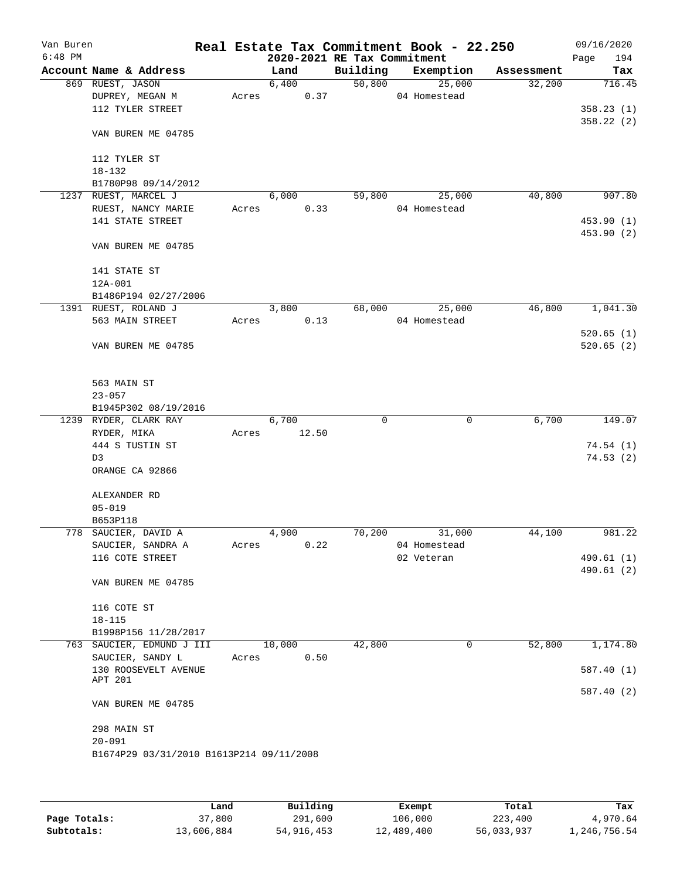| Van Buren |                                          |       |        |       |                             | Real Estate Tax Commitment Book - 22.250 |            | 09/16/2020  |
|-----------|------------------------------------------|-------|--------|-------|-----------------------------|------------------------------------------|------------|-------------|
| $6:48$ PM |                                          |       |        |       | 2020-2021 RE Tax Commitment |                                          |            | 194<br>Page |
|           | Account Name & Address                   |       | Land   |       | Building                    | Exemption                                | Assessment | Tax         |
|           | 869 RUEST, JASON                         |       | 6,400  |       | 50,800                      | 25,000                                   | 32,200     | 716.45      |
|           | DUPREY, MEGAN M                          | Acres |        | 0.37  |                             | 04 Homestead                             |            |             |
|           | 112 TYLER STREET                         |       |        |       |                             |                                          |            | 358.23(1)   |
|           |                                          |       |        |       |                             |                                          |            | 358.22 (2)  |
|           | VAN BUREN ME 04785                       |       |        |       |                             |                                          |            |             |
|           |                                          |       |        |       |                             |                                          |            |             |
|           | 112 TYLER ST                             |       |        |       |                             |                                          |            |             |
|           | $18 - 132$                               |       |        |       |                             |                                          |            |             |
|           | B1780P98 09/14/2012                      |       |        |       |                             |                                          |            |             |
|           | 1237 RUEST, MARCEL J                     |       | 6,000  |       | 59,800                      | 25,000                                   | 40,800     | 907.80      |
|           | RUEST, NANCY MARIE                       | Acres |        | 0.33  |                             | 04 Homestead                             |            |             |
|           | 141 STATE STREET                         |       |        |       |                             |                                          |            | 453.90 (1)  |
|           |                                          |       |        |       |                             |                                          |            | 453.90 (2)  |
|           | VAN BUREN ME 04785                       |       |        |       |                             |                                          |            |             |
|           |                                          |       |        |       |                             |                                          |            |             |
|           | 141 STATE ST                             |       |        |       |                             |                                          |            |             |
|           | 12A-001                                  |       |        |       |                             |                                          |            |             |
|           | B1486P194 02/27/2006                     |       |        |       |                             |                                          |            |             |
|           | 1391 RUEST, ROLAND J                     |       | 3,800  |       | 68,000                      | 25,000                                   | 46,800     | 1,041.30    |
|           | 563 MAIN STREET                          | Acres |        | 0.13  |                             | 04 Homestead                             |            |             |
|           |                                          |       |        |       |                             |                                          |            | 520.65(1)   |
|           | VAN BUREN ME 04785                       |       |        |       |                             |                                          |            | 520.65(2)   |
|           |                                          |       |        |       |                             |                                          |            |             |
|           |                                          |       |        |       |                             |                                          |            |             |
|           | 563 MAIN ST                              |       |        |       |                             |                                          |            |             |
|           | $23 - 057$                               |       |        |       |                             |                                          |            |             |
|           | B1945P302 08/19/2016                     |       |        |       |                             |                                          |            |             |
|           | 1239 RYDER, CLARK RAY                    |       | 6,700  |       | $\Omega$                    | 0                                        | 6,700      | 149.07      |
|           | RYDER, MIKA                              | Acres |        | 12.50 |                             |                                          |            |             |
|           | 444 S TUSTIN ST                          |       |        |       |                             |                                          |            | 74.54(1)    |
|           | D3                                       |       |        |       |                             |                                          |            | 74.53(2)    |
|           | ORANGE CA 92866                          |       |        |       |                             |                                          |            |             |
|           |                                          |       |        |       |                             |                                          |            |             |
|           | ALEXANDER RD                             |       |        |       |                             |                                          |            |             |
|           | $05 - 019$                               |       |        |       |                             |                                          |            |             |
|           | B653P118                                 |       |        |       |                             |                                          |            |             |
|           | 778 SAUCIER, DAVID A                     |       | 4,900  |       | 70,200                      | 31,000                                   | 44,100     | 981.22      |
|           | SAUCIER, SANDRA A                        | Acres |        | 0.22  |                             | 04 Homestead                             |            |             |
|           | 116 COTE STREET                          |       |        |       |                             | 02 Veteran                               |            | 490.61 (1)  |
|           |                                          |       |        |       |                             |                                          |            | 490.61(2)   |
|           | VAN BUREN ME 04785                       |       |        |       |                             |                                          |            |             |
|           |                                          |       |        |       |                             |                                          |            |             |
|           | 116 COTE ST                              |       |        |       |                             |                                          |            |             |
|           | $18 - 115$                               |       |        |       |                             |                                          |            |             |
|           | B1998P156 11/28/2017                     |       |        |       |                             |                                          |            |             |
|           | 763 SAUCIER, EDMUND J III                |       | 10,000 |       | 42,800                      | 0                                        | 52,800     | 1,174.80    |
|           | SAUCIER, SANDY L                         | Acres |        | 0.50  |                             |                                          |            |             |
|           | 130 ROOSEVELT AVENUE                     |       |        |       |                             |                                          |            | 587.40 (1)  |
|           | APT 201                                  |       |        |       |                             |                                          |            | 587.40 (2)  |
|           | VAN BUREN ME 04785                       |       |        |       |                             |                                          |            |             |
|           |                                          |       |        |       |                             |                                          |            |             |
|           | 298 MAIN ST                              |       |        |       |                             |                                          |            |             |
|           | $20 - 091$                               |       |        |       |                             |                                          |            |             |
|           | B1674P29 03/31/2010 B1613P214 09/11/2008 |       |        |       |                             |                                          |            |             |
|           |                                          |       |        |       |                             |                                          |            |             |
|           |                                          |       |        |       |                             |                                          |            |             |
|           |                                          |       |        |       |                             |                                          |            |             |

|              | Land       | Building   | Exempt     | Total      | Tax          |
|--------------|------------|------------|------------|------------|--------------|
| Page Totals: | 37,800     | 291,600    | 106,000    | 223,400    | 4,970.64     |
| Subtotals:   | 13,606,884 | 54,916,453 | 12,489,400 | 56,033,937 | 1,246,756.54 |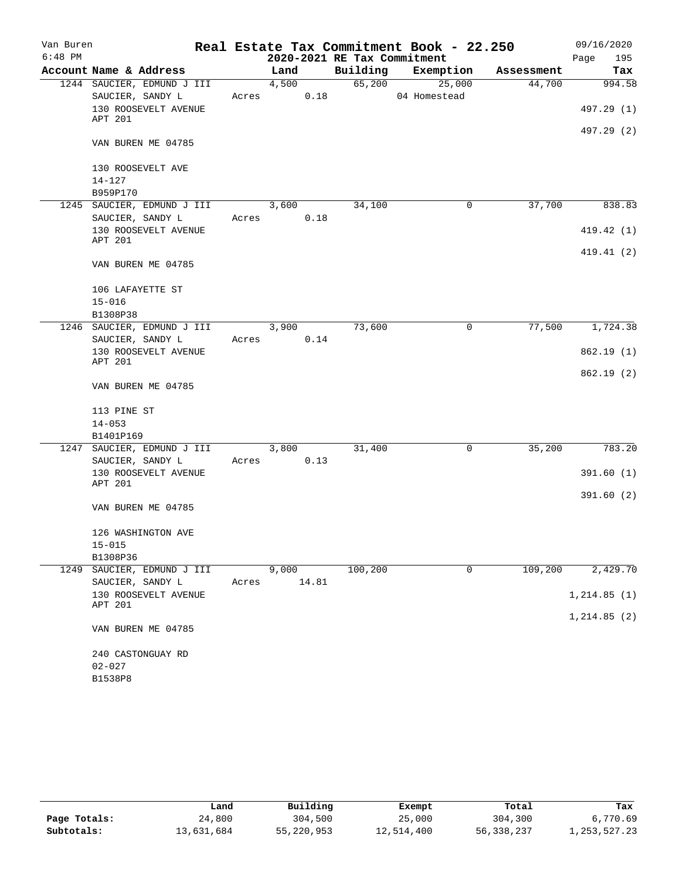| Van Buren |                            |       |                             |         | Real Estate Tax Commitment Book - 22.250 |            | 09/16/2020   |
|-----------|----------------------------|-------|-----------------------------|---------|------------------------------------------|------------|--------------|
| $6:48$ PM |                            |       | 2020-2021 RE Tax Commitment |         |                                          |            | 195<br>Page  |
|           | Account Name & Address     |       | Land                        |         | Building Exemption                       | Assessment | Tax          |
|           | 1244 SAUCIER, EDMUND J III |       | 4,500                       | 65,200  | 25,000                                   | 44,700     | 994.58       |
|           | SAUCIER, SANDY L           |       | 0.18<br>Acres               |         | 04 Homestead                             |            |              |
|           | 130 ROOSEVELT AVENUE       |       |                             |         |                                          |            | 497.29 (1)   |
|           | APT 201                    |       |                             |         |                                          |            |              |
|           | VAN BUREN ME 04785         |       |                             |         |                                          |            | 497.29 (2)   |
|           | 130 ROOSEVELT AVE          |       |                             |         |                                          |            |              |
|           | $14 - 127$                 |       |                             |         |                                          |            |              |
|           | B959P170                   |       |                             |         |                                          |            |              |
|           | 1245 SAUCIER, EDMUND J III |       | 3,600                       | 34,100  | 0                                        | 37,700     | 838.83       |
|           | SAUCIER, SANDY L           |       | Acres 0.18                  |         |                                          |            |              |
|           | 130 ROOSEVELT AVENUE       |       |                             |         |                                          |            | 419.42 (1)   |
|           | APT 201                    |       |                             |         |                                          |            |              |
|           |                            |       |                             |         |                                          |            | 419.41 (2)   |
|           | VAN BUREN ME 04785         |       |                             |         |                                          |            |              |
|           | 106 LAFAYETTE ST           |       |                             |         |                                          |            |              |
|           | $15 - 016$                 |       |                             |         |                                          |            |              |
|           | B1308P38                   |       |                             |         |                                          |            |              |
|           | 1246 SAUCIER, EDMUND J III |       | $\frac{1}{3,900}$           | 73,600  | 0                                        | 77,500     | 1,724.38     |
|           | SAUCIER, SANDY L           | Acres | 0.14                        |         |                                          |            |              |
|           | 130 ROOSEVELT AVENUE       |       |                             |         |                                          |            | 862.19(1)    |
|           | APT 201                    |       |                             |         |                                          |            |              |
|           | VAN BUREN ME 04785         |       |                             |         |                                          |            | 862.19(2)    |
|           | 113 PINE ST                |       |                             |         |                                          |            |              |
|           | $14 - 053$                 |       |                             |         |                                          |            |              |
|           | B1401P169                  |       |                             |         |                                          |            |              |
|           | 1247 SAUCIER, EDMUND J III |       | 3,800                       | 31,400  | $\mathbf 0$                              | 35,200     | 783.20       |
|           | SAUCIER, SANDY L           |       | Acres 0.13                  |         |                                          |            |              |
|           | 130 ROOSEVELT AVENUE       |       |                             |         |                                          |            | 391.60(1)    |
|           | APT 201                    |       |                             |         |                                          |            |              |
|           |                            |       |                             |         |                                          |            | 391.60(2)    |
|           | VAN BUREN ME 04785         |       |                             |         |                                          |            |              |
|           | 126 WASHINGTON AVE         |       |                             |         |                                          |            |              |
|           | $15 - 015$                 |       |                             |         |                                          |            |              |
|           | B1308P36                   |       |                             |         |                                          |            |              |
|           | 1249 SAUCIER, EDMUND J III |       | 9,000                       | 100,200 | $\mathbf 0$                              | 109,200    | 2,429.70     |
|           | SAUCIER, SANDY L           | Acres | 14.81                       |         |                                          |            |              |
|           | 130 ROOSEVELT AVENUE       |       |                             |         |                                          |            | 1, 214.85(1) |
|           | APT 201                    |       |                             |         |                                          |            |              |
|           | VAN BUREN ME 04785         |       |                             |         |                                          |            | 1, 214.85(2) |
|           | 240 CASTONGUAY RD          |       |                             |         |                                          |            |              |
|           | $02 - 027$                 |       |                             |         |                                          |            |              |
|           | B1538P8                    |       |                             |         |                                          |            |              |
|           |                            |       |                             |         |                                          |            |              |

|              | Land       | Building   | Exempt     | Total      | Tax             |
|--------------|------------|------------|------------|------------|-----------------|
| Page Totals: | 24,800     | 304,500    | 25,000     | 304,300    | 6,770.69        |
| Subtotals:   | 13,631,684 | 55,220,953 | 12,514,400 | 56,338,237 | 1, 253, 527. 23 |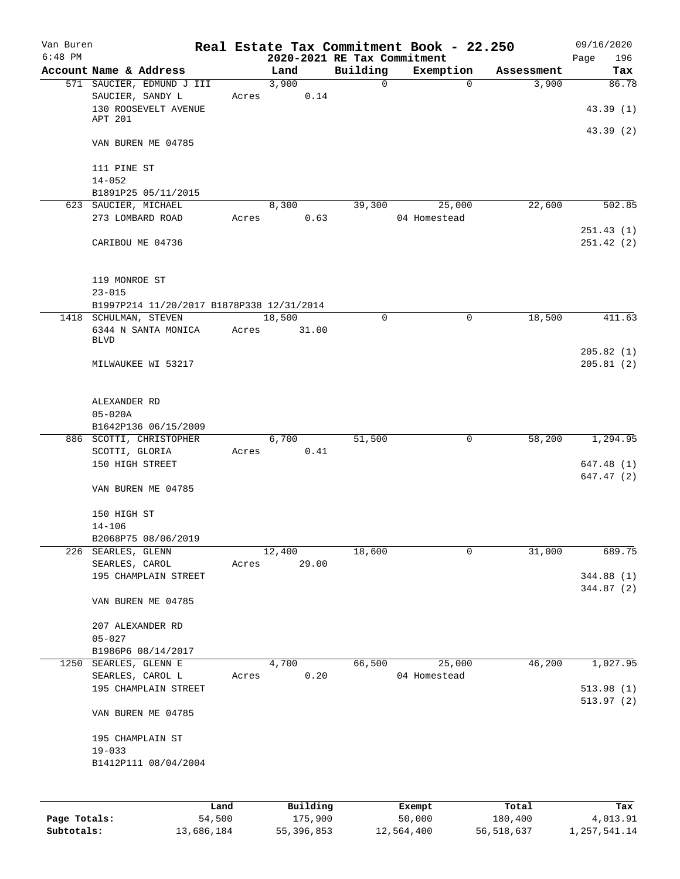| Van Buren<br>$6:48$ PM |                                           |       | 2020-2021 RE Tax Commitment |              | Real Estate Tax Commitment Book - 22.250 |            | 09/16/2020<br>196<br>Page |
|------------------------|-------------------------------------------|-------|-----------------------------|--------------|------------------------------------------|------------|---------------------------|
|                        | Account Name & Address                    |       | Land                        | Building     | Exemption                                | Assessment | Tax                       |
|                        | 571 SAUCIER, EDMUND J III                 |       | 3,900                       | $\mathsf{O}$ | $\mathbf 0$                              | 3,900      | 86.78                     |
|                        | SAUCIER, SANDY L                          | Acres | 0.14                        |              |                                          |            |                           |
|                        | 130 ROOSEVELT AVENUE                      |       |                             |              |                                          |            | 43.39(1)                  |
|                        | APT 201                                   |       |                             |              |                                          |            |                           |
|                        | VAN BUREN ME 04785                        |       |                             |              |                                          |            | 43.39 (2)                 |
|                        | 111 PINE ST                               |       |                             |              |                                          |            |                           |
|                        | $14 - 052$                                |       |                             |              |                                          |            |                           |
|                        | B1891P25 05/11/2015                       |       |                             |              |                                          |            |                           |
|                        | 623 SAUCIER, MICHAEL                      |       | 8,300                       | 39,300       | 25,000                                   | 22,600     | 502.85                    |
|                        | 273 LOMBARD ROAD                          | Acres | 0.63                        |              | 04 Homestead                             |            |                           |
|                        | CARIBOU ME 04736                          |       |                             |              |                                          |            | 251.43(1)<br>251.42 (2)   |
|                        |                                           |       |                             |              |                                          |            |                           |
|                        | 119 MONROE ST                             |       |                             |              |                                          |            |                           |
|                        | $23 - 015$                                |       |                             |              |                                          |            |                           |
|                        | B1997P214 11/20/2017 B1878P338 12/31/2014 |       |                             |              |                                          |            |                           |
|                        | 1418 SCHULMAN, STEVEN                     |       | 18,500                      | 0            | $\mathbf 0$                              | 18,500     | 411.63                    |
|                        | 6344 N SANTA MONICA<br><b>BLVD</b>        | Acres | 31.00                       |              |                                          |            |                           |
|                        |                                           |       |                             |              |                                          |            | 205.82(1)                 |
|                        | MILWAUKEE WI 53217                        |       |                             |              |                                          |            | 205.81(2)                 |
|                        |                                           |       |                             |              |                                          |            |                           |
|                        | ALEXANDER RD                              |       |                             |              |                                          |            |                           |
|                        | $05 - 020A$                               |       |                             |              |                                          |            |                           |
|                        | B1642P136 06/15/2009                      |       |                             |              |                                          |            |                           |
|                        | 886 SCOTTI, CHRISTOPHER                   |       | 6,700                       | 51,500       | 0                                        | 58,200     | 1,294.95                  |
|                        | SCOTTI, GLORIA                            | Acres | 0.41                        |              |                                          |            |                           |
|                        | 150 HIGH STREET                           |       |                             |              |                                          |            | 647.48 (1)                |
|                        | VAN BUREN ME 04785                        |       |                             |              |                                          |            | 647.47 (2)                |
|                        | 150 HIGH ST                               |       |                             |              |                                          |            |                           |
|                        | $14 - 106$                                |       |                             |              |                                          |            |                           |
|                        | B2068P75 08/06/2019                       |       |                             |              |                                          |            |                           |
| 226                    | SEARLES, GLENN                            |       | 12,400                      | 18,600       | 0                                        | 31,000     | 689.75                    |
|                        | SEARLES, CAROL                            | Acres | 29.00                       |              |                                          |            |                           |
|                        | 195 CHAMPLAIN STREET                      |       |                             |              |                                          |            | 344.88 (1)                |
|                        | VAN BUREN ME 04785                        |       |                             |              |                                          |            | 344.87 (2)                |
|                        | 207 ALEXANDER RD                          |       |                             |              |                                          |            |                           |
|                        | $05 - 027$                                |       |                             |              |                                          |            |                           |
|                        | B1986P6 08/14/2017                        |       |                             |              |                                          |            |                           |
|                        | 1250 SEARLES, GLENN E                     |       | 4,700                       | 66,500       | 25,000                                   | 46,200     | 1,027.95                  |
|                        | SEARLES, CAROL L                          | Acres | 0.20                        |              | 04 Homestead                             |            |                           |
|                        | 195 CHAMPLAIN STREET                      |       |                             |              |                                          |            | 513.98(1)                 |
|                        |                                           |       |                             |              |                                          |            | 513.97(2)                 |
|                        | VAN BUREN ME 04785                        |       |                             |              |                                          |            |                           |
|                        | 195 CHAMPLAIN ST                          |       |                             |              |                                          |            |                           |
|                        | $19 - 033$                                |       |                             |              |                                          |            |                           |
|                        | B1412P111 08/04/2004                      |       |                             |              |                                          |            |                           |
|                        |                                           |       |                             |              |                                          |            |                           |
|                        |                                           | Land  | Building                    |              | Exempt                                   | Total      | Tax                       |

**Page Totals:** 54,500 175,900 50,000 180,400 4,013.91 **Subtotals:** 13,686,184 55,396,853 12,564,400 56,518,637 1,257,541.14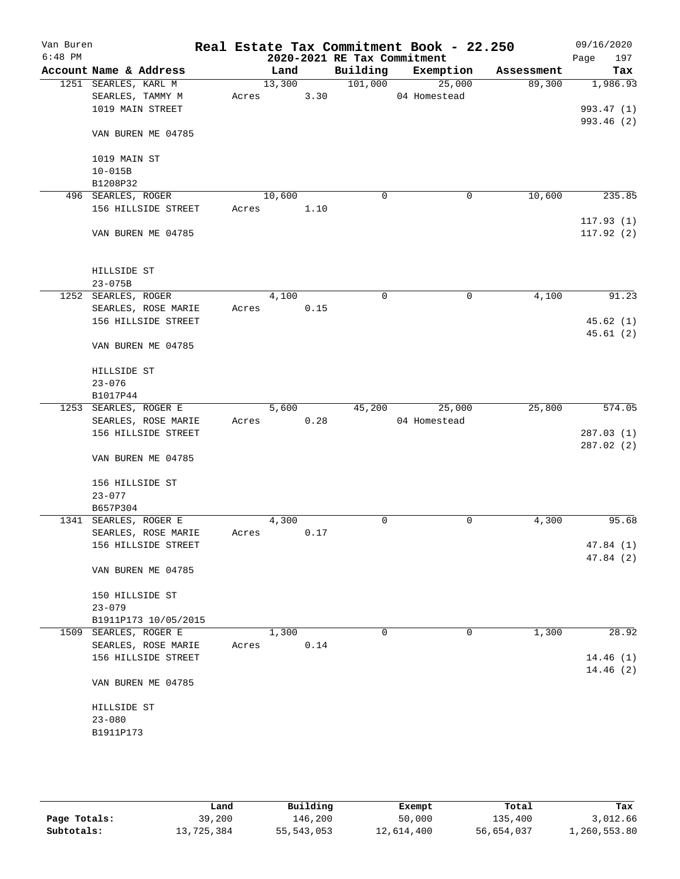| Van Buren |                        |       |        |      |                             | Real Estate Tax Commitment Book - 22.250 |            | 09/16/2020  |
|-----------|------------------------|-------|--------|------|-----------------------------|------------------------------------------|------------|-------------|
| $6:48$ PM |                        |       |        |      | 2020-2021 RE Tax Commitment |                                          |            | 197<br>Page |
|           | Account Name & Address |       | Land   |      |                             | Building Exemption                       | Assessment | Tax         |
|           | 1251 SEARLES, KARL M   |       | 13,300 |      | 101,000                     | 25,000                                   | 89,300     | 1,986.93    |
|           | SEARLES, TAMMY M       | Acres |        | 3.30 |                             | 04 Homestead                             |            |             |
|           | 1019 MAIN STREET       |       |        |      |                             |                                          |            | 993.47 (1)  |
|           |                        |       |        |      |                             |                                          |            | 993.46 (2)  |
|           | VAN BUREN ME 04785     |       |        |      |                             |                                          |            |             |
|           |                        |       |        |      |                             |                                          |            |             |
|           | 1019 MAIN ST           |       |        |      |                             |                                          |            |             |
|           | $10 - 015B$            |       |        |      |                             |                                          |            |             |
|           | B1208P32               |       |        |      |                             |                                          |            |             |
|           | 496 SEARLES, ROGER     |       | 10,600 |      | $\mathbf 0$                 | $\mathbf 0$                              | 10,600     | 235.85      |
|           | 156 HILLSIDE STREET    | Acres |        | 1.10 |                             |                                          |            |             |
|           |                        |       |        |      |                             |                                          |            | 117.93(1)   |
|           | VAN BUREN ME 04785     |       |        |      |                             |                                          |            | 117.92(2)   |
|           | HILLSIDE ST            |       |        |      |                             |                                          |            |             |
|           | $23 - 075B$            |       |        |      |                             |                                          |            |             |
|           | 1252 SEARLES, ROGER    |       | 4,100  |      | $\mathbf 0$                 | $\mathbf 0$                              | 4,100      | 91.23       |
|           | SEARLES, ROSE MARIE    | Acres |        | 0.15 |                             |                                          |            |             |
|           | 156 HILLSIDE STREET    |       |        |      |                             |                                          |            | 45.62 (1)   |
|           |                        |       |        |      |                             |                                          |            | 45.61(2)    |
|           | VAN BUREN ME 04785     |       |        |      |                             |                                          |            |             |
|           | HILLSIDE ST            |       |        |      |                             |                                          |            |             |
|           | $23 - 076$             |       |        |      |                             |                                          |            |             |
|           | B1017P44               |       |        |      |                             |                                          |            |             |
|           | 1253 SEARLES, ROGER E  |       | 5,600  |      | 45,200                      | 25,000                                   | 25,800     | 574.05      |
|           | SEARLES, ROSE MARIE    | Acres |        | 0.28 |                             | 04 Homestead                             |            |             |
|           | 156 HILLSIDE STREET    |       |        |      |                             |                                          |            | 287.03(1)   |
|           |                        |       |        |      |                             |                                          |            | 287.02 (2)  |
|           | VAN BUREN ME 04785     |       |        |      |                             |                                          |            |             |
|           | 156 HILLSIDE ST        |       |        |      |                             |                                          |            |             |
|           | $23 - 077$             |       |        |      |                             |                                          |            |             |
|           | B657P304               |       |        |      |                             |                                          |            |             |
|           | 1341 SEARLES, ROGER E  |       | 4,300  |      | 0                           | 0                                        | 4,300      | 95.68       |
|           | SEARLES, ROSE MARIE    | Acres |        | 0.17 |                             |                                          |            |             |
|           | 156 HILLSIDE STREET    |       |        |      |                             |                                          |            | 47.84 (1)   |
|           |                        |       |        |      |                             |                                          |            | 47.84 (2)   |
|           | VAN BUREN ME 04785     |       |        |      |                             |                                          |            |             |
|           | 150 HILLSIDE ST        |       |        |      |                             |                                          |            |             |
|           | $23 - 079$             |       |        |      |                             |                                          |            |             |
|           | B1911P173 10/05/2015   |       |        |      |                             |                                          |            |             |
|           | 1509 SEARLES, ROGER E  |       | 1,300  |      | 0                           | 0                                        | 1,300      | 28.92       |
|           | SEARLES, ROSE MARIE    | Acres |        | 0.14 |                             |                                          |            |             |
|           | 156 HILLSIDE STREET    |       |        |      |                             |                                          |            | 14.46(1)    |
|           |                        |       |        |      |                             |                                          |            | 14.46(2)    |
|           | VAN BUREN ME 04785     |       |        |      |                             |                                          |            |             |
|           | HILLSIDE ST            |       |        |      |                             |                                          |            |             |
|           | $23 - 080$             |       |        |      |                             |                                          |            |             |
|           | B1911P173              |       |        |      |                             |                                          |            |             |
|           |                        |       |        |      |                             |                                          |            |             |
|           |                        |       |        |      |                             |                                          |            |             |

|              | Land       | Building     | Exempt     | Total      | Tax          |
|--------------|------------|--------------|------------|------------|--------------|
| Page Totals: | 39,200     | 146.200      | 50,000     | 135,400    | 3,012.66     |
| Subtotals:   | 13,725,384 | 55, 543, 053 | 12,614,400 | 56,654,037 | 1,260,553.80 |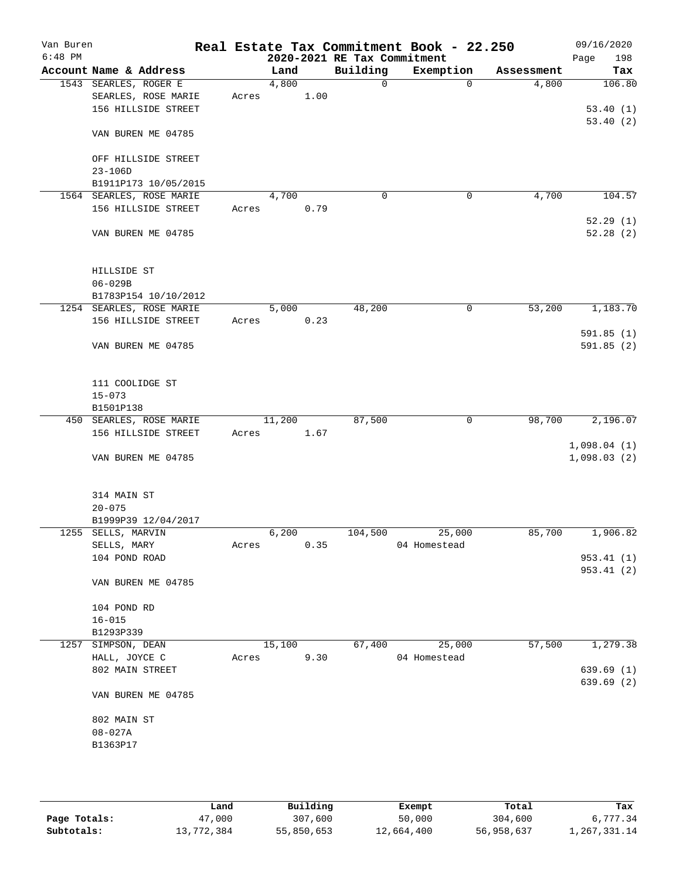| Van Buren |                    |                          |       |        |      |                             | Real Estate Tax Commitment Book - 22.250 |            | 09/16/2020  |
|-----------|--------------------|--------------------------|-------|--------|------|-----------------------------|------------------------------------------|------------|-------------|
| $6:48$ PM |                    |                          |       |        |      | 2020-2021 RE Tax Commitment |                                          |            | 198<br>Page |
|           |                    | Account Name & Address   |       | Land   |      | Building                    | Exemption                                | Assessment | Tax         |
|           |                    | 1543 SEARLES, ROGER E    |       | 4,800  |      | 0                           | $\mathbf 0$                              | 4,800      | 106.80      |
|           |                    | SEARLES, ROSE MARIE      | Acres |        | 1.00 |                             |                                          |            |             |
|           |                    | 156 HILLSIDE STREET      |       |        |      |                             |                                          |            | 53.40(1)    |
|           |                    |                          |       |        |      |                             |                                          |            | 53.40(2)    |
|           |                    | VAN BUREN ME 04785       |       |        |      |                             |                                          |            |             |
|           |                    |                          |       |        |      |                             |                                          |            |             |
|           |                    | OFF HILLSIDE STREET      |       |        |      |                             |                                          |            |             |
|           | $23 - 106D$        |                          |       |        |      |                             |                                          |            |             |
|           |                    | B1911P173 10/05/2015     |       |        |      |                             |                                          |            |             |
|           |                    | 1564 SEARLES, ROSE MARIE |       | 4,700  |      | $\mathbf 0$                 | 0                                        | 4,700      | 104.57      |
|           |                    | 156 HILLSIDE STREET      | Acres |        | 0.79 |                             |                                          |            |             |
|           |                    |                          |       |        |      |                             |                                          |            | 52.29(1)    |
|           |                    | VAN BUREN ME 04785       |       |        |      |                             |                                          |            | 52.28(2)    |
|           |                    |                          |       |        |      |                             |                                          |            |             |
|           |                    |                          |       |        |      |                             |                                          |            |             |
|           |                    |                          |       |        |      |                             |                                          |            |             |
|           | HILLSIDE ST        |                          |       |        |      |                             |                                          |            |             |
|           | $06 - 029B$        |                          |       |        |      |                             |                                          |            |             |
|           |                    | B1783P154 10/10/2012     |       |        |      |                             |                                          |            |             |
|           |                    | 1254 SEARLES, ROSE MARIE |       | 5,000  |      | 48,200                      | 0                                        | 53,200     | 1,183.70    |
|           |                    | 156 HILLSIDE STREET      | Acres |        | 0.23 |                             |                                          |            |             |
|           |                    |                          |       |        |      |                             |                                          |            | 591.85(1)   |
|           |                    | VAN BUREN ME 04785       |       |        |      |                             |                                          |            | 591.85(2)   |
|           |                    |                          |       |        |      |                             |                                          |            |             |
|           |                    |                          |       |        |      |                             |                                          |            |             |
|           | 111 COOLIDGE ST    |                          |       |        |      |                             |                                          |            |             |
|           | $15 - 073$         |                          |       |        |      |                             |                                          |            |             |
|           | B1501P138          |                          |       |        |      |                             |                                          |            |             |
|           |                    | 450 SEARLES, ROSE MARIE  |       | 11,200 |      | 87,500                      | 0                                        | 98,700     | 2,196.07    |
|           |                    | 156 HILLSIDE STREET      | Acres |        | 1.67 |                             |                                          |            |             |
|           |                    |                          |       |        |      |                             |                                          |            | 1,098.04(1) |
|           |                    | VAN BUREN ME 04785       |       |        |      |                             |                                          |            | 1,098.03(2) |
|           |                    |                          |       |        |      |                             |                                          |            |             |
|           |                    |                          |       |        |      |                             |                                          |            |             |
|           | 314 MAIN ST        |                          |       |        |      |                             |                                          |            |             |
|           | $20 - 075$         |                          |       |        |      |                             |                                          |            |             |
|           |                    | B1999P39 12/04/2017      |       |        |      |                             |                                          |            |             |
|           | 1255 SELLS, MARVIN |                          |       | 6,200  |      | 104,500                     | 25,000                                   | 85,700     | 1,906.82    |
|           | SELLS, MARY        |                          | Acres |        | 0.35 |                             | 04 Homestead                             |            |             |
|           | 104 POND ROAD      |                          |       |        |      |                             |                                          |            | 953.41(1)   |
|           |                    |                          |       |        |      |                             |                                          |            | 953.41 (2)  |
|           |                    | VAN BUREN ME 04785       |       |        |      |                             |                                          |            |             |
|           |                    |                          |       |        |      |                             |                                          |            |             |
|           |                    |                          |       |        |      |                             |                                          |            |             |
|           | 104 POND RD        |                          |       |        |      |                             |                                          |            |             |
|           | $16 - 015$         |                          |       |        |      |                             |                                          |            |             |
|           | B1293P339          |                          |       |        |      |                             |                                          |            |             |
|           | 1257 SIMPSON, DEAN |                          |       | 15,100 |      | 67,400                      | 25,000                                   | 57,500     | 1,279.38    |
|           | HALL, JOYCE C      |                          | Acres |        | 9.30 |                             | 04 Homestead                             |            |             |
|           | 802 MAIN STREET    |                          |       |        |      |                             |                                          |            | 639.69(1)   |
|           |                    |                          |       |        |      |                             |                                          |            | 639.69(2)   |
|           |                    | VAN BUREN ME 04785       |       |        |      |                             |                                          |            |             |
|           |                    |                          |       |        |      |                             |                                          |            |             |
|           | 802 MAIN ST        |                          |       |        |      |                             |                                          |            |             |
|           | $08 - 027A$        |                          |       |        |      |                             |                                          |            |             |
|           | B1363P17           |                          |       |        |      |                             |                                          |            |             |
|           |                    |                          |       |        |      |                             |                                          |            |             |
|           |                    |                          |       |        |      |                             |                                          |            |             |
|           |                    |                          |       |        |      |                             |                                          |            |             |

|              | Land       | Building   | Exempt     | Total      | Tax          |
|--------------|------------|------------|------------|------------|--------------|
| Page Totals: | 47,000     | 307,600    | 50,000     | 304,600    | 6,777.34     |
| Subtotals:   | 13,772,384 | 55,850,653 | 12,664,400 | 56,958,637 | 1,267,331.14 |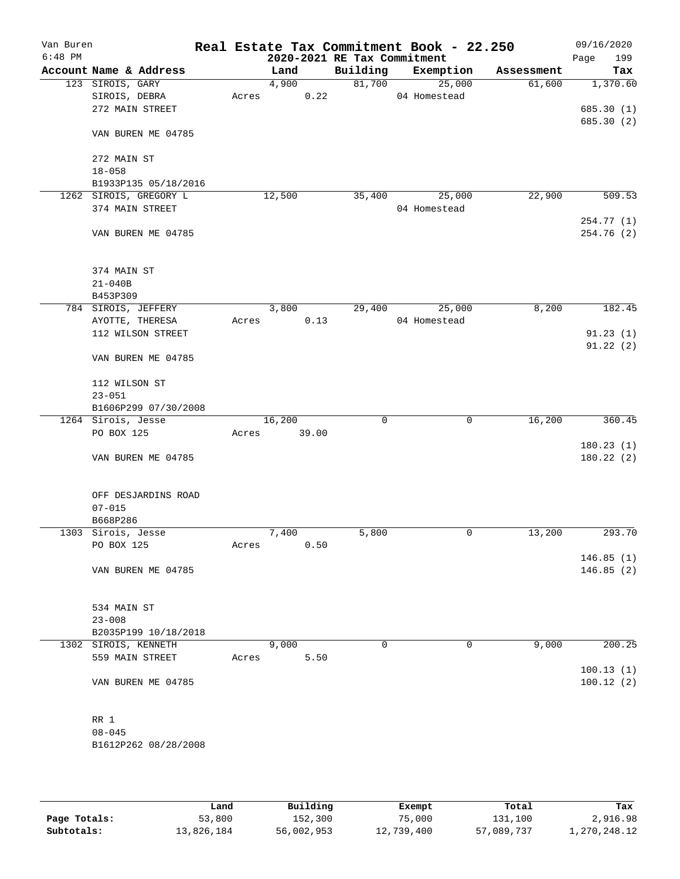| Van Buren |                        |       |        |       |                             | Real Estate Tax Commitment Book - 22.250 |            | 09/16/2020             |
|-----------|------------------------|-------|--------|-------|-----------------------------|------------------------------------------|------------|------------------------|
| $6:48$ PM |                        |       |        |       | 2020-2021 RE Tax Commitment |                                          |            | 199<br>Page            |
|           | Account Name & Address |       | Land   |       | Building                    | Exemption                                | Assessment | Tax                    |
|           | 123 SIROIS, GARY       |       | 4,900  |       | 81,700                      | 25,000                                   | 61,600     | 1,370.60               |
|           | SIROIS, DEBRA          | Acres |        | 0.22  |                             | 04 Homestead                             |            |                        |
|           | 272 MAIN STREET        |       |        |       |                             |                                          |            | 685.30(1)              |
|           | VAN BUREN ME 04785     |       |        |       |                             |                                          |            | 685.30 (2)             |
|           | 272 MAIN ST            |       |        |       |                             |                                          |            |                        |
|           | $18 - 058$             |       |        |       |                             |                                          |            |                        |
|           | B1933P135 05/18/2016   |       |        |       |                             |                                          |            |                        |
|           | 1262 SIROIS, GREGORY L |       | 12,500 |       | 35,400                      | 25,000                                   | 22,900     | 509.53                 |
|           | 374 MAIN STREET        |       |        |       |                             | 04 Homestead                             |            |                        |
|           |                        |       |        |       |                             |                                          |            | 254.77 (1)             |
|           | VAN BUREN ME 04785     |       |        |       |                             |                                          |            | 254.76 (2)             |
|           | 374 MAIN ST            |       |        |       |                             |                                          |            |                        |
|           | $21 - 040B$            |       |        |       |                             |                                          |            |                        |
|           | B453P309               |       |        |       |                             |                                          |            |                        |
|           | 784 SIROIS, JEFFERY    |       | 3,800  |       | 29,400                      | 25,000                                   | 8,200      | 182.45                 |
|           | AYOTTE, THERESA        | Acres |        | 0.13  |                             | 04 Homestead                             |            |                        |
|           | 112 WILSON STREET      |       |        |       |                             |                                          |            | 91.23(1)               |
|           | VAN BUREN ME 04785     |       |        |       |                             |                                          |            | 91.22(2)               |
|           | 112 WILSON ST          |       |        |       |                             |                                          |            |                        |
|           | $23 - 051$             |       |        |       |                             |                                          |            |                        |
|           | B1606P299 07/30/2008   |       |        |       |                             |                                          |            |                        |
|           | 1264 Sirois, Jesse     |       | 16,200 |       | $\mathbf 0$                 | $\mathbf 0$                              | 16,200     | 360.45                 |
|           | PO BOX 125             | Acres |        | 39.00 |                             |                                          |            |                        |
|           |                        |       |        |       |                             |                                          |            | 180.23(1)              |
|           | VAN BUREN ME 04785     |       |        |       |                             |                                          |            | 180.22(2)              |
|           | OFF DESJARDINS ROAD    |       |        |       |                             |                                          |            |                        |
|           | $07 - 015$             |       |        |       |                             |                                          |            |                        |
|           | B668P286               |       |        |       |                             |                                          |            |                        |
|           | 1303 Sirois, Jesse     |       | 7,400  |       | 5,800                       | 0                                        | 13,200     | 293.70                 |
|           | PO BOX 125             | Acres |        | 0.50  |                             |                                          |            |                        |
|           |                        |       |        |       |                             |                                          |            | 146.85(1)              |
|           | VAN BUREN ME 04785     |       |        |       |                             |                                          |            | 146.85(2)              |
|           | 534 MAIN ST            |       |        |       |                             |                                          |            |                        |
|           | $23 - 008$             |       |        |       |                             |                                          |            |                        |
|           | B2035P199 10/18/2018   |       |        |       |                             |                                          |            |                        |
|           | 1302 SIROIS, KENNETH   |       | 9,000  |       | 0                           | 0                                        | 9,000      | 200.25                 |
|           | 559 MAIN STREET        | Acres |        | 5.50  |                             |                                          |            |                        |
|           | VAN BUREN ME 04785     |       |        |       |                             |                                          |            | 100.13(1)<br>100.12(2) |
|           |                        |       |        |       |                             |                                          |            |                        |
|           | RR 1                   |       |        |       |                             |                                          |            |                        |
|           | $08 - 045$             |       |        |       |                             |                                          |            |                        |
|           | B1612P262 08/28/2008   |       |        |       |                             |                                          |            |                        |
|           |                        |       |        |       |                             |                                          |            |                        |

|              | Land       | Building   | Exempt     | Total      | Tax          |
|--------------|------------|------------|------------|------------|--------------|
| Page Totals: | 53,800     | 152,300    | 75,000     | 131,100    | 2,916.98     |
| Subtotals:   | 13,826,184 | 56,002,953 | 12,739,400 | 57,089,737 | 1,270,248.12 |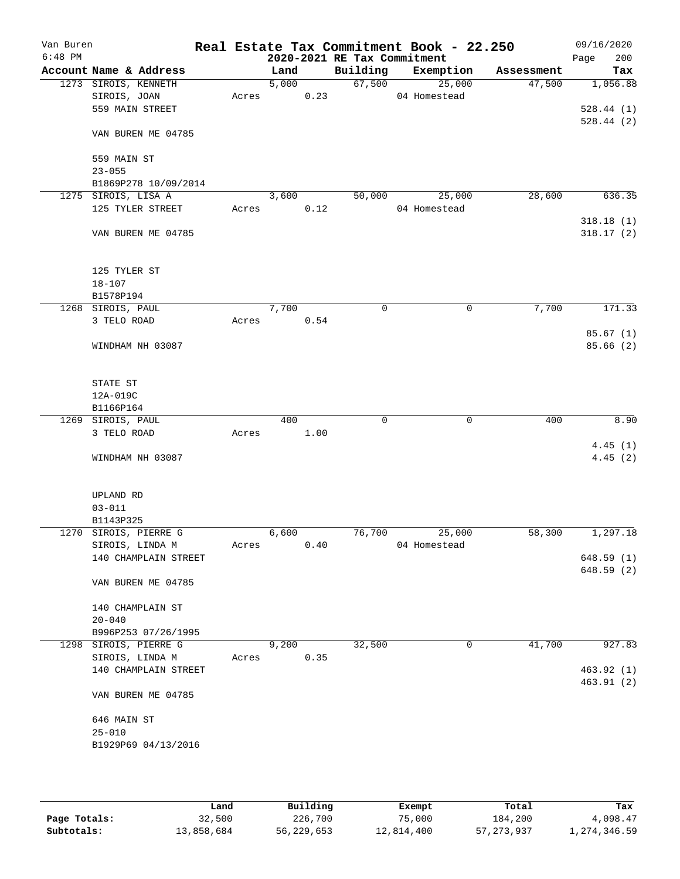| Van Buren<br>$6:48$ PM |                         |       |       |      | 2020-2021 RE Tax Commitment | Real Estate Tax Commitment Book - 22.250 |            | 09/16/2020<br>200<br>Page |
|------------------------|-------------------------|-------|-------|------|-----------------------------|------------------------------------------|------------|---------------------------|
|                        | Account Name & Address  |       | Land  |      | Building                    | Exemption                                | Assessment | Tax                       |
|                        | 1273 SIROIS, KENNETH    |       | 5,000 |      | 67,500                      | 25,000                                   | 47,500     | 1,056.88                  |
|                        | SIROIS, JOAN            | Acres |       | 0.23 |                             | 04 Homestead                             |            |                           |
|                        | 559 MAIN STREET         |       |       |      |                             |                                          |            | 528.44(1)                 |
|                        |                         |       |       |      |                             |                                          |            | 528.44(2)                 |
|                        | VAN BUREN ME 04785      |       |       |      |                             |                                          |            |                           |
|                        |                         |       |       |      |                             |                                          |            |                           |
|                        | 559 MAIN ST             |       |       |      |                             |                                          |            |                           |
|                        | $23 - 055$              |       |       |      |                             |                                          |            |                           |
|                        | B1869P278 10/09/2014    |       |       |      |                             |                                          |            |                           |
|                        | 1275 SIROIS, LISA A     |       | 3,600 |      | 50,000                      | 25,000                                   | 28,600     | 636.35                    |
|                        | 125 TYLER STREET        | Acres |       | 0.12 |                             | 04 Homestead                             |            |                           |
|                        |                         |       |       |      |                             |                                          |            | 318.18(1)                 |
|                        | VAN BUREN ME 04785      |       |       |      |                             |                                          |            | 318.17(2)                 |
|                        |                         |       |       |      |                             |                                          |            |                           |
|                        | 125 TYLER ST            |       |       |      |                             |                                          |            |                           |
|                        | $18 - 107$              |       |       |      |                             |                                          |            |                           |
|                        | B1578P194               |       |       |      |                             |                                          |            |                           |
|                        | 1268 SIROIS, PAUL       |       | 7,700 |      | $\mathbf 0$                 | $\mathbf 0$                              | 7,700      | 171.33                    |
|                        | 3 TELO ROAD             | Acres |       | 0.54 |                             |                                          |            |                           |
|                        |                         |       |       |      |                             |                                          |            | 85.67(1)                  |
|                        | WINDHAM NH 03087        |       |       |      |                             |                                          |            | 85.66(2)                  |
|                        |                         |       |       |      |                             |                                          |            |                           |
|                        |                         |       |       |      |                             |                                          |            |                           |
|                        | STATE ST                |       |       |      |                             |                                          |            |                           |
|                        | 12A-019C                |       |       |      |                             |                                          |            |                           |
|                        | B1166P164               |       |       |      |                             |                                          |            |                           |
|                        | 1269 SIROIS, PAUL       |       | 400   |      | 0                           | 0                                        | 400        | 8.90                      |
|                        | 3 TELO ROAD             | Acres |       | 1.00 |                             |                                          |            |                           |
|                        |                         |       |       |      |                             |                                          |            | 4.45(1)                   |
|                        | WINDHAM NH 03087        |       |       |      |                             |                                          |            | 4.45(2)                   |
|                        |                         |       |       |      |                             |                                          |            |                           |
|                        |                         |       |       |      |                             |                                          |            |                           |
|                        | UPLAND RD               |       |       |      |                             |                                          |            |                           |
|                        | $03 - 011$<br>B1143P325 |       |       |      |                             |                                          |            |                           |
|                        | 1270 SIROIS, PIERRE G   |       | 6,600 |      | 76,700                      | 25,000                                   | 58,300     | 1,297.18                  |
|                        | SIROIS, LINDA M         | Acres |       | 0.40 |                             | 04 Homestead                             |            |                           |
|                        | 140 CHAMPLAIN STREET    |       |       |      |                             |                                          |            | 648.59(1)                 |
|                        |                         |       |       |      |                             |                                          |            | 648.59(2)                 |
|                        | VAN BUREN ME 04785      |       |       |      |                             |                                          |            |                           |
|                        |                         |       |       |      |                             |                                          |            |                           |
|                        | 140 CHAMPLAIN ST        |       |       |      |                             |                                          |            |                           |
|                        | $20 - 040$              |       |       |      |                             |                                          |            |                           |
|                        | B996P253 07/26/1995     |       |       |      |                             |                                          |            |                           |
|                        | 1298 SIROIS, PIERRE G   |       | 9,200 |      | 32,500                      | 0                                        | 41,700     | 927.83                    |
|                        | SIROIS, LINDA M         | Acres |       | 0.35 |                             |                                          |            |                           |
|                        | 140 CHAMPLAIN STREET    |       |       |      |                             |                                          |            | 463.92(1)                 |
|                        |                         |       |       |      |                             |                                          |            | 463.91(2)                 |
|                        | VAN BUREN ME 04785      |       |       |      |                             |                                          |            |                           |
|                        |                         |       |       |      |                             |                                          |            |                           |
|                        | 646 MAIN ST             |       |       |      |                             |                                          |            |                           |
|                        | $25 - 010$              |       |       |      |                             |                                          |            |                           |
|                        | B1929P69 04/13/2016     |       |       |      |                             |                                          |            |                           |
|                        |                         |       |       |      |                             |                                          |            |                           |
|                        |                         |       |       |      |                             |                                          |            |                           |

|              | Land       | Building   | Exempt     | Total        | Tax          |
|--------------|------------|------------|------------|--------------|--------------|
| Page Totals: | 32,500     | 226,700    | 75,000     | 184,200      | 4,098.47     |
| Subtotals:   | 13,858,684 | 56,229,653 | 12,814,400 | 57, 273, 937 | 1,274,346.59 |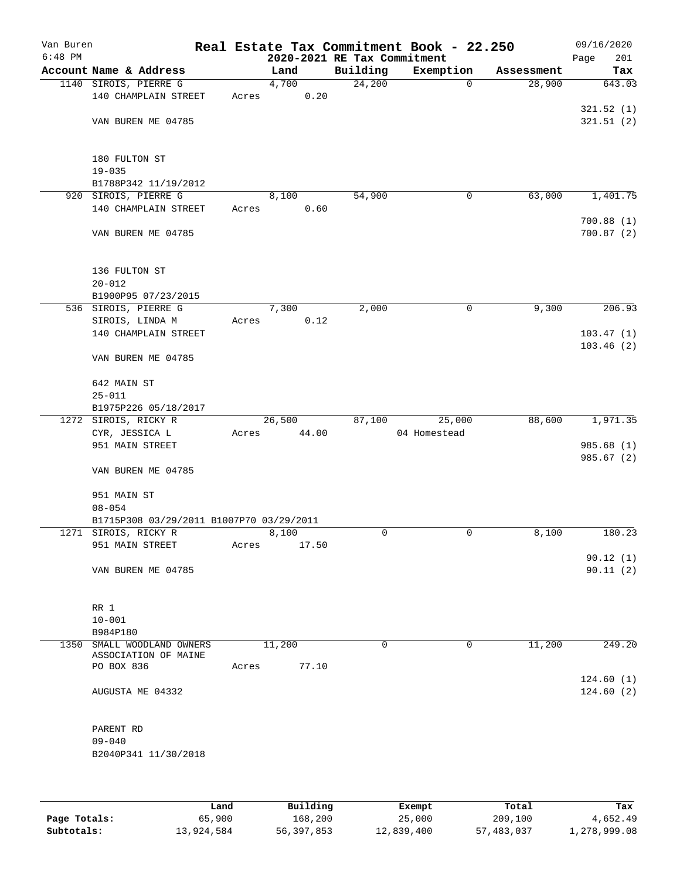| Van Buren |                                          |       |                             |             | Real Estate Tax Commitment Book - 22.250 |            | 09/16/2020  |
|-----------|------------------------------------------|-------|-----------------------------|-------------|------------------------------------------|------------|-------------|
| $6:48$ PM |                                          |       | 2020-2021 RE Tax Commitment |             |                                          |            | 201<br>Page |
|           | Account Name & Address                   |       | Land                        | Building    | Exemption                                | Assessment | Tax         |
|           | 1140 SIROIS, PIERRE G                    |       | 4,700                       | 24,200      | $\mathbf 0$                              | 28,900     | 643.03      |
|           | 140 CHAMPLAIN STREET                     | Acres | 0.20                        |             |                                          |            |             |
|           |                                          |       |                             |             |                                          |            | 321.52(1)   |
|           | VAN BUREN ME 04785                       |       |                             |             |                                          |            | 321.51(2)   |
|           | 180 FULTON ST                            |       |                             |             |                                          |            |             |
|           | $19 - 035$                               |       |                             |             |                                          |            |             |
|           | B1788P342 11/19/2012                     |       |                             |             |                                          |            |             |
|           | 920 SIROIS, PIERRE G                     |       | 8,100                       | 54,900      | 0                                        | 63,000     | 1,401.75    |
|           | 140 CHAMPLAIN STREET                     | Acres | 0.60                        |             |                                          |            |             |
|           |                                          |       |                             |             |                                          |            | 700.88(1)   |
|           | VAN BUREN ME 04785                       |       |                             |             |                                          |            | 700.87(2)   |
|           | 136 FULTON ST                            |       |                             |             |                                          |            |             |
|           | $20 - 012$                               |       |                             |             |                                          |            |             |
|           | B1900P95 07/23/2015                      |       |                             |             |                                          |            |             |
|           | 536 SIROIS, PIERRE G                     |       | 7,300                       | 2,000       | $\mathsf{O}$                             | 9,300      | 206.93      |
|           | SIROIS, LINDA M                          | Acres | 0.12                        |             |                                          |            |             |
|           | 140 CHAMPLAIN STREET                     |       |                             |             |                                          |            | 103.47(1)   |
|           | VAN BUREN ME 04785                       |       |                             |             |                                          |            | 103.46(2)   |
|           | 642 MAIN ST                              |       |                             |             |                                          |            |             |
|           | $25 - 011$                               |       |                             |             |                                          |            |             |
|           | B1975P226 05/18/2017                     |       |                             |             |                                          |            |             |
|           | 1272 SIROIS, RICKY R                     |       | 26,500                      | 87,100      | 25,000                                   | 88,600     | 1,971.35    |
|           | CYR, JESSICA L                           | Acres | 44.00                       |             | 04 Homestead                             |            |             |
|           | 951 MAIN STREET                          |       |                             |             |                                          |            | 985.68 (1)  |
|           | VAN BUREN ME 04785                       |       |                             |             |                                          |            | 985.67(2)   |
|           | 951 MAIN ST                              |       |                             |             |                                          |            |             |
|           | $08 - 054$                               |       |                             |             |                                          |            |             |
|           | B1715P308 03/29/2011 B1007P70 03/29/2011 |       |                             |             |                                          |            |             |
|           | 1271 SIROIS, RICKY R                     |       | 8,100                       | 0           | $\mathbf 0$                              | 8,100      | 180.23      |
|           | 951 MAIN STREET                          | Acres | 17.50                       |             |                                          |            |             |
|           |                                          |       |                             |             |                                          |            | 90.12(1)    |
|           | VAN BUREN ME 04785                       |       |                             |             |                                          |            | 90.11(2)    |
|           |                                          |       |                             |             |                                          |            |             |
|           |                                          |       |                             |             |                                          |            |             |
|           | RR 1                                     |       |                             |             |                                          |            |             |
|           | $10 - 001$                               |       |                             |             |                                          |            |             |
|           | B984P180                                 |       |                             |             |                                          |            |             |
|           | 1350 SMALL WOODLAND OWNERS               |       | 11,200                      | $\mathbf 0$ | 0                                        | 11,200     | 249.20      |
|           | ASSOCIATION OF MAINE<br>PO BOX 836       | Acres | 77.10                       |             |                                          |            |             |
|           |                                          |       |                             |             |                                          |            | 124.60(1)   |
|           | AUGUSTA ME 04332                         |       |                             |             |                                          |            | 124.60(2)   |
|           | PARENT RD                                |       |                             |             |                                          |            |             |
|           | $09 - 040$                               |       |                             |             |                                          |            |             |
|           | B2040P341 11/30/2018                     |       |                             |             |                                          |            |             |
|           |                                          |       |                             |             |                                          |            |             |
|           |                                          |       |                             |             |                                          |            |             |
|           |                                          |       |                             |             |                                          |            |             |
|           |                                          |       |                             |             |                                          |            |             |

|              | Land       | Building   | Exempt     | Total      | Tax          |
|--------------|------------|------------|------------|------------|--------------|
| Page Totals: | 65,900     | 168,200    | 25,000     | 209,100    | 4,652.49     |
| Subtotals:   | 13,924,584 | 56,397,853 | 12,839,400 | 57,483,037 | 1,278,999.08 |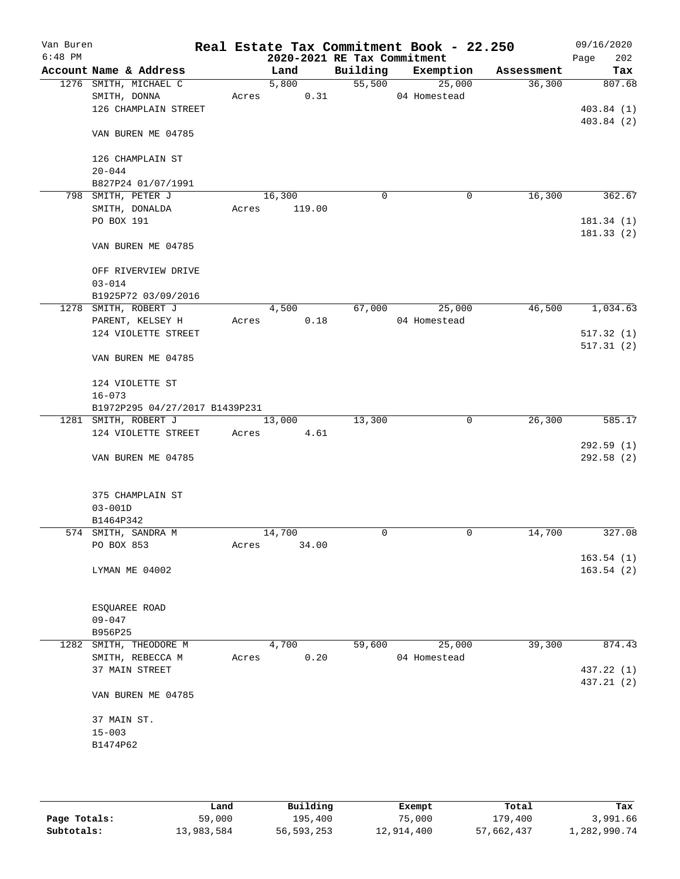| Van Buren<br>$6:48$ PM |                                |       | 2020-2021 RE Tax Commitment |          | Real Estate Tax Commitment Book - 22.250 |            | 09/16/2020<br>Page<br>202 |
|------------------------|--------------------------------|-------|-----------------------------|----------|------------------------------------------|------------|---------------------------|
|                        | Account Name & Address         |       | Land                        | Building | Exemption                                | Assessment | Tax                       |
|                        | 1276 SMITH, MICHAEL C          |       | 5,800                       |          | $\frac{1}{55,500}$<br>25,000             | 36,300     | 807.68                    |
|                        | SMITH, DONNA                   | Acres | 0.31                        |          | 04 Homestead                             |            |                           |
|                        | 126 CHAMPLAIN STREET           |       |                             |          |                                          |            | 403.84(1)                 |
|                        |                                |       |                             |          |                                          |            | 403.84(2)                 |
|                        | VAN BUREN ME 04785             |       |                             |          |                                          |            |                           |
|                        | 126 CHAMPLAIN ST               |       |                             |          |                                          |            |                           |
|                        | $20 - 044$                     |       |                             |          |                                          |            |                           |
|                        | B827P24 01/07/1991             |       |                             |          |                                          |            |                           |
|                        | 798 SMITH, PETER J             |       | 16,300                      | 0        | 0                                        | 16,300     | 362.67                    |
|                        | SMITH, DONALDA                 | Acres | 119.00                      |          |                                          |            |                           |
|                        | PO BOX 191                     |       |                             |          |                                          |            | 181.34(1)                 |
|                        | VAN BUREN ME 04785             |       |                             |          |                                          |            | 181.33 (2)                |
|                        |                                |       |                             |          |                                          |            |                           |
|                        | OFF RIVERVIEW DRIVE            |       |                             |          |                                          |            |                           |
|                        | $03 - 014$                     |       |                             |          |                                          |            |                           |
|                        | B1925P72 03/09/2016            |       |                             |          |                                          |            |                           |
|                        | 1278 SMITH, ROBERT J           |       | 4,500                       | 67,000   | 25,000                                   | 46,500     | 1,034.63                  |
|                        | PARENT, KELSEY H               | Acres | 0.18                        |          | 04 Homestead                             |            |                           |
|                        | 124 VIOLETTE STREET            |       |                             |          |                                          |            | 517.32(1)                 |
|                        | VAN BUREN ME 04785             |       |                             |          |                                          |            | 517.31(2)                 |
|                        |                                |       |                             |          |                                          |            |                           |
|                        | 124 VIOLETTE ST                |       |                             |          |                                          |            |                           |
|                        | $16 - 073$                     |       |                             |          |                                          |            |                           |
|                        | B1972P295 04/27/2017 B1439P231 |       |                             |          |                                          |            |                           |
|                        | 1281 SMITH, ROBERT J           |       | 13,000                      | 13,300   | 0                                        | 26,300     | 585.17                    |
|                        | 124 VIOLETTE STREET            | Acres | 4.61                        |          |                                          |            |                           |
|                        |                                |       |                             |          |                                          |            | 292.59(1)                 |
|                        | VAN BUREN ME 04785             |       |                             |          |                                          |            | 292.58(2)                 |
|                        | 375 CHAMPLAIN ST               |       |                             |          |                                          |            |                           |
|                        | $03 - 001D$                    |       |                             |          |                                          |            |                           |
|                        | B1464P342                      |       |                             |          |                                          |            |                           |
|                        | 574 SMITH, SANDRA M            |       | 14,700                      | 0        | 0                                        | 14,700     | 327.08                    |
|                        | PO BOX 853                     | Acres | 34.00                       |          |                                          |            |                           |
|                        |                                |       |                             |          |                                          |            | 163.54(1)                 |
|                        | LYMAN ME 04002                 |       |                             |          |                                          |            | 163.54(2)                 |
|                        |                                |       |                             |          |                                          |            |                           |
|                        | ESQUAREE ROAD                  |       |                             |          |                                          |            |                           |
|                        | $09 - 047$                     |       |                             |          |                                          |            |                           |
|                        | B956P25                        |       |                             |          |                                          |            |                           |
|                        | 1282 SMITH, THEODORE M         |       | 4,700                       | 59,600   | 25,000                                   | 39,300     | 874.43                    |
|                        | SMITH, REBECCA M               | Acres | 0.20                        |          | 04 Homestead                             |            |                           |
|                        | 37 MAIN STREET                 |       |                             |          |                                          |            | 437.22 (1)                |
|                        |                                |       |                             |          |                                          |            | 437.21 (2)                |
|                        | VAN BUREN ME 04785             |       |                             |          |                                          |            |                           |
|                        | 37 MAIN ST.                    |       |                             |          |                                          |            |                           |
|                        | $15 - 003$                     |       |                             |          |                                          |            |                           |
|                        | B1474P62                       |       |                             |          |                                          |            |                           |
|                        |                                |       |                             |          |                                          |            |                           |
|                        |                                |       |                             |          |                                          |            |                           |
|                        |                                |       |                             |          |                                          |            |                           |

|              | Land       | Building   | Exempt     | Total      | Tax          |
|--------------|------------|------------|------------|------------|--------------|
| Page Totals: | 59,000     | 195,400    | 75,000     | 179,400    | 3,991.66     |
| Subtotals:   | 13,983,584 | 56,593,253 | 12,914,400 | 57,662,437 | l,282,990.74 |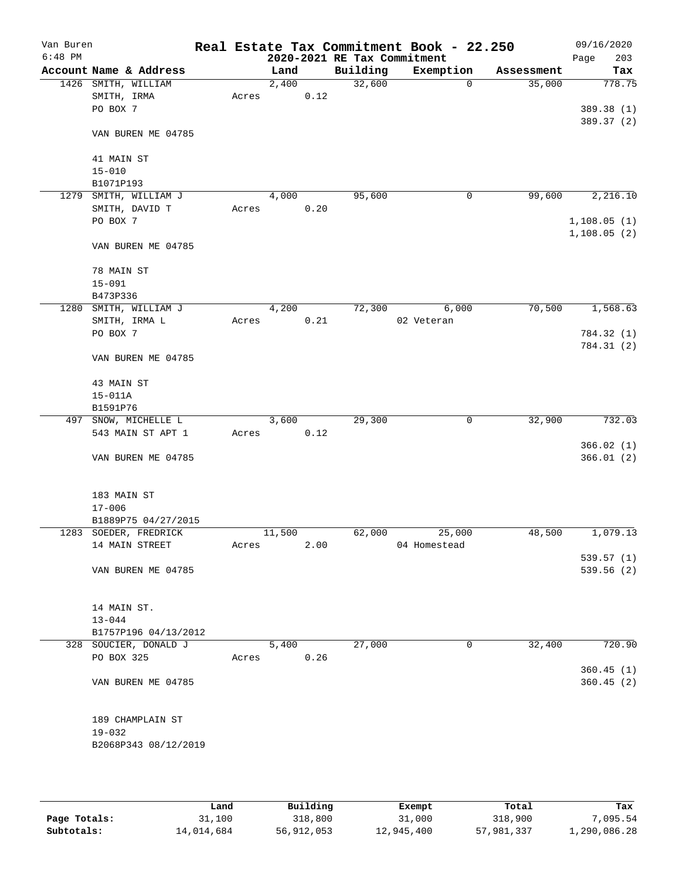| Van Buren<br>$6:48$ PM |                        |       |        |      |                                         | Real Estate Tax Commitment Book - 22.250 |             | 09/16/2020         |
|------------------------|------------------------|-------|--------|------|-----------------------------------------|------------------------------------------|-------------|--------------------|
|                        | Account Name & Address |       | Land   |      | 2020-2021 RE Tax Commitment<br>Building | Exemption                                | Assessment  | 203<br>Page<br>Tax |
|                        | 1426 SMITH, WILLIAM    |       | 2,400  |      | 32,600                                  |                                          | 35,000<br>0 | 778.75             |
|                        | SMITH, IRMA            | Acres |        | 0.12 |                                         |                                          |             |                    |
|                        | PO BOX 7               |       |        |      |                                         |                                          |             | 389.38 (1)         |
|                        |                        |       |        |      |                                         |                                          |             | 389.37 (2)         |
|                        | VAN BUREN ME 04785     |       |        |      |                                         |                                          |             |                    |
|                        | 41 MAIN ST             |       |        |      |                                         |                                          |             |                    |
|                        | $15 - 010$             |       |        |      |                                         |                                          |             |                    |
|                        | B1071P193              |       |        |      |                                         |                                          |             |                    |
| 1279                   | SMITH, WILLIAM J       |       | 4,000  |      | 95,600                                  |                                          | 99,600<br>0 | 2,216.10           |
|                        | SMITH, DAVID T         | Acres |        | 0.20 |                                         |                                          |             |                    |
|                        | PO BOX 7               |       |        |      |                                         |                                          |             | 1,108.05(1)        |
|                        | VAN BUREN ME 04785     |       |        |      |                                         |                                          |             | 1,108.05(2)        |
|                        | 78 MAIN ST             |       |        |      |                                         |                                          |             |                    |
|                        | $15 - 091$             |       |        |      |                                         |                                          |             |                    |
|                        | B473P336               |       |        |      |                                         |                                          |             |                    |
|                        | 1280 SMITH, WILLIAM J  |       | 4,200  |      | 72,300                                  | 6,000                                    | 70,500      | 1,568.63           |
|                        | SMITH, IRMA L          | Acres |        | 0.21 |                                         | 02 Veteran                               |             |                    |
|                        | PO BOX 7               |       |        |      |                                         |                                          |             | 784.32 (1)         |
|                        | VAN BUREN ME 04785     |       |        |      |                                         |                                          |             | 784.31 (2)         |
|                        | 43 MAIN ST             |       |        |      |                                         |                                          |             |                    |
|                        | $15 - 011A$            |       |        |      |                                         |                                          |             |                    |
|                        | B1591P76               |       |        |      |                                         |                                          |             |                    |
|                        | 497 SNOW, MICHELLE L   |       | 3,600  |      | 29,300                                  |                                          | 32,900<br>0 | 732.03             |
|                        | 543 MAIN ST APT 1      | Acres |        | 0.12 |                                         |                                          |             |                    |
|                        |                        |       |        |      |                                         |                                          |             | 366.02(1)          |
|                        | VAN BUREN ME 04785     |       |        |      |                                         |                                          |             | 366.01(2)          |
|                        | 183 MAIN ST            |       |        |      |                                         |                                          |             |                    |
|                        | $17 - 006$             |       |        |      |                                         |                                          |             |                    |
|                        | B1889P75 04/27/2015    |       |        |      |                                         |                                          |             |                    |
|                        | 1283 SOEDER, FREDRICK  |       | 11,500 |      | 62,000                                  | 25,000                                   | 48,500      | 1,079.13           |
|                        | 14 MAIN STREET         | Acres |        | 2.00 |                                         | 04 Homestead                             |             |                    |
|                        |                        |       |        |      |                                         |                                          |             | 539.57(1)          |
|                        | VAN BUREN ME 04785     |       |        |      |                                         |                                          |             | 539.56 (2)         |
|                        | 14 MAIN ST.            |       |        |      |                                         |                                          |             |                    |
|                        | $13 - 044$             |       |        |      |                                         |                                          |             |                    |
|                        | B1757P196 04/13/2012   |       |        |      |                                         |                                          |             |                    |
|                        | 328 SOUCIER, DONALD J  |       | 5,400  |      | 27,000                                  |                                          | 32,400<br>0 | 720.90             |
|                        | PO BOX 325             | Acres |        | 0.26 |                                         |                                          |             |                    |
|                        |                        |       |        |      |                                         |                                          |             | 360.45(1)          |
|                        | VAN BUREN ME 04785     |       |        |      |                                         |                                          |             | 360.45(2)          |
|                        | 189 CHAMPLAIN ST       |       |        |      |                                         |                                          |             |                    |
|                        | $19 - 032$             |       |        |      |                                         |                                          |             |                    |
|                        | B2068P343 08/12/2019   |       |        |      |                                         |                                          |             |                    |
|                        |                        |       |        |      |                                         |                                          |             |                    |

|              | Land       | Building   | Exempt     | Total      | Tax          |
|--------------|------------|------------|------------|------------|--------------|
| Page Totals: | 31,100     | 318,800    | 31,000     | 318,900    | 7,095.54     |
| Subtotals:   | 14,014,684 | 56,912,053 | 12,945,400 | 57,981,337 | 1,290,086.28 |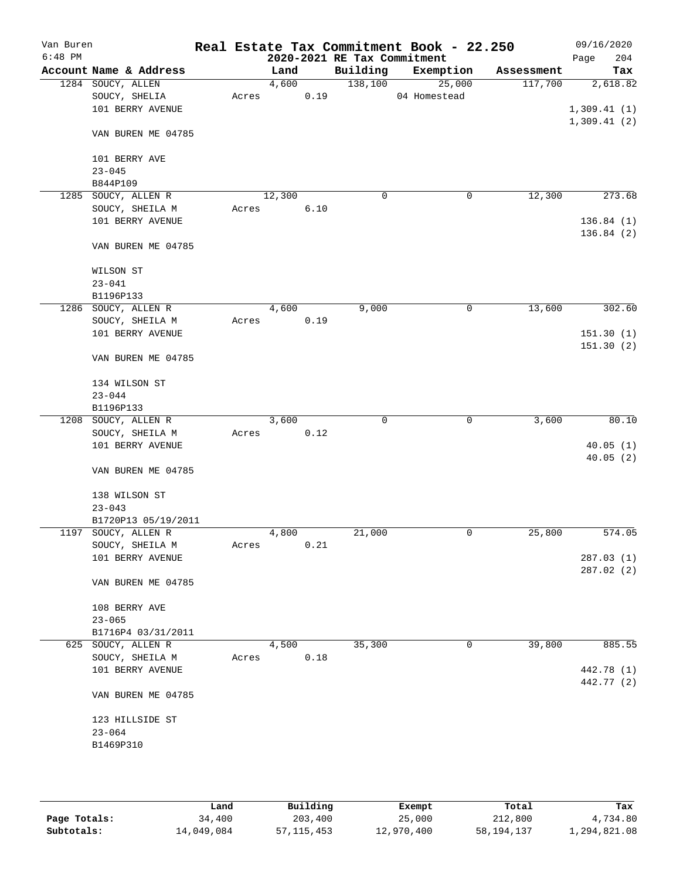| Van Buren<br>$6:48$ PM |                        |       |        |      | 2020-2021 RE Tax Commitment | Real Estate Tax Commitment Book - 22.250 |            | 09/16/2020<br>204<br>Page |
|------------------------|------------------------|-------|--------|------|-----------------------------|------------------------------------------|------------|---------------------------|
|                        | Account Name & Address |       | Land   |      | Building                    | Exemption                                | Assessment | Tax                       |
|                        | 1284 SOUCY, ALLEN      |       | 4,600  |      | 138,100                     | 25,000                                   | 117,700    | 2,618.82                  |
|                        | SOUCY, SHELIA          | Acres |        | 0.19 |                             | 04 Homestead                             |            |                           |
|                        | 101 BERRY AVENUE       |       |        |      |                             |                                          |            | 1,309.41(1)               |
|                        |                        |       |        |      |                             |                                          |            |                           |
|                        | VAN BUREN ME 04785     |       |        |      |                             |                                          |            | 1,309.41(2)               |
|                        | 101 BERRY AVE          |       |        |      |                             |                                          |            |                           |
|                        | $23 - 045$             |       |        |      |                             |                                          |            |                           |
|                        | B844P109               |       |        |      |                             |                                          |            |                           |
|                        | 1285 SOUCY, ALLEN R    |       | 12,300 |      | 0                           | 0                                        | 12,300     | 273.68                    |
|                        | SOUCY, SHEILA M        | Acres |        | 6.10 |                             |                                          |            |                           |
|                        | 101 BERRY AVENUE       |       |        |      |                             |                                          |            | 136.84(1)                 |
|                        | VAN BUREN ME 04785     |       |        |      |                             |                                          |            | 136.84(2)                 |
|                        | WILSON ST              |       |        |      |                             |                                          |            |                           |
|                        | $23 - 041$             |       |        |      |                             |                                          |            |                           |
|                        | B1196P133              |       |        |      |                             |                                          |            |                           |
|                        | 1286 SOUCY, ALLEN R    |       | 4,600  |      | 9,000                       | 0                                        | 13,600     | 302.60                    |
|                        | SOUCY, SHEILA M        | Acres |        | 0.19 |                             |                                          |            |                           |
|                        | 101 BERRY AVENUE       |       |        |      |                             |                                          |            | 151.30(1)                 |
|                        |                        |       |        |      |                             |                                          |            | 151.30(2)                 |
|                        | VAN BUREN ME 04785     |       |        |      |                             |                                          |            |                           |
|                        | 134 WILSON ST          |       |        |      |                             |                                          |            |                           |
|                        | $23 - 044$             |       |        |      |                             |                                          |            |                           |
|                        | B1196P133              |       |        |      |                             |                                          |            |                           |
|                        | 1208 SOUCY, ALLEN R    |       | 3,600  |      | 0                           | 0                                        | 3,600      | 80.10                     |
|                        |                        |       |        |      |                             |                                          |            |                           |
|                        | SOUCY, SHEILA M        | Acres |        | 0.12 |                             |                                          |            |                           |
|                        | 101 BERRY AVENUE       |       |        |      |                             |                                          |            | 40.05(1)                  |
|                        | VAN BUREN ME 04785     |       |        |      |                             |                                          |            | 40.05(2)                  |
|                        | 138 WILSON ST          |       |        |      |                             |                                          |            |                           |
|                        |                        |       |        |      |                             |                                          |            |                           |
|                        | $23 - 043$             |       |        |      |                             |                                          |            |                           |
|                        | B1720P13 05/19/2011    |       |        |      |                             | 0                                        |            | 574.05                    |
|                        | 1197 SOUCY, ALLEN R    |       | 4,800  |      | 21,000                      |                                          | 25,800     |                           |
|                        | SOUCY, SHEILA M        | Acres |        | 0.21 |                             |                                          |            |                           |
|                        | 101 BERRY AVENUE       |       |        |      |                             |                                          |            | 287.03(1)                 |
|                        | VAN BUREN ME 04785     |       |        |      |                             |                                          |            | 287.02(2)                 |
|                        |                        |       |        |      |                             |                                          |            |                           |
|                        | 108 BERRY AVE          |       |        |      |                             |                                          |            |                           |
|                        | $23 - 065$             |       |        |      |                             |                                          |            |                           |
|                        | B1716P4 03/31/2011     |       |        |      |                             |                                          |            |                           |
|                        | 625 SOUCY, ALLEN R     |       | 4,500  |      | 35,300                      | $\mathbf 0$                              | 39,800     | 885.55                    |
|                        | SOUCY, SHEILA M        | Acres |        | 0.18 |                             |                                          |            |                           |
|                        | 101 BERRY AVENUE       |       |        |      |                             |                                          |            | 442.78 (1)                |
|                        | VAN BUREN ME 04785     |       |        |      |                             |                                          |            | 442.77 (2)                |
|                        |                        |       |        |      |                             |                                          |            |                           |
|                        | 123 HILLSIDE ST        |       |        |      |                             |                                          |            |                           |
|                        | $23 - 064$             |       |        |      |                             |                                          |            |                           |
|                        | B1469P310              |       |        |      |                             |                                          |            |                           |
|                        |                        |       |        |      |                             |                                          |            |                           |
|                        |                        |       |        |      |                             |                                          |            |                           |
|                        |                        |       |        |      |                             |                                          |            |                           |

|              | Land       | Building     | Exempt     | Total      | Tax          |
|--------------|------------|--------------|------------|------------|--------------|
| Page Totals: | 34,400     | 203,400      | 25,000     | 212,800    | 4,734.80     |
| Subtotals:   | 14,049,084 | 57, 115, 453 | 12,970,400 | 58,194,137 | 1,294,821.08 |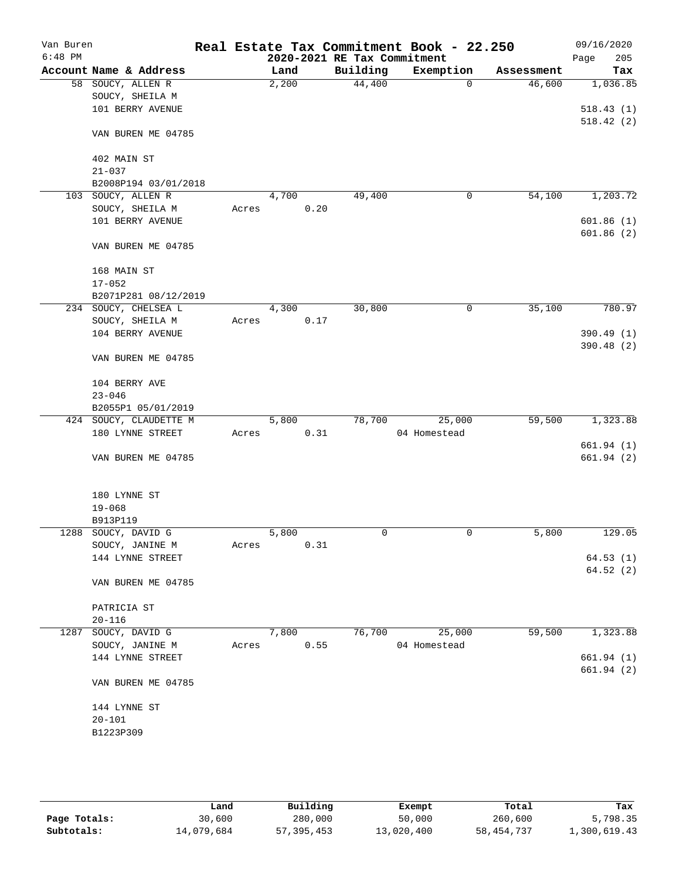| Van Buren<br>$6:48$ PM |                                   |       |       |      | 2020-2021 RE Tax Commitment | Real Estate Tax Commitment Book - 22.250 |            | 09/16/2020<br>205<br>Page |
|------------------------|-----------------------------------|-------|-------|------|-----------------------------|------------------------------------------|------------|---------------------------|
|                        | Account Name & Address            |       | Land  |      | Building                    | Exemption                                | Assessment | Tax                       |
|                        | 58 SOUCY, ALLEN R                 |       | 2,200 |      | 44,400                      | $\mathbf 0$                              | 46,600     | 1,036.85                  |
|                        | SOUCY, SHEILA M                   |       |       |      |                             |                                          |            |                           |
|                        | 101 BERRY AVENUE                  |       |       |      |                             |                                          |            | 518.43(1)                 |
|                        | VAN BUREN ME 04785                |       |       |      |                             |                                          |            | 518.42(2)                 |
|                        | 402 MAIN ST                       |       |       |      |                             |                                          |            |                           |
|                        | $21 - 037$                        |       |       |      |                             |                                          |            |                           |
|                        | B2008P194 03/01/2018              |       |       |      |                             |                                          |            |                           |
| 103                    | SOUCY, ALLEN R                    |       | 4,700 |      | 49,400                      | 0                                        | 54,100     | 1,203.72                  |
|                        | SOUCY, SHEILA M                   | Acres |       | 0.20 |                             |                                          |            |                           |
|                        | 101 BERRY AVENUE                  |       |       |      |                             |                                          |            | 601.86(1)                 |
|                        | VAN BUREN ME 04785                |       |       |      |                             |                                          |            | 601.86(2)                 |
|                        | 168 MAIN ST                       |       |       |      |                             |                                          |            |                           |
|                        | $17 - 052$                        |       |       |      |                             |                                          |            |                           |
|                        | B2071P281 08/12/2019              |       |       |      |                             |                                          |            |                           |
|                        | 234 SOUCY, CHELSEA L              |       | 4,300 |      | 30,800                      | 0                                        | 35,100     | 780.97                    |
|                        | SOUCY, SHEILA M                   | Acres |       | 0.17 |                             |                                          |            |                           |
|                        | 104 BERRY AVENUE                  |       |       |      |                             |                                          |            | 390.49 (1)                |
|                        | VAN BUREN ME 04785                |       |       |      |                             |                                          |            | 390.48 (2)                |
|                        | 104 BERRY AVE                     |       |       |      |                             |                                          |            |                           |
|                        | $23 - 046$                        |       |       |      |                             |                                          |            |                           |
|                        | B2055P1 05/01/2019                |       |       |      |                             |                                          |            |                           |
|                        | 424 SOUCY, CLAUDETTE M            |       | 5,800 |      | 78,700                      | 25,000                                   | 59,500     | 1,323.88                  |
|                        | 180 LYNNE STREET                  | Acres |       | 0.31 |                             | 04 Homestead                             |            |                           |
|                        | VAN BUREN ME 04785                |       |       |      |                             |                                          |            | 661.94(1)<br>661.94(2)    |
|                        | 180 LYNNE ST                      |       |       |      |                             |                                          |            |                           |
|                        | $19 - 068$                        |       |       |      |                             |                                          |            |                           |
|                        | B913P119                          |       |       |      |                             |                                          |            |                           |
|                        | 1288 SOUCY, DAVID G               |       | 5,800 |      | 0                           | 0                                        | 5,800      | 129.05                    |
|                        | SOUCY, JANINE M                   | Acres |       | 0.31 |                             |                                          |            |                           |
|                        | 144 LYNNE STREET                  |       |       |      |                             |                                          |            | 64.53(1)                  |
|                        | VAN BUREN ME 04785                |       |       |      |                             |                                          |            | 64.52(2)                  |
|                        |                                   |       |       |      |                             |                                          |            |                           |
|                        | PATRICIA ST                       |       |       |      |                             |                                          |            |                           |
|                        | $20 - 116$<br>1287 SOUCY, DAVID G |       | 7,800 |      | 76,700                      | 25,000                                   | 59,500     | 1,323.88                  |
|                        | SOUCY, JANINE M                   | Acres |       | 0.55 |                             | 04 Homestead                             |            |                           |
|                        | 144 LYNNE STREET                  |       |       |      |                             |                                          |            | 661.94 (1)                |
|                        |                                   |       |       |      |                             |                                          |            | 661.94(2)                 |
|                        | VAN BUREN ME 04785                |       |       |      |                             |                                          |            |                           |
|                        | 144 LYNNE ST                      |       |       |      |                             |                                          |            |                           |
|                        | $20 - 101$                        |       |       |      |                             |                                          |            |                           |
|                        | B1223P309                         |       |       |      |                             |                                          |            |                           |
|                        |                                   |       |       |      |                             |                                          |            |                           |
|                        |                                   |       |       |      |                             |                                          |            |                           |
|                        |                                   |       |       |      |                             |                                          |            |                           |

|              | Land       | Building   | Exempt     | Total      | Tax          |
|--------------|------------|------------|------------|------------|--------------|
| Page Totals: | 30,600     | 280,000    | 50,000     | 260,600    | 5,798.35     |
| Subtotals:   | 14,079,684 | 57,395,453 | 13,020,400 | 58,454,737 | 1,300,619.43 |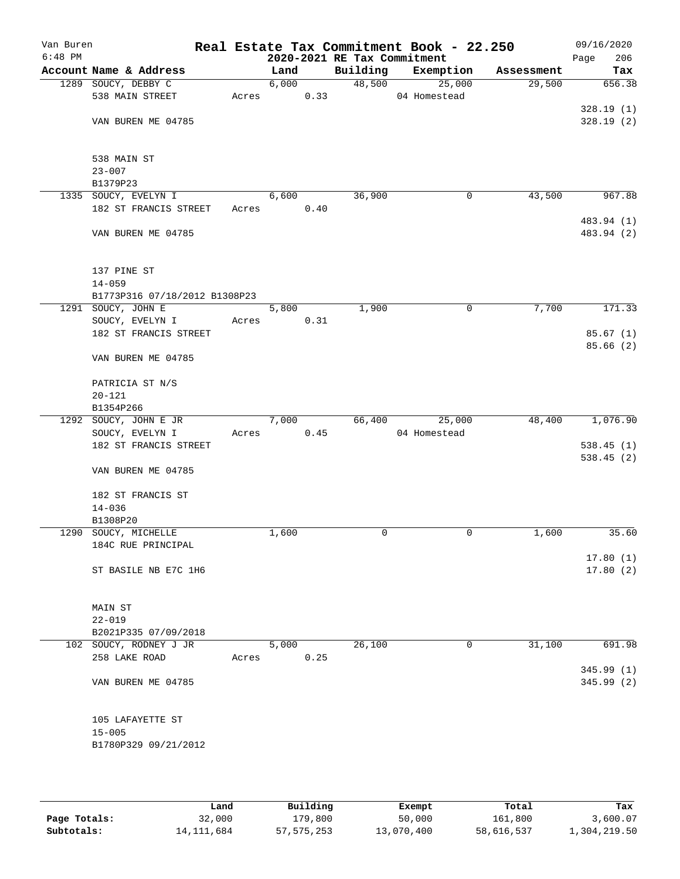| Van Buren<br>$6:48$ PM |                               |       |       |      | 2020-2021 RE Tax Commitment | Real Estate Tax Commitment Book - 22.250 |            | 09/16/2020<br>206<br>Page |
|------------------------|-------------------------------|-------|-------|------|-----------------------------|------------------------------------------|------------|---------------------------|
|                        | Account Name & Address        |       | Land  |      | Building                    | Exemption                                | Assessment | Tax                       |
|                        | 1289 SOUCY, DEBBY C           |       | 6,000 |      |                             | 48,500<br>25,000                         | 29,500     | 656.38                    |
|                        | 538 MAIN STREET               | Acres |       | 0.33 |                             | 04 Homestead                             |            |                           |
|                        |                               |       |       |      |                             |                                          |            | 328.19(1)                 |
|                        | VAN BUREN ME 04785            |       |       |      |                             |                                          |            | 328.19(2)                 |
|                        | 538 MAIN ST                   |       |       |      |                             |                                          |            |                           |
|                        | $23 - 007$                    |       |       |      |                             |                                          |            |                           |
|                        | B1379P23                      |       |       |      |                             |                                          |            |                           |
|                        | 1335 SOUCY, EVELYN I          |       | 6,600 |      | 36,900                      | 0                                        | 43,500     | 967.88                    |
|                        | 182 ST FRANCIS STREET         | Acres |       | 0.40 |                             |                                          |            |                           |
|                        |                               |       |       |      |                             |                                          |            | 483.94 (1)                |
|                        | VAN BUREN ME 04785            |       |       |      |                             |                                          |            | 483.94 (2)                |
|                        | 137 PINE ST                   |       |       |      |                             |                                          |            |                           |
|                        | $14 - 059$                    |       |       |      |                             |                                          |            |                           |
|                        | B1773P316 07/18/2012 B1308P23 |       |       |      |                             |                                          |            |                           |
|                        | 1291 SOUCY, JOHN E            |       | 5,800 |      | 1,900                       | $\mathsf{O}$                             | 7,700      | 171.33                    |
|                        | SOUCY, EVELYN I               | Acres |       | 0.31 |                             |                                          |            |                           |
|                        | 182 ST FRANCIS STREET         |       |       |      |                             |                                          |            | 85.67(1)                  |
|                        | VAN BUREN ME 04785            |       |       |      |                             |                                          |            | 85.66(2)                  |
|                        |                               |       |       |      |                             |                                          |            |                           |
|                        | PATRICIA ST N/S               |       |       |      |                             |                                          |            |                           |
|                        | $20 - 121$                    |       |       |      |                             |                                          |            |                           |
|                        | B1354P266                     |       |       |      |                             |                                          |            |                           |
|                        | 1292 SOUCY, JOHN E JR         |       | 7,000 |      | 66,400                      | 25,000                                   | 48,400     | 1,076.90                  |
|                        | SOUCY, EVELYN I               | Acres |       | 0.45 |                             | 04 Homestead                             |            |                           |
|                        | 182 ST FRANCIS STREET         |       |       |      |                             |                                          |            | 538.45(1)                 |
|                        | VAN BUREN ME 04785            |       |       |      |                             |                                          |            | 538.45(2)                 |
|                        | 182 ST FRANCIS ST             |       |       |      |                             |                                          |            |                           |
|                        | $14 - 036$                    |       |       |      |                             |                                          |            |                           |
|                        | B1308P20                      |       |       |      |                             |                                          |            | 35.60                     |
|                        | 1290 SOUCY, MICHELLE          |       | 1,600 |      | 0                           | 0                                        | 1,600      |                           |
|                        | 184C RUE PRINCIPAL            |       |       |      |                             |                                          |            | 17.80(1)                  |
|                        | ST BASILE NB E7C 1H6          |       |       |      |                             |                                          |            | 17.80(2)                  |
|                        |                               |       |       |      |                             |                                          |            |                           |
|                        | MAIN ST                       |       |       |      |                             |                                          |            |                           |
|                        | $22 - 019$                    |       |       |      |                             |                                          |            |                           |
|                        | B2021P335 07/09/2018          |       |       |      |                             |                                          |            |                           |
|                        | 102 SOUCY, RODNEY J JR        |       | 5,000 |      | 26,100                      | 0                                        | 31,100     | 691.98                    |
|                        | 258 LAKE ROAD                 | Acres |       | 0.25 |                             |                                          |            |                           |
|                        |                               |       |       |      |                             |                                          |            | 345.99(1)                 |
|                        | VAN BUREN ME 04785            |       |       |      |                             |                                          |            | 345.99 (2)                |
|                        | 105 LAFAYETTE ST              |       |       |      |                             |                                          |            |                           |
|                        | $15 - 005$                    |       |       |      |                             |                                          |            |                           |
|                        | B1780P329 09/21/2012          |       |       |      |                             |                                          |            |                           |
|                        |                               |       |       |      |                             |                                          |            |                           |

|              | Land         | Building   | Exempt     | Total      | Tax          |
|--------------|--------------|------------|------------|------------|--------------|
| Page Totals: | 32,000       | 179,800    | 50,000     | 161,800    | 3,600.07     |
| Subtotals:   | 14, 111, 684 | 57,575,253 | 13,070,400 | 58,616,537 | 1,304,219.50 |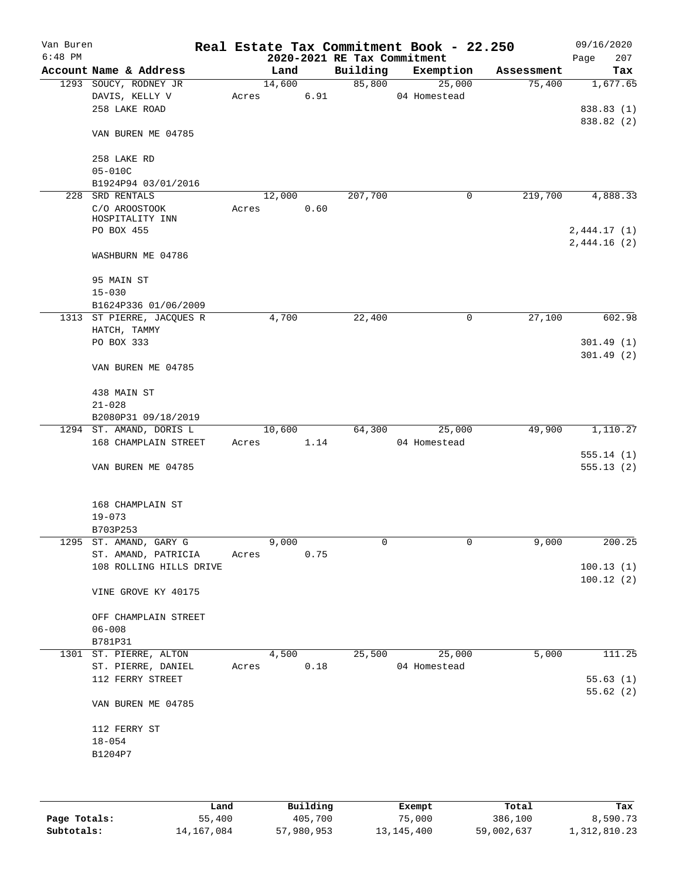| Van Buren |                            |       |        |      |                             | Real Estate Tax Commitment Book - 22.250 |            | 09/16/2020               |
|-----------|----------------------------|-------|--------|------|-----------------------------|------------------------------------------|------------|--------------------------|
| $6:48$ PM |                            |       |        |      | 2020-2021 RE Tax Commitment |                                          |            | 207<br>Page              |
|           | Account Name & Address     |       | Land   |      | Building                    | Exemption                                | Assessment | Tax                      |
|           | 1293 SOUCY, RODNEY JR      |       | 14,600 |      | 85,800                      | 25,000                                   | 75,400     | 1,677.65                 |
|           | DAVIS, KELLY V             | Acres |        | 6.91 |                             | 04 Homestead                             |            |                          |
|           | 258 LAKE ROAD              |       |        |      |                             |                                          |            | 838.83 (1)<br>838.82 (2) |
|           | VAN BUREN ME 04785         |       |        |      |                             |                                          |            |                          |
|           | 258 LAKE RD<br>$05 - 010C$ |       |        |      |                             |                                          |            |                          |
|           | B1924P94 03/01/2016        |       |        |      |                             |                                          |            |                          |
|           | 228 SRD RENTALS            |       | 12,000 |      | 207,700                     | 0                                        | 219,700    | 4,888.33                 |
|           | C/O AROOSTOOK              | Acres |        | 0.60 |                             |                                          |            |                          |
|           | HOSPITALITY INN            |       |        |      |                             |                                          |            |                          |
|           | PO BOX 455                 |       |        |      |                             |                                          |            | 2,444.17(1)              |
|           | WASHBURN ME 04786          |       |        |      |                             |                                          |            | 2,444.16(2)              |
|           | 95 MAIN ST                 |       |        |      |                             |                                          |            |                          |
|           | $15 - 030$                 |       |        |      |                             |                                          |            |                          |
|           | B1624P336 01/06/2009       |       |        |      |                             |                                          |            |                          |
|           | 1313 ST PIERRE, JACQUES R  |       | 4,700  |      | 22,400                      | 0                                        | 27,100     | 602.98                   |
|           | HATCH, TAMMY               |       |        |      |                             |                                          |            |                          |
|           | PO BOX 333                 |       |        |      |                             |                                          |            | 301.49(1)                |
|           |                            |       |        |      |                             |                                          |            | 301.49(2)                |
|           | VAN BUREN ME 04785         |       |        |      |                             |                                          |            |                          |
|           | 438 MAIN ST                |       |        |      |                             |                                          |            |                          |
|           | $21 - 028$                 |       |        |      |                             |                                          |            |                          |
|           | B2080P31 09/18/2019        |       |        |      |                             |                                          |            |                          |
|           | 1294 ST. AMAND, DORIS L    |       | 10,600 |      | 64,300                      | 25,000                                   | 49,900     | 1,110.27                 |
|           | 168 CHAMPLAIN STREET       | Acres |        | 1.14 |                             | 04 Homestead                             |            |                          |
|           |                            |       |        |      |                             |                                          |            | 555.14(1)                |
|           | VAN BUREN ME 04785         |       |        |      |                             |                                          |            | 555.13(2)                |
|           | 168 CHAMPLAIN ST           |       |        |      |                             |                                          |            |                          |
|           | $19 - 073$                 |       |        |      |                             |                                          |            |                          |
|           | B703P253                   |       |        |      |                             |                                          |            |                          |
|           | 1295 ST. AMAND, GARY G     |       | 9,000  |      | 0                           | 0                                        | 9,000      | 200.25                   |
|           | ST. AMAND, PATRICIA        | Acres |        | 0.75 |                             |                                          |            |                          |
|           | 108 ROLLING HILLS DRIVE    |       |        |      |                             |                                          |            | 100.13(1)                |
|           |                            |       |        |      |                             |                                          |            | 100.12(2)                |
|           | VINE GROVE KY 40175        |       |        |      |                             |                                          |            |                          |
|           | OFF CHAMPLAIN STREET       |       |        |      |                             |                                          |            |                          |
|           | $06 - 008$                 |       |        |      |                             |                                          |            |                          |
|           | B781P31                    |       |        |      |                             |                                          |            |                          |
| 1301      | ST. PIERRE, ALTON          |       | 4,500  |      | 25,500                      | 25,000                                   | 5,000      | 111.25                   |
|           | ST. PIERRE, DANIEL         | Acres |        | 0.18 |                             | 04 Homestead                             |            |                          |
|           | 112 FERRY STREET           |       |        |      |                             |                                          |            | 55.63(1)                 |
|           |                            |       |        |      |                             |                                          |            | 55.62(2)                 |
|           | VAN BUREN ME 04785         |       |        |      |                             |                                          |            |                          |
|           | 112 FERRY ST               |       |        |      |                             |                                          |            |                          |
|           | $18 - 054$                 |       |        |      |                             |                                          |            |                          |
|           | B1204P7                    |       |        |      |                             |                                          |            |                          |
|           |                            |       |        |      |                             |                                          |            |                          |
|           |                            |       |        |      |                             |                                          |            |                          |

|              | Land       | Building   | Exempt     | Total      | Tax          |
|--------------|------------|------------|------------|------------|--------------|
| Page Totals: | 55,400     | 405,700    | 75,000     | 386,100    | 8,590.73     |
| Subtotals:   | 14,167,084 | 57,980,953 | 13,145,400 | 59,002,637 | 1,312,810.23 |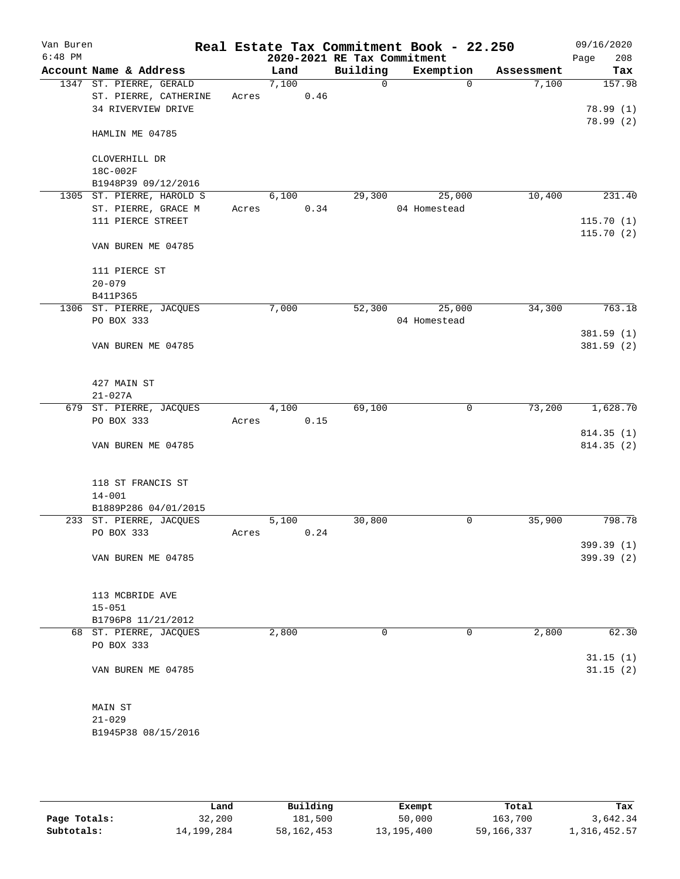| Van Buren<br>$6:48$ PM |                                       |       |       |      | 2020-2021 RE Tax Commitment | Real Estate Tax Commitment Book - 22.250 |            | 09/16/2020<br>Page<br>208 |
|------------------------|---------------------------------------|-------|-------|------|-----------------------------|------------------------------------------|------------|---------------------------|
|                        | Account Name & Address                |       | Land  |      | Building                    | Exemption                                | Assessment | Tax                       |
|                        | 1347 ST. PIERRE, GERALD               |       | 7,100 |      | 0                           | $\mathbf 0$                              | 7,100      | 157.98                    |
|                        | ST. PIERRE, CATHERINE                 | Acres |       | 0.46 |                             |                                          |            |                           |
|                        | 34 RIVERVIEW DRIVE                    |       |       |      |                             |                                          |            | 78.99(1)                  |
|                        |                                       |       |       |      |                             |                                          |            | 78.99(2)                  |
|                        | HAMLIN ME 04785                       |       |       |      |                             |                                          |            |                           |
|                        | CLOVERHILL DR                         |       |       |      |                             |                                          |            |                           |
|                        | 18C-002F                              |       |       |      |                             |                                          |            |                           |
|                        | B1948P39 09/12/2016                   |       |       |      |                             |                                          |            |                           |
|                        | 1305 ST. PIERRE, HAROLD S             |       | 6,100 |      | 29,300                      | 25,000                                   | 10,400     | 231.40                    |
|                        | ST. PIERRE, GRACE M                   | Acres |       | 0.34 |                             | 04 Homestead                             |            |                           |
|                        | 111 PIERCE STREET                     |       |       |      |                             |                                          |            | 115.70(1)                 |
|                        | VAN BUREN ME 04785                    |       |       |      |                             |                                          |            | 115.70(2)                 |
|                        | 111 PIERCE ST                         |       |       |      |                             |                                          |            |                           |
|                        | $20 - 079$                            |       |       |      |                             |                                          |            |                           |
|                        | B411P365                              |       |       |      |                             |                                          |            |                           |
|                        | 1306 ST. PIERRE, JACQUES              |       | 7,000 |      | 52,300                      | 25,000                                   | 34,300     | 763.18                    |
|                        | PO BOX 333                            |       |       |      |                             | 04 Homestead                             |            |                           |
|                        |                                       |       |       |      |                             |                                          |            | 381.59 (1)                |
|                        | VAN BUREN ME 04785                    |       |       |      |                             |                                          |            | 381.59(2)                 |
|                        |                                       |       |       |      |                             |                                          |            |                           |
|                        | 427 MAIN ST                           |       |       |      |                             |                                          |            |                           |
|                        | $21 - 027A$                           |       |       |      |                             |                                          |            |                           |
|                        | 679 ST. PIERRE, JACQUES               |       | 4,100 |      | 69,100                      | 0                                        | 73,200     | 1,628.70                  |
|                        | PO BOX 333                            | Acres |       | 0.15 |                             |                                          |            |                           |
|                        |                                       |       |       |      |                             |                                          |            | 814.35(1)                 |
|                        | VAN BUREN ME 04785                    |       |       |      |                             |                                          |            | 814.35 (2)                |
|                        |                                       |       |       |      |                             |                                          |            |                           |
|                        | 118 ST FRANCIS ST                     |       |       |      |                             |                                          |            |                           |
|                        | $14 - 001$                            |       |       |      |                             |                                          |            |                           |
|                        | B1889P286 04/01/2015                  |       |       |      |                             |                                          |            |                           |
|                        | 233 ST. PIERRE, JACQUES<br>PO BOX 333 | Acres | 5,100 | 0.24 | 30,800                      | 0                                        | 35,900     | 798.78                    |
|                        |                                       |       |       |      |                             |                                          |            | 399.39 (1)                |
|                        | VAN BUREN ME 04785                    |       |       |      |                             |                                          |            | 399.39 (2)                |
|                        |                                       |       |       |      |                             |                                          |            |                           |
|                        | 113 MCBRIDE AVE                       |       |       |      |                             |                                          |            |                           |
|                        | $15 - 051$                            |       |       |      |                             |                                          |            |                           |
|                        | B1796P8 11/21/2012                    |       |       |      |                             |                                          |            |                           |
|                        | 68 ST. PIERRE, JACQUES                |       | 2,800 |      | 0                           | 0                                        | 2,800      | 62.30                     |
|                        | PO BOX 333                            |       |       |      |                             |                                          |            |                           |
|                        |                                       |       |       |      |                             |                                          |            | 31.15(1)                  |
|                        | VAN BUREN ME 04785                    |       |       |      |                             |                                          |            | 31.15(2)                  |
|                        | MAIN ST                               |       |       |      |                             |                                          |            |                           |
|                        | $21 - 029$                            |       |       |      |                             |                                          |            |                           |
|                        | B1945P38 08/15/2016                   |       |       |      |                             |                                          |            |                           |
|                        |                                       |       |       |      |                             |                                          |            |                           |

|              | Land         | Building     | Exempt       | Total        | Tax          |
|--------------|--------------|--------------|--------------|--------------|--------------|
| Page Totals: | 32,200       | 181,500      | 50,000       | 163,700      | 3,642.34     |
| Subtotals:   | 14, 199, 284 | 58, 162, 453 | 13, 195, 400 | 59, 166, 337 | 1,316,452.57 |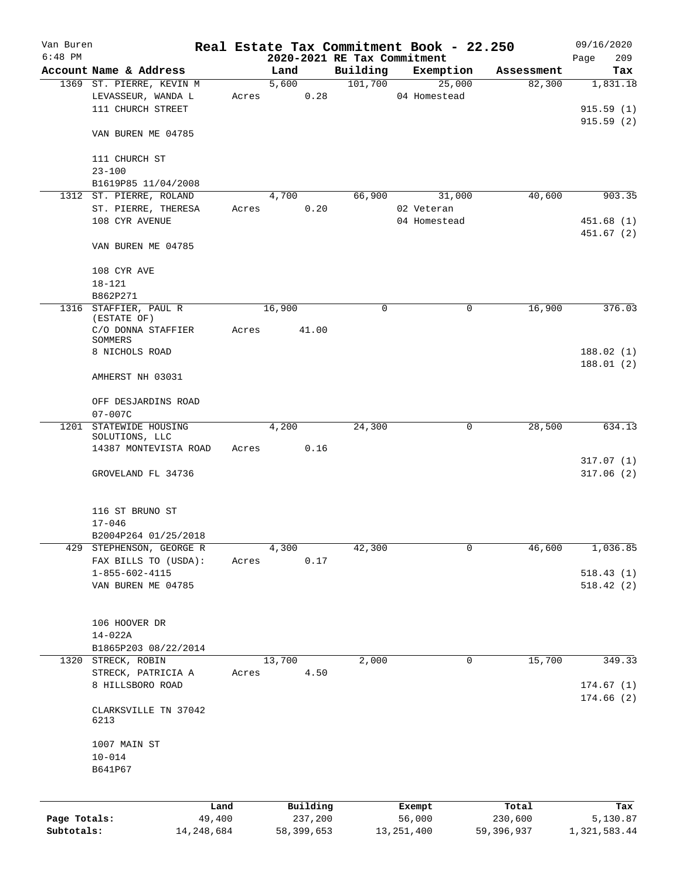| Van Buren    |                           |              | Real Estate Tax Commitment Book - 22.250 |          |              |           |            | 09/16/2020   |
|--------------|---------------------------|--------------|------------------------------------------|----------|--------------|-----------|------------|--------------|
| $6:48$ PM    |                           |              | 2020-2021 RE Tax Commitment              |          |              |           |            | 209<br>Page  |
|              | Account Name & Address    |              | Land                                     | Building |              | Exemption | Assessment | Tax          |
|              | 1369 ST. PIERRE, KEVIN M  |              | 5,600                                    | 101,700  |              | 25,000    | 82,300     | 1,831.18     |
|              | LEVASSEUR, WANDA L        | Acres        | 0.28                                     |          | 04 Homestead |           |            |              |
|              | 111 CHURCH STREET         |              |                                          |          |              |           |            | 915.59(1)    |
|              |                           |              |                                          |          |              |           |            | 915.59(2)    |
|              | VAN BUREN ME 04785        |              |                                          |          |              |           |            |              |
|              | 111 CHURCH ST             |              |                                          |          |              |           |            |              |
|              | $23 - 100$                |              |                                          |          |              |           |            |              |
|              | B1619P85 11/04/2008       |              |                                          |          |              |           |            |              |
|              | 1312 ST. PIERRE, ROLAND   |              | 4,700                                    | 66,900   |              | 31,000    | 40,600     | 903.35       |
|              | ST. PIERRE, THERESA       | Acres        | 0.20                                     |          | 02 Veteran   |           |            |              |
|              | 108 CYR AVENUE            |              |                                          |          | 04 Homestead |           |            | 451.68(1)    |
|              |                           |              |                                          |          |              |           |            | 451.67(2)    |
|              | VAN BUREN ME 04785        |              |                                          |          |              |           |            |              |
|              |                           |              |                                          |          |              |           |            |              |
|              | 108 CYR AVE               |              |                                          |          |              |           |            |              |
|              | $18 - 121$                |              |                                          |          |              |           |            |              |
|              | B862P271                  |              |                                          |          |              |           |            |              |
|              | 1316 STAFFIER, PAUL R     |              | 16,900                                   | 0        |              | 0         | 16,900     | 376.03       |
|              | (ESTATE OF)               |              |                                          |          |              |           |            |              |
|              | C/O DONNA STAFFIER        | Acres        | 41.00                                    |          |              |           |            |              |
|              | SOMMERS<br>8 NICHOLS ROAD |              |                                          |          |              |           |            | 188.02(1)    |
|              |                           |              |                                          |          |              |           |            | 188.01(2)    |
|              | AMHERST NH 03031          |              |                                          |          |              |           |            |              |
|              |                           |              |                                          |          |              |           |            |              |
|              | OFF DESJARDINS ROAD       |              |                                          |          |              |           |            |              |
|              | $07 - 007C$               |              |                                          |          |              |           |            |              |
|              | 1201 STATEWIDE HOUSING    |              | 4,200                                    | 24,300   |              | 0         | 28,500     | 634.13       |
|              | SOLUTIONS, LLC            |              |                                          |          |              |           |            |              |
|              | 14387 MONTEVISTA ROAD     | Acres        | 0.16                                     |          |              |           |            |              |
|              |                           |              |                                          |          |              |           |            | 317.07(1)    |
|              | GROVELAND FL 34736        |              |                                          |          |              |           |            | 317.06(2)    |
|              |                           |              |                                          |          |              |           |            |              |
|              |                           |              |                                          |          |              |           |            |              |
|              | 116 ST BRUNO ST           |              |                                          |          |              |           |            |              |
|              | $17 - 046$                |              |                                          |          |              |           |            |              |
|              | B2004P264 01/25/2018      |              |                                          |          |              |           |            |              |
| 429          | STEPHENSON, GEORGE R      |              | 4,300                                    | 42,300   |              | 0         | 46,600     | 1,036.85     |
|              | FAX BILLS TO (USDA):      | Acres        | 0.17                                     |          |              |           |            |              |
|              | $1 - 855 - 602 - 4115$    |              |                                          |          |              |           |            | 518.43(1)    |
|              | VAN BUREN ME 04785        |              |                                          |          |              |           |            | 518.42(2)    |
|              |                           |              |                                          |          |              |           |            |              |
|              | 106 HOOVER DR             |              |                                          |          |              |           |            |              |
|              | $14 - 022A$               |              |                                          |          |              |           |            |              |
|              | B1865P203 08/22/2014      |              |                                          |          |              |           |            |              |
|              | 1320 STRECK, ROBIN        |              | 13,700                                   | 2,000    |              | 0         | 15,700     | 349.33       |
|              | STRECK, PATRICIA A        | Acres        | 4.50                                     |          |              |           |            |              |
|              | 8 HILLSBORO ROAD          |              |                                          |          |              |           |            | 174.67(1)    |
|              |                           |              |                                          |          |              |           |            | 174.66 (2)   |
|              | CLARKSVILLE TN 37042      |              |                                          |          |              |           |            |              |
|              | 6213                      |              |                                          |          |              |           |            |              |
|              |                           |              |                                          |          |              |           |            |              |
|              | 1007 MAIN ST              |              |                                          |          |              |           |            |              |
|              | $10 - 014$                |              |                                          |          |              |           |            |              |
|              | B641P67                   |              |                                          |          |              |           |            |              |
|              |                           |              |                                          |          |              |           |            |              |
|              |                           | Land         | Building                                 |          | Exempt       |           | Total      | Tax          |
| Page Totals: |                           | 49,400       | 237,200                                  |          | 56,000       |           | 230,600    | 5,130.87     |
| Subtotals:   |                           | 14, 248, 684 | 58,399,653                               |          | 13, 251, 400 |           | 59,396,937 | 1,321,583.44 |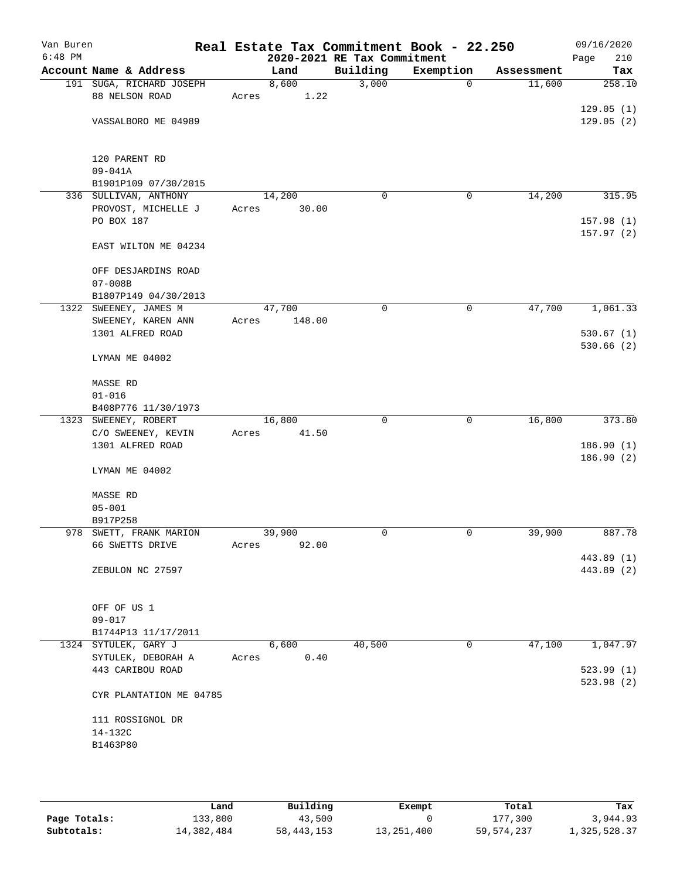| Van Buren<br>$6:48$ PM |                          |       |        | 2020-2021 RE Tax Commitment | Real Estate Tax Commitment Book - 22.250 |            | 09/16/2020<br>210<br>Page |
|------------------------|--------------------------|-------|--------|-----------------------------|------------------------------------------|------------|---------------------------|
|                        | Account Name & Address   |       | Land   | Building                    | Exemption                                | Assessment | Tax                       |
|                        | 191 SUGA, RICHARD JOSEPH |       | 8,600  | 3,000                       | $\mathbf 0$                              | 11,600     | 258.10                    |
|                        | 88 NELSON ROAD           | Acres | 1.22   |                             |                                          |            |                           |
|                        |                          |       |        |                             |                                          |            | 129.05(1)                 |
|                        | VASSALBORO ME 04989      |       |        |                             |                                          |            | 129.05(2)                 |
|                        |                          |       |        |                             |                                          |            |                           |
|                        |                          |       |        |                             |                                          |            |                           |
|                        | 120 PARENT RD            |       |        |                             |                                          |            |                           |
|                        | $09 - 041A$              |       |        |                             |                                          |            |                           |
|                        | B1901P109 07/30/2015     |       |        |                             |                                          |            |                           |
|                        | 336 SULLIVAN, ANTHONY    |       | 14,200 | 0                           | 0                                        | 14,200     | 315.95                    |
|                        | PROVOST, MICHELLE J      | Acres | 30.00  |                             |                                          |            |                           |
|                        | PO BOX 187               |       |        |                             |                                          |            | 157.98 (1)                |
|                        |                          |       |        |                             |                                          |            | 157.97(2)                 |
|                        | EAST WILTON ME 04234     |       |        |                             |                                          |            |                           |
|                        | OFF DESJARDINS ROAD      |       |        |                             |                                          |            |                           |
|                        | $07 - 008B$              |       |        |                             |                                          |            |                           |
|                        | B1807P149 04/30/2013     |       |        |                             |                                          |            |                           |
|                        | 1322 SWEENEY, JAMES M    |       | 47,700 | $\mathbf 0$                 | 0                                        | 47,700     | 1,061.33                  |
|                        | SWEENEY, KAREN ANN       | Acres | 148.00 |                             |                                          |            |                           |
|                        | 1301 ALFRED ROAD         |       |        |                             |                                          |            | 530.67(1)                 |
|                        |                          |       |        |                             |                                          |            | 530.66(2)                 |
|                        | LYMAN ME 04002           |       |        |                             |                                          |            |                           |
|                        |                          |       |        |                             |                                          |            |                           |
|                        | MASSE RD                 |       |        |                             |                                          |            |                           |
|                        | $01 - 016$               |       |        |                             |                                          |            |                           |
|                        | B408P776 11/30/1973      |       |        |                             |                                          |            |                           |
|                        | 1323 SWEENEY, ROBERT     |       | 16,800 | $\mathbf 0$                 | 0                                        | 16,800     | 373.80                    |
|                        | C/O SWEENEY, KEVIN       | Acres | 41.50  |                             |                                          |            |                           |
|                        | 1301 ALFRED ROAD         |       |        |                             |                                          |            | 186.90(1)                 |
|                        |                          |       |        |                             |                                          |            | 186.90(2)                 |
|                        | LYMAN ME 04002           |       |        |                             |                                          |            |                           |
|                        | MASSE RD                 |       |        |                             |                                          |            |                           |
|                        | $05 - 001$               |       |        |                             |                                          |            |                           |
|                        | B917P258                 |       |        |                             |                                          |            |                           |
|                        | 978 SWETT, FRANK MARION  |       | 39,900 | 0                           | 0                                        | 39,900     | 887.78                    |
|                        | 66 SWETTS DRIVE          | Acres | 92.00  |                             |                                          |            |                           |
|                        |                          |       |        |                             |                                          |            | 443.89 (1)                |
|                        | ZEBULON NC 27597         |       |        |                             |                                          |            | 443.89 (2)                |
|                        |                          |       |        |                             |                                          |            |                           |
|                        |                          |       |        |                             |                                          |            |                           |
|                        | OFF OF US 1              |       |        |                             |                                          |            |                           |
|                        | $09 - 017$               |       |        |                             |                                          |            |                           |
|                        | B1744P13 11/17/2011      |       |        |                             |                                          |            |                           |
|                        | 1324 SYTULEK, GARY J     |       | 6,600  | 40,500                      | $\mathbf 0$                              | 47,100     | 1,047.97                  |
|                        | SYTULEK, DEBORAH A       | Acres | 0.40   |                             |                                          |            |                           |
|                        | 443 CARIBOU ROAD         |       |        |                             |                                          |            | 523.99(1)                 |
|                        |                          |       |        |                             |                                          |            | 523.98(2)                 |
|                        | CYR PLANTATION ME 04785  |       |        |                             |                                          |            |                           |
|                        | 111 ROSSIGNOL DR         |       |        |                             |                                          |            |                           |
|                        | 14-132C                  |       |        |                             |                                          |            |                           |
|                        | B1463P80                 |       |        |                             |                                          |            |                           |
|                        |                          |       |        |                             |                                          |            |                           |
|                        |                          |       |        |                             |                                          |            |                           |

|              | Land       | Building     | Exempt     | Total      | Tax          |
|--------------|------------|--------------|------------|------------|--------------|
| Page Totals: | 133,800    | 43,500       |            | 177.300    | 3,944.93     |
| Subtotals:   | 14,382,484 | 58, 443, 153 | 13,251,400 | 59,574,237 | 1,325,528.37 |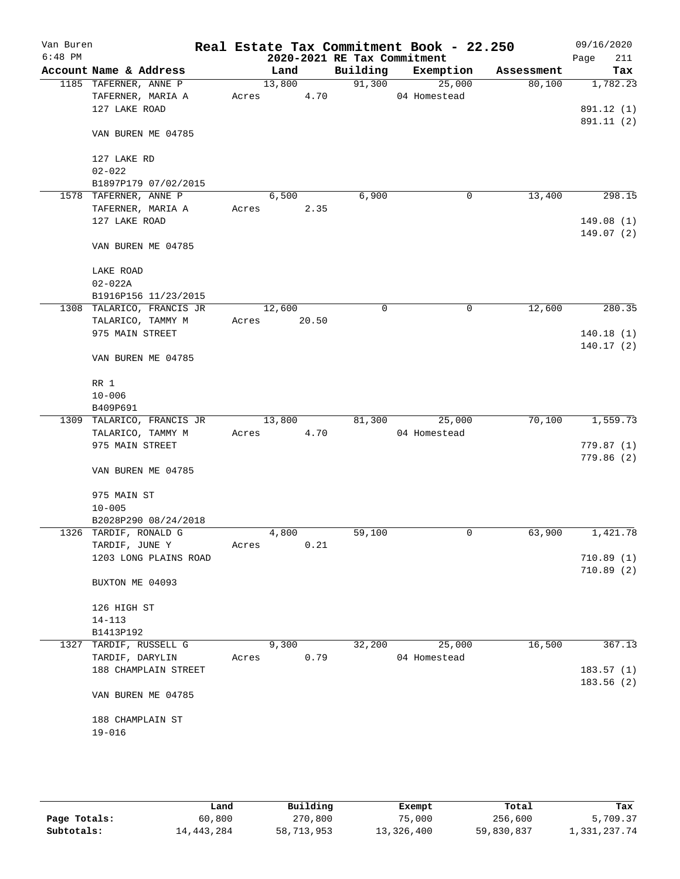| Van Buren |                                           |                |      |                             | Real Estate Tax Commitment Book - 22.250 |            | 09/16/2020               |
|-----------|-------------------------------------------|----------------|------|-----------------------------|------------------------------------------|------------|--------------------------|
| $6:48$ PM |                                           |                |      | 2020-2021 RE Tax Commitment |                                          |            | Page<br>211              |
|           | Account Name & Address                    | Land           |      |                             | Building Exemption                       | Assessment | Tax                      |
|           | 1185 TAFERNER, ANNE P                     | 13,800         |      | 91,300                      | 25,000                                   | 80,100     | 1,782.23                 |
|           | TAFERNER, MARIA A                         | Acres          | 4.70 |                             | 04 Homestead                             |            |                          |
|           | 127 LAKE ROAD                             |                |      |                             |                                          |            | 891.12 (1)<br>891.11 (2) |
|           | VAN BUREN ME 04785                        |                |      |                             |                                          |            |                          |
|           | 127 LAKE RD                               |                |      |                             |                                          |            |                          |
|           | $02 - 022$                                |                |      |                             |                                          |            |                          |
|           | B1897P179 07/02/2015                      |                |      |                             |                                          |            |                          |
|           | 1578 TAFERNER, ANNE P                     | 6,500          |      | 6,900                       | 0                                        | 13,400     | 298.15                   |
|           | TAFERNER, MARIA A                         | Acres          | 2.35 |                             |                                          |            |                          |
|           | 127 LAKE ROAD                             |                |      |                             |                                          |            | 149.08(1)                |
|           | VAN BUREN ME 04785                        |                |      |                             |                                          |            | 149.07(2)                |
|           | LAKE ROAD                                 |                |      |                             |                                          |            |                          |
|           | $02 - 022A$                               |                |      |                             |                                          |            |                          |
|           | B1916P156 11/23/2015                      |                |      |                             |                                          |            |                          |
|           | 1308 TALARICO, FRANCIS JR                 | 12,600         |      | 0                           | 0                                        | 12,600     | 280.35                   |
|           | TALARICO, TAMMY M                         | Acres 20.50    |      |                             |                                          |            |                          |
|           | 975 MAIN STREET                           |                |      |                             |                                          |            | 140.18(1)<br>140.17(2)   |
|           | VAN BUREN ME 04785                        |                |      |                             |                                          |            |                          |
|           | RR 1                                      |                |      |                             |                                          |            |                          |
|           | $10 - 006$                                |                |      |                             |                                          |            |                          |
|           | B409P691                                  |                |      |                             |                                          |            |                          |
|           | 1309 TALARICO, FRANCIS JR                 | 13,800         |      | 81,300                      | 25,000                                   | 70,100     | 1,559.73                 |
|           | TALARICO, TAMMY M                         | Acres          | 4.70 |                             | 04 Homestead                             |            |                          |
|           | 975 MAIN STREET                           |                |      |                             |                                          |            | 779.87(1)                |
|           | VAN BUREN ME 04785                        |                |      |                             |                                          |            | 779.86(2)                |
|           |                                           |                |      |                             |                                          |            |                          |
|           | 975 MAIN ST                               |                |      |                             |                                          |            |                          |
|           | $10 - 005$                                |                |      |                             |                                          |            |                          |
|           | B2028P290 08/24/2018                      |                |      |                             |                                          |            |                          |
|           | 1326 TARDIF, RONALD G                     | 4,800          |      | 59,100                      | 0                                        | 63,900     | 1,421.78                 |
|           | TARDIF, JUNE Y                            | Acres          | 0.21 |                             |                                          |            |                          |
|           | 1203 LONG PLAINS ROAD                     |                |      |                             |                                          |            | 710.89(1)                |
|           | BUXTON ME 04093                           |                |      |                             |                                          |            | 710.89(2)                |
|           | 126 HIGH ST                               |                |      |                             |                                          |            |                          |
|           | $14 - 113$                                |                |      |                             |                                          |            |                          |
|           | B1413P192                                 |                |      |                             |                                          |            |                          |
|           | 1327 TARDIF, RUSSELL G<br>TARDIF, DARYLIN | 9,300<br>Acres | 0.79 | 32,200                      | 25,000<br>04 Homestead                   | 16,500     | 367.13                   |
|           | 188 CHAMPLAIN STREET                      |                |      |                             |                                          |            | 183.57(1)                |
|           |                                           |                |      |                             |                                          |            | 183.56 (2)               |
|           | VAN BUREN ME 04785                        |                |      |                             |                                          |            |                          |
|           | 188 CHAMPLAIN ST                          |                |      |                             |                                          |            |                          |
|           | $19 - 016$                                |                |      |                             |                                          |            |                          |
|           |                                           |                |      |                             |                                          |            |                          |
|           |                                           |                |      |                             |                                          |            |                          |

|              | Land       | Building   | Exempt     | Total      | Tax          |
|--------------|------------|------------|------------|------------|--------------|
| Page Totals: | 60,800     | 270,800    | 75,000     | 256,600    | 5,709.37     |
| Subtotals:   | 14,443,284 | 58,713,953 | 13,326,400 | 59,830,837 | 1,331,237.74 |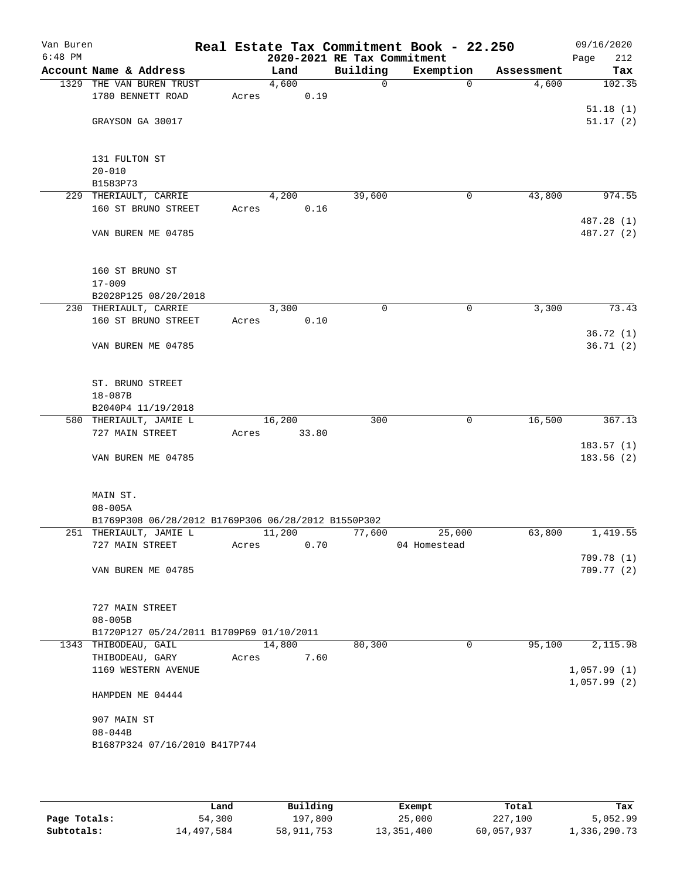| Van Buren<br>$6:48$ PM |                                                     |       |        |       | 2020-2021 RE Tax Commitment | Real Estate Tax Commitment Book - 22.250 |            | 09/16/2020<br>212<br>Page |
|------------------------|-----------------------------------------------------|-------|--------|-------|-----------------------------|------------------------------------------|------------|---------------------------|
|                        | Account Name & Address                              |       | Land   |       | Building                    | Exemption                                | Assessment | Tax                       |
|                        | 1329 THE VAN BUREN TRUST                            |       | 4,600  |       | 0                           | $\mathbf 0$                              | 4,600      | 102.35                    |
|                        | 1780 BENNETT ROAD                                   | Acres |        | 0.19  |                             |                                          |            |                           |
|                        |                                                     |       |        |       |                             |                                          |            | 51.18(1)                  |
|                        | GRAYSON GA 30017                                    |       |        |       |                             |                                          |            | 51.17(2)                  |
|                        |                                                     |       |        |       |                             |                                          |            |                           |
|                        | 131 FULTON ST                                       |       |        |       |                             |                                          |            |                           |
|                        | $20 - 010$                                          |       |        |       |                             |                                          |            |                           |
|                        | B1583P73                                            |       |        |       |                             |                                          |            |                           |
|                        | 229 THERIAULT, CARRIE                               |       | 4,200  |       | 39,600                      | 0                                        | 43,800     | 974.55                    |
|                        | 160 ST BRUNO STREET                                 | Acres |        | 0.16  |                             |                                          |            |                           |
|                        | VAN BUREN ME 04785                                  |       |        |       |                             |                                          |            | 487.28 (1)<br>487.27 (2)  |
|                        |                                                     |       |        |       |                             |                                          |            |                           |
|                        | 160 ST BRUNO ST                                     |       |        |       |                             |                                          |            |                           |
|                        | $17 - 009$                                          |       |        |       |                             |                                          |            |                           |
|                        | B2028P125 08/20/2018                                |       |        |       |                             |                                          |            |                           |
|                        | 230 THERIAULT, CARRIE                               |       | 3,300  |       | 0                           | 0                                        | 3,300      | 73.43                     |
|                        | 160 ST BRUNO STREET                                 | Acres |        | 0.10  |                             |                                          |            |                           |
|                        |                                                     |       |        |       |                             |                                          |            | 36.72(1)                  |
|                        | VAN BUREN ME 04785                                  |       |        |       |                             |                                          |            | 36.71(2)                  |
|                        | ST. BRUNO STREET                                    |       |        |       |                             |                                          |            |                           |
|                        | $18 - 087B$                                         |       |        |       |                             |                                          |            |                           |
|                        | B2040P4 11/19/2018                                  |       |        |       |                             |                                          |            |                           |
|                        | 580 THERIAULT, JAMIE L                              |       | 16,200 |       | 300                         | 0                                        | 16,500     | 367.13                    |
|                        | 727 MAIN STREET                                     | Acres |        | 33.80 |                             |                                          |            |                           |
|                        |                                                     |       |        |       |                             |                                          |            | 183.57(1)                 |
|                        | VAN BUREN ME 04785                                  |       |        |       |                             |                                          |            | 183.56(2)                 |
|                        | MAIN ST.                                            |       |        |       |                             |                                          |            |                           |
|                        | $08 - 005A$                                         |       |        |       |                             |                                          |            |                           |
|                        | B1769P308 06/28/2012 B1769P306 06/28/2012 B1550P302 |       |        |       |                             |                                          |            |                           |
|                        | 251 THERIAULT, JAMIE L                              |       | 11,200 |       | 77,600                      | 25,000                                   | 63,800     | 1,419.55                  |
|                        | 727 MAIN STREET                                     | Acres |        | 0.70  |                             | 04 Homestead                             |            |                           |
|                        |                                                     |       |        |       |                             |                                          |            | 709.78(1)                 |
|                        | VAN BUREN ME 04785                                  |       |        |       |                             |                                          |            | 709.77 (2)                |
|                        | 727 MAIN STREET                                     |       |        |       |                             |                                          |            |                           |
|                        | $08 - 005B$                                         |       |        |       |                             |                                          |            |                           |
|                        | B1720P127 05/24/2011 B1709P69 01/10/2011            |       |        |       |                             |                                          |            |                           |
|                        | 1343 THIBODEAU, GAIL                                |       | 14,800 |       | 80,300                      | 0                                        | 95,100     | 2,115.98                  |
|                        | THIBODEAU, GARY                                     | Acres |        | 7.60  |                             |                                          |            |                           |
|                        | 1169 WESTERN AVENUE                                 |       |        |       |                             |                                          |            | 1,057.99(1)               |
|                        | HAMPDEN ME 04444                                    |       |        |       |                             |                                          |            | 1,057.99(2)               |
|                        |                                                     |       |        |       |                             |                                          |            |                           |
|                        | 907 MAIN ST                                         |       |        |       |                             |                                          |            |                           |
|                        | $08 - 044B$                                         |       |        |       |                             |                                          |            |                           |
|                        | B1687P324 07/16/2010 B417P744                       |       |        |       |                             |                                          |            |                           |
|                        |                                                     |       |        |       |                             |                                          |            |                           |

|              | Land       | Building     | Exempt     | Total      | Tax          |
|--------------|------------|--------------|------------|------------|--------------|
| Page Totals: | 54,300     | 197,800      | 25,000     | 227,100    | 5,052.99     |
| Subtotals:   | 14,497,584 | 58, 911, 753 | 13,351,400 | 60,057,937 | 1,336,290.73 |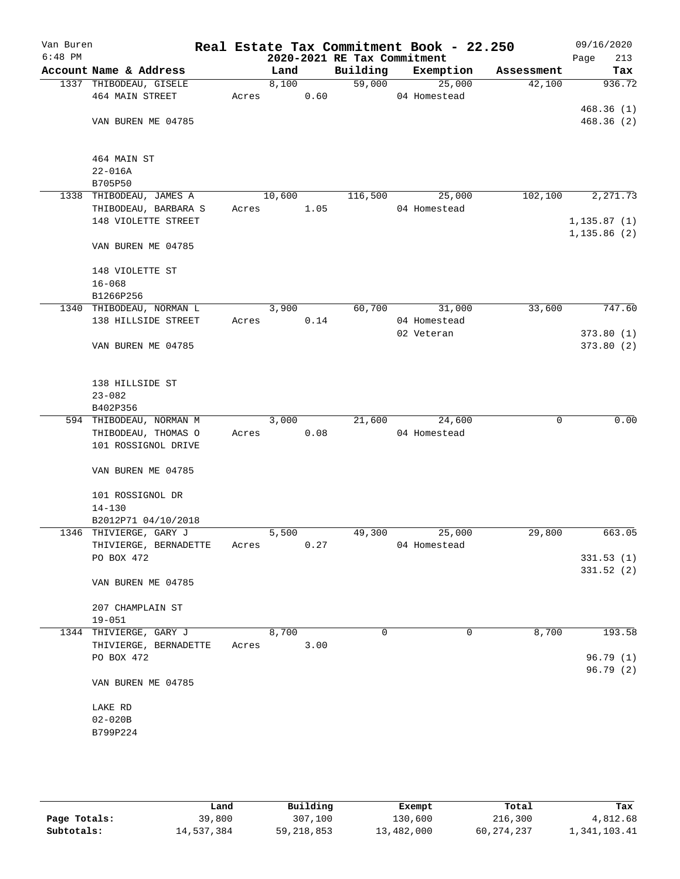| Van Buren<br>$6:48$ PM |                          |       |        |      | 2020-2021 RE Tax Commitment | Real Estate Tax Commitment Book - 22.250 |            | 09/16/2020<br>213<br>Page |
|------------------------|--------------------------|-------|--------|------|-----------------------------|------------------------------------------|------------|---------------------------|
|                        | Account Name & Address   |       | Land   |      | Building                    | Exemption                                | Assessment | Tax                       |
|                        | 1337 THIBODEAU, GISELE   |       | 8,100  |      | 59,000                      | 25,000                                   | 42,100     | 936.72                    |
|                        | 464 MAIN STREET          | Acres |        | 0.60 |                             | 04 Homestead                             |            |                           |
|                        |                          |       |        |      |                             |                                          |            | 468.36(1)                 |
|                        | VAN BUREN ME 04785       |       |        |      |                             |                                          |            | 468.36(2)                 |
|                        |                          |       |        |      |                             |                                          |            |                           |
|                        | 464 MAIN ST              |       |        |      |                             |                                          |            |                           |
|                        | $22 - 016A$              |       |        |      |                             |                                          |            |                           |
|                        | B705P50                  |       |        |      |                             |                                          |            |                           |
|                        | 1338 THIBODEAU, JAMES A  |       | 10,600 |      | 116,500                     | 25,000                                   | 102,100    | 2, 271.73                 |
|                        | THIBODEAU, BARBARA S     | Acres |        | 1.05 |                             | 04 Homestead                             |            |                           |
|                        | 148 VIOLETTE STREET      |       |        |      |                             |                                          |            | 1, 135.87(1)              |
|                        | VAN BUREN ME 04785       |       |        |      |                             |                                          |            | 1, 135.86(2)              |
|                        | 148 VIOLETTE ST          |       |        |      |                             |                                          |            |                           |
|                        | $16 - 068$               |       |        |      |                             |                                          |            |                           |
|                        | B1266P256                |       |        |      |                             |                                          |            |                           |
|                        | 1340 THIBODEAU, NORMAN L |       | 3,900  |      | 60,700                      | 31,000                                   | 33,600     | 747.60                    |
|                        | 138 HILLSIDE STREET      | Acres |        | 0.14 |                             | 04 Homestead                             |            |                           |
|                        |                          |       |        |      |                             | 02 Veteran                               |            | 373.80(1)                 |
|                        | VAN BUREN ME 04785       |       |        |      |                             |                                          |            | 373.80(2)                 |
|                        |                          |       |        |      |                             |                                          |            |                           |
|                        | 138 HILLSIDE ST          |       |        |      |                             |                                          |            |                           |
|                        | $23 - 082$               |       |        |      |                             |                                          |            |                           |
|                        | B402P356                 |       |        |      |                             |                                          |            |                           |
|                        | 594 THIBODEAU, NORMAN M  |       | 3,000  |      | 21,600                      | 24,600                                   | 0          | 0.00                      |
|                        | THIBODEAU, THOMAS O      | Acres |        | 0.08 |                             | 04 Homestead                             |            |                           |
|                        | 101 ROSSIGNOL DRIVE      |       |        |      |                             |                                          |            |                           |
|                        | VAN BUREN ME 04785       |       |        |      |                             |                                          |            |                           |
|                        | 101 ROSSIGNOL DR         |       |        |      |                             |                                          |            |                           |
|                        | $14 - 130$               |       |        |      |                             |                                          |            |                           |
|                        | B2012P71 04/10/2018      |       |        |      |                             |                                          |            |                           |
|                        | 1346 THIVIERGE, GARY J   |       | 5,500  |      | 49,300                      | 25,000                                   | 29,800     | 663.05                    |
|                        | THIVIERGE, BERNADETTE    | Acres |        | 0.27 |                             | 04 Homestead                             |            |                           |
|                        | PO BOX 472               |       |        |      |                             |                                          |            | 331.53(1)                 |
|                        |                          |       |        |      |                             |                                          |            | 331.52(2)                 |
|                        | VAN BUREN ME 04785       |       |        |      |                             |                                          |            |                           |
|                        | 207 CHAMPLAIN ST         |       |        |      |                             |                                          |            |                           |
|                        | $19 - 051$               |       |        |      |                             |                                          |            |                           |
|                        | 1344 THIVIERGE, GARY J   |       | 8,700  |      | $\mathbf 0$                 | $\mathbf 0$                              | 8,700      | 193.58                    |
|                        | THIVIERGE, BERNADETTE    | Acres |        | 3.00 |                             |                                          |            |                           |
|                        | PO BOX 472               |       |        |      |                             |                                          |            | 96.79 (1)                 |
|                        | VAN BUREN ME 04785       |       |        |      |                             |                                          |            | 96.79(2)                  |
|                        |                          |       |        |      |                             |                                          |            |                           |
|                        | LAKE RD                  |       |        |      |                             |                                          |            |                           |
|                        | $02 - 020B$              |       |        |      |                             |                                          |            |                           |
|                        | B799P224                 |       |        |      |                             |                                          |            |                           |
|                        |                          |       |        |      |                             |                                          |            |                           |
|                        |                          |       |        |      |                             |                                          |            |                           |

|              | Land       | Building     | Exempt     | Total      | Tax          |
|--------------|------------|--------------|------------|------------|--------------|
| Page Totals: | 39,800     | 307,100      | 130,600    | 216,300    | 4,812.68     |
| Subtotals:   | 14,537,384 | 59, 218, 853 | 13,482,000 | 60,274,237 | 1,341,103.41 |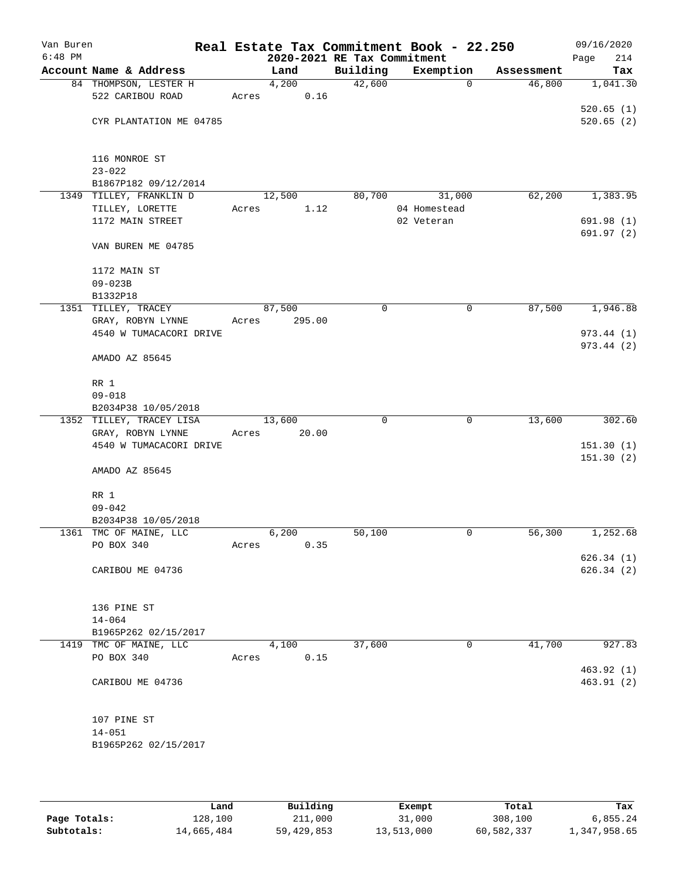| Van Buren<br>$6:48$ PM |                                                 |       | 2020-2021 RE Tax Commitment |          | Real Estate Tax Commitment Book - 22.250 |            | 09/16/2020<br>214<br>Page |
|------------------------|-------------------------------------------------|-------|-----------------------------|----------|------------------------------------------|------------|---------------------------|
|                        | Account Name & Address                          |       | Land                        | Building | Exemption                                | Assessment | Tax                       |
|                        | 84 THOMPSON, LESTER H                           |       | 4,200                       | 42,600   | $\mathbf 0$                              | 46,800     | 1,041.30                  |
|                        | 522 CARIBOU ROAD                                | Acres | 0.16                        |          |                                          |            |                           |
|                        |                                                 |       |                             |          |                                          |            | 520.65(1)                 |
|                        | CYR PLANTATION ME 04785                         |       |                             |          |                                          |            | 520.65(2)                 |
|                        |                                                 |       |                             |          |                                          |            |                           |
|                        | 116 MONROE ST                                   |       |                             |          |                                          |            |                           |
|                        | $23 - 022$                                      |       |                             |          |                                          |            |                           |
|                        | B1867P182 09/12/2014<br>1349 TILLEY, FRANKLIN D |       | 12,500                      | 80,700   | 31,000                                   | 62,200     | 1,383.95                  |
|                        | TILLEY, LORETTE                                 | Acres | 1.12                        |          | 04 Homestead                             |            |                           |
|                        | 1172 MAIN STREET                                |       |                             |          | 02 Veteran                               |            | 691.98(1)                 |
|                        |                                                 |       |                             |          |                                          |            | 691.97 (2)                |
|                        | VAN BUREN ME 04785                              |       |                             |          |                                          |            |                           |
|                        | 1172 MAIN ST                                    |       |                             |          |                                          |            |                           |
|                        | $09 - 023B$                                     |       |                             |          |                                          |            |                           |
|                        | B1332P18                                        |       |                             |          |                                          |            |                           |
|                        | 1351 TILLEY, TRACEY                             |       | 87,500                      | 0        | $\mathbf 0$                              | 87,500     | 1,946.88                  |
|                        | GRAY, ROBYN LYNNE                               | Acres | 295.00                      |          |                                          |            |                           |
|                        | 4540 W TUMACACORI DRIVE                         |       |                             |          |                                          |            | 973.44 (1)                |
|                        | AMADO AZ 85645                                  |       |                             |          |                                          |            | 973.44 (2)                |
|                        | RR 1                                            |       |                             |          |                                          |            |                           |
|                        | $09 - 018$                                      |       |                             |          |                                          |            |                           |
|                        | B2034P38 10/05/2018                             |       |                             |          |                                          |            |                           |
|                        | 1352 TILLEY, TRACEY LISA                        |       | 13,600                      | 0        | 0                                        | 13,600     | 302.60                    |
|                        | GRAY, ROBYN LYNNE<br>4540 W TUMACACORI DRIVE    | Acres | 20.00                       |          |                                          |            | 151.30(1)                 |
|                        |                                                 |       |                             |          |                                          |            | 151.30(2)                 |
|                        | AMADO AZ 85645                                  |       |                             |          |                                          |            |                           |
|                        | RR 1                                            |       |                             |          |                                          |            |                           |
|                        | $09 - 042$                                      |       |                             |          |                                          |            |                           |
|                        | B2034P38 10/05/2018                             |       |                             |          |                                          |            |                           |
|                        | 1361 TMC OF MAINE, LLC                          |       | 6,200                       | 50,100   | 0                                        | 56,300     | 1,252.68                  |
|                        | PO BOX 340                                      | Acres | 0.35                        |          |                                          |            | 626.34(1)                 |
|                        | CARIBOU ME 04736                                |       |                             |          |                                          |            | 626.34(2)                 |
|                        |                                                 |       |                             |          |                                          |            |                           |
|                        | 136 PINE ST                                     |       |                             |          |                                          |            |                           |
|                        | $14 - 064$                                      |       |                             |          |                                          |            |                           |
|                        | B1965P262 02/15/2017                            |       |                             |          |                                          |            |                           |
|                        | 1419 TMC OF MAINE, LLC<br>PO BOX 340            | Acres | 4,100<br>0.15               | 37,600   | $\mathbf 0$                              | 41,700     | 927.83                    |
|                        |                                                 |       |                             |          |                                          |            | 463.92 (1)                |
|                        | CARIBOU ME 04736                                |       |                             |          |                                          |            | 463.91(2)                 |
|                        |                                                 |       |                             |          |                                          |            |                           |
|                        | 107 PINE ST                                     |       |                             |          |                                          |            |                           |
|                        | $14 - 051$                                      |       |                             |          |                                          |            |                           |
|                        | B1965P262 02/15/2017                            |       |                             |          |                                          |            |                           |
|                        |                                                 |       |                             |          |                                          |            |                           |

|              | Land       | Building   | Exempt     | Total      | Tax          |
|--------------|------------|------------|------------|------------|--------------|
| Page Totals: | 128,100    | 211,000    | 31,000     | 308,100    | 6,855.24     |
| Subtotals:   | 14,665,484 | 59,429,853 | 13,513,000 | 60,582,337 | 1,347,958.65 |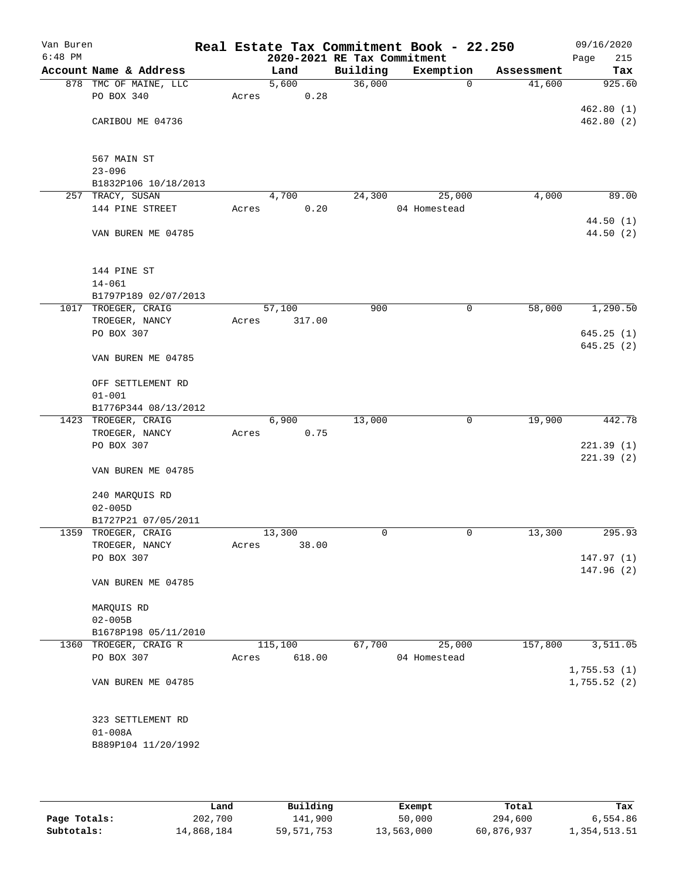| Van Buren<br>$6:48$ PM |                        |       | 2020-2021 RE Tax Commitment |          | Real Estate Tax Commitment Book - 22.250 |            | 09/16/2020<br>215<br>Page |
|------------------------|------------------------|-------|-----------------------------|----------|------------------------------------------|------------|---------------------------|
|                        | Account Name & Address |       | Land                        | Building | Exemption                                | Assessment | Tax                       |
|                        | 878 TMC OF MAINE, LLC  |       | 5,600                       | 36,000   | $\mathbf 0$                              | 41,600     | 925.60                    |
|                        | PO BOX 340             | Acres | 0.28                        |          |                                          |            |                           |
|                        |                        |       |                             |          |                                          |            | 462.80(1)                 |
|                        | CARIBOU ME 04736       |       |                             |          |                                          |            | 462.80(2)                 |
|                        |                        |       |                             |          |                                          |            |                           |
|                        |                        |       |                             |          |                                          |            |                           |
|                        | 567 MAIN ST            |       |                             |          |                                          |            |                           |
|                        | $23 - 096$             |       |                             |          |                                          |            |                           |
|                        | B1832P106 10/18/2013   |       |                             |          |                                          |            |                           |
|                        | 257 TRACY, SUSAN       |       | 4,700<br>0.20               | 24,300   | 25,000                                   | 4,000      | 89.00                     |
|                        | 144 PINE STREET        | Acres |                             |          | 04 Homestead                             |            | 44.50(1)                  |
|                        | VAN BUREN ME 04785     |       |                             |          |                                          |            | 44.50(2)                  |
|                        |                        |       |                             |          |                                          |            |                           |
|                        |                        |       |                             |          |                                          |            |                           |
|                        | 144 PINE ST            |       |                             |          |                                          |            |                           |
|                        | $14 - 061$             |       |                             |          |                                          |            |                           |
|                        | B1797P189 02/07/2013   |       |                             |          |                                          |            |                           |
|                        | 1017 TROEGER, CRAIG    |       | 57,100                      | 900      | $\mathsf{O}$                             | 58,000     | 1,290.50                  |
|                        | TROEGER, NANCY         | Acres | 317.00                      |          |                                          |            |                           |
|                        | PO BOX 307             |       |                             |          |                                          |            | 645.25(1)                 |
|                        |                        |       |                             |          |                                          |            | 645.25(2)                 |
|                        | VAN BUREN ME 04785     |       |                             |          |                                          |            |                           |
|                        |                        |       |                             |          |                                          |            |                           |
|                        | OFF SETTLEMENT RD      |       |                             |          |                                          |            |                           |
|                        | $01 - 001$             |       |                             |          |                                          |            |                           |
|                        | B1776P344 08/13/2012   |       |                             |          |                                          |            |                           |
|                        | 1423 TROEGER, CRAIG    |       | 6,900                       | 13,000   | $\mathbf 0$                              | 19,900     | 442.78                    |
|                        | TROEGER, NANCY         | Acres | 0.75                        |          |                                          |            |                           |
|                        | PO BOX 307             |       |                             |          |                                          |            | 221.39(1)                 |
|                        | VAN BUREN ME 04785     |       |                             |          |                                          |            | 221.39(2)                 |
|                        |                        |       |                             |          |                                          |            |                           |
|                        | 240 MARQUIS RD         |       |                             |          |                                          |            |                           |
|                        | $02 - 005D$            |       |                             |          |                                          |            |                           |
|                        | B1727P21 07/05/2011    |       |                             |          |                                          |            |                           |
|                        | 1359 TROEGER, CRAIG    |       | 13,300                      | 0        | 0                                        | 13,300     | 295.93                    |
|                        | TROEGER, NANCY         | Acres | 38.00                       |          |                                          |            |                           |
|                        | PO BOX 307             |       |                             |          |                                          |            | 147.97(1)                 |
|                        |                        |       |                             |          |                                          |            | 147.96(2)                 |
|                        | VAN BUREN ME 04785     |       |                             |          |                                          |            |                           |
|                        |                        |       |                             |          |                                          |            |                           |
|                        | MARQUIS RD             |       |                             |          |                                          |            |                           |
|                        | $02 - 005B$            |       |                             |          |                                          |            |                           |
|                        | B1678P198 05/11/2010   |       |                             |          |                                          |            |                           |
|                        | 1360 TROEGER, CRAIG R  |       | 115,100                     | 67,700   | 25,000                                   | 157,800    | 3,511.05                  |
|                        | PO BOX 307             | Acres | 618.00                      |          | 04 Homestead                             |            |                           |
|                        |                        |       |                             |          |                                          |            | 1,755.53(1)               |
|                        | VAN BUREN ME 04785     |       |                             |          |                                          |            | 1,755.52(2)               |
|                        |                        |       |                             |          |                                          |            |                           |
|                        | 323 SETTLEMENT RD      |       |                             |          |                                          |            |                           |
|                        | $01 - 008A$            |       |                             |          |                                          |            |                           |
|                        | B889P104 11/20/1992    |       |                             |          |                                          |            |                           |
|                        |                        |       |                             |          |                                          |            |                           |
|                        |                        |       |                             |          |                                          |            |                           |
|                        |                        |       |                             |          |                                          |            |                           |

|              | Land       | Building     | Exempt     | Total      | Tax          |
|--------------|------------|--------------|------------|------------|--------------|
| Page Totals: | 202,700    | 141,900      | 50,000     | 294,600    | 6,554.86     |
| Subtotals:   | 14,868,184 | 59, 571, 753 | 13,563,000 | 60,876,937 | 1,354,513.51 |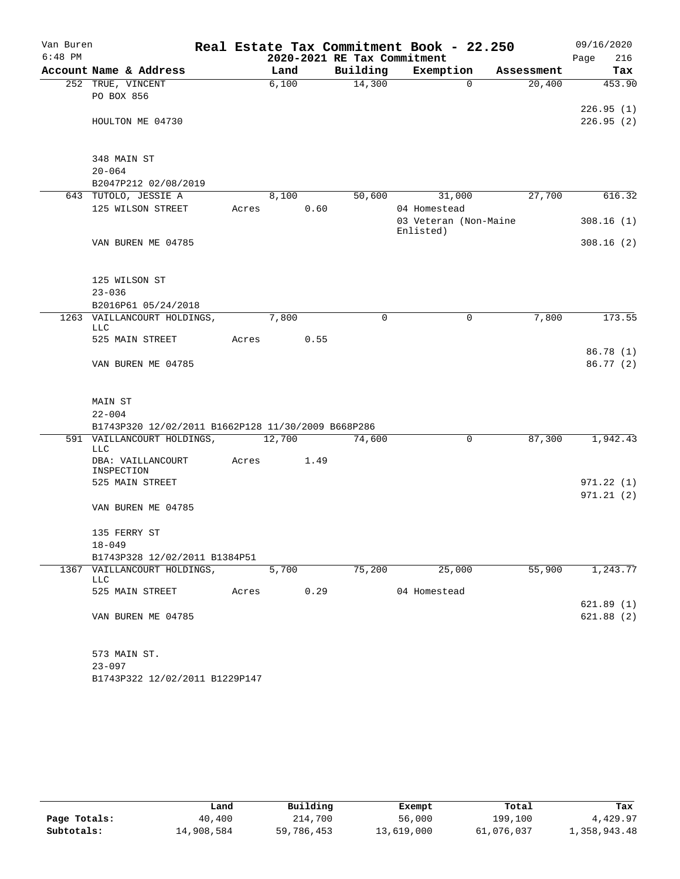| Van Buren |                                                    |       |        |      |                             | Real Estate Tax Commitment Book - 22.250 |             |            | 09/16/2020             |          |
|-----------|----------------------------------------------------|-------|--------|------|-----------------------------|------------------------------------------|-------------|------------|------------------------|----------|
| $6:48$ PM |                                                    |       |        |      | 2020-2021 RE Tax Commitment |                                          |             |            | Page                   | 216      |
|           | Account Name & Address                             |       | Land   |      | Building                    | Exemption                                |             | Assessment |                        | Tax      |
|           | 252 TRUE, VINCENT                                  |       | 6,100  |      | 14,300                      |                                          | $\Omega$    | 20,400     |                        | 453.90   |
|           | PO BOX 856                                         |       |        |      |                             |                                          |             |            |                        |          |
|           | HOULTON ME 04730                                   |       |        |      |                             |                                          |             |            | 226.95(1)<br>226.95(2) |          |
|           |                                                    |       |        |      |                             |                                          |             |            |                        |          |
|           |                                                    |       |        |      |                             |                                          |             |            |                        |          |
|           | 348 MAIN ST                                        |       |        |      |                             |                                          |             |            |                        |          |
|           | $20 - 064$                                         |       |        |      |                             |                                          |             |            |                        |          |
|           | B2047P212 02/08/2019                               |       |        |      |                             |                                          |             |            |                        |          |
|           | 643 TUTOLO, JESSIE A                               |       | 8,100  |      | 50,600                      | 31,000                                   |             | 27,700     |                        | 616.32   |
|           | 125 WILSON STREET                                  | Acres |        | 0.60 |                             | 04 Homestead<br>03 Veteran (Non-Maine    |             |            | 308.16(1)              |          |
|           |                                                    |       |        |      |                             | Enlisted)                                |             |            |                        |          |
|           | VAN BUREN ME 04785                                 |       |        |      |                             |                                          |             |            | 308.16(2)              |          |
|           |                                                    |       |        |      |                             |                                          |             |            |                        |          |
|           |                                                    |       |        |      |                             |                                          |             |            |                        |          |
|           | 125 WILSON ST                                      |       |        |      |                             |                                          |             |            |                        |          |
|           | $23 - 036$<br>B2016P61 05/24/2018                  |       |        |      |                             |                                          |             |            |                        |          |
|           | 1263 VAILLANCOURT HOLDINGS,                        |       | 7,800  |      | $\mathbf 0$                 |                                          | $\mathbf 0$ | 7,800      |                        | 173.55   |
|           | LLC                                                |       |        |      |                             |                                          |             |            |                        |          |
|           | 525 MAIN STREET                                    | Acres |        | 0.55 |                             |                                          |             |            |                        |          |
|           |                                                    |       |        |      |                             |                                          |             |            | 86.78(1)               |          |
|           | VAN BUREN ME 04785                                 |       |        |      |                             |                                          |             |            | 86.77(2)               |          |
|           |                                                    |       |        |      |                             |                                          |             |            |                        |          |
|           | MAIN ST                                            |       |        |      |                             |                                          |             |            |                        |          |
|           | $22 - 004$                                         |       |        |      |                             |                                          |             |            |                        |          |
|           | B1743P320 12/02/2011 B1662P128 11/30/2009 B668P286 |       |        |      |                             |                                          |             |            |                        |          |
|           | 591 VAILLANCOURT HOLDINGS,                         |       | 12,700 |      | 74,600                      |                                          | $\mathbf 0$ | 87,300     | 1,942.43               |          |
|           | LLC                                                |       | 1.49   |      |                             |                                          |             |            |                        |          |
|           | DBA: VAILLANCOURT<br>INSPECTION                    | Acres |        |      |                             |                                          |             |            |                        |          |
|           | 525 MAIN STREET                                    |       |        |      |                             |                                          |             |            | 971.22(1)              |          |
|           |                                                    |       |        |      |                             |                                          |             |            | 971.21(2)              |          |
|           | VAN BUREN ME 04785                                 |       |        |      |                             |                                          |             |            |                        |          |
|           |                                                    |       |        |      |                             |                                          |             |            |                        |          |
|           | 135 FERRY ST<br>$18 - 049$                         |       |        |      |                             |                                          |             |            |                        |          |
|           | B1743P328 12/02/2011 B1384P51                      |       |        |      |                             |                                          |             |            |                        |          |
|           | 1367 VAILLANCOURT HOLDINGS,                        |       | 5,700  |      | 75,200                      | 25,000                                   |             | 55,900     |                        | 1,243.77 |
|           | LLC                                                |       |        |      |                             |                                          |             |            |                        |          |
|           | 525 MAIN STREET                                    | Acres |        | 0.29 |                             | 04 Homestead                             |             |            |                        |          |
|           |                                                    |       |        |      |                             |                                          |             |            | 621.89(1)              |          |
|           | VAN BUREN ME 04785                                 |       |        |      |                             |                                          |             |            | 621.88(2)              |          |
|           | 573 MAIN ST.                                       |       |        |      |                             |                                          |             |            |                        |          |
|           | $23 - 097$                                         |       |        |      |                             |                                          |             |            |                        |          |
|           | B1743P322 12/02/2011 B1229P147                     |       |        |      |                             |                                          |             |            |                        |          |

|              | Land       | Building   | Exempt     | Total      | Tax          |
|--------------|------------|------------|------------|------------|--------------|
| Page Totals: | 40,400     | 214,700    | 56,000     | 199,100    | 4,429.97     |
| Subtotals:   | 14,908,584 | 59,786,453 | 13,619,000 | 61,076,037 | 1,358,943.48 |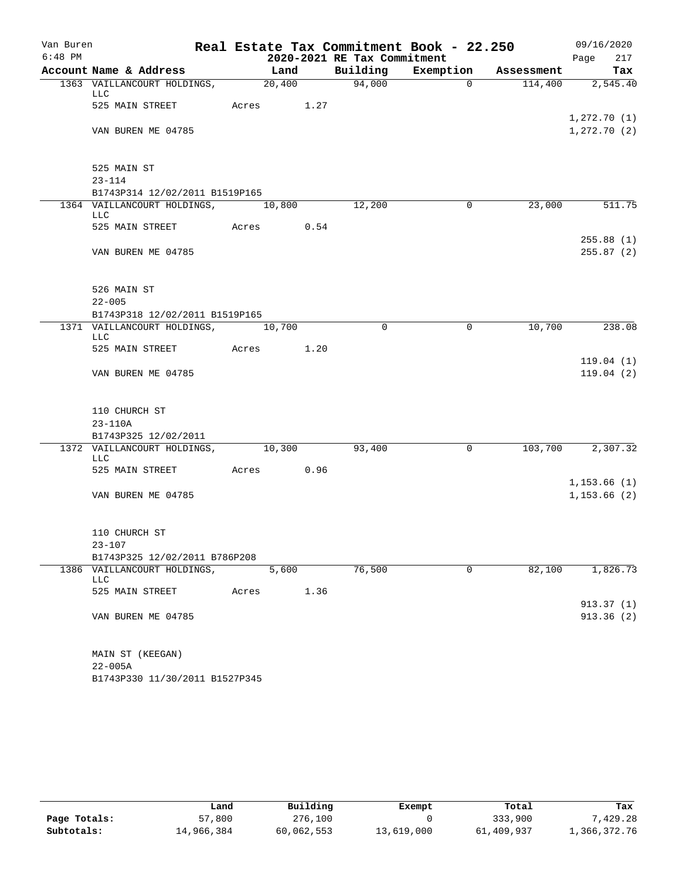| Van Buren |                                           |            |                    |      |                             | Real Estate Tax Commitment Book - 22.250 |             |            |                             | 09/16/2020             |
|-----------|-------------------------------------------|------------|--------------------|------|-----------------------------|------------------------------------------|-------------|------------|-----------------------------|------------------------|
| $6:48$ PM |                                           |            |                    |      | 2020-2021 RE Tax Commitment |                                          |             |            | Page                        | 217                    |
|           | Account Name & Address                    |            | Land               |      | Building                    | Exemption                                |             | Assessment |                             | Tax                    |
|           | 1363 VAILLANCOURT HOLDINGS,<br><b>LLC</b> |            | $\frac{1}{20,400}$ |      | 94,000                      |                                          | $\Omega$    | 114,400    |                             | 2,545.40               |
|           | 525 MAIN STREET                           | Acres 1.27 |                    |      |                             |                                          |             |            | 1,272.70(1)                 |                        |
|           | VAN BUREN ME 04785                        |            |                    |      |                             |                                          |             |            | 1,272.70(2)                 |                        |
|           | 525 MAIN ST                               |            |                    |      |                             |                                          |             |            |                             |                        |
|           | $23 - 114$                                |            |                    |      |                             |                                          |             |            |                             |                        |
|           | B1743P314 12/02/2011 B1519P165            |            |                    |      |                             |                                          |             |            |                             |                        |
|           | 1364 VAILLANCOURT HOLDINGS,               |            | 10,800             |      | 12,200                      |                                          | $\mathbf 0$ | 23,000     |                             | 511.75                 |
|           | LLC<br>525 MAIN STREET                    | Acres 0.54 |                    |      |                             |                                          |             |            |                             |                        |
|           | VAN BUREN ME 04785                        |            |                    |      |                             |                                          |             |            |                             | 255.88(1)<br>255.87(2) |
|           | 526 MAIN ST                               |            |                    |      |                             |                                          |             |            |                             |                        |
|           | $22 - 005$                                |            |                    |      |                             |                                          |             |            |                             |                        |
|           | B1743P318 12/02/2011 B1519P165            |            |                    |      |                             |                                          |             |            |                             |                        |
|           | 1371 VAILLANCOURT HOLDINGS,<br><b>LLC</b> |            | 10,700             |      | $\Omega$                    |                                          | 0           | 10,700     |                             | 238.08                 |
|           | 525 MAIN STREET                           | Acres      |                    | 1.20 |                             |                                          |             |            |                             |                        |
|           | VAN BUREN ME 04785                        |            |                    |      |                             |                                          |             |            |                             | 119.04(1)<br>119.04(2) |
|           | 110 CHURCH ST                             |            |                    |      |                             |                                          |             |            |                             |                        |
|           | $23 - 110A$                               |            |                    |      |                             |                                          |             |            |                             |                        |
|           | B1743P325 12/02/2011                      |            |                    |      |                             |                                          |             |            |                             |                        |
|           | 1372 VAILLANCOURT HOLDINGS,<br><b>LLC</b> | 10,300     |                    |      | 93,400                      |                                          | 0           | 103,700    |                             | 2,307.32               |
|           | 525 MAIN STREET                           | Acres      | 0.96               |      |                             |                                          |             |            |                             |                        |
|           | VAN BUREN ME 04785                        |            |                    |      |                             |                                          |             |            | 1,153.66(1)<br>1, 153.66(2) |                        |
|           | 110 CHURCH ST                             |            |                    |      |                             |                                          |             |            |                             |                        |
|           | $23 - 107$                                |            |                    |      |                             |                                          |             |            |                             |                        |
|           | B1743P325 12/02/2011 B786P208             |            |                    |      |                             |                                          |             |            |                             |                        |
|           | 1386 VAILLANCOURT HOLDINGS,<br>LLC        |            | 5,600              |      | 76,500                      |                                          | $\mathbf 0$ | 82,100     |                             | 1,826.73               |
|           | 525 MAIN STREET                           | Acres      |                    | 1.36 |                             |                                          |             |            |                             |                        |
|           | VAN BUREN ME 04785                        |            |                    |      |                             |                                          |             |            |                             | 913.37(1)<br>913.36(2) |
|           | MAIN ST (KEEGAN)                          |            |                    |      |                             |                                          |             |            |                             |                        |
|           | $22 - 005A$                               |            |                    |      |                             |                                          |             |            |                             |                        |
|           | B1743P330 11/30/2011 B1527P345            |            |                    |      |                             |                                          |             |            |                             |                        |

|              | Land       | Building   | Exempt     | Total      | Tax          |
|--------------|------------|------------|------------|------------|--------------|
| Page Totals: | 57,800     | 276,100    |            | 333,900    | 7.429.28     |
| Subtotals:   | 14,966,384 | 60,062,553 | 13,619,000 | 61,409,937 | 1,366,372.76 |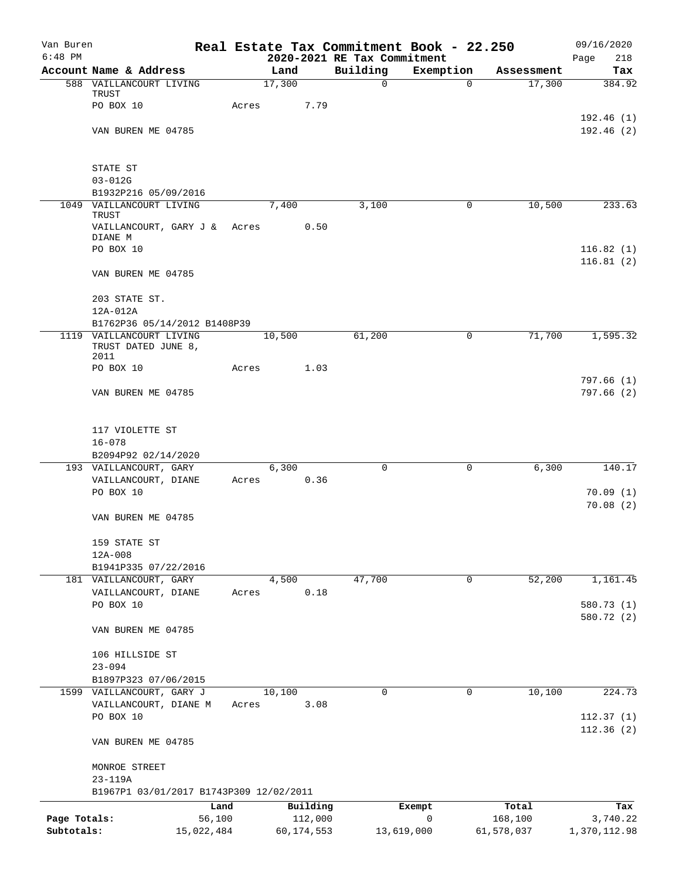| Van Buren    |                                                   |       |                     |                             | Real Estate Tax Commitment Book - 22.250 |                  | 09/16/2020             |
|--------------|---------------------------------------------------|-------|---------------------|-----------------------------|------------------------------------------|------------------|------------------------|
| $6:48$ PM    |                                                   |       |                     | 2020-2021 RE Tax Commitment |                                          |                  | Page<br>218            |
|              | Account Name & Address<br>588 VAILLANCOURT LIVING |       | Land<br>17,300      | Building                    | Exemption                                | Assessment       | Tax                    |
|              | TRUST                                             |       |                     | $\mathbf 0$                 | $\mathbf 0$                              | 17,300           | 384.92                 |
|              | PO BOX 10                                         | Acres | 7.79                |                             |                                          |                  |                        |
|              |                                                   |       |                     |                             |                                          |                  | 192.46(1)              |
|              | VAN BUREN ME 04785                                |       |                     |                             |                                          |                  | 192.46(2)              |
|              | STATE ST                                          |       |                     |                             |                                          |                  |                        |
|              | $03 - 012G$                                       |       |                     |                             |                                          |                  |                        |
|              | B1932P216 05/09/2016                              |       |                     |                             |                                          |                  |                        |
| 1049         | VAILLANCOURT LIVING<br>TRUST                      |       | 7,400               | 3,100                       | 0                                        | 10,500           | 233.63                 |
|              | VAILLANCOURT, GARY J &<br>DIANE M                 | Acres | 0.50                |                             |                                          |                  |                        |
|              | PO BOX 10                                         |       |                     |                             |                                          |                  | 116.82(1)<br>116.81(2) |
|              | VAN BUREN ME 04785                                |       |                     |                             |                                          |                  |                        |
|              | 203 STATE ST.<br>$12A-012A$                       |       |                     |                             |                                          |                  |                        |
|              | B1762P36 05/14/2012 B1408P39                      |       |                     |                             |                                          |                  |                        |
|              | 1119 VAILLANCOURT LIVING                          |       | 10,500              | 61,200                      | 0                                        | 71,700           | 1,595.32               |
|              | TRUST DATED JUNE 8,<br>2011                       |       |                     |                             |                                          |                  |                        |
|              | PO BOX 10                                         | Acres | 1.03                |                             |                                          |                  |                        |
|              |                                                   |       |                     |                             |                                          |                  | 797.66(1)              |
|              | VAN BUREN ME 04785                                |       |                     |                             |                                          |                  | 797.66(2)              |
|              | 117 VIOLETTE ST                                   |       |                     |                             |                                          |                  |                        |
|              | $16 - 078$                                        |       |                     |                             |                                          |                  |                        |
|              | B2094P92 02/14/2020                               |       |                     |                             |                                          |                  |                        |
|              | 193 VAILLANCOURT, GARY                            |       | 6,300<br>0.36       | 0                           | 0                                        | 6,300            | 140.17                 |
|              | VAILLANCOURT, DIANE<br>PO BOX 10                  | Acres |                     |                             |                                          |                  | 70.09(1)               |
|              |                                                   |       |                     |                             |                                          |                  | 70.08(2)               |
|              | VAN BUREN ME 04785                                |       |                     |                             |                                          |                  |                        |
|              | 159 STATE ST                                      |       |                     |                             |                                          |                  |                        |
|              | 12A-008                                           |       |                     |                             |                                          |                  |                        |
|              | B1941P335 07/22/2016                              |       |                     |                             |                                          |                  |                        |
|              | 181 VAILLANCOURT, GARY<br>VAILLANCOURT, DIANE     | Acres | 4,500<br>0.18       | 47,700                      | 0                                        | 52,200           | 1,161.45               |
|              | PO BOX 10                                         |       |                     |                             |                                          |                  | 580.73 (1)             |
|              |                                                   |       |                     |                             |                                          |                  | 580.72 (2)             |
|              | VAN BUREN ME 04785                                |       |                     |                             |                                          |                  |                        |
|              | 106 HILLSIDE ST                                   |       |                     |                             |                                          |                  |                        |
|              | $23 - 094$                                        |       |                     |                             |                                          |                  |                        |
|              | B1897P323 07/06/2015                              |       |                     |                             |                                          |                  |                        |
|              | 1599 VAILLANCOURT, GARY J                         |       | 10,100              | $\mathbf 0$                 | $\mathbf 0$                              | 10,100           | 224.73                 |
|              | VAILLANCOURT, DIANE M<br>PO BOX 10                | Acres | 3.08                |                             |                                          |                  | 112.37(1)              |
|              |                                                   |       |                     |                             |                                          |                  | 112.36(2)              |
|              | VAN BUREN ME 04785                                |       |                     |                             |                                          |                  |                        |
|              | MONROE STREET                                     |       |                     |                             |                                          |                  |                        |
|              | $23 - 119A$                                       |       |                     |                             |                                          |                  |                        |
|              | B1967P1 03/01/2017 B1743P309 12/02/2011           |       |                     |                             |                                          |                  |                        |
| Page Totals: | Land<br>56,100                                    |       | Building<br>112,000 |                             | Exempt<br>$\mathbf 0$                    | Total<br>168,100 | Tax<br>3,740.22        |
| Subtotals:   | 15,022,484                                        |       | 60,174,553          |                             | 13,619,000                               | 61,578,037       | 1,370,112.98           |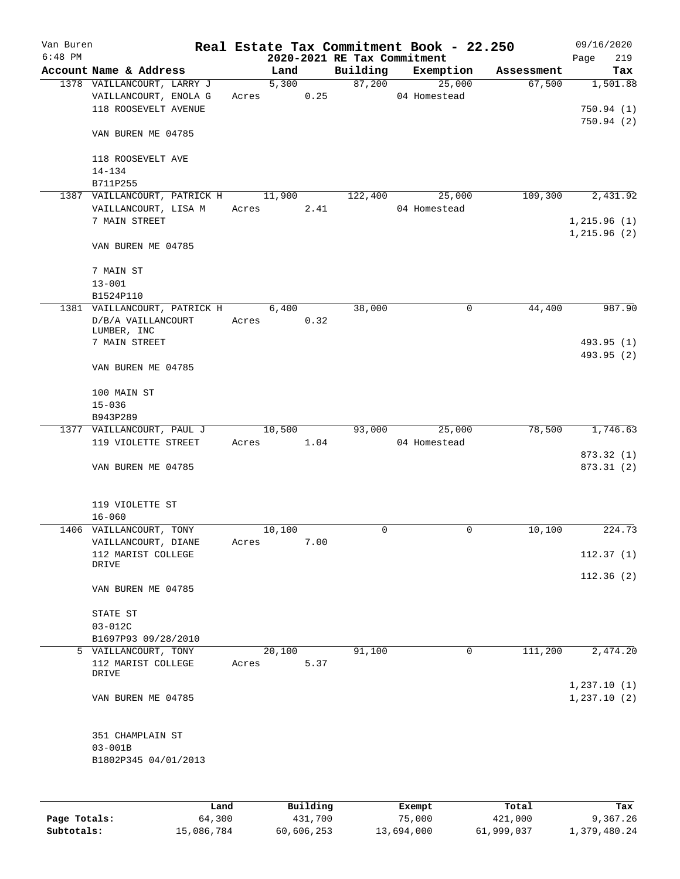| Van Buren<br>$6:48$ PM |                                            |            |        |      | Real Estate Tax Commitment Book - 22.250<br>2020-2021 RE Tax Commitment |               |        |            | 09/16/2020<br>219<br>Page |
|------------------------|--------------------------------------------|------------|--------|------|-------------------------------------------------------------------------|---------------|--------|------------|---------------------------|
|                        | Account Name & Address                     |            | Land   |      | Building                                                                | Exemption     |        | Assessment | Tax                       |
|                        | 1378 VAILLANCOURT, LARRY J                 |            | 5,300  |      | 87,200                                                                  |               | 25,000 | 67,500     | 1,501.88                  |
|                        | VAILLANCOURT, ENOLA G                      |            | Acres  | 0.25 |                                                                         | 04 Homestead  |        |            |                           |
|                        | 118 ROOSEVELT AVENUE                       |            |        |      |                                                                         |               |        |            | 750.94(1)                 |
|                        |                                            |            |        |      |                                                                         |               |        |            | 750.94(2)                 |
|                        | VAN BUREN ME 04785                         |            |        |      |                                                                         |               |        |            |                           |
|                        |                                            |            |        |      |                                                                         |               |        |            |                           |
|                        | 118 ROOSEVELT AVE                          |            |        |      |                                                                         |               |        |            |                           |
|                        | $14 - 134$                                 |            |        |      |                                                                         |               |        |            |                           |
|                        | B711P255                                   |            |        |      |                                                                         |               |        |            |                           |
|                        | 1387 VAILLANCOURT, PATRICK H               |            | 11,900 |      | 122,400                                                                 |               | 25,000 | 109,300    | 2,431.92                  |
|                        | VAILLANCOURT, LISA M                       | Acres      |        | 2.41 |                                                                         | 04 Homestead  |        |            |                           |
|                        | 7 MAIN STREET                              |            |        |      |                                                                         |               |        |            | 1, 215.96(1)              |
|                        |                                            |            |        |      |                                                                         |               |        |            | 1, 215.96(2)              |
|                        | VAN BUREN ME 04785                         |            |        |      |                                                                         |               |        |            |                           |
|                        | 7 MAIN ST                                  |            |        |      |                                                                         |               |        |            |                           |
|                        | $13 - 001$                                 |            |        |      |                                                                         |               |        |            |                           |
|                        | B1524P110                                  |            |        |      |                                                                         |               |        |            |                           |
|                        | 1381 VAILLANCOURT, PATRICK H               |            | 6,400  |      | 38,000                                                                  |               | 0      | 44,400     | 987.90                    |
|                        | D/B/A VAILLANCOURT                         | Acres 0.32 |        |      |                                                                         |               |        |            |                           |
|                        | LUMBER, INC                                |            |        |      |                                                                         |               |        |            |                           |
|                        | 7 MAIN STREET                              |            |        |      |                                                                         |               |        |            | 493.95 (1)                |
|                        |                                            |            |        |      |                                                                         |               |        |            | 493.95 (2)                |
|                        | VAN BUREN ME 04785                         |            |        |      |                                                                         |               |        |            |                           |
|                        |                                            |            |        |      |                                                                         |               |        |            |                           |
|                        | 100 MAIN ST                                |            |        |      |                                                                         |               |        |            |                           |
|                        | $15 - 036$                                 |            |        |      |                                                                         |               |        |            |                           |
|                        | B943P289                                   |            |        |      |                                                                         |               |        |            |                           |
|                        | 1377 VAILLANCOURT, PAUL J                  |            | 10,500 |      | 93,000                                                                  |               | 25,000 | 78,500     | 1,746.63                  |
|                        | 119 VIOLETTE STREET                        | Acres      |        | 1.04 |                                                                         | 04 Homestead  |        |            | 873.32 (1)                |
|                        | VAN BUREN ME 04785                         |            |        |      |                                                                         |               |        |            | 873.31 (2)                |
|                        |                                            |            |        |      |                                                                         |               |        |            |                           |
|                        |                                            |            |        |      |                                                                         |               |        |            |                           |
|                        | 119 VIOLETTE ST                            |            |        |      |                                                                         |               |        |            |                           |
|                        | $16 - 060$                                 |            |        |      |                                                                         |               |        |            |                           |
|                        | 1406 VAILLANCOURT, TONY                    |            | 10,100 |      | $\mathbf 0$                                                             |               | 0      | 10,100     | 224.73                    |
|                        | VAILLANCOURT, DIANE                        | Acres      |        | 7.00 |                                                                         |               |        |            |                           |
|                        | 112 MARIST COLLEGE                         |            |        |      |                                                                         |               |        |            | 112.37(1)                 |
|                        | DRIVE                                      |            |        |      |                                                                         |               |        |            |                           |
|                        |                                            |            |        |      |                                                                         |               |        |            | 112.36(2)                 |
|                        | VAN BUREN ME 04785                         |            |        |      |                                                                         |               |        |            |                           |
|                        |                                            |            |        |      |                                                                         |               |        |            |                           |
|                        | STATE ST                                   |            |        |      |                                                                         |               |        |            |                           |
|                        | $03 - 012C$                                |            |        |      |                                                                         |               |        |            |                           |
|                        | B1697P93 09/28/2010                        |            |        |      |                                                                         |               | 0      | 111,200    | 2,474.20                  |
|                        | 5 VAILLANCOURT, TONY<br>112 MARIST COLLEGE | Acres      | 20,100 | 5.37 | 91,100                                                                  |               |        |            |                           |
|                        | DRIVE                                      |            |        |      |                                                                         |               |        |            |                           |
|                        |                                            |            |        |      |                                                                         |               |        |            | 1,237.10(1)               |
|                        | VAN BUREN ME 04785                         |            |        |      |                                                                         |               |        |            | 1,237.10(2)               |
|                        |                                            |            |        |      |                                                                         |               |        |            |                           |
|                        |                                            |            |        |      |                                                                         |               |        |            |                           |
|                        | 351 CHAMPLAIN ST                           |            |        |      |                                                                         |               |        |            |                           |
|                        | $03 - 001B$                                |            |        |      |                                                                         |               |        |            |                           |
|                        | B1802P345 04/01/2013                       |            |        |      |                                                                         |               |        |            |                           |
|                        |                                            |            |        |      |                                                                         |               |        |            |                           |
|                        |                                            |            |        |      |                                                                         |               |        |            |                           |
|                        |                                            |            |        | P114 |                                                                         | <b>Durama</b> |        |            |                           |

|              | Land       | Building   | Exempt     | Total      | Tax          |
|--------------|------------|------------|------------|------------|--------------|
| Page Totals: | 64,300     | 431,700    | 75,000     | 421,000    | 9,367.26     |
| Subtotals:   | 15,086,784 | 60,606,253 | 13,694,000 | 61,999,037 | 1,379,480.24 |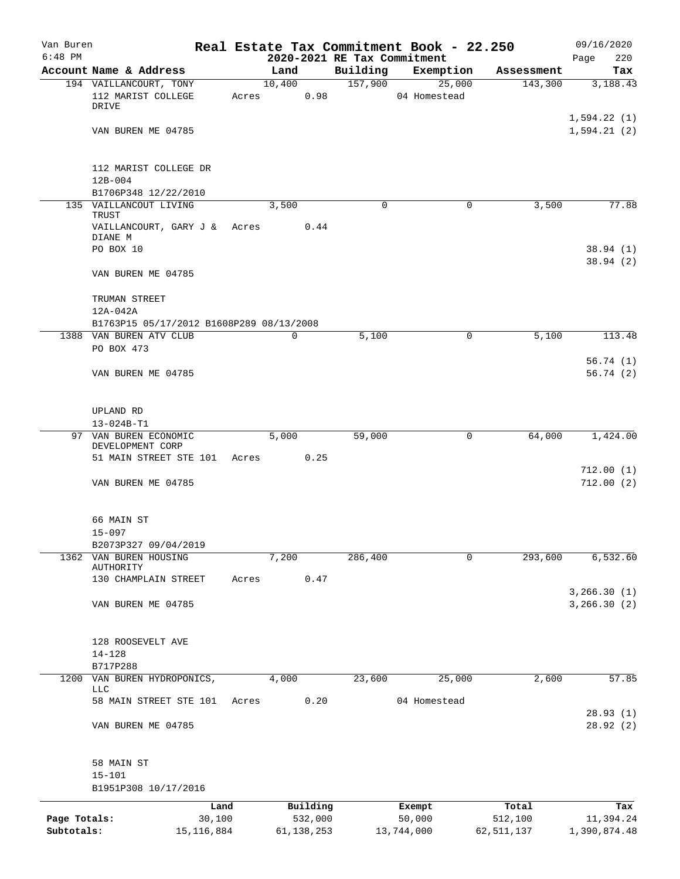| Van Buren                  |                                                  |                        |       |        |                         |                                         | Real Estate Tax Commitment Book - 22.250 |                         | 09/16/2020                    |
|----------------------------|--------------------------------------------------|------------------------|-------|--------|-------------------------|-----------------------------------------|------------------------------------------|-------------------------|-------------------------------|
| $6:48$ PM                  | Account Name & Address                           |                        |       | Land   |                         | 2020-2021 RE Tax Commitment<br>Building |                                          | Assessment              | 220<br>Page<br>Tax            |
|                            | 194 VAILLANCOURT, TONY                           |                        |       | 10,400 |                         | 157,900                                 | Exemption<br>25,000                      | 143,300                 | 3,188.43                      |
|                            | 112 MARIST COLLEGE<br>DRIVE                      |                        | Acres |        | 0.98                    |                                         | 04 Homestead                             |                         |                               |
|                            | VAN BUREN ME 04785                               |                        |       |        |                         |                                         |                                          |                         | 1,594.22(1)<br>1,594.21(2)    |
|                            | 112 MARIST COLLEGE DR<br>$12B - 004$             |                        |       |        |                         |                                         |                                          |                         |                               |
|                            | B1706P348 12/22/2010                             |                        |       |        |                         |                                         |                                          |                         |                               |
|                            | 135 VAILLANCOUT LIVING                           |                        |       | 3,500  |                         | $\mathbf 0$                             | 0                                        | 3,500                   | 77.88                         |
|                            | TRUST<br>VAILLANCOURT, GARY J & Acres<br>DIANE M |                        |       |        | 0.44                    |                                         |                                          |                         |                               |
|                            | PO BOX 10                                        |                        |       |        |                         |                                         |                                          |                         | 38.94(1)<br>38.94(2)          |
|                            | VAN BUREN ME 04785                               |                        |       |        |                         |                                         |                                          |                         |                               |
|                            | TRUMAN STREET<br>12A-042A                        |                        |       |        |                         |                                         |                                          |                         |                               |
|                            | B1763P15 05/17/2012 B1608P289 08/13/2008         |                        |       |        |                         |                                         |                                          |                         |                               |
|                            | 1388 VAN BUREN ATV CLUB<br>PO BOX 473            |                        |       | 0      |                         | 5,100                                   | 0                                        | 5,100                   | 113.48                        |
|                            |                                                  |                        |       |        |                         |                                         |                                          |                         | 56.74(1)                      |
|                            | VAN BUREN ME 04785                               |                        |       |        |                         |                                         |                                          |                         | 56.74(2)                      |
|                            | UPLAND RD                                        |                        |       |        |                         |                                         |                                          |                         |                               |
|                            | 13-024B-T1                                       |                        |       |        |                         |                                         |                                          |                         |                               |
|                            | 97 VAN BUREN ECONOMIC<br>DEVELOPMENT CORP        |                        |       | 5,000  |                         | 59,000                                  | 0                                        | 64,000                  | 1,424.00                      |
|                            | 51 MAIN STREET STE 101                           |                        | Acres |        | 0.25                    |                                         |                                          |                         | 712.00(1)                     |
|                            | VAN BUREN ME 04785                               |                        |       |        |                         |                                         |                                          |                         | 712.00(2)                     |
|                            | 66 MAIN ST                                       |                        |       |        |                         |                                         |                                          |                         |                               |
|                            | $15 - 097$                                       |                        |       |        |                         |                                         |                                          |                         |                               |
| 1362                       | B2073P327 09/04/2019<br>VAN BUREN HOUSING        |                        |       | 7,200  |                         | 286,400                                 | 0                                        | 293,600                 | 6,532.60                      |
|                            | <b>AUTHORITY</b>                                 |                        |       |        |                         |                                         |                                          |                         |                               |
|                            | 130 CHAMPLAIN STREET                             |                        | Acres |        | 0.47                    |                                         |                                          |                         |                               |
|                            | VAN BUREN ME 04785                               |                        |       |        |                         |                                         |                                          |                         | 3, 266.30(1)<br>3, 266.30 (2) |
|                            | 128 ROOSEVELT AVE                                |                        |       |        |                         |                                         |                                          |                         |                               |
|                            | $14 - 128$                                       |                        |       |        |                         |                                         |                                          |                         |                               |
|                            | B717P288                                         |                        |       |        |                         |                                         |                                          |                         |                               |
| 1200                       | VAN BUREN HYDROPONICS,<br>LLC                    |                        |       | 4,000  |                         | 23,600                                  | 25,000                                   | 2,600                   | 57.85                         |
|                            | 58 MAIN STREET STE 101                           |                        | Acres |        | 0.20                    |                                         | 04 Homestead                             |                         | 28.93(1)                      |
|                            | VAN BUREN ME 04785                               |                        |       |        |                         |                                         |                                          |                         | 28.92 (2)                     |
|                            | 58 MAIN ST                                       |                        |       |        |                         |                                         |                                          |                         |                               |
|                            | $15 - 101$                                       |                        |       |        |                         |                                         |                                          |                         |                               |
|                            | B1951P308 10/17/2016                             |                        |       |        |                         |                                         |                                          |                         |                               |
|                            |                                                  | Land                   |       |        | Building                |                                         | Exempt                                   | Total                   | Tax                           |
| Page Totals:<br>Subtotals: |                                                  | 30,100<br>15, 116, 884 |       |        | 532,000<br>61, 138, 253 |                                         | 50,000<br>13,744,000                     | 512,100<br>62, 511, 137 | 11,394.24<br>1,390,874.48     |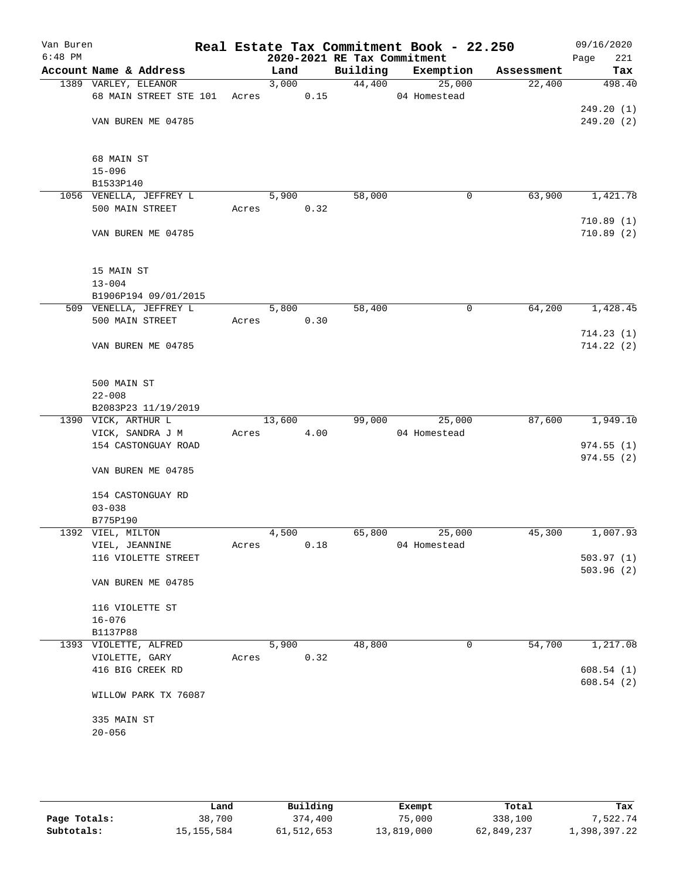| Van Buren<br>$6:48$ PM |                         |       |        |      |                                         | Real Estate Tax Commitment Book - 22.250 |            | 09/16/2020             |
|------------------------|-------------------------|-------|--------|------|-----------------------------------------|------------------------------------------|------------|------------------------|
|                        | Account Name & Address  |       | Land   |      | 2020-2021 RE Tax Commitment<br>Building | Exemption                                | Assessment | 221<br>Page<br>Tax     |
|                        | 1389 VARLEY, ELEANOR    |       | 3,000  |      | 44,400                                  | 25,000                                   | 22,400     | 498.40                 |
|                        | 68 MAIN STREET STE 101  | Acres |        | 0.15 |                                         | 04 Homestead                             |            |                        |
|                        |                         |       |        |      |                                         |                                          |            | 249.20(1)              |
|                        | VAN BUREN ME 04785      |       |        |      |                                         |                                          |            | 249.20(2)              |
|                        |                         |       |        |      |                                         |                                          |            |                        |
|                        |                         |       |        |      |                                         |                                          |            |                        |
|                        | 68 MAIN ST              |       |        |      |                                         |                                          |            |                        |
|                        | $15 - 096$              |       |        |      |                                         |                                          |            |                        |
|                        | B1533P140               |       |        |      |                                         |                                          |            |                        |
|                        | 1056 VENELLA, JEFFREY L |       | 5,900  |      | 58,000                                  | 0                                        | 63,900     | 1,421.78               |
|                        | 500 MAIN STREET         | Acres |        | 0.32 |                                         |                                          |            |                        |
|                        | VAN BUREN ME 04785      |       |        |      |                                         |                                          |            | 710.89(1)<br>710.89(2) |
|                        |                         |       |        |      |                                         |                                          |            |                        |
|                        |                         |       |        |      |                                         |                                          |            |                        |
|                        | 15 MAIN ST              |       |        |      |                                         |                                          |            |                        |
|                        | $13 - 004$              |       |        |      |                                         |                                          |            |                        |
|                        | B1906P194 09/01/2015    |       |        |      |                                         |                                          |            |                        |
|                        | 509 VENELLA, JEFFREY L  |       | 5,800  |      | 58,400                                  | 0                                        | 64,200     | 1,428.45               |
|                        | 500 MAIN STREET         | Acres |        | 0.30 |                                         |                                          |            |                        |
|                        |                         |       |        |      |                                         |                                          |            | 714.23(1)              |
|                        | VAN BUREN ME 04785      |       |        |      |                                         |                                          |            | 714.22(2)              |
|                        |                         |       |        |      |                                         |                                          |            |                        |
|                        | 500 MAIN ST             |       |        |      |                                         |                                          |            |                        |
|                        | $22 - 008$              |       |        |      |                                         |                                          |            |                        |
|                        | B2083P23 11/19/2019     |       |        |      |                                         |                                          |            |                        |
|                        | 1390 VICK, ARTHUR L     |       | 13,600 |      | 99,000                                  | 25,000                                   | 87,600     | 1,949.10               |
|                        | VICK, SANDRA J M        | Acres |        | 4.00 |                                         | 04 Homestead                             |            |                        |
|                        | 154 CASTONGUAY ROAD     |       |        |      |                                         |                                          |            | 974.55(1)              |
|                        |                         |       |        |      |                                         |                                          |            | 974.55(2)              |
|                        | VAN BUREN ME 04785      |       |        |      |                                         |                                          |            |                        |
|                        | 154 CASTONGUAY RD       |       |        |      |                                         |                                          |            |                        |
|                        | $03 - 038$              |       |        |      |                                         |                                          |            |                        |
|                        | B775P190                |       |        |      |                                         |                                          |            |                        |
|                        | 1392 VIEL, MILTON       |       | 4,500  |      | 65,800                                  | 25,000                                   | 45,300     | 1,007.93               |
|                        | VIEL, JEANNINE          | Acres |        | 0.18 |                                         | 04 Homestead                             |            |                        |
|                        | 116 VIOLETTE STREET     |       |        |      |                                         |                                          |            | 503.97(1)              |
|                        |                         |       |        |      |                                         |                                          |            | 503.96(2)              |
|                        | VAN BUREN ME 04785      |       |        |      |                                         |                                          |            |                        |
|                        |                         |       |        |      |                                         |                                          |            |                        |
|                        | 116 VIOLETTE ST         |       |        |      |                                         |                                          |            |                        |
|                        | $16 - 076$<br>B1137P88  |       |        |      |                                         |                                          |            |                        |
|                        | 1393 VIOLETTE, ALFRED   |       | 5,900  |      | 48,800                                  | 0                                        | 54,700     | 1,217.08               |
|                        | VIOLETTE, GARY          | Acres |        | 0.32 |                                         |                                          |            |                        |
|                        | 416 BIG CREEK RD        |       |        |      |                                         |                                          |            | 608.54(1)              |
|                        |                         |       |        |      |                                         |                                          |            | 608.54(2)              |
|                        | WILLOW PARK TX 76087    |       |        |      |                                         |                                          |            |                        |
|                        |                         |       |        |      |                                         |                                          |            |                        |
|                        | 335 MAIN ST             |       |        |      |                                         |                                          |            |                        |
|                        | $20 - 056$              |       |        |      |                                         |                                          |            |                        |
|                        |                         |       |        |      |                                         |                                          |            |                        |

|              | Land         | Building     | Exempt     | Total      | Tax          |
|--------------|--------------|--------------|------------|------------|--------------|
| Page Totals: | 38,700       | 374,400      | 75,000     | 338,100    | 7.522.74     |
| Subtotals:   | 15, 155, 584 | 61, 512, 653 | 13,819,000 | 62,849,237 | 1,398,397.22 |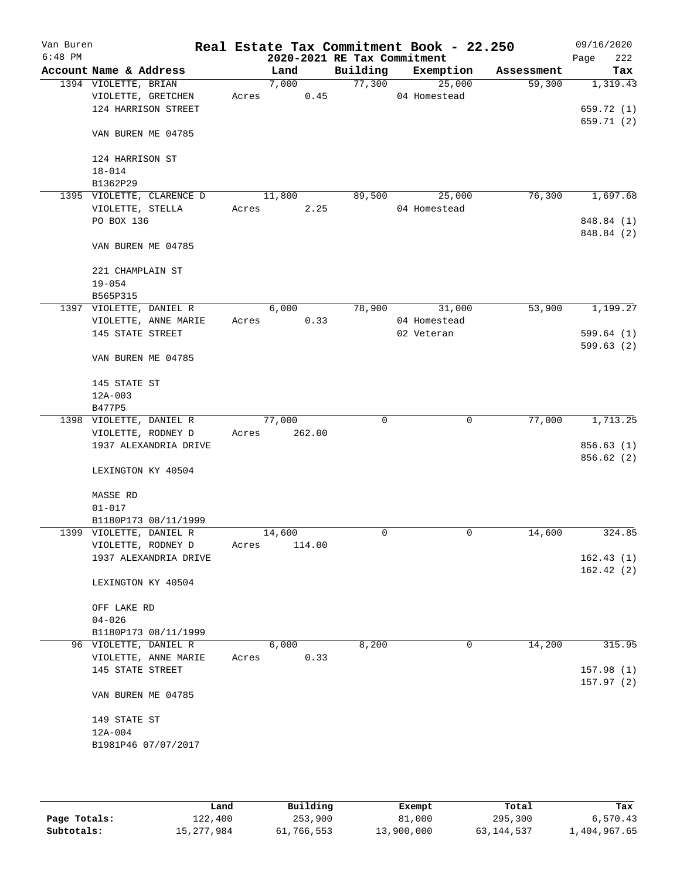| Van Buren<br>$6:48$ PM |                                |       |        |        | 2020-2021 RE Tax Commitment | Real Estate Tax Commitment Book - 22.250 |            | 09/16/2020<br>222<br>Page |
|------------------------|--------------------------------|-------|--------|--------|-----------------------------|------------------------------------------|------------|---------------------------|
|                        | Account Name & Address         |       | Land   |        | Building                    | Exemption                                | Assessment | Tax                       |
|                        | 1394 VIOLETTE, BRIAN           |       | 7,000  |        | 77,300                      | 25,000                                   | 59,300     | 1,319.43                  |
|                        | VIOLETTE, GRETCHEN             | Acres |        | 0.45   |                             | 04 Homestead                             |            |                           |
|                        | 124 HARRISON STREET            |       |        |        |                             |                                          |            | 659.72 (1)                |
|                        | VAN BUREN ME 04785             |       |        |        |                             |                                          |            | 659.71 (2)                |
|                        | 124 HARRISON ST                |       |        |        |                             |                                          |            |                           |
|                        | $18 - 014$<br>B1362P29         |       |        |        |                             |                                          |            |                           |
|                        | 1395 VIOLETTE, CLARENCE D      |       | 11,800 |        | 89,500                      | 25,000                                   | 76,300     | 1,697.68                  |
|                        | VIOLETTE, STELLA               | Acres |        | 2.25   |                             | 04 Homestead                             |            |                           |
|                        | PO BOX 136                     |       |        |        |                             |                                          |            | 848.84 (1)                |
|                        | VAN BUREN ME 04785             |       |        |        |                             |                                          |            | 848.84 (2)                |
|                        | 221 CHAMPLAIN ST<br>$19 - 054$ |       |        |        |                             |                                          |            |                           |
|                        | B565P315                       |       |        |        |                             |                                          |            |                           |
|                        | 1397 VIOLETTE, DANIEL R        |       | 6,000  |        | 78,900                      | 31,000                                   | 53,900     | 1,199.27                  |
|                        | VIOLETTE, ANNE MARIE           | Acres |        | 0.33   |                             | 04 Homestead                             |            |                           |
|                        | 145 STATE STREET               |       |        |        |                             | 02 Veteran                               |            | 599.64(1)                 |
|                        | VAN BUREN ME 04785             |       |        |        |                             |                                          |            | 599.63(2)                 |
|                        | 145 STATE ST                   |       |        |        |                             |                                          |            |                           |
|                        | $12A-003$                      |       |        |        |                             |                                          |            |                           |
|                        | B477P5                         |       |        |        |                             |                                          |            |                           |
|                        | 1398 VIOLETTE, DANIEL R        |       | 77,000 |        | 0                           | $\mathbf 0$                              | 77,000     | 1,713.25                  |
|                        | VIOLETTE, RODNEY D             | Acres |        | 262.00 |                             |                                          |            |                           |
|                        | 1937 ALEXANDRIA DRIVE          |       |        |        |                             |                                          |            | 856.63 (1)                |
|                        | LEXINGTON KY 40504             |       |        |        |                             |                                          |            | 856.62 (2)                |
|                        | MASSE RD                       |       |        |        |                             |                                          |            |                           |
|                        | $01 - 017$                     |       |        |        |                             |                                          |            |                           |
|                        | B1180P173 08/11/1999           |       |        |        |                             |                                          |            |                           |
|                        | 1399 VIOLETTE, DANIEL R        |       | 14,600 |        | 0                           | $\mathbf 0$                              | 14,600     | 324.85                    |
|                        | VIOLETTE, RODNEY D             | Acres |        | 114.00 |                             |                                          |            |                           |
|                        | 1937 ALEXANDRIA DRIVE          |       |        |        |                             |                                          |            | 162.43(1)                 |
|                        | LEXINGTON KY 40504             |       |        |        |                             |                                          |            | 162.42(2)                 |
|                        | OFF LAKE RD                    |       |        |        |                             |                                          |            |                           |
|                        | $04 - 026$                     |       |        |        |                             |                                          |            |                           |
|                        | B1180P173 08/11/1999           |       |        |        |                             |                                          |            |                           |
|                        | 96 VIOLETTE, DANIEL R          |       | 6,000  |        | 8,200                       | $\mathbf 0$                              | 14,200     | 315.95                    |
|                        | VIOLETTE, ANNE MARIE           | Acres |        | 0.33   |                             |                                          |            |                           |
|                        | 145 STATE STREET               |       |        |        |                             |                                          |            | 157.98 (1)                |
|                        | VAN BUREN ME 04785             |       |        |        |                             |                                          |            | 157.97(2)                 |
|                        | 149 STATE ST                   |       |        |        |                             |                                          |            |                           |
|                        | $12A-004$                      |       |        |        |                             |                                          |            |                           |
|                        | B1981P46 07/07/2017            |       |        |        |                             |                                          |            |                           |
|                        |                                |       |        |        |                             |                                          |            |                           |
|                        |                                |       |        |        |                             |                                          |            |                           |

|              | Land       | Building   | Exempt     | Total        | Tax          |
|--------------|------------|------------|------------|--------------|--------------|
| Page Totals: | 122,400    | 253,900    | 81,000     | 295,300      | 6,570.43     |
| Subtotals:   | 15,277,984 | 61,766,553 | 13,900,000 | 63, 144, 537 | 1,404,967.65 |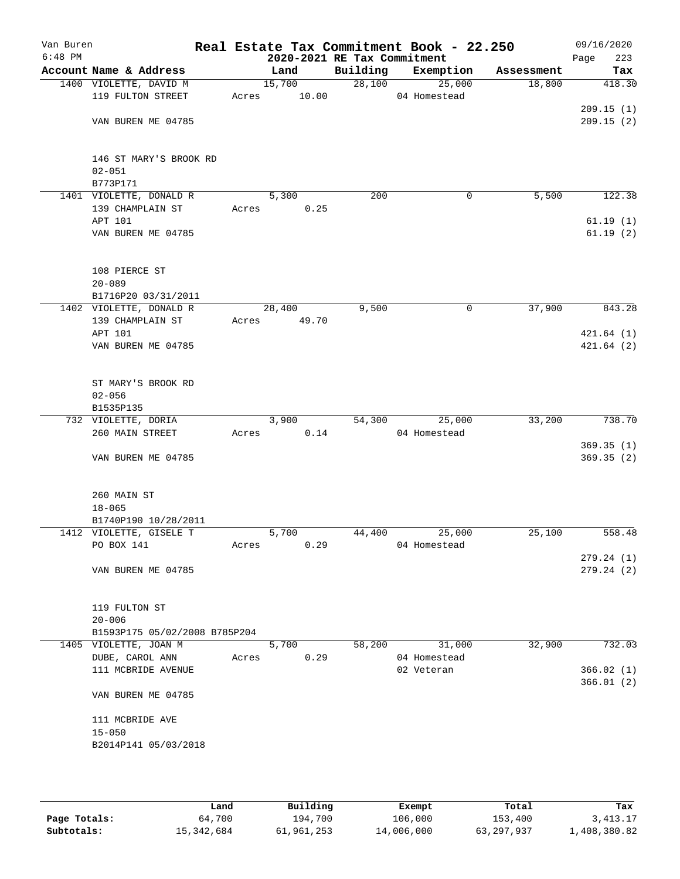| Van Buren<br>$6:48$ PM |                                     |       | 2020-2021 RE Tax Commitment |          | Real Estate Tax Commitment Book - 22.250 |            | 09/16/2020<br>223<br>Page |
|------------------------|-------------------------------------|-------|-----------------------------|----------|------------------------------------------|------------|---------------------------|
|                        | Account Name & Address              |       | Land                        | Building | Exemption                                | Assessment | Tax                       |
|                        | 1400 VIOLETTE, DAVID M              |       | 15,700                      | 28,100   | 25,000                                   | 18,800     | 418.30                    |
|                        | 119 FULTON STREET                   | Acres | 10.00                       |          | 04 Homestead                             |            |                           |
|                        |                                     |       |                             |          |                                          |            | 209.15(1)                 |
|                        | VAN BUREN ME 04785                  |       |                             |          |                                          |            | 209.15(2)                 |
|                        |                                     |       |                             |          |                                          |            |                           |
|                        |                                     |       |                             |          |                                          |            |                           |
|                        | 146 ST MARY'S BROOK RD              |       |                             |          |                                          |            |                           |
|                        | $02 - 051$                          |       |                             |          |                                          |            |                           |
|                        | B773P171<br>1401 VIOLETTE, DONALD R |       | 5,300                       | 200      | 0                                        | 5,500      | 122.38                    |
|                        | 139 CHAMPLAIN ST                    | Acres | 0.25                        |          |                                          |            |                           |
|                        | APT 101                             |       |                             |          |                                          |            | 61.19(1)                  |
|                        | VAN BUREN ME 04785                  |       |                             |          |                                          |            | 61.19(2)                  |
|                        |                                     |       |                             |          |                                          |            |                           |
|                        |                                     |       |                             |          |                                          |            |                           |
|                        | 108 PIERCE ST                       |       |                             |          |                                          |            |                           |
|                        | $20 - 089$                          |       |                             |          |                                          |            |                           |
|                        | B1716P20 03/31/2011                 |       |                             |          |                                          |            |                           |
|                        | 1402 VIOLETTE, DONALD R             |       | 28,400                      | 9,500    | 0                                        | 37,900     | 843.28                    |
|                        | 139 CHAMPLAIN ST                    | Acres | 49.70                       |          |                                          |            |                           |
|                        | APT 101<br>VAN BUREN ME 04785       |       |                             |          |                                          |            | 421.64(1)<br>421.64(2)    |
|                        |                                     |       |                             |          |                                          |            |                           |
|                        |                                     |       |                             |          |                                          |            |                           |
|                        | ST MARY'S BROOK RD                  |       |                             |          |                                          |            |                           |
|                        | $02 - 056$                          |       |                             |          |                                          |            |                           |
|                        | B1535P135                           |       |                             |          |                                          |            |                           |
|                        | 732 VIOLETTE, DORIA                 |       | 3,900                       | 54,300   | 25,000                                   | 33,200     | 738.70                    |
|                        | 260 MAIN STREET                     | Acres | 0.14                        |          | 04 Homestead                             |            |                           |
|                        |                                     |       |                             |          |                                          |            | 369.35(1)                 |
|                        | VAN BUREN ME 04785                  |       |                             |          |                                          |            | 369.35(2)                 |
|                        |                                     |       |                             |          |                                          |            |                           |
|                        | 260 MAIN ST                         |       |                             |          |                                          |            |                           |
|                        | $18 - 065$                          |       |                             |          |                                          |            |                           |
|                        | B1740P190 10/28/2011                |       |                             |          |                                          |            |                           |
|                        | 1412 VIOLETTE, GISELE T             |       | 5,700                       | 44,400   | 25,000                                   | 25,100     | 558.48                    |
|                        | PO BOX 141                          | Acres | 0.29                        |          | 04 Homestead                             |            |                           |
|                        |                                     |       |                             |          |                                          |            | 279.24 (1)                |
|                        | VAN BUREN ME 04785                  |       |                             |          |                                          |            | 279.24(2)                 |
|                        |                                     |       |                             |          |                                          |            |                           |
|                        | 119 FULTON ST                       |       |                             |          |                                          |            |                           |
|                        | $20 - 006$                          |       |                             |          |                                          |            |                           |
|                        | B1593P175 05/02/2008 B785P204       |       |                             |          |                                          |            |                           |
|                        | 1405 VIOLETTE, JOAN M               |       | 5,700                       | 58,200   | 31,000                                   | 32,900     | 732.03                    |
|                        | DUBE, CAROL ANN                     | Acres | 0.29                        |          | 04 Homestead                             |            |                           |
|                        | 111 MCBRIDE AVENUE                  |       |                             |          | 02 Veteran                               |            | 366.02(1)                 |
|                        |                                     |       |                             |          |                                          |            | 366.01(2)                 |
|                        | VAN BUREN ME 04785                  |       |                             |          |                                          |            |                           |
|                        | 111 MCBRIDE AVE                     |       |                             |          |                                          |            |                           |
|                        | $15 - 050$                          |       |                             |          |                                          |            |                           |
|                        | B2014P141 05/03/2018                |       |                             |          |                                          |            |                           |
|                        |                                     |       |                             |          |                                          |            |                           |
|                        |                                     |       |                             |          |                                          |            |                           |

|              | Land       | Building   | Exempt     | Total      | Tax          |
|--------------|------------|------------|------------|------------|--------------|
| Page Totals: | 64,700     | 194,700    | 106,000    | 153,400    | 3,413.17     |
| Subtotals:   | 15,342,684 | 61,961,253 | 14,006,000 | 63,297,937 | l,408,380.82 |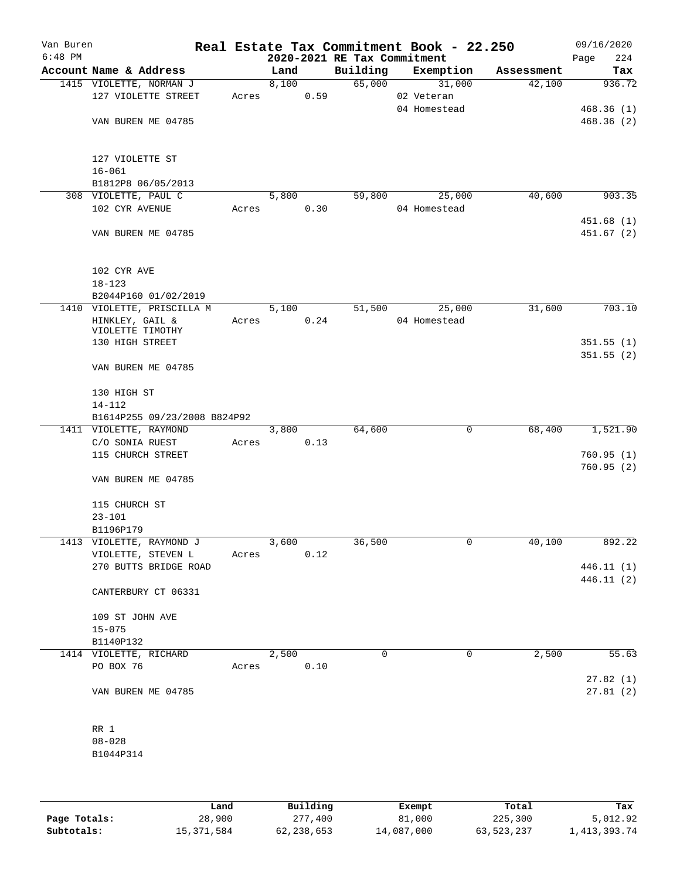| Van Buren<br>$6:48$ PM |                              |       |       |      | 2020-2021 RE Tax Commitment | Real Estate Tax Commitment Book - 22.250 |            | 09/16/2020<br>224<br>Page |
|------------------------|------------------------------|-------|-------|------|-----------------------------|------------------------------------------|------------|---------------------------|
|                        | Account Name & Address       |       | Land  |      | Building                    | Exemption                                | Assessment | Tax                       |
|                        | 1415 VIOLETTE, NORMAN J      |       | 8,100 |      | 65,000                      | 31,000                                   | 42,100     | 936.72                    |
|                        | 127 VIOLETTE STREET          | Acres |       | 0.59 |                             | 02 Veteran                               |            |                           |
|                        |                              |       |       |      |                             | 04 Homestead                             |            | 468.36(1)                 |
|                        | VAN BUREN ME 04785           |       |       |      |                             |                                          |            | 468.36(2)                 |
|                        |                              |       |       |      |                             |                                          |            |                           |
|                        |                              |       |       |      |                             |                                          |            |                           |
|                        | 127 VIOLETTE ST              |       |       |      |                             |                                          |            |                           |
|                        | $16 - 061$                   |       |       |      |                             |                                          |            |                           |
|                        | B1812P8 06/05/2013           |       |       |      |                             |                                          |            |                           |
|                        | 308 VIOLETTE, PAUL C         |       | 5,800 |      | 59,800                      | 25,000                                   | 40,600     | 903.35                    |
|                        | 102 CYR AVENUE               | Acres |       | 0.30 |                             | 04 Homestead                             |            |                           |
|                        |                              |       |       |      |                             |                                          |            | 451.68(1)                 |
|                        | VAN BUREN ME 04785           |       |       |      |                             |                                          |            | 451.67(2)                 |
|                        |                              |       |       |      |                             |                                          |            |                           |
|                        | 102 CYR AVE                  |       |       |      |                             |                                          |            |                           |
|                        | $18 - 123$                   |       |       |      |                             |                                          |            |                           |
|                        | B2044P160 01/02/2019         |       |       |      |                             |                                          |            |                           |
|                        | 1410 VIOLETTE, PRISCILLA M   |       | 5,100 |      | 51,500                      | 25,000                                   | 31,600     | 703.10                    |
|                        | HINKLEY, GAIL &              | Acres |       | 0.24 |                             | 04 Homestead                             |            |                           |
|                        | VIOLETTE TIMOTHY             |       |       |      |                             |                                          |            |                           |
|                        | 130 HIGH STREET              |       |       |      |                             |                                          |            | 351.55(1)                 |
|                        |                              |       |       |      |                             |                                          |            | 351.55(2)                 |
|                        | VAN BUREN ME 04785           |       |       |      |                             |                                          |            |                           |
|                        |                              |       |       |      |                             |                                          |            |                           |
|                        | 130 HIGH ST                  |       |       |      |                             |                                          |            |                           |
|                        | $14 - 112$                   |       |       |      |                             |                                          |            |                           |
|                        | B1614P255 09/23/2008 B824P92 |       |       |      |                             |                                          |            |                           |
|                        | 1411 VIOLETTE, RAYMOND       |       | 3,800 |      | 64,600                      | 0                                        | 68,400     | 1,521.90                  |
|                        | C/O SONIA RUEST              | Acres |       | 0.13 |                             |                                          |            |                           |
|                        | 115 CHURCH STREET            |       |       |      |                             |                                          |            | 760.95(1)                 |
|                        | VAN BUREN ME 04785           |       |       |      |                             |                                          |            | 760.95(2)                 |
|                        |                              |       |       |      |                             |                                          |            |                           |
|                        | 115 CHURCH ST                |       |       |      |                             |                                          |            |                           |
|                        | $23 - 101$                   |       |       |      |                             |                                          |            |                           |
|                        | B1196P179                    |       |       |      |                             |                                          |            |                           |
|                        | 1413 VIOLETTE, RAYMOND J     |       | 3,600 |      | 36,500                      | 0                                        | 40,100     | 892.22                    |
|                        | VIOLETTE, STEVEN L           | Acres |       | 0.12 |                             |                                          |            |                           |
|                        | 270 BUTTS BRIDGE ROAD        |       |       |      |                             |                                          |            | 446.11 (1)                |
|                        |                              |       |       |      |                             |                                          |            | 446.11(2)                 |
|                        | CANTERBURY CT 06331          |       |       |      |                             |                                          |            |                           |
|                        |                              |       |       |      |                             |                                          |            |                           |
|                        | 109 ST JOHN AVE              |       |       |      |                             |                                          |            |                           |
|                        | $15 - 075$                   |       |       |      |                             |                                          |            |                           |
|                        | B1140P132                    |       |       |      |                             |                                          |            |                           |
|                        | 1414 VIOLETTE, RICHARD       |       | 2,500 |      | 0                           | 0                                        | 2,500      | 55.63                     |
|                        | PO BOX 76                    | Acres |       | 0.10 |                             |                                          |            |                           |
|                        |                              |       |       |      |                             |                                          |            | 27.82(1)                  |
|                        | VAN BUREN ME 04785           |       |       |      |                             |                                          |            | 27.81(2)                  |
|                        |                              |       |       |      |                             |                                          |            |                           |
|                        |                              |       |       |      |                             |                                          |            |                           |
|                        | RR 1                         |       |       |      |                             |                                          |            |                           |
|                        | $08 - 028$                   |       |       |      |                             |                                          |            |                           |
|                        | B1044P314                    |       |       |      |                             |                                          |            |                           |
|                        |                              |       |       |      |                             |                                          |            |                           |
|                        |                              |       |       |      |                             |                                          |            |                           |

|              | Land         | Building     | Exempt     | Total      | Tax             |
|--------------|--------------|--------------|------------|------------|-----------------|
| Page Totals: | 28,900       | 277,400      | 81,000     | 225,300    | 5,012.92        |
| Subtotals:   | 15, 371, 584 | 62, 238, 653 | 14,087,000 | 63,523,237 | 1, 413, 393. 74 |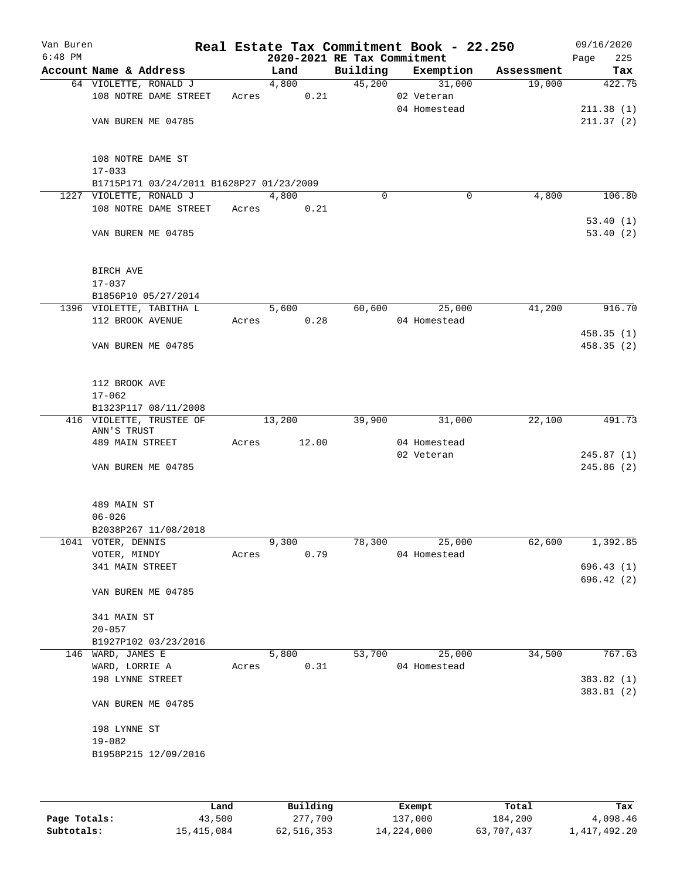| Van Buren<br>$6:48$ PM |                                           |       | 2020-2021 RE Tax Commitment |          | Real Estate Tax Commitment Book - 22.250 |            | 09/16/2020<br>225<br>Page |
|------------------------|-------------------------------------------|-------|-----------------------------|----------|------------------------------------------|------------|---------------------------|
|                        | Account Name & Address                    |       | Land                        | Building | Exemption                                | Assessment | Tax                       |
|                        | 64 VIOLETTE, RONALD J                     |       | 4,800                       |          | 45,200<br>31,000                         | 19,000     | 422.75                    |
|                        | 108 NOTRE DAME STREET                     | Acres | 0.21                        |          | 02 Veteran                               |            |                           |
|                        |                                           |       |                             |          | 04 Homestead                             |            | 211.38(1)                 |
|                        | VAN BUREN ME 04785                        |       |                             |          |                                          |            | 211.37(2)                 |
|                        |                                           |       |                             |          |                                          |            |                           |
|                        |                                           |       |                             |          |                                          |            |                           |
|                        | 108 NOTRE DAME ST                         |       |                             |          |                                          |            |                           |
|                        | $17 - 033$                                |       |                             |          |                                          |            |                           |
|                        | B1715P171 03/24/2011 B1628P27 01/23/2009  |       |                             |          |                                          |            |                           |
|                        | 1227 VIOLETTE, RONALD J                   |       | 4,800                       | $\Omega$ | 0                                        | 4,800      | 106.80                    |
|                        | 108 NOTRE DAME STREET                     | Acres | 0.21                        |          |                                          |            | 53.40(1)                  |
|                        | VAN BUREN ME 04785                        |       |                             |          |                                          |            | 53.40(2)                  |
|                        |                                           |       |                             |          |                                          |            |                           |
|                        |                                           |       |                             |          |                                          |            |                           |
|                        | BIRCH AVE                                 |       |                             |          |                                          |            |                           |
|                        | $17 - 037$                                |       |                             |          |                                          |            |                           |
|                        | B1856P10 05/27/2014                       |       |                             |          |                                          |            |                           |
|                        | 1396 VIOLETTE, TABITHA L                  |       | 5,600                       | 60,600   | 25,000                                   | 41,200     | 916.70                    |
|                        | 112 BROOK AVENUE                          | Acres | 0.28                        |          | 04 Homestead                             |            |                           |
|                        |                                           |       |                             |          |                                          |            | 458.35(1)                 |
|                        | VAN BUREN ME 04785                        |       |                             |          |                                          |            | 458.35 (2)                |
|                        |                                           |       |                             |          |                                          |            |                           |
|                        |                                           |       |                             |          |                                          |            |                           |
|                        | 112 BROOK AVE<br>$17 - 062$               |       |                             |          |                                          |            |                           |
|                        | B1323P117 08/11/2008                      |       |                             |          |                                          |            |                           |
|                        | 416 VIOLETTE, TRUSTEE OF                  |       | 13,200                      | 39,900   | 31,000                                   | 22,100     | 491.73                    |
|                        | ANN'S TRUST                               |       |                             |          |                                          |            |                           |
|                        | 489 MAIN STREET                           | Acres | 12.00                       |          | 04 Homestead                             |            |                           |
|                        |                                           |       |                             |          | 02 Veteran                               |            | 245.87(1)                 |
|                        | VAN BUREN ME 04785                        |       |                             |          |                                          |            | 245.86 (2)                |
|                        |                                           |       |                             |          |                                          |            |                           |
|                        | 489 MAIN ST                               |       |                             |          |                                          |            |                           |
|                        | $06 - 026$                                |       |                             |          |                                          |            |                           |
|                        | B2038P267 11/08/2018                      |       |                             |          |                                          |            |                           |
|                        | 1041 VOTER, DENNIS                        |       | 9,300                       | 78,300   | 25,000                                   | 62,600     | 1,392.85                  |
|                        | VOTER, MINDY                              | Acres | 0.79                        |          | 04 Homestead                             |            |                           |
|                        | 341 MAIN STREET                           |       |                             |          |                                          |            | 696.43(1)                 |
|                        |                                           |       |                             |          |                                          |            | 696.42 (2)                |
|                        | VAN BUREN ME 04785                        |       |                             |          |                                          |            |                           |
|                        |                                           |       |                             |          |                                          |            |                           |
|                        | 341 MAIN ST                               |       |                             |          |                                          |            |                           |
|                        | $20 - 057$                                |       |                             |          |                                          |            |                           |
|                        | B1927P102 03/23/2016<br>146 WARD, JAMES E |       | 5,800                       | 53,700   | 25,000                                   | 34,500     | 767.63                    |
|                        | WARD, LORRIE A                            | Acres | 0.31                        |          | 04 Homestead                             |            |                           |
|                        | 198 LYNNE STREET                          |       |                             |          |                                          |            | 383.82 (1)                |
|                        |                                           |       |                             |          |                                          |            | 383.81(2)                 |
|                        | VAN BUREN ME 04785                        |       |                             |          |                                          |            |                           |
|                        |                                           |       |                             |          |                                          |            |                           |
|                        | 198 LYNNE ST                              |       |                             |          |                                          |            |                           |
|                        | $19 - 082$                                |       |                             |          |                                          |            |                           |
|                        | B1958P215 12/09/2016                      |       |                             |          |                                          |            |                           |
|                        |                                           |       |                             |          |                                          |            |                           |
|                        |                                           |       |                             |          |                                          |            |                           |

|              | Land       | Building   | Exempt     | Total      | Tax          |
|--------------|------------|------------|------------|------------|--------------|
| Page Totals: | 43,500     | 277,700    | 137,000    | 184,200    | 4,098.46     |
| Subtotals:   | 15,415,084 | 62,516,353 | 14,224,000 | 63,707,437 | 1,417,492.20 |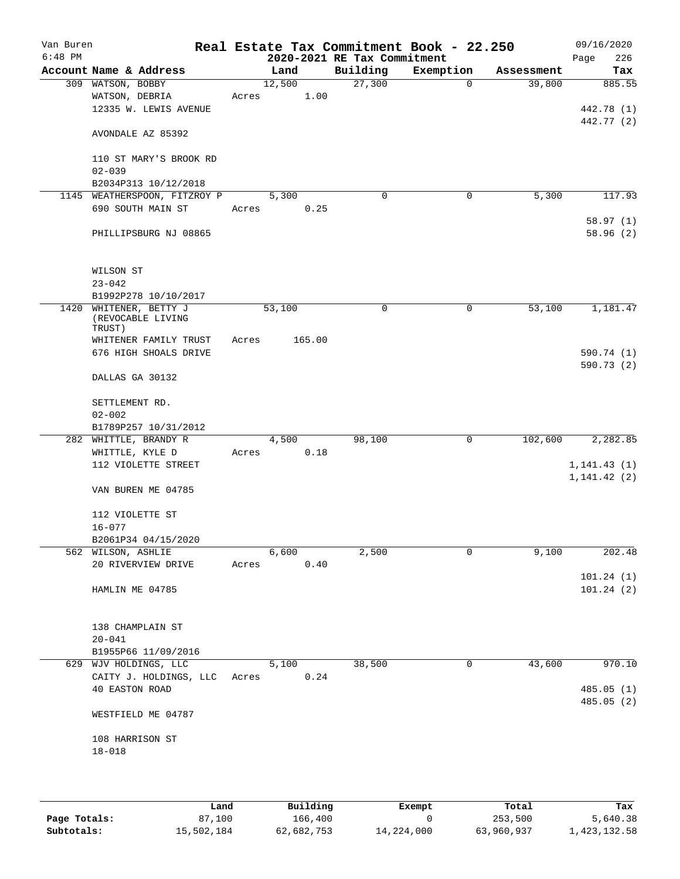| Van Buren<br>$6:48$ PM |                                             |       |        | 2020-2021 RE Tax Commitment | Real Estate Tax Commitment Book - 22.250 |            | 09/16/2020<br>226<br>Page |
|------------------------|---------------------------------------------|-------|--------|-----------------------------|------------------------------------------|------------|---------------------------|
|                        | Account Name & Address                      |       | Land   | Building                    | Exemption                                | Assessment | Tax                       |
|                        | 309 WATSON, BOBBY                           |       | 12,500 | 27,300                      | $\mathbf 0$                              | 39,800     | 885.55                    |
|                        | WATSON, DEBRIA                              | Acres | 1.00   |                             |                                          |            |                           |
|                        | 12335 W. LEWIS AVENUE                       |       |        |                             |                                          |            | 442.78 (1)                |
|                        |                                             |       |        |                             |                                          |            | 442.77 (2)                |
|                        | AVONDALE AZ 85392                           |       |        |                             |                                          |            |                           |
|                        | 110 ST MARY'S BROOK RD                      |       |        |                             |                                          |            |                           |
|                        | $02 - 039$                                  |       |        |                             |                                          |            |                           |
|                        | B2034P313 10/12/2018                        |       |        |                             |                                          |            |                           |
|                        | 1145 WEATHERSPOON, FITZROY P                |       | 5,300  | $\Omega$                    | 0                                        | 5,300      | 117.93                    |
|                        | 690 SOUTH MAIN ST                           | Acres | 0.25   |                             |                                          |            |                           |
|                        |                                             |       |        |                             |                                          |            | 58.97(1)                  |
|                        | PHILLIPSBURG NJ 08865                       |       |        |                             |                                          |            | 58.96(2)                  |
|                        | WILSON ST                                   |       |        |                             |                                          |            |                           |
|                        | $23 - 042$                                  |       |        |                             |                                          |            |                           |
|                        | B1992P278 10/10/2017                        |       |        |                             |                                          |            |                           |
|                        | 1420 WHITENER, BETTY J<br>(REVOCABLE LIVING |       | 53,100 | 0                           | $\mathbf 0$                              | 53,100     | 1,181.47                  |
|                        | TRUST)                                      |       |        |                             |                                          |            |                           |
|                        | WHITENER FAMILY TRUST                       | Acres | 165.00 |                             |                                          |            |                           |
|                        | 676 HIGH SHOALS DRIVE                       |       |        |                             |                                          |            | 590.74 (1)                |
|                        | DALLAS GA 30132                             |       |        |                             |                                          |            | 590.73 (2)                |
|                        | SETTLEMENT RD.                              |       |        |                             |                                          |            |                           |
|                        | $02 - 002$                                  |       |        |                             |                                          |            |                           |
|                        | B1789P257 10/31/2012                        |       |        |                             |                                          |            |                           |
|                        | 282 WHITTLE, BRANDY R                       |       | 4,500  | 98,100                      | $\mathbf 0$                              | 102,600    | 2,282.85                  |
|                        | WHITTLE, KYLE D                             | Acres | 0.18   |                             |                                          |            |                           |
|                        | 112 VIOLETTE STREET                         |       |        |                             |                                          |            | 1, 141.43(1)              |
|                        |                                             |       |        |                             |                                          |            | 1, 141.42(2)              |
|                        | VAN BUREN ME 04785                          |       |        |                             |                                          |            |                           |
|                        | 112 VIOLETTE ST                             |       |        |                             |                                          |            |                           |
|                        | $16 - 077$                                  |       |        |                             |                                          |            |                           |
|                        | B2061P34 04/15/2020                         |       |        |                             |                                          |            |                           |
|                        | 562 WILSON, ASHLIE                          |       | 6,600  | 2,500                       | 0                                        | 9,100      | 202.48                    |
|                        | 20 RIVERVIEW DRIVE                          | Acres | 0.40   |                             |                                          |            |                           |
|                        |                                             |       |        |                             |                                          |            | 101.24(1)                 |
|                        | HAMLIN ME 04785                             |       |        |                             |                                          |            | 101.24(2)                 |
|                        |                                             |       |        |                             |                                          |            |                           |
|                        | 138 CHAMPLAIN ST                            |       |        |                             |                                          |            |                           |
|                        | $20 - 041$                                  |       |        |                             |                                          |            |                           |
|                        | B1955P66 11/09/2016                         |       |        |                             |                                          |            |                           |
|                        | 629 WJV HOLDINGS, LLC                       |       | 5,100  | 38,500                      | 0                                        | 43,600     | 970.10                    |
|                        | CAITY J. HOLDINGS, LLC                      | Acres | 0.24   |                             |                                          |            |                           |
|                        | <b>40 EASTON ROAD</b>                       |       |        |                             |                                          |            | 485.05(1)                 |
|                        |                                             |       |        |                             |                                          |            | 485.05 (2)                |
|                        | WESTFIELD ME 04787                          |       |        |                             |                                          |            |                           |
|                        | 108 HARRISON ST                             |       |        |                             |                                          |            |                           |
|                        | $18 - 018$                                  |       |        |                             |                                          |            |                           |
|                        |                                             |       |        |                             |                                          |            |                           |
|                        |                                             |       |        |                             |                                          |            |                           |
|                        |                                             |       |        |                             |                                          |            |                           |

|              | Land       | Building   | Exempt     | Total      | Tax          |
|--------------|------------|------------|------------|------------|--------------|
| Page Totals: | 87,100     | 166,400    |            | 253,500    | 5,640.38     |
| Subtotals:   | 15,502,184 | 62,682,753 | 14,224,000 | 63,960,937 | 1,423,132.58 |